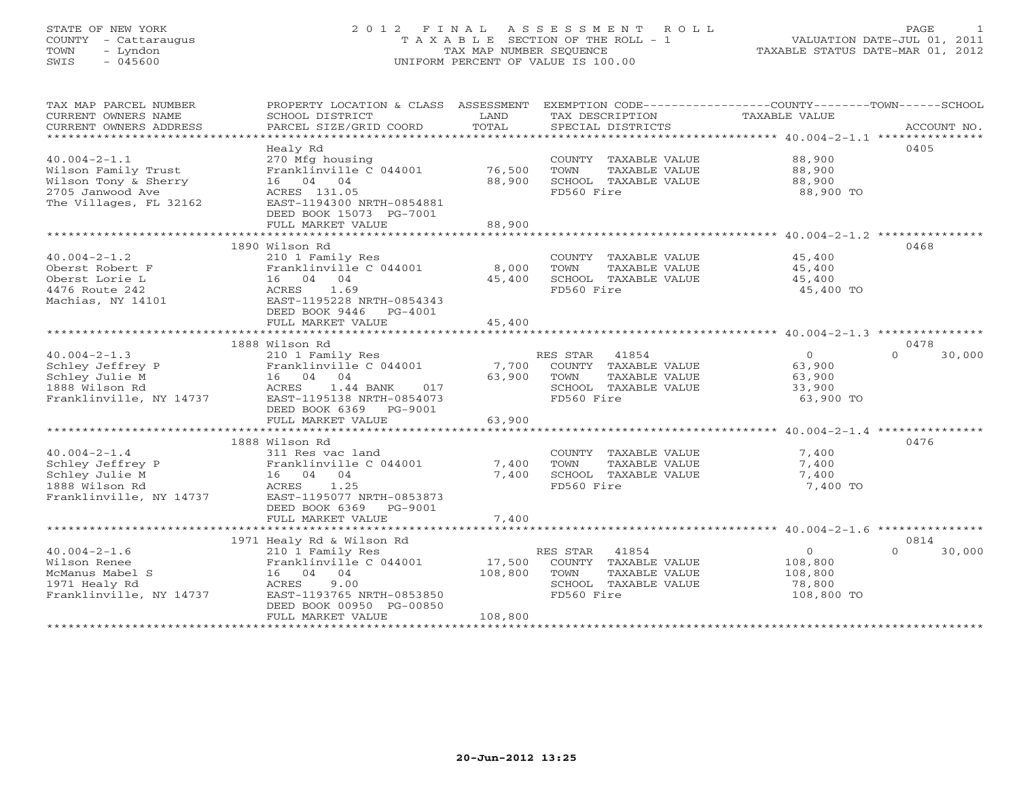## STATE OF NEW YORK 2 0 1 2 F I N A L A S S E S S M E N T R O L L PAGE 1 COUNTY - Cattaraugus T A X A B L E SECTION OF THE ROLL - 1 VALUATION DATE-JUL 01, 2011 TOWN - Lyndon TAX MAP NUMBER SEQUENCE TAXABLE STATUS DATE-MAR 01, 2012 SWIS - 045600 UNIFORM PERCENT OF VALUE IS 100.00UNIFORM PERCENT OF VALUE IS 100.00

| TAX MAP PARCEL NUMBER<br>CURRENT OWNERS NAME<br>CURRENT OWNERS ADDRESS                                          | PROPERTY LOCATION & CLASS ASSESSMENT<br>SCHOOL DISTRICT<br>PARCEL SIZE/GRID COORD                                                                                                           | LAND<br>TOTAL                | TAX DESCRIPTION TAXABLE VALUE<br>SPECIAL DISTRICTS                                                       | EXEMPTION CODE-----------------COUNTY-------TOWN------SCHOOL                   | ACCOUNT NO. |
|-----------------------------------------------------------------------------------------------------------------|---------------------------------------------------------------------------------------------------------------------------------------------------------------------------------------------|------------------------------|----------------------------------------------------------------------------------------------------------|--------------------------------------------------------------------------------|-------------|
| $40.004 - 2 - 1.1$<br>Wilson Family Trust<br>Wilson Tony & Sherry<br>2705 Janwood Ave<br>The Villages, FL 32162 | Healy Rd<br>270 Mfg housing<br>Franklinville C 044001<br>16 04 04<br>ACRES 131.05<br>EAST-1194300 NRTH-0854881<br>DEED BOOK 15073 PG-7001<br>FULL MARKET VALUE                              | 76,500<br>88,900<br>88,900   | COUNTY TAXABLE VALUE<br>TOWN<br>TAXABLE VALUE<br>SCHOOL TAXABLE VALUE<br>FD560 Fire                      | 0405<br>88,900<br>88,900<br>88,900<br>88,900 TO                                |             |
|                                                                                                                 |                                                                                                                                                                                             |                              |                                                                                                          |                                                                                |             |
| $40.004 - 2 - 1.2$<br>Oberst Robert F<br>Oberst Lorie L<br>4476 Route 242<br>Machias, NY 14101                  | 1890 Wilson Rd<br>210 1 Family Res<br>Franklinville C 044001<br>16 04 04<br>ACRES<br>1.69<br>EAST-1195228 NRTH-0854343<br>DEED BOOK 9446<br>PG-4001<br>FULL MARKET VALUE                    | 8,000<br>45,400<br>45,400    | COUNTY TAXABLE VALUE<br>TOWN<br>TAXABLE VALUE<br>SCHOOL TAXABLE VALUE<br>FD560 Fire                      | 0468<br>45,400<br>45,400<br>45,400<br>45,400 TO                                |             |
|                                                                                                                 |                                                                                                                                                                                             |                              |                                                                                                          |                                                                                |             |
|                                                                                                                 | 1888 Wilson Rd                                                                                                                                                                              |                              |                                                                                                          | 0478                                                                           |             |
| $40.004 - 2 - 1.3$<br>Schley Jeffrey P<br>Schley Julie M<br>1888 Wilson Rd<br>Franklinville, NY 14737           | 210 1 Family Res<br>Franklinville C 044001<br>16 04 04<br>ACRES<br>1.44 BANK<br>017<br>EAST-1195138 NRTH-0854073<br>DEED BOOK 6369 PG-9001                                                  | 7,700<br>63,900              | RES STAR<br>41854<br>COUNTY TAXABLE VALUE<br>TOWN<br>TAXABLE VALUE<br>SCHOOL TAXABLE VALUE<br>FD560 Fire | $\overline{0}$<br>$\Omega$<br>63,900<br>63,900<br>33,900<br>63,900 TO          | 30,000      |
|                                                                                                                 | FULL MARKET VALUE                                                                                                                                                                           | 63,900                       |                                                                                                          |                                                                                |             |
|                                                                                                                 |                                                                                                                                                                                             |                              |                                                                                                          |                                                                                |             |
| $40.004 - 2 - 1.4$<br>Schley Jeffrey P<br>Schley Julie M<br>1888 Wilson Rd<br>Franklinville, NY 14737           | 1888 Wilson Rd<br>311 Res vac land<br>Franklinville C 044001<br>16 04 04<br>ACRES<br>1.25<br>EAST-1195077 NRTH-0853873<br>DEED BOOK 6369 PG-9001                                            | 7,400<br>7,400               | COUNTY TAXABLE VALUE<br>TOWN<br>TAXABLE VALUE<br>SCHOOL TAXABLE VALUE<br>FD560 Fire                      | 0476<br>7,400<br>7,400<br>7,400<br>7,400 TO                                    |             |
|                                                                                                                 | FULL MARKET VALUE                                                                                                                                                                           | 7,400                        |                                                                                                          |                                                                                |             |
| $40.004 - 2 - 1.6$<br>Wilson Renee<br>McManus Mabel S<br>1971 Healy Rd<br>Franklinville, NY 14737               | 1971 Healy Rd & Wilson Rd<br>210 1 Family Res<br>Franklinville C 044001<br>16  04  04<br><b>ACRES</b><br>9.00<br>EAST-1193765 NRTH-0853850<br>DEED BOOK 00950 PG-00850<br>FULL MARKET VALUE | 17,500<br>108,800<br>108,800 | RES STAR 41854<br>COUNTY TAXABLE VALUE<br>TOWN<br>TAXABLE VALUE<br>SCHOOL TAXABLE VALUE<br>FD560 Fire    | 0814<br>$\overline{0}$<br>$\cap$<br>108,800<br>108,800<br>78,800<br>108,800 TO | 30,000      |
|                                                                                                                 |                                                                                                                                                                                             |                              |                                                                                                          |                                                                                |             |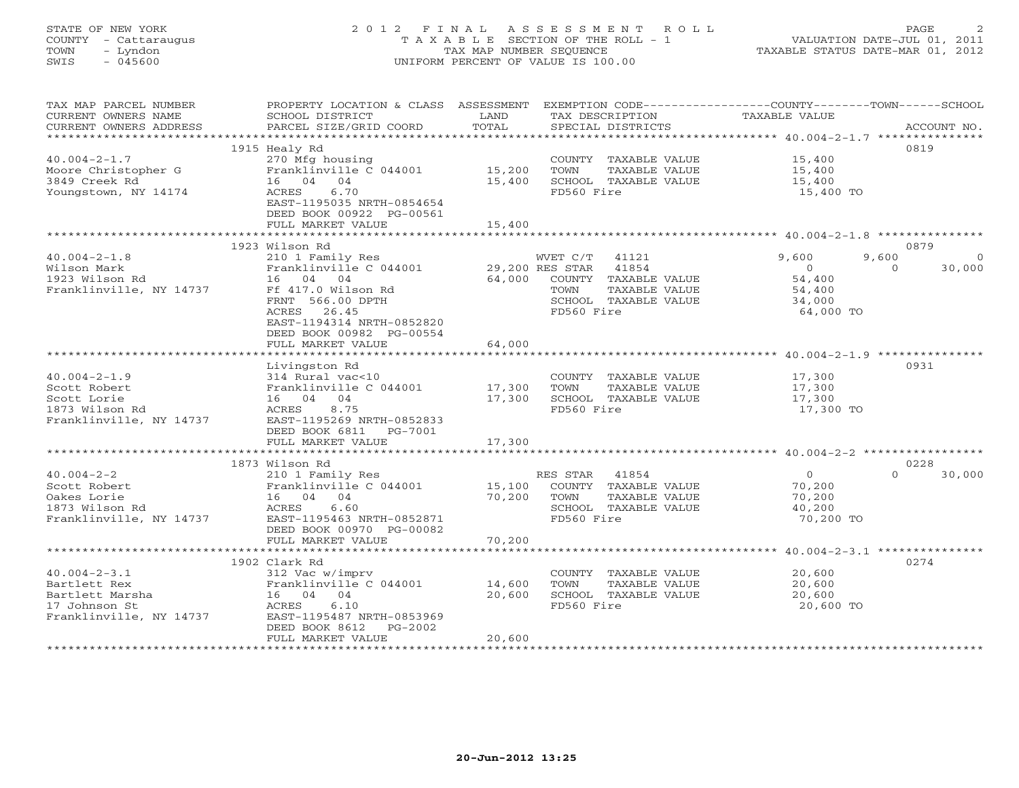# STATE OF NEW YORK 2 0 1 2 F I N A L A S S E S S M E N T R O L L PAGE 2 COUNTY - Cattaraugus T A X A B L E SECTION OF THE ROLL - 1 VALUATION DATE-JUL 01, 2011 TOWN - Lyndon TAX MAP NUMBER SEQUENCE TAXABLE STATUS DATE-MAR 01, 2012 SWIS - 045600 UNIFORM PERCENT OF VALUE IS 100.00UNIFORM PERCENT OF VALUE IS 100.00

| TAX MAP PARCEL NUMBER<br>CURRENT OWNERS NAME<br>CURRENT OWNERS ADDRESS                            | PROPERTY LOCATION & CLASS ASSESSMENT<br>SCHOOL DISTRICT<br>PARCEL SIZE/GRID COORD                                                            | LAND<br>TOTAL             | EXEMPTION CODE-----------------COUNTY-------TOWN------SCHOOL<br>TAX DESCRIPTION<br>SPECIAL DISTRICTS           | <b>TAXABLE VALUE</b>                                                 | ACCOUNT NO.                    |
|---------------------------------------------------------------------------------------------------|----------------------------------------------------------------------------------------------------------------------------------------------|---------------------------|----------------------------------------------------------------------------------------------------------------|----------------------------------------------------------------------|--------------------------------|
|                                                                                                   |                                                                                                                                              |                           |                                                                                                                |                                                                      |                                |
|                                                                                                   | 1915 Healy Rd                                                                                                                                |                           |                                                                                                                |                                                                      | 0819                           |
| $40.004 - 2 - 1.7$<br>Moore Christopher G<br>3849 Creek Rd                                        | 270 Mfg housing<br>Franklinville C 044001<br>16 04<br>04                                                                                     | 15,200<br>15,400          | COUNTY TAXABLE VALUE<br>TOWN<br>TAXABLE VALUE<br>SCHOOL TAXABLE VALUE                                          | 15,400<br>15,400<br>15,400                                           |                                |
| Youngstown, NY 14174                                                                              | 6.70<br>ACRES<br>EAST-1195035 NRTH-0854654<br>DEED BOOK 00922 PG-00561                                                                       |                           | FD560 Fire                                                                                                     | 15,400 TO                                                            |                                |
|                                                                                                   | FULL MARKET VALUE<br>************************                                                                                                | 15,400                    |                                                                                                                |                                                                      |                                |
|                                                                                                   | 1923 Wilson Rd                                                                                                                               |                           |                                                                                                                |                                                                      | 0879                           |
| $40.004 - 2 - 1.8$<br>Wilson Mark<br>1923 Wilson Rd<br>Franklinville, NY 14737                    | 210 1 Family Res<br>Franklinville C 044001<br>16 04 04<br>Ff 417.0 Wilson Rd<br>FRNT 566.00 DPTH<br>ACRES 26.45<br>EAST-1194314 NRTH-0852820 | 29,200 RES STAR<br>64,000 | WVET C/T 41121<br>41854<br>COUNTY TAXABLE VALUE<br>TOWN<br>TAXABLE VALUE<br>SCHOOL TAXABLE VALUE<br>FD560 Fire | 9,600<br>9,600<br>$\circ$<br>54,400<br>54,400<br>34,000<br>64,000 TO | $\Omega$<br>30,000<br>$\Omega$ |
|                                                                                                   | DEED BOOK 00982 PG-00554<br>FULL MARKET VALUE                                                                                                | 64,000                    |                                                                                                                |                                                                      |                                |
|                                                                                                   | **********************                                                                                                                       | *************             |                                                                                                                | ********************* 40.004-2-1.9 ***********                       |                                |
|                                                                                                   | Livingston Rd                                                                                                                                |                           |                                                                                                                |                                                                      | 0931                           |
| $40.004 - 2 - 1.9$                                                                                | 314 Rural vac<10                                                                                                                             |                           | COUNTY TAXABLE VALUE                                                                                           | 17,300                                                               |                                |
| Scott Robert                                                                                      | Franklinville C 044001                                                                                                                       | 17,300                    | TAXABLE VALUE<br>TOWN                                                                                          | 17,300                                                               |                                |
| Scott Lorie                                                                                       | 16 04 04                                                                                                                                     | 17,300                    | SCHOOL TAXABLE VALUE                                                                                           | 17,300                                                               |                                |
| 1873 Wilson Rd<br>Franklinville, NY 14737                                                         | ACRES<br>8.75<br>EAST-1195269 NRTH-0852833<br>DEED BOOK 6811<br>PG-7001                                                                      |                           | FD560 Fire                                                                                                     | 17,300 TO                                                            |                                |
|                                                                                                   | FULL MARKET VALUE                                                                                                                            | 17,300                    |                                                                                                                |                                                                      |                                |
|                                                                                                   | 1873 Wilson Rd                                                                                                                               |                           |                                                                                                                |                                                                      | 0228                           |
| $40.004 - 2 - 2$                                                                                  | 210 1 Family Res                                                                                                                             |                           | RES STAR 41854                                                                                                 | $\circ$                                                              | $\cap$<br>30,000               |
| Scott Robert<br>Oakes Lorie<br>1873 Wilson Rd<br>Franklinville, NY 14737                          | Franklinville C 044001<br>16 04 04<br>ACRES<br>6.60<br>EAST-1195463 NRTH-0852871                                                             | 15,100<br>70,200          | COUNTY TAXABLE VALUE<br>TOWN<br>TAXABLE VALUE<br>SCHOOL TAXABLE VALUE<br>FD560 Fire                            | 70,200<br>70,200<br>40,200<br>70,200 TO                              |                                |
|                                                                                                   | DEED BOOK 00970 PG-00082<br>FULL MARKET VALUE                                                                                                | 70,200                    |                                                                                                                |                                                                      |                                |
|                                                                                                   | **************************                                                                                                                   |                           |                                                                                                                |                                                                      |                                |
|                                                                                                   | 1902 Clark Rd                                                                                                                                |                           |                                                                                                                |                                                                      | 0274                           |
| $40.004 - 2 - 3.1$<br>Bartlett Rex<br>Bartlett Marsha<br>17 Johnson St<br>Franklinville, NY 14737 | 312 Vac w/imprv<br>Franklinville C 044001<br>16 04 04<br>ACRES<br>6.10<br>EAST-1195487 NRTH-0853969<br>DEED BOOK 8612<br>PG-2002             | 14,600<br>20,600          | COUNTY TAXABLE VALUE<br>TOWN<br>TAXABLE VALUE<br>SCHOOL TAXABLE VALUE<br>FD560 Fire                            | 20,600<br>20,600<br>20,600<br>20,600 TO                              |                                |
|                                                                                                   | FULL MARKET VALUE                                                                                                                            | 20,600                    |                                                                                                                |                                                                      |                                |
|                                                                                                   |                                                                                                                                              |                           |                                                                                                                |                                                                      |                                |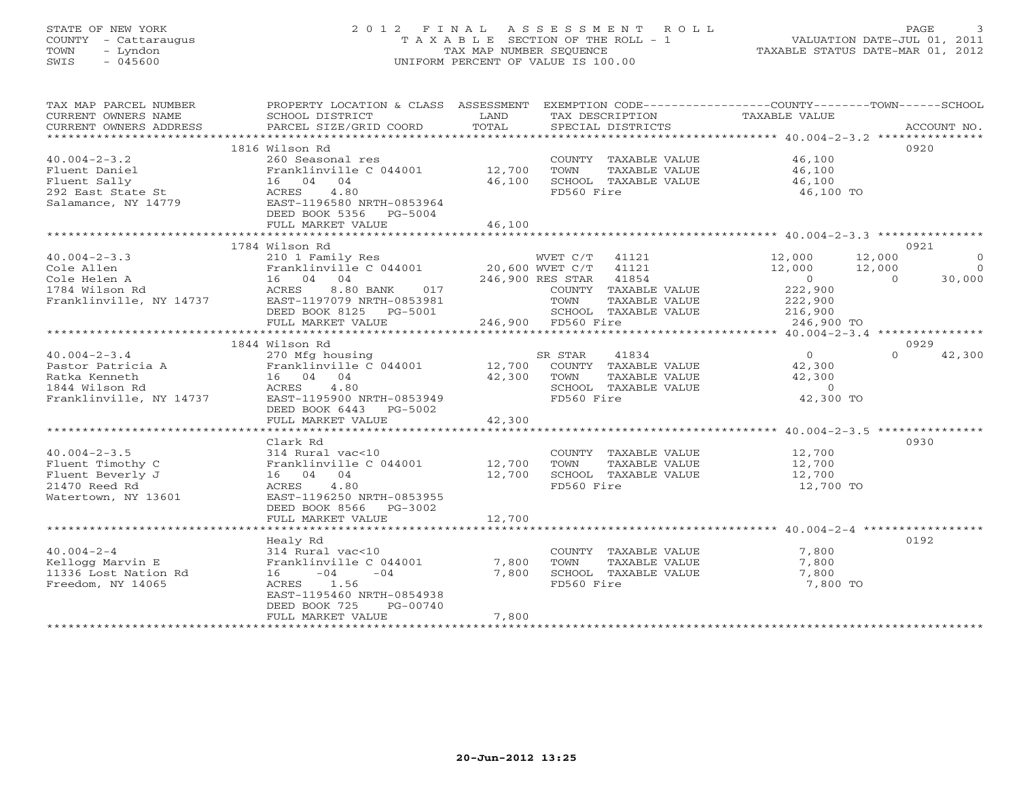# STATE OF NEW YORK 2 0 1 2 F I N A L A S S E S S M E N T R O L L PAGE 3 COUNTY - Cattaraugus T A X A B L E SECTION OF THE ROLL - 1 VALUATION DATE-JUL 01, 2011 TOWN - Lyndon TAX MAP NUMBER SEQUENCE TAXABLE STATUS DATE-MAR 01, 2012 SWIS - 045600 UNIFORM PERCENT OF VALUE IS 100.00UNIFORM PERCENT OF VALUE IS 100.00

| TAX MAP PARCEL NUMBER<br>CURRENT OWNERS NAME<br>CURRENT OWNERS ADDRESS | PROPERTY LOCATION & CLASS ASSESSMENT<br>SCHOOL DISTRICT<br>PARCEL SIZE/GRID COORD       | LAND<br>TOTAL                                   |                        | TAX DESCRIPTION<br>SPECIAL DISTRICTS | EXEMPTION CODE----------------COUNTY-------TOWN------SCHOOL<br>TAXABLE VALUE |                | ACCOUNT NO.    |
|------------------------------------------------------------------------|-----------------------------------------------------------------------------------------|-------------------------------------------------|------------------------|--------------------------------------|------------------------------------------------------------------------------|----------------|----------------|
|                                                                        |                                                                                         |                                                 |                        |                                      |                                                                              |                |                |
|                                                                        | 1816 Wilson Rd                                                                          |                                                 |                        |                                      |                                                                              |                | 0920           |
| $40.004 - 2 - 3.2$                                                     | 260 Seasonal res                                                                        |                                                 |                        | COUNTY TAXABLE VALUE                 | 46,100                                                                       |                |                |
| Fluent Daniel                                                          | Franklinville C 044001 12,700                                                           |                                                 | TOWN                   | TAXABLE VALUE                        | 46,100                                                                       |                |                |
| Fluent Sally                                                           | 16 04 04                                                                                | 46,100                                          |                        | SCHOOL TAXABLE VALUE                 | 46,100                                                                       |                |                |
| 292 East State St<br>Salamance, NY 14779                               | 4.80<br>ACRES                                                                           |                                                 | FD560 Fire             |                                      | 46,100 TO                                                                    |                |                |
| Salamance, NY 14779                                                    | EAST-1196580 NRTH-0853964                                                               |                                                 |                        |                                      |                                                                              |                |                |
|                                                                        | DEED BOOK 5356 PG-5004                                                                  |                                                 |                        |                                      |                                                                              |                |                |
|                                                                        | FULL MARKET VALUE                                                                       | 46,100                                          |                        |                                      |                                                                              |                |                |
|                                                                        |                                                                                         |                                                 |                        |                                      |                                                                              |                |                |
|                                                                        | 1784 Wilson Rd                                                                          |                                                 |                        |                                      |                                                                              |                | 0921           |
| $40.004 - 2 - 3.3$                                                     | 210 1 Family Res                                                                        |                                                 |                        |                                      | WVET C/T 41121 12,000                                                        | 12,000         | $\overline{0}$ |
| Cole Allen                                                             | Franklinville C 044001                                                                  | 20,600 WVET C/T 41121<br>246,900 RES STAR 41854 |                        |                                      | $12,000$<br>0                                                                | 12,000         | $\bigcap$      |
| Cole Helen A                                                           | 16 04 04                                                                                |                                                 | 246,900 RES STAR 41854 |                                      |                                                                              | $\overline{a}$ | 30,000         |
| 1784 Wilson Rd                                                         | 8.80 BANK 017<br>ACRES                                                                  |                                                 |                        | COUNTY TAXABLE VALUE                 | 222,900<br>222,900                                                           |                |                |
| Franklinville, NY 14737                                                | EAST-1197079 NRTH-0853981                                                               |                                                 | TOWN                   | TAXABLE VALUE                        |                                                                              |                |                |
|                                                                        | DEED BOOK 8125 PG-5001                                                                  |                                                 |                        | SCHOOL TAXABLE VALUE                 | 216,900                                                                      |                |                |
|                                                                        | FULL MARKET VALUE                                                                       |                                                 | 246,900 FD560 Fire     |                                      | 246,900 TO                                                                   |                |                |
|                                                                        | 1844 Wilson Rd                                                                          |                                                 |                        |                                      |                                                                              |                | 0929           |
| $40.004 - 2 - 3.4$                                                     | 270 Mfg housing                                                                         |                                                 |                        |                                      | $\overline{0}$                                                               | $\Omega$       | 42,300         |
|                                                                        | 270 Mfg housing 378 SR STAR 41834<br>Franklinville C 044001 12,700 COUNTY TAXABLE VALUE |                                                 |                        |                                      | 42,300                                                                       |                |                |
| Pastor Patricia A<br>Ratka Kenneth<br>1944 Wilson Rd                   | 16 04 04                                                                                | 42,300                                          | TOWN                   | TAXABLE VALUE                        | 42,300                                                                       |                |                |
| 1844 Wilson Rd                                                         | ACRES 4.80                                                                              |                                                 |                        | SCHOOL TAXABLE VALUE                 | $\overline{0}$                                                               |                |                |
| Franklinville, NY 14737                                                | EAST-1195900 NRTH-0853949                                                               |                                                 | FD560 Fire             |                                      | 42,300 TO                                                                    |                |                |
|                                                                        | DEED BOOK 6443 PG-5002                                                                  |                                                 |                        |                                      |                                                                              |                |                |
|                                                                        | FULL MARKET VALUE                                                                       | 42,300                                          |                        |                                      |                                                                              |                |                |
|                                                                        |                                                                                         |                                                 |                        |                                      |                                                                              |                |                |
|                                                                        | Clark Rd                                                                                |                                                 |                        |                                      |                                                                              |                | 0930           |
| $40.004 - 2 - 3.5$                                                     | 314 Rural vac<10                                                                        |                                                 |                        | COUNTY TAXABLE VALUE                 | 12,700                                                                       |                |                |
| Fluent Timothy C                                                       | Franklinville C 044001 12,700                                                           |                                                 | TOWN                   | TAXABLE VALUE                        | 12,700                                                                       |                |                |
| Fluent Beverly J                                                       | 16 04 04                                                                                | 12,700                                          |                        | SCHOOL TAXABLE VALUE                 | 12,700                                                                       |                |                |
| 21470 Reed Rd                                                          | ACRES<br>4.80                                                                           |                                                 | FD560 Fire             |                                      | 12,700 TO                                                                    |                |                |
| Watertown, NY 13601                                                    | EAST-1196250 NRTH-0853955                                                               |                                                 |                        |                                      |                                                                              |                |                |
|                                                                        | DEED BOOK 8566 PG-3002                                                                  |                                                 |                        |                                      |                                                                              |                |                |
|                                                                        | FULL MARKET VALUE                                                                       | 12,700                                          |                        |                                      |                                                                              |                |                |
|                                                                        | Healy Rd                                                                                |                                                 |                        |                                      |                                                                              |                | 0192           |
| $40.004 - 2 - 4$                                                       | 314 Rural vac<10                                                                        |                                                 |                        | COUNTY TAXABLE VALUE                 | 7,800                                                                        |                |                |
| Kellogg Marvin E                                                       | Franklinville C 044001                                                                  | 7,800                                           | TOWN                   | TAXABLE VALUE                        | 7,800                                                                        |                |                |
| 11336 Lost Nation Rd                                                   | $16 -04$<br>$-04$                                                                       | 7,800                                           |                        | SCHOOL TAXABLE VALUE                 | 7,800                                                                        |                |                |
| Freedom, NY 14065                                                      | ACRES 1.56                                                                              |                                                 | FD560 Fire             |                                      | 7,800 TO                                                                     |                |                |
|                                                                        | EAST-1195460 NRTH-0854938                                                               |                                                 |                        |                                      |                                                                              |                |                |
|                                                                        | DEED BOOK 725<br>PG-00740                                                               |                                                 |                        |                                      |                                                                              |                |                |
|                                                                        | FULL MARKET VALUE                                                                       | 7,800                                           |                        |                                      |                                                                              |                |                |
| **********************                                                 | ************************                                                                |                                                 |                        |                                      |                                                                              |                |                |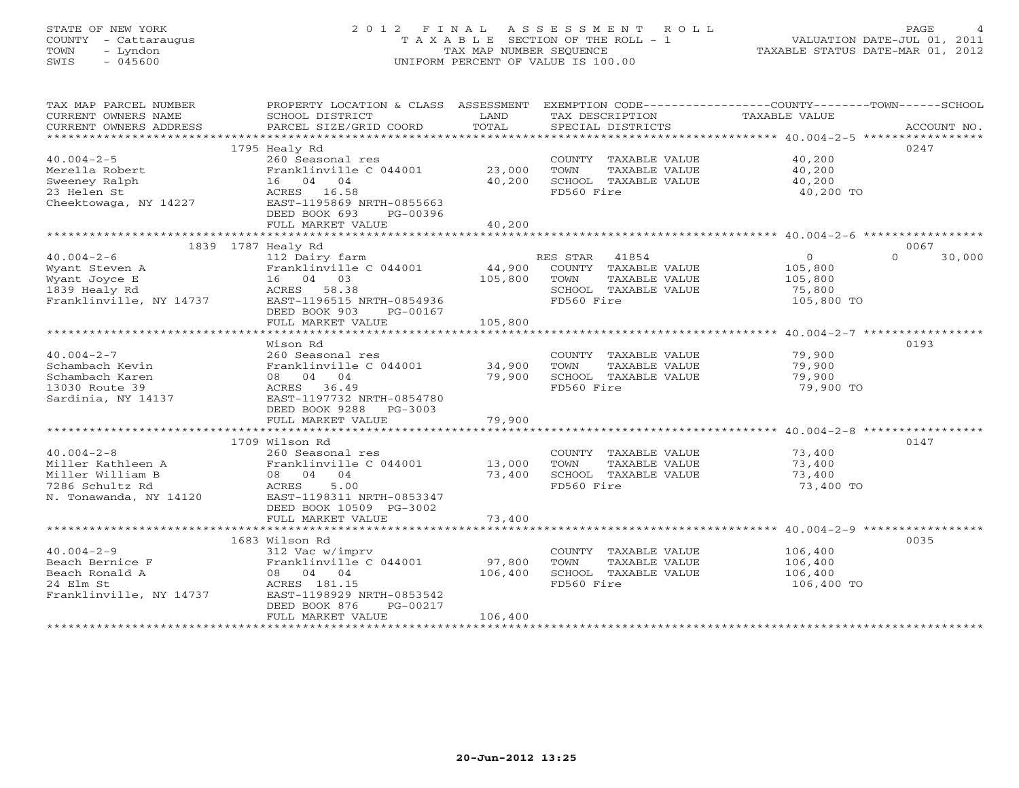# STATE OF NEW YORK 2 0 1 2 F I N A L A S S E S S M E N T R O L L PAGE 4 COUNTY - Cattaraugus T A X A B L E SECTION OF THE ROLL - 1 VALUATION DATE-JUL 01, 2011 TOWN - Lyndon TAX MAP NUMBER SEQUENCE TAXABLE STATUS DATE-MAR 01, 2012 SWIS - 045600 UNIFORM PERCENT OF VALUE IS 100.00UNIFORM PERCENT OF VALUE IS 100.00

| TAX MAP PARCEL NUMBER<br>CURRENT OWNERS NAME<br>CURRENT OWNERS ADDRESS                                 | PROPERTY LOCATION & CLASS ASSESSMENT<br>SCHOOL DISTRICT<br>PARCEL SIZE/GRID COORD                                                                                      | LAND<br>TOTAL                | EXEMPTION CODE-----------------COUNTY-------TOWN------SCHOOL<br>TAX DESCRIPTION<br>SPECIAL DISTRICTS            | TAXABLE VALUE                                                | ACCOUNT NO.        |
|--------------------------------------------------------------------------------------------------------|------------------------------------------------------------------------------------------------------------------------------------------------------------------------|------------------------------|-----------------------------------------------------------------------------------------------------------------|--------------------------------------------------------------|--------------------|
|                                                                                                        |                                                                                                                                                                        |                              |                                                                                                                 |                                                              |                    |
|                                                                                                        | 1795 Healy Rd                                                                                                                                                          |                              |                                                                                                                 |                                                              | 0247               |
| $40.004 - 2 - 5$<br>Merella Robert<br>Sweeney Ralph<br>23 Helen St<br>Cheektowaga, NY 14227            | 260 Seasonal res<br>Franklinville C 044001<br>16 04 04<br>ACRES 16.58<br>EAST-1195869 NRTH-0855663<br>DEED BOOK 693<br>PG-00396<br>FULL MARKET VALUE                   | 23,000<br>40,200<br>40,200   | COUNTY TAXABLE VALUE<br>TOWN<br>TAXABLE VALUE<br>SCHOOL TAXABLE VALUE<br>FD560 Fire                             | 40,200<br>40,200<br>40,200<br>40,200 TO                      |                    |
|                                                                                                        |                                                                                                                                                                        |                              |                                                                                                                 |                                                              |                    |
| 1839 1787 Healy Rd                                                                                     |                                                                                                                                                                        |                              |                                                                                                                 |                                                              | 0067               |
| $40.004 - 2 - 6$<br>Wyant Steven A<br>Wyant Joyce E<br>1839 Healy Rd<br>Franklinville, NY 14737        | 112 Dairy farm<br>Franklinville C 044001<br>16 04 03<br>ACRES 58.38<br>EAST-1196515 NRTH-0854936<br>DEED BOOK 903<br>PG-00167                                          | 105,800                      | RES STAR<br>41854<br>44,900 COUNTY TAXABLE VALUE<br>TOWN<br>TAXABLE VALUE<br>SCHOOL TAXABLE VALUE<br>FD560 Fire | $\overline{0}$<br>105,800<br>105,800<br>75,800<br>105,800 TO | 30,000<br>$\Omega$ |
|                                                                                                        | FULL MARKET VALUE                                                                                                                                                      | 105,800                      |                                                                                                                 |                                                              |                    |
|                                                                                                        | Wison Rd                                                                                                                                                               |                              |                                                                                                                 |                                                              | 0193               |
| $40.004 - 2 - 7$<br>Schambach Kevin<br>Schambach Karen<br>13030 Route 39<br>Sardinia, NY 14137         | 260 Seasonal res<br>Franklinville C 044001<br>08 04 04<br>ACRES 36.49<br>EAST-1197732 NRTH-0854780<br>DEED BOOK 9288 PG-3003                                           | 34,900<br>79,900             | COUNTY TAXABLE VALUE<br>TOWN<br>TAXABLE VALUE<br>SCHOOL TAXABLE VALUE<br>FD560 Fire                             | 79,900<br>79,900<br>79,900<br>79,900 TO                      |                    |
|                                                                                                        | FULL MARKET VALUE                                                                                                                                                      | 79,900                       |                                                                                                                 |                                                              |                    |
|                                                                                                        | 1709 Wilson Rd                                                                                                                                                         |                              |                                                                                                                 |                                                              | 0147               |
| $40.004 - 2 - 8$<br>Miller Kathleen A<br>Miller William B<br>7286 Schultz Rd<br>N. Tonawanda, NY 14120 | 260 Seasonal res<br>Franklinville C 044001<br>08 04 04<br>ACRES<br>5.00<br>EAST-1198311 NRTH-0853347<br>DEED BOOK 10509 PG-3002                                        | 13,000<br>73,400             | COUNTY TAXABLE VALUE<br>TOWN<br>TAXABLE VALUE<br>SCHOOL TAXABLE VALUE<br>FD560 Fire                             | 73,400<br>73,400<br>73,400<br>73,400 TO                      |                    |
|                                                                                                        | FULL MARKET VALUE                                                                                                                                                      | 73,400                       |                                                                                                                 |                                                              |                    |
|                                                                                                        |                                                                                                                                                                        |                              |                                                                                                                 |                                                              |                    |
| $40.004 - 2 - 9$<br>Beach Bernice F<br>Beach Ronald A<br>24 Elm St<br>Franklinville, NY 14737          | 1683 Wilson Rd<br>312 Vac w/imprv<br>Franklinville C 044001<br>08 04 04<br>ACRES 181.15<br>EAST-1198929 NRTH-0853542<br>DEED BOOK 876<br>PG-00217<br>FULL MARKET VALUE | 97,800<br>106,400<br>106,400 | COUNTY TAXABLE VALUE<br>TAXABLE VALUE<br>TOWN<br>SCHOOL TAXABLE VALUE<br>FD560 Fire                             | 106,400<br>106,400<br>106,400<br>106,400 TO                  | 0035               |
|                                                                                                        |                                                                                                                                                                        |                              |                                                                                                                 |                                                              |                    |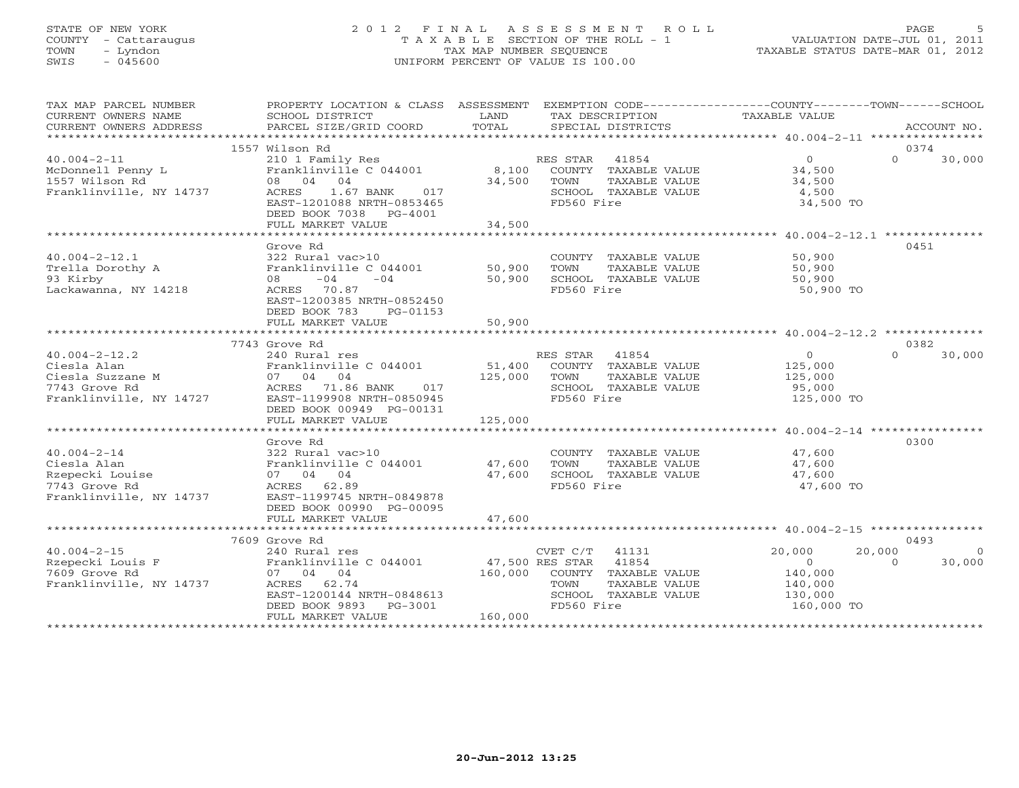# STATE OF NEW YORK 2 0 1 2 F I N A L A S S E S S M E N T R O L L PAGE 5 COUNTY - Cattaraugus T A X A B L E SECTION OF THE ROLL - 1 VALUATION DATE-JUL 01, 2011 TOWN - Lyndon TAX MAP NUMBER SEQUENCE TAXABLE STATUS DATE-MAR 01, 2012 SWIS - 045600 UNIFORM PERCENT OF VALUE IS 100.00UNIFORM PERCENT OF VALUE IS 100.00

| TAX MAP PARCEL NUMBER                         | PROPERTY LOCATION & CLASS ASSESSMENT EXEMPTION CODE---------------COUNTY-------TOWN------SCHOOL |               |                                               |                           |          |                |
|-----------------------------------------------|-------------------------------------------------------------------------------------------------|---------------|-----------------------------------------------|---------------------------|----------|----------------|
| CURRENT OWNERS NAME<br>CURRENT OWNERS ADDRESS | SCHOOL DISTRICT<br>PARCEL SIZE/GRID COORD                                                       | LAND<br>TOTAL | TAX DESCRIPTION<br>SPECIAL DISTRICTS          | TAXABLE VALUE             |          | ACCOUNT NO.    |
|                                               |                                                                                                 |               |                                               |                           |          |                |
|                                               | 1557 Wilson Rd                                                                                  |               |                                               |                           | 0374     |                |
| $40.004 - 2 - 11$                             | 210 1 Family Res                                                                                |               | RES STAR 41854                                | $\overline{0}$            | $\Omega$ | 30,000         |
| McDonnell Penny L                             | Franklinville C 044001                                                                          |               | 8,100 COUNTY TAXABLE VALUE                    | 34,500                    |          |                |
| 1557 Wilson Rd                                | 08 04 04                                                                                        |               | 34,500 TOWN<br>TAXABLE VALUE                  | 34,500                    |          |                |
| Franklinville, NY 14737                       | ACRES<br>1.67 BANK<br>017                                                                       |               | SCHOOL TAXABLE VALUE                          | 4,500                     |          |                |
|                                               | EAST-1201088 NRTH-0853465                                                                       |               | FD560 Fire                                    | 34,500 TO                 |          |                |
|                                               | DEED BOOK 7038 PG-4001                                                                          |               |                                               |                           |          |                |
|                                               | FULL MARKET VALUE                                                                               | 34,500        |                                               |                           |          |                |
|                                               | Grove Rd                                                                                        |               |                                               |                           | 0451     |                |
| $40.004 - 2 - 12.1$                           | 322 Rural vac>10                                                                                |               | COUNTY TAXABLE VALUE 50,900                   |                           |          |                |
| Trella Dorothy A                              | Franklinville C 044001                                                                          | 50,900        | TOWN<br>TAXABLE VALUE                         | 50,900                    |          |                |
| 93 Kirby                                      | $-04$<br>$-04$<br>08                                                                            | 50,900        | SCHOOL TAXABLE VALUE                          | 50,900                    |          |                |
| Lackawanna, NY 14218                          | ACRES 70.87                                                                                     |               | FD560 Fire                                    | 50,900 TO                 |          |                |
|                                               | EAST-1200385 NRTH-0852450                                                                       |               |                                               |                           |          |                |
|                                               | DEED BOOK 783<br>PG-01153                                                                       |               |                                               |                           |          |                |
|                                               | FULL MARKET VALUE                                                                               | 50,900        |                                               |                           |          |                |
|                                               |                                                                                                 |               |                                               |                           |          |                |
|                                               | 7743 Grove Rd                                                                                   |               |                                               |                           | 0382     |                |
| $40.004 - 2 - 12.2$                           | 240 Rural res                                                                                   |               | RES STAR<br>41854                             | $\overline{0}$            | $\Omega$ | 30,000         |
| Ciesla Alan                                   | Franklinville C 044001                                                                          |               | 51,400 COUNTY TAXABLE VALUE                   | 125,000                   |          |                |
| Ciesla Suzzane M                              | 07 04 04                                                                                        | 125,000 TOWN  | TAXABLE VALUE                                 | 125,000                   |          |                |
| 7743 Grove Rd                                 | ACRES 71.86 BANK 017                                                                            |               | SCHOOL TAXABLE VALUE                          | 95,000                    |          |                |
| Franklinville, NY 14727                       | EAST-1199908 NRTH-0850945                                                                       |               | FD560 Fire                                    | 125,000 TO                |          |                |
|                                               | DEED BOOK 00949 PG-00131<br>FULL MARKET VALUE                                                   | 125,000       |                                               |                           |          |                |
|                                               |                                                                                                 |               |                                               |                           |          |                |
|                                               | Grove Rd                                                                                        |               |                                               |                           | 0300     |                |
| $40.004 - 2 - 14$                             | 322 Rural vac>10                                                                                |               | COUNTY TAXABLE VALUE                          | 47,600                    |          |                |
| Ciesla Alan                                   | Franklinville C 044001 47,600                                                                   |               | TAXABLE VALUE<br>TOWN                         | 47,600                    |          |                |
| Rzepecki Louise                               | 07 04 04                                                                                        | 47,600        | SCHOOL TAXABLE VALUE                          | 47,600                    |          |                |
| 7743 Grove Rd                                 | ACRES 62.89                                                                                     |               | FD560 Fire                                    | 47,600 TO                 |          |                |
| Franklinville, NY 14737                       | EAST-1199745 NRTH-0849878                                                                       |               |                                               |                           |          |                |
|                                               | DEED BOOK 00990 PG-00095                                                                        |               |                                               |                           |          |                |
|                                               | FULL MARKET VALUE                                                                               | 47,600        |                                               |                           |          |                |
|                                               |                                                                                                 |               |                                               |                           |          |                |
|                                               | 7609 Grove Rd                                                                                   |               |                                               |                           | 0493     |                |
| $40.004 - 2 - 15$                             | 240 Rural res                                                                                   |               | CVET C/T 41131                                | 20,000                    | 20,000   | $\overline{0}$ |
| Rzepecki Louis F<br>7609 Grove Rd             | Franklinville C 044001<br>07 04 04                                                              | 160,000       | 47,500 RES STAR 41854<br>COUNTY TAXABLE VALUE | $\overline{0}$<br>140,000 | $\Omega$ | 30,000         |
| Franklinville, NY 14737                       | ACRES 62.74                                                                                     |               | TOWN<br>TAXABLE VALUE                         | 140,000                   |          |                |
|                                               | EAST-1200144 NRTH-0848613                                                                       |               | SCHOOL TAXABLE VALUE                          | 130,000                   |          |                |
|                                               | DEED BOOK 9893<br>PG-3001                                                                       |               | FD560 Fire                                    | 160,000 TO                |          |                |
|                                               | FULL MARKET VALUE                                                                               | 160,000       |                                               |                           |          |                |
|                                               |                                                                                                 |               |                                               |                           |          |                |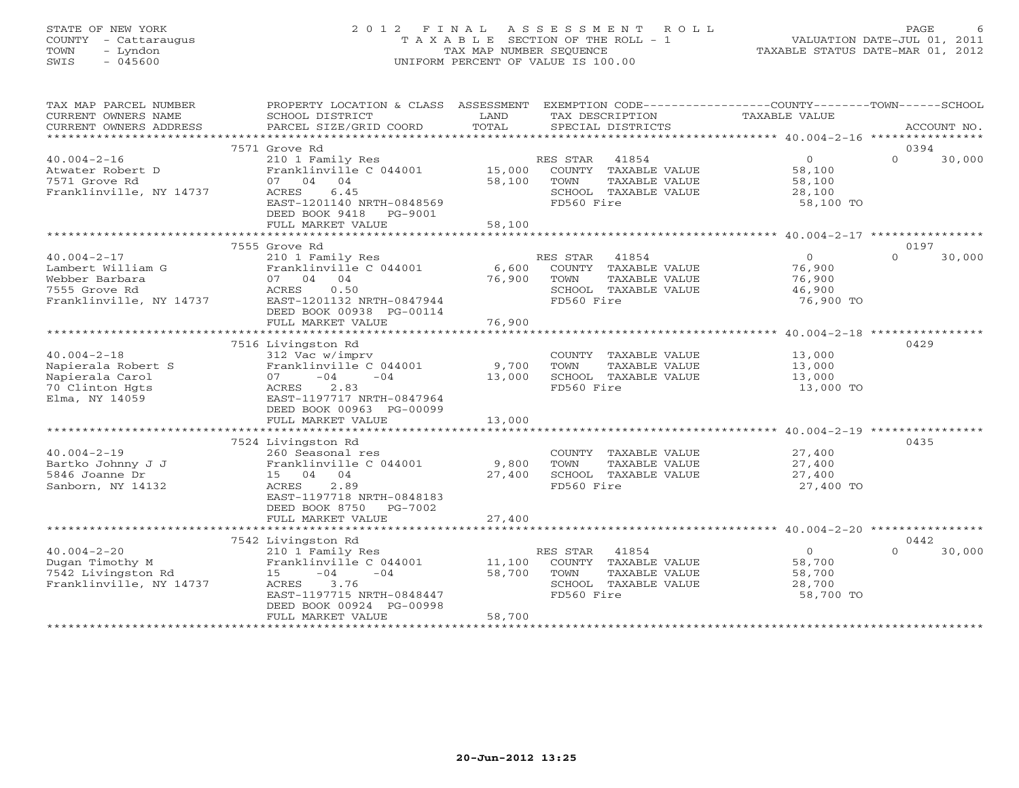# STATE OF NEW YORK 2 0 1 2 F I N A L A S S E S S M E N T R O L L PAGE 6 COUNTY - Cattaraugus T A X A B L E SECTION OF THE ROLL - 1 VALUATION DATE-JUL 01, 2011 TOWN - Lyndon TAX MAP NUMBER SEQUENCE TAXABLE STATUS DATE-MAR 01, 2012 SWIS - 045600 UNIFORM PERCENT OF VALUE IS 100.00UNIFORM PERCENT OF VALUE IS 100.00

| TAX MAP PARCEL NUMBER<br>CURRENT OWNERS NAME<br>CURRENT OWNERS ADDRESS                               | PROPERTY LOCATION & CLASS ASSESSMENT EXEMPTION CODE---------------COUNTY-------TOWN------SCHOOL<br>SCHOOL DISTRICT<br>PARCEL SIZE/GRID COORD                                         | LAND<br>TOTAL              | TAX DESCRIPTION TAXABLE VALUE<br>SPECIAL DISTRICTS                                                       |                                                           | ACCOUNT NO.                |
|------------------------------------------------------------------------------------------------------|--------------------------------------------------------------------------------------------------------------------------------------------------------------------------------------|----------------------------|----------------------------------------------------------------------------------------------------------|-----------------------------------------------------------|----------------------------|
|                                                                                                      |                                                                                                                                                                                      |                            |                                                                                                          |                                                           |                            |
| $40.004 - 2 - 16$<br>Atwater Robert D<br>7571 Grove Rd<br>Franklinville, NY 14737                    | 7571 Grove Rd<br>210 1 Family Res<br>Franklinville $C$ 044001 $15,000$<br>07 04 04<br>6.45<br>ACRES<br>EAST-1201140 NRTH-0848569<br>DEED BOOK 9418 PG-9001<br>FULL MARKET VALUE      | 58,100<br>58,100           | RES STAR<br>41854<br>COUNTY TAXABLE VALUE<br>TAXABLE VALUE<br>TOWN<br>SCHOOL TAXABLE VALUE<br>FD560 Fire | $\overline{O}$<br>58,100<br>58,100<br>28,100<br>58,100 TO | 0394<br>$\Omega$<br>30,000 |
|                                                                                                      |                                                                                                                                                                                      |                            |                                                                                                          |                                                           |                            |
| $40.004 - 2 - 17$<br>Lambert William G<br>Webber Barbara<br>7555 Grove Rd<br>Franklinville, NY 14737 | 7555 Grove Rd<br>210 1 Family Res<br>Franklinville C 044001<br>07 04 04<br>0.50<br>ACRES<br>EAST-1201132 NRTH-0847944<br>DEED BOOK 00938 PG-00114<br>FULL MARKET VALUE               | 6,600<br>76,900<br>76,900  | RES STAR<br>41854<br>COUNTY TAXABLE VALUE<br>TOWN<br>TAXABLE VALUE<br>SCHOOL TAXABLE VALUE<br>FD560 Fire | $\overline{0}$<br>76,900<br>76,900<br>46,900<br>76,900 TO | 0197<br>$\Omega$<br>30,000 |
|                                                                                                      |                                                                                                                                                                                      |                            |                                                                                                          |                                                           |                            |
| $40.004 - 2 - 18$<br>Napierala Robert S<br>Napierala Carol<br>70 Clinton Hgts<br>Elma, NY 14059      | 7516 Livingston Rd<br>312 Vac w/imprv<br>Franklinville C 044001<br>$-04$<br>$-04$<br>07<br>2.83<br>ACRES<br>EAST-1197717 NRTH-0847964<br>DEED BOOK 00963 PG-00099                    | 9,700<br>13,000            | COUNTY TAXABLE VALUE<br>TOWN<br>TAXABLE VALUE<br>SCHOOL TAXABLE VALUE<br>FD560 Fire                      | 13,000<br>13,000<br>13,000<br>13,000 TO                   | 0429                       |
|                                                                                                      | FULL MARKET VALUE                                                                                                                                                                    | 13,000                     |                                                                                                          |                                                           |                            |
|                                                                                                      |                                                                                                                                                                                      |                            |                                                                                                          |                                                           |                            |
| $40.004 - 2 - 19$<br>Bartko Johnny J J<br>5846 Joanne Dr<br>Sanborn, NY 14132                        | 7524 Livingston Rd<br>260 Seasonal res<br>Franklinville C 044001<br>15 04 04<br>ACRES<br>2.89<br>EAST-1197718 NRTH-0848183<br>DEED BOOK 8750 PG-7002<br>FULL MARKET VALUE            | 9,800<br>27,400<br>27,400  | COUNTY TAXABLE VALUE<br>TAXABLE VALUE<br><b>TOWN</b><br>SCHOOL TAXABLE VALUE<br>FD560 Fire               | 27,400<br>27,400<br>27,400<br>27,400 TO                   | 0435                       |
|                                                                                                      |                                                                                                                                                                                      |                            |                                                                                                          |                                                           |                            |
| $40.004 - 2 - 20$<br>Dugan Timothy M<br>7542 Livingston Rd<br>Franklinville, NY 14737                | 7542 Livingston Rd<br>210 1 Family Res<br>Franklinville C 044001<br>$15 -04$<br>$-04$<br>3.76<br>ACRES<br>EAST-1197715 NRTH-0848447<br>DEED BOOK 00924 PG-00998<br>FULL MARKET VALUE | 11,100<br>58,700<br>58,700 | RES STAR 41854<br>COUNTY TAXABLE VALUE<br>TOWN<br>TAXABLE VALUE<br>SCHOOL TAXABLE VALUE<br>FD560 Fire    | $\overline{0}$<br>58,700<br>58,700<br>28,700<br>58,700 TO | 0442<br>$\cap$<br>30,000   |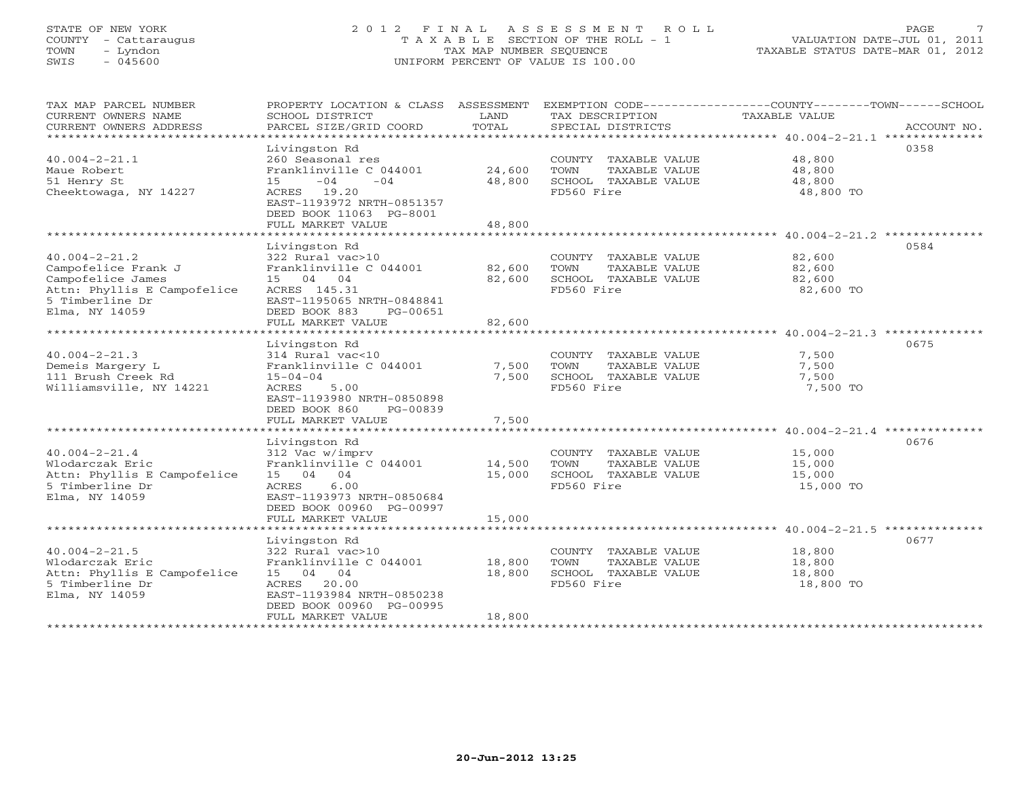# STATE OF NEW YORK 2 0 1 2 F I N A L A S S E S S M E N T R O L L PAGE 7 COUNTY - Cattaraugus T A X A B L E SECTION OF THE ROLL - 1 VALUATION DATE-JUL 01, 2011 TOWN - Lyndon TAX MAP NUMBER SEQUENCE TAXABLE STATUS DATE-MAR 01, 2012 SWIS - 045600 UNIFORM PERCENT OF VALUE IS 100.00UNIFORM PERCENT OF VALUE IS 100.00

| TAX MAP PARCEL NUMBER<br>CURRENT OWNERS NAME<br>CURRENT OWNERS ADDRESS                                                              | PROPERTY LOCATION & CLASS ASSESSMENT<br>SCHOOL DISTRICT<br>PARCEL SIZE/GRID COORD                                                                                               | LAND<br>TOTAL              | TAX DESCRIPTION<br>SPECIAL DISTRICTS                                                | EXEMPTION CODE-----------------COUNTY-------TOWN-----SCHOOL<br><b>TAXABLE VALUE</b><br>ACCOUNT NO. |
|-------------------------------------------------------------------------------------------------------------------------------------|---------------------------------------------------------------------------------------------------------------------------------------------------------------------------------|----------------------------|-------------------------------------------------------------------------------------|----------------------------------------------------------------------------------------------------|
| $40.004 - 2 - 21.1$<br>Maue Robert<br>51 Henry St<br>Cheektowaga, NY 14227                                                          | Livingston Rd<br>260 Seasonal res<br>Franklinville C 044001<br>$-04$<br>15<br>$-04$<br>ACRES 19.20<br>EAST-1193972 NRTH-0851357<br>DEED BOOK 11063 PG-8001<br>FULL MARKET VALUE | 24,600<br>48,800<br>48,800 | COUNTY TAXABLE VALUE<br>TOWN<br>TAXABLE VALUE<br>SCHOOL TAXABLE VALUE<br>FD560 Fire | 0358<br>48,800<br>48,800<br>48,800<br>48,800 TO                                                    |
|                                                                                                                                     | Livingston Rd                                                                                                                                                                   |                            |                                                                                     | 0584                                                                                               |
| $40.004 - 2 - 21.2$<br>Campofelice Frank J<br>Campofelice James<br>Attn: Phyllis E Campofelice<br>5 Timberline Dr<br>Elma, NY 14059 | 322 Rural vac>10<br>Franklinville C 044001<br>15 04 04<br>ACRES 145.31<br>EAST-1195065 NRTH-0848841<br>DEED BOOK 883<br>PG-00651                                                | 82,600<br>82,600           | COUNTY TAXABLE VALUE<br>TOWN<br>TAXABLE VALUE<br>SCHOOL TAXABLE VALUE<br>FD560 Fire | 82,600<br>82,600<br>82,600<br>82,600 TO                                                            |
|                                                                                                                                     | FULL MARKET VALUE                                                                                                                                                               | 82,600                     |                                                                                     |                                                                                                    |
| $40.004 - 2 - 21.3$<br>Demeis Margery L<br>111 Brush Creek Rd<br>Williamsville, NY 14221                                            | Livingston Rd<br>314 Rural vac<10<br>Franklinville C 044001<br>$15 - 04 - 04$<br>ACRES<br>5.00<br>EAST-1193980 NRTH-0850898<br>DEED BOOK 860<br>PG-00839                        | 7,500<br>7,500             | COUNTY TAXABLE VALUE<br>TOWN<br>TAXABLE VALUE<br>SCHOOL TAXABLE VALUE<br>FD560 Fire | 0675<br>7,500<br>7,500<br>7,500<br>7,500 TO                                                        |
|                                                                                                                                     | FULL MARKET VALUE                                                                                                                                                               | 7,500                      |                                                                                     |                                                                                                    |
| $40.004 - 2 - 21.4$<br>Wlodarczak Eric<br>Attn: Phyllis E Campofelice<br>5 Timberline Dr<br>Elma, NY 14059                          | Livingston Rd<br>312 Vac w/imprv<br>Franklinville C 044001<br>15 04 04<br>ACRES<br>6.00<br>EAST-1193973 NRTH-0850684<br>DEED BOOK 00960 PG-00997<br>FULL MARKET VALUE           | 14,500<br>15,000<br>15,000 | COUNTY TAXABLE VALUE<br>TOWN<br>TAXABLE VALUE<br>SCHOOL TAXABLE VALUE<br>FD560 Fire | 0676<br>15,000<br>15,000<br>15,000<br>15,000 TO                                                    |
|                                                                                                                                     |                                                                                                                                                                                 |                            |                                                                                     |                                                                                                    |
| $40.004 - 2 - 21.5$<br>Wlodarczak Eric<br>Attn: Phyllis E Campofelice<br>5 Timberline Dr<br>Elma, NY 14059                          | Livingston Rd<br>322 Rural vac>10<br>Franklinville C 044001<br>15 04 04<br>ACRES 20.00<br>EAST-1193984 NRTH-0850238<br>DEED BOOK 00960 PG-00995<br>FULL MARKET VALUE            | 18,800<br>18,800<br>18,800 | COUNTY TAXABLE VALUE<br>TOWN<br>TAXABLE VALUE<br>SCHOOL TAXABLE VALUE<br>FD560 Fire | 0677<br>18,800<br>18,800<br>18,800<br>18,800 TO                                                    |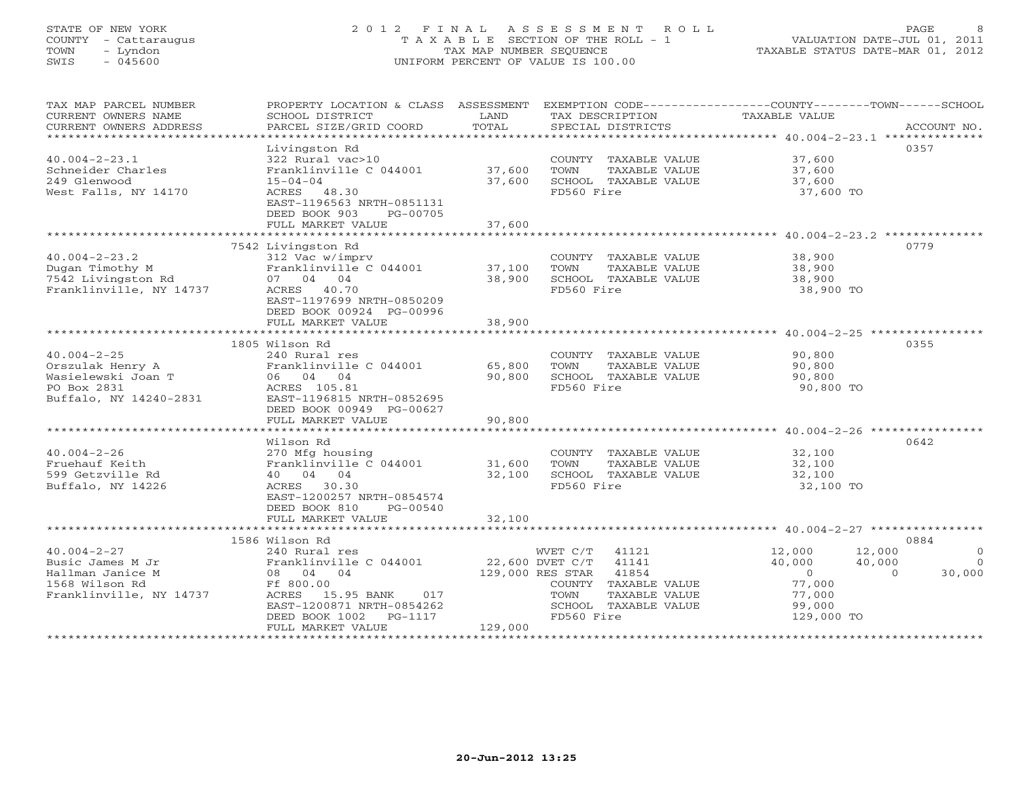# STATE OF NEW YORK 2 0 1 2 F I N A L A S S E S S M E N T R O L L PAGE 8 COUNTY - Cattaraugus T A X A B L E SECTION OF THE ROLL - 1 VALUATION DATE-JUL 01, 2011 TOWN - Lyndon TAX MAP NUMBER SEQUENCE TAXABLE STATUS DATE-MAR 01, 2012 SWIS - 045600 UNIFORM PERCENT OF VALUE IS 100.00

| TAX MAP PARCEL NUMBER<br>CURRENT OWNERS NAME<br>CURRENT OWNERS ADDRESS<br>**********************       | PROPERTY LOCATION & CLASS ASSESSMENT<br>SCHOOL DISTRICT<br>PARCEL SIZE/GRID COORD                                                                                          | LAND<br>TOTAL               | TAX DESCRIPTION<br>SPECIAL DISTRICTS                                                                                                          | EXEMPTION CODE-----------------COUNTY-------TOWN-----SCHOOL<br>TAXABLE VALUE<br>ACCOUNT NO.                                                      |
|--------------------------------------------------------------------------------------------------------|----------------------------------------------------------------------------------------------------------------------------------------------------------------------------|-----------------------------|-----------------------------------------------------------------------------------------------------------------------------------------------|--------------------------------------------------------------------------------------------------------------------------------------------------|
|                                                                                                        | Livingston Rd                                                                                                                                                              |                             |                                                                                                                                               | 0357                                                                                                                                             |
| $40.004 - 2 - 23.1$<br>Schneider Charles<br>249 Glenwood<br>West Falls, NY 14170                       | 322 Rural vac>10<br>Franklinville C 044001<br>$15 - 04 - 04$<br>ACRES 48.30                                                                                                | 37,600<br>37,600            | COUNTY TAXABLE VALUE<br>TOWN<br>TAXABLE VALUE<br>SCHOOL TAXABLE VALUE<br>FD560 Fire                                                           | 37,600<br>37,600<br>37,600<br>37,600 TO                                                                                                          |
|                                                                                                        | EAST-1196563 NRTH-0851131<br>DEED BOOK 903<br>PG-00705<br>FULL MARKET VALUE                                                                                                | 37,600                      |                                                                                                                                               |                                                                                                                                                  |
|                                                                                                        | 7542 Livingston Rd                                                                                                                                                         |                             |                                                                                                                                               | 0779                                                                                                                                             |
| $40.004 - 2 - 23.2$<br>Dugan Timothy M<br>7542 Livingston Rd<br>Franklinville, NY 14737                | 312 Vac w/imprv<br>Franklinville C 044001<br>07 04 04<br>ACRES 40.70<br>EAST-1197699 NRTH-0850209<br>DEED BOOK 00924 PG-00996                                              | 37,100<br>38,900            | COUNTY TAXABLE VALUE<br>TOWN<br>TAXABLE VALUE<br>SCHOOL TAXABLE VALUE<br>FD560 Fire                                                           | 38,900<br>38,900<br>38,900<br>38,900 TO                                                                                                          |
|                                                                                                        | FULL MARKET VALUE                                                                                                                                                          | 38,900                      |                                                                                                                                               |                                                                                                                                                  |
|                                                                                                        |                                                                                                                                                                            |                             |                                                                                                                                               |                                                                                                                                                  |
| $40.004 - 2 - 25$<br>Orszulak Henry A<br>Wasielewski Joan T<br>PO Box 2831<br>Buffalo, NY 14240-2831   | 1805 Wilson Rd<br>240 Rural res<br>Franklinville C 044001<br>06 04 04<br>ACRES 105.81<br>EAST-1196815 NRTH-0852695<br>DEED BOOK 00949 PG-00627<br>FULL MARKET VALUE        | 65,800<br>90,800<br>90,800  | COUNTY TAXABLE VALUE<br>TOWN<br>TAXABLE VALUE<br>SCHOOL TAXABLE VALUE<br>FD560 Fire                                                           | 0355<br>90,800<br>90,800<br>90,800<br>90,800 TO                                                                                                  |
|                                                                                                        |                                                                                                                                                                            |                             |                                                                                                                                               |                                                                                                                                                  |
| $40.004 - 2 - 26$<br>Fruehauf Keith<br>599 Getzville Rd<br>Buffalo, NY 14226                           | Wilson Rd<br>270 Mfg housing<br>Franklinville C 044001<br>40 04 04<br>ACRES<br>30.30<br>EAST-1200257 NRTH-0854574<br>DEED BOOK 810<br>PG-00540                             | 31,600<br>32,100            | COUNTY TAXABLE VALUE<br>TAXABLE VALUE<br>TOWN<br>SCHOOL TAXABLE VALUE<br>FD560 Fire                                                           | 0642<br>32,100<br>32,100<br>32,100<br>32,100 TO                                                                                                  |
|                                                                                                        | FULL MARKET VALUE                                                                                                                                                          | 32,100                      |                                                                                                                                               |                                                                                                                                                  |
|                                                                                                        | 1586 Wilson Rd                                                                                                                                                             |                             |                                                                                                                                               | 0884                                                                                                                                             |
| $40.004 - 2 - 27$<br>Busic James M Jr<br>Hallman Janice M<br>1568 Wilson Rd<br>Franklinville, NY 14737 | 240 Rural res<br>Franklinville C 044001<br>08 04 04<br>Ff 800.00<br>ACRES 15.95 BANK<br>017<br>EAST-1200871 NRTH-0854262<br>DEED BOOK 1002<br>PG-1117<br>FULL MARKET VALUE | 129,000 RES STAR<br>129,000 | WVET C/T<br>41121<br>22,600 DVET C/T<br>41141<br>41854<br>COUNTY TAXABLE VALUE<br>TAXABLE VALUE<br>TOWN<br>SCHOOL TAXABLE VALUE<br>FD560 Fire | 12,000<br>12,000<br>$\Omega$<br>40,000<br>40,000<br>$\Omega$<br>$\overline{0}$<br>30,000<br>$\Omega$<br>77,000<br>77,000<br>99,000<br>129,000 TO |
|                                                                                                        |                                                                                                                                                                            |                             |                                                                                                                                               |                                                                                                                                                  |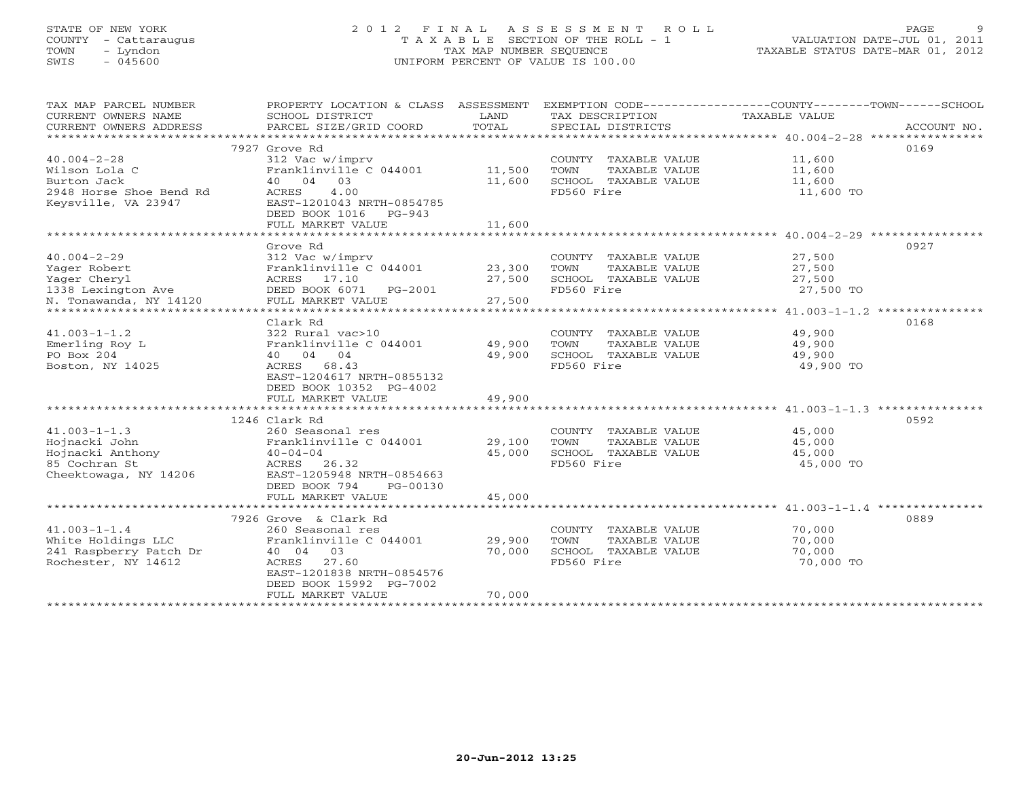# STATE OF NEW YORK 2 0 1 2 F I N A L A S S E S S M E N T R O L L PAGE 9 COUNTY - Cattaraugus T A X A B L E SECTION OF THE ROLL - 1 VALUATION DATE-JUL 01, 2011 TOWN - Lyndon TAX MAP NUMBER SEQUENCE TAXABLE STATUS DATE-MAR 01, 2012 SWIS - 045600 UNIFORM PERCENT OF VALUE IS 100.00UNIFORM PERCENT OF VALUE IS 100.00

| TAX MAP PARCEL NUMBER<br>CURRENT OWNERS NAME | PROPERTY LOCATION & CLASS ASSESSMENT<br>SCHOOL DISTRICT | LAND   | TAX DESCRIPTION                    | EXEMPTION CODE-----------------COUNTY-------TOWN------SCHOOL<br><b>TAXABLE VALUE</b> |
|----------------------------------------------|---------------------------------------------------------|--------|------------------------------------|--------------------------------------------------------------------------------------|
| CURRENT OWNERS ADDRESS                       | PARCEL SIZE/GRID COORD                                  | TOTAL  | SPECIAL DISTRICTS                  | ACCOUNT NO.                                                                          |
|                                              | 7927 Grove Rd                                           |        |                                    | 0169                                                                                 |
| $40.004 - 2 - 28$                            | 312 Vac w/imprv                                         |        | COUNTY TAXABLE VALUE               | 11,600                                                                               |
| Wilson Lola C                                | Franklinville C 044001                                  | 11,500 | TAXABLE VALUE<br>TOWN              | 11,600                                                                               |
| Burton Jack                                  | 40 04 03                                                | 11,600 | SCHOOL TAXABLE VALUE               | 11,600                                                                               |
| 2948 Horse Shoe Bend Rd                      | 4.00<br>ACRES                                           |        | FD560 Fire                         | 11,600 TO                                                                            |
| Keysville, VA 23947                          | EAST-1201043 NRTH-0854785                               |        |                                    |                                                                                      |
|                                              | DEED BOOK 1016 PG-943                                   |        |                                    |                                                                                      |
|                                              | FULL MARKET VALUE                                       | 11,600 |                                    |                                                                                      |
|                                              |                                                         |        |                                    |                                                                                      |
|                                              | Grove Rd                                                |        |                                    | 0927                                                                                 |
| $40.004 - 2 - 29$                            | 312 Vac w/imprv                                         |        | COUNTY TAXABLE VALUE               | 27,500                                                                               |
| Yager Robert                                 | Franklinville C 044001                                  | 23,300 | TOWN<br>TAXABLE VALUE              | 27,500                                                                               |
| Yager Cheryl                                 | ACRES 17.10                                             | 27,500 | SCHOOL TAXABLE VALUE               | 27,500                                                                               |
| 1338 Lexington Ave                           | DEED BOOK 6071 PG-2001                                  |        | FD560 Fire                         | 27,500 TO                                                                            |
| N. Tonawanda, NY 14120                       | FULL MARKET VALUE                                       | 27,500 |                                    |                                                                                      |
| **********************                       | ***********************                                 |        |                                    | *************** 41.003-1-1.2 ****************                                        |
|                                              | Clark Rd                                                |        |                                    | 0168                                                                                 |
| $41.003 - 1 - 1.2$                           | 322 Rural vac>10                                        |        | COUNTY TAXABLE VALUE               | 49,900                                                                               |
| Emerling Roy L                               | Franklinville C 044001                                  | 49,900 | TOWN<br>TAXABLE VALUE              | 49,900                                                                               |
| PO Box 204                                   | 40 04 04                                                | 49,900 | SCHOOL TAXABLE VALUE               | 49,900                                                                               |
| Boston, NY 14025                             | ACRES<br>68.43                                          |        | FD560 Fire                         | 49,900 TO                                                                            |
|                                              | EAST-1204617 NRTH-0855132                               |        |                                    |                                                                                      |
|                                              | DEED BOOK 10352 PG-4002                                 |        |                                    |                                                                                      |
|                                              | FULL MARKET VALUE                                       | 49,900 |                                    |                                                                                      |
|                                              |                                                         |        |                                    |                                                                                      |
|                                              | 1246 Clark Rd                                           |        |                                    | 0592                                                                                 |
| $41.003 - 1 - 1.3$                           | 260 Seasonal res                                        |        | COUNTY TAXABLE VALUE               | 45,000                                                                               |
| Hojnacki John                                | Franklinville C 044001                                  | 29,100 | TOWN<br>TAXABLE VALUE              | 45,000                                                                               |
| Hojnacki Anthony                             | $40 - 04 - 04$                                          | 45,000 | SCHOOL TAXABLE VALUE               | 45,000                                                                               |
| 85 Cochran St                                | ACRES 26.32                                             |        | FD560 Fire                         | 45,000 TO                                                                            |
| Cheektowaga, NY 14206                        | EAST-1205948 NRTH-0854663                               |        |                                    |                                                                                      |
|                                              | DEED BOOK 794<br>PG-00130                               |        |                                    |                                                                                      |
|                                              | FULL MARKET VALUE                                       | 45,000 |                                    |                                                                                      |
|                                              |                                                         |        |                                    |                                                                                      |
| $41.003 - 1 - 1.4$                           | 7926 Grove & Clark Rd                                   |        |                                    | 0889                                                                                 |
|                                              | 260 Seasonal res                                        |        | COUNTY TAXABLE VALUE               | 70,000                                                                               |
| White Holdings LLC<br>241 Raspberry Patch Dr | Franklinville C 044001                                  | 29,900 | TAXABLE VALUE<br>TOWN              | 70,000                                                                               |
| Rochester, NY 14612                          | 40 04 03<br>ACRES<br>27.60                              | 70,000 | SCHOOL TAXABLE VALUE<br>FD560 Fire | 70,000                                                                               |
|                                              | EAST-1201838 NRTH-0854576                               |        |                                    | 70,000 TO                                                                            |
|                                              | DEED BOOK 15992 PG-7002                                 |        |                                    |                                                                                      |
|                                              | FULL MARKET VALUE                                       | 70,000 |                                    |                                                                                      |
|                                              |                                                         |        |                                    |                                                                                      |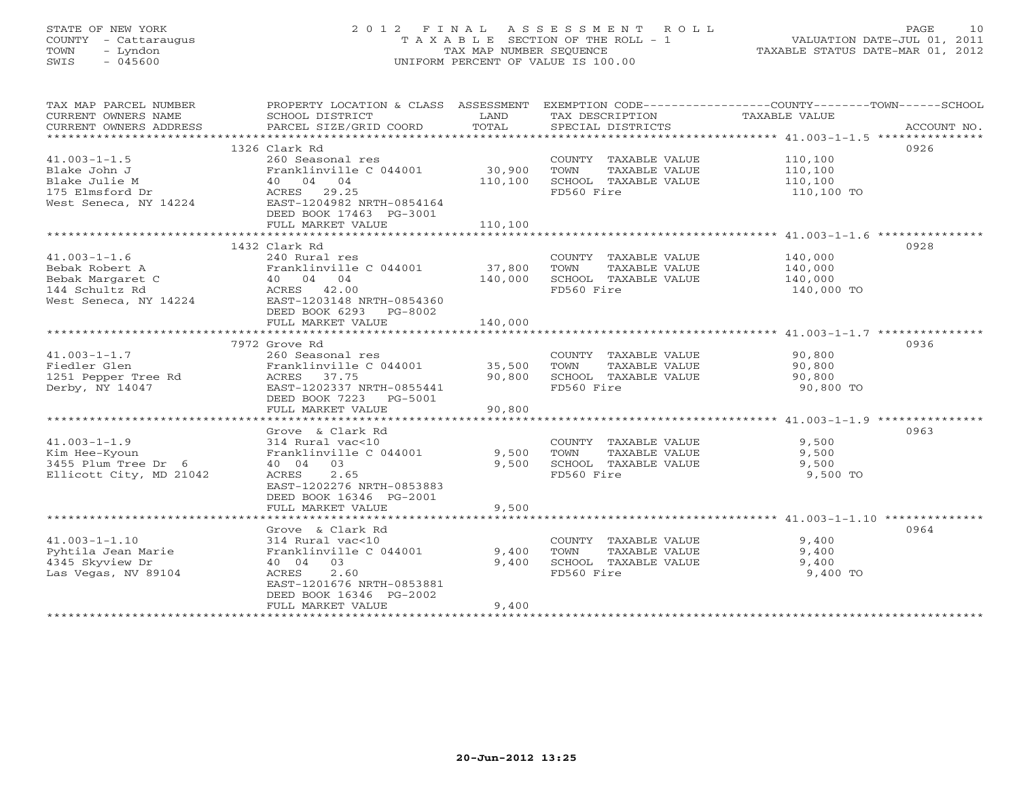# STATE OF NEW YORK 2 0 1 2 F I N A L A S S E S S M E N T R O L L PAGE 10 COUNTY - Cattaraugus T A X A B L E SECTION OF THE ROLL - 1 VALUATION DATE-JUL 01, 2011 TOWN - Lyndon TAX MAP NUMBER SEQUENCE TAXABLE STATUS DATE-MAR 01, 2012 SWIS - 045600 UNIFORM PERCENT OF VALUE IS 100.00

| TAX MAP PARCEL NUMBER<br>CURRENT OWNERS NAME<br>CURRENT OWNERS ADDRESS | SCHOOL DISTRICT<br>PARCEL SIZE/GRID COORD | LAND<br>TOTAL | TAX DESCRIPTION<br>SPECIAL DISTRICTS | PROPERTY LOCATION & CLASS ASSESSMENT EXEMPTION CODE---------------COUNTY-------TOWN------SCHOOL<br>TAXABLE VALUE | ACCOUNT NO. |
|------------------------------------------------------------------------|-------------------------------------------|---------------|--------------------------------------|------------------------------------------------------------------------------------------------------------------|-------------|
|                                                                        |                                           |               |                                      |                                                                                                                  |             |
|                                                                        | 1326 Clark Rd                             |               |                                      | 0926                                                                                                             |             |
| $41.003 - 1 - 1.5$                                                     | 260 Seasonal res                          |               | COUNTY TAXABLE VALUE                 | 110,100                                                                                                          |             |
| Blake John J                                                           | Franklinville C 044001                    | 30,900        | TAXABLE VALUE<br>TOWN                | 110,100                                                                                                          |             |
| Blake Julie M                                                          | 40 04 04                                  | 110,100       | SCHOOL TAXABLE VALUE                 | 110,100                                                                                                          |             |
| 175 Elmsford Dr                                                        | ACRES 29.25                               |               | FD560 Fire                           | 110,100 TO                                                                                                       |             |
| West Seneca, NY 14224                                                  | EAST-1204982 NRTH-0854164                 |               |                                      |                                                                                                                  |             |
|                                                                        | DEED BOOK 17463 PG-3001                   |               |                                      |                                                                                                                  |             |
|                                                                        | FULL MARKET VALUE                         | 110,100       |                                      |                                                                                                                  |             |
|                                                                        |                                           |               |                                      |                                                                                                                  |             |
|                                                                        | 1432 Clark Rd                             |               |                                      | 0928                                                                                                             |             |
| $41.003 - 1 - 1.6$                                                     | 240 Rural res                             |               | COUNTY TAXABLE VALUE                 | 140,000                                                                                                          |             |
| Bebak Robert A                                                         | Franklinville C 044001                    | 37,800        | TOWN<br>TAXABLE VALUE                | 140,000                                                                                                          |             |
| Bebak Margaret C                                                       | $40 \t 04 \t 04$                          | 140,000       | SCHOOL TAXABLE VALUE                 | 140,000                                                                                                          |             |
| 144 Schultz Rd                                                         | ACRES 42.00                               |               | FD560 Fire                           | 140,000 TO                                                                                                       |             |
| West Seneca, NY 14224                                                  | EAST-1203148 NRTH-0854360                 |               |                                      |                                                                                                                  |             |
|                                                                        | DEED BOOK 6293 PG-8002                    |               |                                      |                                                                                                                  |             |
|                                                                        | FULL MARKET VALUE                         | 140,000       |                                      |                                                                                                                  |             |
|                                                                        |                                           |               |                                      |                                                                                                                  |             |
|                                                                        | 7972 Grove Rd                             |               |                                      | 0936                                                                                                             |             |
| $41.003 - 1 - 1.7$                                                     | 260 Seasonal res                          |               | COUNTY TAXABLE VALUE                 |                                                                                                                  |             |
| Fiedler Glen                                                           | Franklinville C 044001                    | 35,500        | TAXABLE VALUE<br>TOWN                | 90,800<br>90,800                                                                                                 |             |
| 1251 Pepper Tree Rd                                                    | ACRES 37.75                               | 90,800        | SCHOOL TAXABLE VALUE                 | 90,800                                                                                                           |             |
| Derby, NY 14047                                                        | EAST-1202337 NRTH-0855441                 |               | FD560 Fire                           |                                                                                                                  |             |
|                                                                        |                                           |               |                                      | 90,800 TO                                                                                                        |             |
|                                                                        | DEED BOOK 7223 PG-5001                    |               |                                      |                                                                                                                  |             |
|                                                                        | FULL MARKET VALUE                         | 90,800        |                                      |                                                                                                                  |             |
|                                                                        | Grove & Clark Rd                          |               |                                      | 0963                                                                                                             |             |
| $41.003 - 1 - 1.9$                                                     | 314 Rural vac<10                          |               |                                      |                                                                                                                  |             |
|                                                                        |                                           |               | COUNTY TAXABLE VALUE                 | 9,500                                                                                                            |             |
| Kim Hee-Kyoun                                                          | Franklinville C 044001                    | 9,500         | TOWN<br>TAXABLE VALUE                | 9,500                                                                                                            |             |
| 3455 Plum Tree Dr 6                                                    | 40 04 03                                  | 9,500         | SCHOOL TAXABLE VALUE                 | 9,500                                                                                                            |             |
| Ellicott City, MD 21042                                                | ACRES<br>2.65                             |               | FD560 Fire                           | 9,500 TO                                                                                                         |             |
|                                                                        | EAST-1202276 NRTH-0853883                 |               |                                      |                                                                                                                  |             |
|                                                                        | DEED BOOK 16346 PG-2001                   |               |                                      |                                                                                                                  |             |
|                                                                        | FULL MARKET VALUE                         | 9,500         |                                      |                                                                                                                  |             |
|                                                                        |                                           |               |                                      |                                                                                                                  |             |
|                                                                        | Grove & Clark Rd                          |               |                                      | 0964                                                                                                             |             |
| $41.003 - 1 - 1.10$                                                    | 314 Rural vac<10                          |               | COUNTY TAXABLE VALUE                 | 9,400                                                                                                            |             |
| Pyhtila Jean Marie                                                     | Franklinville C 044001 9,400              |               | TOWN<br>TAXABLE VALUE                | 9,400                                                                                                            |             |
| 4345 Skyview Dr                                                        | 40 04<br>03                               | 9,400         | SCHOOL TAXABLE VALUE                 | 9,400                                                                                                            |             |
| Las Vegas, NV 89104                                                    | ACRES<br>2.60                             |               | FD560 Fire                           | 9,400 TO                                                                                                         |             |
|                                                                        | EAST-1201676 NRTH-0853881                 |               |                                      |                                                                                                                  |             |
|                                                                        | DEED BOOK 16346 PG-2002                   |               |                                      |                                                                                                                  |             |
|                                                                        | FULL MARKET VALUE                         | 9,400         |                                      |                                                                                                                  |             |
|                                                                        |                                           |               |                                      |                                                                                                                  |             |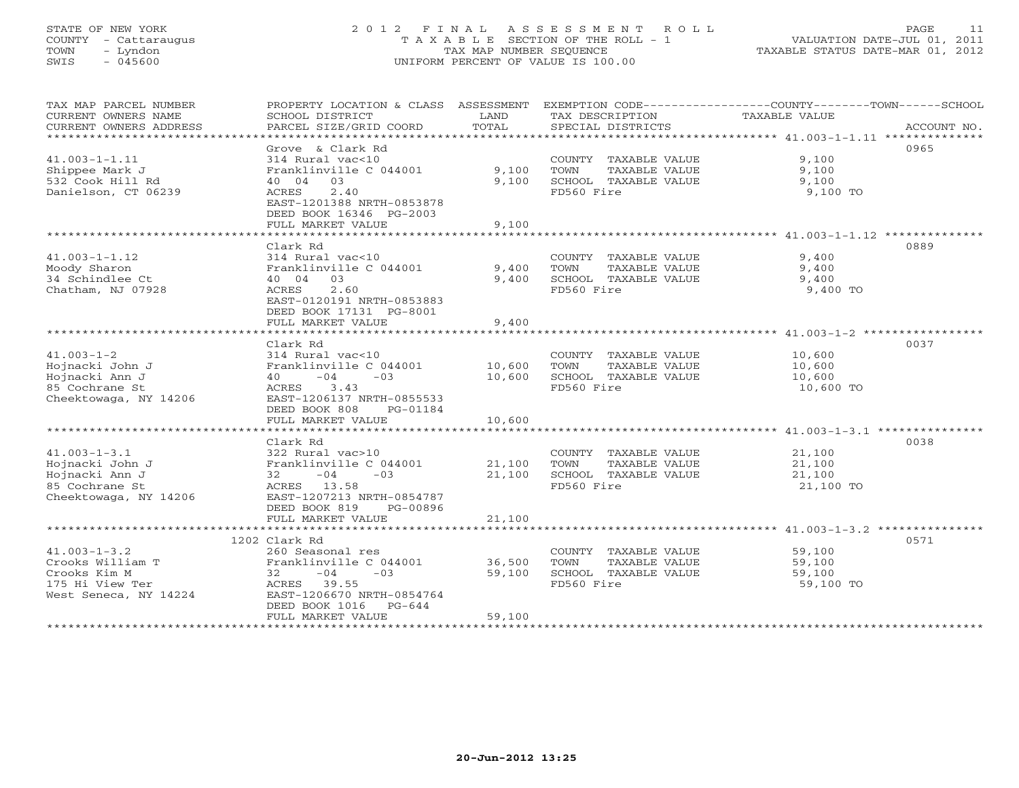# STATE OF NEW YORK 2 0 1 2 F I N A L A S S E S S M E N T R O L L PAGE 11 COUNTY - Cattaraugus T A X A B L E SECTION OF THE ROLL - 1 VALUATION DATE-JUL 01, 2011 TOWN - Lyndon TAX MAP NUMBER SEQUENCE TAXABLE STATUS DATE-MAR 01, 2012 SWIS - 045600 UNIFORM PERCENT OF VALUE IS 100.00UNIFORM PERCENT OF VALUE IS 100.00

| TAX MAP PARCEL NUMBER<br>CURRENT OWNERS NAME<br>CURRENT OWNERS ADDRESS                                      | PROPERTY LOCATION & CLASS ASSESSMENT<br>SCHOOL DISTRICT<br>PARCEL SIZE/GRID COORD                                                                                               | LAND<br>TOTAL              | TAX DESCRIPTION<br>SPECIAL DISTRICTS                                                | EXEMPTION CODE-----------------COUNTY-------TOWN-----SCHOOL<br>TAXABLE VALUE<br>ACCOUNT NO. |
|-------------------------------------------------------------------------------------------------------------|---------------------------------------------------------------------------------------------------------------------------------------------------------------------------------|----------------------------|-------------------------------------------------------------------------------------|---------------------------------------------------------------------------------------------|
| ***********************<br>$41.003 - 1 - 1.11$<br>Shippee Mark J<br>532 Cook Hill Rd<br>Danielson, CT 06239 | Grove & Clark Rd<br>314 Rural vac<10<br>Franklinville C 044001<br>03<br>40 04<br>2.40<br>ACRES<br>EAST-1201388 NRTH-0853878<br>DEED BOOK 16346 PG-2003<br>FULL MARKET VALUE     | 9,100<br>9.100<br>9,100    | COUNTY TAXABLE VALUE<br>TAXABLE VALUE<br>TOWN<br>SCHOOL TAXABLE VALUE<br>FD560 Fire | 0965<br>9.100<br>9,100<br>9,100<br>9,100 TO                                                 |
|                                                                                                             |                                                                                                                                                                                 |                            |                                                                                     |                                                                                             |
| $41.003 - 1 - 1.12$<br>Moody Sharon<br>34 Schindlee Ct<br>Chatham, NJ 07928                                 | Clark Rd<br>314 Rural vac<10<br>Franklinville C 044001<br>40 04<br>03<br>2.60<br>ACRES<br>EAST-0120191 NRTH-0853883<br>DEED BOOK 17131 PG-8001<br>FULL MARKET VALUE             | 9,400<br>9,400<br>9,400    | COUNTY TAXABLE VALUE<br>TAXABLE VALUE<br>TOWN<br>SCHOOL TAXABLE VALUE<br>FD560 Fire | 0889<br>9,400<br>9,400<br>9,400<br>9,400 TO                                                 |
|                                                                                                             |                                                                                                                                                                                 |                            |                                                                                     |                                                                                             |
| $41.003 - 1 - 2$<br>Hojnacki John J<br>Hojnacki Ann J<br>85 Cochrane St<br>Cheektowaga, NY 14206            | Clark Rd<br>314 Rural vac<10<br>Franklinville C 044001<br>$-04$<br>$-0.3$<br>40<br>ACRES<br>3.43<br>EAST-1206137 NRTH-0855533<br>DEED BOOK 808<br>PG-01184<br>FULL MARKET VALUE | 10,600<br>10,600<br>10,600 | COUNTY TAXABLE VALUE<br>TOWN<br>TAXABLE VALUE<br>SCHOOL TAXABLE VALUE<br>FD560 Fire | 0037<br>10,600<br>10,600<br>10,600<br>10,600 TO                                             |
|                                                                                                             | ************************                                                                                                                                                        | ************               |                                                                                     |                                                                                             |
| $41.003 - 1 - 3.1$<br>Hojnacki John J<br>Hojnacki Ann J<br>85 Cochrane St<br>Cheektowaga, NY 14206          | Clark Rd<br>322 Rural vac>10<br>Franklinville C 044001<br>$-04$<br>$-03$<br>32<br>ACRES 13.58<br>EAST-1207213 NRTH-0854787<br>DEED BOOK 819<br>PG-00896                         | 21,100<br>21,100           | COUNTY TAXABLE VALUE<br>TOWN<br>TAXABLE VALUE<br>SCHOOL TAXABLE VALUE<br>FD560 Fire | 0038<br>21,100<br>21,100<br>21,100<br>21,100 TO                                             |
|                                                                                                             | FULL MARKET VALUE                                                                                                                                                               | 21,100                     |                                                                                     |                                                                                             |
| $41.003 - 1 - 3.2$<br>Crooks William T<br>Crooks Kim M<br>175 Hi View Ter<br>West Seneca, NY 14224          | 1202 Clark Rd<br>260 Seasonal res<br>Franklinville C 044001<br>$-04$<br>32<br>$-03$<br>ACRES 39.55<br>EAST-1206670 NRTH-0854764<br>DEED BOOK 1016<br>PG-644                     | 36,500<br>59,100           | COUNTY TAXABLE VALUE<br>TAXABLE VALUE<br>TOWN<br>SCHOOL TAXABLE VALUE<br>FD560 Fire | 0571<br>59,100<br>59,100<br>59,100<br>59,100 TO                                             |
|                                                                                                             | FULL MARKET VALUE                                                                                                                                                               | 59,100                     |                                                                                     |                                                                                             |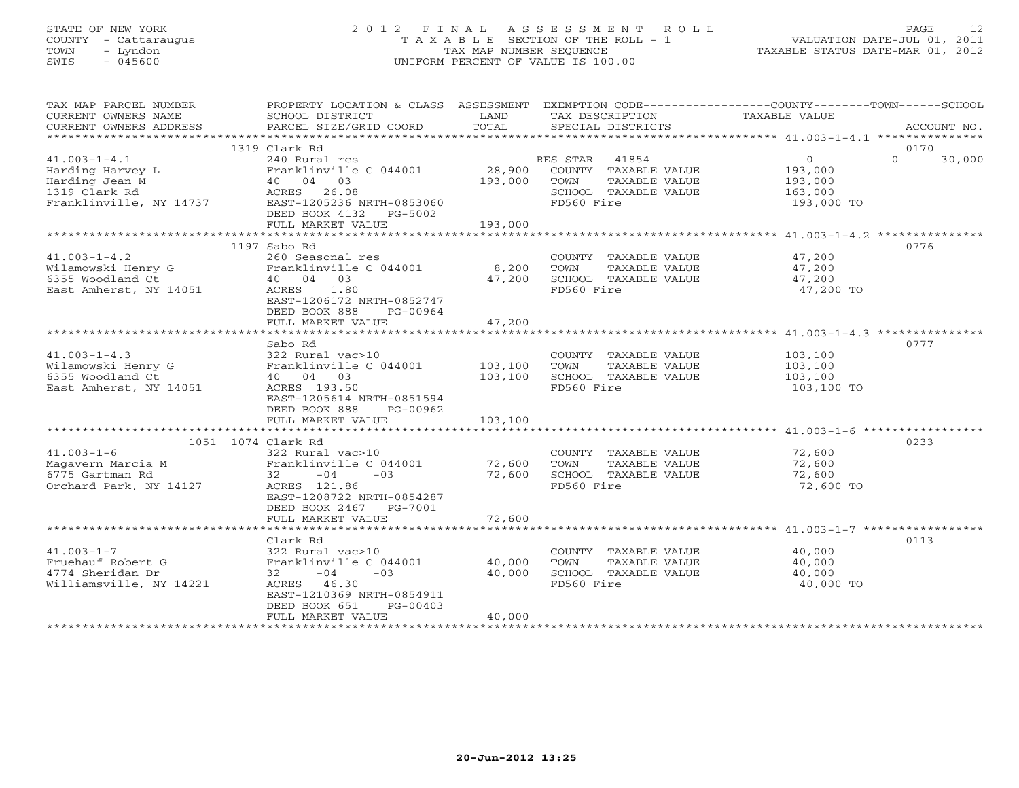# STATE OF NEW YORK 2 0 1 2 F I N A L A S S E S S M E N T R O L L PAGE 12 COUNTY - Cattaraugus T A X A B L E SECTION OF THE ROLL - 1 VALUATION DATE-JUL 01, 2011 TOWN - Lyndon TAX MAP NUMBER SEQUENCE TAXABLE STATUS DATE-MAR 01, 2012 SWIS - 045600 UNIFORM PERCENT OF VALUE IS 100.00

| TAX MAP PARCEL NUMBER<br>CURRENT OWNERS NAME<br>CURRENT OWNERS ADDRESS                                            | SCHOOL DISTRICT<br>PARCEL SIZE/GRID COORD                                                                                                                                  | LAND<br>TOTAL              | TAX DESCRIPTION<br>SPECIAL DISTRICTS                                                                  | PROPERTY LOCATION & CLASS ASSESSMENT EXEMPTION CODE----------------COUNTY-------TOWN------SCHOOL<br>TAXABLE VALUE<br>ACCOUNT NO. |
|-------------------------------------------------------------------------------------------------------------------|----------------------------------------------------------------------------------------------------------------------------------------------------------------------------|----------------------------|-------------------------------------------------------------------------------------------------------|----------------------------------------------------------------------------------------------------------------------------------|
|                                                                                                                   |                                                                                                                                                                            |                            |                                                                                                       |                                                                                                                                  |
| $41.003 - 1 - 4.1$<br>Harding Harvey L<br>Harding Jean M<br>1319 Clark Rd<br>Franklinville, NY 14737              | 1319 Clark Rd<br>240 Rural res<br>Franklinville C 044001<br>40 04 03<br>ACRES 26.08<br>EAST-1205236 NRTH-0853060<br>DEED BOOK 4132 PG-5002                                 | 28,900<br>193,000          | RES STAR 41854<br>COUNTY TAXABLE VALUE<br>TOWN<br>TAXABLE VALUE<br>SCHOOL TAXABLE VALUE<br>FD560 Fire | 0170<br>$\Omega$<br>$\Omega$<br>30,000<br>193,000<br>193,000<br>163,000<br>193,000 TO                                            |
|                                                                                                                   | FULL MARKET VALUE                                                                                                                                                          | 193,000                    |                                                                                                       |                                                                                                                                  |
| $41.003 - 1 - 4.2$<br>Wilamowski Henry G<br>6355 Woodland Ct<br>East Amherst, NY 14051                            | 1197 Sabo Rd<br>260 Seasonal res<br>Franklinville C 044001<br>40 04 03<br>ACRES 1.80<br>EAST-1206172 NRTH-0852747<br>DEED BOOK 888<br>PG-00964<br>FULL MARKET VALUE        | 8,200<br>47,200<br>47,200  | COUNTY TAXABLE VALUE 47,200<br>TOWN<br>TAXABLE VALUE<br>SCHOOL TAXABLE VALUE<br>FD560 Fire            | 0776<br>47,200<br>47,200<br>47,200 TO                                                                                            |
|                                                                                                                   |                                                                                                                                                                            | *************              |                                                                                                       | ********************************** 41.003-1-4.3 ****************                                                                 |
| $41.003 - 1 - 4.3$<br>Wilamowski Henry G<br>6355 Woodland Ct<br>East Amherst, NY 14051                            | Sabo Rd<br>322 Rural vac>10<br>Franklinville C 044001<br>40 04 03<br>ACRES 193.50<br>EAST-1205614 NRTH-0851594<br>DEED BOOK 888<br>PG-00962                                | 103,100<br>103,100         | COUNTY TAXABLE VALUE<br>TOWN<br>TAXABLE VALUE<br>SCHOOL TAXABLE VALUE<br>FD560 Fire                   | 0777<br>103,100<br>103,100<br>103,100<br>103,100 TO                                                                              |
|                                                                                                                   | FULL MARKET VALUE                                                                                                                                                          | 103,100                    |                                                                                                       |                                                                                                                                  |
|                                                                                                                   |                                                                                                                                                                            |                            |                                                                                                       |                                                                                                                                  |
| 1051 1074 Clark Rd<br>$41.003 - 1 - 6$<br>Magavern Marcia M<br>6775 Gartman Rd<br>Orchard Park, NY 14127          | 322 Rural vac>10<br>Franklinville C 044001 72,600<br>$32 - 04$<br>$-03$<br>ACRES 121.86<br>EAST-1208722 NRTH-0854287<br>DEED BOOK 2467 PG-7001<br>FULL MARKET VALUE        | 72,600<br>72,600           | COUNTY TAXABLE VALUE<br>TAXABLE VALUE<br>TOWN<br>SCHOOL TAXABLE VALUE<br>FD560 Fire                   | 0233<br>72,600<br>72,600<br>72,600<br>72,600 TO                                                                                  |
|                                                                                                                   |                                                                                                                                                                            |                            |                                                                                                       |                                                                                                                                  |
| $41.003 - 1 - 7$<br>Fruehauf Robert G<br>4774 Sheridan Dr<br>Williamsville, NY 14221<br>************************* | Clark Rd<br>322 Rural vac>10<br>Franklinville C 044001<br>$32 - 04$<br>$-03$<br>ACRES 46.30<br>EAST-1210369 NRTH-0854911<br>DEED BOOK 651<br>PG-00403<br>FULL MARKET VALUE | 40,000<br>40,000<br>40,000 | COUNTY TAXABLE VALUE<br>TOWN<br>TAXABLE VALUE<br>SCHOOL TAXABLE VALUE<br>FD560 Fire                   | 0113<br>40,000<br>40,000<br>40,000<br>40,000 TO                                                                                  |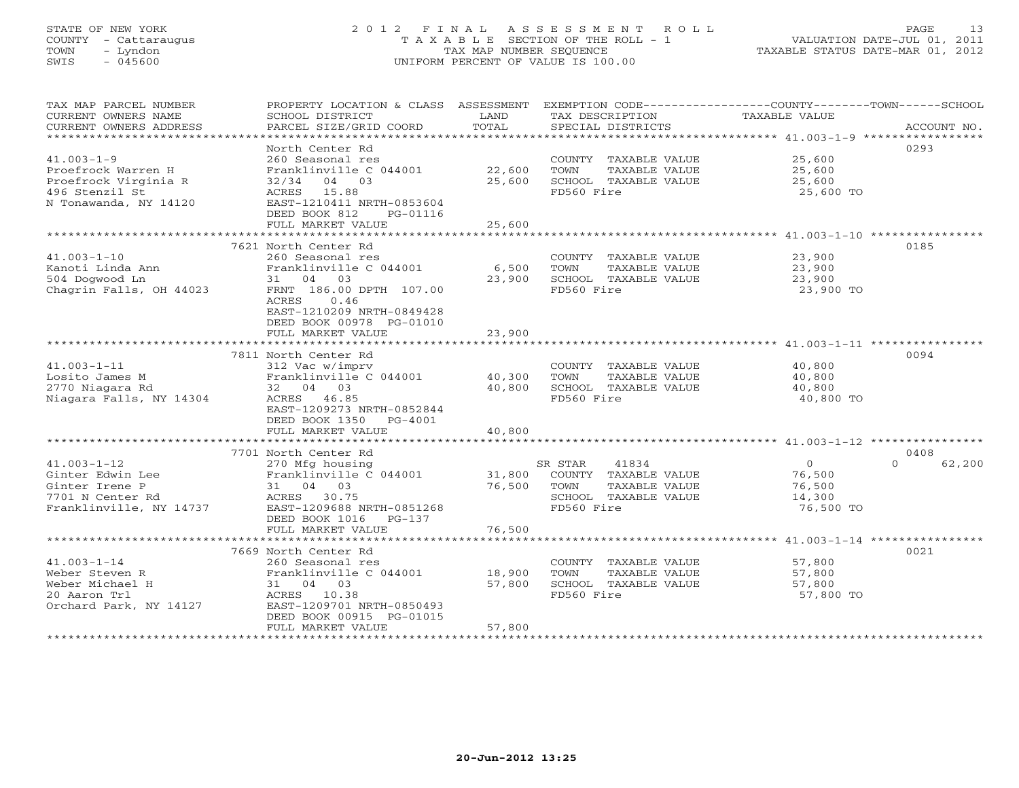# STATE OF NEW YORK 2 0 1 2 F I N A L A S S E S S M E N T R O L L PAGE 13 COUNTY - Cattaraugus T A X A B L E SECTION OF THE ROLL - 1 VALUATION DATE-JUL 01, 2011 TOWN - Lyndon TAX MAP NUMBER SEQUENCE TAXABLE STATUS DATE-MAR 01, 2012 SWIS - 045600 UNIFORM PERCENT OF VALUE IS 100.00UNIFORM PERCENT OF VALUE IS 100.00

| TAX MAP PARCEL NUMBER<br>CURRENT OWNERS NAME<br>CURRENT OWNERS ADDRESS | PROPERTY LOCATION & CLASS ASSESSMENT<br>SCHOOL DISTRICT<br>PARCEL SIZE/GRID COORD | LAND<br>TOTAL   | TAX DESCRIPTION<br>SPECIAL DISTRICTS | EXEMPTION CODE-----------------COUNTY-------TOWN------SCHOOL<br>TAXABLE VALUE<br>ACCOUNT NO. |
|------------------------------------------------------------------------|-----------------------------------------------------------------------------------|-----------------|--------------------------------------|----------------------------------------------------------------------------------------------|
| ************************                                               |                                                                                   |                 |                                      |                                                                                              |
|                                                                        | North Center Rd                                                                   |                 |                                      | 0293                                                                                         |
| $41.003 - 1 - 9$                                                       | 260 Seasonal res                                                                  |                 | COUNTY TAXABLE VALUE                 | 25,600                                                                                       |
| Proefrock Warren H                                                     | Franklinville C 044001                                                            | 22,600          | TOWN<br>TAXABLE VALUE                | 25,600                                                                                       |
| Proefrock Virginia R                                                   | 32/34<br>04 03                                                                    | 25,600          | SCHOOL TAXABLE VALUE                 | 25,600                                                                                       |
| 496 Stenzil St                                                         | ACRES 15.88                                                                       |                 | FD560 Fire                           | 25,600 TO                                                                                    |
| N Tonawanda, NY 14120                                                  | EAST-1210411 NRTH-0853604                                                         |                 |                                      |                                                                                              |
|                                                                        | DEED BOOK 812<br>PG-01116                                                         |                 |                                      |                                                                                              |
| **********************                                                 | FULL MARKET VALUE                                                                 | 25,600          |                                      |                                                                                              |
|                                                                        | 7621 North Center Rd                                                              |                 |                                      | 0185                                                                                         |
| $41.003 - 1 - 10$                                                      | 260 Seasonal res                                                                  |                 | COUNTY TAXABLE VALUE                 | 23,900                                                                                       |
| Kanoti Linda Ann                                                       | Franklinville C 044001                                                            |                 | TOWN<br>TAXABLE VALUE                |                                                                                              |
| 504 Dogwood Ln                                                         | 31 04 03                                                                          | 6,500<br>23,900 | SCHOOL TAXABLE VALUE                 | 23,900<br>23,900                                                                             |
| Chagrin Falls, OH 44023                                                | FRNT 186.00 DPTH 107.00                                                           |                 | FD560 Fire                           | 23,900 TO                                                                                    |
|                                                                        | ACRES<br>0.46                                                                     |                 |                                      |                                                                                              |
|                                                                        | EAST-1210209 NRTH-0849428                                                         |                 |                                      |                                                                                              |
|                                                                        | DEED BOOK 00978 PG-01010                                                          |                 |                                      |                                                                                              |
|                                                                        | FULL MARKET VALUE                                                                 | 23,900          |                                      |                                                                                              |
|                                                                        |                                                                                   |                 |                                      |                                                                                              |
|                                                                        | 7811 North Center Rd                                                              |                 |                                      | 0094                                                                                         |
| $41.003 - 1 - 11$                                                      | 312 Vac w/imprv                                                                   |                 | COUNTY TAXABLE VALUE                 | 40,800                                                                                       |
| Losito James M                                                         | Franklinville C 044001                                                            | 40,300          | TAXABLE VALUE<br>TOWN                | 40,800                                                                                       |
| 2770 Niagara Rd                                                        | 32 04 03                                                                          | 40,800          | SCHOOL TAXABLE VALUE                 | 40,800                                                                                       |
| Niagara Falls, NY 14304                                                | ACRES 46.85                                                                       |                 | FD560 Fire                           | 40,800 TO                                                                                    |
|                                                                        | EAST-1209273 NRTH-0852844                                                         |                 |                                      |                                                                                              |
|                                                                        | DEED BOOK 1350<br>PG-4001                                                         |                 |                                      |                                                                                              |
|                                                                        | FULL MARKET VALUE                                                                 | 40,800          |                                      |                                                                                              |
|                                                                        |                                                                                   |                 |                                      |                                                                                              |
|                                                                        | 7701 North Center Rd                                                              |                 |                                      | 0408                                                                                         |
| $41.003 - 1 - 12$                                                      | 270 Mfg housing                                                                   |                 | 41834<br>SR STAR                     | $\overline{O}$<br>62,200<br>$\Omega$                                                         |
| Ginter Edwin Lee                                                       | Franklinville C 044001                                                            |                 | 31,800 COUNTY TAXABLE VALUE          | 76,500                                                                                       |
| Ginter Irene P                                                         | 31 04 03                                                                          | 76,500          | TAXABLE VALUE<br>TOWN                | 76,500                                                                                       |
| 7701 N Center Rd                                                       | ACRES 30.75                                                                       |                 | SCHOOL TAXABLE VALUE                 | 14,300                                                                                       |
| Franklinville, NY 14737                                                | EAST-1209688 NRTH-0851268                                                         |                 | FD560 Fire                           | 76,500 TO                                                                                    |
|                                                                        | DEED BOOK 1016<br>PG-137                                                          |                 |                                      |                                                                                              |
|                                                                        | FULL MARKET VALUE                                                                 | 76,500          |                                      |                                                                                              |
|                                                                        |                                                                                   |                 |                                      |                                                                                              |
|                                                                        | 7669 North Center Rd                                                              |                 |                                      | 0021                                                                                         |
| $41.003 - 1 - 14$                                                      | 260 Seasonal res                                                                  |                 | COUNTY TAXABLE VALUE                 | 57,800                                                                                       |
| Weber Steven R                                                         | Franklinville C 044001                                                            | 18,900          | TOWN<br>TAXABLE VALUE                | 57,800                                                                                       |
| Weber Michael H                                                        | 31 04 03                                                                          | 57,800          | SCHOOL TAXABLE VALUE                 | 57,800                                                                                       |
| 20 Aaron Trl<br>Orchard Park, NY 14127                                 | ACRES 10.38<br>EAST-1209701 NRTH-0850493                                          |                 | FD560 Fire                           | 57,800 TO                                                                                    |
|                                                                        | DEED BOOK 00915 PG-01015                                                          |                 |                                      |                                                                                              |
|                                                                        | FULL MARKET VALUE                                                                 | 57,800          |                                      |                                                                                              |
|                                                                        |                                                                                   |                 |                                      |                                                                                              |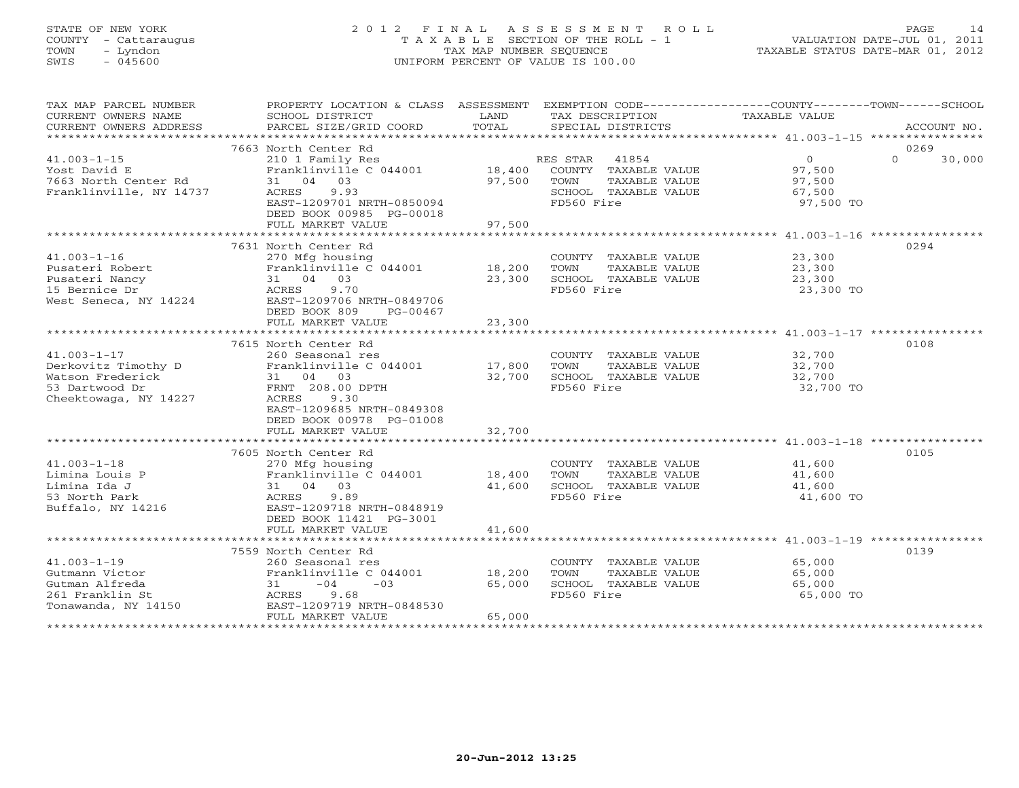# STATE OF NEW YORK 2 0 1 2 F I N A L A S S E S S M E N T R O L L PAGE 14 COUNTY - Cattaraugus T A X A B L E SECTION OF THE ROLL - 1 VALUATION DATE-JUL 01, 2011 TOWN - Lyndon TAX MAP NUMBER SEQUENCE TAXABLE STATUS DATE-MAR 01, 2012 SWIS - 045600 UNIFORM PERCENT OF VALUE IS 100.00UNIFORM PERCENT OF VALUE IS 100.00

| TAX MAP PARCEL NUMBER<br>CURRENT OWNERS NAME<br>CURRENT OWNERS ADDRESS               | PROPERTY LOCATION & CLASS ASSESSMENT<br>SCHOOL DISTRICT<br>PARCEL SIZE/GRID COORD                                                                        | LAND<br>TOTAL    | EXEMPTION CODE----------------COUNTY-------TOWN------SCHOOL<br>TAX DESCRIPTION<br>SPECIAL DISTRICTS      | TAXABLE VALUE                                | ACCOUNT NO.                |
|--------------------------------------------------------------------------------------|----------------------------------------------------------------------------------------------------------------------------------------------------------|------------------|----------------------------------------------------------------------------------------------------------|----------------------------------------------|----------------------------|
|                                                                                      |                                                                                                                                                          |                  |                                                                                                          |                                              |                            |
| $41.003 - 1 - 15$<br>Yost David E<br>7663 North Center Rd<br>Franklinville, NY 14737 | 7663 North Center Rd<br>210 1 Family Res<br>Franklinville C 044001<br>31 04 03<br>9.93<br>ACRES<br>EAST-1209701 NRTH-0850094<br>DEED BOOK 00985 PG-00018 | 18,400<br>97,500 | RES STAR<br>41854<br>COUNTY TAXABLE VALUE<br>TOWN<br>TAXABLE VALUE<br>SCHOOL TAXABLE VALUE<br>FD560 Fire | 0<br>97,500<br>97,500<br>67,500<br>97,500 TO | 0269<br>$\Omega$<br>30,000 |
|                                                                                      | FULL MARKET VALUE                                                                                                                                        | 97,500           |                                                                                                          |                                              |                            |
|                                                                                      | 7631 North Center Rd                                                                                                                                     |                  |                                                                                                          |                                              | 0294                       |
| $41.003 - 1 - 16$                                                                    | 270 Mfg housing                                                                                                                                          |                  | COUNTY TAXABLE VALUE                                                                                     | 23,300                                       |                            |
| Pusateri Robert                                                                      | Franklinville C 044001                                                                                                                                   | 18,200           | TOWN<br>TAXABLE VALUE                                                                                    | 23,300                                       |                            |
| Pusateri Nancy                                                                       | 31 04 03                                                                                                                                                 | 23,300           | SCHOOL TAXABLE VALUE                                                                                     | 23,300                                       |                            |
| 15 Bernice Dr                                                                        | 9.70<br>ACRES                                                                                                                                            |                  | FD560 Fire                                                                                               | 23,300 TO                                    |                            |
| West Seneca, NY 14224                                                                | EAST-1209706 NRTH-0849706<br>DEED BOOK 809<br>PG-00467                                                                                                   |                  |                                                                                                          |                                              |                            |
|                                                                                      | FULL MARKET VALUE                                                                                                                                        | 23,300           |                                                                                                          |                                              |                            |
|                                                                                      |                                                                                                                                                          |                  |                                                                                                          |                                              |                            |
|                                                                                      | 7615 North Center Rd                                                                                                                                     |                  |                                                                                                          |                                              | 0108                       |
| $41.003 - 1 - 17$                                                                    | 260 Seasonal res                                                                                                                                         |                  | COUNTY TAXABLE VALUE                                                                                     | 32,700                                       |                            |
| Derkovitz Timothy D                                                                  | Franklinville C 044001                                                                                                                                   | 17,800           | TOWN<br>TAXABLE VALUE                                                                                    | 32,700<br>32,700                             |                            |
| Watson Frederick                                                                     | 31 04 03                                                                                                                                                 | 32,700           | SCHOOL TAXABLE VALUE                                                                                     |                                              |                            |
| 53 Dartwood Dr                                                                       | FRNT 208.00 DPTH<br>ACRES                                                                                                                                |                  | FD560 Fire                                                                                               | 32,700 TO                                    |                            |
| Cheektowaga, NY 14227                                                                | 9.30                                                                                                                                                     |                  |                                                                                                          |                                              |                            |
|                                                                                      | EAST-1209685 NRTH-0849308<br>DEED BOOK 00978 PG-01008                                                                                                    |                  |                                                                                                          |                                              |                            |
|                                                                                      |                                                                                                                                                          | 32,700           |                                                                                                          |                                              |                            |
|                                                                                      | FULL MARKET VALUE                                                                                                                                        |                  |                                                                                                          |                                              |                            |
|                                                                                      | 7605 North Center Rd                                                                                                                                     |                  |                                                                                                          |                                              | 0105                       |
| $41.003 - 1 - 18$                                                                    | 270 Mfg housing                                                                                                                                          |                  | COUNTY TAXABLE VALUE                                                                                     | 41,600                                       |                            |
| Limina Louis P                                                                       | Franklinville C 044001                                                                                                                                   | 18,400           | TOWN<br>TAXABLE VALUE                                                                                    | 41,600                                       |                            |
| Limina Ida J                                                                         | 31 04 03                                                                                                                                                 | 41,600           | SCHOOL TAXABLE VALUE                                                                                     | 41,600                                       |                            |
| 53 North Park                                                                        | 9.89<br>ACRES                                                                                                                                            |                  | FD560 Fire                                                                                               | 41,600 TO                                    |                            |
| Buffalo, NY 14216                                                                    | EAST-1209718 NRTH-0848919                                                                                                                                |                  |                                                                                                          |                                              |                            |
|                                                                                      | DEED BOOK 11421 PG-3001                                                                                                                                  |                  |                                                                                                          |                                              |                            |
|                                                                                      | FULL MARKET VALUE                                                                                                                                        | 41,600           |                                                                                                          |                                              |                            |
|                                                                                      |                                                                                                                                                          |                  |                                                                                                          |                                              |                            |
|                                                                                      | 7559 North Center Rd                                                                                                                                     |                  |                                                                                                          |                                              | 0139                       |
| $41.003 - 1 - 19$                                                                    | 260 Seasonal res                                                                                                                                         |                  | COUNTY TAXABLE VALUE                                                                                     | 65,000                                       |                            |
| Gutmann Victor                                                                       | Franklinville C 044001                                                                                                                                   | 18,200           | TAXABLE VALUE<br>TOWN                                                                                    | 65,000                                       |                            |
| Gutman Alfreda                                                                       | $-04$<br>$-0.3$<br>31                                                                                                                                    | 65,000           | SCHOOL TAXABLE VALUE                                                                                     | 65,000                                       |                            |
| 261 Franklin St                                                                      | 9.68<br>ACRES                                                                                                                                            |                  | FD560 Fire                                                                                               | 65,000 TO                                    |                            |
| Tonawanda, NY 14150                                                                  | EAST-1209719 NRTH-0848530                                                                                                                                |                  |                                                                                                          |                                              |                            |
|                                                                                      | FULL MARKET VALUE                                                                                                                                        | 65,000           |                                                                                                          |                                              |                            |
|                                                                                      |                                                                                                                                                          |                  |                                                                                                          |                                              |                            |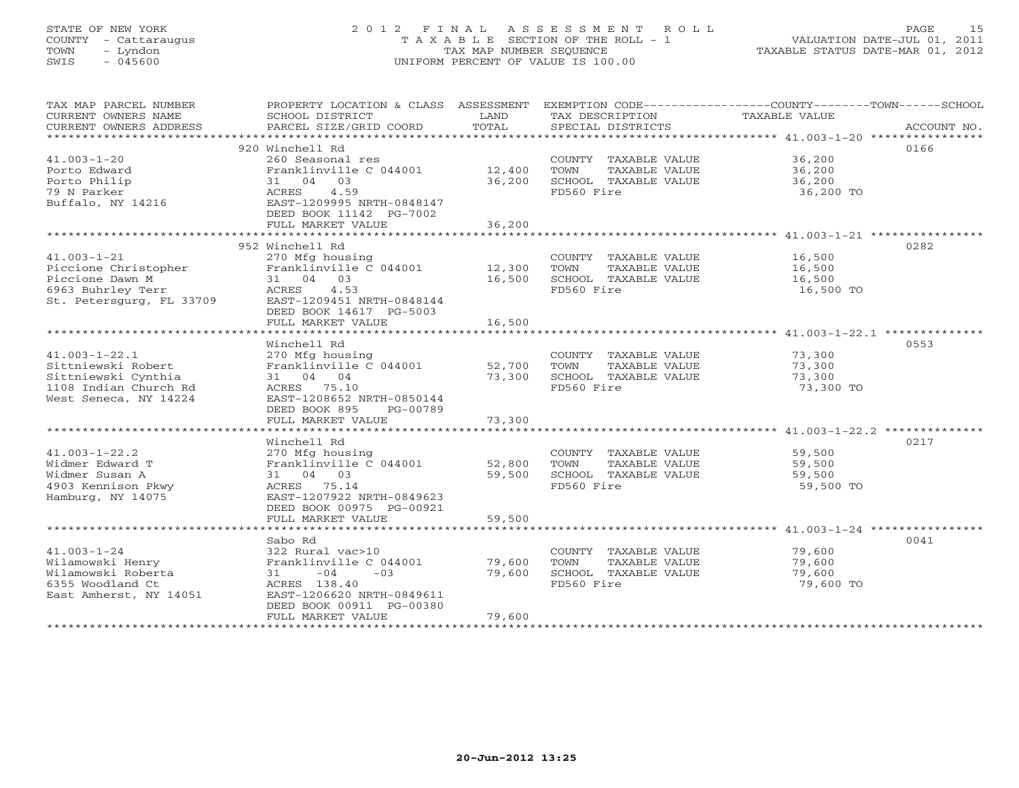# STATE OF NEW YORK 2 0 1 2 F I N A L A S S E S S M E N T R O L L PAGE 15 COUNTY - Cattaraugus T A X A B L E SECTION OF THE ROLL - 1 VALUATION DATE-JUL 01, 2011 TOWN - Lyndon TAX MAP NUMBER SEQUENCE TAXABLE STATUS DATE-MAR 01, 2012 SWIS - 045600 UNIFORM PERCENT OF VALUE IS 100.00

| TAX MAP PARCEL NUMBER<br>CURRENT OWNERS NAME<br>CURRENT OWNERS ADDRESS                                             | SCHOOL DISTRICT<br>PARCEL SIZE/GRID COORD                                                                                                                                     | LAND<br>TOTAL              | TAX DESCRIPTION TAXABLE VALUE<br>SPECIAL DISTRICTS                                  | PROPERTY LOCATION & CLASS ASSESSMENT EXEMPTION CODE----------------COUNTY-------TOWN------SCHOOL<br>ACCOUNT NO. |
|--------------------------------------------------------------------------------------------------------------------|-------------------------------------------------------------------------------------------------------------------------------------------------------------------------------|----------------------------|-------------------------------------------------------------------------------------|-----------------------------------------------------------------------------------------------------------------|
| $41.003 - 1 - 20$<br>Porto Edward<br>Porto Philip<br>79 N Parker<br>Buffalo, NY 14216                              | 920 Winchell Rd<br>260 Seasonal res<br>Franklinville C 044001<br>31 04 03<br>ACRES<br>4.59<br>EAST-1209995 NRTH-0848147<br>DEED BOOK 11142 PG-7002<br>FULL MARKET VALUE       | 12,400<br>36,200<br>36,200 | COUNTY TAXABLE VALUE<br>TAXABLE VALUE<br>TOWN<br>SCHOOL TAXABLE VALUE<br>FD560 Fire | 0166<br>36,200<br>36,200<br>36,200<br>36,200 TO                                                                 |
| $41.003 - 1 - 21$<br>Piccione Christopher<br>Piccione Dawn M<br>6963 Buhrley Terr<br>St. Petersgurg, FL 33709      | 952 Winchell Rd<br>270 Mfg housing<br>Franklinville C 044001 12,300<br>31 04 03<br>ACRES<br>4.53<br>EAST-1209451 NRTH-0848144<br>DEED BOOK 14617 PG-5003<br>FULL MARKET VALUE | 16,500<br>16,500           | COUNTY TAXABLE VALUE<br>TOWN<br>TAXABLE VALUE<br>SCHOOL TAXABLE VALUE<br>FD560 Fire | 0282<br>16,500<br>16,500<br>16,500<br>16,500 TO                                                                 |
|                                                                                                                    |                                                                                                                                                                               |                            |                                                                                     | *********************************** 41.003-1-22.1 ***************                                               |
| $41.003 - 1 - 22.1$<br>Sittniewski Robert<br>Sittniewski Cynthia<br>1108 Indian Church Rd<br>West Seneca, NY 14224 | Winchell Rd<br>270 Mfg housing<br>Franklinville C 044001<br>31 04 04<br>ACRES 75.10<br>EAST-1208652 NRTH-0850144<br>DEED BOOK 895<br>PG-00789                                 | 52,700<br>73,300           | COUNTY TAXABLE VALUE<br>TOWN<br>TAXABLE VALUE<br>SCHOOL TAXABLE VALUE<br>FD560 Fire | 0553<br>73,300<br>73,300<br>73,300<br>73,300 TO                                                                 |
|                                                                                                                    | FULL MARKET VALUE                                                                                                                                                             | 73,300                     |                                                                                     |                                                                                                                 |
| $41.003 - 1 - 22.2$<br>Widmer Edward T<br>Widmer Susan A<br>4903 Kennison Pkwy<br>Hamburg, NY 14075                | Winchell Rd<br>270 Mfg housing<br>Franklinville C 044001<br>31 04 03<br>ACRES 75.14<br>EAST-1207922 NRTH-0849623<br>DEED BOOK 00975 PG-00921<br>FULL MARKET VALUE             | 52,800<br>59,500<br>59,500 | COUNTY TAXABLE VALUE<br>TOWN<br>TAXABLE VALUE<br>SCHOOL TAXABLE VALUE<br>FD560 Fire | 0217<br>59,500<br>59,500<br>59,500<br>59,500 TO                                                                 |
|                                                                                                                    | Sabo Rd                                                                                                                                                                       |                            |                                                                                     | 0041                                                                                                            |
| $41.003 - 1 - 24$<br>Wilamowski Henry<br>Wilamowski Roberta<br>6355 Woodland Ct<br>East Amherst, NY 14051          | 322 Rural vac>10<br>Franklinville C 044001<br>$31 -04$<br>$-0.3$<br>ACRES 138.40<br>EAST-1206620 NRTH-0849611<br>DEED BOOK 00911 PG-00380<br>FULL MARKET VALUE                | 79,600<br>79,600<br>79,600 | COUNTY TAXABLE VALUE<br>TOWN<br>TAXABLE VALUE<br>SCHOOL TAXABLE VALUE<br>FD560 Fire | 79,600<br>79,600<br>79,600<br>79,600 TO                                                                         |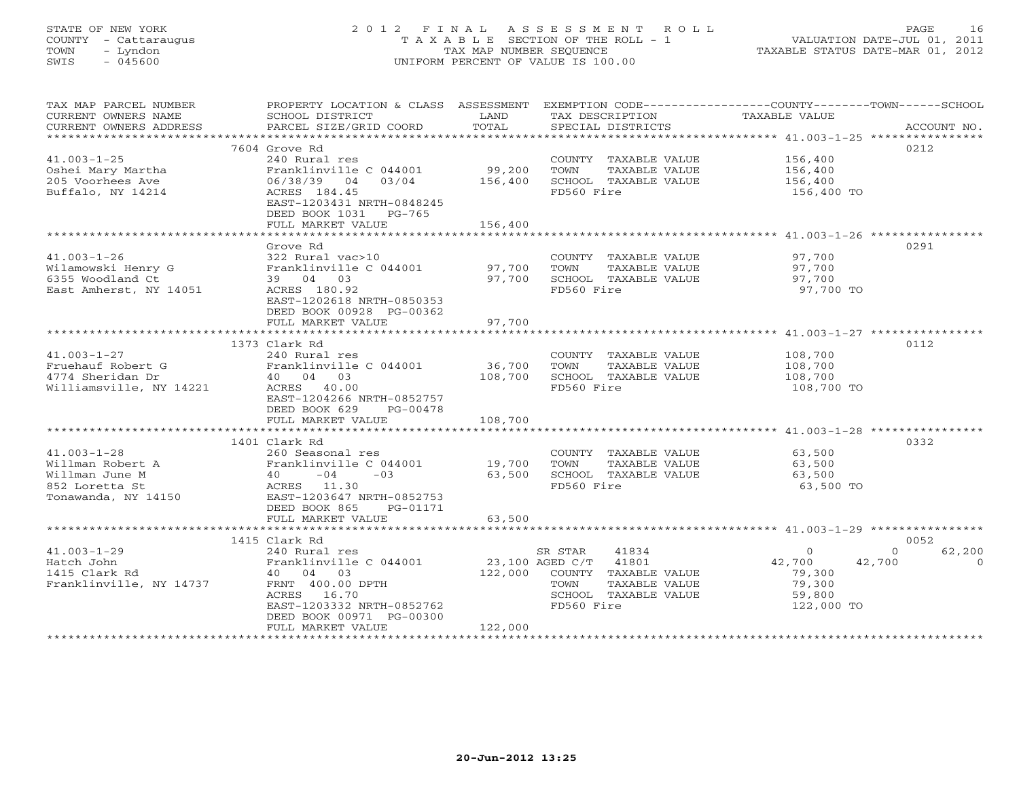# STATE OF NEW YORK 2 0 1 2 F I N A L A S S E S S M E N T R O L L PAGE 16 COUNTY - Cattaraugus T A X A B L E SECTION OF THE ROLL - 1 VALUATION DATE-JUL 01, 2011 TOWN - Lyndon TAX MAP NUMBER SEQUENCE TAXABLE STATUS DATE-MAR 01, 2012 SWIS - 045600 UNIFORM PERCENT OF VALUE IS 100.00UNIFORM PERCENT OF VALUE IS 100.00

| TAX MAP PARCEL NUMBER<br>CURRENT OWNERS NAME<br>CURRENT OWNERS ADDRESS | PROPERTY LOCATION & CLASS ASSESSMENT EXEMPTION CODE----------------COUNTY-------TOWN------SCHOOL<br>SCHOOL DISTRICT<br>PARCEL SIZE/GRID COORD | LAND<br>TOTAL    | TAX DESCRIPTION<br>SPECIAL DISTRICTS | TAXABLE VALUE                  | ACCOUNT NO. |
|------------------------------------------------------------------------|-----------------------------------------------------------------------------------------------------------------------------------------------|------------------|--------------------------------------|--------------------------------|-------------|
|                                                                        |                                                                                                                                               |                  |                                      |                                |             |
|                                                                        | 7604 Grove Rd                                                                                                                                 |                  |                                      |                                | 0212        |
| $41.003 - 1 - 25$                                                      | 240 Rural res                                                                                                                                 |                  | COUNTY TAXABLE VALUE                 | 156,400                        |             |
| Oshei Mary Martha                                                      | Franklinville C 044001                                                                                                                        | 99,200           | TOWN<br>TAXABLE VALUE                | 156,400                        |             |
| 205 Voorhees Ave                                                       | 06/38/39 04<br>03/04                                                                                                                          | 156,400          | SCHOOL TAXABLE VALUE                 | 156,400                        |             |
| Buffalo, NY 14214                                                      | ACRES 184.45                                                                                                                                  |                  | FD560 Fire                           | 156,400 TO                     |             |
|                                                                        | EAST-1203431 NRTH-0848245                                                                                                                     |                  |                                      |                                |             |
|                                                                        | DEED BOOK 1031 PG-765                                                                                                                         |                  |                                      |                                |             |
|                                                                        | FULL MARKET VALUE                                                                                                                             | 156,400          |                                      |                                |             |
|                                                                        |                                                                                                                                               |                  |                                      |                                |             |
|                                                                        | Grove Rd                                                                                                                                      |                  |                                      |                                | 0291        |
| $41.003 - 1 - 26$                                                      | 322 Rural vac>10                                                                                                                              |                  | COUNTY TAXABLE VALUE                 | 97,700                         |             |
| Wilamowski Henry G                                                     | Franklinville C 044001                                                                                                                        | 97,700           | TOWN<br>TAXABLE VALUE                | 97,700                         |             |
| 6355 Woodland Ct                                                       | 39 04 03                                                                                                                                      | 97,700           | SCHOOL TAXABLE VALUE                 | 97,700                         |             |
| East Amherst, NY 14051                                                 | ACRES 180.92                                                                                                                                  |                  | FD560 Fire                           | 97,700 TO                      |             |
|                                                                        | EAST-1202618 NRTH-0850353                                                                                                                     |                  |                                      |                                |             |
|                                                                        | DEED BOOK 00928 PG-00362                                                                                                                      |                  |                                      |                                |             |
|                                                                        | FULL MARKET VALUE                                                                                                                             | 97,700           |                                      |                                |             |
|                                                                        |                                                                                                                                               |                  |                                      |                                |             |
|                                                                        | 1373 Clark Rd                                                                                                                                 |                  |                                      |                                | 0112        |
| $41.003 - 1 - 27$                                                      | 240 Rural res                                                                                                                                 |                  | COUNTY TAXABLE VALUE                 | 108,700                        |             |
| Fruehauf Robert G                                                      | Franklinville C 044001                                                                                                                        | 36,700           | TOWN<br>TAXABLE VALUE                | 108,700                        |             |
| 4774 Sheridan Dr                                                       | 40 04 03                                                                                                                                      | 108,700          | SCHOOL TAXABLE VALUE                 | 108,700                        |             |
| Williamsville, NY 14221                                                | ACRES 40.00                                                                                                                                   |                  | FD560 Fire                           | 108,700 TO                     |             |
|                                                                        | EAST-1204266 NRTH-0852757                                                                                                                     |                  |                                      |                                |             |
|                                                                        | DEED BOOK 629<br>PG-00478                                                                                                                     |                  |                                      |                                |             |
|                                                                        | FULL MARKET VALUE                                                                                                                             | 108,700          |                                      |                                |             |
|                                                                        |                                                                                                                                               |                  |                                      |                                |             |
|                                                                        | 1401 Clark Rd                                                                                                                                 |                  |                                      |                                | 0332        |
| $41.003 - 1 - 28$                                                      | 260 Seasonal res                                                                                                                              |                  | COUNTY TAXABLE VALUE                 | 63,500                         |             |
| Willman Robert A                                                       |                                                                                                                                               |                  |                                      |                                |             |
| Willman June M                                                         | Franklinville C 044001<br>$40 -04$<br>$-03$                                                                                                   | 19,700<br>63,500 | TOWN<br>TAXABLE VALUE                | 63,500                         |             |
|                                                                        |                                                                                                                                               |                  | SCHOOL TAXABLE VALUE                 | 63,500                         |             |
| 852 Loretta St                                                         | ACRES 11.30<br>EAST-1203647 NRTH-0852753                                                                                                      |                  | FD560 Fire                           | 63,500 TO                      |             |
| Tonawanda, NY 14150                                                    |                                                                                                                                               |                  |                                      |                                |             |
|                                                                        | DEED BOOK 865<br>PG-01171                                                                                                                     |                  |                                      |                                |             |
|                                                                        | FULL MARKET VALUE                                                                                                                             | 63,500           |                                      |                                |             |
|                                                                        |                                                                                                                                               |                  |                                      |                                |             |
|                                                                        | 1415 Clark Rd                                                                                                                                 |                  |                                      |                                | 0052        |
| $41.003 - 1 - 29$                                                      | 240 Rural res                                                                                                                                 |                  | SR STAR<br>41834                     | $\overline{0}$<br>$\mathbf{0}$ | 62,200      |
| Hatch John                                                             | Franklinville C 044001                                                                                                                        |                  | 23,100 AGED C/T 41801                | 42,700<br>42,700               | $\Omega$    |
| 1415 Clark Rd                                                          | 40 04 03                                                                                                                                      | 122,000          | COUNTY TAXABLE VALUE                 | 79,300                         |             |
| Franklinville, NY 14737                                                | FRNT 400.00 DPTH                                                                                                                              |                  | TOWN<br>TAXABLE VALUE                | 79,300                         |             |
|                                                                        | ACRES 16.70                                                                                                                                   |                  | SCHOOL TAXABLE VALUE                 | 59,800                         |             |
|                                                                        | EAST-1203332 NRTH-0852762                                                                                                                     |                  | FD560 Fire                           | 122,000 TO                     |             |
|                                                                        | DEED BOOK 00971 PG-00300                                                                                                                      |                  |                                      |                                |             |
|                                                                        | FULL MARKET VALUE                                                                                                                             | 122,000          |                                      |                                |             |
| ********************                                                   |                                                                                                                                               |                  |                                      |                                |             |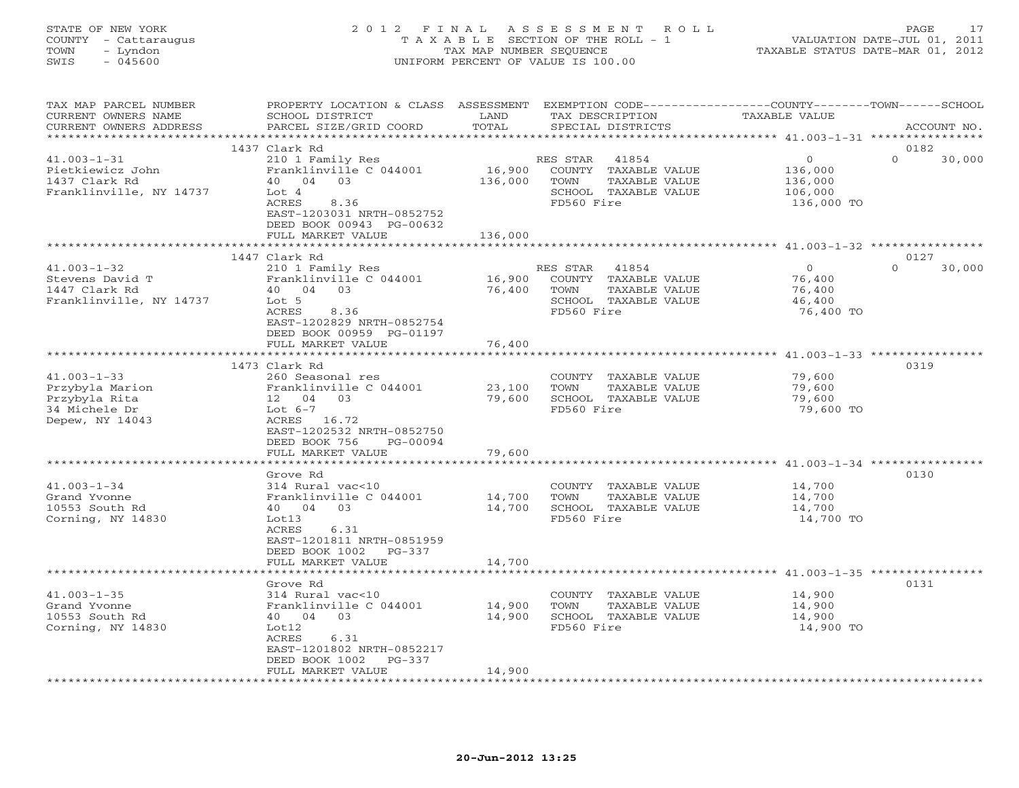#### STATE OF NEW YORK 2 0 1 2 F I N A L A S S E S S M E N T R O L L PAGE 17 COUNTY - Cattaraugus T A X A B L E SECTION OF THE ROLL - 1 VALUATION DATE-JUL 01, 2011 TOWN - Lyndon TAX MAP NUMBER SEQUENCE TAXABLE STATUS DATE-MAR 01, 2012 SWIS - 045600 UNIFORM PERCENT OF VALUE IS 100.00UNIFORM PERCENT OF VALUE IS 100.00

| TAX MAP PARCEL NUMBER<br>CURRENT OWNERS NAME<br>CURRENT OWNERS ADDRESS                    | PROPERTY LOCATION & CLASS ASSESSMENT<br>SCHOOL DISTRICT<br>PARCEL SIZE/GRID COORD                                                                                                          | LAND<br>TOTAL                | TAX DESCRIPTION<br>SPECIAL DISTRICTS                                                                     | EXEMPTION CODE-----------------COUNTY-------TOWN------SCHOOL<br>TAXABLE VALUE | ACCOUNT NO.                |
|-------------------------------------------------------------------------------------------|--------------------------------------------------------------------------------------------------------------------------------------------------------------------------------------------|------------------------------|----------------------------------------------------------------------------------------------------------|-------------------------------------------------------------------------------|----------------------------|
|                                                                                           |                                                                                                                                                                                            | ******************           |                                                                                                          |                                                                               |                            |
| $41.003 - 1 - 31$<br>Pietkiewicz John<br>1437 Clark Rd<br>Franklinville, NY 14737         | 1437 Clark Rd<br>210 1 Family Res<br>Franklinville C 044001<br>40 04 03<br>Lot <sub>4</sub><br>ACRES<br>8.36<br>EAST-1203031 NRTH-0852752<br>DEED BOOK 00943 PG-00632<br>FULL MARKET VALUE | 16,900<br>136,000<br>136,000 | RES STAR<br>41854<br>COUNTY TAXABLE VALUE<br>TOWN<br>TAXABLE VALUE<br>SCHOOL TAXABLE VALUE<br>FD560 Fire | $\circ$<br>136,000<br>136,000<br>106,000<br>136,000 TO                        | 0182<br>$\Omega$<br>30,000 |
|                                                                                           | **********************                                                                                                                                                                     | ************                 |                                                                                                          | **********************************41.003-1-32 ****************                |                            |
| $41.003 - 1 - 32$<br>Stevens David T<br>1447 Clark Rd<br>Franklinville, NY 14737          | 1447 Clark Rd<br>210 1 Family Res<br>Franklinville C 044001<br>40 04 03<br>Lot 5<br>ACRES<br>8.36<br>EAST-1202829 NRTH-0852754<br>DEED BOOK 00959 PG-01197<br>FULL MARKET VALUE            | 16,900<br>76,400<br>76,400   | RES STAR 41854<br>COUNTY TAXABLE VALUE<br>TOWN<br>TAXABLE VALUE<br>SCHOOL TAXABLE VALUE<br>FD560 Fire    | $\overline{0}$<br>76,400<br>76,400<br>46,400<br>76,400 TO                     | 0127<br>$\Omega$<br>30,000 |
|                                                                                           |                                                                                                                                                                                            |                              |                                                                                                          |                                                                               |                            |
| $41.003 - 1 - 33$<br>Przybyla Marion<br>Przybyla Rita<br>34 Michele Dr<br>Depew, NY 14043 | 1473 Clark Rd<br>260 Seasonal res<br>Franklinville C 044001<br>12 04 03<br>Lot $6-7$<br>ACRES 16.72<br>EAST-1202532 NRTH-0852750<br>DEED BOOK 756<br>PG-00094                              | 23,100<br>79,600             | COUNTY TAXABLE VALUE<br>TAXABLE VALUE<br>TOWN<br>SCHOOL TAXABLE VALUE<br>FD560 Fire                      | 79,600<br>79,600<br>79,600<br>79,600 TO                                       | 0319                       |
|                                                                                           | FULL MARKET VALUE                                                                                                                                                                          | 79,600                       |                                                                                                          |                                                                               |                            |
|                                                                                           |                                                                                                                                                                                            |                              |                                                                                                          |                                                                               |                            |
| $41.003 - 1 - 34$<br>Grand Yvonne<br>10553 South Rd<br>Corning, NY 14830                  | Grove Rd<br>314 Rural vac<10<br>Franklinville C 044001<br>40 04 03<br>Lot13<br>ACRES<br>6.31<br>EAST-1201811 NRTH-0851959<br>DEED BOOK 1002 PG-337                                         | 14,700<br>14,700             | COUNTY TAXABLE VALUE<br>TOWN<br>TAXABLE VALUE<br>SCHOOL TAXABLE VALUE<br>FD560 Fire                      | 14,700<br>14,700<br>14,700<br>14,700 TO                                       | 0130                       |
|                                                                                           | FULL MARKET VALUE                                                                                                                                                                          | 14,700                       |                                                                                                          |                                                                               |                            |
| $41.003 - 1 - 35$<br>Grand Yvonne<br>10553 South Rd<br>Corning, NY 14830                  | Grove Rd<br>314 Rural vac<10<br>Franklinville C 044001<br>40 04 03<br>Lot12<br>ACRES<br>6.31<br>EAST-1201802 NRTH-0852217<br>DEED BOOK 1002<br>$PG-337$<br>FULL MARKET VALUE               | 14,900<br>14,900<br>14,900   | COUNTY TAXABLE VALUE<br>TOWN<br>TAXABLE VALUE<br>SCHOOL TAXABLE VALUE<br>FD560 Fire                      | 14,900<br>14,900<br>14,900<br>14,900 TO                                       | 0131                       |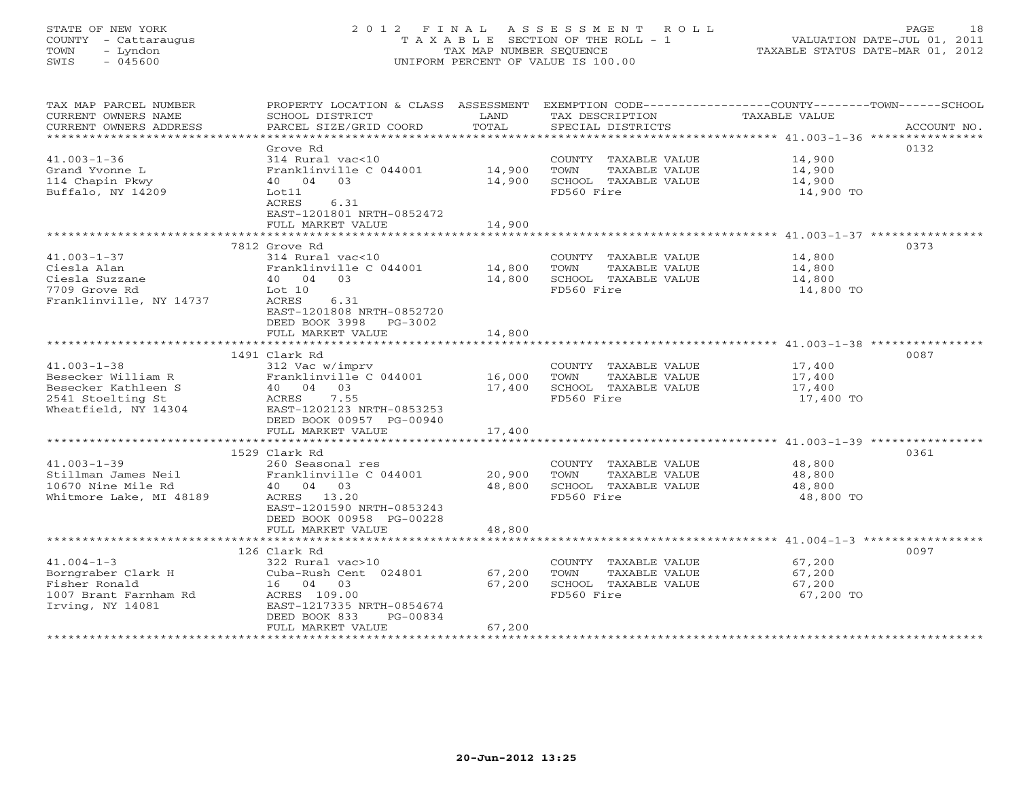# STATE OF NEW YORK 2 0 1 2 F I N A L A S S E S S M E N T R O L L PAGE 18 COUNTY - Cattaraugus T A X A B L E SECTION OF THE ROLL - 1 VALUATION DATE-JUL 01, 2011 TOWN - Lyndon TAX MAP NUMBER SEQUENCE TAXABLE STATUS DATE-MAR 01, 2012 SWIS - 045600 UNIFORM PERCENT OF VALUE IS 100.00

| TAX MAP PARCEL NUMBER<br>CURRENT OWNERS NAME<br>CURRENT OWNERS ADDRESS                                      | PROPERTY LOCATION & CLASS ASSESSMENT<br>SCHOOL DISTRICT<br>PARCEL SIZE/GRID COORD                                                                                                  | LAND<br>TOTAL                               | EXEMPTION CODE-----------------COUNTY-------TOWN------SCHOOL<br>TAX DESCRIPTION<br>SPECIAL DISTRICTS | TAXABLE VALUE                                                                                                 | ACCOUNT NO. |
|-------------------------------------------------------------------------------------------------------------|------------------------------------------------------------------------------------------------------------------------------------------------------------------------------------|---------------------------------------------|------------------------------------------------------------------------------------------------------|---------------------------------------------------------------------------------------------------------------|-------------|
| $41.003 - 1 - 36$<br>Grand Yvonne L<br>114 Chapin Pkwy<br>Buffalo, NY 14209                                 | Grove Rd<br>314 Rural vac<10<br>Franklinville C 044001<br>40  04  03<br>Lot11<br>ACRES<br>6.31<br>EAST-1201801 NRTH-0852472<br>FULL MARKET VALUE<br>****************************** | 14,900<br>14,900<br>14,900<br>************* | COUNTY TAXABLE VALUE<br>TOWN<br>TAXABLE VALUE<br>SCHOOL TAXABLE VALUE<br>FD560 Fire                  | 14,900<br>14,900<br>14,900<br>14,900 TO<br>************************************ 41.003-1-37 ***************** | 0132        |
| $41.003 - 1 - 37$<br>Ciesla Alan<br>Ciesla Suzzane<br>7709 Grove Rd<br>Franklinville, NY 14737              | 7812 Grove Rd<br>314 Rural vac<10<br>Franklinville C 044001<br>40 04<br>0.3<br>Lot 10<br>ACRES<br>6.31<br>EAST-1201808 NRTH-0852720<br>DEED BOOK 3998 PG-3002<br>FULL MARKET VALUE | 14,800<br>14,800<br>14,800                  | COUNTY TAXABLE VALUE<br>TOWN<br>TAXABLE VALUE<br>SCHOOL TAXABLE VALUE<br>FD560 Fire                  | 14,800<br>14,800<br>14,800<br>14,800 TO                                                                       | 0373        |
|                                                                                                             |                                                                                                                                                                                    |                                             |                                                                                                      |                                                                                                               |             |
| $41.003 - 1 - 38$<br>Besecker William R<br>Besecker Kathleen S<br>2541 Stoelting St<br>Wheatfield, NY 14304 | 1491 Clark Rd<br>312 Vac w/imprv<br>Franklinville C 044001<br>40 04 03<br>ACRES 7.55<br>EAST-1202123 NRTH-0853253<br>DEED BOOK 00957 PG-00940<br>FULL MARKET VALUE                 | 16,000<br>17,400<br>17,400                  | COUNTY TAXABLE VALUE<br>TAXABLE VALUE<br>TOWN<br>SCHOOL TAXABLE VALUE<br>FD560 Fire                  | 17,400<br>17,400<br>17,400<br>17,400 TO                                                                       | 0087        |
|                                                                                                             | 1529 Clark Rd                                                                                                                                                                      |                                             |                                                                                                      |                                                                                                               | 0361        |
| $41.003 - 1 - 39$<br>Stillman James Neil<br>10670 Nine Mile Rd<br>Whitmore Lake, MI 48189                   | 260 Seasonal res<br>Franklinville C 044001<br>40 04 03<br>ACRES 13.20<br>EAST-1201590 NRTH-0853243<br>DEED BOOK 00958 PG-00228                                                     | 20,900<br>48,800                            | COUNTY TAXABLE VALUE<br>TOWN<br>TAXABLE VALUE<br>SCHOOL TAXABLE VALUE<br>FD560 Fire                  | 48,800<br>48,800<br>48,800<br>48,800 TO                                                                       |             |
|                                                                                                             | FULL MARKET VALUE                                                                                                                                                                  | 48,800                                      |                                                                                                      |                                                                                                               |             |
| $41.004 - 1 - 3$<br>Borngraber Clark H<br>Fisher Ronald<br>1007 Brant Farnham Rd<br>Irving, NY 14081        | 126 Clark Rd<br>322 Rural vac>10<br>Cuba-Rush Cent 024801<br>16 04 03<br>ACRES 109.00<br>EAST-1217335 NRTH-0854674<br>DEED BOOK 833<br>PG-00834<br>FULL MARKET VALUE               | 67,200<br>67,200<br>67,200                  | COUNTY TAXABLE VALUE<br>TAXABLE VALUE<br>TOWN<br>SCHOOL TAXABLE VALUE<br>FD560 Fire                  | 67,200<br>67,200<br>67,200<br>67,200 TO                                                                       | 0097        |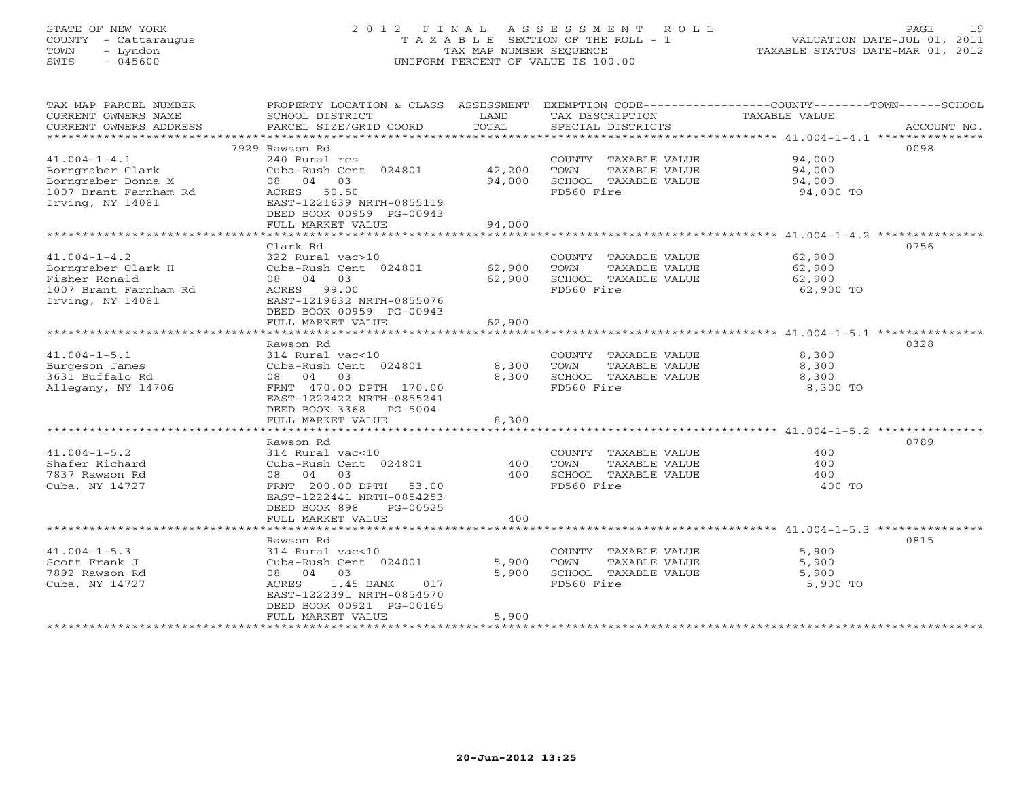# STATE OF NEW YORK 2 0 1 2 F I N A L A S S E S S M E N T R O L L PAGE 19 COUNTY - Cattaraugus T A X A B L E SECTION OF THE ROLL - 1 VALUATION DATE-JUL 01, 2011 TOWN - Lyndon TAX MAP NUMBER SEQUENCE TAXABLE STATUS DATE-MAR 01, 2012 SWIS - 045600 UNIFORM PERCENT OF VALUE IS 100.00

| TAX MAP PARCEL NUMBER<br>CURRENT OWNERS NAME<br>CURRENT OWNERS ADDRESS | PROPERTY LOCATION & CLASS ASSESSMENT<br>SCHOOL DISTRICT<br>PARCEL SIZE/GRID COORD | LAND<br>TOTAL | TAX DESCRIPTION<br>SPECIAL DISTRICTS | EXEMPTION CODE-----------------COUNTY-------TOWN------SCHOOL<br>TAXABLE VALUE<br>ACCOUNT NO. |
|------------------------------------------------------------------------|-----------------------------------------------------------------------------------|---------------|--------------------------------------|----------------------------------------------------------------------------------------------|
|                                                                        |                                                                                   |               |                                      |                                                                                              |
|                                                                        | 7929 Rawson Rd                                                                    |               |                                      | 0098                                                                                         |
| $41.004 - 1 - 4.1$                                                     | 240 Rural res                                                                     |               | COUNTY TAXABLE VALUE                 | 94,000                                                                                       |
| Borngraber Clark                                                       | Cuba-Rush Cent 024801                                                             | 42,200        | TOWN<br>TAXABLE VALUE                | 94,000                                                                                       |
| Borngraber Donna M                                                     | 08 04 03                                                                          | 94,000        | SCHOOL TAXABLE VALUE                 | 94,000                                                                                       |
| 1007 Brant Farnham Rd                                                  | ACRES 50.50                                                                       |               | FD560 Fire                           | 94,000 TO                                                                                    |
| Irving, NY 14081                                                       | EAST-1221639 NRTH-0855119                                                         |               |                                      |                                                                                              |
|                                                                        | DEED BOOK 00959 PG-00943                                                          |               |                                      |                                                                                              |
|                                                                        | FULL MARKET VALUE                                                                 | 94,000        |                                      |                                                                                              |
|                                                                        |                                                                                   |               |                                      |                                                                                              |
|                                                                        |                                                                                   |               |                                      |                                                                                              |
|                                                                        | Clark Rd                                                                          |               |                                      | 0756                                                                                         |
| $41.004 - 1 - 4.2$                                                     | 322 Rural vac>10                                                                  |               | COUNTY TAXABLE VALUE                 | 62,900                                                                                       |
| Borngraber Clark H                                                     | Cuba-Rush Cent 024801                                                             | 62,900        | TOWN<br>TAXABLE VALUE                | 62,900                                                                                       |
| Fisher Ronald                                                          | 08 04 03                                                                          | 62,900        | SCHOOL TAXABLE VALUE                 | 62,900                                                                                       |
| 1007 Brant Farnham Rd                                                  | ACRES 99.00                                                                       |               | FD560 Fire                           | 62,900 TO                                                                                    |
| Irving, NY 14081                                                       | EAST-1219632 NRTH-0855076                                                         |               |                                      |                                                                                              |
|                                                                        | DEED BOOK 00959 PG-00943                                                          |               |                                      |                                                                                              |
|                                                                        | FULL MARKET VALUE                                                                 | 62,900        |                                      |                                                                                              |
|                                                                        |                                                                                   |               |                                      | *********************************** 41.004-1-5.1 ***************                             |
|                                                                        | Rawson Rd                                                                         |               |                                      | 0328                                                                                         |
| $41.004 - 1 - 5.1$                                                     | 314 Rural vac<10                                                                  |               | COUNTY TAXABLE VALUE                 | 8,300                                                                                        |
|                                                                        |                                                                                   |               |                                      |                                                                                              |
| Burgeson James                                                         | Cuba-Rush Cent 024801                                                             | 8,300         | TOWN<br>TAXABLE VALUE                | 8,300                                                                                        |
| 3631 Buffalo Rd                                                        | 08 04<br>03                                                                       | 8,300         | SCHOOL TAXABLE VALUE                 | 8,300                                                                                        |
| Allegany, NY 14706                                                     | FRNT 470.00 DPTH 170.00                                                           |               | FD560 Fire                           | 8,300 TO                                                                                     |
|                                                                        | EAST-1222422 NRTH-0855241                                                         |               |                                      |                                                                                              |
|                                                                        | DEED BOOK 3368 PG-5004                                                            |               |                                      |                                                                                              |
|                                                                        | FULL MARKET VALUE                                                                 | 8,300         |                                      |                                                                                              |
|                                                                        |                                                                                   |               |                                      |                                                                                              |
|                                                                        | Rawson Rd                                                                         |               |                                      | 0789                                                                                         |
| $41.004 - 1 - 5.2$                                                     | 314 Rural vac<10                                                                  |               | COUNTY TAXABLE VALUE                 | 400                                                                                          |
| Shafer Richard                                                         | Cuba-Rush Cent 024801                                                             | 400           | <b>TOWN</b><br>TAXABLE VALUE         | 400                                                                                          |
| 7837 Rawson Rd                                                         | 08 04<br>03                                                                       | 400           | SCHOOL TAXABLE VALUE                 | 400                                                                                          |
| Cuba, NY 14727                                                         | FRNT 200.00 DPTH 53.00                                                            |               | FD560 Fire                           | 400 TO                                                                                       |
|                                                                        | EAST-1222441 NRTH-0854253                                                         |               |                                      |                                                                                              |
|                                                                        | DEED BOOK 898<br>PG-00525                                                         |               |                                      |                                                                                              |
|                                                                        | FULL MARKET VALUE                                                                 | 400           |                                      |                                                                                              |
|                                                                        | ****************************                                                      |               |                                      |                                                                                              |
|                                                                        |                                                                                   |               |                                      |                                                                                              |
|                                                                        | Rawson Rd                                                                         |               |                                      | 0815                                                                                         |
| $41.004 - 1 - 5.3$                                                     | 314 Rural vac<10                                                                  |               | COUNTY TAXABLE VALUE                 | 5,900                                                                                        |
| Scott Frank J                                                          | Cuba-Rush Cent 024801                                                             | 5,900         | TOWN<br>TAXABLE VALUE                | 5,900                                                                                        |
| 7892 Rawson Rd                                                         | 08 04<br>03                                                                       | 5,900         | SCHOOL TAXABLE VALUE                 | 5,900                                                                                        |
| Cuba, NY 14727                                                         | ACRES<br>1.45 BANK<br>017                                                         |               | FD560 Fire                           | 5,900 TO                                                                                     |
|                                                                        | EAST-1222391 NRTH-0854570                                                         |               |                                      |                                                                                              |
|                                                                        | DEED BOOK 00921 PG-00165                                                          |               |                                      |                                                                                              |
|                                                                        | FULL MARKET VALUE                                                                 | 5,900         |                                      |                                                                                              |
|                                                                        |                                                                                   |               |                                      |                                                                                              |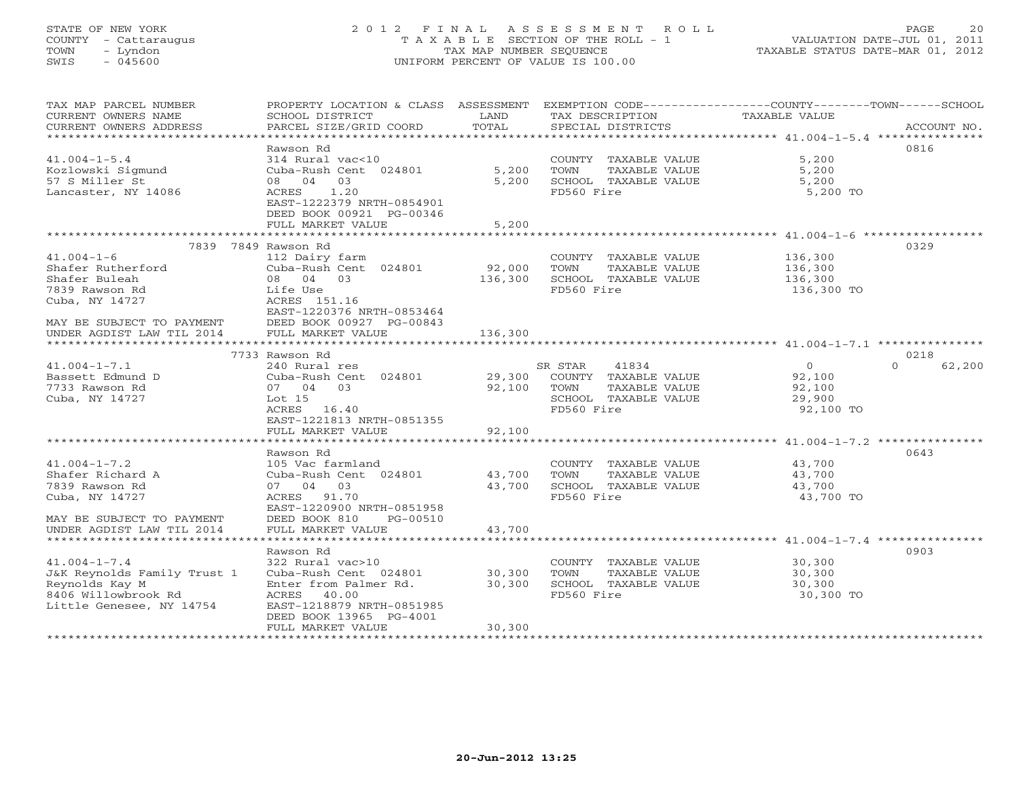# STATE OF NEW YORK 2 0 1 2 F I N A L A S S E S S M E N T R O L L PAGE 20 COUNTY - Cattaraugus T A X A B L E SECTION OF THE ROLL - 1 VALUATION DATE-JUL 01, 2011 TOWN - Lyndon TAX MAP NUMBER SEQUENCE TAXABLE STATUS DATE-MAR 01, 2012 SWIS - 045600 UNIFORM PERCENT OF VALUE IS 100.00UNIFORM PERCENT OF VALUE IS 100.00

| TAX MAP PARCEL NUMBER<br>CURRENT OWNERS NAME<br>CURRENT OWNERS ADDRESS | PROPERTY LOCATION & CLASS ASSESSMENT<br>SCHOOL DISTRICT<br>PARCEL SIZE/GRID COORD | LAND<br>TOTAL | TAX DESCRIPTION<br>SPECIAL DISTRICTS          | EXEMPTION CODE----------------COUNTY-------TOWN------SCHOOL<br><b>TAXABLE VALUE</b><br>ACCOUNT NO. |
|------------------------------------------------------------------------|-----------------------------------------------------------------------------------|---------------|-----------------------------------------------|----------------------------------------------------------------------------------------------------|
|                                                                        |                                                                                   |               |                                               |                                                                                                    |
|                                                                        | Rawson Rd                                                                         |               |                                               | 0816                                                                                               |
| $41.004 - 1 - 5.4$                                                     | 314 Rural vac<10<br>Cuba-Rush Cent 024801                                         |               | COUNTY TAXABLE VALUE<br>TOWN                  | 5,200<br>5,200                                                                                     |
| Kozlowski Sigmund                                                      | 08 04 03                                                                          | 5,200         | TAXABLE VALUE                                 |                                                                                                    |
| 57 S Miller St                                                         |                                                                                   | 5,200         | SCHOOL TAXABLE VALUE                          | 5,200                                                                                              |
| Lancaster, NY 14086                                                    | 1.20<br>ACRES<br>EAST-1222379 NRTH-0854901                                        |               | FD560 Fire                                    | 5,200 TO                                                                                           |
|                                                                        | DEED BOOK 00921 PG-00346                                                          |               |                                               |                                                                                                    |
|                                                                        | FULL MARKET VALUE                                                                 | 5,200         |                                               |                                                                                                    |
|                                                                        |                                                                                   |               |                                               |                                                                                                    |
|                                                                        | 7839 7849 Rawson Rd                                                               |               |                                               | 0329                                                                                               |
| $41.004 - 1 - 6$                                                       | 112 Dairy farm                                                                    |               | COUNTY TAXABLE VALUE                          | 136,300                                                                                            |
| Shafer Rutherford                                                      | Cuba-Rush Cent 024801                                                             | 92,000        | TOWN<br>TAXABLE VALUE                         | 136,300                                                                                            |
| Shafer Buleah                                                          | 08 04 03                                                                          | 136,300       | SCHOOL TAXABLE VALUE                          | 136,300                                                                                            |
| 7839 Rawson Rd                                                         | Life Use                                                                          |               | FD560 Fire                                    | 136,300 TO                                                                                         |
| Cuba, NY 14727                                                         | ACRES 151.16                                                                      |               |                                               |                                                                                                    |
|                                                                        | EAST-1220376 NRTH-0853464                                                         |               |                                               |                                                                                                    |
| MAY BE SUBJECT TO PAYMENT                                              | DEED BOOK 00927 PG-00843                                                          |               |                                               |                                                                                                    |
| UNDER AGDIST LAW TIL 2014                                              | FULL MARKET VALUE                                                                 | 136,300       |                                               |                                                                                                    |
|                                                                        |                                                                                   |               |                                               |                                                                                                    |
|                                                                        | 7733 Rawson Rd                                                                    |               |                                               | 0218                                                                                               |
| $41.004 - 1 - 7.1$                                                     | 240 Rural res                                                                     |               | SR STAR<br>41834                              | $\Omega$<br>$\Omega$<br>62,200                                                                     |
| Bassett Edmund D                                                       | Cuba-Rush Cent 024801                                                             | 29,300        | COUNTY TAXABLE VALUE                          | 92,100                                                                                             |
| 7733 Rawson Rd                                                         | 07 04 03                                                                          | 92,100        | TOWN<br>TAXABLE VALUE                         | 92,100                                                                                             |
| Cuba, NY 14727                                                         | Lot 15                                                                            |               | SCHOOL TAXABLE VALUE                          | 29,900                                                                                             |
|                                                                        | ACRES 16.40                                                                       |               | FD560 Fire                                    | 92,100 TO                                                                                          |
|                                                                        | EAST-1221813 NRTH-0851355                                                         |               |                                               |                                                                                                    |
|                                                                        | FULL MARKET VALUE                                                                 | 92,100        |                                               |                                                                                                    |
|                                                                        |                                                                                   |               |                                               |                                                                                                    |
|                                                                        | Rawson Rd                                                                         |               |                                               | 0643                                                                                               |
| $41.004 - 1 - 7.2$                                                     | 105 Vac farmland                                                                  |               | COUNTY TAXABLE VALUE                          | 43,700                                                                                             |
| Shafer Richard A                                                       | Cuba-Rush Cent 024801                                                             | 43,700        | TOWN<br>TAXABLE VALUE                         | 43,700                                                                                             |
| 7839 Rawson Rd                                                         | 07 04 03                                                                          | 43,700        | SCHOOL TAXABLE VALUE                          | 43,700                                                                                             |
| Cuba, NY 14727                                                         | ACRES 91.70                                                                       |               | FD560 Fire                                    | 43,700 TO                                                                                          |
|                                                                        | EAST-1220900 NRTH-0851958                                                         |               |                                               |                                                                                                    |
| MAY BE SUBJECT TO PAYMENT                                              | DEED BOOK 810<br>PG-00510                                                         |               |                                               |                                                                                                    |
| UNDER AGDIST LAW TIL 2014                                              | FULL MARKET VALUE                                                                 | 43,700        |                                               |                                                                                                    |
|                                                                        | Rawson Rd                                                                         |               |                                               | 0903                                                                                               |
|                                                                        |                                                                                   |               |                                               |                                                                                                    |
| $41.004 - 1 - 7.4$<br>J&K Reynolds Family Trust 1                      | 322 Rural vac>10<br>Cuba-Rush Cent 024801                                         | 30,300        | COUNTY TAXABLE VALUE<br>TOWN<br>TAXABLE VALUE | 30,300<br>30,300                                                                                   |
| Reynolds Kay M                                                         | Enter from Palmer Rd.                                                             | 30,300        | SCHOOL TAXABLE VALUE                          | 30,300                                                                                             |
| 8406 Willowbrook Rd                                                    | ACRES 40.00                                                                       |               | FD560 Fire                                    | 30,300 TO                                                                                          |
| Little Genesee, NY 14754                                               | EAST-1218879 NRTH-0851985                                                         |               |                                               |                                                                                                    |
|                                                                        | DEED BOOK 13965 PG-4001                                                           |               |                                               |                                                                                                    |
|                                                                        | FULL MARKET VALUE                                                                 | 30,300        |                                               |                                                                                                    |
| *******************                                                    |                                                                                   |               | *******************************               |                                                                                                    |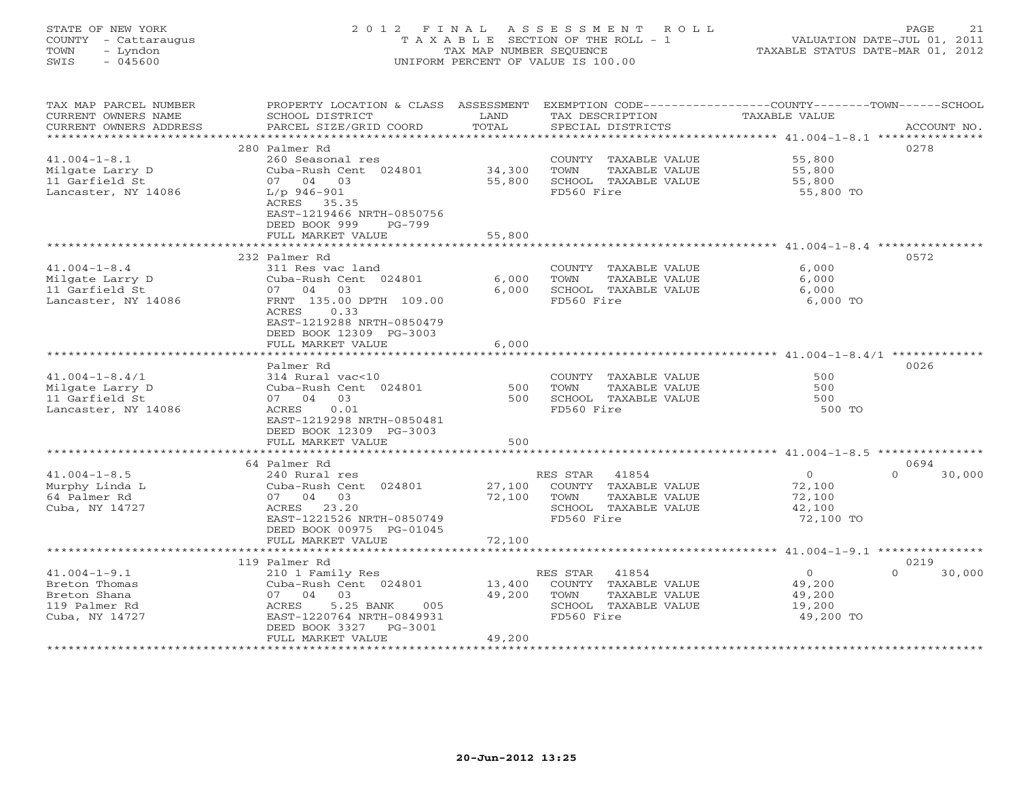#### STATE OF NEW YORK 2 0 1 2 F I N A L A S S E S S M E N T R O L L PAGE 21 COUNTY - Cattaraugus T A X A B L E SECTION OF THE ROLL - 1 VALUATION DATE-JUL 01, 2011 TOWN - Lyndon TAX MAP NUMBER SEQUENCE TAXABLE STATUS DATE-MAR 01, 2012 SWIS - 045600 UNIFORM PERCENT OF VALUE IS 100.00UNIFORM PERCENT OF VALUE IS 100.00

| TAX MAP PARCEL NUMBER<br>CURRENT OWNERS NAME<br>CURRENT OWNERS ADDRESS                 | PROPERTY LOCATION & CLASS ASSESSMENT<br>SCHOOL DISTRICT<br>PARCEL SIZE/GRID COORD                                                                               | LAND<br>TOTAL              | EXEMPTION CODE-----------------COUNTY-------TOWN------SCHOOL<br>TAX DESCRIPTION<br>SPECIAL DISTRICTS     | TAXABLE VALUE                                             | ACCOUNT NO.                |
|----------------------------------------------------------------------------------------|-----------------------------------------------------------------------------------------------------------------------------------------------------------------|----------------------------|----------------------------------------------------------------------------------------------------------|-----------------------------------------------------------|----------------------------|
| *************************                                                              | 280 Palmer Rd                                                                                                                                                   |                            |                                                                                                          |                                                           | 0278                       |
| $41.004 - 1 - 8.1$<br>Milgate Larry D<br>11 Garfield St<br>Lancaster, NY 14086         | 260 Seasonal res<br>Cuba-Rush Cent 024801<br>07 04 03<br>$L/p$ 946-901<br>ACRES 35.35<br>EAST-1219466 NRTH-0850756<br>DEED BOOK 999<br>$PG-799$                 | 34,300<br>55,800           | COUNTY TAXABLE VALUE<br>TOWN<br>TAXABLE VALUE<br>SCHOOL TAXABLE VALUE<br>FD560 Fire                      | 55,800<br>55,800<br>55,800<br>55,800 TO                   |                            |
|                                                                                        | FULL MARKET VALUE                                                                                                                                               | 55,800                     |                                                                                                          |                                                           |                            |
|                                                                                        | 232 Palmer Rd                                                                                                                                                   |                            |                                                                                                          |                                                           | 0572                       |
| $41.004 - 1 - 8.4$<br>Milgate Larry D<br>11 Garfield St<br>Lancaster, NY 14086         | 311 Res vac land<br>Cuba-Rush Cent 024801<br>03<br>07 04<br>FRNT 135.00 DPTH 109.00<br>ACRES<br>0.33<br>EAST-1219288 NRTH-0850479                               | 6,000<br>6,000             | COUNTY TAXABLE VALUE<br>TOWN<br>TAXABLE VALUE<br>SCHOOL TAXABLE VALUE<br>FD560 Fire                      | 6,000<br>6,000<br>6,000<br>6,000 TO                       |                            |
|                                                                                        | DEED BOOK 12309 PG-3003<br>FULL MARKET VALUE                                                                                                                    | 6,000                      |                                                                                                          |                                                           |                            |
|                                                                                        | *******************                                                                                                                                             |                            |                                                                                                          |                                                           |                            |
| $41.004 - 1 - 8.4/1$<br>Milgate Larry D<br>11 Garfield St<br>Lancaster, NY 14086       | Palmer Rd<br>314 Rural vac<10<br>Cuba-Rush Cent 024801<br>07 04 03<br>ACRES<br>0.01<br>EAST-1219298 NRTH-0850481<br>DEED BOOK 12309 PG-3003                     | 500<br>500                 | COUNTY TAXABLE VALUE<br>TAXABLE VALUE<br>TOWN<br>SCHOOL TAXABLE VALUE<br>FD560 Fire                      | 500<br>500<br>500<br>500 TO                               | 0026                       |
|                                                                                        | FULL MARKET VALUE                                                                                                                                               | 500                        |                                                                                                          |                                                           |                            |
|                                                                                        |                                                                                                                                                                 |                            |                                                                                                          |                                                           |                            |
| $41.004 - 1 - 8.5$<br>Murphy Linda L<br>64 Palmer Rd<br>Cuba, NY 14727                 | 64 Palmer Rd<br>240 Rural res<br>Cuba-Rush Cent 024801<br>07 04 03<br>ACRES 23.20<br>EAST-1221526 NRTH-0850749<br>DEED BOOK 00975 PG-01045<br>FULL MARKET VALUE | 27,100<br>72,100<br>72,100 | RES STAR<br>41854<br>COUNTY TAXABLE VALUE<br>TOWN<br>TAXABLE VALUE<br>SCHOOL TAXABLE VALUE<br>FD560 Fire | $\circ$<br>72,100<br>72,100<br>42,100<br>72,100 TO        | 0694<br>$\Omega$<br>30,000 |
|                                                                                        | .                                                                                                                                                               | ********                   |                                                                                                          | ************ 41.004-1-9.1 ****************                |                            |
|                                                                                        | 119 Palmer Rd                                                                                                                                                   |                            |                                                                                                          |                                                           | 0219                       |
| $41.004 - 1 - 9.1$<br>Breton Thomas<br>Breton Shana<br>119 Palmer Rd<br>Cuba, NY 14727 | 210 1 Family Res<br>Cuba-Rush Cent 024801<br>0.3<br>07 04<br>ACRES<br>5.25 BANK<br>005<br>EAST-1220764 NRTH-0849931<br>DEED BOOK 3327<br>PG-3001                | 13,400<br>49,200           | 41854<br>RES STAR<br>COUNTY TAXABLE VALUE<br>TAXABLE VALUE<br>TOWN<br>SCHOOL TAXABLE VALUE<br>FD560 Fire | $\overline{0}$<br>49,200<br>49,200<br>19,200<br>49,200 TO | 30,000<br>$\Omega$         |
|                                                                                        | FULL MARKET VALUE<br>*******************                                                                                                                        | 49,200                     |                                                                                                          |                                                           |                            |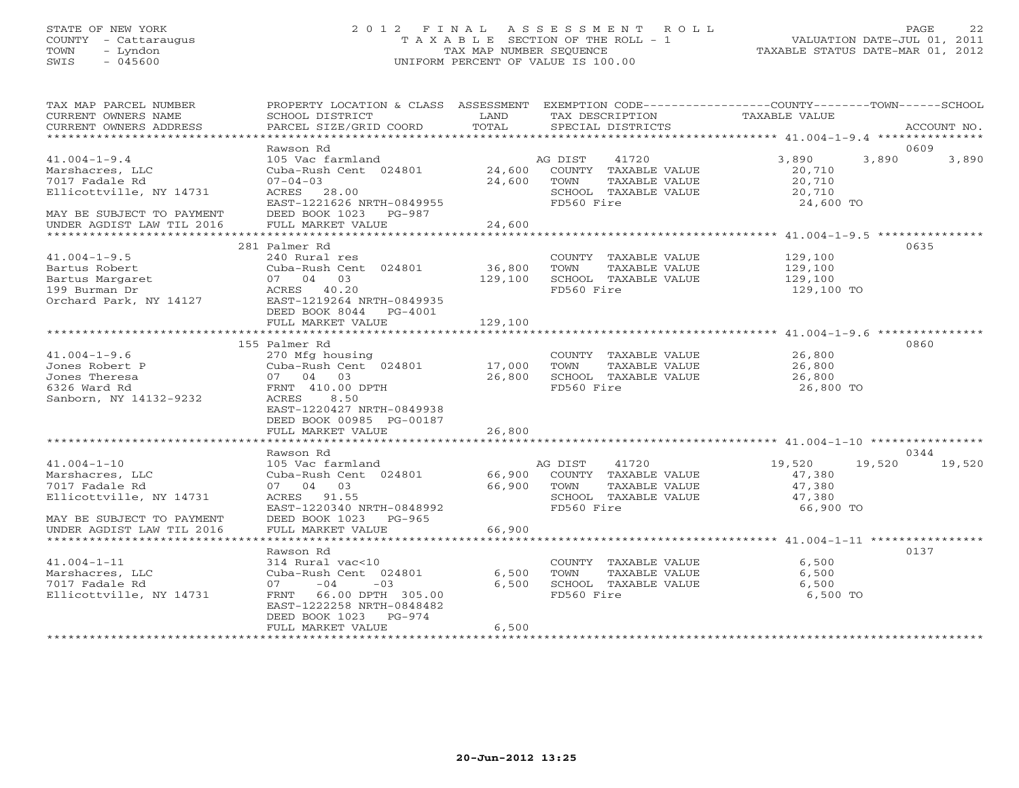# STATE OF NEW YORK 2 0 1 2 F I N A L A S S E S S M E N T R O L L PAGE 22 COUNTY - Cattaraugus T A X A B L E SECTION OF THE ROLL - 1 VALUATION DATE-JUL 01, 2011 TOWN - Lyndon TAX MAP NUMBER SEQUENCE TAXABLE STATUS DATE-MAR 01, 2012 SWIS - 045600 UNIFORM PERCENT OF VALUE IS 100.00

| TAX MAP PARCEL NUMBER     | PROPERTY LOCATION & CLASS ASSESSMENT EXEMPTION CODE----------------COUNTY-------TOWN------SCHOOL |             |                                    |                     |             |
|---------------------------|--------------------------------------------------------------------------------------------------|-------------|------------------------------------|---------------------|-------------|
| CURRENT OWNERS NAME       | SCHOOL DISTRICT                                                                                  | LAND        | TAX DESCRIPTION                    | TAXABLE VALUE       |             |
| CURRENT OWNERS ADDRESS    | PARCEL SIZE/GRID COORD                                                                           | TOTAL       | SPECIAL DISTRICTS                  |                     | ACCOUNT NO. |
| ***********************   |                                                                                                  |             |                                    |                     |             |
|                           | Rawson Rd                                                                                        |             |                                    |                     | 0609        |
| $41.004 - 1 - 9.4$        | 105 Vac farmland                                                                                 |             | 41720<br>AG DIST                   | 3,890<br>3,890      | 3,890       |
| Marshacres, LLC           | Cuba-Rush Cent 024801                                                                            |             | 24,600 COUNTY TAXABLE VALUE        | 20,710              |             |
| 7017 Fadale Rd            | $07 - 04 - 03$                                                                                   | 24,600      | TOWN<br>TAXABLE VALUE              | 20,710              |             |
| Ellicottville, NY 14731   | ACRES 28.00<br>EAST-1221626 NRTH-0849955                                                         |             | SCHOOL TAXABLE VALUE<br>FD560 Fire | 20,710<br>24,600 TO |             |
| MAY BE SUBJECT TO PAYMENT | DEED BOOK 1023 PG-987                                                                            |             |                                    |                     |             |
| UNDER AGDIST LAW TIL 2016 | FULL MARKET VALUE                                                                                | 24,600      |                                    |                     |             |
|                           |                                                                                                  |             |                                    |                     |             |
|                           | 281 Palmer Rd                                                                                    |             |                                    |                     | 0635        |
| $41.004 - 1 - 9.5$        | 240 Rural res                                                                                    |             | COUNTY TAXABLE VALUE               | 129,100             |             |
| Bartus Robert             | Cuba-Rush Cent 024801                                                                            | 36,800      | TAXABLE VALUE<br>TOWN              | 129,100             |             |
| Bartus Margaret           | 07 04 03                                                                                         | 129,100     | SCHOOL TAXABLE VALUE               | 129,100             |             |
| 199 Burman Dr             |                                                                                                  |             | FD560 Fire                         | 129,100 TO          |             |
| Orchard Park, NY 14127    | ACRES 40.20<br>EAST-1219264 N<br>EAST-1219264 NRTH-0849935                                       |             |                                    |                     |             |
|                           | DEED BOOK 8044 PG-4001                                                                           |             |                                    |                     |             |
|                           | FULL MARKET VALUE                                                                                | 129,100     |                                    |                     |             |
|                           |                                                                                                  |             |                                    |                     |             |
|                           | 155 Palmer Rd                                                                                    |             |                                    |                     | 0860        |
| $41.004 - 1 - 9.6$        | 270 Mfg housing                                                                                  |             | COUNTY TAXABLE VALUE               | 26,800              |             |
| Jones Robert P            | Cuba-Rush Cent 024801 17,000                                                                     |             | TOWN<br>TAXABLE VALUE              | 26,800              |             |
| Jones Theresa             | 07 04 03                                                                                         | 26,800      | SCHOOL TAXABLE VALUE               | 26,800              |             |
| 6326 Ward Rd              | FRNT 410.00 DPTH                                                                                 |             | FD560 Fire                         | 26,800 TO           |             |
| Sanborn, NY 14132-9232    | ACRES<br>8.50                                                                                    |             |                                    |                     |             |
|                           | EAST-1220427 NRTH-0849938                                                                        |             |                                    |                     |             |
|                           | DEED BOOK 00985 PG-00187                                                                         |             |                                    |                     |             |
|                           | FULL MARKET VALUE                                                                                | 26,800      |                                    |                     |             |
|                           |                                                                                                  |             |                                    |                     |             |
|                           | Rawson Rd                                                                                        |             |                                    |                     | 0344        |
| $41.004 - 1 - 10$         | 105 Vac farmland                                                                                 |             | AG DIST 41720                      | 19,520<br>19,520    | 19,520      |
| Marshacres, LLC           |                                                                                                  |             |                                    | 47,380              |             |
| 7017 Fadale Rd            | 07 04 03                                                                                         | 66,900 TOWN | TAXABLE VALUE                      | 47,380              |             |
| Ellicottville, NY 14731   | ACRES 91.55                                                                                      |             | SCHOOL TAXABLE VALUE               | 47,380              |             |
|                           | EAST-1220340 NRTH-0848992                                                                        |             | FD560 Fire                         | 66,900 TO           |             |
| MAY BE SUBJECT TO PAYMENT | DEED BOOK 1023 PG-965                                                                            |             |                                    |                     |             |
| UNDER AGDIST LAW TIL 2016 | FULL MARKET VALUE                                                                                | 66,900      |                                    |                     |             |
|                           |                                                                                                  |             |                                    |                     |             |
|                           | Rawson Rd                                                                                        |             |                                    |                     | 0137        |
| $41.004 - 1 - 11$         | 314 Rural vac<10                                                                                 |             | COUNTY TAXABLE VALUE               | 6,500               |             |
| Marshacres, LLC           | Cuba-Rush Cent 024801                                                                            | 6,500       | TOWN<br>TAXABLE VALUE              | 6.500               |             |
| 7017 Fadale Rd            | $07 -04 -03$                                                                                     | 6,500       | SCHOOL TAXABLE VALUE               | 6,500               |             |
| Ellicottville, NY 14731   | FRNT 66.00 DPTH 305.00                                                                           |             | FD560 Fire                         | 6,500 TO            |             |
|                           | EAST-1222258 NRTH-0848482                                                                        |             |                                    |                     |             |
|                           | DEED BOOK 1023 PG-974                                                                            |             |                                    |                     |             |
|                           | FULL MARKET VALUE                                                                                | 6,500       |                                    |                     |             |
|                           |                                                                                                  |             |                                    |                     |             |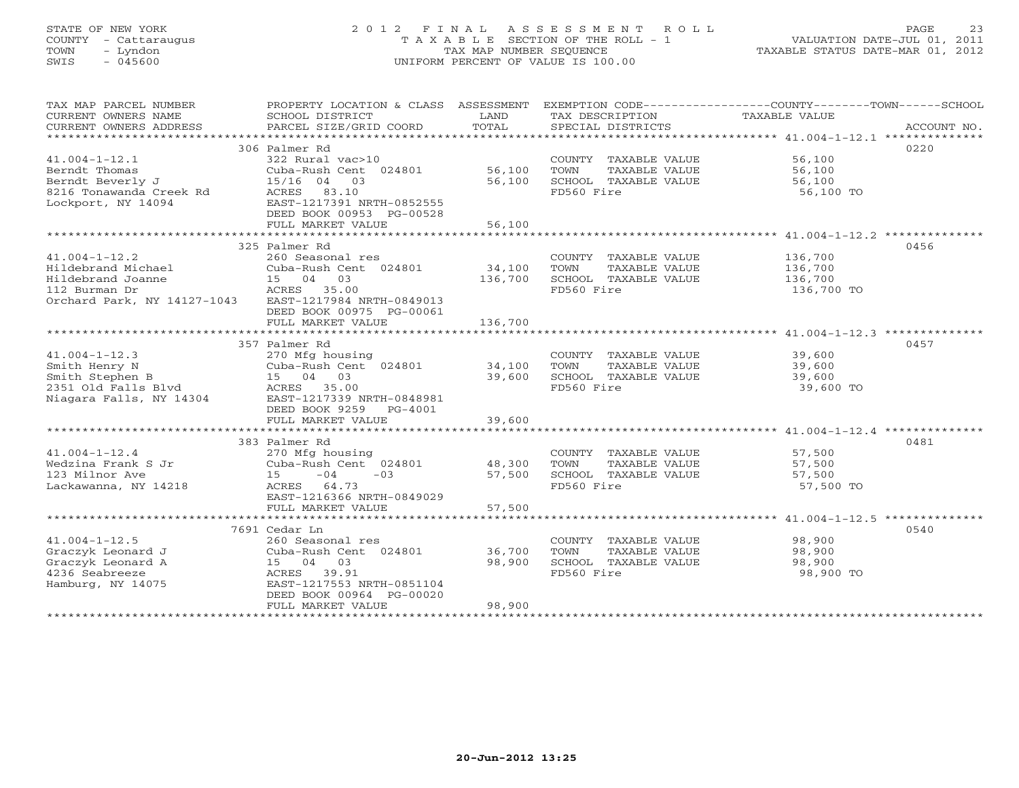# STATE OF NEW YORK 2 0 1 2 F I N A L A S S E S S M E N T R O L L PAGE 23 COUNTY - Cattaraugus T A X A B L E SECTION OF THE ROLL - 1 VALUATION DATE-JUL 01, 2011 TOWN - Lyndon TAX MAP NUMBER SEQUENCE TAXABLE STATUS DATE-MAR 01, 2012 SWIS - 045600 UNIFORM PERCENT OF VALUE IS 100.00UNIFORM PERCENT OF VALUE IS 100.00

| TAX MAP PARCEL NUMBER<br>CURRENT OWNERS NAME<br>CURRENT OWNERS ADDRESS | PROPERTY LOCATION & CLASS ASSESSMENT<br>SCHOOL DISTRICT<br>PARCEL SIZE/GRID COORD | LAND<br>TOTAL | TAX DESCRIPTION<br>SPECIAL DISTRICTS | EXEMPTION CODE-----------------COUNTY-------TOWN-----SCHOOL<br>TAXABLE VALUE<br>ACCOUNT NO. |
|------------------------------------------------------------------------|-----------------------------------------------------------------------------------|---------------|--------------------------------------|---------------------------------------------------------------------------------------------|
|                                                                        |                                                                                   |               |                                      |                                                                                             |
|                                                                        | 306 Palmer Rd                                                                     |               |                                      | 0220                                                                                        |
| $41.004 - 1 - 12.1$                                                    | 322 Rural vac>10                                                                  |               | COUNTY TAXABLE VALUE                 | 56,100                                                                                      |
| Berndt Thomas                                                          | Cuba-Rush Cent 024801                                                             | 56,100        | TOWN<br>TAXABLE VALUE                | 56,100                                                                                      |
| Berndt Beverly J                                                       | $15/16$ 04<br>03                                                                  | 56,100        | SCHOOL TAXABLE VALUE                 | 56,100                                                                                      |
| 8216 Tonawanda Creek Rd                                                | ACRES 83.10                                                                       |               | FD560 Fire                           | 56,100 TO                                                                                   |
| Lockport, NY 14094                                                     | EAST-1217391 NRTH-0852555                                                         |               |                                      |                                                                                             |
|                                                                        | DEED BOOK 00953 PG-00528                                                          |               |                                      |                                                                                             |
|                                                                        | FULL MARKET VALUE                                                                 | 56,100        |                                      |                                                                                             |
|                                                                        |                                                                                   |               |                                      |                                                                                             |
|                                                                        | 325 Palmer Rd                                                                     |               |                                      | 0456                                                                                        |
| $41.004 - 1 - 12.2$                                                    | 260 Seasonal res                                                                  |               | COUNTY TAXABLE VALUE                 | 136,700                                                                                     |
| Hildebrand Michael                                                     | Cuba-Rush Cent 024801                                                             | 34,100        | TOWN<br>TAXABLE VALUE                | 136,700                                                                                     |
| Hildebrand Joanne                                                      | 15 04 03                                                                          | 136,700       | SCHOOL TAXABLE VALUE                 | 136,700                                                                                     |
| 112 Burman Dr                                                          | ACRES 35.00                                                                       |               | FD560 Fire                           | 136,700 TO                                                                                  |
| Orchard Park, NY 14127-1043                                            | EAST-1217984 NRTH-0849013                                                         |               |                                      |                                                                                             |
|                                                                        | DEED BOOK 00975 PG-00061                                                          |               |                                      |                                                                                             |
|                                                                        | FULL MARKET VALUE                                                                 | 136,700       |                                      |                                                                                             |
|                                                                        |                                                                                   |               |                                      |                                                                                             |
|                                                                        | 357 Palmer Rd                                                                     |               |                                      | 0457                                                                                        |
| $41.004 - 1 - 12.3$                                                    | 270 Mfg housing                                                                   |               | COUNTY TAXABLE VALUE                 | 39,600                                                                                      |
| Smith Henry N                                                          | Cuba-Rush Cent 024801                                                             | 34,100        | TOWN<br>TAXABLE VALUE                | 39,600                                                                                      |
| Smith Stephen B                                                        | 15 04 03<br>ACRES 35.00                                                           | 39,600        | SCHOOL TAXABLE VALUE<br>FD560 Fire   | 39,600                                                                                      |
| 2351 Old Falls Blvd<br>Niagara Falls, NY 14304                         | EAST-1217339 NRTH-0848981                                                         |               |                                      | 39,600 TO                                                                                   |
|                                                                        | DEED BOOK 9259 PG-4001                                                            |               |                                      |                                                                                             |
|                                                                        | FULL MARKET VALUE                                                                 | 39,600        |                                      |                                                                                             |
|                                                                        |                                                                                   |               |                                      |                                                                                             |
|                                                                        | 383 Palmer Rd                                                                     |               |                                      | 0481                                                                                        |
| $41.004 - 1 - 12.4$                                                    | 270 Mfg housing                                                                   |               | COUNTY TAXABLE VALUE                 | 57,500                                                                                      |
| Wedzina Frank S Jr                                                     | Cuba-Rush Cent 024801                                                             | 48,300        | TOWN<br>TAXABLE VALUE                | 57,500                                                                                      |
| 123 Milnor Ave                                                         | $-03$<br>15<br>$-04$                                                              | 57,500        | SCHOOL TAXABLE VALUE                 | 57,500                                                                                      |
| Lackawanna, NY 14218                                                   | ACRES 64.73                                                                       |               | FD560 Fire                           | 57,500 TO                                                                                   |
|                                                                        | EAST-1216366 NRTH-0849029                                                         |               |                                      |                                                                                             |
|                                                                        | FULL MARKET VALUE                                                                 | 57,500        |                                      |                                                                                             |
|                                                                        |                                                                                   |               |                                      |                                                                                             |
|                                                                        | 7691 Cedar Ln                                                                     |               |                                      | 0540                                                                                        |
| $41.004 - 1 - 12.5$                                                    | 260 Seasonal res                                                                  |               | COUNTY TAXABLE VALUE                 | 98,900                                                                                      |
| Graczyk Leonard J                                                      | Cuba-Rush Cent 024801                                                             | 36,700        | TOWN<br>TAXABLE VALUE                | 98,900                                                                                      |
| Graczyk Leonard A                                                      | 15 04 03                                                                          | 98,900        | SCHOOL TAXABLE VALUE                 | 98,900                                                                                      |
| 4236 Seabreeze                                                         | ACRES 39.91                                                                       |               | FD560 Fire                           | 98,900 TO                                                                                   |
| Hamburg, NY 14075                                                      | EAST-1217553 NRTH-0851104                                                         |               |                                      |                                                                                             |
|                                                                        | DEED BOOK 00964 PG-00020                                                          |               |                                      |                                                                                             |
|                                                                        | FULL MARKET VALUE                                                                 | 98,900        |                                      |                                                                                             |
|                                                                        |                                                                                   |               |                                      |                                                                                             |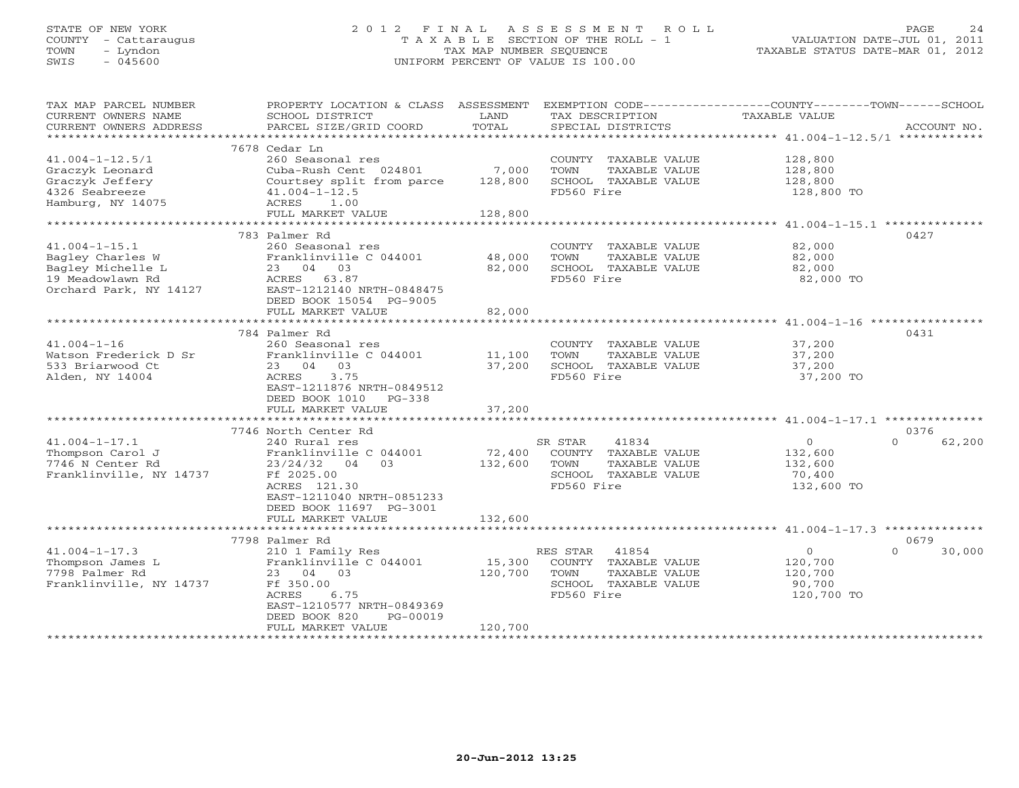# STATE OF NEW YORK 2 0 1 2 F I N A L A S S E S S M E N T R O L L PAGE 24 COUNTY - Cattaraugus T A X A B L E SECTION OF THE ROLL - 1 VALUATION DATE-JUL 01, 2011 TOWN - Lyndon TAX MAP NUMBER SEQUENCE TAXABLE STATUS DATE-MAR 01, 2012 SWIS - 045600 UNIFORM PERCENT OF VALUE IS 100.00UNIFORM PERCENT OF VALUE IS 100.00

| TAX MAP PARCEL NUMBER<br>CURRENT OWNERS NAME<br>CURRENT OWNERS ADDRESS | PROPERTY LOCATION & CLASS ASSESSMENT<br>SCHOOL DISTRICT<br>PARCEL SIZE/GRID COORD | LAND<br>TOTAL | EXEMPTION CODE-----------------COUNTY-------TOWN-----SCHOOL<br>TAX DESCRIPTION<br>SPECIAL DISTRICTS | <b>TAXABLE VALUE</b> | ACCOUNT NO.        |
|------------------------------------------------------------------------|-----------------------------------------------------------------------------------|---------------|-----------------------------------------------------------------------------------------------------|----------------------|--------------------|
|                                                                        |                                                                                   |               |                                                                                                     |                      |                    |
|                                                                        | 7678 Cedar Ln                                                                     |               |                                                                                                     |                      |                    |
| $41.004 - 1 - 12.5/1$                                                  | 260 Seasonal res                                                                  |               | COUNTY TAXABLE VALUE                                                                                | 128,800              |                    |
| Graczyk Leonard                                                        | Cuba-Rush Cent 024801                                                             | 7,000         | TOWN<br>TAXABLE VALUE                                                                               | 128,800              |                    |
| Graczyk Jeffery                                                        | Courtsey split from parce                                                         | 128,800       | SCHOOL TAXABLE VALUE                                                                                | 128,800              |                    |
| 4326 Seabreeze                                                         | $41.004 - 1 - 12.5$                                                               |               | FD560 Fire                                                                                          | 128,800 TO           |                    |
| Hamburg, NY 14075                                                      | ACRES<br>1.00                                                                     |               |                                                                                                     |                      |                    |
|                                                                        | FULL MARKET VALUE                                                                 | 128,800       |                                                                                                     |                      |                    |
|                                                                        | 783 Palmer Rd                                                                     |               |                                                                                                     |                      | 0427               |
| $41.004 - 1 - 15.1$                                                    | 260 Seasonal res                                                                  |               | COUNTY TAXABLE VALUE                                                                                | 82,000               |                    |
| Bagley Charles W                                                       | Franklinville C 044001                                                            | 48,000        | TOWN<br>TAXABLE VALUE                                                                               | 82,000               |                    |
| Bagley Michelle L                                                      | 23 04 03                                                                          | 82,000        | SCHOOL TAXABLE VALUE                                                                                | 82,000               |                    |
| 19 Meadowlawn Rd                                                       | ACRES 63.87                                                                       |               | FD560 Fire                                                                                          | 82,000 TO            |                    |
| Orchard Park, NY 14127                                                 | EAST-1212140 NRTH-0848475                                                         |               |                                                                                                     |                      |                    |
|                                                                        | DEED BOOK 15054 PG-9005                                                           |               |                                                                                                     |                      |                    |
|                                                                        | FULL MARKET VALUE                                                                 | 82,000        |                                                                                                     |                      |                    |
|                                                                        |                                                                                   |               |                                                                                                     |                      |                    |
| $41.004 - 1 - 16$                                                      | 784 Palmer Rd<br>260 Seasonal res                                                 |               | COUNTY TAXABLE VALUE                                                                                | 37,200               | 0431               |
| Watson Frederick D Sr                                                  | Franklinville C 044001                                                            | 11,100        | TOWN<br>TAXABLE VALUE                                                                               | 37,200               |                    |
| 533 Briarwood Ct                                                       | 23 04 03                                                                          | 37,200        | SCHOOL TAXABLE VALUE                                                                                | 37,200               |                    |
| Alden, NY 14004                                                        | ACRES<br>3.75                                                                     |               | FD560 Fire                                                                                          | 37,200 TO            |                    |
|                                                                        | EAST-1211876 NRTH-0849512                                                         |               |                                                                                                     |                      |                    |
|                                                                        | DEED BOOK 1010 PG-338                                                             |               |                                                                                                     |                      |                    |
|                                                                        | FULL MARKET VALUE                                                                 | 37,200        |                                                                                                     |                      |                    |
|                                                                        |                                                                                   |               |                                                                                                     |                      |                    |
|                                                                        | 7746 North Center Rd                                                              |               |                                                                                                     |                      | 0376               |
| $41.004 - 1 - 17.1$                                                    | 240 Rural res                                                                     |               | SR STAR<br>41834                                                                                    | $\circ$              | 62,200<br>$\Omega$ |
| Thompson Carol J                                                       | Franklinville C 044001<br>0.3                                                     | 72,400        | COUNTY TAXABLE VALUE                                                                                | 132,600              |                    |
| 7746 N Center Rd<br>Franklinville, NY 14737                            | $23/24/32$ 04<br>Ff 2025.00                                                       | 132,600       | TOWN<br>TAXABLE VALUE<br>SCHOOL TAXABLE VALUE                                                       | 132,600<br>70,400    |                    |
|                                                                        | ACRES 121.30                                                                      |               | FD560 Fire                                                                                          | 132,600 TO           |                    |
|                                                                        | EAST-1211040 NRTH-0851233                                                         |               |                                                                                                     |                      |                    |
|                                                                        | DEED BOOK 11697 PG-3001                                                           |               |                                                                                                     |                      |                    |
|                                                                        | FULL MARKET VALUE                                                                 | 132,600       |                                                                                                     |                      |                    |
|                                                                        | **************************                                                        | ************* | ************************************* 41.004-1-17.3 **************                                  |                      |                    |
|                                                                        | 7798 Palmer Rd                                                                    |               |                                                                                                     |                      | 0679               |
| $41.004 - 1 - 17.3$                                                    | 210 1 Family Res                                                                  |               | RES STAR<br>41854                                                                                   | $\circ$              | 30,000<br>$\Omega$ |
| Thompson James L                                                       | Franklinville C 044001                                                            | 15,300        | COUNTY TAXABLE VALUE                                                                                | 120,700              |                    |
| 7798 Palmer Rd                                                         | 23 04 03                                                                          | 120,700       | TOWN<br>TAXABLE VALUE                                                                               | 120,700              |                    |
| Franklinville, NY 14737                                                | Ff 350.00                                                                         |               | SCHOOL TAXABLE VALUE<br>FD560 Fire                                                                  | 90,700               |                    |
|                                                                        | ACRES<br>6.75<br>EAST-1210577 NRTH-0849369                                        |               |                                                                                                     | 120,700 TO           |                    |
|                                                                        | DEED BOOK 820<br>PG-00019                                                         |               |                                                                                                     |                      |                    |
|                                                                        | FULL MARKET VALUE                                                                 | 120,700       |                                                                                                     |                      |                    |
|                                                                        |                                                                                   |               |                                                                                                     |                      |                    |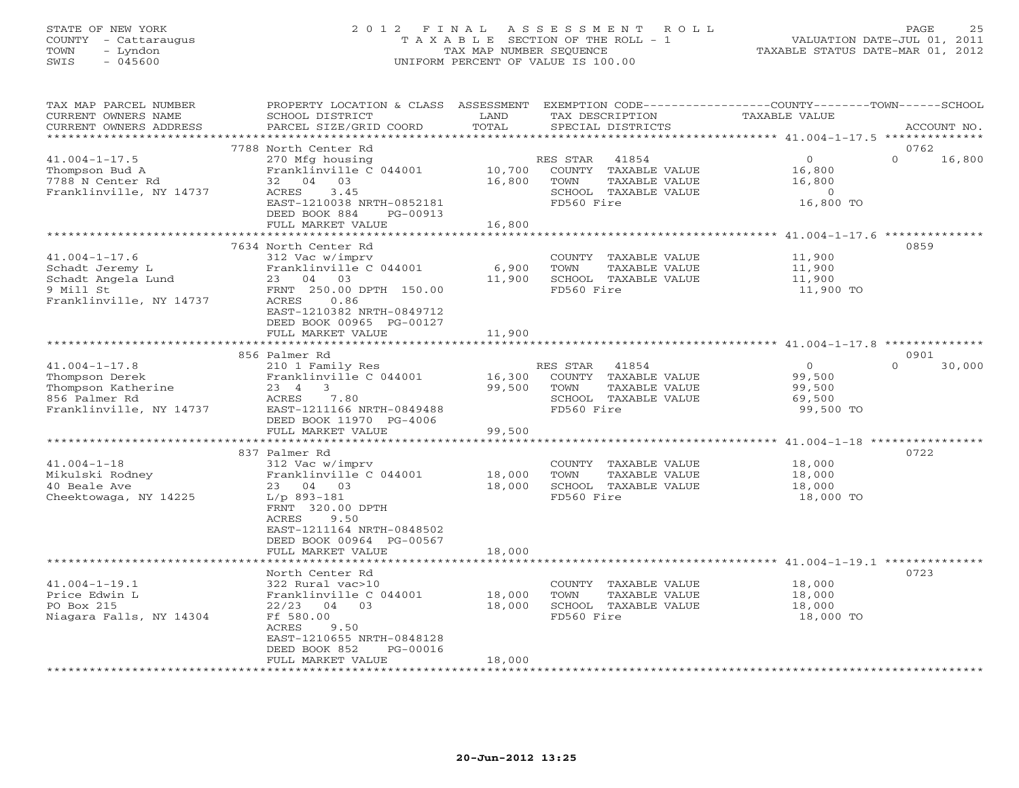# STATE OF NEW YORK 2 0 1 2 F I N A L A S S E S S M E N T R O L L PAGE 25 COUNTY - Cattaraugus T A X A B L E SECTION OF THE ROLL - 1 VALUATION DATE-JUL 01, 2011 TOWN - Lyndon TAX MAP NUMBER SEQUENCE TAXABLE STATUS DATE-MAR 01, 2012 SWIS - 045600 UNIFORM PERCENT OF VALUE IS 100.00

| TAX MAP PARCEL NUMBER<br>CURRENT OWNERS NAME<br>CURRENT OWNERS ADDRESS                                  | PROPERTY LOCATION & CLASS ASSESSMENT<br>SCHOOL DISTRICT<br>PARCEL SIZE/GRID COORD                                                                                                                       | LAND<br>TOTAL              | EXEMPTION CODE-----------------COUNTY-------TOWN------SCHOOL<br>TAX DESCRIPTION<br>SPECIAL DISTRICTS     | TAXABLE VALUE                                               | ACCOUNT NO.                |
|---------------------------------------------------------------------------------------------------------|---------------------------------------------------------------------------------------------------------------------------------------------------------------------------------------------------------|----------------------------|----------------------------------------------------------------------------------------------------------|-------------------------------------------------------------|----------------------------|
| *********************                                                                                   |                                                                                                                                                                                                         |                            |                                                                                                          |                                                             |                            |
| $41.004 - 1 - 17.5$<br>Thompson Bud A<br>7788 N Center Rd<br>Franklinville, NY 14737                    | 7788 North Center Rd<br>270 Mfg housing<br>Franklinville C 044001<br>04 03<br>32<br>3.45<br>ACRES<br>EAST-1210038 NRTH-0852181<br>DEED BOOK 884<br>PG-00913<br>FULL MARKET VALUE                        | 10,700<br>16,800<br>16,800 | 41854<br>RES STAR<br>COUNTY TAXABLE VALUE<br>TAXABLE VALUE<br>TOWN<br>SCHOOL TAXABLE VALUE<br>FD560 Fire | $\overline{O}$<br>16,800<br>16,800<br>$\Omega$<br>16,800 TO | 0762<br>$\Omega$<br>16,800 |
|                                                                                                         |                                                                                                                                                                                                         |                            |                                                                                                          |                                                             |                            |
| $41.004 - 1 - 17.6$<br>Schadt Jeremy L<br>Schadt Angela Lund<br>9 Mill St<br>Franklinville, NY 14737    | 7634 North Center Rd<br>312 Vac w/imprv<br>Franklinville C 044001<br>23 04 03<br>FRNT 250.00 DPTH 150.00<br>ACRES<br>0.86<br>EAST-1210382 NRTH-0849712<br>DEED BOOK 00965 PG-00127<br>FULL MARKET VALUE | 6,900<br>11,900<br>11,900  | COUNTY TAXABLE VALUE<br>TOWN<br>TAXABLE VALUE<br>SCHOOL TAXABLE VALUE<br>FD560 Fire                      | 11,900<br>11,900<br>11,900<br>11,900 TO                     | 0859                       |
|                                                                                                         |                                                                                                                                                                                                         |                            |                                                                                                          |                                                             |                            |
| $41.004 - 1 - 17.8$<br>Thompson Derek<br>Thompson Katherine<br>856 Palmer Rd<br>Franklinville, NY 14737 | 856 Palmer Rd<br>210 1 Family Res<br>Franklinville C 044001<br>23 4<br>$\overline{\mathbf{3}}$<br>ACRES<br>7.80<br>EAST-1211166 NRTH-0849488<br>DEED BOOK 11970 PG-4006<br>FULL MARKET VALUE            | 16,300<br>99,500<br>99,500 | RES STAR<br>41854<br>COUNTY TAXABLE VALUE<br>TOWN<br>TAXABLE VALUE<br>SCHOOL TAXABLE VALUE<br>FD560 Fire | $\overline{O}$<br>99,500<br>99,500<br>69,500<br>99,500 TO   | 0901<br>$\cap$<br>30,000   |
|                                                                                                         |                                                                                                                                                                                                         |                            |                                                                                                          |                                                             |                            |
| $41.004 - 1 - 18$<br>Mikulski Rodney<br>40 Beale Ave<br>Cheektowaga, NY 14225                           | 837 Palmer Rd<br>312 Vac w/imprv<br>Franklinville C 044001<br>23 04 03<br>$L/p$ 893-181<br>FRNT 320.00 DPTH<br>9.50<br>ACRES<br>EAST-1211164 NRTH-0848502<br>DEED BOOK 00964 PG-00567                   | 18,000<br>18,000           | COUNTY TAXABLE VALUE<br>TOWN<br>TAXABLE VALUE<br>SCHOOL TAXABLE VALUE<br>FD560 Fire                      | 18,000<br>18,000<br>18,000<br>18,000 TO                     | 0722                       |
|                                                                                                         | FULL MARKET VALUE                                                                                                                                                                                       | 18,000                     |                                                                                                          |                                                             |                            |
| $41.004 - 1 - 19.1$<br>Price Edwin L<br>PO Box 215<br>Niagara Falls, NY 14304                           | North Center Rd<br>322 Rural vac>10<br>Franklinville C 044001<br>04 03<br>22/23<br>Ff 580.00<br>ACRES<br>9.50<br>EAST-1210655 NRTH-0848128<br>DEED BOOK 852<br>PG-00016<br>FULL MARKET VALUE            | 18,000<br>18,000<br>18,000 | COUNTY TAXABLE VALUE<br>TOWN<br>TAXABLE VALUE<br>SCHOOL TAXABLE VALUE<br>FD560 Fire                      | 18,000<br>18,000<br>18,000<br>18,000 TO                     | 0723                       |
|                                                                                                         |                                                                                                                                                                                                         |                            |                                                                                                          |                                                             |                            |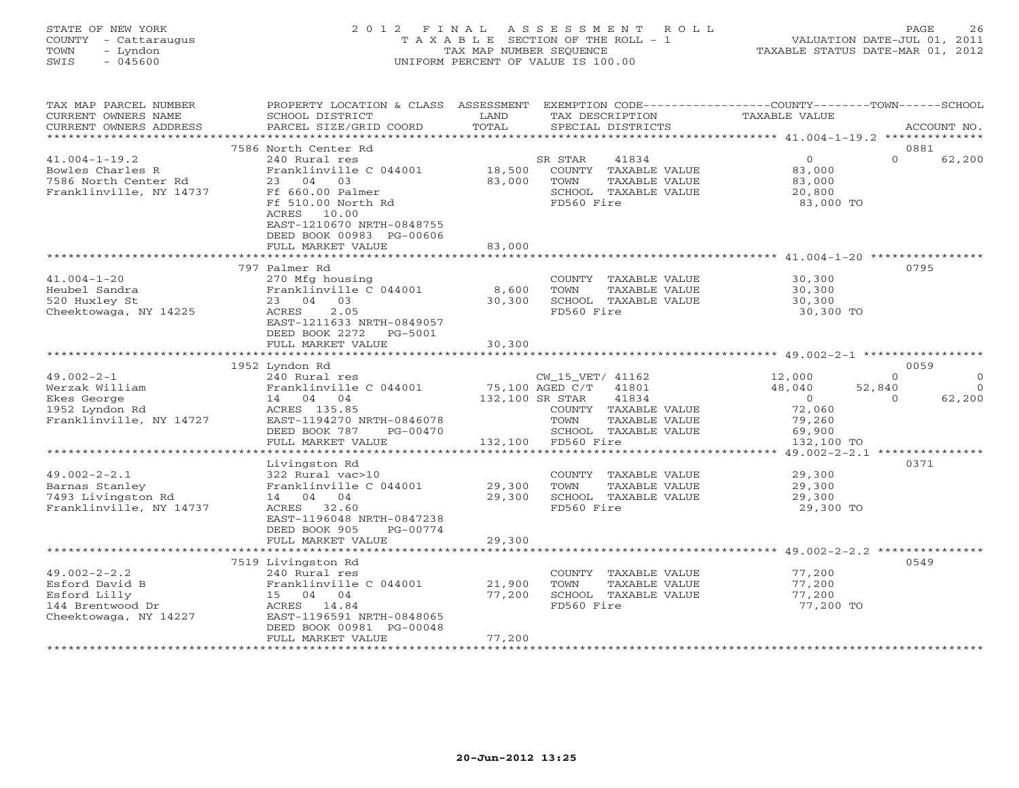### STATE OF NEW YORK 2 0 1 2 F I N A L A S S E S S M E N T R O L L PAGE 26 COUNTY - Cattaraugus T A X A B L E SECTION OF THE ROLL - 1 VALUATION DATE-JUL 01, 2011 TOWN - Lyndon TAX MAP NUMBER SEQUENCE TAXABLE STATUS DATE-MAR 01, 2012 SWIS - 045600 UNIFORM PERCENT OF VALUE IS 100.00UNIFORM PERCENT OF VALUE IS 100.00

| TAX MAP PARCEL NUMBER<br>CURRENT OWNERS NAME<br>CURRENT OWNERS ADDRESS                            | PROPERTY LOCATION & CLASS ASSESSMENT<br>SCHOOL DISTRICT<br>PARCEL SIZE/GRID COORD                                                                                                                                        | LAND<br>TOTAL              | TAX DESCRIPTION<br>SPECIAL DISTRICTS                                                                                                      | EXEMPTION CODE----------------COUNTY-------TOWN-----SCHOOL<br>TAXABLE VALUE                                      | ACCOUNT NO.                    |
|---------------------------------------------------------------------------------------------------|--------------------------------------------------------------------------------------------------------------------------------------------------------------------------------------------------------------------------|----------------------------|-------------------------------------------------------------------------------------------------------------------------------------------|------------------------------------------------------------------------------------------------------------------|--------------------------------|
| *********************                                                                             |                                                                                                                                                                                                                          |                            |                                                                                                                                           |                                                                                                                  |                                |
| $41.004 - 1 - 19.2$<br>Bowles Charles R<br>7586 North Center Rd<br>Franklinville, NY 14737        | 7586 North Center Rd<br>240 Rural res<br>Franklinville C 044001<br>23 04<br>03<br>Ff 660.00 Palmer<br>Ff 510.00 North Rd<br>ACRES<br>10.00<br>EAST-1210670 NRTH-0848755<br>DEED BOOK 00983 PG-00606<br>FULL MARKET VALUE | 18,500<br>83,000<br>83,000 | 41834<br>SR STAR<br>COUNTY TAXABLE VALUE<br>TOWN<br>TAXABLE VALUE<br>SCHOOL TAXABLE VALUE<br>FD560 Fire                                   | $\Omega$<br>$\circ$<br>83,000<br>83,000<br>20,800<br>83,000 TO                                                   | 0881<br>62,200                 |
|                                                                                                   |                                                                                                                                                                                                                          |                            |                                                                                                                                           |                                                                                                                  |                                |
| $41.004 - 1 - 20$<br>Heubel Sandra<br>520 Huxley St<br>Cheektowaga, NY 14225                      | 797 Palmer Rd<br>270 Mfg housing<br>Franklinville C 044001<br>23 04<br>03<br>2.05<br>ACRES<br>EAST-1211633 NRTH-0849057<br>DEED BOOK 2272<br>PG-5001<br>FULL MARKET VALUE                                                | 8,600<br>30,300<br>30,300  | COUNTY TAXABLE VALUE<br>TOWN<br>TAXABLE VALUE<br>SCHOOL TAXABLE VALUE<br>FD560 Fire                                                       | 30,300<br>30,300<br>30,300<br>30,300 TO                                                                          | 0795                           |
|                                                                                                   | 1952 Lyndon Rd                                                                                                                                                                                                           |                            |                                                                                                                                           |                                                                                                                  | 0059                           |
| $49.002 - 2 - 1$<br>Werzak William<br>Ekes George<br>1952 Lyndon Rd<br>Franklinville, NY 14727    | 240 Rural res<br>Franklinville C 044001<br>14 04 04<br>ACRES 135.85<br>EAST-1194270 NRTH-0846078<br>DEED BOOK 787<br>PG-00470<br>FULL MARKET VALUE                                                                       | 132,100 SR STAR<br>132,100 | CW_15_VET/ 41162<br>75,100 AGED C/T 41801<br>41834<br>COUNTY TAXABLE VALUE<br>TOWN<br>TAXABLE VALUE<br>SCHOOL TAXABLE VALUE<br>FD560 Fire | 12,000<br>$\Omega$<br>48,040<br>52,840<br>$\overline{0}$<br>$\Omega$<br>72,060<br>79,260<br>69,900<br>132,100 TO | $\Omega$<br>$\Omega$<br>62,200 |
|                                                                                                   |                                                                                                                                                                                                                          | ************               |                                                                                                                                           | ************************************** 49.002-2-2.1 ****************                                             |                                |
| $49.002 - 2 - 2.1$<br>Barnas Stanley<br>7493 Livingston Rd<br>Franklinville, NY 14737             | Livingston Rd<br>322 Rural vac>10<br>Franklinville C 044001<br>14 04 04<br>ACRES 32.60<br>EAST-1196048 NRTH-0847238<br>DEED BOOK 905<br>PG-00774<br>FULL MARKET VALUE                                                    | 29,300<br>29,300<br>29,300 | COUNTY TAXABLE VALUE<br>TAXABLE VALUE<br>TOWN<br>SCHOOL TAXABLE VALUE<br>FD560 Fire                                                       | 29,300<br>29,300<br>29,300<br>29,300 TO                                                                          | 0371                           |
|                                                                                                   |                                                                                                                                                                                                                          | * * * * * * * * * *        |                                                                                                                                           | *********************** 49.002-2-2.2 **********                                                                  |                                |
| $49.002 - 2 - 2.2$<br>Esford David B<br>Esford Lilly<br>144 Brentwood Dr<br>Cheektowaga, NY 14227 | 7519 Livingston Rd<br>240 Rural res<br>Franklinville C 044001<br>15 04 04<br>ACRES 14.84<br>EAST-1196591 NRTH-0848065<br>DEED BOOK 00981 PG-00048<br>FULL MARKET VALUE                                                   | 21,900<br>77,200<br>77,200 | COUNTY TAXABLE VALUE<br>TOWN<br>TAXABLE VALUE<br>SCHOOL TAXABLE VALUE<br>FD560 Fire                                                       | 77,200<br>77,200<br>77,200<br>77,200 TO                                                                          | 0549                           |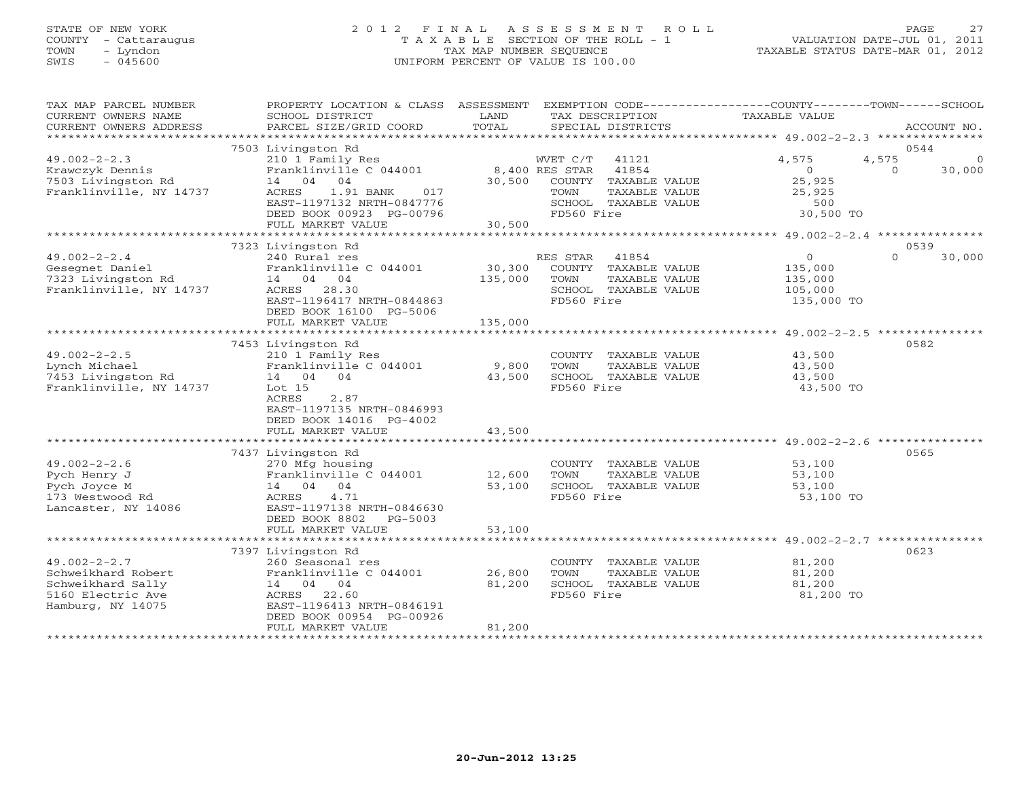# STATE OF NEW YORK 2 0 1 2 F I N A L A S S E S S M E N T R O L L PAGE 27 COUNTY - Cattaraugus T A X A B L E SECTION OF THE ROLL - 1 VALUATION DATE-JUL 01, 2011 TOWN - Lyndon TAX MAP NUMBER SEQUENCE TAXABLE STATUS DATE-MAR 01, 2012 SWIS - 045600 UNIFORM PERCENT OF VALUE IS 100.00UNIFORM PERCENT OF VALUE IS 100.00

| TAX MAP PARCEL NUMBER<br>CURRENT OWNERS NAME<br>CURRENT OWNERS ADDRESS                                  | PROPERTY LOCATION & CLASS ASSESSMENT<br>SCHOOL DISTRICT<br>PARCEL SIZE/GRID COORD                                                                   | LAND<br>TOTAL              | EXEMPTION CODE-----------------COUNTY-------TOWN------SCHOOL<br>TAX DESCRIPTION<br>SPECIAL DISTRICTS                                | <b>TAXABLE VALUE</b>                                            | ACCOUNT NO.                             |
|---------------------------------------------------------------------------------------------------------|-----------------------------------------------------------------------------------------------------------------------------------------------------|----------------------------|-------------------------------------------------------------------------------------------------------------------------------------|-----------------------------------------------------------------|-----------------------------------------|
|                                                                                                         |                                                                                                                                                     |                            |                                                                                                                                     |                                                                 |                                         |
|                                                                                                         | 7503 Livingston Rd                                                                                                                                  |                            |                                                                                                                                     |                                                                 | 0544                                    |
| $49.002 - 2 - 2.3$<br>Krawczyk Dennis<br>7503 Livingston Rd<br>Franklinville, NY 14737                  | 210 1 Family Res<br>Franklinville C 044001<br>14 04 04<br>ACRES<br>1.91 BANK<br>017<br>EAST-1197132 NRTH-0847776<br>DEED BOOK 00923 PG-00796        | 30,500                     | WVET C/T<br>41121<br>8,400 RES STAR<br>41854<br>COUNTY TAXABLE VALUE<br>TOWN<br>TAXABLE VALUE<br>SCHOOL TAXABLE VALUE<br>FD560 Fire | 4,575<br>$\overline{0}$<br>25,925<br>25,925<br>500<br>30,500 TO | 4,575<br>$\Omega$<br>$\Omega$<br>30,000 |
|                                                                                                         | FULL MARKET VALUE                                                                                                                                   | 30,500                     |                                                                                                                                     |                                                                 |                                         |
|                                                                                                         |                                                                                                                                                     |                            |                                                                                                                                     |                                                                 |                                         |
|                                                                                                         | 7323 Livingston Rd                                                                                                                                  |                            |                                                                                                                                     |                                                                 | 0539                                    |
| $49.002 - 2 - 2.4$                                                                                      | 240 Rural res                                                                                                                                       |                            | RES STAR<br>41854                                                                                                                   | $\circ$                                                         | $\Omega$<br>30,000                      |
| Gesegnet Daniel<br>7323 Livingston Rd<br>Franklinville, NY 14737                                        | Franklinville C 044001<br>14 04 04<br>ACRES 28.30<br>EAST-1196417 NRTH-0844863<br>DEED BOOK 16100 PG-5006                                           | 30,300<br>135,000          | COUNTY TAXABLE VALUE<br>TOWN<br>TAXABLE VALUE<br>SCHOOL TAXABLE VALUE<br>FD560 Fire                                                 | 135,000<br>135,000<br>105,000<br>135,000 TO                     |                                         |
|                                                                                                         | FULL MARKET VALUE                                                                                                                                   | 135,000                    |                                                                                                                                     |                                                                 |                                         |
|                                                                                                         |                                                                                                                                                     |                            |                                                                                                                                     |                                                                 |                                         |
|                                                                                                         | 7453 Livingston Rd                                                                                                                                  |                            |                                                                                                                                     |                                                                 | 0582                                    |
| $49.002 - 2 - 2.5$<br>Lynch Michael<br>7453 Livingston Rd<br>Franklinville, NY 14737                    | 210 1 Family Res<br>Franklinville C 044001<br>14 04 04<br>Lot $15$<br>2.87<br>ACRES<br>EAST-1197135 NRTH-0846993<br>DEED BOOK 14016 PG-4002         | 9,800<br>43,500            | COUNTY TAXABLE VALUE<br>TAXABLE VALUE<br>TOWN<br>SCHOOL TAXABLE VALUE<br>FD560 Fire                                                 | 43,500<br>43,500<br>43,500<br>43,500 TO                         |                                         |
|                                                                                                         | FULL MARKET VALUE                                                                                                                                   | 43,500                     |                                                                                                                                     |                                                                 |                                         |
|                                                                                                         |                                                                                                                                                     |                            |                                                                                                                                     |                                                                 |                                         |
| $49.002 - 2 - 2.6$<br>Pych Henry J<br>Pych Joyce M<br>173 Westwood Rd<br>Lancaster, NY 14086            | 7437 Livingston Rd<br>270 Mfg housing<br>Franklinville C 044001<br>14 04 04<br>4.71<br>ACRES<br>EAST-1197138 NRTH-0846630                           | 12,600<br>53,100           | COUNTY TAXABLE VALUE<br>TOWN<br>TAXABLE VALUE<br>SCHOOL TAXABLE VALUE<br>FD560 Fire                                                 | 53,100<br>53,100<br>53,100<br>53,100 TO                         | 0565                                    |
|                                                                                                         | DEED BOOK 8802<br>PG-5003<br>FULL MARKET VALUE                                                                                                      | 53,100                     |                                                                                                                                     |                                                                 |                                         |
|                                                                                                         |                                                                                                                                                     | *************              |                                                                                                                                     |                                                                 |                                         |
|                                                                                                         | 7397 Livingston Rd                                                                                                                                  |                            |                                                                                                                                     |                                                                 | 0623                                    |
| $49.002 - 2 - 2.7$<br>Schweikhard Robert<br>Schweikhard Sally<br>5160 Electric Ave<br>Hamburg, NY 14075 | 260 Seasonal res<br>Franklinville C 044001<br>14 04 04<br>ACRES 22.60<br>EAST-1196413 NRTH-0846191<br>DEED BOOK 00954 PG-00926<br>FULL MARKET VALUE | 26,800<br>81,200<br>81,200 | COUNTY TAXABLE VALUE<br>TOWN<br>TAXABLE VALUE<br>SCHOOL TAXABLE VALUE<br>FD560 Fire                                                 | 81,200<br>81,200<br>81,200<br>81,200 TO                         |                                         |
|                                                                                                         |                                                                                                                                                     |                            |                                                                                                                                     |                                                                 |                                         |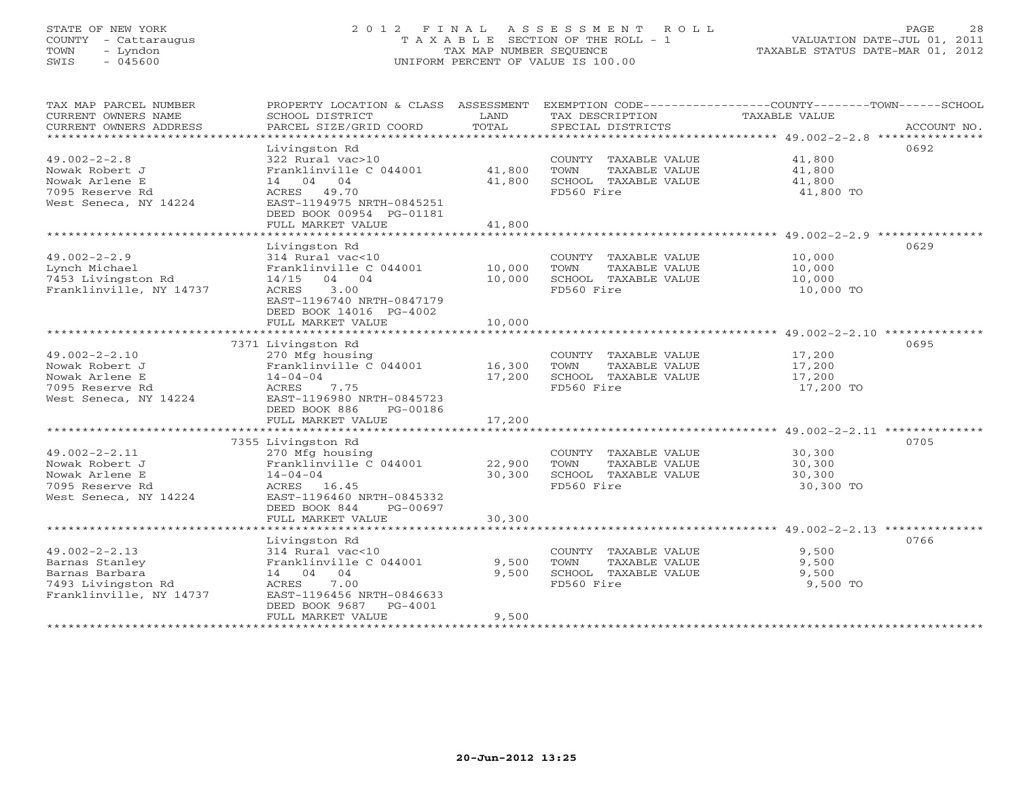# STATE OF NEW YORK 2 0 1 2 F I N A L A S S E S S M E N T R O L L PAGE 28 COUNTY - Cattaraugus T A X A B L E SECTION OF THE ROLL - 1 VALUATION DATE-JUL 01, 2011 TOWN - Lyndon TAX MAP NUMBER SEQUENCE TAXABLE STATUS DATE-MAR 01, 2012 SWIS - 045600 UNIFORM PERCENT OF VALUE IS 100.00UNIFORM PERCENT OF VALUE IS 100.00

| TAX MAP PARCEL NUMBER<br>CURRENT OWNERS NAME<br>CURRENT OWNERS ADDRESS<br>***********************        | PROPERTY LOCATION & CLASS<br>SCHOOL DISTRICT<br>PARCEL SIZE/GRID COORD                                                                                                                                       | ASSESSMENT<br>LAND<br>TOTAL                 | TAX DESCRIPTION<br>SPECIAL DISTRICTS                                                       | EXEMPTION CODE-----------------COUNTY-------TOWN-----SCHOOL<br>TAXABLE VALUE<br>ACCOUNT NO.                 |
|----------------------------------------------------------------------------------------------------------|--------------------------------------------------------------------------------------------------------------------------------------------------------------------------------------------------------------|---------------------------------------------|--------------------------------------------------------------------------------------------|-------------------------------------------------------------------------------------------------------------|
| $49.002 - 2 - 2.8$<br>Nowak Robert J<br>Nowak Arlene E<br>7095 Reserve Rd<br>West Seneca, NY 14224       | Livingston Rd<br>322 Rural vac>10<br>Franklinville C 044001<br>14 04 04<br>ACRES 49.70<br>EAST-1194975 NRTH-0845251<br>DEED BOOK 00954 PG-01181<br>FULL MARKET VALUE                                         | 41,800<br>41,800<br>41,800                  | COUNTY TAXABLE VALUE<br>TOWN<br>TAXABLE VALUE<br>SCHOOL TAXABLE VALUE<br>FD560 Fire        | 0692<br>41,800<br>41,800<br>41,800<br>41,800 TO                                                             |
| $49.002 - 2 - 2.9$<br>Lynch Michael<br>7453 Livingston Rd<br>Franklinville, NY 14737                     | Livingston Rd<br>314 Rural vac<10<br>Franklinville C 044001<br>14/15<br>04 04<br><b>ACRES</b><br>3.00<br>EAST-1196740 NRTH-0847179<br>DEED BOOK 14016 PG-4002<br>FULL MARKET VALUE                           | 10,000<br>10,000<br>10,000                  | COUNTY TAXABLE VALUE<br>TOWN<br>TAXABLE VALUE<br>SCHOOL TAXABLE VALUE<br>FD560 Fire        | 0629<br>10,000<br>10,000<br>10,000<br>10,000 TO                                                             |
|                                                                                                          |                                                                                                                                                                                                              |                                             |                                                                                            |                                                                                                             |
| $49.002 - 2 - 2.10$<br>Nowak Robert J<br>Nowak Arlene E<br>7095 Reserve Rd<br>West Seneca, NY 14224      | 7371 Livingston Rd<br>270 Mfg housing<br>Franklinville C 044001<br>$14 - 04 - 04$<br>ACRES<br>7.75<br>EAST-1196980 NRTH-0845723<br>DEED BOOK 886<br>PG-00186                                                 | 16,300<br>17,200                            | COUNTY TAXABLE VALUE<br>TOWN<br>TAXABLE VALUE<br>SCHOOL TAXABLE VALUE<br>FD560 Fire        | 0695<br>17,200<br>17,200<br>17,200<br>17,200 TO                                                             |
|                                                                                                          | FULL MARKET VALUE                                                                                                                                                                                            | 17,200                                      |                                                                                            |                                                                                                             |
| $49.002 - 2 - 2.11$<br>Nowak Robert J<br>Nowak Arlene E<br>7095 Reserve Rd<br>West Seneca, NY 14224      | *************************<br>7355 Livingston Rd<br>270 Mfg housing<br>Franklinville C 044001<br>$14 - 04 - 04$<br>ACRES 16.45<br>EAST-1196460 NRTH-0845332<br>DEED BOOK 844<br>PG-00697<br>FULL MARKET VALUE | *************<br>22,900<br>30,300<br>30,300 | COUNTY TAXABLE VALUE<br><b>TOWN</b><br>TAXABLE VALUE<br>SCHOOL TAXABLE VALUE<br>FD560 Fire | ******************************* 49.002-2-2.11 **********<br>0705<br>30,300<br>30,300<br>30,300<br>30,300 TO |
|                                                                                                          |                                                                                                                                                                                                              |                                             |                                                                                            |                                                                                                             |
| $49.002 - 2 - 2.13$<br>Barnas Stanley<br>Barnas Barbara<br>7493 Livingston Rd<br>Franklinville, NY 14737 | Livingston Rd<br>314 Rural vac<10<br>Franklinville C 044001<br>14 04 04<br>ACRES<br>7.00<br>EAST-1196456 NRTH-0846633<br>DEED BOOK 9687<br>$PG-4001$<br>FULL MARKET VALUE                                    | 9,500<br>9,500<br>9,500                     | COUNTY TAXABLE VALUE<br>TOWN<br>TAXABLE VALUE<br>SCHOOL TAXABLE VALUE<br>FD560 Fire        | 0766<br>9,500<br>9,500<br>9,500<br>9,500 TO                                                                 |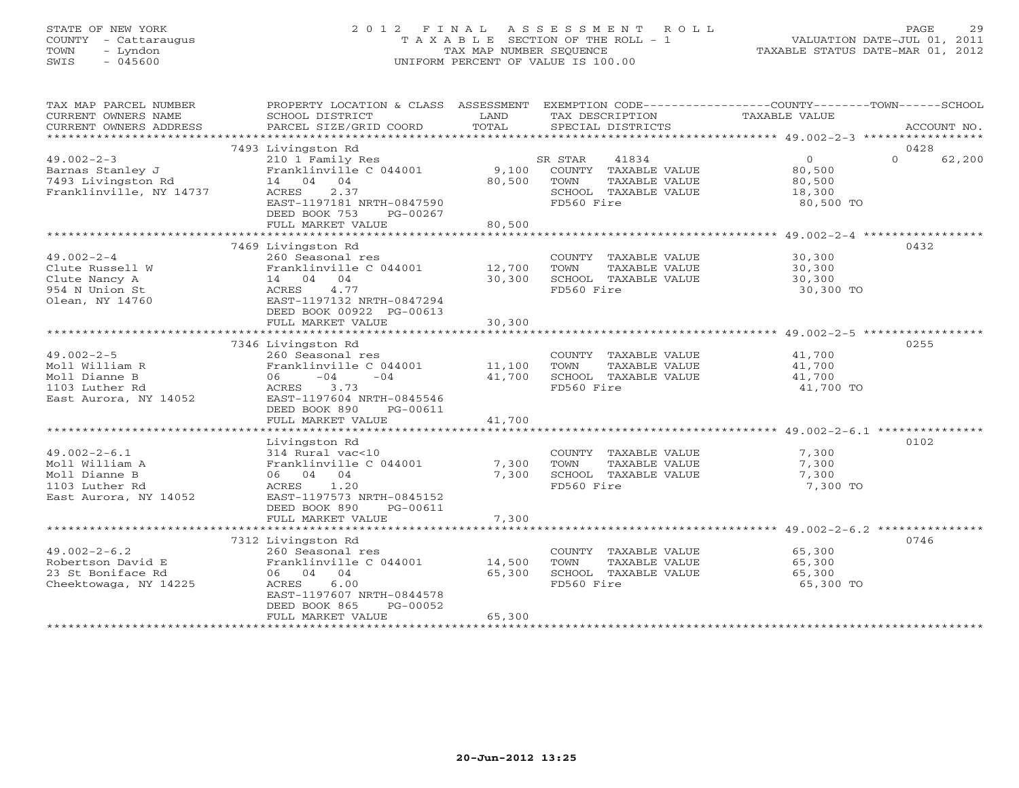# STATE OF NEW YORK 2 0 1 2 F I N A L A S S E S S M E N T R O L L PAGE 29 COUNTY - Cattaraugus T A X A B L E SECTION OF THE ROLL - 1 VALUATION DATE-JUL 01, 2011 TOWN - Lyndon TAX MAP NUMBER SEQUENCE TAXABLE STATUS DATE-MAR 01, 2012 SWIS - 045600 UNIFORM PERCENT OF VALUE IS 100.00UNIFORM PERCENT OF VALUE IS 100.00

| TAX MAP PARCEL NUMBER<br>CURRENT OWNERS NAME<br>CURRENT OWNERS ADDRESS                           | PROPERTY LOCATION & CLASS ASSESSMENT<br>SCHOOL DISTRICT<br>PARCEL SIZE/GRID COORD                                                                                            | LAND<br>TOTAL              | EXEMPTION CODE-----------------COUNTY-------TOWN------SCHOOL<br>TAX DESCRIPTION TAXABLE VALUE<br>SPECIAL DISTRICTS |                                              | ACCOUNT NO.        |
|--------------------------------------------------------------------------------------------------|------------------------------------------------------------------------------------------------------------------------------------------------------------------------------|----------------------------|--------------------------------------------------------------------------------------------------------------------|----------------------------------------------|--------------------|
|                                                                                                  | 7493 Livingston Rd                                                                                                                                                           |                            |                                                                                                                    |                                              | 0428               |
| $49.002 - 2 - 3$<br>Barnas Stanley J<br>7493 Livingston Rd<br>Franklinville, NY 14737            | 210 1 Family Res<br>Franklinville C 044001<br>14 04 04<br>2.37<br>ACRES<br>EAST-1197181 NRTH-0847590<br>DEED BOOK 753<br>PG-00267<br>FULL MARKET VALUE                       | 9,100<br>80,500<br>80,500  | SR STAR<br>41834<br>COUNTY TAXABLE VALUE<br>TOWN<br>TAXABLE VALUE<br>SCHOOL TAXABLE VALUE<br>FD560 Fire            | 0<br>80,500<br>80,500<br>18,300<br>80,500 TO | $\Omega$<br>62,200 |
|                                                                                                  |                                                                                                                                                                              |                            |                                                                                                                    |                                              |                    |
| $49.002 - 2 - 4$<br>Clute Russell W<br>Clute Nancy A<br>954 N Union St<br>Olean, NY 14760        | 7469 Livingston Rd<br>260 Seasonal res<br>Franklinville C 044001 12,700<br>14 04 04<br>4.77<br>ACRES<br>EAST-1197132 NRTH-0847294<br>DEED BOOK 00922 PG-00613                | 30,300                     | COUNTY TAXABLE VALUE 30,300<br>TOWN<br>TAXABLE VALUE<br>SCHOOL TAXABLE VALUE<br>FD560 Fire                         | $30,30,$<br>$30,300$<br>30,300 TO            | 0432               |
|                                                                                                  | FULL MARKET VALUE                                                                                                                                                            | 30,300                     |                                                                                                                    |                                              |                    |
|                                                                                                  |                                                                                                                                                                              |                            |                                                                                                                    |                                              |                    |
|                                                                                                  | 7346 Livingston Rd                                                                                                                                                           |                            |                                                                                                                    |                                              | 0255               |
| $49.002 - 2 - 5$<br>Moll William R<br>Moll Dianne B<br>1103 Luther Rd<br>East Aurora, NY 14052   | 260 Seasonal res<br>Franklinville C 044001 11,100<br>$-04$<br>$-04$<br>06 —<br>3.73<br>ACRES<br>EAST-1197604 NRTH-0845546<br>DEED BOOK 890<br>PG-00611                       | 41,700                     | COUNTY TAXABLE VALUE 41,700<br>TOWN<br>TAXABLE VALUE<br>SCHOOL TAXABLE VALUE<br>FD560 Fire                         | 41,700<br>41,700<br>41,700 TO                |                    |
|                                                                                                  | FULL MARKET VALUE                                                                                                                                                            | 41,700                     |                                                                                                                    |                                              |                    |
|                                                                                                  |                                                                                                                                                                              |                            |                                                                                                                    |                                              |                    |
| $49.002 - 2 - 6.1$<br>Moll William A<br>Moll Dianne B<br>1103 Luther Rd<br>East Aurora, NY 14052 | Livingston Rd<br>314 Rural vac<10<br>Franklinville C 044001<br>06 04 04<br>1.20<br>ACRES<br>EAST-1197573 NRTH-0845152<br>DEED BOOK 890<br>PG-00611<br>FULL MARKET VALUE      | 7,300<br>7,300<br>7,300    | COUNTY TAXABLE VALUE<br>TAXABLE VALUE<br>SCHOOL TAXABLE VALUE<br>FD560 Fire                                        | 7,300<br>7,300<br>7,300<br>7,300 TO          | 0102               |
|                                                                                                  |                                                                                                                                                                              |                            |                                                                                                                    |                                              |                    |
| $49.002 - 2 - 6.2$<br>Robertson David E<br>23 St Boniface Rd<br>Cheektowaga, NY 14225            | 7312 Livingston Rd<br>260 Seasonal res<br>Franklinville C 044001<br>06 04 04<br>6.00<br>ACRES<br>EAST-1197607 NRTH-0844578<br>DEED BOOK 865<br>PG-00052<br>FULL MARKET VALUE | 14,500<br>65,300<br>65,300 | COUNTY TAXABLE VALUE<br>TOWN<br>TAXABLE VALUE<br>SCHOOL TAXABLE VALUE<br>FD560 Fire                                | 65,300<br>65,300<br>65,300<br>65,300 TO      | 0746               |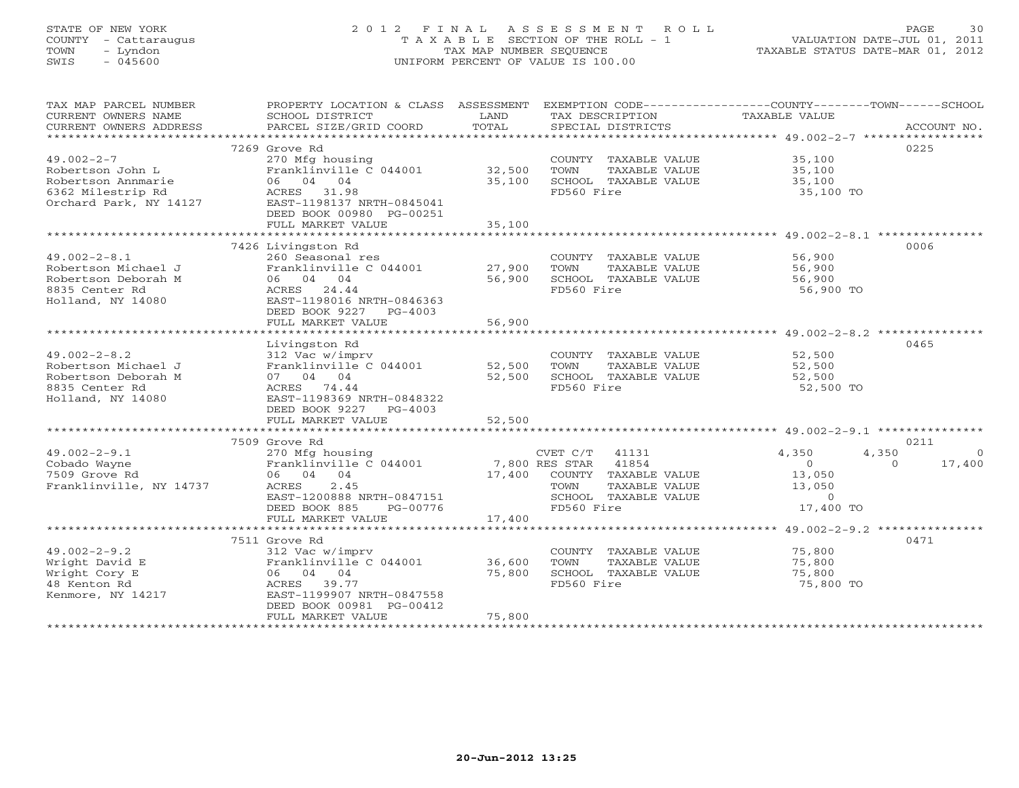# STATE OF NEW YORK 2 0 1 2 F I N A L A S S E S S M E N T R O L L PAGE 30 COUNTY - Cattaraugus T A X A B L E SECTION OF THE ROLL - 1 VALUATION DATE-JUL 01, 2011 TOWN - Lyndon TAX MAP NUMBER SEQUENCE TAXABLE STATUS DATE-MAR 01, 2012 SWIS - 045600 UNIFORM PERCENT OF VALUE IS 100.00UNIFORM PERCENT OF VALUE IS 100.00

| TAX MAP PARCEL NUMBER<br>CURRENT OWNERS NAME<br>CURRENT OWNERS ADDRESS | PROPERTY LOCATION & CLASS ASSESSMENT<br>SCHOOL DISTRICT<br>PARCEL SIZE/GRID COORD | LAND<br>TOTAL | TAX DESCRIPTION<br>SPECIAL DISTRICTS | EXEMPTION CODE-----------------COUNTY-------TOWN------SCHOOL<br>TAXABLE VALUE | ACCOUNT NO. |
|------------------------------------------------------------------------|-----------------------------------------------------------------------------------|---------------|--------------------------------------|-------------------------------------------------------------------------------|-------------|
|                                                                        |                                                                                   |               |                                      |                                                                               |             |
|                                                                        | 7269 Grove Rd                                                                     |               |                                      | 0225                                                                          |             |
| $49.002 - 2 - 7$                                                       | 270 Mfg housing                                                                   |               | COUNTY TAXABLE VALUE                 | 35,100                                                                        |             |
| Robertson John L                                                       | Franklinville C 044001                                                            | 32,500        | TAXABLE VALUE<br>TOWN                | 35,100                                                                        |             |
| Robertson Annmarie                                                     | 06 04 04                                                                          | 35,100        | SCHOOL TAXABLE VALUE                 | 35,100                                                                        |             |
| 6362 Milestrip Rd                                                      | ACRES 31.98                                                                       |               | FD560 Fire                           | 35,100 TO                                                                     |             |
| Orchard Park, NY 14127                                                 | EAST-1198137 NRTH-0845041                                                         |               |                                      |                                                                               |             |
|                                                                        | DEED BOOK 00980 PG-00251                                                          |               |                                      |                                                                               |             |
|                                                                        | FULL MARKET VALUE                                                                 | 35,100        |                                      |                                                                               |             |
|                                                                        |                                                                                   |               |                                      |                                                                               |             |
|                                                                        | 7426 Livingston Rd                                                                |               |                                      | 0006                                                                          |             |
| $49.002 - 2 - 8.1$                                                     | 260 Seasonal res                                                                  |               | COUNTY TAXABLE VALUE                 | 56,900                                                                        |             |
| Robertson Michael J                                                    | Franklinville C 044001                                                            | 27,900        | TOWN<br>TAXABLE VALUE                | 56,900                                                                        |             |
| Robertson Deborah M                                                    | 06 04 04                                                                          | 56,900        | SCHOOL TAXABLE VALUE                 | 56,900                                                                        |             |
| 8835 Center Rd                                                         | ACRES 24.44                                                                       |               | FD560 Fire                           | 56,900 TO                                                                     |             |
| Holland, NY 14080                                                      | EAST-1198016 NRTH-0846363                                                         |               |                                      |                                                                               |             |
|                                                                        | DEED BOOK 9227 PG-4003                                                            |               |                                      |                                                                               |             |
|                                                                        | FULL MARKET VALUE                                                                 | 56,900        |                                      |                                                                               |             |
|                                                                        |                                                                                   |               |                                      |                                                                               |             |
|                                                                        | Livingston Rd                                                                     |               |                                      | 0465                                                                          |             |
| $49.002 - 2 - 8.2$                                                     | 312 Vac w/imprv                                                                   |               | COUNTY TAXABLE VALUE                 | 52,500                                                                        |             |
| Robertson Michael J                                                    | Franklinville C 044001                                                            | 52,500        | TOWN<br>TAXABLE VALUE                | 52,500                                                                        |             |
| Robertson Deborah M                                                    | 07 04 04                                                                          | 52,500        | SCHOOL TAXABLE VALUE                 | 52,500                                                                        |             |
| 8835 Center Rd                                                         | ACRES 74.44                                                                       |               | FD560 Fire                           | 52,500 TO                                                                     |             |
| Holland, NY 14080                                                      | EAST-1198369 NRTH-0848322                                                         |               |                                      |                                                                               |             |
|                                                                        | DEED BOOK 9227 PG-4003                                                            |               |                                      |                                                                               |             |
|                                                                        | FULL MARKET VALUE                                                                 | 52,500        |                                      |                                                                               |             |
|                                                                        |                                                                                   |               |                                      |                                                                               |             |
|                                                                        | 7509 Grove Rd                                                                     |               |                                      | 0211                                                                          |             |
| $49.002 - 2 - 9.1$                                                     | 270 Mfg housing                                                                   |               | CVET C/T<br>41131                    | 4,350<br>4,350                                                                | $\Omega$    |
| Cobado Wayne                                                           | Franklinville C 044001                                                            |               | 7,800 RES STAR 41854                 | $\overline{0}$<br>$\Omega$                                                    | 17,400      |
| 7509 Grove Rd                                                          | 06 04 04                                                                          | 17,400        | COUNTY TAXABLE VALUE                 | 13,050                                                                        |             |
| Franklinville, NY 14737                                                | ACRES<br>2.45                                                                     |               | TOWN<br>TAXABLE VALUE                | 13,050                                                                        |             |
|                                                                        | EAST-1200888 NRTH-0847151                                                         |               | SCHOOL TAXABLE VALUE                 | $\circ$                                                                       |             |
|                                                                        | DEED BOOK 885<br>PG-00776                                                         |               | FD560 Fire                           | 17,400 TO                                                                     |             |
|                                                                        | FULL MARKET VALUE                                                                 | 17,400        |                                      |                                                                               |             |
|                                                                        |                                                                                   |               |                                      |                                                                               |             |
|                                                                        | 7511 Grove Rd                                                                     |               |                                      | 0471                                                                          |             |
| $49.002 - 2 - 9.2$                                                     | 312 Vac w/imprv                                                                   |               | COUNTY TAXABLE VALUE                 | 75,800                                                                        |             |
| Wright David E                                                         | Franklinville C 044001                                                            | 36,600        | TAXABLE VALUE<br>TOWN                | 75,800                                                                        |             |
| Wright Cory E                                                          | 06 04 04                                                                          | 75,800        | SCHOOL TAXABLE VALUE                 | 75,800                                                                        |             |
| 48 Kenton Rd                                                           | ACRES 39.77                                                                       |               | FD560 Fire                           | 75,800 TO                                                                     |             |
| Kenmore, NY 14217                                                      | EAST-1199907 NRTH-0847558                                                         |               |                                      |                                                                               |             |
|                                                                        | DEED BOOK 00981 PG-00412                                                          |               |                                      |                                                                               |             |
|                                                                        | FULL MARKET VALUE                                                                 | 75,800        |                                      |                                                                               |             |
|                                                                        |                                                                                   |               |                                      |                                                                               |             |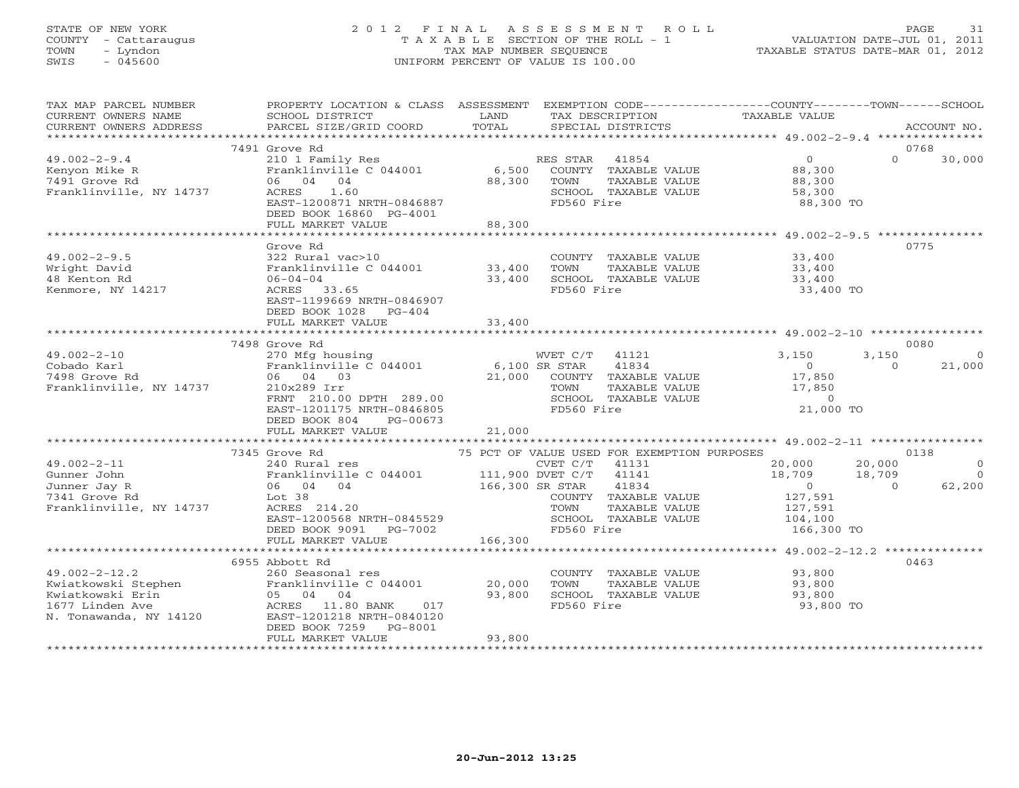# STATE OF NEW YORK 2 0 1 2 F I N A L A S S E S S M E N T R O L L PAGE 31 COUNTY - Cattaraugus T A X A B L E SECTION OF THE ROLL - 1 VALUATION DATE-JUL 01, 2011 TOWN - Lyndon TAX MAP NUMBER SEQUENCE TAXABLE STATUS DATE-MAR 01, 2012 SWIS - 045600 UNIFORM PERCENT OF VALUE IS 100.00UNIFORM PERCENT OF VALUE IS 100.00

| TAX MAP PARCEL NUMBER<br>CURRENT OWNERS NAME<br>CURRENT OWNERS ADDRESS                                                          | PROPERTY LOCATION & CLASS ASSESSMENT<br>SCHOOL DISTRICT<br>PARCEL SIZE/GRID COORD                                                                                                                                                 | LAND<br>TOTAL    | TAX DESCRIPTION<br>SPECIAL DISTRICTS                                                                                                                          | EXEMPTION CODE-----------------COUNTY-------TOWN------SCHOOL<br>TAXABLE VALUE                               | ACCOUNT NO.                                       |
|---------------------------------------------------------------------------------------------------------------------------------|-----------------------------------------------------------------------------------------------------------------------------------------------------------------------------------------------------------------------------------|------------------|---------------------------------------------------------------------------------------------------------------------------------------------------------------|-------------------------------------------------------------------------------------------------------------|---------------------------------------------------|
|                                                                                                                                 |                                                                                                                                                                                                                                   |                  |                                                                                                                                                               |                                                                                                             |                                                   |
| $49.002 - 2 - 9.4$<br>Kenyon Mike R<br>7491 Grove Rd<br>Franklinville, NY 14737                                                 | 7491 Grove Rd<br>210 1 Family Res<br>Franklinville C 044001<br>06 04 04<br>1.60<br>ACRES<br>EAST-1200871 NRTH-0846887                                                                                                             | 6,500<br>88,300  | RES STAR<br>41854<br>COUNTY TAXABLE VALUE<br>TAXABLE VALUE<br>TOWN<br>SCHOOL TAXABLE VALUE<br>FD560 Fire                                                      | $\overline{0}$<br>88,300<br>88,300<br>58,300<br>88,300 TO                                                   | 0768<br>$\Omega$<br>30,000                        |
|                                                                                                                                 | DEED BOOK 16860 PG-4001<br>FULL MARKET VALUE                                                                                                                                                                                      | 88,300           |                                                                                                                                                               |                                                                                                             |                                                   |
|                                                                                                                                 |                                                                                                                                                                                                                                   |                  |                                                                                                                                                               |                                                                                                             |                                                   |
| $49.002 - 2 - 9.5$<br>Wright David<br>48 Kenton Rd<br>Kenmore, NY 14217                                                         | Grove Rd<br>322 Rural vac>10<br>Franklinville C 044001<br>$06 - 04 - 04$<br>ACRES 33.65<br>EAST-1199669 NRTH-0846907<br>DEED BOOK 1028 PG-404                                                                                     | 33,400<br>33,400 | COUNTY TAXABLE VALUE 33,400<br>TAXABLE VALUE<br>TOWN<br>SCHOOL TAXABLE VALUE<br>FD560 Fire                                                                    | 33,400<br>33,400<br>33,400<br>33,400 TO                                                                     | 0775                                              |
|                                                                                                                                 | FULL MARKET VALUE                                                                                                                                                                                                                 | 33,400           |                                                                                                                                                               |                                                                                                             |                                                   |
|                                                                                                                                 | 7498 Grove Rd                                                                                                                                                                                                                     |                  |                                                                                                                                                               |                                                                                                             | 0080                                              |
| $49.002 - 2 - 10$<br>Cobado Karl<br>7498 Grove Rd<br>Franklinville, NY 14737                                                    | 270 Mfg housing<br>Franklinville $C$ 044001 6,100 SR STAR<br>06 04 03<br>210x289 Irr<br>FRNT 210.00 DPTH 289.00<br>EAST-1201175 NRTH-0846805<br>DEED BOOK 804<br>PG-00673<br>FULL MARKET VALUE                                    | 21,000           | WVET C/T 41121<br>41834<br>21,000 COUNTY TAXABLE VALUE<br>TOWN<br>TAXABLE VALUE<br>SCHOOL TAXABLE VALUE<br>FD560 Fire                                         | 3,150<br>3,150<br>$\begin{smallmatrix}&&0\17,850\end{smallmatrix}$<br>17,850<br>$\overline{0}$<br>21,000 TO | $\overline{0}$<br>21,000<br>$\Omega$              |
|                                                                                                                                 |                                                                                                                                                                                                                                   |                  |                                                                                                                                                               |                                                                                                             |                                                   |
| $49.002 - 2 - 11$<br>Gunner John<br>Junner Jay R<br>7341 Grove Rd<br>Franklinville, NY 14737                                    | 7345 Grove Rd<br>Grove $\sim$ 240 Rural res<br>Pranklinville C 044001 111,900 DVET C/T<br>$\sim$ 166,300 SR STAR<br>Lot <sub>38</sub><br>ACRES 214.20<br>EAST-1200568 NRTH-0845529<br>DEED BOOK 9091 PG-7002<br>FULL MARKET VALUE | 166,300          | 75 PCT OF VALUE USED FOR EXEMPTION PURPOSES<br>41131<br>41141<br>41834<br>COUNTY TAXABLE VALUE<br>TOWN<br>TAXABLE VALUE<br>SCHOOL TAXABLE VALUE<br>FD560 Fire | 20,000<br>20,000<br>18,709<br>18,709<br>$\overline{0}$<br>127,591<br>127,591<br>104,100<br>166,300 TO       | 0138<br>$\circ$<br>$\Omega$<br>$\Omega$<br>62,200 |
|                                                                                                                                 |                                                                                                                                                                                                                                   |                  |                                                                                                                                                               |                                                                                                             |                                                   |
| $49.002 - 2 - 12.2$<br>Kwiatkowski Stephen<br>Kwiatkowski Erin<br>Kwiatkowski Erin<br>1677 Linden Ave<br>N. Tonawanda, NY 14120 | 6955 Abbott Rd<br>260 Seasonal res<br>Franklinville C 044001 20,000<br>05 04 04<br>ACRES 11.80 BANK<br>017<br>EAST-1201218 NRTH-0840120<br>DEED BOOK 7259 PG-8001<br>FULL MARKET VALUE                                            | 93,800<br>93,800 | COUNTY TAXABLE VALUE<br>TAXABLE VALUE<br>TOWN<br>SCHOOL TAXABLE VALUE<br>FD560 Fire                                                                           | 93,800<br>93,800<br>93,800<br>93,800 TO                                                                     | 0463                                              |
|                                                                                                                                 |                                                                                                                                                                                                                                   |                  |                                                                                                                                                               |                                                                                                             |                                                   |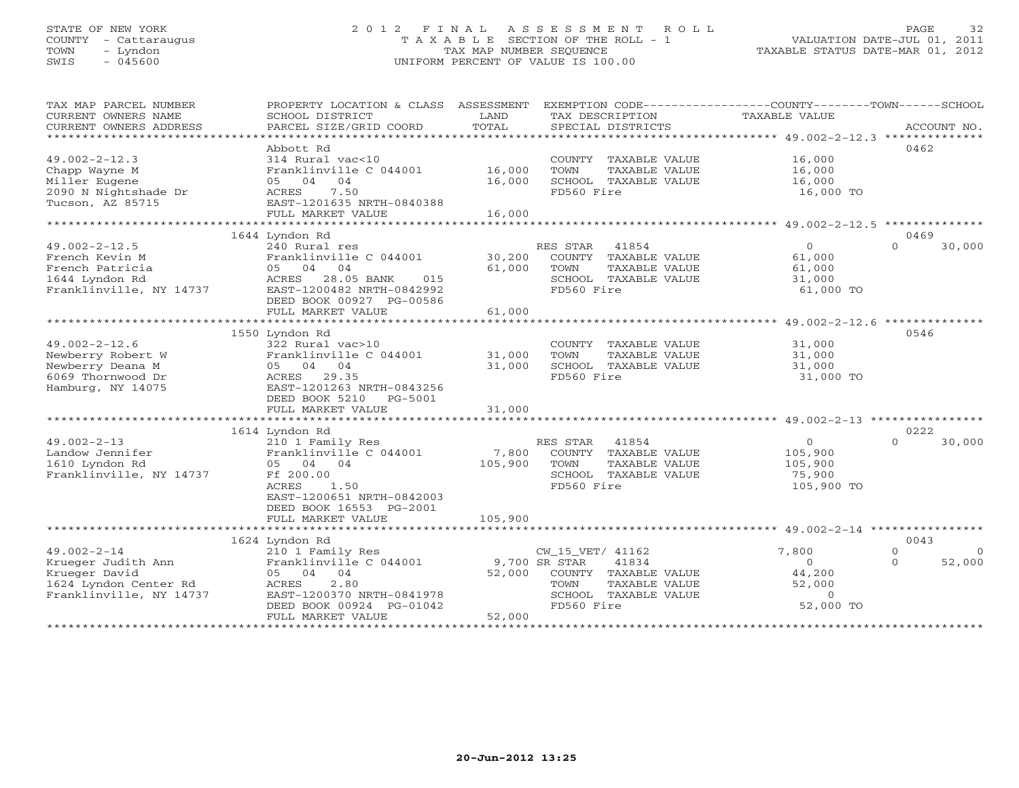# STATE OF NEW YORK 2 0 1 2 F I N A L A S S E S S M E N T R O L L PAGE 32 COUNTY - Cattaraugus T A X A B L E SECTION OF THE ROLL - 1 VALUATION DATE-JUL 01, 2011 TOWN - Lyndon TAX MAP NUMBER SEQUENCE TAXABLE STATUS DATE-MAR 01, 2012 SWIS - 045600 UNIFORM PERCENT OF VALUE IS 100.00

| TAX MAP PARCEL NUMBER<br>CURRENT OWNERS NAME<br>CURRENT OWNERS ADDRESS                                       | PROPERTY LOCATION & CLASS ASSESSMENT<br>SCHOOL DISTRICT<br>PARCEL SIZE/GRID COORD<br>***********************                                                                            | LAND<br>TOTAL<br>**************** | EXEMPTION CODE-----------------COUNTY-------TOWN------SCHOOL<br>TAX DESCRIPTION<br>SPECIAL DISTRICTS                              | <b>TAXABLE VALUE</b>                                          | ACCOUNT NO.                                |
|--------------------------------------------------------------------------------------------------------------|-----------------------------------------------------------------------------------------------------------------------------------------------------------------------------------------|-----------------------------------|-----------------------------------------------------------------------------------------------------------------------------------|---------------------------------------------------------------|--------------------------------------------|
| $49.002 - 2 - 12.3$<br>Chapp Wayne M<br>Miller Eugene<br>2090 N Nightshade Dr<br>Tucson, AZ 85715            | Abbott Rd<br>314 Rural vac<10<br>Franklinville C 044001<br>05 04<br>04<br>7.50<br>ACRES<br>EAST-1201635 NRTH-0840388<br>FULL MARKET VALUE                                               | 16,000<br>16,000<br>16,000        | COUNTY TAXABLE VALUE<br>TAXABLE VALUE<br>TOWN<br>SCHOOL TAXABLE VALUE<br>FD560 Fire                                               | 16,000<br>16,000<br>16,000<br>16,000 TO                       | 0462                                       |
|                                                                                                              |                                                                                                                                                                                         |                                   |                                                                                                                                   |                                                               |                                            |
| $49.002 - 2 - 12.5$<br>French Kevin M<br>French Patricia<br>1644 Lyndon Rd<br>Franklinville, NY 14737        | 1644 Lyndon Rd<br>240 Rural res<br>Franklinville C 044001<br>04<br>04<br>05<br>28.05 BANK<br>ACRES<br>015<br>EAST-1200482 NRTH-0842992<br>DEED BOOK 00927 PG-00586<br>FULL MARKET VALUE | 30,200<br>61,000<br>61,000        | RES STAR<br>41854<br>COUNTY TAXABLE VALUE<br>TOWN<br>TAXABLE VALUE<br>SCHOOL TAXABLE VALUE<br>FD560 Fire                          | $\Omega$<br>61,000<br>61,000<br>31,000<br>61,000 TO           | 0469<br>$\Omega$<br>30,000                 |
|                                                                                                              |                                                                                                                                                                                         |                                   |                                                                                                                                   | ******************** 49.002-2-12.6 **************             |                                            |
| $49.002 - 2 - 12.6$<br>Newberry Robert W<br>Newberry Deana M<br>6069 Thornwood Dr<br>Hamburg, NY 14075       | 1550 Lyndon Rd<br>322 Rural vac>10<br>Franklinville C 044001<br>05 04 04<br>ACRES<br>29.35<br>EAST-1201263 NRTH-0843256<br>DEED BOOK 5210<br>PG-5001<br>FULL MARKET VALUE               | 31,000<br>31,000<br>31,000        | COUNTY TAXABLE VALUE<br>TAXABLE VALUE<br>TOWN<br>SCHOOL TAXABLE VALUE<br>FD560 Fire                                               | 31,000<br>31,000<br>31,000<br>31,000 TO                       | 0546                                       |
|                                                                                                              | 1614 Lyndon Rd                                                                                                                                                                          |                                   |                                                                                                                                   |                                                               | 0222                                       |
| $49.002 - 2 - 13$<br>Landow Jennifer<br>1610 Lyndon Rd<br>Franklinville, NY 14737                            | 210 1 Family Res<br>Franklinville C 044001<br>05 04<br>04<br>Ff 200.00<br>1.50<br>ACRES<br>EAST-1200651 NRTH-0842003<br>DEED BOOK 16553 PG-2001                                         | 7,800<br>105,900                  | 41854<br>RES STAR<br>COUNTY TAXABLE VALUE<br>TAXABLE VALUE<br>TOWN<br>SCHOOL TAXABLE VALUE<br>FD560 Fire                          | $\circ$<br>105,900<br>105,900<br>75,900<br>105,900 TO         | 30,000<br>$\cap$                           |
|                                                                                                              | FULL MARKET VALUE                                                                                                                                                                       | 105,900                           |                                                                                                                                   |                                                               |                                            |
|                                                                                                              | 1624 Lyndon Rd                                                                                                                                                                          |                                   |                                                                                                                                   |                                                               | 0043                                       |
| $49.002 - 2 - 14$<br>Krueger Judith Ann<br>Krueger David<br>1624 Lyndon Center Rd<br>Franklinville, NY 14737 | 210 1 Family Res<br>Franklinville C 044001<br>04 04<br>05<br>2.80<br>ACRES<br>EAST-1200370 NRTH-0841978<br>DEED BOOK 00924 PG-01042<br>FULL MARKET VALUE<br>**************************  | 52,000<br>52,000                  | CW_15_VET/ 41162<br>41834<br>9,700 SR STAR<br>COUNTY TAXABLE VALUE<br>TAXABLE VALUE<br>TOWN<br>SCHOOL TAXABLE VALUE<br>FD560 Fire | 7,800<br>$\Omega$<br>44,200<br>52,000<br>$\circ$<br>52,000 TO | $\Omega$<br>$\Omega$<br>52,000<br>$\Omega$ |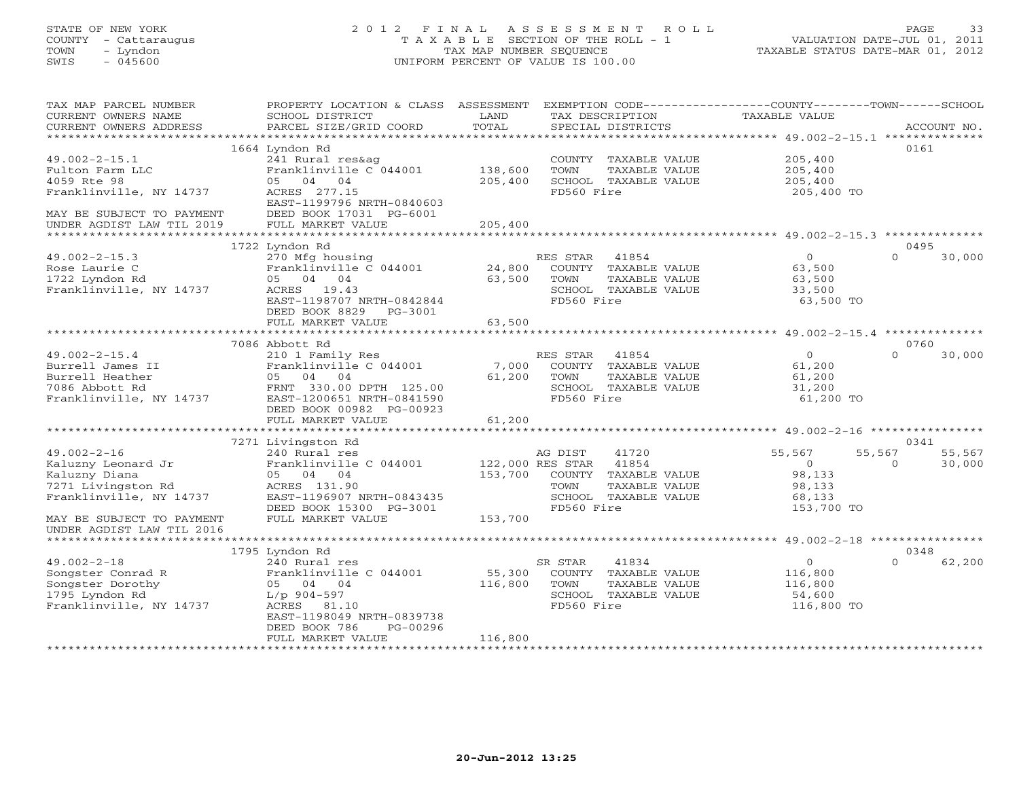# STATE OF NEW YORK 2 0 1 2 F I N A L A S S E S S M E N T R O L L PAGE 33 COUNTY - Cattaraugus T A X A B L E SECTION OF THE ROLL - 1 VALUATION DATE-JUL 01, 2011 TOWN - Lyndon TAX MAP NUMBER SEQUENCE TAXABLE STATUS DATE-MAR 01, 2012 SWIS - 045600 UNIFORM PERCENT OF VALUE IS 100.00UNIFORM PERCENT OF VALUE IS 100.00

| TAX MAP PARCEL NUMBER<br>CURRENT OWNERS NAME<br>CURRENT OWNERS ADDRESS | PROPERTY LOCATION & CLASS ASSESSMENT EXEMPTION CODE---------------COUNTY-------TOWN------SCHOOL<br>SCHOOL DISTRICT<br>PARCEL SIZE/GRID COORD | LAND<br>TOTAL          |                | TAX DESCRIPTION<br>SPECIAL DISTRICTS | TAXABLE VALUE  |          | ACCOUNT NO. |
|------------------------------------------------------------------------|----------------------------------------------------------------------------------------------------------------------------------------------|------------------------|----------------|--------------------------------------|----------------|----------|-------------|
|                                                                        |                                                                                                                                              |                        |                |                                      |                |          |             |
|                                                                        | 1664 Lyndon Rd                                                                                                                               |                        |                |                                      |                |          | 0161        |
| $49.002 - 2 - 15.1$                                                    | 241 Rural res&ag                                                                                                                             |                        |                | COUNTY TAXABLE VALUE                 | 205,400        |          |             |
| Fulton Farm LLC                                                        | Franklinville C 044001                                                                                                                       | 138,600                | TOWN           | TAXABLE VALUE                        | 205,400        |          |             |
| 4059 Rte 98                                                            | 05 04 04                                                                                                                                     | 205,400                |                | SCHOOL TAXABLE VALUE                 | 205,400        |          |             |
| Franklinville, NY 14737                                                | ACRES 277.15                                                                                                                                 |                        | FD560 Fire     |                                      | 205,400 TO     |          |             |
|                                                                        | EAST-1199796 NRTH-0840603                                                                                                                    |                        |                |                                      |                |          |             |
| MAY BE SUBJECT TO PAYMENT                                              | DEED BOOK 17031 PG-6001                                                                                                                      |                        |                |                                      |                |          |             |
| UNDER AGDIST LAW TIL 2019                                              | FULL MARKET VALUE                                                                                                                            | 205,400                |                |                                      |                |          |             |
|                                                                        |                                                                                                                                              |                        |                |                                      |                |          |             |
|                                                                        | 1722 Lyndon Rd                                                                                                                               |                        |                |                                      |                |          | 0495        |
| $49.002 - 2 - 15.3$                                                    | 270 Mfg housing                                                                                                                              |                        | RES STAR 41854 |                                      | $\Omega$       | $\Omega$ | 30,000      |
| Rose Laurie C                                                          | Franklinville C 044001                                                                                                                       | 24,800                 |                | COUNTY TAXABLE VALUE                 | 63,500         |          |             |
| 1722 Lyndon Rd                                                         | 05 04 04                                                                                                                                     | 63,500                 | TOWN           | TAXABLE VALUE                        | 63,500         |          |             |
| Franklinville, NY 14737                                                | ACRES 19.43                                                                                                                                  |                        |                | SCHOOL TAXABLE VALUE                 | 33,500         |          |             |
|                                                                        | EAST-1198707 NRTH-0842844                                                                                                                    |                        | FD560 Fire     |                                      | 63,500 TO      |          |             |
|                                                                        | DEED BOOK 8829 PG-3001                                                                                                                       | 63,500                 |                |                                      |                |          |             |
|                                                                        | FULL MARKET VALUE                                                                                                                            |                        |                |                                      |                |          |             |
|                                                                        | 7086 Abbott Rd                                                                                                                               |                        |                |                                      |                |          | 0760        |
| $49.002 - 2 - 15.4$                                                    | 210 1 Family Res                                                                                                                             |                        | RES STAR 41854 |                                      | $\Omega$       | $\Omega$ | 30,000      |
| Burrell James II                                                       | Franklinville C 044001                                                                                                                       | 7,000                  |                | COUNTY TAXABLE VALUE                 | 61,200         |          |             |
| Burrell Heather                                                        | 05 04 04                                                                                                                                     | 61,200                 | TOWN           | TAXABLE VALUE                        | 61,200         |          |             |
| 7086 Abbott Rd                                                         | FRNT 330.00 DPTH 125.00                                                                                                                      |                        |                | SCHOOL TAXABLE VALUE                 | 31,200         |          |             |
| Franklinville, NY 14737                                                | EAST-1200651 NRTH-0841590                                                                                                                    |                        | FD560 Fire     |                                      | 61,200 TO      |          |             |
|                                                                        | DEED BOOK 00982 PG-00923                                                                                                                     |                        |                |                                      |                |          |             |
|                                                                        | FULL MARKET VALUE                                                                                                                            | 61,200                 |                |                                      |                |          |             |
|                                                                        | ****************************                                                                                                                 |                        |                |                                      |                |          |             |
|                                                                        | 7271 Livingston Rd                                                                                                                           |                        |                |                                      |                |          | 0341        |
| $49.002 - 2 - 16$                                                      | 240 Rural res                                                                                                                                |                        | AG DIST        | 41720                                | 55,567         | 55,567   | 55,567      |
| Kaluzny Leonard Jr                                                     | Franklinville C 044001                                                                                                                       | 122,000 RES STAR 41854 |                |                                      | $\overline{O}$ | $\Omega$ | 30,000      |
| Kaluzny Diana                                                          | 05 04 04                                                                                                                                     |                        |                | 153,700 COUNTY TAXABLE VALUE         | 98,133         |          |             |
| 7271 Livingston Rd                                                     | ACRES 131.90                                                                                                                                 |                        | TOWN           | TAXABLE VALUE                        | 98,133         |          |             |
| Franklinville, NY 14737                                                | EAST-1196907 NRTH-0843435                                                                                                                    |                        |                | SCHOOL TAXABLE VALUE                 | 68,133         |          |             |
|                                                                        | DEED BOOK 15300 PG-3001                                                                                                                      |                        | FD560 Fire     |                                      | 153,700 TO     |          |             |
| MAY BE SUBJECT TO PAYMENT                                              | FULL MARKET VALUE                                                                                                                            | 153,700                |                |                                      |                |          |             |
| UNDER AGDIST LAW TIL 2016                                              |                                                                                                                                              |                        |                |                                      |                |          |             |
|                                                                        |                                                                                                                                              |                        |                |                                      |                |          | 0348        |
| $49.002 - 2 - 18$                                                      | 1795 Lyndon Rd<br>240 Rural res                                                                                                              |                        | SR STAR        | 41834                                | $\Omega$       | $\Omega$ | 62,200      |
| Songster Conrad R                                                      | Franklinville C 044001                                                                                                                       | 55,300                 |                | COUNTY TAXABLE VALUE                 | 116,800        |          |             |
| Songster Dorothy                                                       | 05 04 04                                                                                                                                     | 116,800                | TOWN           | TAXABLE VALUE                        | 116,800        |          |             |
| 1795 Lyndon Rd                                                         | L/p 904-597                                                                                                                                  |                        |                | SCHOOL TAXABLE VALUE                 | 54,600         |          |             |
| Franklinville, NY 14737                                                | ACRES 81.10                                                                                                                                  |                        | FD560 Fire     |                                      | 116,800 TO     |          |             |
|                                                                        | EAST-1198049 NRTH-0839738                                                                                                                    |                        |                |                                      |                |          |             |
|                                                                        | PG-00296<br>DEED BOOK 786                                                                                                                    |                        |                |                                      |                |          |             |
|                                                                        | FULL MARKET VALUE                                                                                                                            | 116,800                |                |                                      |                |          |             |
|                                                                        |                                                                                                                                              |                        |                |                                      |                |          |             |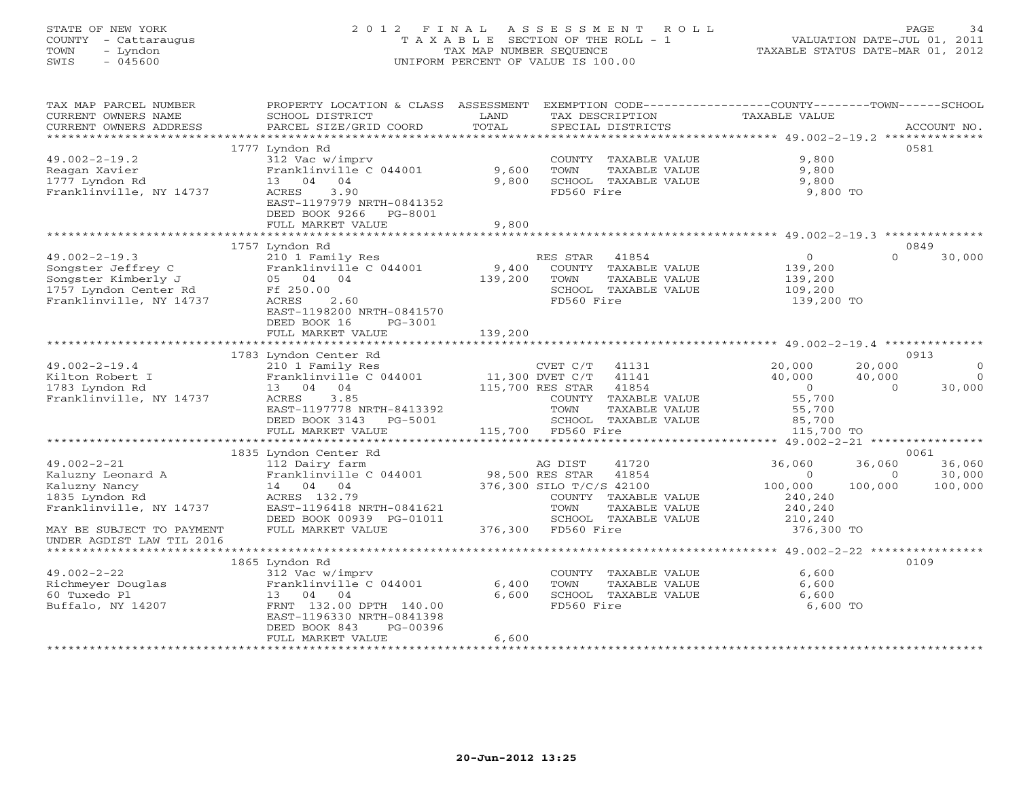# STATE OF NEW YORK 2 0 1 2 F I N A L A S S E S S M E N T R O L L PAGE 34 COUNTY - Cattaraugus T A X A B L E SECTION OF THE ROLL - 1 VALUATION DATE-JUL 01, 2011 TOWN - Lyndon TAX MAP NUMBER SEQUENCE TAXABLE STATUS DATE-MAR 01, 2012 SWIS - 045600 UNIFORM PERCENT OF VALUE IS 100.00UNIFORM PERCENT OF VALUE IS 100.00

| TAX MAP PARCEL NUMBER<br>CURRENT OWNERS NAME | PROPERTY LOCATION & CLASS ASSESSMENT<br>SCHOOL DISTRICT    | LAND    | EXEMPTION CODE-----------------COUNTY-------TOWN------SCHOOL<br>TAX DESCRIPTION | TAXABLE VALUE            |                    |             |
|----------------------------------------------|------------------------------------------------------------|---------|---------------------------------------------------------------------------------|--------------------------|--------------------|-------------|
| CURRENT OWNERS ADDRESS                       | PARCEL SIZE/GRID COORD                                     | TOTAL   | SPECIAL DISTRICTS                                                               |                          |                    | ACCOUNT NO. |
|                                              | 1777 Lyndon Rd                                             |         |                                                                                 |                          |                    | 0581        |
| $49.002 - 2 - 19.2$                          | 312 Vac w/imprv                                            |         | COUNTY TAXABLE VALUE                                                            | 9,800                    |                    |             |
| Reagan Xavier                                | Franklinville C 044001                                     | 9,600   | TOWN<br>TAXABLE VALUE                                                           | 9,800                    |                    |             |
| 1777 Lyndon Rd                               | 13 04 04                                                   | 9,800   | SCHOOL TAXABLE VALUE                                                            | 9,800                    |                    |             |
| Franklinville, NY 14737                      | 3.90<br>ACRES                                              |         | FD560 Fire                                                                      | 9,800 TO                 |                    |             |
|                                              | EAST-1197979 NRTH-0841352                                  |         |                                                                                 |                          |                    |             |
|                                              | DEED BOOK 9266 PG-8001                                     |         |                                                                                 |                          |                    |             |
|                                              | FULL MARKET VALUE                                          | 9,800   |                                                                                 |                          |                    |             |
|                                              |                                                            |         |                                                                                 |                          |                    |             |
|                                              | 1757 Lyndon Rd                                             |         |                                                                                 |                          |                    | 0849        |
| $49.002 - 2 - 19.3$                          | 210 1 Family Res                                           |         | RES STAR<br>41854                                                               | $\circ$                  | $\Omega$           | 30,000      |
| Songster Jeffrey C                           | Franklinville C 044001                                     | 9,400   | COUNTY TAXABLE VALUE                                                            | 139,200                  |                    |             |
| Songster Kimberly J                          | 05 04 04                                                   | 139,200 | TOWN<br>TAXABLE VALUE                                                           | 139,200                  |                    |             |
| 1757 Lyndon Center Rd                        | Ff 250.00                                                  |         | SCHOOL TAXABLE VALUE                                                            | 109,200                  |                    |             |
| Franklinville, NY 14737                      | 2.60<br>ACRES                                              |         | FD560 Fire                                                                      | 139,200 TO               |                    |             |
|                                              | EAST-1198200 NRTH-0841570                                  |         |                                                                                 |                          |                    |             |
|                                              | DEED BOOK 16<br>PG-3001                                    |         |                                                                                 |                          |                    |             |
|                                              | FULL MARKET VALUE                                          | 139,200 |                                                                                 |                          |                    |             |
|                                              |                                                            |         |                                                                                 |                          |                    |             |
|                                              | 1783 Lyndon Center Rd                                      |         |                                                                                 |                          |                    | 0913        |
| $49.002 - 2 - 19.4$                          | 210 1 Family Res<br>Franklinville C 044001 11,300 DVET C/T |         | CVET C/T<br>41131                                                               | 20,000                   | 20,000             | $\Omega$    |
| Kilton Robert I                              |                                                            |         | 41141                                                                           | 40,000<br>$\overline{0}$ | 40,000<br>$\Omega$ | $\bigcirc$  |
| 1783 Lyndon Rd<br>Franklinville, NY 14737    | 13 04 04<br>3.85<br>ACRES                                  |         | 115,700 RES STAR<br>41854                                                       | 55,700                   |                    | 30,000      |
|                                              | EAST-1197778 NRTH-8413392                                  |         | COUNTY TAXABLE VALUE<br>TOWN<br>TAXABLE VALUE                                   | 55,700                   |                    |             |
|                                              | DEED BOOK 3143 PG-5001                                     |         | SCHOOL TAXABLE VALUE                                                            | 85,700                   |                    |             |
|                                              | FULL MARKET VALUE                                          |         | 115,700 FD560 Fire                                                              | 115,700 TO               |                    |             |
|                                              |                                                            |         |                                                                                 |                          |                    |             |
|                                              | 1835 Lyndon Center Rd                                      |         |                                                                                 |                          |                    | 0061        |
| $49.002 - 2 - 21$                            | 112 Dairy farm                                             |         | AG DIST<br>41720                                                                | 36,060                   | 36,060             | 36,060      |
| Kaluzny Leonard A                            | Franklinville C 044001                                     |         | 98,500 RES STAR<br>41854                                                        | $\Omega$                 | $\circ$            | 30,000      |
| Kaluzny Nancy                                | 14 04 04                                                   |         | 376,300 SILO T/C/S 42100                                                        | 100,000                  | 100,000            | 100,000     |
| 1835 Lyndon Rd                               | ACRES 132.79                                               |         | COUNTY TAXABLE VALUE                                                            | 240,240                  |                    |             |
| Franklinville, NY 14737                      | EAST-1196418 NRTH-0841621                                  |         | TOWN<br>TAXABLE VALUE                                                           | 240,240                  |                    |             |
|                                              | DEED BOOK 00939 PG-01011                                   |         | SCHOOL TAXABLE VALUE                                                            | 210,240                  |                    |             |
| MAY BE SUBJECT TO PAYMENT                    | FULL MARKET VALUE                                          |         | 376,300 FD560 Fire                                                              | 376,300 TO               |                    |             |
| UNDER AGDIST LAW TIL 2016                    |                                                            |         |                                                                                 |                          |                    |             |
| ***********************                      |                                                            |         |                                                                                 |                          |                    |             |
|                                              | 1865 Lyndon Rd                                             |         |                                                                                 |                          |                    | 0109        |
| $49.002 - 2 - 22$                            | 312 Vac w/imprv                                            |         | COUNTY TAXABLE VALUE                                                            | 6,600                    |                    |             |
| Richmeyer Douglas                            | Franklinville C 044001                                     | 6,400   | TOWN<br>TAXABLE VALUE                                                           | 6,600                    |                    |             |
| 60 Tuxedo Pl                                 | 13 04<br>04                                                | 6,600   | SCHOOL TAXABLE VALUE                                                            | 6,600                    |                    |             |
| Buffalo, NY 14207                            | FRNT 132.00 DPTH 140.00<br>EAST-1196330 NRTH-0841398       |         | FD560 Fire                                                                      | 6,600 TO                 |                    |             |
|                                              | DEED BOOK 843<br>PG-00396                                  |         |                                                                                 |                          |                    |             |
|                                              | FULL MARKET VALUE                                          | 6,600   |                                                                                 |                          |                    |             |
|                                              |                                                            |         |                                                                                 |                          |                    |             |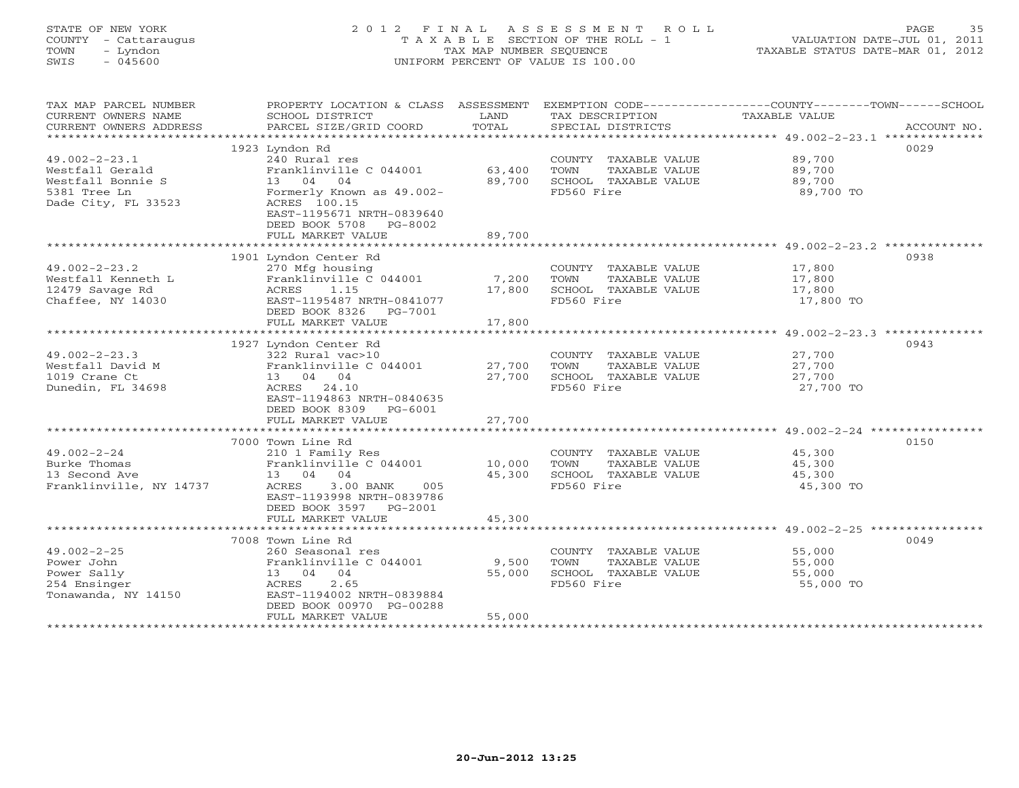### STATE OF NEW YORK 2 0 1 2 F I N A L A S S E S S M E N T R O L L PAGE 35 COUNTY - Cattaraugus T A X A B L E SECTION OF THE ROLL - 1 VALUATION DATE-JUL 01, 2011 TOWN - Lyndon TAX MAP NUMBER SEQUENCE TAXABLE STATUS DATE-MAR 01, 2012 SWIS - 045600 UNIFORM PERCENT OF VALUE IS 100.00UNIFORM PERCENT OF VALUE IS 100.00

| TAX MAP PARCEL NUMBER<br>CURRENT OWNERS NAME<br>CURRENT OWNERS ADDRESS | PROPERTY LOCATION & CLASS ASSESSMENT<br>SCHOOL DISTRICT<br>PARCEL SIZE/GRID COORD | LAND<br>TOTAL  | TAX DESCRIPTION<br>SPECIAL DISTRICTS          | EXEMPTION CODE-----------------COUNTY-------TOWN-----SCHOOL<br>TAXABLE VALUE<br>ACCOUNT NO. |
|------------------------------------------------------------------------|-----------------------------------------------------------------------------------|----------------|-----------------------------------------------|---------------------------------------------------------------------------------------------|
| ***********************                                                |                                                                                   |                |                                               |                                                                                             |
|                                                                        | 1923 Lyndon Rd                                                                    |                |                                               | 0029                                                                                        |
| $49.002 - 2 - 23.1$                                                    | 240 Rural res                                                                     |                | COUNTY TAXABLE VALUE                          | 89,700                                                                                      |
| Westfall Gerald                                                        | Franklinville C 044001                                                            | 63,400         | TOWN<br>TAXABLE VALUE                         | 89,700                                                                                      |
| Westfall Bonnie S                                                      | 13 04 04                                                                          | 89,700         | SCHOOL TAXABLE VALUE                          | 89,700                                                                                      |
| 5381 Tree Ln                                                           | Formerly Known as 49.002-                                                         |                | FD560 Fire                                    | 89,700 TO                                                                                   |
| Dade City, FL 33523                                                    | ACRES 100.15                                                                      |                |                                               |                                                                                             |
|                                                                        | EAST-1195671 NRTH-0839640                                                         |                |                                               |                                                                                             |
|                                                                        | DEED BOOK 5708 PG-8002                                                            |                |                                               |                                                                                             |
|                                                                        | FULL MARKET VALUE                                                                 | 89,700         |                                               |                                                                                             |
|                                                                        |                                                                                   |                |                                               |                                                                                             |
|                                                                        | 1901 Lyndon Center Rd                                                             |                |                                               | 0938                                                                                        |
| $49.002 - 2 - 23.2$<br>Westfall Kenneth L                              | 270 Mfg housing<br>Franklinville C 044001                                         | 7,200          | COUNTY TAXABLE VALUE<br>TOWN<br>TAXABLE VALUE | 17,800<br>17,800                                                                            |
| 12479 Savage Rd                                                        | 1.15<br>ACRES                                                                     | 17,800         | SCHOOL TAXABLE VALUE                          | 17,800                                                                                      |
| Chaffee, NY 14030                                                      | EAST-1195487 NRTH-0841077                                                         |                | FD560 Fire                                    | 17,800 TO                                                                                   |
|                                                                        | DEED BOOK 8326<br>PG-7001                                                         |                |                                               |                                                                                             |
|                                                                        | FULL MARKET VALUE                                                                 | 17,800         |                                               |                                                                                             |
|                                                                        |                                                                                   | ************** |                                               | ************************************ 49.002-2-23.3 *************                            |
|                                                                        | 1927 Lyndon Center Rd                                                             |                |                                               | 0943                                                                                        |
| $49.002 - 2 - 23.3$                                                    | 322 Rural vac>10                                                                  |                | COUNTY TAXABLE VALUE                          | 27,700                                                                                      |
| Westfall David M                                                       | Franklinville C 044001                                                            | 27,700         | TOWN<br>TAXABLE VALUE                         | 27,700                                                                                      |
| 1019 Crane Ct                                                          | 13 04 04                                                                          | 27,700         | SCHOOL TAXABLE VALUE                          | 27,700                                                                                      |
| Dunedin, FL 34698                                                      | ACRES 24.10                                                                       |                | FD560 Fire                                    | 27,700 TO                                                                                   |
|                                                                        | EAST-1194863 NRTH-0840635                                                         |                |                                               |                                                                                             |
|                                                                        | DEED BOOK 8309 PG-6001                                                            |                |                                               |                                                                                             |
|                                                                        | FULL MARKET VALUE                                                                 | 27,700         |                                               |                                                                                             |
|                                                                        |                                                                                   |                |                                               |                                                                                             |
| $49.002 - 2 - 24$                                                      | 7000 Town Line Rd<br>210 1 Family Res                                             |                |                                               | 0150                                                                                        |
| Burke Thomas                                                           | Franklinville C 044001                                                            | 10,000         | COUNTY TAXABLE VALUE<br>TAXABLE VALUE<br>TOWN | 45,300                                                                                      |
| 13 Second Ave                                                          | 13 04 04                                                                          | 45,300         | SCHOOL TAXABLE VALUE                          | 45,300<br>45,300                                                                            |
| Franklinville, NY 14737                                                | 3.00 BANK<br>005<br>ACRES                                                         |                | FD560 Fire                                    | 45,300 TO                                                                                   |
|                                                                        | EAST-1193998 NRTH-0839786                                                         |                |                                               |                                                                                             |
|                                                                        | DEED BOOK 3597 PG-2001                                                            |                |                                               |                                                                                             |
|                                                                        | FULL MARKET VALUE                                                                 | 45,300         |                                               |                                                                                             |
|                                                                        |                                                                                   |                |                                               |                                                                                             |
|                                                                        | 7008 Town Line Rd                                                                 |                |                                               | 0049                                                                                        |
| $49.002 - 2 - 25$                                                      | 260 Seasonal res                                                                  |                | COUNTY TAXABLE VALUE                          | 55,000                                                                                      |
| Power John                                                             | Franklinville C 044001                                                            | 9,500          | TOWN<br>TAXABLE VALUE                         | 55,000                                                                                      |
| Power Sally                                                            | 13 04 04                                                                          | 55,000         | SCHOOL TAXABLE VALUE                          | 55,000                                                                                      |
| 254 Ensinger                                                           | 2.65<br>ACRES                                                                     |                | FD560 Fire                                    | 55,000 TO                                                                                   |
| Tonawanda, NY 14150                                                    | EAST-1194002 NRTH-0839884                                                         |                |                                               |                                                                                             |
|                                                                        | DEED BOOK 00970 PG-00288                                                          |                |                                               |                                                                                             |
|                                                                        | FULL MARKET VALUE                                                                 | 55,000         |                                               |                                                                                             |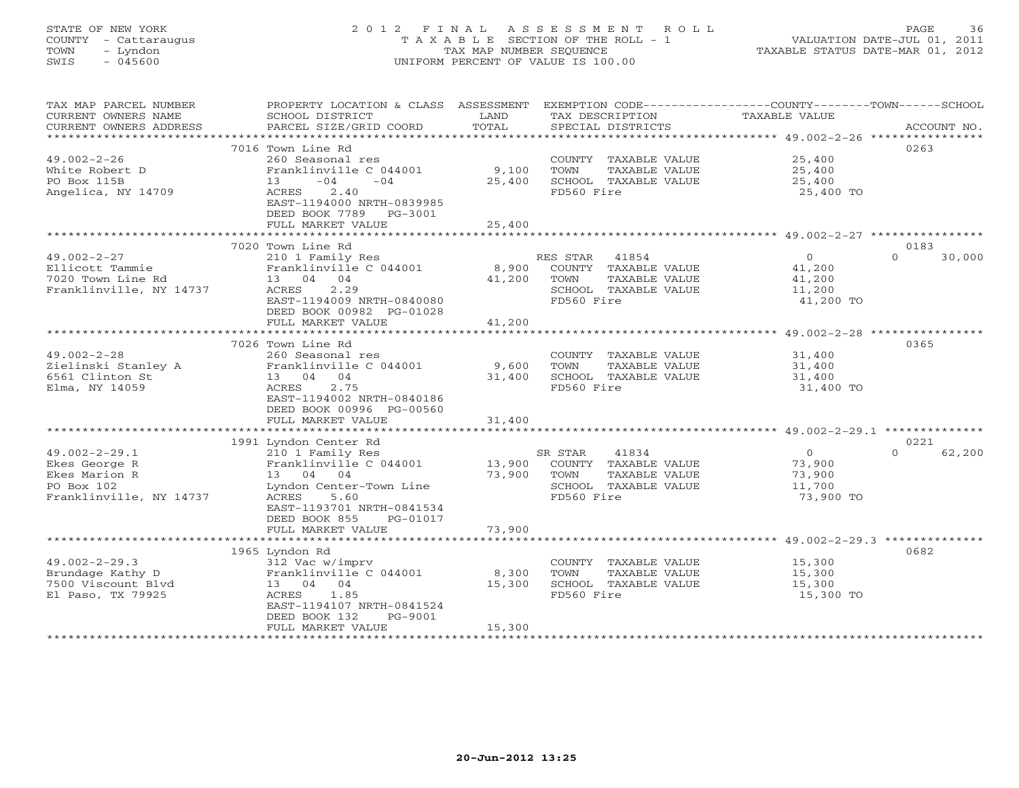# STATE OF NEW YORK 2 0 1 2 F I N A L A S S E S S M E N T R O L L PAGE 36 COUNTY - Cattaraugus T A X A B L E SECTION OF THE ROLL - 1 VALUATION DATE-JUL 01, 2011 TOWN - Lyndon TAX MAP NUMBER SEQUENCE TAXABLE STATUS DATE-MAR 01, 2012 SWIS - 045600 UNIFORM PERCENT OF VALUE IS 100.00UNIFORM PERCENT OF VALUE IS 100.00

| TAX MAP PARCEL NUMBER<br>CURRENT OWNERS NAME        | PROPERTY LOCATION & CLASS ASSESSMENT<br>SCHOOL DISTRICT              | LAND             | TAX DESCRIPTION                               | EXEMPTION CODE-----------------COUNTY-------TOWN------SCHOOL<br>TAXABLE VALUE |                    |
|-----------------------------------------------------|----------------------------------------------------------------------|------------------|-----------------------------------------------|-------------------------------------------------------------------------------|--------------------|
| CURRENT OWNERS ADDRESS<br>************************* | PARCEL SIZE/GRID COORD                                               | TOTAL            | SPECIAL DISTRICTS                             |                                                                               | ACCOUNT NO.        |
|                                                     | 7016 Town Line Rd                                                    |                  |                                               |                                                                               | 0263               |
| $49.002 - 2 - 26$                                   | 260 Seasonal res                                                     |                  | COUNTY TAXABLE VALUE                          | 25,400                                                                        |                    |
| White Robert D                                      | Franklinville C 044001                                               | 9,100            | TOWN<br>TAXABLE VALUE                         | 25,400                                                                        |                    |
| PO Box 115B                                         | $-04$<br>$-04$<br>13                                                 | 25,400           | SCHOOL TAXABLE VALUE                          | 25,400                                                                        |                    |
| Angelica, NY 14709                                  | 2.40<br>ACRES<br>EAST-1194000 NRTH-0839985<br>DEED BOOK 7789 PG-3001 |                  | FD560 Fire                                    | 25,400 TO                                                                     |                    |
|                                                     | FULL MARKET VALUE                                                    | 25,400           |                                               |                                                                               |                    |
|                                                     | ****************************                                         |                  |                                               |                                                                               |                    |
|                                                     | 7020 Town Line Rd                                                    |                  |                                               |                                                                               | 0183<br>$\Omega$   |
| $49.002 - 2 - 27$<br>Ellicott Tammie                | 210 1 Family Res<br>Franklinville C 044001                           | 8,900            | RES STAR 41854<br>COUNTY TAXABLE VALUE        | $\circ$                                                                       | 30,000             |
| 7020 Town Line Rd                                   | 13 04 04                                                             | 41,200           | TAXABLE VALUE<br>TOWN                         | 41,200<br>41,200                                                              |                    |
| Franklinville, NY 14737                             | 2.29<br>ACRES                                                        |                  | SCHOOL TAXABLE VALUE                          | 11,200                                                                        |                    |
|                                                     | EAST-1194009 NRTH-0840080                                            |                  | FD560 Fire                                    | 41,200 TO                                                                     |                    |
|                                                     | DEED BOOK 00982 PG-01028                                             |                  |                                               |                                                                               |                    |
|                                                     | FULL MARKET VALUE                                                    | 41,200           |                                               |                                                                               |                    |
|                                                     |                                                                      |                  |                                               |                                                                               |                    |
|                                                     | 7026 Town Line Rd                                                    |                  |                                               |                                                                               | 0365               |
| $49.002 - 2 - 28$                                   | 260 Seasonal res                                                     |                  | COUNTY TAXABLE VALUE                          | 31,400                                                                        |                    |
| Zielinski Stanley A<br>6561 Clinton St              | Franklinville C 044001<br>13 04 04                                   | 9,600<br>31,400  | TOWN<br>TAXABLE VALUE<br>SCHOOL TAXABLE VALUE | 31,400<br>31,400                                                              |                    |
| Elma, NY 14059                                      | ACRES<br>2.75                                                        |                  | FD560 Fire                                    | 31,400 TO                                                                     |                    |
|                                                     | EAST-1194002 NRTH-0840186                                            |                  |                                               |                                                                               |                    |
|                                                     | DEED BOOK 00996 PG-00560                                             |                  |                                               |                                                                               |                    |
|                                                     | FULL MARKET VALUE                                                    | 31,400           |                                               |                                                                               |                    |
|                                                     |                                                                      |                  |                                               |                                                                               |                    |
|                                                     | 1991 Lyndon Center Rd                                                |                  |                                               |                                                                               | 0221               |
| $49.002 - 2 - 29.1$                                 | 210 1 Family Res                                                     |                  | SR STAR<br>41834                              | $\overline{0}$                                                                | $\Omega$<br>62,200 |
| Ekes George R<br>Ekes Marion R                      | Franklinville C 044001                                               | 13,900<br>73,900 | COUNTY TAXABLE VALUE<br>TOWN<br>TAXABLE VALUE | 73,900<br>73,900                                                              |                    |
| PO Box 102                                          | 13 04 04<br>Lyndon Center-Town Line                                  |                  | SCHOOL TAXABLE VALUE                          | 11,700                                                                        |                    |
| Franklinville, NY 14737                             | ACRES<br>5.60                                                        |                  | FD560 Fire                                    | 73,900 TO                                                                     |                    |
|                                                     | EAST-1193701 NRTH-0841534                                            |                  |                                               |                                                                               |                    |
|                                                     | DEED BOOK 855<br>PG-01017                                            |                  |                                               |                                                                               |                    |
|                                                     | FULL MARKET VALUE                                                    | 73,900           |                                               |                                                                               |                    |
|                                                     |                                                                      |                  |                                               |                                                                               |                    |
|                                                     | 1965 Lyndon Rd                                                       |                  |                                               |                                                                               | 0682               |
| $49.002 - 2 - 29.3$<br>Brundage Kathy D             | 312 Vac w/imprv<br>Franklinville C 044001                            | 8,300            | COUNTY TAXABLE VALUE<br>TOWN<br>TAXABLE VALUE | 15,300<br>15,300                                                              |                    |
| 7500 Viscount Blvd                                  | 13 04 04                                                             | 15,300           | SCHOOL TAXABLE VALUE                          | 15,300                                                                        |                    |
| El Paso, TX 79925                                   | ACRES<br>1.85                                                        |                  | FD560 Fire                                    | 15,300 TO                                                                     |                    |
|                                                     | EAST-1194107 NRTH-0841524                                            |                  |                                               |                                                                               |                    |
|                                                     | DEED BOOK 132<br>PG-9001                                             |                  |                                               |                                                                               |                    |
|                                                     | FULL MARKET VALUE                                                    | 15,300           |                                               |                                                                               |                    |
|                                                     |                                                                      |                  |                                               |                                                                               |                    |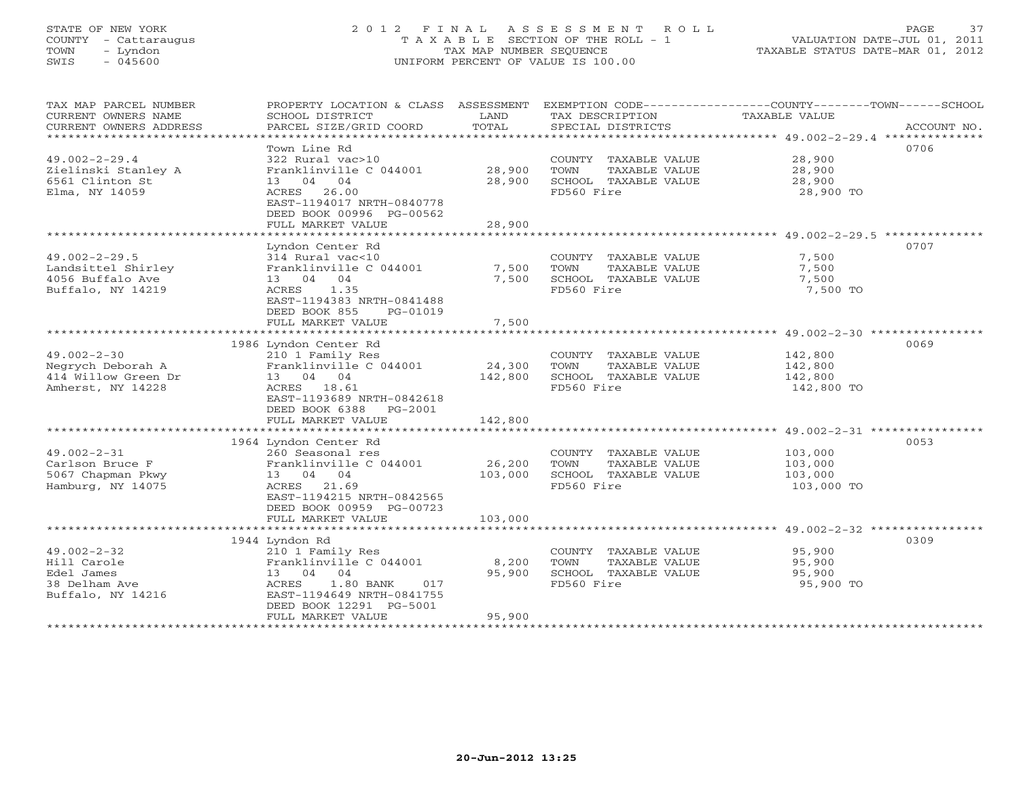# STATE OF NEW YORK 2 0 1 2 F I N A L A S S E S S M E N T R O L L PAGE 37 COUNTY - Cattaraugus T A X A B L E SECTION OF THE ROLL - 1 VALUATION DATE-JUL 01, 2011 TOWN - Lyndon TAX MAP NUMBER SEQUENCE TAXABLE STATUS DATE-MAR 01, 2012 SWIS - 045600 UNIFORM PERCENT OF VALUE IS 100.00UNIFORM PERCENT OF VALUE IS 100.00

| TAX MAP PARCEL NUMBER<br>CURRENT OWNERS NAME<br>CURRENT OWNERS ADDRESS               | SCHOOL DISTRICT<br>PARCEL SIZE/GRID COORD                                                                                                                       | LAND<br>TOTAL     | TAX DESCRIPTION TAXABLE VALUE<br>SPECIAL DISTRICTS                                  | PROPERTY LOCATION & CLASS ASSESSMENT EXEMPTION CODE---------------COUNTY-------TOWN-----SCHOOL<br>ACCOUNT NO. |
|--------------------------------------------------------------------------------------|-----------------------------------------------------------------------------------------------------------------------------------------------------------------|-------------------|-------------------------------------------------------------------------------------|---------------------------------------------------------------------------------------------------------------|
|                                                                                      | Town Line Rd                                                                                                                                                    |                   |                                                                                     | 0706                                                                                                          |
| $49.002 - 2 - 29.4$<br>Zielinski Stanley A<br>6561 Clinton St<br>Elma, NY 14059      | 322 Rural vac>10<br>Franklinville C 044001<br>13 04 04<br>ACRES 26.00<br>EAST-1194017 NRTH-0840778<br>DEED BOOK 00996 PG-00562                                  | 28,900<br>28,900  | COUNTY TAXABLE VALUE<br>TOWN<br>TAXABLE VALUE<br>SCHOOL TAXABLE VALUE<br>FD560 Fire | 28,900<br>28,900<br>28,900<br>28,900 TO                                                                       |
|                                                                                      | FULL MARKET VALUE                                                                                                                                               | 28,900            |                                                                                     |                                                                                                               |
|                                                                                      |                                                                                                                                                                 |                   |                                                                                     |                                                                                                               |
| $49.002 - 2 - 29.5$<br>Landsittel Shirley<br>4056 Buffalo Ave<br>Buffalo, NY 14219   | Lyndon Center Rd<br>314 Rural vac<10<br>Franklinville C 044001<br>13 04 04<br>ACRES 1.35<br>EAST-1194383 NRTH-0841488<br>DEED BOOK 855<br>PG-01019              | 7,500<br>7,500    | COUNTY TAXABLE VALUE<br>TOWN<br>TAXABLE VALUE<br>SCHOOL TAXABLE VALUE<br>FD560 Fire | 0707<br>7,500<br>7,500<br>7,500<br>7,500 TO                                                                   |
|                                                                                      | FULL MARKET VALUE                                                                                                                                               | 7,500             |                                                                                     |                                                                                                               |
|                                                                                      |                                                                                                                                                                 |                   |                                                                                     |                                                                                                               |
| $49.002 - 2 - 30$<br>Negrych Deborah A<br>414 Willow Green Dr<br>Amherst, NY 14228   | 1986 Lyndon Center Rd<br>210 1 Family Res<br>Franklinville C 044001<br>13 04 04<br>ACRES 18.61<br>EAST-1193689 NRTH-0842618                                     | 24,300<br>142,800 | COUNTY TAXABLE VALUE<br>TOWN<br>TAXABLE VALUE<br>SCHOOL TAXABLE VALUE<br>FD560 Fire | 0069<br>142,800<br>142,800<br>142,800<br>142,800 TO                                                           |
|                                                                                      | DEED BOOK 6388 PG-2001                                                                                                                                          |                   |                                                                                     |                                                                                                               |
|                                                                                      | FULL MARKET VALUE                                                                                                                                               | 142,800           |                                                                                     |                                                                                                               |
|                                                                                      | 1964 Lyndon Center Rd                                                                                                                                           |                   |                                                                                     | 0053                                                                                                          |
| $49.002 - 2 - 31$<br>Carlson Bruce F<br>5067 Chapman Pkwy<br>Hamburg, NY 14075       | 260 Seasonal res<br>Franklinville C 044001<br>13 04 04<br>ACRES 21.69<br>EAST-1194215 NRTH-0842565<br>DEED BOOK 00959 PG-00723                                  | 26,200<br>103,000 | COUNTY TAXABLE VALUE<br>TOWN<br>TAXABLE VALUE<br>SCHOOL TAXABLE VALUE<br>FD560 Fire | 103,000<br>103,000<br>103,000<br>103,000 TO                                                                   |
|                                                                                      | FULL MARKET VALUE                                                                                                                                               | 103,000           |                                                                                     |                                                                                                               |
|                                                                                      |                                                                                                                                                                 |                   |                                                                                     |                                                                                                               |
| $49.002 - 2 - 32$<br>Hill Carole<br>Edel James<br>38 Delham Ave<br>Buffalo, NY 14216 | 1944 Lyndon Rd<br>210 1 Family Res<br>Franklinville C 044001<br>13 04 04<br>ACRES<br>$1.80$ BANK<br>017<br>EAST-1194649 NRTH-0841755<br>DEED BOOK 12291 PG-5001 | 8,200<br>95,900   | COUNTY TAXABLE VALUE<br>TOWN<br>TAXABLE VALUE<br>SCHOOL TAXABLE VALUE<br>FD560 Fire | 0309<br>95,900<br>95,900<br>95,900<br>95,900 TO                                                               |
|                                                                                      | FULL MARKET VALUE                                                                                                                                               | 95,900            |                                                                                     |                                                                                                               |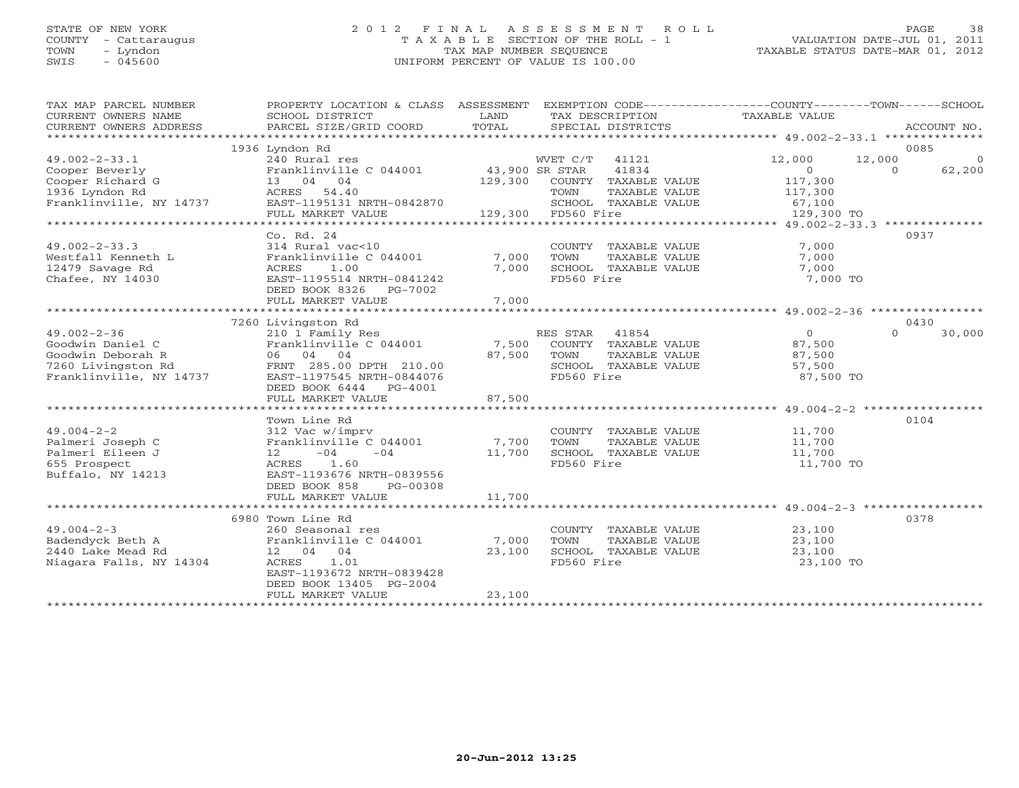### STATE OF NEW YORK 2 0 1 2 F I N A L A S S E S S M E N T R O L L PAGE 38 COUNTY - Cattaraugus T A X A B L E SECTION OF THE ROLL - 1 VALUATION DATE-JUL 01, 2011 TOWN - Lyndon TAX MAP NUMBER SEQUENCE TAXABLE STATUS DATE-MAR 01, 2012 SWIS - 045600 UNIFORM PERCENT OF VALUE IS 100.00UNIFORM PERCENT OF VALUE IS 100.00

| TAX MAP PARCEL NUMBER<br>CURRENT OWNERS NAME<br>CURRENT OWNERS ADDRESS | PROPERTY LOCATION & CLASS ASSESSMENT<br>SCHOOL DISTRICT<br>PARCEL SIZE/GRID COORD | LAND<br>TOTAL  | TAX DESCRIPTION<br>SPECIAL DISTRICTS |               | EXEMPTION CODE-----------------COUNTY-------TOWN------SCHOOL<br>TAXABLE VALUE |                  | ACCOUNT NO. |
|------------------------------------------------------------------------|-----------------------------------------------------------------------------------|----------------|--------------------------------------|---------------|-------------------------------------------------------------------------------|------------------|-------------|
|                                                                        |                                                                                   |                |                                      |               |                                                                               |                  |             |
|                                                                        | 1936 Lyndon Rd                                                                    |                |                                      |               |                                                                               | 0085             |             |
| $49.002 - 2 - 33.1$                                                    | 240 Rural res                                                                     |                | WVET C/T<br>41121                    |               | 12,000                                                                        | 12,000           | $\Omega$    |
| Cooper Beverly                                                         | Franklinville C 044001                                                            | 43,900 SR STAR | 41834                                |               | $\Omega$                                                                      | $\Omega$         | 62,200      |
| Cooper Richard G                                                       | 13 04 04                                                                          | 129,300        | COUNTY TAXABLE VALUE                 |               | 117,300                                                                       |                  |             |
| 1936 Lyndon Rd                                                         | ACRES 54.40                                                                       |                | TOWN                                 | TAXABLE VALUE | 117,300                                                                       |                  |             |
| Franklinville, NY 14737                                                | EAST-1195131 NRTH-0842870                                                         |                | SCHOOL TAXABLE VALUE                 |               | 67,100                                                                        |                  |             |
|                                                                        | FULL MARKET VALUE                                                                 |                | 129,300 FD560 Fire                   |               | 129,300 TO                                                                    |                  |             |
|                                                                        |                                                                                   |                |                                      |               |                                                                               |                  |             |
|                                                                        | Co. Rd. 24                                                                        |                |                                      |               |                                                                               | 0937             |             |
| $49.002 - 2 - 33.3$                                                    | 314 Rural vac<10                                                                  |                | COUNTY TAXABLE VALUE                 |               | 7,000                                                                         |                  |             |
| Westfall Kenneth L                                                     | Franklinville C 044001                                                            | 7,000          | <b>TOWN</b>                          | TAXABLE VALUE | 7,000                                                                         |                  |             |
| 12479 Savage Rd                                                        | ACRES<br>1.00                                                                     | 7,000          | SCHOOL TAXABLE VALUE                 |               | 7,000                                                                         |                  |             |
| Chafee, NY 14030                                                       | EAST-1195514 NRTH-0841242                                                         |                | FD560 Fire                           |               | 7,000 TO                                                                      |                  |             |
|                                                                        | DEED BOOK 8326<br>PG-7002                                                         |                |                                      |               |                                                                               |                  |             |
|                                                                        | FULL MARKET VALUE                                                                 | 7,000          |                                      |               |                                                                               |                  |             |
|                                                                        |                                                                                   |                |                                      |               |                                                                               |                  |             |
|                                                                        | 7260 Livingston Rd                                                                |                |                                      |               |                                                                               | 0430<br>$\Omega$ |             |
| $49.002 - 2 - 36$                                                      | 210 1 Family Res<br>Franklinville C 044001                                        | 7,500          | RES STAR<br>41854                    |               | $\Omega$<br>87,500                                                            |                  | 30,000      |
| Goodwin Daniel C<br>Goodwin Deborah R                                  | 06 04 04                                                                          | 87,500         | COUNTY TAXABLE VALUE<br>TOWN         | TAXABLE VALUE |                                                                               |                  |             |
|                                                                        |                                                                                   |                |                                      |               | 87,500                                                                        |                  |             |
| 7260 Livingston Rd<br>Franklinville, NY 14737                          | FRNT 285.00 DPTH 210.00                                                           |                | SCHOOL TAXABLE VALUE<br>FD560 Fire   |               | 57,500                                                                        |                  |             |
|                                                                        | EAST-1197545 NRTH-0844076<br>DEED BOOK 6444                                       |                |                                      |               | 87,500 TO                                                                     |                  |             |
|                                                                        | PG-4001<br>FULL MARKET VALUE                                                      | 87,500         |                                      |               |                                                                               |                  |             |
|                                                                        |                                                                                   |                |                                      |               |                                                                               |                  |             |
|                                                                        | Town Line Rd                                                                      |                |                                      |               |                                                                               | 0104             |             |
| $49.004 - 2 - 2$                                                       | 312 Vac w/imprv                                                                   |                | COUNTY TAXABLE VALUE                 |               | 11,700                                                                        |                  |             |
| Palmeri Joseph C                                                       | Franklinville C 044001                                                            | 7,700          | TOWN                                 | TAXABLE VALUE | 11,700                                                                        |                  |             |
| Palmeri Eileen J                                                       | $-04$<br>$-04$<br>12                                                              | 11,700         | SCHOOL TAXABLE VALUE                 |               | 11,700                                                                        |                  |             |
| 655 Prospect                                                           | 1.60<br>ACRES                                                                     |                | FD560 Fire                           |               | 11,700 TO                                                                     |                  |             |
| Buffalo, NY 14213                                                      | EAST-1193676 NRTH-0839556                                                         |                |                                      |               |                                                                               |                  |             |
|                                                                        | DEED BOOK 858<br>PG-00308                                                         |                |                                      |               |                                                                               |                  |             |
|                                                                        | FULL MARKET VALUE                                                                 | 11,700         |                                      |               |                                                                               |                  |             |
|                                                                        |                                                                                   |                |                                      |               |                                                                               |                  |             |
|                                                                        | 6980 Town Line Rd                                                                 |                |                                      |               |                                                                               | 0378             |             |
| $49.004 - 2 - 3$                                                       | 260 Seasonal res                                                                  |                | COUNTY TAXABLE VALUE                 |               | 23,100                                                                        |                  |             |
| Badendyck Beth A                                                       | Franklinville C 044001                                                            | 7,000          | TOWN                                 | TAXABLE VALUE | 23,100                                                                        |                  |             |
| 2440 Lake Mead Rd                                                      | 12 04 04                                                                          | 23,100         | SCHOOL TAXABLE VALUE                 |               | 23,100                                                                        |                  |             |
| Niagara Falls, NY 14304                                                | ACRES<br>1.01                                                                     |                | FD560 Fire                           |               | 23,100 TO                                                                     |                  |             |
|                                                                        | EAST-1193672 NRTH-0839428                                                         |                |                                      |               |                                                                               |                  |             |
|                                                                        | DEED BOOK 13405 PG-2004                                                           |                |                                      |               |                                                                               |                  |             |
|                                                                        | FULL MARKET VALUE                                                                 | 23,100         |                                      |               |                                                                               |                  |             |
|                                                                        |                                                                                   |                |                                      |               |                                                                               |                  |             |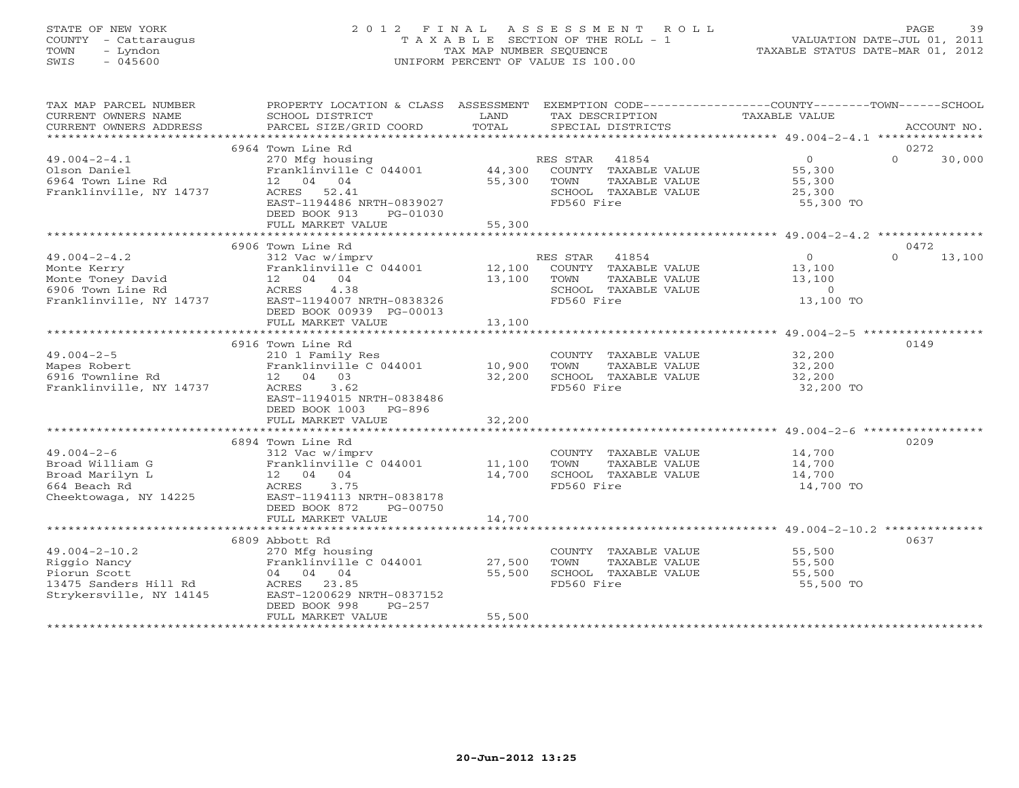# STATE OF NEW YORK 2 0 1 2 F I N A L A S S E S S M E N T R O L L PAGE 39 COUNTY - Cattaraugus T A X A B L E SECTION OF THE ROLL - 1 VALUATION DATE-JUL 01, 2011 TOWN - Lyndon TAX MAP NUMBER SEQUENCE TAXABLE STATUS DATE-MAR 01, 2012 SWIS - 045600 UNIFORM PERCENT OF VALUE IS 100.00

| TAX MAP PARCEL NUMBER<br>CURRENT OWNERS NAME                                                            | PROPERTY LOCATION & CLASS ASSESSMENT<br>SCHOOL DISTRICT                                                                                                                         | LAND                       | TAX DESCRIPTION                                                                                       | EXEMPTION CODE----------------COUNTY-------TOWN------SCHOOL<br>TAXABLE VALUE     |                            |
|---------------------------------------------------------------------------------------------------------|---------------------------------------------------------------------------------------------------------------------------------------------------------------------------------|----------------------------|-------------------------------------------------------------------------------------------------------|----------------------------------------------------------------------------------|----------------------------|
|                                                                                                         |                                                                                                                                                                                 |                            |                                                                                                       |                                                                                  |                            |
| $49.004 - 2 - 4.1$<br>Olson Daniel<br>6964 Town Line Rd<br>Franklinville, NY 14737                      | 6964 Town Line Rd<br>270 Mfg housing<br>Franklinville C 044001 44,300<br>12 04 04<br>ACRES 52.41<br>EAST-1194486 NRTH-0839027<br>DEED BOOK 913<br>PG-01030<br>FULL MARKET VALUE | 55,300<br>55,300           | RES STAR 41854<br>COUNTY TAXABLE VALUE<br>TOWN<br>TAXABLE VALUE<br>SCHOOL TAXABLE VALUE<br>FD560 Fire | $\Omega$<br>55,300<br>55,300<br>25,300<br>55,300 TO                              | 0272<br>$\Omega$<br>30,000 |
|                                                                                                         |                                                                                                                                                                                 |                            |                                                                                                       |                                                                                  |                            |
| $49.004 - 2 - 4.2$<br>Monte Kerry<br>6906 Town Line Rd<br>Franklinville, NY 14737                       | 6906 Town Line Rd<br>312 Vac w/imprv<br>Franklinville C 044001 12,100<br>ACRES<br>4.38<br>EAST-1194007 NRTH-0838326<br>DEED BOOK 00939 PG-00013                                 | 13,100                     | RES STAR 41854<br>COUNTY TAXABLE VALUE<br>TOWN<br>TAXABLE VALUE<br>SCHOOL TAXABLE VALUE<br>FD560 Fire | $\overline{0}$<br>$\frac{13}{12}$ , 100<br>13,100<br>$\overline{0}$<br>13,100 TO | 0472<br>$\Omega$<br>13,100 |
|                                                                                                         | FULL MARKET VALUE                                                                                                                                                               | 13,100                     |                                                                                                       |                                                                                  |                            |
|                                                                                                         | 6916 Town Line Rd                                                                                                                                                               |                            |                                                                                                       |                                                                                  | 0149                       |
| $49.004 - 2 - 5$<br>Mapes Robert<br>6916 Townline Rd<br>Franklinville, NY 14737                         | 210 1 Family Res<br>Franklinville C 044001 10,900<br>12  04  03<br>ACRES<br>3.62<br>EAST-1194015 NRTH-0838486<br>DEED BOOK 1003 PG-896                                          | 32,200                     | COUNTY TAXABLE VALUE 32,200<br>TOWN<br>TAXABLE VALUE<br>SCHOOL TAXABLE VALUE<br>FD560 Fire            | 32,200<br>32,200<br>32,200 TO                                                    |                            |
|                                                                                                         | FULL MARKET VALUE                                                                                                                                                               | 32,200                     |                                                                                                       |                                                                                  |                            |
|                                                                                                         |                                                                                                                                                                                 |                            |                                                                                                       |                                                                                  |                            |
| $49.004 - 2 - 6$<br>Broad William G<br>Broad Marilyn L<br>664 Beach Rd<br>Cheektowaga, NY 14225         | 6894 Town Line Rd<br>312 Vac w/imprv<br>Franklinville C 044001 11,100<br>12 04 04<br>ACRES 3.75<br>EAST-1194113 NRTH-0838178<br>DEED BOOK 872<br>PG-00750                       | 14,700                     | COUNTY TAXABLE VALUE<br>TOWN<br>TAXABLE VALUE<br>SCHOOL TAXABLE VALUE<br>FD560 Fire                   | 14,700<br>14,700<br>14,700<br>14,700 TO                                          | 0209                       |
|                                                                                                         | FULL MARKET VALUE                                                                                                                                                               | 14,700                     |                                                                                                       |                                                                                  |                            |
|                                                                                                         |                                                                                                                                                                                 |                            |                                                                                                       |                                                                                  |                            |
| $49.004 - 2 - 10.2$<br>Riggio Nancy<br>Piorun Scott<br>13475 Sanders Hill Rd<br>Strykersville, NY 14145 | 6809 Abbott Rd<br>270 Mfg housing<br>Franklinville C 044001<br>04 04 04<br>ACRES 23.85<br>EAST-1200629 NRTH-0837152<br>DEED BOOK 998<br>$PG-257$<br>FULL MARKET VALUE           | 27,500<br>55,500<br>55,500 | COUNTY TAXABLE VALUE<br>TOWN<br>TAXABLE VALUE<br>SCHOOL TAXABLE VALUE<br>FD560 Fire                   | 55,500<br>55,500<br>55,500<br>55,500 TO                                          | 0637                       |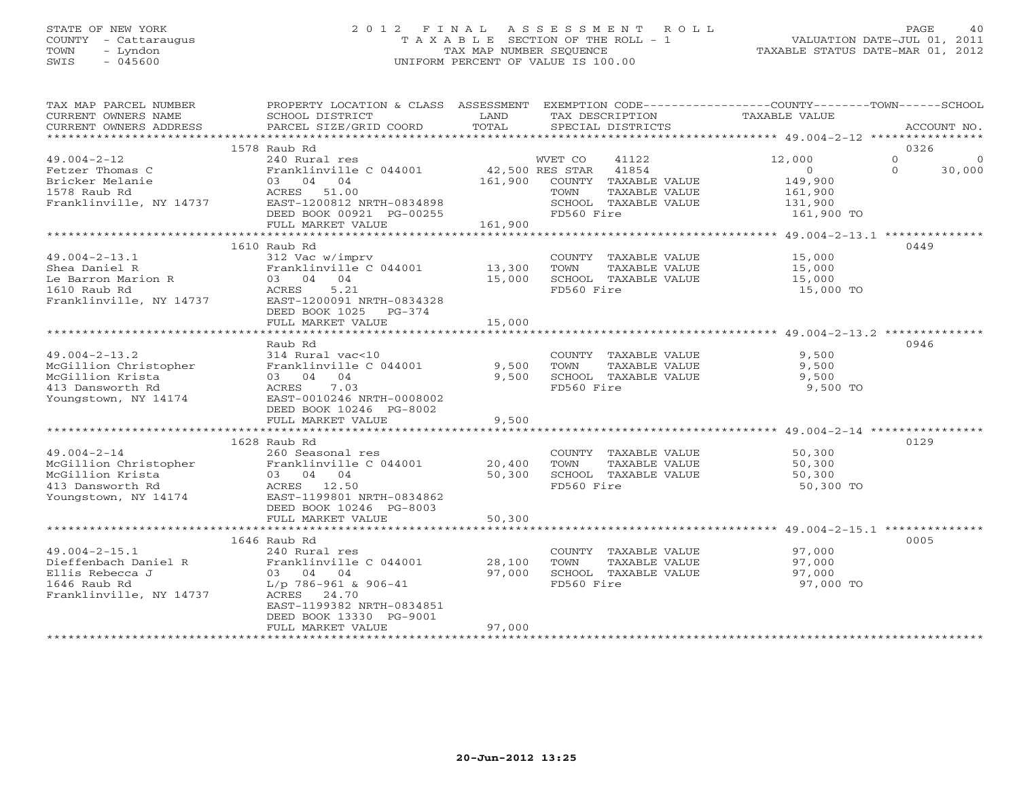# STATE OF NEW YORK 2 0 1 2 F I N A L A S S E S S M E N T R O L L PAGE 40 COUNTY - Cattaraugus T A X A B L E SECTION OF THE ROLL - 1 VALUATION DATE-JUL 01, 2011 TOWN - Lyndon TAX MAP NUMBER SEQUENCE TAXABLE STATUS DATE-MAR 01, 2012 SWIS - 045600 UNIFORM PERCENT OF VALUE IS 100.00UNIFORM PERCENT OF VALUE IS 100.00

| TAX MAP PARCEL NUMBER                   | PROPERTY LOCATION & CLASS ASSESSMENT |         | EXEMPTION CODE----------------COUNTY-------TOWN------SCHOOL |                      |                    |
|-----------------------------------------|--------------------------------------|---------|-------------------------------------------------------------|----------------------|--------------------|
| CURRENT OWNERS NAME                     | SCHOOL DISTRICT                      | LAND    | TAX DESCRIPTION                                             | <b>TAXABLE VALUE</b> |                    |
| CURRENT OWNERS ADDRESS                  | PARCEL SIZE/GRID COORD               | TOTAL   | SPECIAL DISTRICTS                                           |                      | ACCOUNT NO.        |
|                                         | ****************************         |         |                                                             |                      |                    |
|                                         | 1578 Raub Rd                         |         |                                                             |                      | 0326               |
| $49.004 - 2 - 12$                       | 240 Rural res                        |         | WVET CO<br>41122                                            | 12,000               | $\circ$<br>n       |
| Fetzer Thomas C                         | Franklinville C 044001               |         | 42,500 RES STAR 41854                                       | $\circ$              | $\Omega$<br>30,000 |
| Bricker Melanie                         | 03 04 04                             | 161,900 | COUNTY TAXABLE VALUE                                        | 149,900              |                    |
| 1578 Raub Rd                            | ACRES 51.00                          |         | TOWN<br>TAXABLE VALUE                                       | 161,900              |                    |
| Franklinville, NY 14737                 | EAST-1200812 NRTH-0834898            |         | SCHOOL TAXABLE VALUE                                        | 131,900              |                    |
|                                         | DEED BOOK 00921 PG-00255             |         | FD560 Fire                                                  | 161,900 TO           |                    |
|                                         | FULL MARKET VALUE                    | 161,900 |                                                             |                      |                    |
|                                         |                                      |         |                                                             |                      |                    |
|                                         | 1610 Raub Rd                         |         |                                                             |                      | 0449               |
| $49.004 - 2 - 13.1$                     | 312 Vac w/imprv                      |         | COUNTY TAXABLE VALUE                                        | 15,000               |                    |
| Shea Daniel R                           | Franklinville C 044001               | 13,300  | TOWN<br>TAXABLE VALUE                                       | 15,000               |                    |
| Le Barron Marion R                      | 03 04 04                             | 15,000  | SCHOOL TAXABLE VALUE                                        | 15,000               |                    |
|                                         | ACRES<br>5.21                        |         | FD560 Fire                                                  | 15,000 TO            |                    |
| 1610 Raub Rd<br>Franklinville, NY 14737 | EAST-1200091 NRTH-0834328            |         |                                                             |                      |                    |
|                                         | DEED BOOK 1025<br>$PG-374$           |         |                                                             |                      |                    |
|                                         | FULL MARKET VALUE                    | 15,000  |                                                             |                      |                    |
|                                         |                                      |         |                                                             |                      |                    |
|                                         | Raub Rd                              |         |                                                             |                      | 0946               |
| $49.004 - 2 - 13.2$                     | 314 Rural vac<10                     |         | COUNTY TAXABLE VALUE                                        | 9,500                |                    |
| McGillion Christopher                   | Franklinville C 044001               | 9,500   | TAXABLE VALUE<br>TOWN                                       | 9,500                |                    |
| McGillion Krista                        | 03 04 04                             | 9,500   | SCHOOL TAXABLE VALUE                                        | 9,500                |                    |
| 413 Dansworth Rd                        | 7.03<br>ACRES                        |         | FD560 Fire                                                  | 9,500 TO             |                    |
| Youngstown, NY 14174                    | EAST-0010246 NRTH-0008002            |         |                                                             |                      |                    |
|                                         | DEED BOOK 10246 PG-8002              |         |                                                             |                      |                    |
|                                         | FULL MARKET VALUE                    | 9,500   |                                                             |                      |                    |
|                                         |                                      |         |                                                             |                      |                    |
|                                         | 1628 Raub Rd                         |         |                                                             |                      | 0129               |
| $49.004 - 2 - 14$                       | 260 Seasonal res                     |         | COUNTY TAXABLE VALUE                                        | 50, 300              |                    |
| McGillion Christopher                   | Franklinville C 044001               | 20,400  | TOWN<br>TAXABLE VALUE                                       | 50,300               |                    |
| McGillion Krista                        | 03 04 04                             | 50,300  | SCHOOL TAXABLE VALUE                                        | 50,300               |                    |
| 413 Dansworth Rd                        | ACRES 12.50                          |         | FD560 Fire                                                  | 50,300 TO            |                    |
| Youngstown, NY 14174                    | EAST-1199801 NRTH-0834862            |         |                                                             |                      |                    |
|                                         | DEED BOOK 10246 PG-8003              |         |                                                             |                      |                    |
|                                         | FULL MARKET VALUE                    | 50,300  |                                                             |                      |                    |
|                                         |                                      |         |                                                             |                      |                    |
|                                         | 1646 Raub Rd                         |         |                                                             |                      | 0005               |
| $49.004 - 2 - 15.1$                     | 240 Rural res                        |         | COUNTY TAXABLE VALUE                                        | 97,000               |                    |
| Dieffenbach Daniel R                    | Franklinville C 044001               | 28,100  | TOWN<br>TAXABLE VALUE                                       | 97,000               |                    |
| Ellis Rebecca J                         | 03 04 04                             | 97,000  | SCHOOL TAXABLE VALUE                                        | 97,000               |                    |
| 1646 Raub Rd                            | $L/p$ 786-961 & 906-41               |         | FD560 Fire                                                  | 97,000 TO            |                    |
| Franklinville, NY 14737                 | ACRES 24.70                          |         |                                                             |                      |                    |
|                                         | EAST-1199382 NRTH-0834851            |         |                                                             |                      |                    |
|                                         | DEED BOOK 13330 PG-9001              |         |                                                             |                      |                    |
|                                         | FULL MARKET VALUE                    | 97,000  |                                                             |                      |                    |
|                                         |                                      |         |                                                             |                      |                    |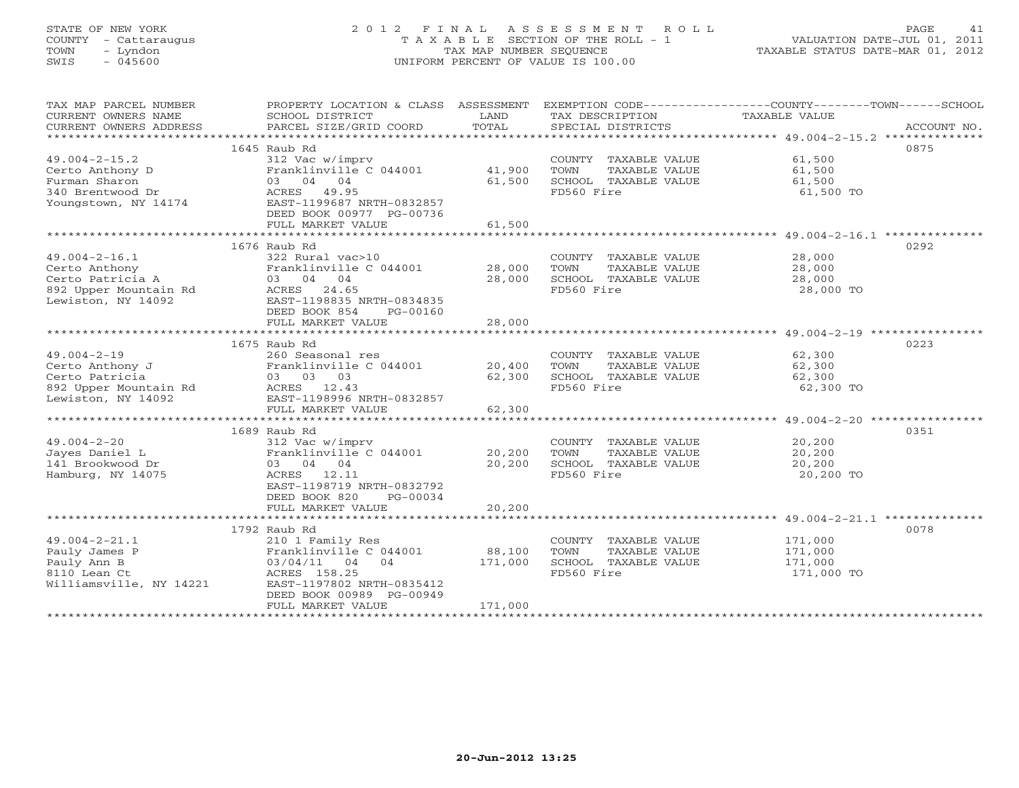# STATE OF NEW YORK 2 0 1 2 F I N A L A S S E S S M E N T R O L L PAGE 41 COUNTY - Cattaraugus T A X A B L E SECTION OF THE ROLL - 1 VALUATION DATE-JUL 01, 2011 TOWN - Lyndon TAX MAP NUMBER SEQUENCE TAXABLE STATUS DATE-MAR 01, 2012 SWIS - 045600 UNIFORM PERCENT OF VALUE IS 100.00UNIFORM PERCENT OF VALUE IS 100.00

| TAX MAP PARCEL NUMBER<br>CURRENT OWNERS NAME<br>CURRENT OWNERS ADDRESS | PROPERTY LOCATION & CLASS ASSESSMENT<br>SCHOOL DISTRICT<br>PARCEL SIZE/GRID COORD | LAND<br>TOTAL | TAX DESCRIPTION<br>SPECIAL DISTRICTS | EXEMPTION CODE-----------------COUNTY-------TOWN------SCHOOL<br>TAXABLE VALUE<br>ACCOUNT NO. |
|------------------------------------------------------------------------|-----------------------------------------------------------------------------------|---------------|--------------------------------------|----------------------------------------------------------------------------------------------|
|                                                                        |                                                                                   |               |                                      |                                                                                              |
|                                                                        | 1645 Raub Rd                                                                      |               |                                      | 0875                                                                                         |
| $49.004 - 2 - 15.2$                                                    | 312 Vac w/imprv                                                                   |               | COUNTY TAXABLE VALUE                 | 61,500                                                                                       |
| Certo Anthony D                                                        | Franklinville C 044001 41,900                                                     |               | TOWN<br>TAXABLE VALUE                | 61,500                                                                                       |
| Furman Sharon                                                          | 03 04 04                                                                          | 61,500        | SCHOOL TAXABLE VALUE                 | 61,500                                                                                       |
| 340 Brentwood Dr                                                       | ACRES 49.95                                                                       |               | FD560 Fire                           | 61,500 TO                                                                                    |
| Youngstown, NY 14174                                                   | EAST-1199687 NRTH-0832857                                                         |               |                                      |                                                                                              |
|                                                                        | DEED BOOK 00977 PG-00736                                                          |               |                                      |                                                                                              |
|                                                                        | FULL MARKET VALUE                                                                 | 61,500        |                                      |                                                                                              |
|                                                                        |                                                                                   |               |                                      |                                                                                              |
|                                                                        | 1676 Raub Rd                                                                      |               |                                      | 0292                                                                                         |
| $49.004 - 2 - 16.1$                                                    | 322 Rural vac>10                                                                  |               | COUNTY TAXABLE VALUE                 | 28,000                                                                                       |
| Certo Anthony                                                          | Franklinville C 044001                                                            | 28,000        | TOWN<br>TAXABLE VALUE                | 28,000                                                                                       |
| Certo Patricia A                                                       | 03 04 04                                                                          | 28,000        | SCHOOL TAXABLE VALUE                 | 28,000                                                                                       |
| 892 Upper Mountain Rd                                                  | ACRES 24.65                                                                       |               | FD560 Fire                           | 28,000 TO                                                                                    |
| Lewiston, NY 14092                                                     | EAST-1198835 NRTH-0834835                                                         |               |                                      |                                                                                              |
|                                                                        | DEED BOOK 854<br>PG-00160<br>FULL MARKET VALUE                                    | 28,000        |                                      |                                                                                              |
|                                                                        |                                                                                   |               |                                      |                                                                                              |
|                                                                        | 1675 Raub Rd                                                                      |               |                                      | 0223                                                                                         |
| $49.004 - 2 - 19$                                                      | 260 Seasonal res                                                                  |               | COUNTY TAXABLE VALUE                 | 62,300                                                                                       |
| Certo Anthony J                                                        | Franklinville C 044001 20,400                                                     |               | TOWN<br>TAXABLE VALUE                | 62,300                                                                                       |
| Certo Patricia                                                         | 03 03 03                                                                          | 62,300        | SCHOOL TAXABLE VALUE                 | 62,300                                                                                       |
| 892 Upper Mountain Rd                                                  | ACRES 12.43                                                                       |               | FD560 Fire                           | 62,300 TO                                                                                    |
| Lewiston, NY 14092                                                     | EAST-1198996 NRTH-0832857                                                         |               |                                      |                                                                                              |
|                                                                        | FULL MARKET VALUE                                                                 | 62,300        |                                      |                                                                                              |
|                                                                        |                                                                                   |               |                                      |                                                                                              |
|                                                                        | 1689 Raub Rd                                                                      |               |                                      | 0351                                                                                         |
| $49.004 - 2 - 20$                                                      | 312 Vac w/imprv                                                                   |               | COUNTY TAXABLE VALUE                 | 20,200                                                                                       |
| Jayes Daniel L                                                         | Franklinville C 044001 20,200                                                     |               | TOWN<br>TAXABLE VALUE                | 20,200                                                                                       |
| 141 Brookwood Dr                                                       | 03 04 04                                                                          | 20,200        | SCHOOL TAXABLE VALUE                 | 20,200                                                                                       |
| Hamburg, NY 14075                                                      | ACRES 12.11                                                                       |               | FD560 Fire                           | 20,200 TO                                                                                    |
|                                                                        | EAST-1198719 NRTH-0832792                                                         |               |                                      |                                                                                              |
|                                                                        | DEED BOOK 820<br>PG-00034                                                         |               |                                      |                                                                                              |
|                                                                        | FULL MARKET VALUE                                                                 | 20,200        |                                      |                                                                                              |
|                                                                        |                                                                                   |               |                                      |                                                                                              |
|                                                                        | 1792 Raub Rd                                                                      |               |                                      | 0078                                                                                         |
| $49.004 - 2 - 21.1$                                                    | 210 1 Family Res                                                                  |               | COUNTY TAXABLE VALUE                 | 171,000                                                                                      |
| Pauly James P                                                          | Franklinville C 044001                                                            | 88,100        | TOWN<br>TAXABLE VALUE                | 171,000                                                                                      |
| Pauly Ann B                                                            | 03/04/11 04 04                                                                    | 171,000       | SCHOOL TAXABLE VALUE                 | 171,000                                                                                      |
| 8110 Lean Ct                                                           | ACRES 158.25                                                                      |               | FD560 Fire                           | 171,000 TO                                                                                   |
| Williamsville, NY 14221                                                | EAST-1197802 NRTH-0835412<br>DEED BOOK 00989 PG-00949                             |               |                                      |                                                                                              |
|                                                                        | FULL MARKET VALUE                                                                 | 171,000       |                                      |                                                                                              |
|                                                                        |                                                                                   |               |                                      |                                                                                              |
|                                                                        |                                                                                   |               |                                      |                                                                                              |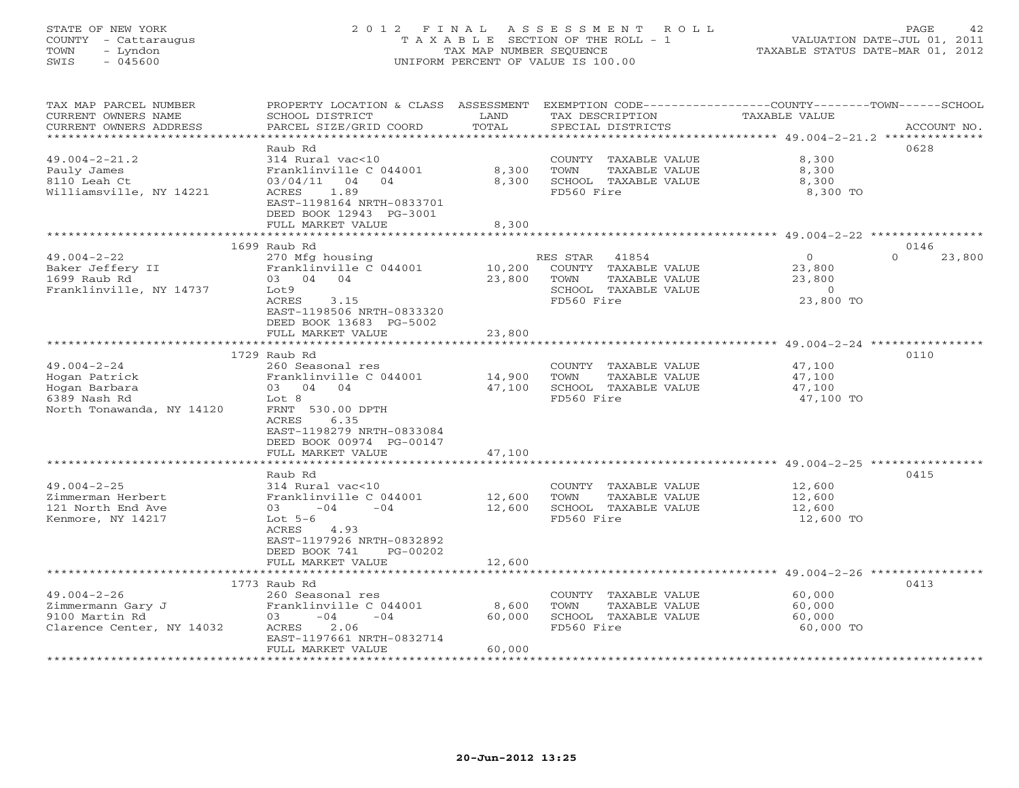# STATE OF NEW YORK 2 0 1 2 F I N A L A S S E S S M E N T R O L L PAGE 42 COUNTY - Cattaraugus T A X A B L E SECTION OF THE ROLL - 1 VALUATION DATE-JUL 01, 2011 TOWN - Lyndon TAX MAP NUMBER SEQUENCE TAXABLE STATUS DATE-MAR 01, 2012 SWIS - 045600 UNIFORM PERCENT OF VALUE IS 100.00

| TAX MAP PARCEL NUMBER<br>CURRENT OWNERS NAME<br>CURRENT OWNERS ADDRESS | PROPERTY LOCATION & CLASS ASSESSMENT<br>SCHOOL DISTRICT<br>PARCEL SIZE/GRID COORD | LAND<br>TOTAL           | TAX DESCRIPTION<br>SPECIAL DISTRICTS          | EXEMPTION CODE-----------------COUNTY-------TOWN------SCHOOL<br>TAXABLE VALUE<br>ACCOUNT NO. |
|------------------------------------------------------------------------|-----------------------------------------------------------------------------------|-------------------------|-----------------------------------------------|----------------------------------------------------------------------------------------------|
| *************************                                              |                                                                                   |                         |                                               |                                                                                              |
|                                                                        | Raub Rd                                                                           |                         |                                               | 0628                                                                                         |
| $49.004 - 2 - 21.2$                                                    | 314 Rural vac<10                                                                  |                         | COUNTY TAXABLE VALUE                          | 8,300                                                                                        |
| Pauly James<br>8110 Leah Ct                                            | Franklinville C 044001<br>03/04/11<br>04<br>04                                    | 8,300<br>8,300          | TOWN<br>TAXABLE VALUE<br>SCHOOL TAXABLE VALUE | 8,300                                                                                        |
| Williamsville, NY 14221                                                | 1.89<br>ACRES                                                                     |                         | FD560 Fire                                    | 8,300<br>8,300 TO                                                                            |
|                                                                        | EAST-1198164 NRTH-0833701                                                         |                         |                                               |                                                                                              |
|                                                                        | DEED BOOK 12943 PG-3001                                                           |                         |                                               |                                                                                              |
|                                                                        | FULL MARKET VALUE                                                                 | 8,300                   |                                               |                                                                                              |
|                                                                        |                                                                                   |                         |                                               |                                                                                              |
|                                                                        | 1699 Raub Rd                                                                      |                         |                                               | 0146                                                                                         |
| $49.004 - 2 - 22$                                                      | 270 Mfg housing                                                                   |                         | RES STAR<br>41854                             | $\circ$<br>$\Omega$<br>23,800                                                                |
| Baker Jeffery II                                                       | Franklinville C 044001                                                            | 10,200                  | COUNTY TAXABLE VALUE                          | 23,800                                                                                       |
| 1699 Raub Rd                                                           | 03 04 04                                                                          | 23,800                  | TOWN<br>TAXABLE VALUE                         | 23,800                                                                                       |
| Franklinville, NY 14737                                                | Lot9                                                                              |                         | SCHOOL TAXABLE VALUE                          | $\Omega$                                                                                     |
|                                                                        | ACRES<br>3.15                                                                     |                         | FD560 Fire                                    | 23,800 TO                                                                                    |
|                                                                        | EAST-1198506 NRTH-0833320                                                         |                         |                                               |                                                                                              |
|                                                                        | DEED BOOK 13683 PG-5002                                                           |                         |                                               |                                                                                              |
|                                                                        | FULL MARKET VALUE                                                                 | 23,800                  |                                               |                                                                                              |
|                                                                        | *************************                                                         |                         |                                               |                                                                                              |
|                                                                        | 1729 Raub Rd                                                                      |                         |                                               | 0110                                                                                         |
| $49.004 - 2 - 24$                                                      | 260 Seasonal res                                                                  |                         | COUNTY TAXABLE VALUE                          | 47,100                                                                                       |
| Hogan Patrick                                                          | Franklinville C 044001                                                            | 14,900                  | TOWN<br>TAXABLE VALUE                         | 47,100                                                                                       |
| Hogan Barbara                                                          | 03 04 04                                                                          | 47,100                  | SCHOOL TAXABLE VALUE                          | 47,100                                                                                       |
| 6389 Nash Rd                                                           | Lot 8                                                                             |                         | FD560 Fire                                    | 47,100 TO                                                                                    |
| North Tonawanda, NY 14120                                              | FRNT 530.00 DPTH                                                                  |                         |                                               |                                                                                              |
|                                                                        | ACRES<br>6.35                                                                     |                         |                                               |                                                                                              |
|                                                                        | EAST-1198279 NRTH-0833084                                                         |                         |                                               |                                                                                              |
|                                                                        | DEED BOOK 00974 PG-00147                                                          |                         |                                               |                                                                                              |
|                                                                        | FULL MARKET VALUE<br>******************                                           | 47,100<br>************* |                                               | ********************************** 49.004-2-25 **********                                    |
|                                                                        | Raub Rd                                                                           |                         |                                               | 0415                                                                                         |
| $49.004 - 2 - 25$                                                      | 314 Rural vac<10                                                                  |                         | COUNTY TAXABLE VALUE                          | 12,600                                                                                       |
| Zimmerman Herbert                                                      | Franklinville C 044001                                                            | 12,600                  | TOWN<br>TAXABLE VALUE                         | 12,600                                                                                       |
| 121 North End Ave                                                      | $03 -04$<br>$-04$                                                                 | 12,600                  | SCHOOL TAXABLE VALUE                          | 12,600                                                                                       |
| Kenmore, NY 14217                                                      | Lot $5-6$                                                                         |                         | FD560 Fire                                    | 12,600 TO                                                                                    |
|                                                                        | ACRES<br>4.93                                                                     |                         |                                               |                                                                                              |
|                                                                        | EAST-1197926 NRTH-0832892                                                         |                         |                                               |                                                                                              |
|                                                                        | DEED BOOK 741<br>PG-00202                                                         |                         |                                               |                                                                                              |
|                                                                        | FULL MARKET VALUE                                                                 | 12,600                  |                                               |                                                                                              |
|                                                                        |                                                                                   |                         |                                               |                                                                                              |
|                                                                        | 1773 Raub Rd                                                                      |                         |                                               | 0413                                                                                         |
| $49.004 - 2 - 26$                                                      | 260 Seasonal res                                                                  |                         | COUNTY TAXABLE VALUE                          | 60,000                                                                                       |
| Zimmermann Gary J                                                      | Franklinville C 044001                                                            | 8,600                   | TOWN<br>TAXABLE VALUE                         | 60,000                                                                                       |
| 9100 Martin Rd                                                         | $-04$<br>$-04$<br>03                                                              | 60,000                  | SCHOOL TAXABLE VALUE                          | 60,000                                                                                       |
| Clarence Center, NY 14032                                              | 2.06<br>ACRES                                                                     |                         | FD560 Fire                                    | 60,000 TO                                                                                    |
|                                                                        | EAST-1197661 NRTH-0832714                                                         |                         |                                               |                                                                                              |
|                                                                        | FULL MARKET VALUE                                                                 | 60,000                  |                                               |                                                                                              |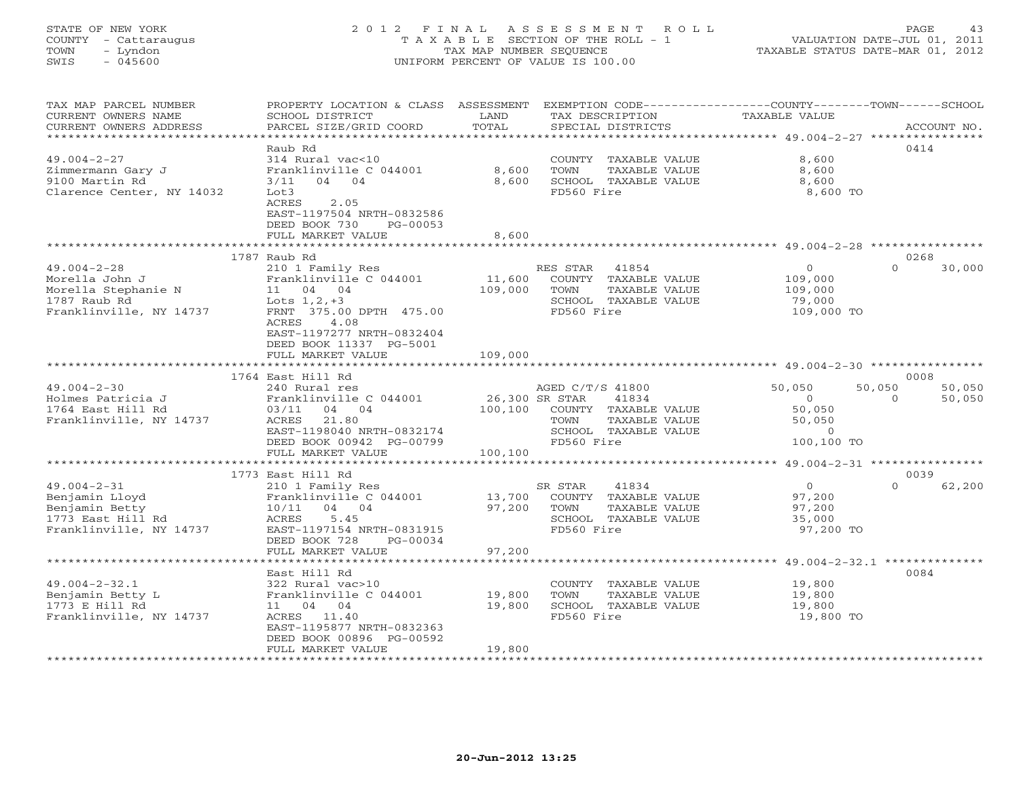# STATE OF NEW YORK 2 0 1 2 F I N A L A S S E S S M E N T R O L L PAGE 43 COUNTY - Cattaraugus T A X A B L E SECTION OF THE ROLL - 1 VALUATION DATE-JUL 01, 2011 TOWN - Lyndon TAX MAP NUMBER SEQUENCE TAXABLE STATUS DATE-MAR 01, 2012 SWIS - 045600 UNIFORM PERCENT OF VALUE IS 100.00UNIFORM PERCENT OF VALUE IS 100.00

| TAX MAP PARCEL NUMBER<br>CURRENT OWNERS NAME<br>CURRENT OWNERS ADDRESS                                | PROPERTY LOCATION & CLASS ASSESSMENT EXEMPTION CODE---------------COUNTY-------TOWN-----SCHOOL<br>SCHOOL DISTRICT<br>PARCEL SIZE/GRID COORD                                                   | LAND<br>TOTAL                               | TAX DESCRIPTION<br>SPECIAL DISTRICTS                                                            |               | TAXABLE VALUE                                                                |                    | ACCOUNT NO.      |
|-------------------------------------------------------------------------------------------------------|-----------------------------------------------------------------------------------------------------------------------------------------------------------------------------------------------|---------------------------------------------|-------------------------------------------------------------------------------------------------|---------------|------------------------------------------------------------------------------|--------------------|------------------|
| $49.004 - 2 - 27$<br>Zimmermann Gary J<br>9100 Martin Rd<br>Clarence Center, NY 14032                 | Raub Rd<br>314 Rural vac<10<br>Franklinville C 044001<br>04 04<br>$3/11$<br>Lot3<br>ACRES<br>2.05<br>EAST-1197504 NRTH-0832586<br>DEED BOOK 730<br>PG-00053<br>FULL MARKET VALUE              | 8,600<br>8,600<br>8,600                     | COUNTY TAXABLE VALUE<br>TOWN<br>SCHOOL TAXABLE VALUE<br>FD560 Fire                              | TAXABLE VALUE | 8,600<br>8,600<br>8,600<br>8,600 TO                                          | 0414               |                  |
|                                                                                                       |                                                                                                                                                                                               |                                             |                                                                                                 |               |                                                                              |                    |                  |
| $49.004 - 2 - 28$<br>Morella John J<br>Morella Stephanie N<br>1787 Raub Rd<br>Franklinville, NY 14737 | 1787 Raub Rd<br>210 1 Family Res<br>Franklinville C 044001<br>11 04 04<br>Lots $1, 2, +3$<br>FRNT 375.00 DPTH 475.00<br>4.08<br>ACRES<br>EAST-1197277 NRTH-0832404<br>DEED BOOK 11337 PG-5001 | 11,600<br>109,000                           | RES STAR 41854<br>COUNTY TAXABLE VALUE<br>TOWN<br>SCHOOL TAXABLE VALUE<br>FD560 Fire            | TAXABLE VALUE | $\circ$<br>109,000<br>109,000<br>79,000<br>109,000 TO                        | 0268<br>$\Omega$   | 30,000           |
|                                                                                                       | FULL MARKET VALUE                                                                                                                                                                             | 109,000                                     |                                                                                                 |               |                                                                              |                    |                  |
|                                                                                                       | 1764 East Hill Rd                                                                                                                                                                             |                                             |                                                                                                 |               |                                                                              | 0008               |                  |
| $49.004 - 2 - 30$<br>Holmes Patricia J<br>1764 East Hill Rd<br>Franklinville, NY 14737                | 240 Rural res<br>Franklinville C 044001<br>03/11<br>04 04<br>ACRES 21.80<br>EAST-1198040 NRTH-0832174<br>DEED BOOK 00942 PG-00799<br>FULL MARKET VALUE                                        | 26,300 SR STAR<br>100,100 COUNTY<br>100,100 | AGED C/T/S 41800<br>41834<br>COUNTY TAXABLE VALUE<br>TOWN<br>SCHOOL TAXABLE VALUE<br>FD560 Fire | TAXABLE VALUE | 50,050<br>$\overline{0}$<br>50,050<br>50,050<br>$\overline{0}$<br>100,100 TO | 50,050<br>$\Omega$ | 50,050<br>50,050 |
|                                                                                                       |                                                                                                                                                                                               |                                             |                                                                                                 |               |                                                                              |                    |                  |
| $49.004 - 2 - 31$<br>Benjamin Lloyd<br>Benjamin Betty<br>1773 East Hill Rd<br>Franklinville, NY 14737 | 1773 East Hill Rd<br>210 1 Family Res<br>Franklinville C 044001<br>10/11 04 04<br>ACRES 5.45<br>EAST-1197154 NRTH-0831915<br>DEED BOOK 728<br>PG-00034<br>FULL MARKET VALUE                   | 13,700<br>97,200<br>97,200                  | SR STAR<br>41834<br>COUNTY TAXABLE VALUE<br>TOWN<br>SCHOOL TAXABLE VALUE<br>FD560 Fire          | TAXABLE VALUE | $\overline{0}$<br>97,200<br>97,200<br>35,000<br>97,200 TO                    | 0039<br>$\Omega$   | 62,200           |
|                                                                                                       | *******************************                                                                                                                                                               |                                             |                                                                                                 |               | ******************************* 49.004-2-32.1 **************                 |                    |                  |
| $49.004 - 2 - 32.1$<br>Benjamin Betty L<br>1773 E Hill Rd<br>Franklinville, NY 14737                  | East Hill Rd<br>322 Rural vac>10<br>Franklinville C 044001<br>11 04 04<br>ACRES 11.40<br>EAST-1195877 NRTH-0832363<br>DEED BOOK 00896 PG-00592<br>FULL MARKET VALUE                           | 19,800<br>19,800<br>19,800                  | COUNTY TAXABLE VALUE<br>TOWN<br>SCHOOL TAXABLE VALUE<br>FD560 Fire                              | TAXABLE VALUE | 19,800<br>19,800<br>19,800<br>19,800 TO                                      | 0084               |                  |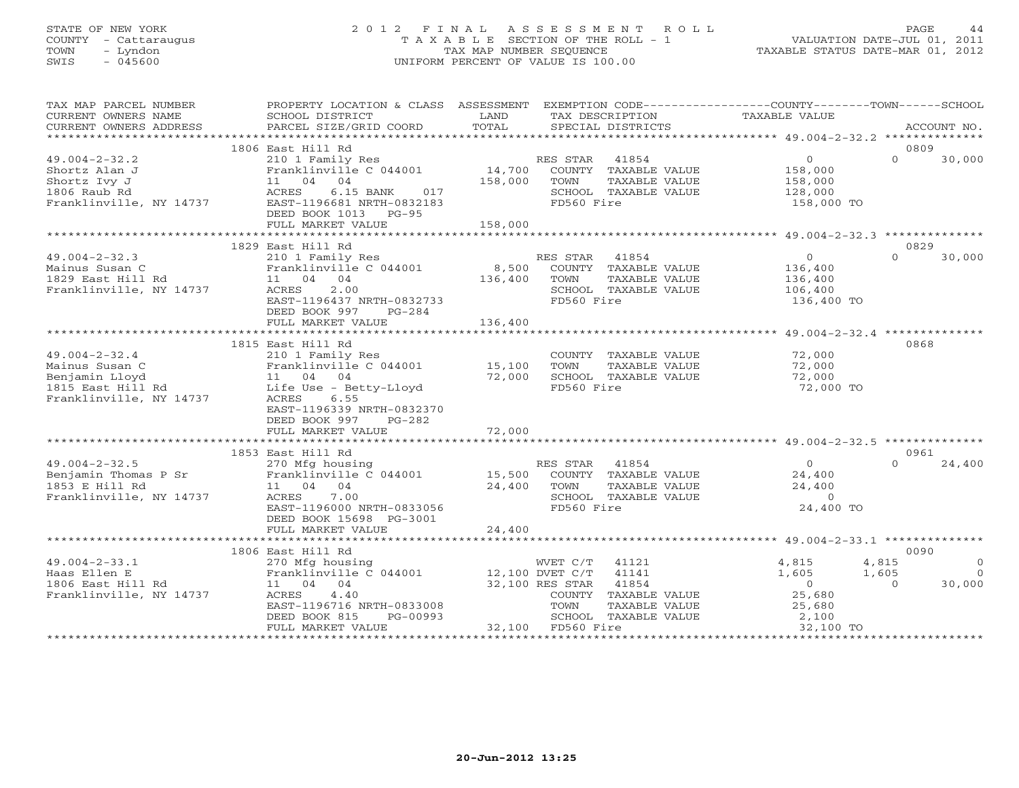# STATE OF NEW YORK 2 0 1 2 F I N A L A S S E S S M E N T R O L L PAGE 44 COUNTY - Cattaraugus T A X A B L E SECTION OF THE ROLL - 1 VALUATION DATE-JUL 01, 2011 TOWN - Lyndon TAX MAP NUMBER SEQUENCE TAXABLE STATUS DATE-MAR 01, 2012 SWIS - 045600 UNIFORM PERCENT OF VALUE IS 100.00

| TAX MAP PARCEL NUMBER<br>CURRENT OWNERS NAME<br>CURRENT OWNERS ADDRESS                                                                                                                          | PROPERTY LOCATION & CLASS ASSESSMENT EXEMPTION CODE---------------COUNTY-------TOWN------SCHOOL<br>SCHOOL DISTRICT<br>PARCEL SIZE/GRID COORD                                             | LAND<br>TOTAL      | TAX DESCRIPTION<br>SPECIAL DISTRICTS                                                                         | TAXABLE VALUE                                                                    | ACCOUNT NO.                                                              |
|-------------------------------------------------------------------------------------------------------------------------------------------------------------------------------------------------|------------------------------------------------------------------------------------------------------------------------------------------------------------------------------------------|--------------------|--------------------------------------------------------------------------------------------------------------|----------------------------------------------------------------------------------|--------------------------------------------------------------------------|
|                                                                                                                                                                                                 |                                                                                                                                                                                          |                    |                                                                                                              |                                                                                  |                                                                          |
|                                                                                                                                                                                                 | 1806 East Hill Rd                                                                                                                                                                        |                    |                                                                                                              |                                                                                  | 0809                                                                     |
| $49.004 - 2 - 32.2$<br>Shortz Alan J<br>Shortz Ivy J<br>1806 Raub Rd<br>Franklinville, NY 14737                                                                                                 | 210 1 Family Res<br>Franklinville C 044001<br>11 04 04<br>6.15 BANK 017<br>ACRES<br>EAST-1196681 NRTH-0832183<br>DEED BOOK 1013 PG-95<br>FULL MARKET VALUE                               | 158,000<br>158,000 | RES STAR 41854<br>14,700 COUNTY TAXABLE VALUE<br>TOWN<br>TAXABLE VALUE<br>SCHOOL TAXABLE VALUE<br>FD560 Fire | $\overline{0}$<br>158,000<br>158,000<br>128,000<br>158,000 TO                    | $\Omega$<br>30,000                                                       |
|                                                                                                                                                                                                 |                                                                                                                                                                                          |                    |                                                                                                              |                                                                                  |                                                                          |
|                                                                                                                                                                                                 | 1829 East Hill Rd                                                                                                                                                                        |                    |                                                                                                              |                                                                                  | 0829                                                                     |
| $49.004 - 2 - 32.3$<br>Mainus Susan C<br>1829 East Hill Rd<br>Franklinville, NY 14737                                                                                                           | 210 1 Family Res<br>Franklinville C 044001<br>11 04 04<br>ACRES 2.00<br>EAST-1196437 NRTH-0832733<br>DEED BOOK 997<br>PG-284                                                             | 8,500<br>136,400   | RES STAR<br>41854<br>COUNTY TAXABLE VALUE<br>TOWN<br>TAXABLE VALUE<br>SCHOOL TAXABLE VALUE<br>FD560 Fire     | $\overline{0}$<br>136,400<br>136,400<br>106,400<br>136,400 TO                    | $\Omega$<br>30,000                                                       |
|                                                                                                                                                                                                 | FULL MARKET VALUE                                                                                                                                                                        | 136,400            |                                                                                                              |                                                                                  |                                                                          |
|                                                                                                                                                                                                 |                                                                                                                                                                                          |                    |                                                                                                              |                                                                                  |                                                                          |
|                                                                                                                                                                                                 | 1815 East Hill Rd                                                                                                                                                                        |                    |                                                                                                              |                                                                                  | 0868                                                                     |
| $49.004 - 2 - 32.4$<br>49.004-2-32.4<br>Mainus Susan C<br>Benjamin Lloyd<br>11 04 04<br>1815 East Hill Rd<br>1815 East Hill Rd<br>1815 East Hill Rd<br>1815 East Mill Rd<br>1815 ACRES<br>18223 | 210 1 Family Res<br>Franklinville C 044001<br>EAST-1196339 NRTH-0832370<br>DEED BOOK 997<br>PG-282                                                                                       | 15,100<br>72,000   | COUNTY TAXABLE VALUE<br>TAXABLE VALUE<br>TOWN<br>SCHOOL TAXABLE VALUE<br>FD560 Fire                          | 72,000<br>72,000<br>72,000<br>72,000 TO                                          |                                                                          |
|                                                                                                                                                                                                 | FULL MARKET VALUE                                                                                                                                                                        | 72,000             |                                                                                                              |                                                                                  |                                                                          |
|                                                                                                                                                                                                 |                                                                                                                                                                                          |                    |                                                                                                              |                                                                                  |                                                                          |
|                                                                                                                                                                                                 | 1853 East Hill Rd                                                                                                                                                                        |                    |                                                                                                              |                                                                                  | 0961                                                                     |
| $49.004 - 2 - 32.5$<br>1853 E Hill Rd<br>Franklinville, NY 14737                                                                                                                                | 270 Mfg housing<br>11 04 04<br>ACRES<br>7.00<br>EAST-1196000 NRTH-0833056<br>DEED BOOK 15698 PG-3001<br>FULL MARKET VALUE                                                                | 24,400<br>24,400   | RES STAR 41854<br>TOWN<br>TAXABLE VALUE<br>SCHOOL TAXABLE VALUE<br>FD560 Fire                                | $\overline{0}$<br>24,400<br>24,400<br>$\overline{0}$<br>24,400 TO                | $\Omega$<br>24,400                                                       |
|                                                                                                                                                                                                 |                                                                                                                                                                                          |                    |                                                                                                              |                                                                                  |                                                                          |
|                                                                                                                                                                                                 | 1806 East Hill Rd                                                                                                                                                                        |                    |                                                                                                              |                                                                                  | 0090                                                                     |
| $49.004 - 2 - 33.1$<br>Haas Ellen E<br>1806 East Hill Rd<br>Franklinville, NY 14737                                                                                                             | 270 Mfg housing 6044001 MVET C/T 41121<br>Franklinville C 044001 12,100 DVET C/T 41141<br>11 04 04<br>ACRES 4.40<br>EAST-1196716 NRTH-0833008<br>DEED BOOK 815 PG-00993<br>DEED BOOK 815 | 32,100 RES STAR    | 41854<br>COUNTY TAXABLE VALUE<br>TOWN<br>TAXABLE VALUE<br>SCHOOL TAXABLE VALUE                               | 4,815<br>1,605<br>$\begin{array}{c}\n 25 \\  0\n \end{array}$<br>25,680<br>2,100 | 4,815<br>$\overline{0}$<br>1,605<br>$\overline{0}$<br>30,000<br>$\Omega$ |
|                                                                                                                                                                                                 | FULL MARKET VALUE                                                                                                                                                                        |                    | 32,100 FD560 Fire                                                                                            | 32,100 TO                                                                        |                                                                          |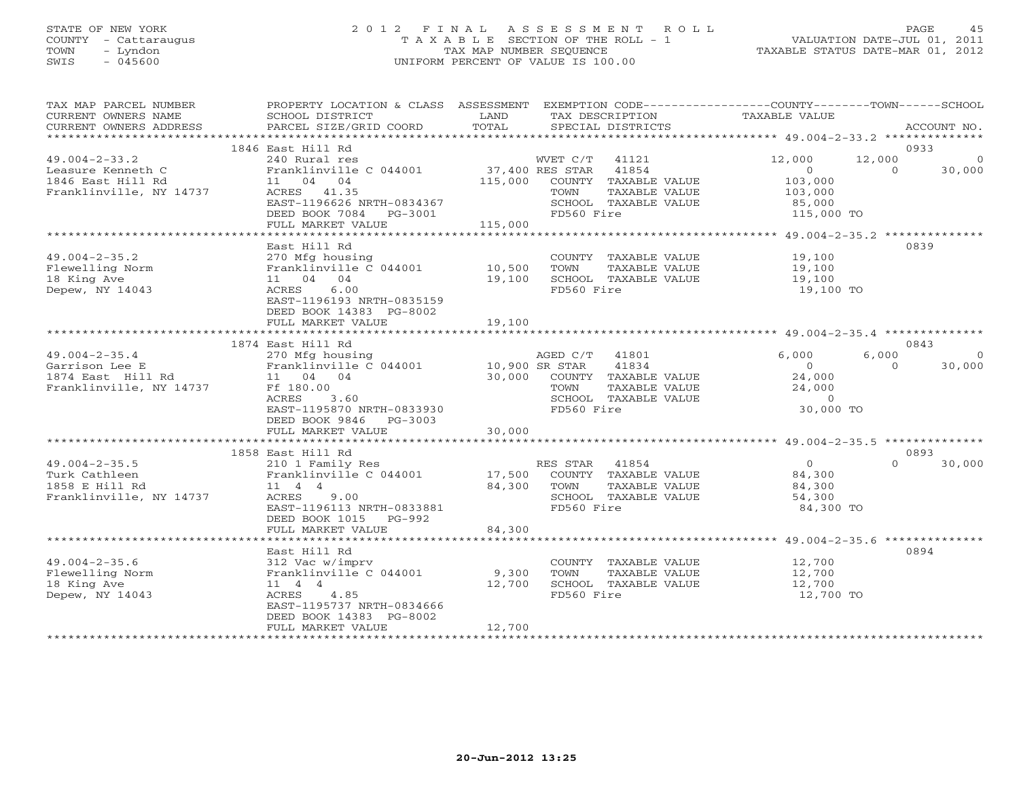# STATE OF NEW YORK 2 0 1 2 F I N A L A S S E S S M E N T R O L L PAGE 45 COUNTY - Cattaraugus T A X A B L E SECTION OF THE ROLL - 1 VALUATION DATE-JUL 01, 2011 TOWN - Lyndon TAX MAP NUMBER SEQUENCE TAXABLE STATUS DATE-MAR 01, 2012 SWIS - 045600 UNIFORM PERCENT OF VALUE IS 100.00UNIFORM PERCENT OF VALUE IS 100.00

| TAX MAP PARCEL NUMBER<br>CURRENT OWNERS NAME<br>CURRENT OWNERS ADDRESS | PROPERTY LOCATION & CLASS ASSESSMENT<br>SCHOOL DISTRICT<br>PARCEL SIZE/GRID COORD | LAND<br>TOTAL              | EXEMPTION CODE-----------------COUNTY-------TOWN------SCHOOL<br>TAX DESCRIPTION<br>SPECIAL DISTRICTS | TAXABLE VALUE                   |                    | ACCOUNT NO.              |
|------------------------------------------------------------------------|-----------------------------------------------------------------------------------|----------------------------|------------------------------------------------------------------------------------------------------|---------------------------------|--------------------|--------------------------|
|                                                                        |                                                                                   |                            |                                                                                                      |                                 |                    |                          |
|                                                                        | 1846 East Hill Rd                                                                 |                            |                                                                                                      |                                 | 0933               |                          |
| $49.004 - 2 - 33.2$<br>Leasure Kenneth C<br>1846 East Hill Rd          | 240 Rural res<br>Franklinville C 044001<br>11 04 04                               | 37,400 RES STAR<br>115,000 | WVET C/T 41121<br>41854<br>COUNTY TAXABLE VALUE                                                      | 12,000<br>$\Omega$<br>103,000   | 12,000<br>$\Omega$ | $\overline{0}$<br>30,000 |
| Franklinville, NY 14737                                                | ACRES 41.35<br>EAST-1196626 NRTH-0834367<br>DEED BOOK 7084 PG-3001                |                            | TAXABLE VALUE<br>TOWN<br>SCHOOL TAXABLE VALUE<br>FD560 Fire                                          | 103,000<br>85,000<br>115,000 TO |                    |                          |
|                                                                        | FULL MARKET VALUE                                                                 | 115,000                    |                                                                                                      |                                 |                    |                          |
|                                                                        |                                                                                   |                            |                                                                                                      |                                 |                    |                          |
| $49.004 - 2 - 35.2$                                                    | East Hill Rd<br>270 Mfg housing                                                   |                            | COUNTY TAXABLE VALUE                                                                                 | 19,100                          | 0839               |                          |
| Flewelling Norm                                                        | Franklinville C 044001                                                            | 10,500                     | TOWN<br>TAXABLE VALUE                                                                                | 19,100                          |                    |                          |
| 18 King Ave                                                            | 11 04 04                                                                          | 19,100                     | SCHOOL TAXABLE VALUE                                                                                 | 19,100                          |                    |                          |
| Depew, NY 14043                                                        | ACRES<br>6.00                                                                     |                            | FD560 Fire                                                                                           | 19,100 TO                       |                    |                          |
|                                                                        | EAST-1196193 NRTH-0835159<br>DEED BOOK 14383 PG-8002                              | 19,100                     |                                                                                                      |                                 |                    |                          |
|                                                                        | FULL MARKET VALUE                                                                 |                            |                                                                                                      |                                 |                    |                          |
|                                                                        | 1874 East Hill Rd                                                                 |                            |                                                                                                      |                                 | 0843               |                          |
| $49.004 - 2 - 35.4$                                                    | 270 Mfg housing                                                                   |                            | AGED C/T<br>41801                                                                                    | 6,000                           | 6,000              | $\circ$                  |
| Garrison Lee E                                                         | Franklinville C 044001                                                            | 10,900 SR STAR             | 41834                                                                                                | $\Omega$                        | $\Omega$           | 30,000                   |
| 1874 East Hill Rd                                                      | 11 04 04                                                                          | 30,000                     | COUNTY TAXABLE VALUE                                                                                 | 24,000                          |                    |                          |
| Franklinville, NY 14737                                                | Ff 180.00                                                                         |                            | TOWN<br>TAXABLE VALUE                                                                                | 24,000                          |                    |                          |
|                                                                        | ACRES<br>3.60                                                                     |                            | SCHOOL TAXABLE VALUE                                                                                 | $\Omega$                        |                    |                          |
|                                                                        | EAST-1195870 NRTH-0833930                                                         |                            | FD560 Fire                                                                                           | 30,000 TO                       |                    |                          |
|                                                                        | DEED BOOK 9846<br>PG-3003<br>FULL MARKET VALUE                                    | 30,000                     |                                                                                                      |                                 |                    |                          |
|                                                                        |                                                                                   |                            |                                                                                                      |                                 |                    |                          |
|                                                                        | 1858 East Hill Rd                                                                 |                            |                                                                                                      |                                 | 0893               |                          |
| $49.004 - 2 - 35.5$                                                    | 210 1 Family Res                                                                  |                            | RES STAR 41854                                                                                       | $\overline{0}$                  | $\Omega$           | 30,000                   |
| Turk Cathleen                                                          | Franklinville C 044001                                                            | 17,500                     | COUNTY TAXABLE VALUE                                                                                 | 84,300                          |                    |                          |
| 1858 E Hill Rd                                                         | $11 \t 4 \t 4$                                                                    | 84,300                     | TAXABLE VALUE<br>TOWN                                                                                | 84,300                          |                    |                          |
| Franklinville, NY 14737                                                | ACRES 9.00                                                                        |                            | SCHOOL TAXABLE VALUE                                                                                 | 54,300                          |                    |                          |
|                                                                        | EAST-1196113 NRTH-0833881<br>DEED BOOK 1015 PG-992                                |                            | FD560 Fire                                                                                           | 84,300 TO                       |                    |                          |
|                                                                        | FULL MARKET VALUE                                                                 | 84,300                     |                                                                                                      |                                 |                    |                          |
|                                                                        | East Hill Rd                                                                      |                            |                                                                                                      |                                 | 0894               |                          |
| $49.004 - 2 - 35.6$                                                    | 312 Vac w/imprv                                                                   |                            | COUNTY TAXABLE VALUE                                                                                 | 12,700                          |                    |                          |
| Flewelling Norm                                                        | Franklinville C 044001                                                            | 9,300                      | TOWN<br>TAXABLE VALUE                                                                                | 12,700                          |                    |                          |
| 18 King Ave                                                            | $11 \t 4 \t 4$                                                                    | 12,700                     | SCHOOL TAXABLE VALUE                                                                                 | 12,700                          |                    |                          |
| Depew, NY 14043                                                        | 4.85<br>ACRES                                                                     |                            | FD560 Fire                                                                                           | 12,700 TO                       |                    |                          |
|                                                                        | EAST-1195737 NRTH-0834666                                                         |                            |                                                                                                      |                                 |                    |                          |
|                                                                        | DEED BOOK 14383 PG-8002                                                           |                            |                                                                                                      |                                 |                    |                          |
|                                                                        | FULL MARKET VALUE                                                                 | 12,700                     |                                                                                                      |                                 |                    |                          |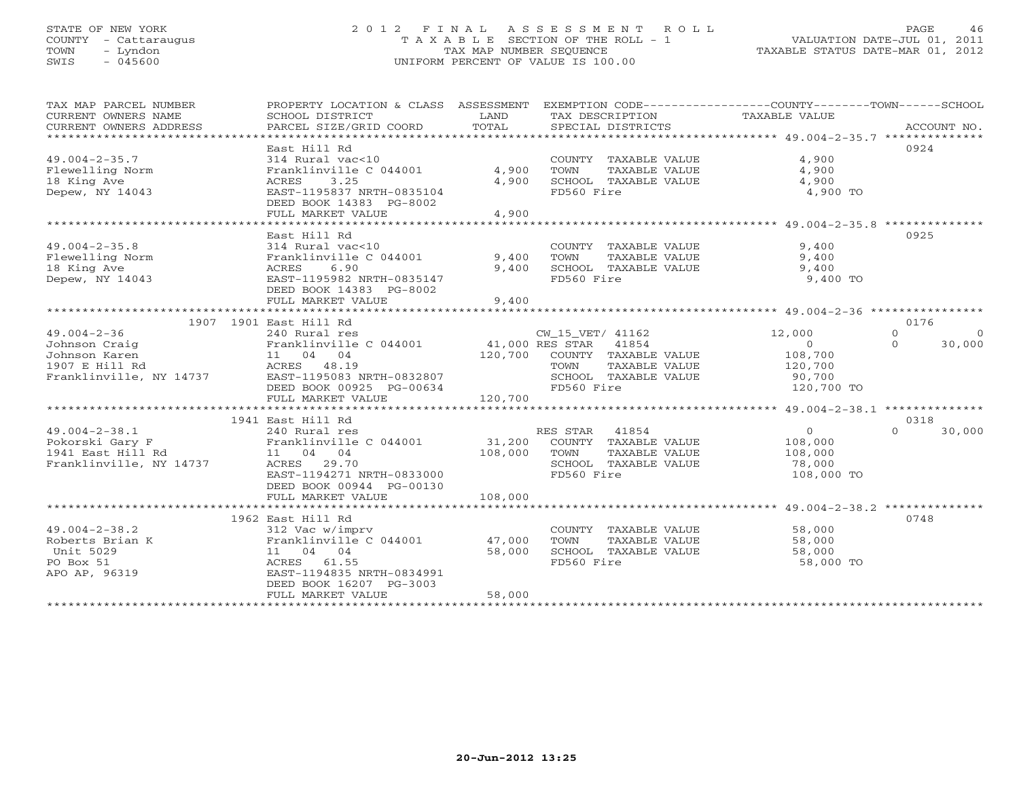#### STATE OF NEW YORK 2 0 1 2 F I N A L A S S E S S M E N T R O L L PAGE 46 COUNTY - Cattaraugus T A X A B L E SECTION OF THE ROLL - 1 VALUATION DATE-JUL 01, 2011 TOWN - Lyndon TAX MAP NUMBER SEQUENCE TAXABLE STATUS DATE-MAR 01, 2012 SWIS - 045600 UNIFORM PERCENT OF VALUE IS 100.00

| TAX MAP PARCEL NUMBER<br>CURRENT OWNERS NAME | PROPERTY LOCATION & CLASS ASSESSMENT<br>SCHOOL DISTRICT   | LAND    | EXEMPTION CODE-----------------COUNTY-------TOWN------SCHOOL<br>TAX DESCRIPTION | TAXABLE VALUE      |                        |
|----------------------------------------------|-----------------------------------------------------------|---------|---------------------------------------------------------------------------------|--------------------|------------------------|
|                                              |                                                           |         |                                                                                 |                    |                        |
|                                              | East Hill Rd                                              |         |                                                                                 |                    | 0924                   |
| $49.004 - 2 - 35.7$                          | 314 Rural vac<10                                          |         | COUNTY TAXABLE VALUE                                                            | 4,900              |                        |
| Flewelling Norm                              | Franklinville C 044001                                    | 4,900   | TOWN<br>TAXABLE VALUE                                                           | 4,900              |                        |
| 18 King Ave                                  | 3.25<br>ACRES                                             | 4,900   | SCHOOL TAXABLE VALUE                                                            | 4,900              |                        |
| Depew, NY 14043                              | EAST-1195837 NRTH-0835104                                 |         | FD560 Fire                                                                      | 4,900 TO           |                        |
|                                              | DEED BOOK 14383 PG-8002                                   |         |                                                                                 |                    |                        |
|                                              | FULL MARKET VALUE                                         | 4,900   |                                                                                 |                    |                        |
|                                              |                                                           |         |                                                                                 |                    |                        |
|                                              | East Hill Rd                                              |         |                                                                                 |                    | 0925                   |
| $49.004 - 2 - 35.8$                          | 314 Rural vac<10                                          |         | COUNTY TAXABLE VALUE                                                            | 9,400              |                        |
| Flewelling Norm                              | Franklinville C 044001                                    | 9,400   | TAXABLE VALUE<br>TOWN                                                           | 9,400              |                        |
| 18 King Ave                                  | 6.90<br>ACRES                                             | 9,400   | SCHOOL TAXABLE VALUE                                                            | 9,400              |                        |
| Depew, NY 14043                              | EAST-1195982 NRTH-0835147                                 |         | FD560 Fire                                                                      | 9,400 TO           |                        |
|                                              | DEED BOOK 14383 PG-8002                                   |         |                                                                                 |                    |                        |
|                                              | FULL MARKET VALUE                                         | 9,400   |                                                                                 |                    |                        |
|                                              |                                                           |         |                                                                                 |                    |                        |
|                                              | 1907 1901 East Hill Rd                                    |         |                                                                                 |                    | 0176                   |
| $49.004 - 2 - 36$                            | 240 Rural res                                             |         | CW_15_VET/ 41162                                                                | 12,000             | $\Omega$<br>$\bigcirc$ |
| Johnson Craig                                | Franklinville C 044001 41,000 RES STAR 41854              |         |                                                                                 | $\Omega$           | 30,000<br>$\Omega$     |
| Johnson Karen                                | $\frac{11}{\text{ACRES}}$ $\frac{04}{48}$ $\frac{04}{19}$ |         | 120,700 COUNTY TAXABLE VALUE                                                    |                    |                        |
| 1907 E Hill Rd                               | ACRES 48.19                                               |         | TOWN<br>TAXABLE VALUE                                                           | 108,700<br>120,700 |                        |
| Franklinville, NY 14737                      | EAST-1195083 NRTH-0832807                                 |         | SCHOOL TAXABLE VALUE                                                            | 90,700             |                        |
|                                              | DEED BOOK 00925 PG-00634                                  |         | FD560 Fire                                                                      | 120,700 TO         |                        |
|                                              | FULL MARKET VALUE                                         | 120,700 |                                                                                 |                    |                        |
|                                              |                                                           |         |                                                                                 |                    |                        |
|                                              | 1941 East Hill Rd                                         |         |                                                                                 |                    | 0318                   |
| $49.004 - 2 - 38.1$                          | 240 Rural res                                             |         | RES STAR<br>41854                                                               | $\overline{0}$     | $\Omega$<br>30,000     |
| Pokorski Gary F                              | Franklinville C 044001                                    | 31,200  | COUNTY TAXABLE VALUE                                                            | 108,000            |                        |
| 1941 East Hill Rd                            | 11 04 04                                                  | 108,000 | TOWN<br>TAXABLE VALUE                                                           | 108,000            |                        |
| Franklinville, NY 14737                      | ACRES 29.70                                               |         | SCHOOL TAXABLE VALUE                                                            | 78,000             |                        |
|                                              | EAST-1194271 NRTH-0833000                                 |         | FD560 Fire                                                                      | 108,000 TO         |                        |
|                                              | DEED BOOK 00944 PG-00130                                  |         |                                                                                 |                    |                        |
|                                              | FULL MARKET VALUE                                         | 108,000 |                                                                                 |                    |                        |
|                                              |                                                           |         |                                                                                 |                    |                        |
|                                              | 1962 East Hill Rd                                         |         |                                                                                 |                    | 0748                   |
| $49.004 - 2 - 38.2$                          | 312 Vac w/imprv                                           |         | COUNTY TAXABLE VALUE                                                            | 58,000             |                        |
| Roberts Brian K                              | Franklinville C 044001                                    | 47,000  | TOWN<br>TAXABLE VALUE                                                           | 58,000             |                        |
| Unit 5029                                    | 11 04 04                                                  | 58,000  | SCHOOL TAXABLE VALUE                                                            | 58,000             |                        |
| PO Box 51                                    | ACRES 61.55                                               |         | FD560 Fire                                                                      | 58,000 TO          |                        |
| APO AP, 96319                                | EAST-1194835 NRTH-0834991                                 |         |                                                                                 |                    |                        |
|                                              | DEED BOOK 16207 PG-3003                                   |         |                                                                                 |                    |                        |
|                                              | FULL MARKET VALUE                                         | 58,000  |                                                                                 |                    |                        |
|                                              |                                                           |         |                                                                                 |                    |                        |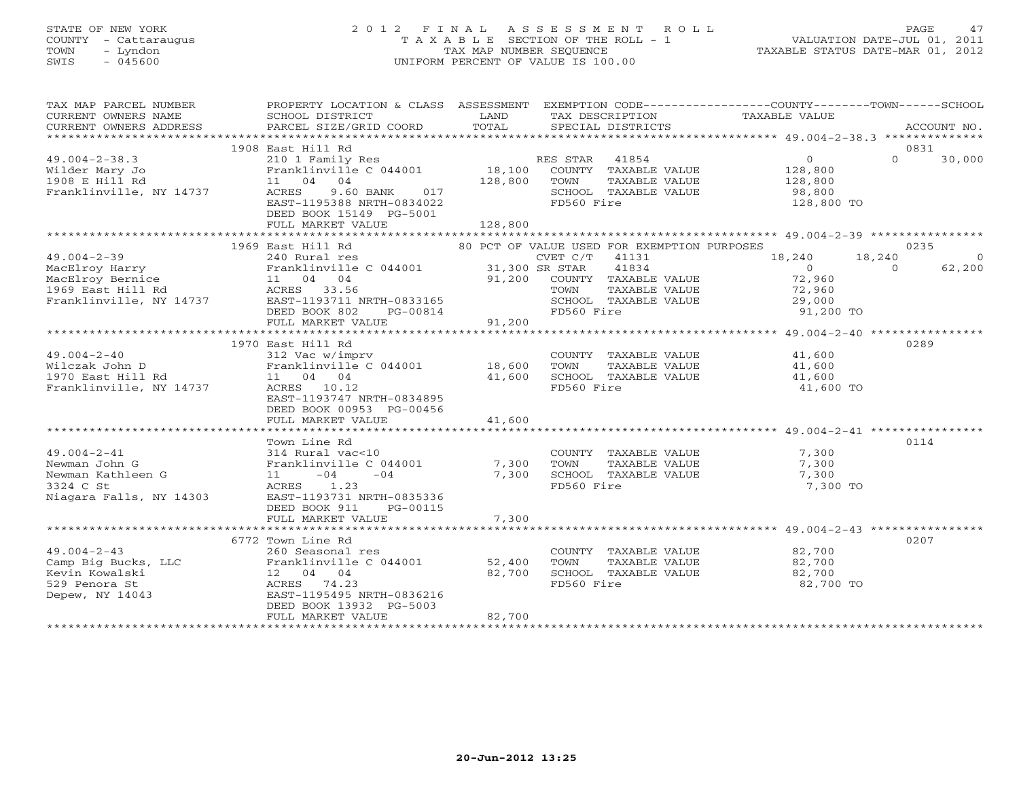# STATE OF NEW YORK 2 0 1 2 F I N A L A S S E S S M E N T R O L L PAGE 47 COUNTY - Cattaraugus T A X A B L E SECTION OF THE ROLL - 1 VALUATION DATE-JUL 01, 2011 TOWN - Lyndon TAX MAP NUMBER SEQUENCE TAXABLE STATUS DATE-MAR 01, 2012 SWIS - 045600 UNIFORM PERCENT OF VALUE IS 100.00

| TAX MAP PARCEL NUMBER                                                                           | PROPERTY LOCATION & CLASS ASSESSMENT                                                                                                                                                                                                                                 |                              |                                                                                                                       | EXEMPTION CODE-----------------COUNTY-------TOWN------SCHOOL                                        |          |
|-------------------------------------------------------------------------------------------------|----------------------------------------------------------------------------------------------------------------------------------------------------------------------------------------------------------------------------------------------------------------------|------------------------------|-----------------------------------------------------------------------------------------------------------------------|-----------------------------------------------------------------------------------------------------|----------|
|                                                                                                 | 1908 East Hill Rd                                                                                                                                                                                                                                                    |                              |                                                                                                                       | 0831                                                                                                |          |
| $49.004 - 2 - 38.3$<br>Wilder Mary Jo<br>1908 E Hill Rd<br>Franklinville, NY 14737              | 210 1 Family Res<br>Franklinville C 044001<br>11 04 04<br>9.60 BANK<br>017<br>ACRES<br>EAST-1195388 NRTH-0834022<br>DEED BOOK 15149 PG-5001<br>FULL MARKET VALUE                                                                                                     | 18,100<br>128,800<br>128,800 | RES STAR 41854<br>COUNTY TAXABLE VALUE<br>TOWN<br>TAXABLE VALUE<br>SCHOOL TAXABLE VALUE<br>FD560 Fire                 | $\Omega$<br>$\Omega$<br>30,000<br>128,800<br>128,800<br>98,800<br>128,800 TO                        |          |
|                                                                                                 | 1969 East Hill Rd                                                                                                                                                                                                                                                    |                              | 80 PCT OF VALUE USED FOR EXEMPTION PURPOSES                                                                           | 0235                                                                                                |          |
| $49.004 - 2 - 39$<br>MacElroy Harry                                                             | 240 Rural res<br>Franklinville C 044001 31,300 SR STAR<br>MacElroy Harry Franklinville C 044001<br>MacElroy Bernice 11 04 04<br>1969 East Hill Rd ACRES 33.56<br>Franklinville, NY 14737 EAST-1193711 NRTH-0833165<br>DEED BOOK 802<br>PG-00814<br>FULL MARKET VALUE | 91,200                       | CVET C/T 41131<br>41834<br>91,200 COUNTY TAXABLE VALUE<br>TOWN<br>TAXABLE VALUE<br>SCHOOL TAXABLE VALUE<br>FD560 Fire | 18,240<br>18,240<br>$\overline{0}$<br>62,200<br>$\Omega$<br>72,960<br>72,960<br>29,000<br>91,200 TO | $\Omega$ |
|                                                                                                 |                                                                                                                                                                                                                                                                      |                              |                                                                                                                       |                                                                                                     |          |
| $49.004 - 2 - 40$<br>Wilczak John D<br>1970 East Hill Rd<br>Franklinville, NY 14737             | 1970 East Hill Rd<br>312 Vac w/imprv<br>Franklinville C 044001 18,600<br>11 04 04<br>ACRES 10.12<br>EAST-1193747 NRTH-0834895<br>DEED BOOK 00953 PG-00456                                                                                                            | 41,600                       | COUNTY TAXABLE VALUE 41,600<br>TOWN<br>TAXABLE VALUE<br>SCHOOL TAXABLE VALUE<br>FD560 Fire                            | 0289<br>41,600<br>41,600<br>41,600 TO                                                               |          |
|                                                                                                 | FULL MARKET VALUE                                                                                                                                                                                                                                                    | 41,600                       |                                                                                                                       |                                                                                                     |          |
| $49.004 - 2 - 41$<br>Newman John G<br>Newman Kathleen G<br>3324 C St<br>Niagara Falls, NY 14303 | Town Line Rd<br>314 Rural vac<10<br>Franklinville C 044001<br>$11 - 04$<br>$-04$<br>ACRES 1.23<br>EAST-1193731 NRTH-0835336<br>DEED BOOK 911<br>PG-00115                                                                                                             | 7,300<br>7,300               | COUNTY TAXABLE VALUE<br>TOWN<br>TAXABLE VALUE<br>SCHOOL TAXABLE VALUE<br>FD560 Fire                                   | 0114<br>7,300<br>7,300<br>7,300<br>7,300 TO                                                         |          |
|                                                                                                 | FULL MARKET VALUE                                                                                                                                                                                                                                                    | 7,300                        |                                                                                                                       |                                                                                                     |          |
|                                                                                                 |                                                                                                                                                                                                                                                                      |                              |                                                                                                                       |                                                                                                     |          |
| $49.004 - 2 - 43$<br>Camp Big Bucks, LLC<br>Kevin Kowalski<br>529 Penora St<br>Depew, NY 14043  | 6772 Town Line Rd<br>260 Seasonal res<br>Franklinville C 044001 52,400<br>12 04 04<br>ACRES 74.23<br>EAST-1195495 NRTH-0836216<br>DEED BOOK 13932 PG-5003<br>FULL MARKET VALUE                                                                                       | 82,700<br>82,700             | COUNTY TAXABLE VALUE<br>TOWN<br>TAXABLE VALUE<br>SCHOOL TAXABLE VALUE<br>FD560 Fire                                   | 0207<br>82,700<br>82,700<br>82,700<br>82,700 TO                                                     |          |
|                                                                                                 |                                                                                                                                                                                                                                                                      |                              |                                                                                                                       |                                                                                                     |          |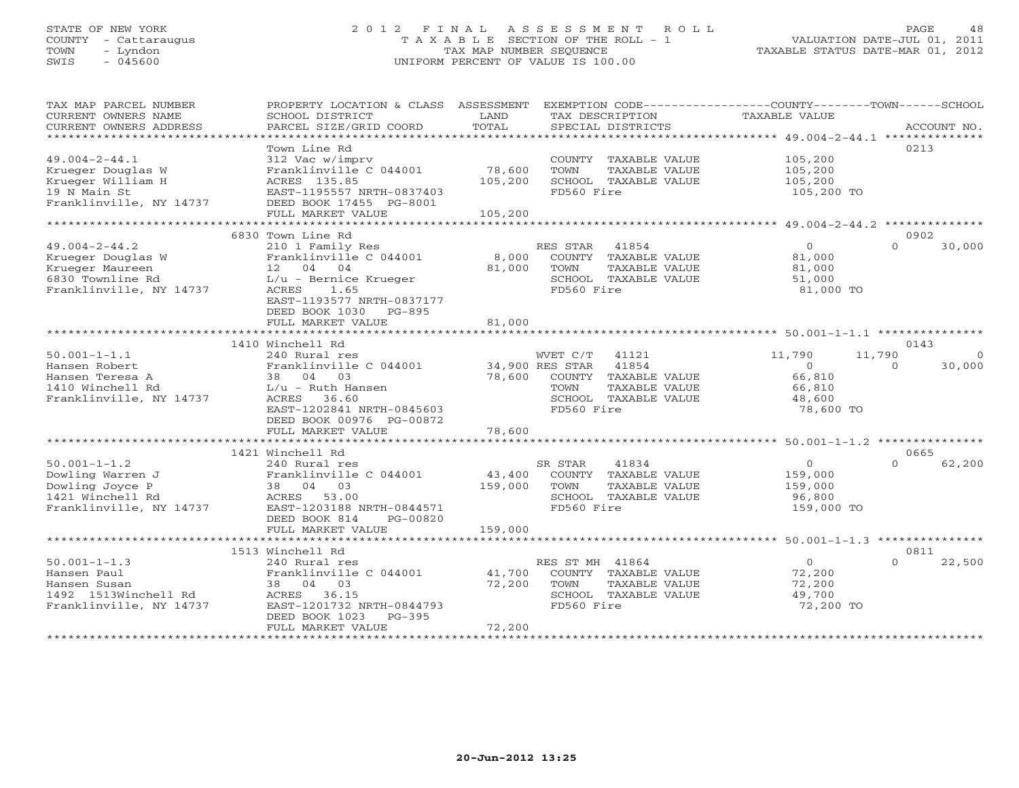# STATE OF NEW YORK 2 0 1 2 F I N A L A S S E S S M E N T R O L L PAGE 48 COUNTY - Cattaraugus T A X A B L E SECTION OF THE ROLL - 1 VALUATION DATE-JUL 01, 2011 TOWN - Lyndon TAX MAP NUMBER SEQUENCE TAXABLE STATUS DATE-MAR 01, 2012 SWIS - 045600 UNIFORM PERCENT OF VALUE IS 100.00UNIFORM PERCENT OF VALUE IS 100.00

| TAX MAP PARCEL NUMBER   | PROPERTY LOCATION & CLASS ASSESSMENT EXEMPTION CODE---------------COUNTY-------TOWN------SCHOOL |                 |                       |                |                    |
|-------------------------|-------------------------------------------------------------------------------------------------|-----------------|-----------------------|----------------|--------------------|
| CURRENT OWNERS NAME     | SCHOOL DISTRICT                                                                                 | LAND            | TAX DESCRIPTION       | TAXABLE VALUE  |                    |
| CURRENT OWNERS ADDRESS  | PARCEL SIZE/GRID COORD                                                                          | TOTAL           | SPECIAL DISTRICTS     |                | ACCOUNT NO.        |
|                         |                                                                                                 |                 |                       |                |                    |
|                         | Town Line Rd                                                                                    |                 |                       |                | 0213               |
| $49.004 - 2 - 44.1$     | 312 Vac w/imprv                                                                                 |                 | COUNTY TAXABLE VALUE  | 105,200        |                    |
| Krueger Douglas W       | Franklinville C 044001                                                                          | 78,600          | TOWN<br>TAXABLE VALUE | 105,200        |                    |
| Krueger William H       | ACRES 135.85                                                                                    | 105,200         | SCHOOL TAXABLE VALUE  | 105,200        |                    |
| 19 N Main St            | EAST-1195557 NRTH-0837403                                                                       |                 | FD560 Fire            | 105,200 TO     |                    |
| Franklinville, NY 14737 | DEED BOOK 17455 PG-8001                                                                         |                 |                       |                |                    |
|                         | FULL MARKET VALUE                                                                               | 105,200         |                       |                |                    |
|                         |                                                                                                 |                 |                       |                |                    |
|                         | 6830 Town Line Rd                                                                               |                 |                       |                | 0902               |
| 49.004-2-44.2           | 210 1 Family Res                                                                                |                 | RES STAR<br>41854     | $\overline{O}$ | $\cap$<br>30,000   |
| Krueger Douglas W       | Franklinville C 044001                                                                          | 8,000           | COUNTY TAXABLE VALUE  | 81,000         |                    |
| Krueger Maureen         | 12 04 04                                                                                        |                 | TOWN                  |                |                    |
|                         |                                                                                                 | 81,000          | TAXABLE VALUE         | 81,000         |                    |
| 6830 Townline Rd        | L/u - Bernice Krueger                                                                           |                 | SCHOOL TAXABLE VALUE  | 51,000         |                    |
| Franklinville, NY 14737 | 1.65<br>ACRES                                                                                   |                 | FD560 Fire            | 81,000 TO      |                    |
|                         | EAST-1193577 NRTH-0837177                                                                       |                 |                       |                |                    |
|                         | DEED BOOK 1030 PG-895                                                                           |                 |                       |                |                    |
|                         | FULL MARKET VALUE                                                                               | 81,000          |                       |                |                    |
|                         |                                                                                                 |                 |                       |                |                    |
|                         | 1410 Winchell Rd                                                                                |                 |                       |                | 0143               |
| 50.001-1-1.1            | 240 Rural res                                                                                   |                 | WVET C/T<br>41121     | 11,790         | 11,790<br>$\Omega$ |
| Hansen Robert           | Franklinville C 044001                                                                          | 34,900 RES STAR | 41854                 | $\Omega$       | 30,000<br>$\Omega$ |
| Hansen Teresa A         | 38 04 03                                                                                        | 78,600          | COUNTY TAXABLE VALUE  | 66,810         |                    |
| 1410 Winchell Rd        | L/u - Ruth Hansen                                                                               |                 | TAXABLE VALUE<br>TOWN | 66,810         |                    |
| Franklinville, NY 14737 | ACRES 36.60                                                                                     |                 | SCHOOL TAXABLE VALUE  | 48,600         |                    |
|                         | EAST-1202841 NRTH-0845603                                                                       |                 | FD560 Fire            | 78,600 TO      |                    |
|                         | DEED BOOK 00976 PG-00872                                                                        |                 |                       |                |                    |
|                         | FULL MARKET VALUE                                                                               | 78,600          |                       |                |                    |
|                         |                                                                                                 |                 |                       |                |                    |
|                         | 1421 Winchell Rd                                                                                |                 |                       |                | 0665               |
| $50.001 - 1 - 1.2$      | 240 Rural res                                                                                   |                 | 41834<br>SR STAR      | $\overline{O}$ | 62,200<br>$\Omega$ |
| Dowling Warren J        | Franklinville C 044001                                                                          | 43,400          | COUNTY TAXABLE VALUE  | 159,000        |                    |
| Dowling Joyce P         | 38 04 03                                                                                        | 159,000         | TAXABLE VALUE<br>TOWN | 159,000        |                    |
| 1421 Winchell Rd        | 53.00<br>ACRES                                                                                  |                 | SCHOOL TAXABLE VALUE  | 96,800         |                    |
| Franklinville, NY 14737 | EAST-1203188 NRTH-0844571                                                                       |                 | FD560 Fire            | 159,000 TO     |                    |
|                         | DEED BOOK 814<br>PG-00820                                                                       |                 |                       |                |                    |
|                         | FULL MARKET VALUE                                                                               | 159,000         |                       |                |                    |
|                         |                                                                                                 |                 |                       |                |                    |
|                         | 1513 Winchell Rd                                                                                |                 |                       |                | 0811               |
| $50.001 - 1 - 1.3$      |                                                                                                 |                 | RES ST MH 41864       | $\Omega$       | $\Omega$<br>22,500 |
|                         | 240 Rural res                                                                                   |                 |                       |                |                    |
| Hansen Paul             | Franklinville C 044001                                                                          | 41,700          | COUNTY TAXABLE VALUE  | 72,200         |                    |
| Hansen Susan            | 38 04 03                                                                                        | 72,200          | TOWN<br>TAXABLE VALUE | 72,200         |                    |
| 1492  1513Winchell Rd   | ACRES 36.15                                                                                     |                 | SCHOOL TAXABLE VALUE  | 49,700         |                    |
| Franklinville, NY 14737 | EAST-1201732 NRTH-0844793                                                                       |                 | FD560 Fire            | 72,200 TO      |                    |
|                         | DEED BOOK 1023<br>PG-395                                                                        |                 |                       |                |                    |
|                         | FULL MARKET VALUE                                                                               | 72,200          |                       |                |                    |
|                         |                                                                                                 |                 |                       |                |                    |
|                         |                                                                                                 |                 |                       |                |                    |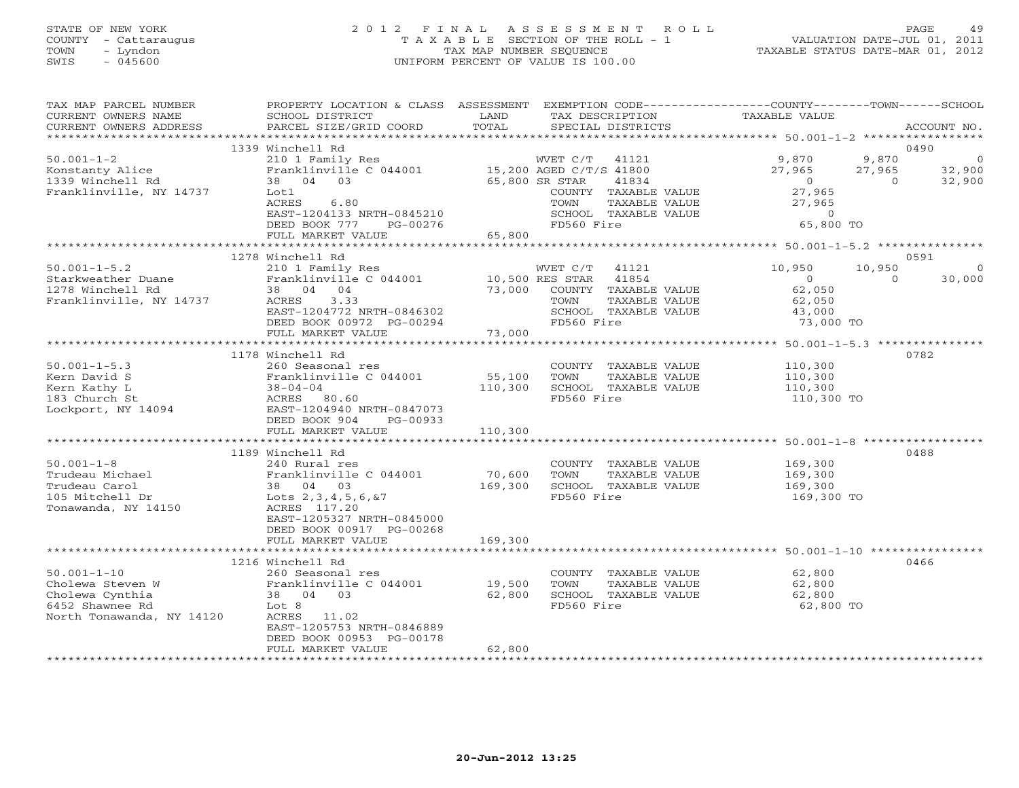# STATE OF NEW YORK 2 0 1 2 F I N A L A S S E S S M E N T R O L L PAGE 49 COUNTY - Cattaraugus T A X A B L E SECTION OF THE ROLL - 1 VALUATION DATE-JUL 01, 2011 TOWN - Lyndon TAX MAP NUMBER SEQUENCE TAXABLE STATUS DATE-MAR 01, 2012 SWIS - 045600 UNIFORM PERCENT OF VALUE IS 100.00UNIFORM PERCENT OF VALUE IS 100.00

| TAX MAP PARCEL NUMBER<br>CURRENT OWNERS NAME<br>CURRENT OWNERS ADDRESS                                               | PROPERTY LOCATION & CLASS ASSESSMENT<br>SCHOOL DISTRICT<br>PARCEL SIZE/GRID COORD                                                                                                                                                                                                          | LAND<br>TOTAL                                                | TAX DESCRIPTION<br>SPECIAL DISTRICTS                                                                                                                                       | EXEMPTION CODE-----------------COUNTY-------TOWN------SCHOOL<br>TAXABLE VALUE                                 | ACCOUNT NO.                                |
|----------------------------------------------------------------------------------------------------------------------|--------------------------------------------------------------------------------------------------------------------------------------------------------------------------------------------------------------------------------------------------------------------------------------------|--------------------------------------------------------------|----------------------------------------------------------------------------------------------------------------------------------------------------------------------------|---------------------------------------------------------------------------------------------------------------|--------------------------------------------|
|                                                                                                                      |                                                                                                                                                                                                                                                                                            |                                                              |                                                                                                                                                                            |                                                                                                               |                                            |
| $50.001 - 1 - 2$<br>Konstanty Alice<br>1339 Winchell Rd<br>Franklinville, NY 14737                                   | 1339 Winchell Rd<br>210 1 Family Res<br>Franklinville C 044001 15,200 AGED C/T/S 41800<br>38 04 03<br>Lot1<br>ACRES<br>6.80<br>EAST-1204133 NRTH-0845210<br>DEED BOOK 777<br>PG-00276                                                                                                      | 65,800 SR STAR                                               | WVET C/T<br>41121<br>41834<br>COUNTY TAXABLE VALUE<br>TOWN<br>TAXABLE VALUE<br>SCHOOL TAXABLE VALUE<br>FD560 Fire                                                          | 9,870<br>9,870<br>27,965<br>27,965<br>$\overline{0}$<br>$\Omega$<br>27,965<br>27,965<br>$\Omega$<br>65,800 TO | 0490<br>$\overline{0}$<br>32,900<br>32,900 |
|                                                                                                                      | FULL MARKET VALUE                                                                                                                                                                                                                                                                          | 65,800                                                       |                                                                                                                                                                            |                                                                                                               |                                            |
|                                                                                                                      |                                                                                                                                                                                                                                                                                            |                                                              |                                                                                                                                                                            |                                                                                                               |                                            |
| $50.001 - 1 - 5.2$<br>Starkweather Duane<br>1278 Winchell Rd<br>Franklinville, NY 14737                              | 1278 Winchell Rd<br>210 1 Family Res<br>Franklinville C 044001 10,500 RES STAR<br>38 04 04<br>ACRES<br>3.33                                                                                                                                                                                | 73,000                                                       | WVET C/T<br>41121<br>41854<br>COUNTY TAXABLE VALUE<br>TAXABLE VALUE<br>TOWN                                                                                                | 10,950<br>10,950<br>$\overline{0}$<br>$\Omega$<br>62,050<br>62,050                                            | 0591<br>0<br>30,000                        |
|                                                                                                                      | EAST-1204772 NRTH-0846302                                                                                                                                                                                                                                                                  |                                                              | SCHOOL TAXABLE VALUE                                                                                                                                                       | 43,000                                                                                                        |                                            |
|                                                                                                                      | DEED BOOK 00972 PG-00294<br>FULL MARKET VALUE                                                                                                                                                                                                                                              | 73,000                                                       | FD560 Fire                                                                                                                                                                 | 73,000 TO                                                                                                     |                                            |
|                                                                                                                      |                                                                                                                                                                                                                                                                                            |                                                              |                                                                                                                                                                            |                                                                                                               |                                            |
| $50.001 - 1 - 5.3$<br>$50.001 - 1 - 8$<br>Trudeau Michael<br>Trudeau Carol<br>105 Mitchell Dr<br>Tonawanda, NY 14150 | 1178 Winchell Rd<br>260 Seasonal res<br>DEED BOOK 904<br>PG-00933<br>FULL MARKET VALUE<br>1189 Winchell Rd<br>240 Rural res<br>Franklinville C 044001<br>38 04 03<br>Lots 2, 3, 4, 5, 6, & 7<br>ACRES 117.20<br>EAST-1205327 NRTH-0845000<br>DEED BOOK 00917 PG-00268<br>FULL MARKET VALUE | 55,100<br>110,300<br>110,300<br>70,600<br>169,300<br>169,300 | COUNTY TAXABLE VALUE<br>TOWN<br>TAXABLE VALUE<br>SCHOOL TAXABLE VALUE<br>FD560 Fire<br>COUNTY TAXABLE VALUE<br>TOWN<br>TAXABLE VALUE<br>SCHOOL TAXABLE VALUE<br>FD560 Fire | 110,300<br>110,300<br>110,300<br>110,300 TO<br>169,300<br>169,300<br>169,300<br>169,300 TO                    | 0782<br>0488                               |
|                                                                                                                      | 1216 Winchell Rd                                                                                                                                                                                                                                                                           |                                                              |                                                                                                                                                                            |                                                                                                               | 0466                                       |
| $50.001 - 1 - 10$<br>Cholewa Steven W<br>Cholewa Cynthia<br>6452 Shawnee Rd<br>North Tonawanda, NY 14120             | 260 Seasonal res<br>Franklinville C 044001<br>38 04 03<br>Lot 8<br>ACRES 11.02<br>EAST-1205753 NRTH-0846889<br>DEED BOOK 00953 PG-00178<br>FULL MARKET VALUE                                                                                                                               | 19,500<br>62,800<br>62,800                                   | COUNTY TAXABLE VALUE<br>TOWN<br>TAXABLE VALUE<br>SCHOOL TAXABLE VALUE<br>FD560 Fire                                                                                        | 62,800<br>62,800<br>62,800<br>62,800 TO                                                                       |                                            |
|                                                                                                                      |                                                                                                                                                                                                                                                                                            |                                                              |                                                                                                                                                                            |                                                                                                               |                                            |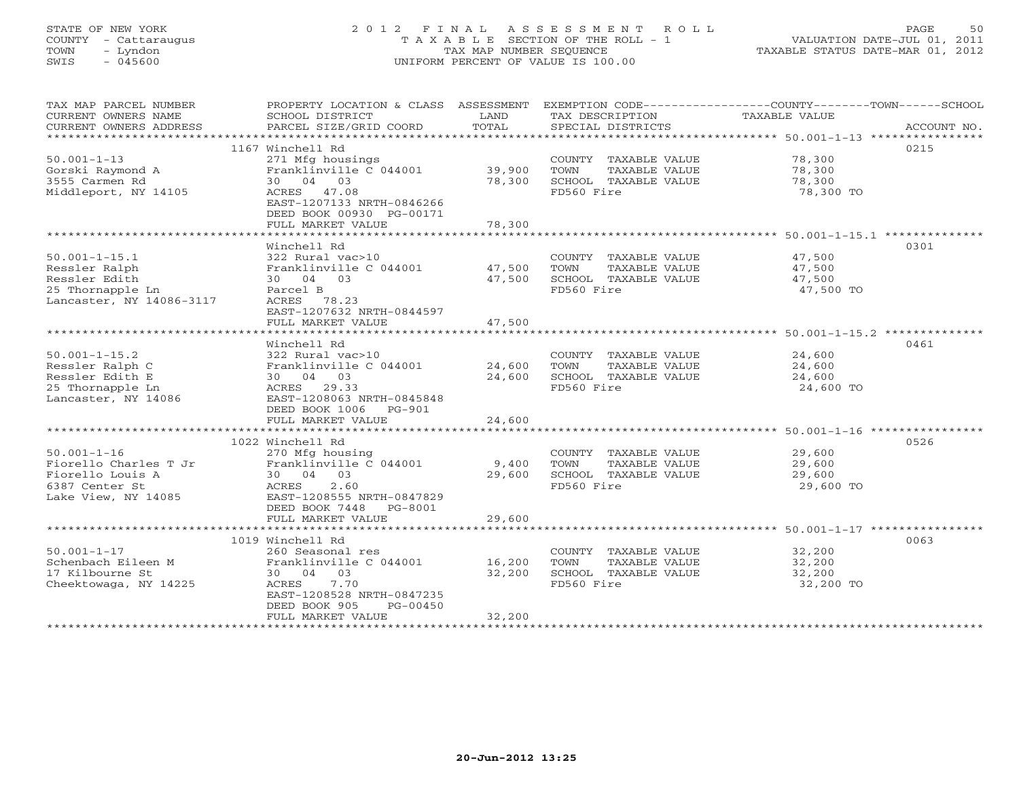# STATE OF NEW YORK 2 0 1 2 F I N A L A S S E S S M E N T R O L L PAGE 50 COUNTY - Cattaraugus T A X A B L E SECTION OF THE ROLL - 1 VALUATION DATE-JUL 01, 2011 TOWN - Lyndon TAX MAP NUMBER SEQUENCE TAXABLE STATUS DATE-MAR 01, 2012 SWIS - 045600 UNIFORM PERCENT OF VALUE IS 100.00UNIFORM PERCENT OF VALUE IS 100.00

| TAX MAP PARCEL NUMBER<br>CURRENT OWNERS NAME<br>CURRENT OWNERS ADDRESS                                  | PROPERTY LOCATION & CLASS ASSESSMENT<br>SCHOOL DISTRICT<br>PARCEL SIZE/GRID COORD                                                                                                                   | LAND<br>TOTAL              | TAX DESCRIPTION<br>SPECIAL DISTRICTS                                                | EXEMPTION CODE-----------------COUNTY-------TOWN------SCHOOL<br>TAXABLE VALUE<br>ACCOUNT NO. |
|---------------------------------------------------------------------------------------------------------|-----------------------------------------------------------------------------------------------------------------------------------------------------------------------------------------------------|----------------------------|-------------------------------------------------------------------------------------|----------------------------------------------------------------------------------------------|
|                                                                                                         | 1167 Winchell Rd                                                                                                                                                                                    |                            |                                                                                     | 0215<br>78,300                                                                               |
| $50.001 - 1 - 13$<br>Gorski Raymond A<br>3555 Carmen Rd<br>Middleport, NY 14105                         | 271 Mfg housings<br>Franklinville C 044001<br>30 04 03<br>ACRES 47.08<br>EAST-1207133 NRTH-0846266<br>DEED BOOK 00930 PG-00171                                                                      | 39,900<br>78,300           | COUNTY TAXABLE VALUE<br>TOWN<br>TAXABLE VALUE<br>SCHOOL TAXABLE VALUE<br>FD560 Fire | 78,300<br>78,300<br>78,300 TO                                                                |
|                                                                                                         | FULL MARKET VALUE                                                                                                                                                                                   | 78,300                     |                                                                                     |                                                                                              |
|                                                                                                         | Winchell Rd                                                                                                                                                                                         |                            |                                                                                     | 0301                                                                                         |
| $50.001 - 1 - 15.1$<br>Ressler Ralph<br>Ressler Edith<br>25 Thornapple Ln<br>Lancaster, NY 14086-3117   | 322 Rural vac>10<br>Franklinville C 044001<br>30 04 03<br>Parcel B<br>ACRES 78.23                                                                                                                   | 47,500<br>47,500           | COUNTY TAXABLE VALUE<br>TOWN<br>TAXABLE VALUE<br>SCHOOL TAXABLE VALUE<br>FD560 Fire | 47,500<br>47,500<br>47,500<br>47,500 TO                                                      |
|                                                                                                         | EAST-1207632 NRTH-0844597<br>FULL MARKET VALUE                                                                                                                                                      | 47,500                     |                                                                                     |                                                                                              |
|                                                                                                         |                                                                                                                                                                                                     |                            |                                                                                     |                                                                                              |
| $50.001 - 1 - 15.2$<br>Ressler Ralph C<br>Ressler Edith E<br>25 Thornapple Ln<br>Lancaster, NY 14086    | Winchell Rd<br>322 Rural vac>10<br>Franklinville C 044001<br>30 04 03<br>ACRES 29.33<br>EAST-1208063 NRTH-0845848                                                                                   | 24,600<br>24,600           | COUNTY TAXABLE VALUE<br>TOWN<br>TAXABLE VALUE<br>SCHOOL TAXABLE VALUE<br>FD560 Fire | 0461<br>24,600<br>24,600<br>24,600<br>24,600 TO                                              |
|                                                                                                         | DEED BOOK 1006<br>PG-901<br>FULL MARKET VALUE                                                                                                                                                       | 24,600                     |                                                                                     |                                                                                              |
|                                                                                                         |                                                                                                                                                                                                     |                            |                                                                                     |                                                                                              |
| $50.001 - 1 - 16$<br>Fiorello Charles T Jr<br>Fiorello Louis A<br>6387 Center St<br>Lake View, NY 14085 | 1022 Winchell Rd<br>270 Mfg housing<br>Franklinville C 044001<br>30 04 03<br>2.60<br>ACRES<br>EAST-1208555 NRTH-0847829<br>DEED BOOK 7448 PG-8001<br>FULL MARKET VALUE                              | 9,400<br>29,600<br>29,600  | COUNTY TAXABLE VALUE<br>TOWN<br>TAXABLE VALUE<br>SCHOOL TAXABLE VALUE<br>FD560 Fire | 0526<br>29,600<br>29,600<br>29,600<br>29,600 TO                                              |
|                                                                                                         |                                                                                                                                                                                                     |                            |                                                                                     |                                                                                              |
| $50.001 - 1 - 17$<br>Schenbach Eileen M<br>17 Kilbourne St<br>Cheektowaga, NY 14225                     | 1019 Winchell Rd<br>260 Seasonal res<br>Franklinville C 044001<br>30 04 03<br>ACRES<br>7.70<br>EAST-1208528 NRTH-0847235<br>DEED BOOK 905<br>PG-00450<br>FULL MARKET VALUE<br>********************* | 16,200<br>32,200<br>32,200 | COUNTY TAXABLE VALUE<br>TOWN<br>TAXABLE VALUE<br>SCHOOL TAXABLE VALUE<br>FD560 Fire | 0063<br>32,200<br>32,200<br>32,200<br>32,200 TO                                              |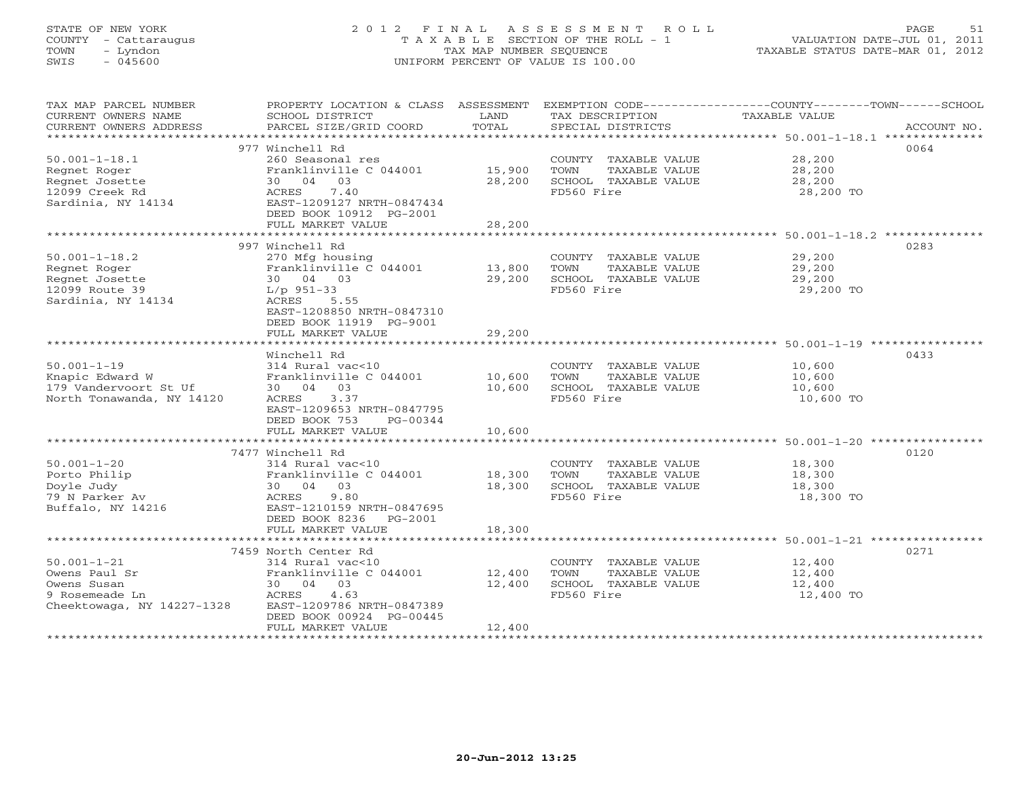# STATE OF NEW YORK 2 0 1 2 F I N A L A S S E S S M E N T R O L L PAGE 51 COUNTY - Cattaraugus T A X A B L E SECTION OF THE ROLL - 1 VALUATION DATE-JUL 01, 2011 TOWN - Lyndon TAX MAP NUMBER SEQUENCE TAXABLE STATUS DATE-MAR 01, 2012 SWIS - 045600 UNIFORM PERCENT OF VALUE IS 100.00UNIFORM PERCENT OF VALUE IS 100.00

| TAX MAP PARCEL NUMBER<br>CURRENT OWNERS NAME<br>CURRENT OWNERS ADDRESS | SCHOOL DISTRICT<br>PARCEL SIZE/GRID COORD    | LAND<br>TOTAL | TAX DESCRIPTION<br>SPECIAL DISTRICTS | PROPERTY LOCATION & CLASS ASSESSMENT EXEMPTION CODE----------------COUNTY-------TOWN------SCHOOL<br>TAXABLE VALUE<br>ACCOUNT NO. |
|------------------------------------------------------------------------|----------------------------------------------|---------------|--------------------------------------|----------------------------------------------------------------------------------------------------------------------------------|
|                                                                        |                                              |               |                                      |                                                                                                                                  |
|                                                                        | 977 Winchell Rd                              |               |                                      | 0064                                                                                                                             |
| $50.001 - 1 - 18.1$                                                    | 260 Seasonal res                             |               | COUNTY TAXABLE VALUE 28,200          |                                                                                                                                  |
| Regnet Roger                                                           | Franklinville C 044001 15,900                |               | TOWN<br>TAXABLE VALUE                | 28,200<br>28,200                                                                                                                 |
| Regnet Josette                                                         | 30 04 03                                     | 28,200        | SCHOOL TAXABLE VALUE                 |                                                                                                                                  |
| 12099 Creek Rd                                                         | ACRES<br>7.40                                |               | FD560 Fire                           | 28,200 TO                                                                                                                        |
| Sardinia, NY 14134                                                     | EAST-1209127 NRTH-0847434                    |               |                                      |                                                                                                                                  |
|                                                                        | DEED BOOK 10912 PG-2001<br>FULL MARKET VALUE | 28,200        |                                      |                                                                                                                                  |
|                                                                        |                                              |               |                                      |                                                                                                                                  |
|                                                                        | 997 Winchell Rd                              |               |                                      | 0283                                                                                                                             |
| $50.001 - 1 - 18.2$                                                    | 270 Mfg housing                              |               | COUNTY TAXABLE VALUE                 |                                                                                                                                  |
| Regnet Roger                                                           | Franklinville C 044001 13,800                |               | TOWN<br>TAXABLE VALUE                | 29,200<br>29,200                                                                                                                 |
| Regnet Josette                                                         | 30 04 03                                     | 29,200        | SCHOOL TAXABLE VALUE                 | 29,200                                                                                                                           |
| 12099 Route 39                                                         | $L/p$ 951-33                                 |               | FD560 Fire                           | 29,200 TO                                                                                                                        |
| Sardinia, NY 14134                                                     | ACRES<br>5.55                                |               |                                      |                                                                                                                                  |
|                                                                        | EAST-1208850 NRTH-0847310                    |               |                                      |                                                                                                                                  |
|                                                                        | DEED BOOK 11919 PG-9001<br>FULL MARKET VALUE | 29,200        |                                      |                                                                                                                                  |
|                                                                        |                                              |               |                                      |                                                                                                                                  |
|                                                                        | Winchell Rd                                  |               |                                      | 0433                                                                                                                             |
| $50.001 - 1 - 19$                                                      | 314 Rural vac<10                             |               | COUNTY TAXABLE VALUE                 |                                                                                                                                  |
| Knapic Edward W                                                        | Franklinville C 044001 10,600                |               | TOWN<br>TAXABLE VALUE                | 10,600<br>10,600                                                                                                                 |
| 179 Vandervoort St Uf                                                  | 30 04 03                                     | 10,600        | SCHOOL TAXABLE VALUE                 | 10,600                                                                                                                           |
| North Tonawanda, NY 14120                                              | ACRES 3.37                                   |               | FD560 Fire                           | 10,600 TO                                                                                                                        |
|                                                                        | EAST-1209653 NRTH-0847795                    |               |                                      |                                                                                                                                  |
|                                                                        | DEED BOOK 753<br>PG-00344                    |               |                                      |                                                                                                                                  |
|                                                                        | FULL MARKET VALUE                            | 10,600        |                                      |                                                                                                                                  |
|                                                                        | 7477 Winchell Rd                             |               |                                      | 0120                                                                                                                             |
| $50.001 - 1 - 20$                                                      | 314 Rural vac<10                             |               | COUNTY TAXABLE VALUE 18,300          |                                                                                                                                  |
| Porto Philip                                                           | Franklinville C 044001 18,300                |               | TOWN<br>TAXABLE VALUE                | 18,300                                                                                                                           |
| Doyle Judy                                                             | 30 04 03                                     | 18,300        | SCHOOL TAXABLE VALUE                 | 18,300                                                                                                                           |
| 79 N Parker Av                                                         | 9.80<br>ACRES                                |               | FD560 Fire                           | 18,300 TO                                                                                                                        |
| Buffalo, NY 14216                                                      | EAST-1210159 NRTH-0847695                    |               |                                      |                                                                                                                                  |
|                                                                        | DEED BOOK 8236 PG-2001                       |               |                                      |                                                                                                                                  |
|                                                                        | FULL MARKET VALUE                            | 18,300        |                                      |                                                                                                                                  |
|                                                                        | 7459 North Center Rd                         |               |                                      | 0271                                                                                                                             |
| $50.001 - 1 - 21$                                                      | 314 Rural vac<10                             |               | COUNTY TAXABLE VALUE                 | 12,400                                                                                                                           |
| Owens Paul Sr                                                          | Franklinville C 044001 12,400                |               | TOWN<br>TAXABLE VALUE                | 12,400                                                                                                                           |
| Owens Susan                                                            | 30 04 03                                     | 12,400        | SCHOOL TAXABLE VALUE                 | 12,400                                                                                                                           |
| 9 Rosemeade Ln                                                         | ACRES<br>4.63                                |               | FD560 Fire                           | 12,400 TO                                                                                                                        |
| Cheektowaga, NY 14227-1328                                             | EAST-1209786 NRTH-0847389                    |               |                                      |                                                                                                                                  |
|                                                                        | DEED BOOK 00924 PG-00445                     |               |                                      |                                                                                                                                  |
|                                                                        | FULL MARKET VALUE                            | 12,400        |                                      |                                                                                                                                  |
|                                                                        |                                              |               |                                      |                                                                                                                                  |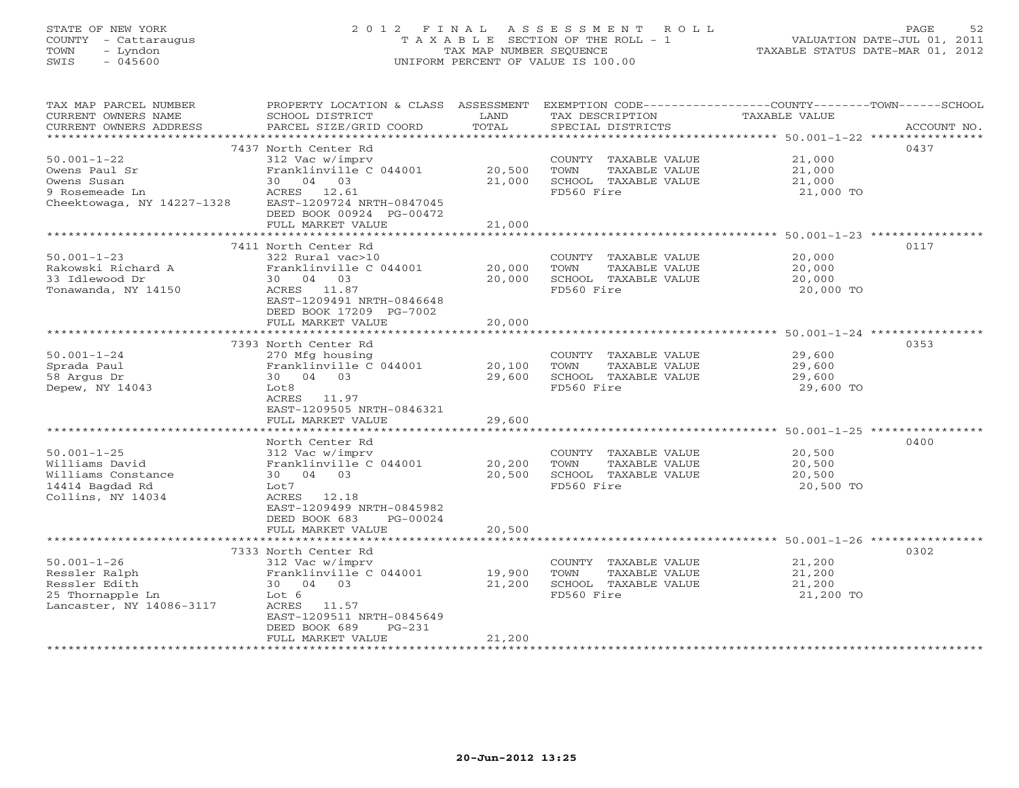# STATE OF NEW YORK 2 0 1 2 F I N A L A S S E S S M E N T R O L L PAGE 52 COUNTY - Cattaraugus T A X A B L E SECTION OF THE ROLL - 1 VALUATION DATE-JUL 01, 2011 TOWN - Lyndon TAX MAP NUMBER SEQUENCE TAXABLE STATUS DATE-MAR 01, 2012 SWIS - 045600 UNIFORM PERCENT OF VALUE IS 100.00UNIFORM PERCENT OF VALUE IS 100.00

| TAX MAP PARCEL NUMBER<br>CURRENT OWNERS NAME<br>CURRENT OWNERS ADDRESS | PROPERTY LOCATION & CLASS ASSESSMENT<br>SCHOOL DISTRICT<br>PARCEL SIZE/GRID COORD | LAND<br>TOTAL    | EXEMPTION CODE-----------------COUNTY-------TOWN------SCHOOL<br>TAX DESCRIPTION<br>SPECIAL DISTRICTS | TAXABLE VALUE    | ACCOUNT NO. |
|------------------------------------------------------------------------|-----------------------------------------------------------------------------------|------------------|------------------------------------------------------------------------------------------------------|------------------|-------------|
| ******************                                                     |                                                                                   |                  |                                                                                                      |                  |             |
|                                                                        | 7437 North Center Rd                                                              |                  |                                                                                                      |                  | 0437        |
| $50.001 - 1 - 22$                                                      | 312 Vac w/imprv                                                                   |                  | COUNTY TAXABLE VALUE                                                                                 | 21,000           |             |
| Owens Paul Sr                                                          | Franklinville C 044001                                                            | 20,500           | TOWN<br>TAXABLE VALUE                                                                                | 21,000           |             |
| Owens Susan                                                            | 30 04 03                                                                          | 21,000           | SCHOOL TAXABLE VALUE                                                                                 | 21,000           |             |
| 9 Rosemeade Ln                                                         | ACRES 12.61                                                                       |                  | FD560 Fire                                                                                           | 21,000 TO        |             |
| Cheektowaga, NY 14227-1328                                             | EAST-1209724 NRTH-0847045                                                         |                  |                                                                                                      |                  |             |
|                                                                        | DEED BOOK 00924 PG-00472                                                          |                  |                                                                                                      |                  |             |
|                                                                        | FULL MARKET VALUE                                                                 | 21,000           |                                                                                                      |                  |             |
|                                                                        | 7411 North Center Rd                                                              |                  |                                                                                                      |                  | 0117        |
| $50.001 - 1 - 23$                                                      | 322 Rural vac>10                                                                  |                  |                                                                                                      |                  |             |
| Rakowski Richard A                                                     | Franklinville C 044001                                                            |                  | COUNTY TAXABLE VALUE<br>TOWN<br>TAXABLE VALUE                                                        | 20,000           |             |
| 33 Idlewood Dr                                                         | 30 04 03                                                                          | 20,000<br>20,000 | SCHOOL TAXABLE VALUE                                                                                 | 20,000<br>20,000 |             |
| Tonawanda, NY 14150                                                    | ACRES 11.87                                                                       |                  | FD560 Fire                                                                                           | 20,000 TO        |             |
|                                                                        | EAST-1209491 NRTH-0846648                                                         |                  |                                                                                                      |                  |             |
|                                                                        | DEED BOOK 17209 PG-7002                                                           |                  |                                                                                                      |                  |             |
|                                                                        | FULL MARKET VALUE                                                                 | 20,000           |                                                                                                      |                  |             |
|                                                                        |                                                                                   |                  |                                                                                                      |                  |             |
|                                                                        | 7393 North Center Rd                                                              |                  |                                                                                                      |                  | 0353        |
| $50.001 - 1 - 24$                                                      | 270 Mfg housing                                                                   |                  | COUNTY TAXABLE VALUE                                                                                 | 29,600           |             |
| Sprada Paul                                                            | Franklinville C 044001                                                            | 20,100           | TOWN<br>TAXABLE VALUE                                                                                | 29,600           |             |
| 58 Argus Dr                                                            | 30 04 03                                                                          | 29,600           | SCHOOL TAXABLE VALUE                                                                                 | 29,600           |             |
| Depew, NY 14043                                                        | Lot8                                                                              |                  | FD560 Fire                                                                                           | 29,600 TO        |             |
|                                                                        | ACRES 11.97                                                                       |                  |                                                                                                      |                  |             |
|                                                                        | EAST-1209505 NRTH-0846321                                                         |                  |                                                                                                      |                  |             |
|                                                                        | FULL MARKET VALUE                                                                 | 29,600           |                                                                                                      |                  |             |
|                                                                        | *************************                                                         |                  |                                                                                                      |                  |             |
|                                                                        | North Center Rd                                                                   |                  |                                                                                                      |                  | 0400        |
| $50.001 - 1 - 25$                                                      | 312 Vac w/imprv                                                                   |                  | COUNTY TAXABLE VALUE                                                                                 | 20,500           |             |
| Williams David                                                         | Franklinville C 044001                                                            | 20,200           | TOWN<br>TAXABLE VALUE                                                                                | 20,500           |             |
| Williams Constance                                                     | 30 04 03                                                                          | 20,500           | SCHOOL TAXABLE VALUE                                                                                 | 20,500           |             |
| 14414 Bagdad Rd                                                        | Lot7<br>ACRES<br>12.18                                                            |                  | FD560 Fire                                                                                           | 20,500 TO        |             |
| Collins, NY 14034                                                      | EAST-1209499 NRTH-0845982                                                         |                  |                                                                                                      |                  |             |
|                                                                        | DEED BOOK 683<br>PG-00024                                                         |                  |                                                                                                      |                  |             |
|                                                                        | FULL MARKET VALUE                                                                 | 20,500           |                                                                                                      |                  |             |
|                                                                        | *********************                                                             |                  |                                                                                                      |                  |             |
|                                                                        | 7333 North Center Rd                                                              |                  |                                                                                                      |                  | 0302        |
| $50.001 - 1 - 26$                                                      | 312 Vac w/imprv                                                                   |                  | COUNTY TAXABLE VALUE                                                                                 | 21,200           |             |
| Ressler Ralph                                                          | Franklinville C 044001                                                            | 19,900           | TOWN<br>TAXABLE VALUE                                                                                | 21,200           |             |
| Ressler Edith                                                          | 30 04 03                                                                          | 21,200           | SCHOOL TAXABLE VALUE                                                                                 | 21,200           |             |
| 25 Thornapple Ln                                                       | Lot 6                                                                             |                  | FD560 Fire                                                                                           | 21,200 TO        |             |
| Lancaster, NY 14086-3117                                               | ACRES<br>11.57                                                                    |                  |                                                                                                      |                  |             |
|                                                                        | EAST-1209511 NRTH-0845649                                                         |                  |                                                                                                      |                  |             |
|                                                                        | DEED BOOK 689<br>$PG-231$                                                         |                  |                                                                                                      |                  |             |
|                                                                        | FULL MARKET VALUE                                                                 | 21,200           |                                                                                                      |                  |             |
|                                                                        |                                                                                   |                  |                                                                                                      |                  |             |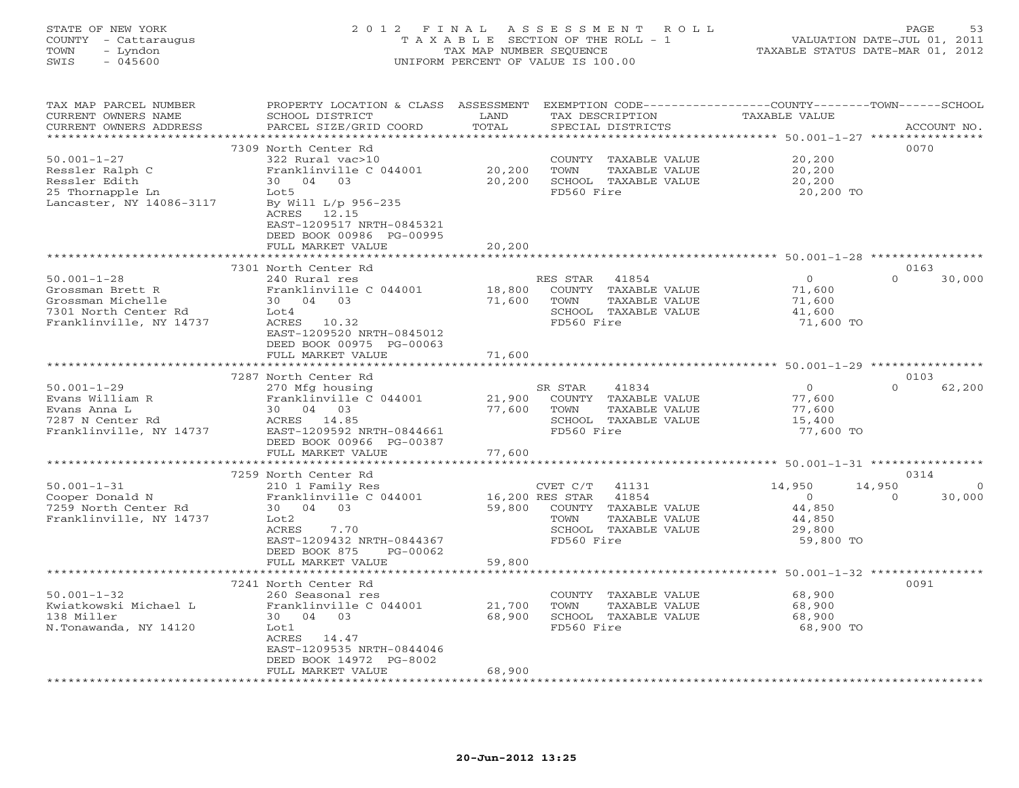# STATE OF NEW YORK 2 0 1 2 F I N A L A S S E S S M E N T R O L L PAGE 53 COUNTY - Cattaraugus T A X A B L E SECTION OF THE ROLL - 1 VALUATION DATE-JUL 01, 2011 TOWN - Lyndon TAX MAP NUMBER SEQUENCE TAXABLE STATUS DATE-MAR 01, 2012 SWIS - 045600 UNIFORM PERCENT OF VALUE IS 100.00UNIFORM PERCENT OF VALUE IS 100.00

| *******************<br>0070<br>7309 North Center Rd<br>$50.001 - 1 - 27$<br>322 Rural vac>10<br>20,200<br>COUNTY TAXABLE VALUE<br>20,200<br>Ressler Ralph C<br>Franklinville C 044001<br>TOWN<br>TAXABLE VALUE<br>20,200<br>Ressler Edith<br>30 04 03<br>20,200<br>SCHOOL TAXABLE VALUE<br>20,200<br>25 Thornapple Ln<br>Lot5<br>FD560 Fire<br>20,200 TO<br>Lancaster, NY 14086-3117<br>By Will L/p 956-235<br>ACRES 12.15<br>EAST-1209517 NRTH-0845321<br>DEED BOOK 00986 PG-00995<br>FULL MARKET VALUE<br>20,200<br>************************<br>7301 North Center Rd<br>0163<br>$50.001 - 1 - 28$<br>$\Omega$<br>$\Omega$<br>30,000<br>240 Rural res<br>RES STAR<br>41854<br>18,800<br>COUNTY TAXABLE VALUE<br>Grossman Brett R<br>Franklinville C 044001<br>71,600<br>30 04 03<br>71,600<br>Grossman Michelle<br>TOWN<br>TAXABLE VALUE<br>71,600<br>SCHOOL TAXABLE VALUE<br>7301 North Center Rd<br>Lot4<br>41,600<br>Franklinville, NY 14737<br>FD560 Fire<br>71,600 TO<br>ACRES 10.32<br>EAST-1209520 NRTH-0845012<br>DEED BOOK 00975 PG-00063<br>FULL MARKET VALUE<br>71,600<br>********************************* 50.001-1-29 ****************<br>* * * * * * * * * * * * * * * * *<br>******************<br>7287 North Center Rd<br>0103<br>$50.001 - 1 - 29$<br>270 Mfg housing<br>41834<br>$\Omega$<br>$\Omega$<br>62,200<br>SR STAR<br>Franklinville C 044001<br>Evans William R<br>21,900<br>COUNTY TAXABLE VALUE<br>77,600<br>Evans Anna L<br>30 04 03<br>77,600<br>TOWN<br>TAXABLE VALUE<br>77,600<br>SCHOOL TAXABLE VALUE<br>7287 N Center Rd<br>ACRES 14.85<br>15,400<br>Franklinville, NY 14737<br>EAST-1209592 NRTH-0844661<br>FD560 Fire<br>77,600 TO<br>DEED BOOK 00966 PG-00387<br>FULL MARKET VALUE<br>77,600<br>*********************<br>******************************** 50.001-1-31 ****************<br>* * * * * * * * * * * * * *<br>7259 North Center Rd<br>0314<br>$50.001 - 1 - 31$<br>14,950<br>14,950<br>210 1 Family Res<br>CVET C/T<br>41131<br>$\Omega$<br>Cooper Donald N<br>Franklinville C 044001<br>16,200 RES STAR<br>41854<br>30,000<br>$\overline{O}$<br>$\Omega$<br>7259 North Center Rd<br>30 04 03<br>59,800<br>44,850<br>COUNTY TAXABLE VALUE<br>Franklinville, NY 14737<br>Lot2<br>TOWN<br>TAXABLE VALUE<br>44,850<br>ACRES<br>SCHOOL TAXABLE VALUE<br>7.70<br>29,800<br>FD560 Fire<br>EAST-1209432 NRTH-0844367<br>59,800 TO<br>DEED BOOK 875<br>PG-00062<br>FULL MARKET VALUE<br>59,800<br>************************************ 50.001-1-32 *****************<br>*********************<br>*************<br>7241 North Center Rd<br>0091<br>$50.001 - 1 - 32$<br>68,900<br>260 Seasonal res<br>COUNTY TAXABLE VALUE<br>Kwiatkowski Michael L<br>Franklinville C 044001<br>21,700<br>TOWN<br>TAXABLE VALUE<br>68,900<br>138 Miller<br>30 04 03<br>68,900<br>SCHOOL TAXABLE VALUE<br>68,900<br>FD560 Fire<br>N.Tonawanda, NY 14120<br>Lot1<br>68,900 TO<br>ACRES 14.47<br>EAST-1209535 NRTH-0844046<br>DEED BOOK 14972 PG-8002<br>68,900<br>FULL MARKET VALUE | TAX MAP PARCEL NUMBER<br>CURRENT OWNERS NAME<br>CURRENT OWNERS ADDRESS | PROPERTY LOCATION & CLASS ASSESSMENT<br>SCHOOL DISTRICT<br>PARCEL SIZE/GRID COORD | LAND<br>TOTAL | TAX DESCRIPTION<br>SPECIAL DISTRICTS | EXEMPTION CODE-----------------COUNTY-------TOWN------SCHOOL<br>TAXABLE VALUE | ACCOUNT NO. |
|------------------------------------------------------------------------------------------------------------------------------------------------------------------------------------------------------------------------------------------------------------------------------------------------------------------------------------------------------------------------------------------------------------------------------------------------------------------------------------------------------------------------------------------------------------------------------------------------------------------------------------------------------------------------------------------------------------------------------------------------------------------------------------------------------------------------------------------------------------------------------------------------------------------------------------------------------------------------------------------------------------------------------------------------------------------------------------------------------------------------------------------------------------------------------------------------------------------------------------------------------------------------------------------------------------------------------------------------------------------------------------------------------------------------------------------------------------------------------------------------------------------------------------------------------------------------------------------------------------------------------------------------------------------------------------------------------------------------------------------------------------------------------------------------------------------------------------------------------------------------------------------------------------------------------------------------------------------------------------------------------------------------------------------------------------------------------------------------------------------------------------------------------------------------------------------------------------------------------------------------------------------------------------------------------------------------------------------------------------------------------------------------------------------------------------------------------------------------------------------------------------------------------------------------------------------------------------------------------------------------------------------------------------------------------------------------------------------------------------------------------------------------------------------------------------------------------------------------------------------------------------------------------------------------------------------------------------------------------------------------------------|------------------------------------------------------------------------|-----------------------------------------------------------------------------------|---------------|--------------------------------------|-------------------------------------------------------------------------------|-------------|
|                                                                                                                                                                                                                                                                                                                                                                                                                                                                                                                                                                                                                                                                                                                                                                                                                                                                                                                                                                                                                                                                                                                                                                                                                                                                                                                                                                                                                                                                                                                                                                                                                                                                                                                                                                                                                                                                                                                                                                                                                                                                                                                                                                                                                                                                                                                                                                                                                                                                                                                                                                                                                                                                                                                                                                                                                                                                                                                                                                                                            |                                                                        |                                                                                   |               |                                      |                                                                               |             |
|                                                                                                                                                                                                                                                                                                                                                                                                                                                                                                                                                                                                                                                                                                                                                                                                                                                                                                                                                                                                                                                                                                                                                                                                                                                                                                                                                                                                                                                                                                                                                                                                                                                                                                                                                                                                                                                                                                                                                                                                                                                                                                                                                                                                                                                                                                                                                                                                                                                                                                                                                                                                                                                                                                                                                                                                                                                                                                                                                                                                            |                                                                        |                                                                                   |               |                                      |                                                                               |             |
|                                                                                                                                                                                                                                                                                                                                                                                                                                                                                                                                                                                                                                                                                                                                                                                                                                                                                                                                                                                                                                                                                                                                                                                                                                                                                                                                                                                                                                                                                                                                                                                                                                                                                                                                                                                                                                                                                                                                                                                                                                                                                                                                                                                                                                                                                                                                                                                                                                                                                                                                                                                                                                                                                                                                                                                                                                                                                                                                                                                                            |                                                                        |                                                                                   |               |                                      |                                                                               |             |
|                                                                                                                                                                                                                                                                                                                                                                                                                                                                                                                                                                                                                                                                                                                                                                                                                                                                                                                                                                                                                                                                                                                                                                                                                                                                                                                                                                                                                                                                                                                                                                                                                                                                                                                                                                                                                                                                                                                                                                                                                                                                                                                                                                                                                                                                                                                                                                                                                                                                                                                                                                                                                                                                                                                                                                                                                                                                                                                                                                                                            |                                                                        |                                                                                   |               |                                      |                                                                               |             |
|                                                                                                                                                                                                                                                                                                                                                                                                                                                                                                                                                                                                                                                                                                                                                                                                                                                                                                                                                                                                                                                                                                                                                                                                                                                                                                                                                                                                                                                                                                                                                                                                                                                                                                                                                                                                                                                                                                                                                                                                                                                                                                                                                                                                                                                                                                                                                                                                                                                                                                                                                                                                                                                                                                                                                                                                                                                                                                                                                                                                            |                                                                        |                                                                                   |               |                                      |                                                                               |             |
|                                                                                                                                                                                                                                                                                                                                                                                                                                                                                                                                                                                                                                                                                                                                                                                                                                                                                                                                                                                                                                                                                                                                                                                                                                                                                                                                                                                                                                                                                                                                                                                                                                                                                                                                                                                                                                                                                                                                                                                                                                                                                                                                                                                                                                                                                                                                                                                                                                                                                                                                                                                                                                                                                                                                                                                                                                                                                                                                                                                                            |                                                                        |                                                                                   |               |                                      |                                                                               |             |
|                                                                                                                                                                                                                                                                                                                                                                                                                                                                                                                                                                                                                                                                                                                                                                                                                                                                                                                                                                                                                                                                                                                                                                                                                                                                                                                                                                                                                                                                                                                                                                                                                                                                                                                                                                                                                                                                                                                                                                                                                                                                                                                                                                                                                                                                                                                                                                                                                                                                                                                                                                                                                                                                                                                                                                                                                                                                                                                                                                                                            |                                                                        |                                                                                   |               |                                      |                                                                               |             |
|                                                                                                                                                                                                                                                                                                                                                                                                                                                                                                                                                                                                                                                                                                                                                                                                                                                                                                                                                                                                                                                                                                                                                                                                                                                                                                                                                                                                                                                                                                                                                                                                                                                                                                                                                                                                                                                                                                                                                                                                                                                                                                                                                                                                                                                                                                                                                                                                                                                                                                                                                                                                                                                                                                                                                                                                                                                                                                                                                                                                            |                                                                        |                                                                                   |               |                                      |                                                                               |             |
|                                                                                                                                                                                                                                                                                                                                                                                                                                                                                                                                                                                                                                                                                                                                                                                                                                                                                                                                                                                                                                                                                                                                                                                                                                                                                                                                                                                                                                                                                                                                                                                                                                                                                                                                                                                                                                                                                                                                                                                                                                                                                                                                                                                                                                                                                                                                                                                                                                                                                                                                                                                                                                                                                                                                                                                                                                                                                                                                                                                                            |                                                                        |                                                                                   |               |                                      |                                                                               |             |
|                                                                                                                                                                                                                                                                                                                                                                                                                                                                                                                                                                                                                                                                                                                                                                                                                                                                                                                                                                                                                                                                                                                                                                                                                                                                                                                                                                                                                                                                                                                                                                                                                                                                                                                                                                                                                                                                                                                                                                                                                                                                                                                                                                                                                                                                                                                                                                                                                                                                                                                                                                                                                                                                                                                                                                                                                                                                                                                                                                                                            |                                                                        |                                                                                   |               |                                      |                                                                               |             |
|                                                                                                                                                                                                                                                                                                                                                                                                                                                                                                                                                                                                                                                                                                                                                                                                                                                                                                                                                                                                                                                                                                                                                                                                                                                                                                                                                                                                                                                                                                                                                                                                                                                                                                                                                                                                                                                                                                                                                                                                                                                                                                                                                                                                                                                                                                                                                                                                                                                                                                                                                                                                                                                                                                                                                                                                                                                                                                                                                                                                            |                                                                        |                                                                                   |               |                                      |                                                                               |             |
|                                                                                                                                                                                                                                                                                                                                                                                                                                                                                                                                                                                                                                                                                                                                                                                                                                                                                                                                                                                                                                                                                                                                                                                                                                                                                                                                                                                                                                                                                                                                                                                                                                                                                                                                                                                                                                                                                                                                                                                                                                                                                                                                                                                                                                                                                                                                                                                                                                                                                                                                                                                                                                                                                                                                                                                                                                                                                                                                                                                                            |                                                                        |                                                                                   |               |                                      |                                                                               |             |
|                                                                                                                                                                                                                                                                                                                                                                                                                                                                                                                                                                                                                                                                                                                                                                                                                                                                                                                                                                                                                                                                                                                                                                                                                                                                                                                                                                                                                                                                                                                                                                                                                                                                                                                                                                                                                                                                                                                                                                                                                                                                                                                                                                                                                                                                                                                                                                                                                                                                                                                                                                                                                                                                                                                                                                                                                                                                                                                                                                                                            |                                                                        |                                                                                   |               |                                      |                                                                               |             |
|                                                                                                                                                                                                                                                                                                                                                                                                                                                                                                                                                                                                                                                                                                                                                                                                                                                                                                                                                                                                                                                                                                                                                                                                                                                                                                                                                                                                                                                                                                                                                                                                                                                                                                                                                                                                                                                                                                                                                                                                                                                                                                                                                                                                                                                                                                                                                                                                                                                                                                                                                                                                                                                                                                                                                                                                                                                                                                                                                                                                            |                                                                        |                                                                                   |               |                                      |                                                                               |             |
|                                                                                                                                                                                                                                                                                                                                                                                                                                                                                                                                                                                                                                                                                                                                                                                                                                                                                                                                                                                                                                                                                                                                                                                                                                                                                                                                                                                                                                                                                                                                                                                                                                                                                                                                                                                                                                                                                                                                                                                                                                                                                                                                                                                                                                                                                                                                                                                                                                                                                                                                                                                                                                                                                                                                                                                                                                                                                                                                                                                                            |                                                                        |                                                                                   |               |                                      |                                                                               |             |
|                                                                                                                                                                                                                                                                                                                                                                                                                                                                                                                                                                                                                                                                                                                                                                                                                                                                                                                                                                                                                                                                                                                                                                                                                                                                                                                                                                                                                                                                                                                                                                                                                                                                                                                                                                                                                                                                                                                                                                                                                                                                                                                                                                                                                                                                                                                                                                                                                                                                                                                                                                                                                                                                                                                                                                                                                                                                                                                                                                                                            |                                                                        |                                                                                   |               |                                      |                                                                               |             |
|                                                                                                                                                                                                                                                                                                                                                                                                                                                                                                                                                                                                                                                                                                                                                                                                                                                                                                                                                                                                                                                                                                                                                                                                                                                                                                                                                                                                                                                                                                                                                                                                                                                                                                                                                                                                                                                                                                                                                                                                                                                                                                                                                                                                                                                                                                                                                                                                                                                                                                                                                                                                                                                                                                                                                                                                                                                                                                                                                                                                            |                                                                        |                                                                                   |               |                                      |                                                                               |             |
|                                                                                                                                                                                                                                                                                                                                                                                                                                                                                                                                                                                                                                                                                                                                                                                                                                                                                                                                                                                                                                                                                                                                                                                                                                                                                                                                                                                                                                                                                                                                                                                                                                                                                                                                                                                                                                                                                                                                                                                                                                                                                                                                                                                                                                                                                                                                                                                                                                                                                                                                                                                                                                                                                                                                                                                                                                                                                                                                                                                                            |                                                                        |                                                                                   |               |                                      |                                                                               |             |
|                                                                                                                                                                                                                                                                                                                                                                                                                                                                                                                                                                                                                                                                                                                                                                                                                                                                                                                                                                                                                                                                                                                                                                                                                                                                                                                                                                                                                                                                                                                                                                                                                                                                                                                                                                                                                                                                                                                                                                                                                                                                                                                                                                                                                                                                                                                                                                                                                                                                                                                                                                                                                                                                                                                                                                                                                                                                                                                                                                                                            |                                                                        |                                                                                   |               |                                      |                                                                               |             |
|                                                                                                                                                                                                                                                                                                                                                                                                                                                                                                                                                                                                                                                                                                                                                                                                                                                                                                                                                                                                                                                                                                                                                                                                                                                                                                                                                                                                                                                                                                                                                                                                                                                                                                                                                                                                                                                                                                                                                                                                                                                                                                                                                                                                                                                                                                                                                                                                                                                                                                                                                                                                                                                                                                                                                                                                                                                                                                                                                                                                            |                                                                        |                                                                                   |               |                                      |                                                                               |             |
|                                                                                                                                                                                                                                                                                                                                                                                                                                                                                                                                                                                                                                                                                                                                                                                                                                                                                                                                                                                                                                                                                                                                                                                                                                                                                                                                                                                                                                                                                                                                                                                                                                                                                                                                                                                                                                                                                                                                                                                                                                                                                                                                                                                                                                                                                                                                                                                                                                                                                                                                                                                                                                                                                                                                                                                                                                                                                                                                                                                                            |                                                                        |                                                                                   |               |                                      |                                                                               |             |
|                                                                                                                                                                                                                                                                                                                                                                                                                                                                                                                                                                                                                                                                                                                                                                                                                                                                                                                                                                                                                                                                                                                                                                                                                                                                                                                                                                                                                                                                                                                                                                                                                                                                                                                                                                                                                                                                                                                                                                                                                                                                                                                                                                                                                                                                                                                                                                                                                                                                                                                                                                                                                                                                                                                                                                                                                                                                                                                                                                                                            |                                                                        |                                                                                   |               |                                      |                                                                               |             |
|                                                                                                                                                                                                                                                                                                                                                                                                                                                                                                                                                                                                                                                                                                                                                                                                                                                                                                                                                                                                                                                                                                                                                                                                                                                                                                                                                                                                                                                                                                                                                                                                                                                                                                                                                                                                                                                                                                                                                                                                                                                                                                                                                                                                                                                                                                                                                                                                                                                                                                                                                                                                                                                                                                                                                                                                                                                                                                                                                                                                            |                                                                        |                                                                                   |               |                                      |                                                                               |             |
|                                                                                                                                                                                                                                                                                                                                                                                                                                                                                                                                                                                                                                                                                                                                                                                                                                                                                                                                                                                                                                                                                                                                                                                                                                                                                                                                                                                                                                                                                                                                                                                                                                                                                                                                                                                                                                                                                                                                                                                                                                                                                                                                                                                                                                                                                                                                                                                                                                                                                                                                                                                                                                                                                                                                                                                                                                                                                                                                                                                                            |                                                                        |                                                                                   |               |                                      |                                                                               |             |
|                                                                                                                                                                                                                                                                                                                                                                                                                                                                                                                                                                                                                                                                                                                                                                                                                                                                                                                                                                                                                                                                                                                                                                                                                                                                                                                                                                                                                                                                                                                                                                                                                                                                                                                                                                                                                                                                                                                                                                                                                                                                                                                                                                                                                                                                                                                                                                                                                                                                                                                                                                                                                                                                                                                                                                                                                                                                                                                                                                                                            |                                                                        |                                                                                   |               |                                      |                                                                               |             |
|                                                                                                                                                                                                                                                                                                                                                                                                                                                                                                                                                                                                                                                                                                                                                                                                                                                                                                                                                                                                                                                                                                                                                                                                                                                                                                                                                                                                                                                                                                                                                                                                                                                                                                                                                                                                                                                                                                                                                                                                                                                                                                                                                                                                                                                                                                                                                                                                                                                                                                                                                                                                                                                                                                                                                                                                                                                                                                                                                                                                            |                                                                        |                                                                                   |               |                                      |                                                                               |             |
|                                                                                                                                                                                                                                                                                                                                                                                                                                                                                                                                                                                                                                                                                                                                                                                                                                                                                                                                                                                                                                                                                                                                                                                                                                                                                                                                                                                                                                                                                                                                                                                                                                                                                                                                                                                                                                                                                                                                                                                                                                                                                                                                                                                                                                                                                                                                                                                                                                                                                                                                                                                                                                                                                                                                                                                                                                                                                                                                                                                                            |                                                                        |                                                                                   |               |                                      |                                                                               |             |
|                                                                                                                                                                                                                                                                                                                                                                                                                                                                                                                                                                                                                                                                                                                                                                                                                                                                                                                                                                                                                                                                                                                                                                                                                                                                                                                                                                                                                                                                                                                                                                                                                                                                                                                                                                                                                                                                                                                                                                                                                                                                                                                                                                                                                                                                                                                                                                                                                                                                                                                                                                                                                                                                                                                                                                                                                                                                                                                                                                                                            |                                                                        |                                                                                   |               |                                      |                                                                               |             |
|                                                                                                                                                                                                                                                                                                                                                                                                                                                                                                                                                                                                                                                                                                                                                                                                                                                                                                                                                                                                                                                                                                                                                                                                                                                                                                                                                                                                                                                                                                                                                                                                                                                                                                                                                                                                                                                                                                                                                                                                                                                                                                                                                                                                                                                                                                                                                                                                                                                                                                                                                                                                                                                                                                                                                                                                                                                                                                                                                                                                            |                                                                        |                                                                                   |               |                                      |                                                                               |             |
|                                                                                                                                                                                                                                                                                                                                                                                                                                                                                                                                                                                                                                                                                                                                                                                                                                                                                                                                                                                                                                                                                                                                                                                                                                                                                                                                                                                                                                                                                                                                                                                                                                                                                                                                                                                                                                                                                                                                                                                                                                                                                                                                                                                                                                                                                                                                                                                                                                                                                                                                                                                                                                                                                                                                                                                                                                                                                                                                                                                                            |                                                                        |                                                                                   |               |                                      |                                                                               |             |
|                                                                                                                                                                                                                                                                                                                                                                                                                                                                                                                                                                                                                                                                                                                                                                                                                                                                                                                                                                                                                                                                                                                                                                                                                                                                                                                                                                                                                                                                                                                                                                                                                                                                                                                                                                                                                                                                                                                                                                                                                                                                                                                                                                                                                                                                                                                                                                                                                                                                                                                                                                                                                                                                                                                                                                                                                                                                                                                                                                                                            |                                                                        |                                                                                   |               |                                      |                                                                               |             |
|                                                                                                                                                                                                                                                                                                                                                                                                                                                                                                                                                                                                                                                                                                                                                                                                                                                                                                                                                                                                                                                                                                                                                                                                                                                                                                                                                                                                                                                                                                                                                                                                                                                                                                                                                                                                                                                                                                                                                                                                                                                                                                                                                                                                                                                                                                                                                                                                                                                                                                                                                                                                                                                                                                                                                                                                                                                                                                                                                                                                            |                                                                        |                                                                                   |               |                                      |                                                                               |             |
|                                                                                                                                                                                                                                                                                                                                                                                                                                                                                                                                                                                                                                                                                                                                                                                                                                                                                                                                                                                                                                                                                                                                                                                                                                                                                                                                                                                                                                                                                                                                                                                                                                                                                                                                                                                                                                                                                                                                                                                                                                                                                                                                                                                                                                                                                                                                                                                                                                                                                                                                                                                                                                                                                                                                                                                                                                                                                                                                                                                                            |                                                                        |                                                                                   |               |                                      |                                                                               |             |
|                                                                                                                                                                                                                                                                                                                                                                                                                                                                                                                                                                                                                                                                                                                                                                                                                                                                                                                                                                                                                                                                                                                                                                                                                                                                                                                                                                                                                                                                                                                                                                                                                                                                                                                                                                                                                                                                                                                                                                                                                                                                                                                                                                                                                                                                                                                                                                                                                                                                                                                                                                                                                                                                                                                                                                                                                                                                                                                                                                                                            |                                                                        |                                                                                   |               |                                      |                                                                               |             |
|                                                                                                                                                                                                                                                                                                                                                                                                                                                                                                                                                                                                                                                                                                                                                                                                                                                                                                                                                                                                                                                                                                                                                                                                                                                                                                                                                                                                                                                                                                                                                                                                                                                                                                                                                                                                                                                                                                                                                                                                                                                                                                                                                                                                                                                                                                                                                                                                                                                                                                                                                                                                                                                                                                                                                                                                                                                                                                                                                                                                            |                                                                        |                                                                                   |               |                                      |                                                                               |             |
|                                                                                                                                                                                                                                                                                                                                                                                                                                                                                                                                                                                                                                                                                                                                                                                                                                                                                                                                                                                                                                                                                                                                                                                                                                                                                                                                                                                                                                                                                                                                                                                                                                                                                                                                                                                                                                                                                                                                                                                                                                                                                                                                                                                                                                                                                                                                                                                                                                                                                                                                                                                                                                                                                                                                                                                                                                                                                                                                                                                                            |                                                                        |                                                                                   |               |                                      |                                                                               |             |
|                                                                                                                                                                                                                                                                                                                                                                                                                                                                                                                                                                                                                                                                                                                                                                                                                                                                                                                                                                                                                                                                                                                                                                                                                                                                                                                                                                                                                                                                                                                                                                                                                                                                                                                                                                                                                                                                                                                                                                                                                                                                                                                                                                                                                                                                                                                                                                                                                                                                                                                                                                                                                                                                                                                                                                                                                                                                                                                                                                                                            |                                                                        |                                                                                   |               |                                      |                                                                               |             |
|                                                                                                                                                                                                                                                                                                                                                                                                                                                                                                                                                                                                                                                                                                                                                                                                                                                                                                                                                                                                                                                                                                                                                                                                                                                                                                                                                                                                                                                                                                                                                                                                                                                                                                                                                                                                                                                                                                                                                                                                                                                                                                                                                                                                                                                                                                                                                                                                                                                                                                                                                                                                                                                                                                                                                                                                                                                                                                                                                                                                            |                                                                        |                                                                                   |               |                                      |                                                                               |             |
|                                                                                                                                                                                                                                                                                                                                                                                                                                                                                                                                                                                                                                                                                                                                                                                                                                                                                                                                                                                                                                                                                                                                                                                                                                                                                                                                                                                                                                                                                                                                                                                                                                                                                                                                                                                                                                                                                                                                                                                                                                                                                                                                                                                                                                                                                                                                                                                                                                                                                                                                                                                                                                                                                                                                                                                                                                                                                                                                                                                                            |                                                                        |                                                                                   |               |                                      |                                                                               |             |
|                                                                                                                                                                                                                                                                                                                                                                                                                                                                                                                                                                                                                                                                                                                                                                                                                                                                                                                                                                                                                                                                                                                                                                                                                                                                                                                                                                                                                                                                                                                                                                                                                                                                                                                                                                                                                                                                                                                                                                                                                                                                                                                                                                                                                                                                                                                                                                                                                                                                                                                                                                                                                                                                                                                                                                                                                                                                                                                                                                                                            |                                                                        |                                                                                   |               |                                      |                                                                               |             |
|                                                                                                                                                                                                                                                                                                                                                                                                                                                                                                                                                                                                                                                                                                                                                                                                                                                                                                                                                                                                                                                                                                                                                                                                                                                                                                                                                                                                                                                                                                                                                                                                                                                                                                                                                                                                                                                                                                                                                                                                                                                                                                                                                                                                                                                                                                                                                                                                                                                                                                                                                                                                                                                                                                                                                                                                                                                                                                                                                                                                            |                                                                        |                                                                                   |               |                                      |                                                                               |             |
|                                                                                                                                                                                                                                                                                                                                                                                                                                                                                                                                                                                                                                                                                                                                                                                                                                                                                                                                                                                                                                                                                                                                                                                                                                                                                                                                                                                                                                                                                                                                                                                                                                                                                                                                                                                                                                                                                                                                                                                                                                                                                                                                                                                                                                                                                                                                                                                                                                                                                                                                                                                                                                                                                                                                                                                                                                                                                                                                                                                                            |                                                                        |                                                                                   |               |                                      |                                                                               |             |
|                                                                                                                                                                                                                                                                                                                                                                                                                                                                                                                                                                                                                                                                                                                                                                                                                                                                                                                                                                                                                                                                                                                                                                                                                                                                                                                                                                                                                                                                                                                                                                                                                                                                                                                                                                                                                                                                                                                                                                                                                                                                                                                                                                                                                                                                                                                                                                                                                                                                                                                                                                                                                                                                                                                                                                                                                                                                                                                                                                                                            |                                                                        |                                                                                   |               |                                      |                                                                               |             |
|                                                                                                                                                                                                                                                                                                                                                                                                                                                                                                                                                                                                                                                                                                                                                                                                                                                                                                                                                                                                                                                                                                                                                                                                                                                                                                                                                                                                                                                                                                                                                                                                                                                                                                                                                                                                                                                                                                                                                                                                                                                                                                                                                                                                                                                                                                                                                                                                                                                                                                                                                                                                                                                                                                                                                                                                                                                                                                                                                                                                            |                                                                        |                                                                                   |               |                                      |                                                                               |             |
|                                                                                                                                                                                                                                                                                                                                                                                                                                                                                                                                                                                                                                                                                                                                                                                                                                                                                                                                                                                                                                                                                                                                                                                                                                                                                                                                                                                                                                                                                                                                                                                                                                                                                                                                                                                                                                                                                                                                                                                                                                                                                                                                                                                                                                                                                                                                                                                                                                                                                                                                                                                                                                                                                                                                                                                                                                                                                                                                                                                                            |                                                                        |                                                                                   |               |                                      |                                                                               |             |
|                                                                                                                                                                                                                                                                                                                                                                                                                                                                                                                                                                                                                                                                                                                                                                                                                                                                                                                                                                                                                                                                                                                                                                                                                                                                                                                                                                                                                                                                                                                                                                                                                                                                                                                                                                                                                                                                                                                                                                                                                                                                                                                                                                                                                                                                                                                                                                                                                                                                                                                                                                                                                                                                                                                                                                                                                                                                                                                                                                                                            |                                                                        |                                                                                   |               |                                      |                                                                               |             |
|                                                                                                                                                                                                                                                                                                                                                                                                                                                                                                                                                                                                                                                                                                                                                                                                                                                                                                                                                                                                                                                                                                                                                                                                                                                                                                                                                                                                                                                                                                                                                                                                                                                                                                                                                                                                                                                                                                                                                                                                                                                                                                                                                                                                                                                                                                                                                                                                                                                                                                                                                                                                                                                                                                                                                                                                                                                                                                                                                                                                            |                                                                        |                                                                                   |               |                                      |                                                                               |             |
|                                                                                                                                                                                                                                                                                                                                                                                                                                                                                                                                                                                                                                                                                                                                                                                                                                                                                                                                                                                                                                                                                                                                                                                                                                                                                                                                                                                                                                                                                                                                                                                                                                                                                                                                                                                                                                                                                                                                                                                                                                                                                                                                                                                                                                                                                                                                                                                                                                                                                                                                                                                                                                                                                                                                                                                                                                                                                                                                                                                                            |                                                                        |                                                                                   |               |                                      |                                                                               |             |
|                                                                                                                                                                                                                                                                                                                                                                                                                                                                                                                                                                                                                                                                                                                                                                                                                                                                                                                                                                                                                                                                                                                                                                                                                                                                                                                                                                                                                                                                                                                                                                                                                                                                                                                                                                                                                                                                                                                                                                                                                                                                                                                                                                                                                                                                                                                                                                                                                                                                                                                                                                                                                                                                                                                                                                                                                                                                                                                                                                                                            |                                                                        |                                                                                   |               |                                      |                                                                               |             |
|                                                                                                                                                                                                                                                                                                                                                                                                                                                                                                                                                                                                                                                                                                                                                                                                                                                                                                                                                                                                                                                                                                                                                                                                                                                                                                                                                                                                                                                                                                                                                                                                                                                                                                                                                                                                                                                                                                                                                                                                                                                                                                                                                                                                                                                                                                                                                                                                                                                                                                                                                                                                                                                                                                                                                                                                                                                                                                                                                                                                            |                                                                        |                                                                                   |               |                                      |                                                                               |             |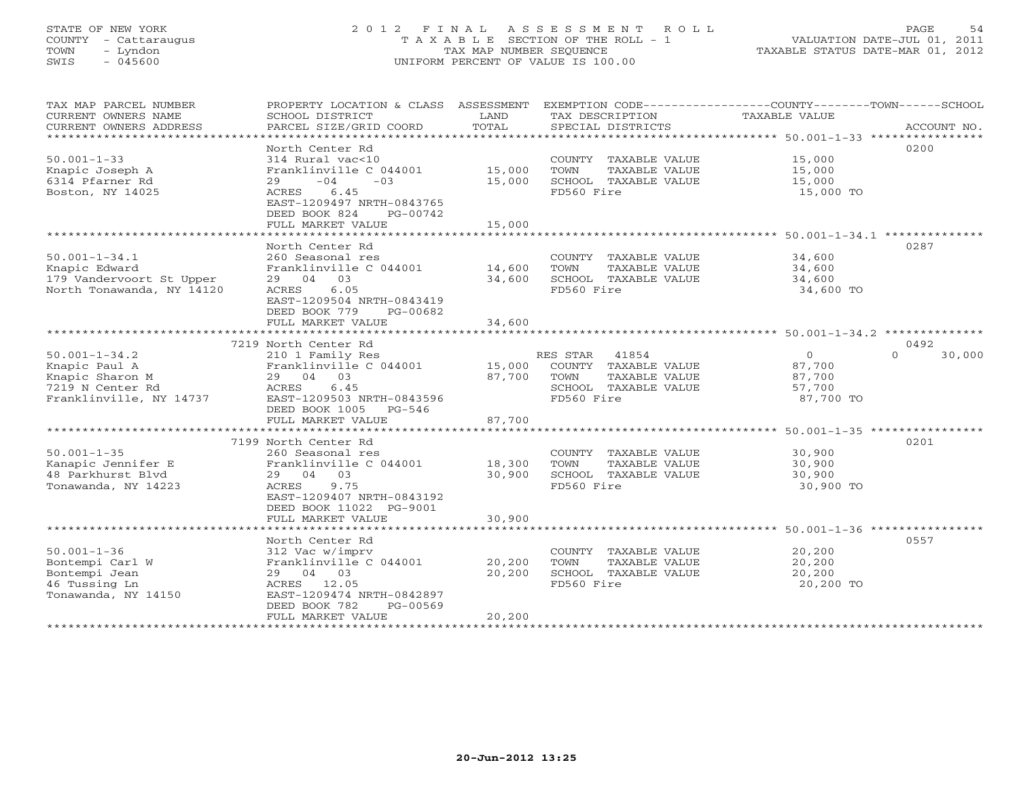# STATE OF NEW YORK 2 0 1 2 F I N A L A S S E S S M E N T R O L L PAGE 54 COUNTY - Cattaraugus T A X A B L E SECTION OF THE ROLL - 1 VALUATION DATE-JUL 01, 2011 TOWN - Lyndon TAX MAP NUMBER SEQUENCE TAXABLE STATUS DATE-MAR 01, 2012 SWIS - 045600 UNIFORM PERCENT OF VALUE IS 100.00UNIFORM PERCENT OF VALUE IS 100.00

| TAX MAP PARCEL NUMBER<br>CURRENT OWNERS NAME<br>CURRENT OWNERS ADDRESS<br>************************* | PROPERTY LOCATION & CLASS ASSESSMENT<br>SCHOOL DISTRICT<br>PARCEL SIZE/GRID COORD                                                                                                      | LAND<br>TOTAL              | EXEMPTION CODE-----------------COUNTY-------TOWN------SCHOOL<br>TAX DESCRIPTION<br>SPECIAL DISTRICTS | <b>TAXABLE VALUE</b>                          | ACCOUNT NO.        |
|-----------------------------------------------------------------------------------------------------|----------------------------------------------------------------------------------------------------------------------------------------------------------------------------------------|----------------------------|------------------------------------------------------------------------------------------------------|-----------------------------------------------|--------------------|
| $50.001 - 1 - 33$<br>Knapic Joseph A<br>6314 Pfarner Rd<br>Boston, NY 14025                         | North Center Rd<br>314 Rural vac<10<br>Franklinville C 044001<br>$-04$<br>$-0.3$<br>29<br>6.45<br>ACRES<br>EAST-1209497 NRTH-0843765<br>DEED BOOK 824<br>PG-00742<br>FULL MARKET VALUE | 15,000<br>15,000<br>15,000 | COUNTY TAXABLE VALUE<br>TOWN<br>TAXABLE VALUE<br>SCHOOL TAXABLE VALUE<br>FD560 Fire                  | 15,000<br>15,000<br>15,000<br>15,000 TO       | 0200               |
|                                                                                                     | North Center Rd                                                                                                                                                                        |                            |                                                                                                      |                                               | 0287               |
| $50.001 - 1 - 34.1$<br>Knapic Edward<br>179 Vandervoort St Upper<br>North Tonawanda, NY 14120       | 260 Seasonal res<br>Franklinville C 044001<br>29 04 03<br>ACRES<br>6.05<br>EAST-1209504 NRTH-0843419<br>DEED BOOK 779<br>PG-00682                                                      | 14,600<br>34,600           | COUNTY TAXABLE VALUE<br>TOWN<br>TAXABLE VALUE<br>SCHOOL TAXABLE VALUE<br>FD560 Fire                  | 34,600<br>34,600<br>34,600<br>34,600 TO       |                    |
|                                                                                                     | FULL MARKET VALUE<br>*******************************                                                                                                                                   | 34,600                     |                                                                                                      |                                               |                    |
|                                                                                                     | 7219 North Center Rd                                                                                                                                                                   |                            |                                                                                                      |                                               | 0492               |
| $50.001 - 1 - 34.2$                                                                                 | 210 1 Family Res                                                                                                                                                                       |                            | 41854<br>RES STAR                                                                                    | $\overline{O}$                                | 30,000<br>$\Omega$ |
| Knapic Paul A                                                                                       | Franklinville C 044001                                                                                                                                                                 | 15,000                     | COUNTY TAXABLE VALUE                                                                                 | 87,700                                        |                    |
| Knapic Sharon M                                                                                     | 29 04 03                                                                                                                                                                               | 87,700                     | TOWN<br>TAXABLE VALUE                                                                                | 87,700                                        |                    |
| 7219 N Center Rd                                                                                    | 6.45<br>ACRES                                                                                                                                                                          |                            | SCHOOL TAXABLE VALUE                                                                                 | 57,700                                        |                    |
| Franklinville, NY 14737                                                                             | EAST-1209503 NRTH-0843596<br>DEED BOOK 1005<br>$PG-546$<br>FULL MARKET VALUE                                                                                                           | 87,700                     | FD560 Fire                                                                                           | 87,700 TO                                     |                    |
|                                                                                                     | *****************************                                                                                                                                                          |                            |                                                                                                      |                                               |                    |
|                                                                                                     | 7199 North Center Rd                                                                                                                                                                   |                            |                                                                                                      |                                               | 0201               |
| $50.001 - 1 - 35$                                                                                   | 260 Seasonal res                                                                                                                                                                       |                            | COUNTY TAXABLE VALUE                                                                                 | 30,900                                        |                    |
| Kanapic Jennifer E                                                                                  | Franklinville C 044001                                                                                                                                                                 | 18,300                     | TOWN<br>TAXABLE VALUE                                                                                | 30,900                                        |                    |
| 48 Parkhurst Blyd                                                                                   | 29 04 03                                                                                                                                                                               | 30,900                     | SCHOOL TAXABLE VALUE                                                                                 | 30,900                                        |                    |
| Tonawanda, NY 14223                                                                                 | ACRES<br>9.75<br>EAST-1209407 NRTH-0843192<br>DEED BOOK 11022 PG-9001                                                                                                                  |                            | FD560 Fire                                                                                           | 30,900 TO                                     |                    |
|                                                                                                     | FULL MARKET VALUE                                                                                                                                                                      | 30,900                     |                                                                                                      |                                               |                    |
|                                                                                                     | ***********************                                                                                                                                                                | ****************           |                                                                                                      | ********************* 50.001-1-36 *********** |                    |
|                                                                                                     | North Center Rd                                                                                                                                                                        |                            |                                                                                                      |                                               | 0557               |
| $50.001 - 1 - 36$                                                                                   | 312 Vac w/imprv                                                                                                                                                                        |                            | COUNTY TAXABLE VALUE                                                                                 | 20,200                                        |                    |
| Bontempi Carl W<br>Bontempi Jean                                                                    | Franklinville C 044001<br>29 04 03                                                                                                                                                     | 20,200<br>20,200           | TOWN<br>TAXABLE VALUE<br>SCHOOL TAXABLE VALUE                                                        | 20,200<br>20,200                              |                    |
| 46 Tussing Ln                                                                                       | 12.05<br>ACRES                                                                                                                                                                         |                            | FD560 Fire                                                                                           | 20,200 TO                                     |                    |
| Tonawanda, NY 14150                                                                                 | EAST-1209474 NRTH-0842897                                                                                                                                                              |                            |                                                                                                      |                                               |                    |
|                                                                                                     | DEED BOOK 782<br>PG-00569                                                                                                                                                              |                            |                                                                                                      |                                               |                    |
|                                                                                                     | FULL MARKET VALUE                                                                                                                                                                      | 20,200                     |                                                                                                      |                                               |                    |
|                                                                                                     |                                                                                                                                                                                        |                            |                                                                                                      |                                               |                    |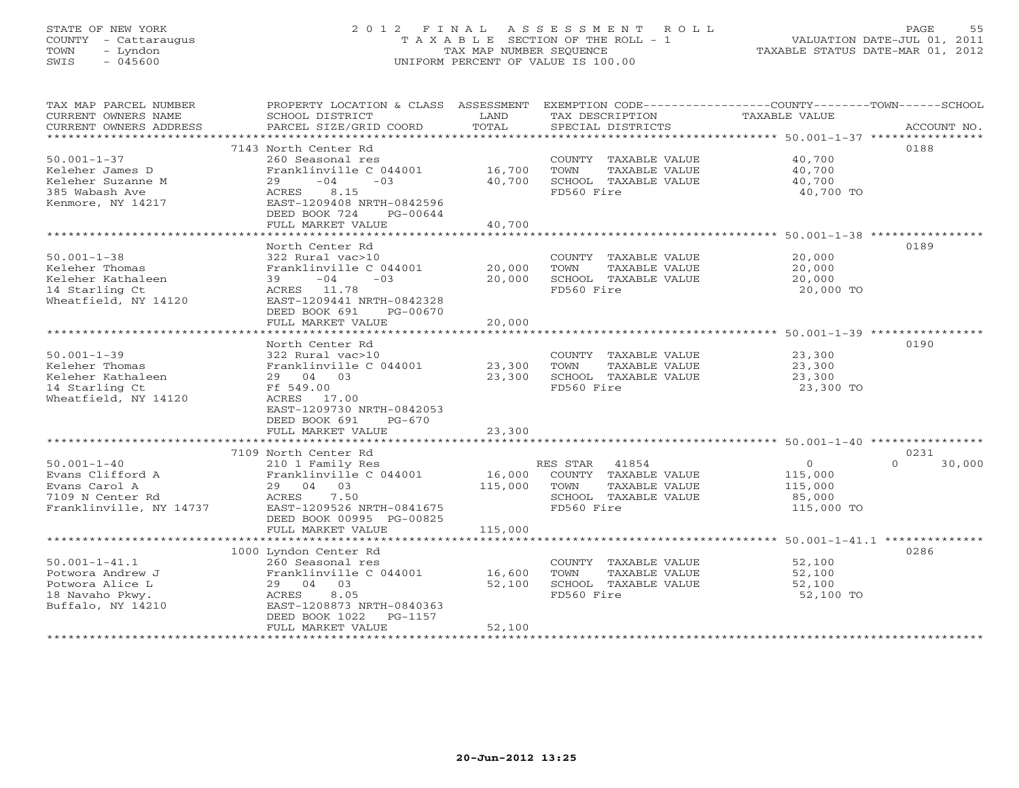# STATE OF NEW YORK 2 0 1 2 F I N A L A S S E S S M E N T R O L L PAGE 55 COUNTY - Cattaraugus T A X A B L E SECTION OF THE ROLL - 1 VALUATION DATE-JUL 01, 2011 TOWN - Lyndon TAX MAP NUMBER SEQUENCE TAXABLE STATUS DATE-MAR 01, 2012 SWIS - 045600 UNIFORM PERCENT OF VALUE IS 100.00UNIFORM PERCENT OF VALUE IS 100.00

| TAX MAP PARCEL NUMBER<br>CURRENT OWNERS NAME | PROPERTY LOCATION & CLASS ASSESSMENT<br>SCHOOL DISTRICT | LAND    | EXEMPTION CODE-----------------COUNTY-------TOWN-----SCHOOL<br>TAX DESCRIPTION | TAXABLE VALUE |                    |
|----------------------------------------------|---------------------------------------------------------|---------|--------------------------------------------------------------------------------|---------------|--------------------|
| CURRENT OWNERS ADDRESS                       | PARCEL SIZE/GRID COORD                                  | TOTAL   | SPECIAL DISTRICTS                                                              |               | ACCOUNT NO.        |
|                                              | 7143 North Center Rd                                    |         |                                                                                |               | 0188               |
| $50.001 - 1 - 37$                            | 260 Seasonal res                                        |         | COUNTY TAXABLE VALUE                                                           | 40,700        |                    |
| Keleher James D                              | Franklinville C 044001                                  | 16,700  | TOWN<br>TAXABLE VALUE                                                          | 40,700        |                    |
| Keleher Suzanne M                            | $-04$<br>$-03$<br>29                                    | 40,700  | SCHOOL TAXABLE VALUE                                                           | 40,700        |                    |
| 385 Wabash Ave                               | ACRES<br>8.15                                           |         | FD560 Fire                                                                     | 40,700 TO     |                    |
| Kenmore, NY 14217                            | EAST-1209408 NRTH-0842596                               |         |                                                                                |               |                    |
|                                              | DEED BOOK 724<br>PG-00644                               |         |                                                                                |               |                    |
|                                              | FULL MARKET VALUE                                       | 40,700  |                                                                                |               |                    |
|                                              |                                                         |         |                                                                                |               |                    |
|                                              | North Center Rd                                         |         |                                                                                |               | 0189               |
| $50.001 - 1 - 38$                            | 322 Rural vac>10                                        |         | COUNTY TAXABLE VALUE                                                           | 20,000        |                    |
| Keleher Thomas                               | Franklinville C 044001                                  | 20,000  | TOWN<br>TAXABLE VALUE                                                          | 20,000        |                    |
| Keleher Kathaleen                            | $-04$<br>$-03$<br>39                                    | 20,000  | SCHOOL TAXABLE VALUE                                                           | 20,000        |                    |
| 14 Starling Ct                               | ACRES 11.78                                             |         | FD560 Fire                                                                     | 20,000 TO     |                    |
| Wheatfield, NY 14120                         | EAST-1209441 NRTH-0842328                               |         |                                                                                |               |                    |
|                                              | DEED BOOK 691<br>PG-00670                               |         |                                                                                |               |                    |
|                                              | FULL MARKET VALUE                                       | 20,000  |                                                                                |               |                    |
|                                              |                                                         |         |                                                                                |               |                    |
|                                              | North Center Rd                                         |         |                                                                                |               | 0190               |
| $50.001 - 1 - 39$                            | 322 Rural vac>10                                        |         | COUNTY TAXABLE VALUE                                                           | 23,300        |                    |
| Keleher Thomas                               | Franklinville C 044001                                  | 23,300  | TAXABLE VALUE<br>TOWN                                                          | 23,300        |                    |
| Keleher Kathaleen                            | 29 04 03                                                | 23,300  | SCHOOL TAXABLE VALUE                                                           | 23,300        |                    |
| 14 Starling Ct                               | Ff 549.00                                               |         | FD560 Fire                                                                     | 23,300 TO     |                    |
| Wheatfield, NY 14120                         | ACRES 17.00                                             |         |                                                                                |               |                    |
|                                              | EAST-1209730 NRTH-0842053<br>DEED BOOK 691<br>$PG-670$  |         |                                                                                |               |                    |
|                                              | FULL MARKET VALUE                                       | 23,300  |                                                                                |               |                    |
|                                              |                                                         |         |                                                                                |               |                    |
|                                              | 7109 North Center Rd                                    |         |                                                                                |               | 0231               |
| $50.001 - 1 - 40$                            | 210 1 Family Res                                        |         | RES STAR 41854                                                                 | $\circ$       | $\Omega$<br>30,000 |
| Evans Clifford A                             | Franklinville C 044001                                  |         | 16,000 COUNTY TAXABLE VALUE                                                    | 115,000       |                    |
| Evans Carol A                                | 29 04 03                                                | 115,000 | TOWN<br>TAXABLE VALUE                                                          | 115,000       |                    |
| 7109 N Center Rd                             | ACRES<br>7.50                                           |         | SCHOOL TAXABLE VALUE                                                           | 85,000        |                    |
| Franklinville, NY 14737                      | EAST-1209526 NRTH-0841675                               |         | FD560 Fire                                                                     | 115,000 TO    |                    |
|                                              | DEED BOOK 00995 PG-00825                                |         |                                                                                |               |                    |
|                                              | FULL MARKET VALUE                                       | 115,000 |                                                                                |               |                    |
| ***********************                      |                                                         |         |                                                                                |               |                    |
|                                              | 1000 Lyndon Center Rd                                   |         |                                                                                |               | 0286               |
| $50.001 - 1 - 41.1$                          | 260 Seasonal res                                        |         | COUNTY TAXABLE VALUE                                                           | 52,100        |                    |
| Potwora Andrew J                             | Franklinville C 044001                                  | 16,600  | TOWN<br>TAXABLE VALUE                                                          | 52,100        |                    |
| Potwora Alice L                              | 29 04 03                                                | 52,100  | SCHOOL TAXABLE VALUE                                                           | 52,100        |                    |
| 18 Navaho Pkwy.                              | 8.05<br>ACRES                                           |         | FD560 Fire                                                                     | 52,100 TO     |                    |
| Buffalo, NY 14210                            | EAST-1208873 NRTH-0840363<br>PG-1157                    |         |                                                                                |               |                    |
|                                              | DEED BOOK 1022<br>FULL MARKET VALUE                     | 52,100  |                                                                                |               |                    |
|                                              |                                                         |         |                                                                                |               |                    |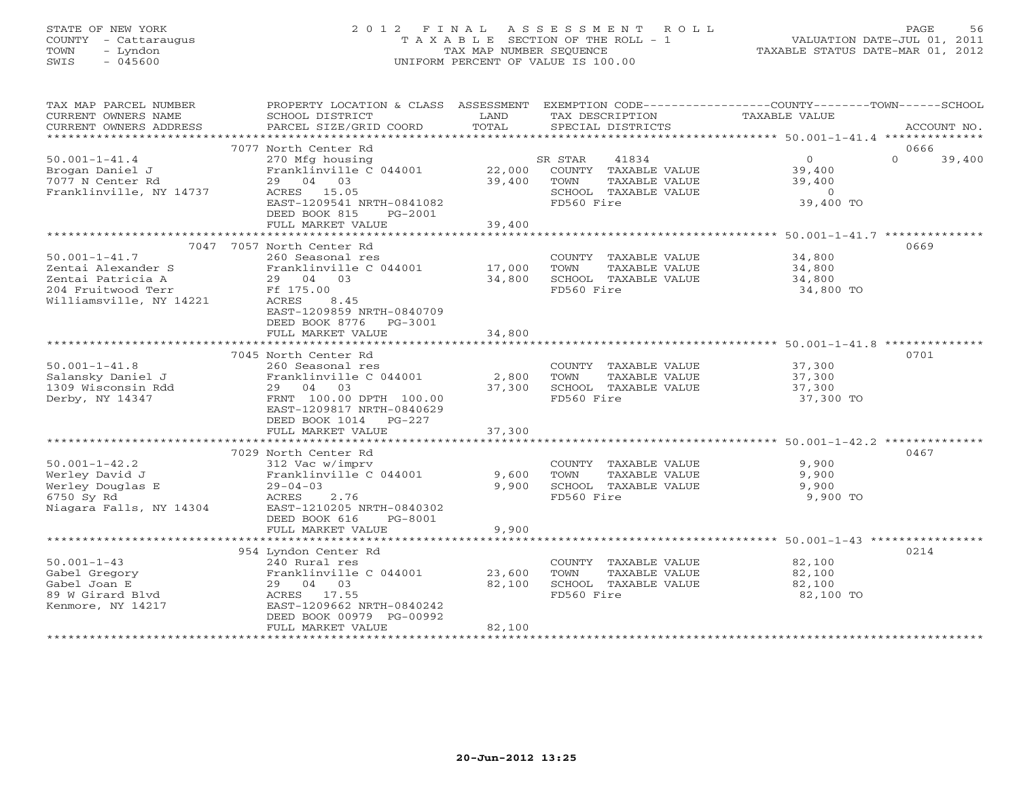STATE OF NEW YORK 2 0 1 2 F I N A L A S S E S S M E N T R O L L PAGE 56 COUNTY - Cattaraugus T A X A B L E SECTION OF THE ROLL - 1 VALUATION DATE-JUL 01, 2011 TOWN - Lyndon TAX MAP NUMBER SEQUENCE TAXABLE STATUS DATE-MAR 01, 2012 SWIS - 045600 UNIFORM PERCENT OF VALUE IS 100.00UNIFORM PERCENT OF VALUE IS 100.00

| TAX MAP PARCEL NUMBER<br>CURRENT OWNERS NAME | PROPERTY LOCATION & CLASS ASSESSMENT<br>SCHOOL DISTRICT | LAND                   | EXEMPTION CODE-----------------COUNTY-------TOWN------SCHOOL<br>TAX DESCRIPTION | TAXABLE VALUE     |          |             |
|----------------------------------------------|---------------------------------------------------------|------------------------|---------------------------------------------------------------------------------|-------------------|----------|-------------|
| CURRENT OWNERS ADDRESS                       | PARCEL SIZE/GRID COORD                                  | TOTAL                  | SPECIAL DISTRICTS                                                               |                   |          | ACCOUNT NO. |
| ***********************                      |                                                         |                        |                                                                                 |                   |          |             |
|                                              | 7077 North Center Rd                                    |                        |                                                                                 |                   | 0666     |             |
| $50.001 - 1 - 41.4$                          | 270 Mfg housing                                         |                        | 41834<br>SR STAR                                                                | $\overline{0}$    | $\Omega$ | 39,400      |
| Brogan Daniel J                              | Franklinville C 044001                                  | 22,000                 | COUNTY TAXABLE VALUE                                                            | 39,400            |          |             |
| 7077 N Center Rd                             | 29 04 03                                                | 39,400                 | TOWN<br>TAXABLE VALUE                                                           | 39,400            |          |             |
| Franklinville, NY 14737                      | ACRES 15.05                                             |                        | SCHOOL TAXABLE VALUE                                                            | $\Omega$          |          |             |
|                                              | EAST-1209541 NRTH-0841082                               |                        | FD560 Fire                                                                      | 39,400 TO         |          |             |
|                                              | DEED BOOK 815<br>PG-2001                                |                        |                                                                                 |                   |          |             |
|                                              | FULL MARKET VALUE                                       | 39,400                 |                                                                                 |                   |          |             |
|                                              |                                                         |                        |                                                                                 |                   |          |             |
|                                              | 7047 7057 North Center Rd                               |                        |                                                                                 |                   | 0669     |             |
| $50.001 - 1 - 41.7$                          | 260 Seasonal res                                        |                        | COUNTY TAXABLE VALUE                                                            | 34,800            |          |             |
| Zentai Alexander S                           | Franklinville C 044001 17,000                           |                        | TOWN<br>TAXABLE VALUE                                                           | 34,800            |          |             |
| Zentai Patricia A                            | 29 04 03                                                | 34,800                 | SCHOOL TAXABLE VALUE                                                            | 34,800            |          |             |
| 204 Fruitwood Terr                           | Ff 175.00                                               |                        | FD560 Fire                                                                      | 34,800 TO         |          |             |
| Williamsville, NY 14221                      | ACRES<br>8.45                                           |                        |                                                                                 |                   |          |             |
|                                              | EAST-1209859 NRTH-0840709                               |                        |                                                                                 |                   |          |             |
|                                              | DEED BOOK 8776 PG-3001                                  |                        |                                                                                 |                   |          |             |
|                                              | FULL MARKET VALUE                                       | 34,800                 |                                                                                 |                   |          |             |
|                                              |                                                         |                        |                                                                                 |                   |          |             |
|                                              | 7045 North Center Rd                                    |                        |                                                                                 |                   | 0701     |             |
| $50.001 - 1 - 41.8$                          | 260 Seasonal res                                        |                        | COUNTY TAXABLE VALUE                                                            | 37,300            |          |             |
| Salansky Daniel J                            | Franklinville C 044001                                  | 2,800                  | TOWN<br>TAXABLE VALUE                                                           | 37,300            |          |             |
| 1309 Wisconsin Rdd                           | 29 04 03                                                | 37,300                 | SCHOOL TAXABLE VALUE                                                            | 37,300            |          |             |
| Derby, NY 14347                              | FRNT 100.00 DPTH 100.00                                 |                        | FD560 Fire                                                                      | 37,300 TO         |          |             |
|                                              | EAST-1209817 NRTH-0840629                               |                        |                                                                                 |                   |          |             |
|                                              | DEED BOOK 1014 PG-227                                   |                        |                                                                                 |                   |          |             |
|                                              | FULL MARKET VALUE<br>***************************        | 37,300<br>************ |                                                                                 |                   |          |             |
|                                              |                                                         |                        | ****************************** 50.001-1-42.2 *************                      |                   |          |             |
|                                              | 7029 North Center Rd                                    |                        |                                                                                 |                   | 0467     |             |
| $50.001 - 1 - 42.2$                          | 312 Vac w/imprv                                         |                        | COUNTY TAXABLE VALUE                                                            | 9,900             |          |             |
| Werley David J                               | Franklinville C 044001                                  | 9,600                  | TOWN<br>TAXABLE VALUE                                                           | 9,900             |          |             |
| Werley Douglas E<br>6750 Sy Rd               | $29 - 04 - 03$<br>2.76<br>ACRES                         | 9,900                  | SCHOOL TAXABLE VALUE<br>FD560 Fire                                              | 9,900<br>9,900 TO |          |             |
| Niagara Falls, NY 14304                      | EAST-1210205 NRTH-0840302                               |                        |                                                                                 |                   |          |             |
|                                              | DEED BOOK 616<br>PG-8001                                |                        |                                                                                 |                   |          |             |
|                                              | FULL MARKET VALUE                                       | 9,900                  |                                                                                 |                   |          |             |
|                                              |                                                         |                        |                                                                                 |                   |          |             |
|                                              | 954 Lyndon Center Rd                                    |                        |                                                                                 |                   | 0214     |             |
| $50.001 - 1 - 43$                            | 240 Rural res                                           |                        | COUNTY TAXABLE VALUE                                                            | 82,100            |          |             |
| Gabel Gregory                                | Franklinville C 044001                                  | 23,600                 | TOWN<br>TAXABLE VALUE                                                           | 82,100            |          |             |
| Gabel Joan E                                 | 29 04 03                                                | 82,100                 | SCHOOL TAXABLE VALUE                                                            | 82,100            |          |             |
| 89 W Girard Blyd                             | ACRES 17.55                                             |                        | FD560 Fire                                                                      | 82,100 TO         |          |             |
| Kenmore, NY 14217                            | EAST-1209662 NRTH-0840242                               |                        |                                                                                 |                   |          |             |
|                                              | DEED BOOK 00979 PG-00992                                |                        |                                                                                 |                   |          |             |
|                                              | FULL MARKET VALUE                                       | 82,100                 |                                                                                 |                   |          |             |
|                                              | ***************************                             |                        |                                                                                 |                   |          |             |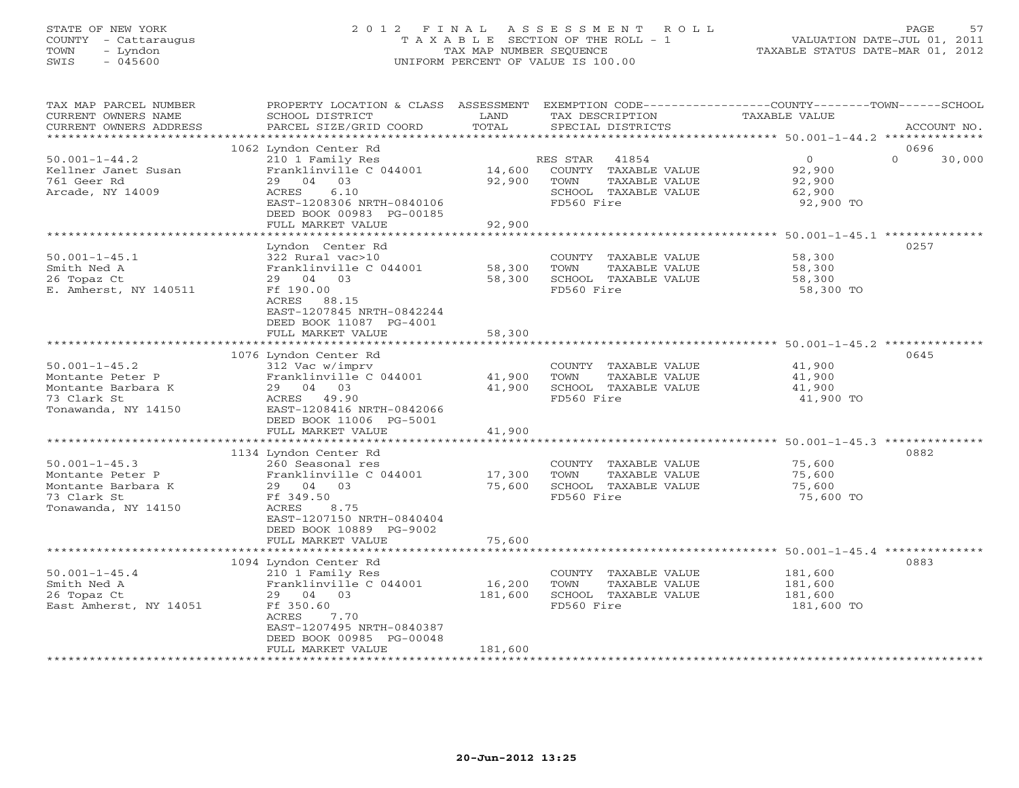# STATE OF NEW YORK 2 0 1 2 F I N A L A S S E S S M E N T R O L L PAGE 57 COUNTY - Cattaraugus T A X A B L E SECTION OF THE ROLL - 1 VALUATION DATE-JUL 01, 2011 TOWN - Lyndon TAX MAP NUMBER SEQUENCE TAXABLE STATUS DATE-MAR 01, 2012 SWIS - 045600 UNIFORM PERCENT OF VALUE IS 100.00UNIFORM PERCENT OF VALUE IS 100.00

| TAX MAP PARCEL NUMBER<br>CURRENT OWNERS NAME<br>CURRENT OWNERS ADDRESS                                                                                                                                     | PROPERTY LOCATION & CLASS ASSESSMENT<br>SCHOOL DISTRICT<br>PARCEL SIZE/GRID COORD                                                                                                                                                                                                                                                                   | LAND<br>TOTAL                                  | TAX DESCRIPTION<br>SPECIAL DISTRICTS                                                                                                                                       | EXEMPTION CODE-----------------COUNTY-------TOWN------SCHOOL<br>TAXABLE VALUE<br>ACCOUNT NO.                                                       |
|------------------------------------------------------------------------------------------------------------------------------------------------------------------------------------------------------------|-----------------------------------------------------------------------------------------------------------------------------------------------------------------------------------------------------------------------------------------------------------------------------------------------------------------------------------------------------|------------------------------------------------|----------------------------------------------------------------------------------------------------------------------------------------------------------------------------|----------------------------------------------------------------------------------------------------------------------------------------------------|
| ***********************                                                                                                                                                                                    |                                                                                                                                                                                                                                                                                                                                                     |                                                |                                                                                                                                                                            |                                                                                                                                                    |
| $50.001 - 1 - 44.2$<br>Kellner Janet Susan<br>761 Geer Rd<br>Arcade, NY 14009                                                                                                                              | 1062 Lyndon Center Rd<br>210 1 Family Res<br>Franklinville C 044001<br>29 04 03<br>ACRES<br>6.10<br>EAST-1208306 NRTH-0840106<br>DEED BOOK 00983 PG-00185<br>FULL MARKET VALUE                                                                                                                                                                      | 14,600<br>92,900<br>92,900                     | RES STAR<br>41854<br>COUNTY TAXABLE VALUE<br>TOWN<br>TAXABLE VALUE<br>SCHOOL TAXABLE VALUE<br>FD560 Fire                                                                   | 0696<br>$\Omega$<br>$\overline{O}$<br>30,000<br>92,900<br>92,900<br>62,900<br>92,900 TO                                                            |
|                                                                                                                                                                                                            |                                                                                                                                                                                                                                                                                                                                                     |                                                |                                                                                                                                                                            |                                                                                                                                                    |
| $50.001 - 1 - 45.1$<br>Smith Ned A<br>26 Topaz Ct<br>E. Amherst, NY 140511                                                                                                                                 | Lyndon Center Rd<br>322 Rural vac>10<br>Franklinville C 044001<br>29 04 03<br>Ff 190.00<br>ACRES 88.15<br>EAST-1207845 NRTH-0842244<br>DEED BOOK 11087 PG-4001                                                                                                                                                                                      | 58,300<br>58,300                               | COUNTY TAXABLE VALUE<br>TAXABLE VALUE<br>TOWN<br>SCHOOL TAXABLE VALUE<br>FD560 Fire                                                                                        | 0257<br>58,300<br>58,300<br>58,300<br>58,300 TO                                                                                                    |
|                                                                                                                                                                                                            | FULL MARKET VALUE                                                                                                                                                                                                                                                                                                                                   | 58,300<br>************                         |                                                                                                                                                                            |                                                                                                                                                    |
| $50.001 - 1 - 45.2$<br>Montante Peter P<br>Montante Barbara K<br>73 Clark St<br>Tonawanda, NY 14150<br>$50.001 - 1 - 45.3$<br>Montante Peter P<br>Montante Barbara K<br>73 Clark St<br>Tonawanda, NY 14150 | 1076 Lyndon Center Rd<br>312 Vac w/imprv<br>Franklinville C 044001<br>29 04 03<br>ACRES 49.90<br>EAST-1208416 NRTH-0842066<br>DEED BOOK 11006 PG-5001<br>FULL MARKET VALUE<br>1134 Lyndon Center Rd<br>260 Seasonal res<br>Franklinville C 044001<br>29 04 03<br>Ff 349.50<br>ACRES<br>8.75<br>EAST-1207150 NRTH-0840404<br>DEED BOOK 10889 PG-9002 | 41,900<br>41,900<br>41,900<br>17,300<br>75,600 | COUNTY TAXABLE VALUE<br>TAXABLE VALUE<br>TOWN<br>SCHOOL TAXABLE VALUE<br>FD560 Fire<br>COUNTY TAXABLE VALUE<br>TOWN<br>TAXABLE VALUE<br>SCHOOL TAXABLE VALUE<br>FD560 Fire | ******************* 50.001-1-45.2 **********<br>0645<br>41,900<br>41,900<br>41,900<br>41,900 TO<br>0882<br>75,600<br>75,600<br>75,600<br>75,600 TO |
|                                                                                                                                                                                                            | FULL MARKET VALUE                                                                                                                                                                                                                                                                                                                                   | 75,600                                         |                                                                                                                                                                            |                                                                                                                                                    |
| $50.001 - 1 - 45.4$<br>Smith Ned A<br>26 Topaz Ct<br>East Amherst, NY 14051                                                                                                                                | 1094 Lyndon Center Rd<br>210 1 Family Res<br>Franklinville C 044001<br>29 04 03<br>Ff 350.60<br>7.70<br>ACRES<br>EAST-1207495 NRTH-0840387<br>DEED BOOK 00985 PG-00048<br>FULL MARKET VALUE                                                                                                                                                         | 16,200<br>181,600<br>181,600                   | COUNTY TAXABLE VALUE<br>TOWN<br>TAXABLE VALUE<br>SCHOOL TAXABLE VALUE<br>FD560 Fire                                                                                        | 0883<br>181,600<br>181,600<br>181,600<br>181,600 TO                                                                                                |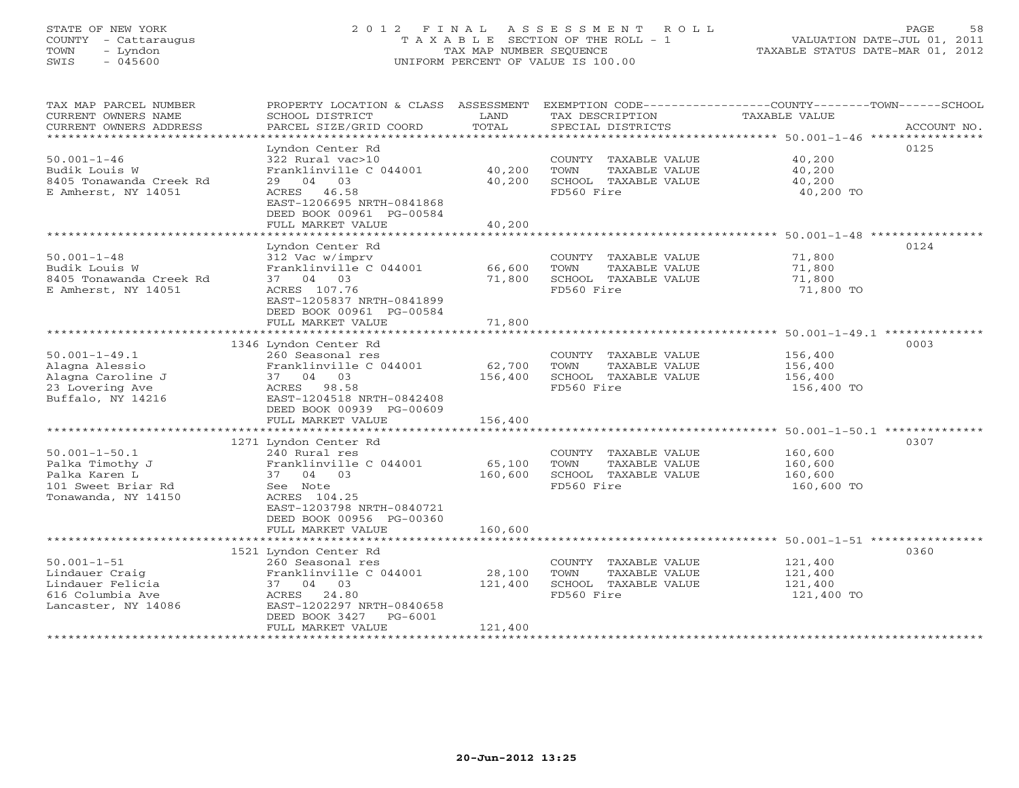# STATE OF NEW YORK 2 0 1 2 F I N A L A S S E S S M E N T R O L L PAGE 58 COUNTY - Cattaraugus T A X A B L E SECTION OF THE ROLL - 1 VALUATION DATE-JUL 01, 2011 TOWN - Lyndon TAX MAP NUMBER SEQUENCE TAXABLE STATUS DATE-MAR 01, 2012 SWIS - 045600 UNIFORM PERCENT OF VALUE IS 100.00UNIFORM PERCENT OF VALUE IS 100.00

| TAX MAP PARCEL NUMBER<br>CURRENT OWNERS NAME<br>CURRENT OWNERS ADDRESS<br>*************************  | PROPERTY LOCATION & CLASS ASSESSMENT<br>SCHOOL DISTRICT<br>PARCEL SIZE/GRID COORD                                                                                               | LAND<br>TOTAL                | TAX DESCRIPTION<br>SPECIAL DISTRICTS                                                | EXEMPTION CODE-----------------COUNTY-------TOWN-----SCHOOL<br>TAXABLE VALUE<br>ACCOUNT NO. |
|------------------------------------------------------------------------------------------------------|---------------------------------------------------------------------------------------------------------------------------------------------------------------------------------|------------------------------|-------------------------------------------------------------------------------------|---------------------------------------------------------------------------------------------|
| $50.001 - 1 - 46$<br>Budik Louis W<br>8405 Tonawanda Creek Rd<br>E Amherst, NY 14051                 | Lyndon Center Rd<br>322 Rural vac>10<br>Franklinville C 044001<br>29 04 03<br>ACRES 46.58<br>EAST-1206695 NRTH-0841868<br>DEED BOOK 00961 PG-00584<br>FULL MARKET VALUE         | 40,200<br>40,200<br>40,200   | COUNTY TAXABLE VALUE<br>TAXABLE VALUE<br>TOWN<br>SCHOOL TAXABLE VALUE<br>FD560 Fire | 0125<br>40,200<br>40,200<br>40,200<br>40,200 TO                                             |
| $50.001 - 1 - 48$<br>Budik Louis W<br>8405 Tonawanda Creek Rd<br>E Amherst, NY 14051                 | Lyndon Center Rd<br>312 Vac w/imprv<br>Franklinville C 044001<br>37 04 03<br>ACRES 107.76<br>EAST-1205837 NRTH-0841899<br>DEED BOOK 00961 PG-00584<br>FULL MARKET VALUE         | 66,600<br>71,800<br>71,800   | COUNTY TAXABLE VALUE<br>TOWN<br>TAXABLE VALUE<br>SCHOOL TAXABLE VALUE<br>FD560 Fire | 0124<br>71,800<br>71,800<br>71,800<br>71,800 TO                                             |
|                                                                                                      |                                                                                                                                                                                 |                              |                                                                                     | ********************************** 50.001-1-49.1 *********                                  |
| $50.001 - 1 - 49.1$<br>Alagna Alessio<br>Alagna Caroline J<br>23 Lovering Ave<br>Buffalo, NY 14216   | 1346 Lyndon Center Rd<br>260 Seasonal res<br>Franklinville C 044001<br>37 04 03<br>ACRES<br>98.58<br>EAST-1204518 NRTH-0842408<br>DEED BOOK 00939 PG-00609<br>FULL MARKET VALUE | 62,700<br>156,400<br>156,400 | COUNTY TAXABLE VALUE<br>TOWN<br>TAXABLE VALUE<br>SCHOOL TAXABLE VALUE<br>FD560 Fire | 0003<br>156,400<br>156,400<br>156,400<br>156,400 TO                                         |
|                                                                                                      | 1271 Lyndon Center Rd                                                                                                                                                           |                              |                                                                                     | 0307                                                                                        |
| $50.001 - 1 - 50.1$<br>Palka Timothy J<br>Palka Karen L<br>101 Sweet Briar Rd<br>Tonawanda, NY 14150 | 240 Rural res<br>Franklinville C 044001<br>37 04 03<br>See Note<br>ACRES 104.25<br>EAST-1203798 NRTH-0840721<br>DEED BOOK 00956 PG-00360                                        | 65,100<br>160,600            | COUNTY TAXABLE VALUE<br>TOWN<br>TAXABLE VALUE<br>SCHOOL TAXABLE VALUE<br>FD560 Fire | 160,600<br>160,600<br>160,600<br>160,600 TO                                                 |
|                                                                                                      | FULL MARKET VALUE                                                                                                                                                               | 160,600                      |                                                                                     |                                                                                             |
| $50.001 - 1 - 51$<br>Lindauer Craig<br>Lindauer Felicia<br>616 Columbia Ave<br>Lancaster, NY 14086   | 1521 Lyndon Center Rd<br>260 Seasonal res<br>Franklinville C 044001<br>37 04 03<br>24.80<br>ACRES<br>EAST-1202297 NRTH-0840658<br>DEED BOOK 3427<br>PG-6001                     | 28,100<br>121,400            | COUNTY TAXABLE VALUE<br>TOWN<br>TAXABLE VALUE<br>SCHOOL TAXABLE VALUE<br>FD560 Fire | 0360<br>121,400<br>121,400<br>121,400<br>121,400 TO                                         |
|                                                                                                      | FULL MARKET VALUE                                                                                                                                                               | 121,400                      |                                                                                     |                                                                                             |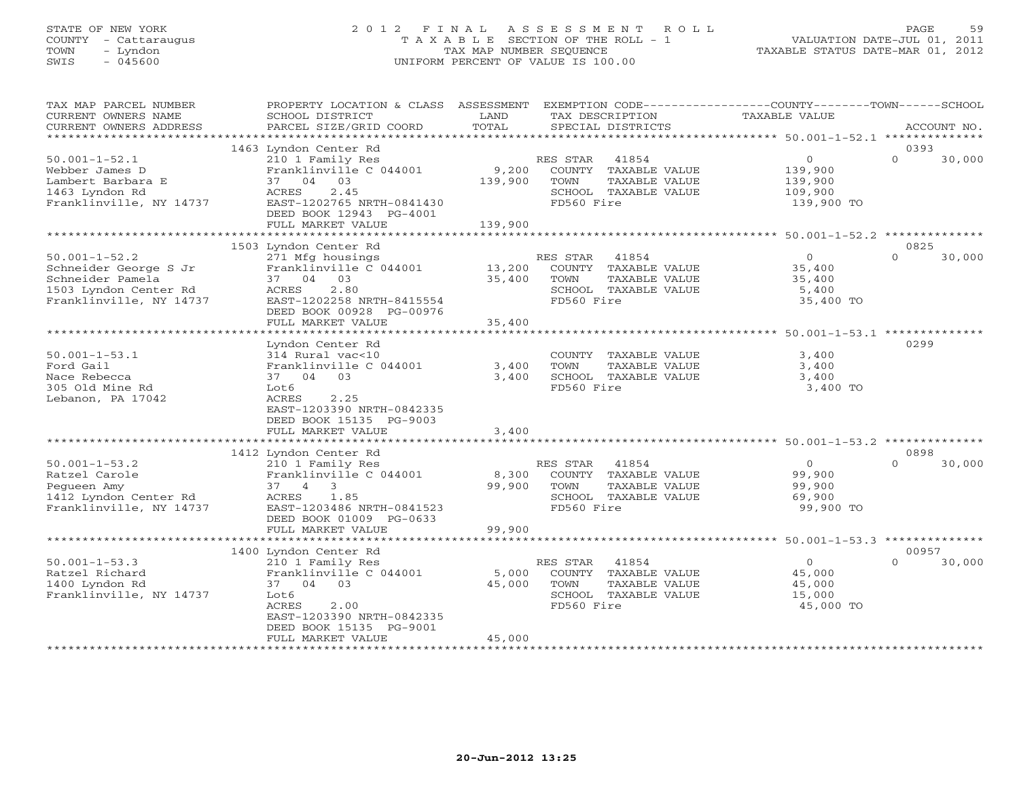# STATE OF NEW YORK 2 0 1 2 F I N A L A S S E S S M E N T R O L L PAGE 59 COUNTY - Cattaraugus T A X A B L E SECTION OF THE ROLL - 1 VALUATION DATE-JUL 01, 2011 TOWN - Lyndon TAX MAP NUMBER SEQUENCE TAXABLE STATUS DATE-MAR 01, 2012 SWIS - 045600 UNIFORM PERCENT OF VALUE IS 100.00UNIFORM PERCENT OF VALUE IS 100.00

| TAX MAP PARCEL NUMBER<br>CURRENT OWNERS NAME                                                                         | PROPERTY LOCATION & CLASS ASSESSMENT<br>SCHOOL DISTRICT                                                                                                                                              | LAND             | EXEMPTION CODE-----------------COUNTY-------TOWN------SCHOOL<br>TAX DESCRIPTION                          | <b>TAXABLE VALUE</b>                                   |                             |
|----------------------------------------------------------------------------------------------------------------------|------------------------------------------------------------------------------------------------------------------------------------------------------------------------------------------------------|------------------|----------------------------------------------------------------------------------------------------------|--------------------------------------------------------|-----------------------------|
| CURRENT OWNERS ADDRESS<br>********************                                                                       | PARCEL SIZE/GRID COORD                                                                                                                                                                               | TOTAL            | SPECIAL DISTRICTS                                                                                        |                                                        | ACCOUNT NO.                 |
|                                                                                                                      | 1463 Lyndon Center Rd                                                                                                                                                                                |                  |                                                                                                          |                                                        | 0393                        |
| $50.001 - 1 - 52.1$<br>Webber James D<br>Lambert Barbara E<br>1463 Lyndon Rd<br>Franklinville, NY 14737              | 210 1 Family Res<br>Franklinville C 044001<br>03<br>37 04<br>2.45<br>ACRES<br>EAST-1202765 NRTH-0841430<br>DEED BOOK 12943 PG-4001<br>FULL MARKET VALUE                                              | 9,200<br>139,900 | RES STAR<br>41854<br>COUNTY TAXABLE VALUE<br>TOWN<br>TAXABLE VALUE<br>SCHOOL TAXABLE VALUE<br>FD560 Fire | $\circ$<br>139,900<br>139,900<br>109,900<br>139,900 TO | $\Omega$<br>30,000          |
|                                                                                                                      |                                                                                                                                                                                                      | 139,900          |                                                                                                          | ************* 50.001-1-52.2 ***************            |                             |
|                                                                                                                      | 1503 Lyndon Center Rd                                                                                                                                                                                |                  |                                                                                                          |                                                        | 0825                        |
| $50.001 - 1 - 52.2$<br>Schneider George S Jr<br>Schneider Pamela<br>1503 Lyndon Center Rd<br>Franklinville, NY 14737 | 271 Mfg housings<br>Franklinville C 044001<br>37 04 03<br>2.80<br>ACRES<br>EAST-1202258 NRTH-8415554<br>DEED BOOK 00928 PG-00976                                                                     | 13,200<br>35,400 | RES STAR<br>41854<br>COUNTY TAXABLE VALUE<br>TOWN<br>TAXABLE VALUE<br>SCHOOL TAXABLE VALUE<br>FD560 Fire | $\circ$<br>35,400<br>35,400<br>5,400<br>35,400 TO      | $\Omega$<br>30,000          |
|                                                                                                                      | FULL MARKET VALUE                                                                                                                                                                                    | 35,400           |                                                                                                          |                                                        |                             |
| $50.001 - 1 - 53.1$<br>Ford Gail<br>Nace Rebecca<br>305 Old Mine Rd<br>Lebanon, PA 17042                             | * * * * * * * * * * * * * * * * * * *<br>Lyndon Center Rd<br>314 Rural vac<10<br>Franklinville C 044001<br>37 04 03<br>Lot6<br>2.25<br>ACRES<br>EAST-1203390 NRTH-0842335<br>DEED BOOK 15135 PG-9003 | 3,400<br>3,400   | COUNTY TAXABLE VALUE<br>TOWN<br>TAXABLE VALUE<br>SCHOOL TAXABLE VALUE<br>FD560 Fire                      | 3,400<br>3,400<br>3,400<br>3,400 TO                    | 0299                        |
|                                                                                                                      | FULL MARKET VALUE                                                                                                                                                                                    | 3,400            |                                                                                                          |                                                        |                             |
|                                                                                                                      |                                                                                                                                                                                                      |                  |                                                                                                          |                                                        |                             |
| $50.001 - 1 - 53.2$<br>Ratzel Carole<br>Pegueen Amy<br>1412 Lyndon Center Rd<br>Franklinville, NY 14737              | 1412 Lyndon Center Rd<br>210 1 Family Res<br>Franklinville C 044001<br>$37 \quad 4 \quad 3$<br>ACRES<br>1.85<br>EAST-1203486 NRTH-0841523<br>DEED BOOK 01009 PG-0633                                 | 8,300<br>99,900  | 41854<br>RES STAR<br>COUNTY TAXABLE VALUE<br>TOWN<br>TAXABLE VALUE<br>SCHOOL TAXABLE VALUE<br>FD560 Fire | $\circ$<br>99,900<br>99,900<br>69,900<br>99,900 TO     | 0898<br>$\Omega$<br>30,000  |
|                                                                                                                      | FULL MARKET VALUE                                                                                                                                                                                    | 99,900           |                                                                                                          |                                                        |                             |
|                                                                                                                      | ********************                                                                                                                                                                                 |                  |                                                                                                          |                                                        |                             |
| $50.001 - 1 - 53.3$<br>Ratzel Richard<br>1400 Lyndon Rd<br>Franklinville, NY 14737                                   | 1400 Lyndon Center Rd<br>210 1 Family Res<br>Franklinville C 044001<br>37 04<br>03<br>Lot6<br>ACRES<br>2.00<br>EAST-1203390 NRTH-0842335<br>DEED BOOK 15135 PG-9001                                  | 5,000<br>45,000  | 41854<br>RES STAR<br>COUNTY TAXABLE VALUE<br>TOWN<br>TAXABLE VALUE<br>SCHOOL TAXABLE VALUE<br>FD560 Fire | $\circ$<br>45,000<br>45,000<br>15,000<br>45,000 TO     | 00957<br>$\Omega$<br>30,000 |
|                                                                                                                      | FULL MARKET VALUE                                                                                                                                                                                    | 45,000           |                                                                                                          |                                                        |                             |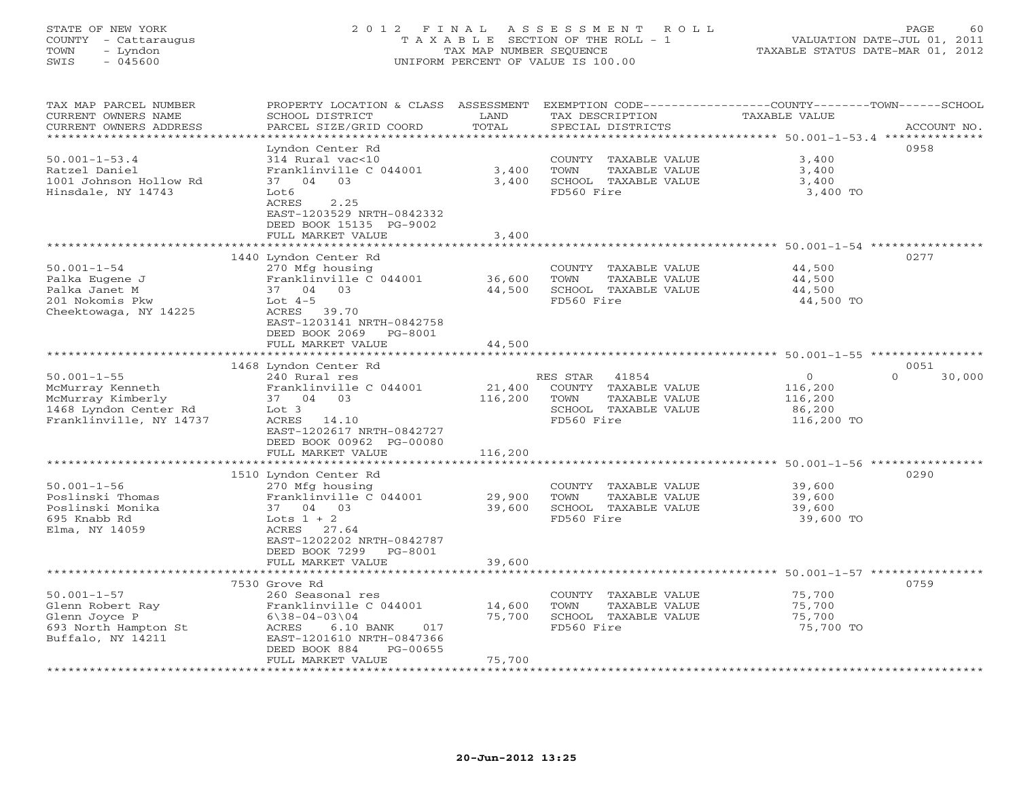# STATE OF NEW YORK 2 0 1 2 F I N A L A S S E S S M E N T R O L L PAGE 60 COUNTY - Cattaraugus T A X A B L E SECTION OF THE ROLL - 1 VALUATION DATE-JUL 01, 2011 TOWN - Lyndon TAX MAP NUMBER SEQUENCE TAXABLE STATUS DATE-MAR 01, 2012 SWIS - 045600 UNIFORM PERCENT OF VALUE IS 100.00

| TAX MAP PARCEL NUMBER<br>CURRENT OWNERS NAME<br>CURRENT OWNERS ADDRESS                                         | PROPERTY LOCATION & CLASS<br>SCHOOL DISTRICT<br>PARCEL SIZE/GRID COORD                                                                                                                        | ASSESSMENT<br>LAND<br>TOTAL<br>*********** |                                | TAX DESCRIPTION<br>SPECIAL DISTRICTS                                   | EXEMPTION CODE-----------------COUNTY-------TOWN------SCHOOL<br>TAXABLE VALUE<br>********************************** 50.001-1-53.4 ************** | ACCOUNT NO.                |
|----------------------------------------------------------------------------------------------------------------|-----------------------------------------------------------------------------------------------------------------------------------------------------------------------------------------------|--------------------------------------------|--------------------------------|------------------------------------------------------------------------|--------------------------------------------------------------------------------------------------------------------------------------------------|----------------------------|
| $50.001 - 1 - 53.4$<br>Ratzel Daniel<br>1001 Johnson Hollow Rd<br>Hinsdale, NY 14743                           | Lyndon Center Rd<br>314 Rural vac<10<br>Franklinville C 044001<br>0.3<br>37 04<br>Lot6<br>2.25<br>ACRES<br>EAST-1203529 NRTH-0842332<br>DEED BOOK 15135 PG-9002                               | 3,400<br>3,400                             | TOWN<br>FD560 Fire             | COUNTY TAXABLE VALUE<br>TAXABLE VALUE<br>SCHOOL TAXABLE VALUE          | 3,400<br>3,400<br>3,400<br>3,400 TO                                                                                                              | 0958                       |
|                                                                                                                | FULL MARKET VALUE                                                                                                                                                                             | 3,400                                      |                                |                                                                        | ********************* 50.001-1-54 *********                                                                                                      |                            |
| $50.001 - 1 - 54$<br>Palka Eugene J<br>Palka Janet M<br>201 Nokomis Pkw<br>Cheektowaga, NY 14225               | 1440 Lyndon Center Rd<br>270 Mfg housing<br>Franklinville C 044001<br>0.3<br>37 04<br>Lot $4-5$<br>ACRES 39.70<br>EAST-1203141 NRTH-0842758<br>DEED BOOK 2069<br>PG-8001<br>FULL MARKET VALUE | 36,600<br>44,500<br>44,500                 | TOWN<br>FD560 Fire             | COUNTY TAXABLE VALUE<br>TAXABLE VALUE<br>SCHOOL TAXABLE VALUE          | 44,500<br>44,500<br>44,500<br>44,500 TO                                                                                                          | 0277                       |
|                                                                                                                |                                                                                                                                                                                               |                                            |                                |                                                                        |                                                                                                                                                  |                            |
| $50.001 - 1 - 55$<br>McMurray Kenneth<br>McMurray Kimberly<br>1468 Lyndon Center Rd<br>Franklinville, NY 14737 | 1468 Lyndon Center Rd<br>240 Rural res<br>Franklinville C 044001<br>37 04 03<br>Lot 3<br>ACRES 14.10<br>EAST-1202617 NRTH-0842727<br>DEED BOOK 00962 PG-00080<br>FULL MARKET VALUE            | 21,400<br>116,200<br>116,200               | RES STAR<br>TOWN<br>FD560 Fire | 41854<br>COUNTY TAXABLE VALUE<br>TAXABLE VALUE<br>SCHOOL TAXABLE VALUE | $\overline{0}$<br>116,200<br>116,200<br>86,200<br>116,200 TO                                                                                     | 0051<br>$\Omega$<br>30,000 |
|                                                                                                                | *******************                                                                                                                                                                           |                                            |                                |                                                                        |                                                                                                                                                  |                            |
| $50.001 - 1 - 56$<br>Poslinski Thomas<br>Poslinski Monika<br>695 Knabb Rd<br>Elma, NY 14059                    | 1510 Lyndon Center Rd<br>270 Mfg housing<br>Franklinville C 044001<br>37 04 03<br>Lots $1 + 2$<br>ACRES 27.64<br>EAST-1202202 NRTH-0842787<br>DEED BOOK 7299<br>PG-8001                       | 29,900<br>39,600                           | TOWN<br>FD560 Fire             | COUNTY TAXABLE VALUE<br>TAXABLE VALUE<br>SCHOOL TAXABLE VALUE          | 39,600<br>39,600<br>39,600<br>39,600 TO                                                                                                          | 0290                       |
|                                                                                                                | FULL MARKET VALUE                                                                                                                                                                             | 39,600                                     |                                |                                                                        |                                                                                                                                                  |                            |
| $50.001 - 1 - 57$<br>Glenn Robert Ray<br>Glenn Joyce P<br>693 North Hampton St<br>Buffalo, NY 14211            | 7530 Grove Rd<br>260 Seasonal res<br>Franklinville C 044001<br>$6\backslash 38 - 04 - 03\backslash 04$<br>ACRES<br>6.10 BANK<br>017<br>EAST-1201610 NRTH-0847366                              | 14,600<br>75,700                           | TOWN<br>FD560 Fire             | COUNTY TAXABLE VALUE<br>TAXABLE VALUE<br>SCHOOL TAXABLE VALUE          | 75,700<br>75,700<br>75,700<br>75,700 TO                                                                                                          | 0759                       |
|                                                                                                                | DEED BOOK 884<br>PG-00655<br>FULL MARKET VALUE                                                                                                                                                | 75,700                                     |                                |                                                                        |                                                                                                                                                  |                            |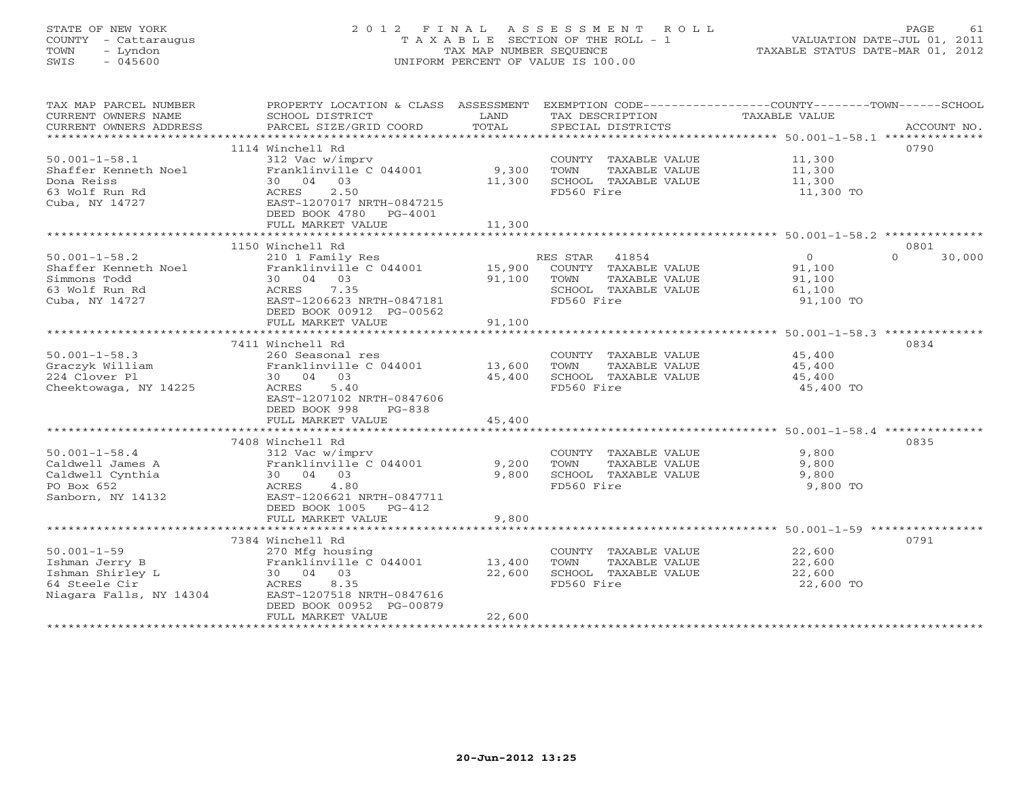# STATE OF NEW YORK 2 0 1 2 F I N A L A S S E S S M E N T R O L L PAGE 61 COUNTY - Cattaraugus T A X A B L E SECTION OF THE ROLL - 1 VALUATION DATE-JUL 01, 2011 TOWN - Lyndon TAX MAP NUMBER SEQUENCE TAXABLE STATUS DATE-MAR 01, 2012 SWIS - 045600 UNIFORM PERCENT OF VALUE IS 100.00UNIFORM PERCENT OF VALUE IS 100.00

| TAX MAP PARCEL NUMBER<br>CURRENT OWNERS NAME<br>CURRENT OWNERS ADDRESS                              | PROPERTY LOCATION & CLASS ASSESSMENT<br>SCHOOL DISTRICT<br>PARCEL SIZE/GRID COORD                                                                                         | LAND<br>TOTAL                                   | EXEMPTION CODE-----------------COUNTY-------TOWN------SCHOOL<br>TAX DESCRIPTION<br>SPECIAL DISTRICTS  | TAXABLE VALUE                                             | ACCOUNT NO.        |
|-----------------------------------------------------------------------------------------------------|---------------------------------------------------------------------------------------------------------------------------------------------------------------------------|-------------------------------------------------|-------------------------------------------------------------------------------------------------------|-----------------------------------------------------------|--------------------|
| $50.001 - 1 - 58.1$<br>Shaffer Kenneth Noel<br>Dona Reiss<br>63 Wolf Run Rd<br>Cuba, NY 14727       | 1114 Winchell Rd<br>312 Vac w/imprv<br>Franklinville C 044001<br>30 04 03<br>2.50<br>ACRES<br>EAST-1207017 NRTH-0847215<br>DEED BOOK 4780<br>PG-4001<br>FULL MARKET VALUE | 9,300<br>11,300<br>11,300                       | COUNTY TAXABLE VALUE<br>TOWN<br>TAXABLE VALUE<br>SCHOOL TAXABLE VALUE<br>FD560 Fire                   | 11,300<br>11,300<br>11,300<br>11,300 TO                   | 0790               |
|                                                                                                     | 1150 Winchell Rd                                                                                                                                                          |                                                 |                                                                                                       |                                                           | 0801               |
| $50.001 - 1 - 58.2$<br>Shaffer Kenneth Noel<br>Simmons Todd<br>63 Wolf Run Rd<br>Cuba, NY 14727     | 210 1 Family Res<br>Franklinville C 044001<br>30 04 03<br>ACRES<br>7.35<br>EAST-1206623 NRTH-0847181<br>DEED BOOK 00912 PG-00562<br>FULL MARKET VALUE                     | 15,900<br>91,100<br>91,100                      | RES STAR 41854<br>COUNTY TAXABLE VALUE<br>TOWN<br>TAXABLE VALUE<br>SCHOOL TAXABLE VALUE<br>FD560 Fire | $\overline{0}$<br>91,100<br>91,100<br>61,100<br>91,100 TO | $\Omega$<br>30,000 |
|                                                                                                     |                                                                                                                                                                           | ***********                                     |                                                                                                       | ******************** 50.001-1-58.3 **************         |                    |
| $50.001 - 1 - 58.3$<br>Graczyk William<br>224 Clover Pl<br>Cheektowaga, NY 14225                    | 7411 Winchell Rd<br>260 Seasonal res<br>Franklinville C 044001<br>30 04 03<br>5.40<br>ACRES<br>EAST-1207102 NRTH-0847606<br>DEED BOOK 998<br>$PG-838$                     | 13,600<br>45,400                                | COUNTY TAXABLE VALUE<br>TOWN<br>TAXABLE VALUE<br>SCHOOL TAXABLE VALUE<br>FD560 Fire                   | 45,400<br>45,400<br>45,400<br>45,400 TO                   | 0834               |
|                                                                                                     | FULL MARKET VALUE                                                                                                                                                         | 45,400                                          |                                                                                                       |                                                           |                    |
| $50.001 - 1 - 58.4$<br>Caldwell James A<br>Caldwell Cynthia<br>PO Box 652<br>Sanborn, NY 14132      | 7408 Winchell Rd<br>312 Vac w/imprv<br>Franklinville C 044001<br>30 04 03<br>4.80<br>ACRES<br>EAST-1206621 NRTH-0847711<br>DEED BOOK 1005 PG-412<br>FULL MARKET VALUE     | 9,200<br>9,800<br>9,800                         | COUNTY TAXABLE VALUE<br>TOWN<br>TAXABLE VALUE<br>SCHOOL TAXABLE VALUE<br>FD560 Fire                   | 9,800<br>9,800<br>9,800<br>9,800 TO                       | 0835               |
|                                                                                                     |                                                                                                                                                                           |                                                 |                                                                                                       |                                                           |                    |
| $50.001 - 1 - 59$<br>Ishman Jerry B<br>Ishman Shirley L<br>64 Steele Cir<br>Niagara Falls, NY 14304 | 7384 Winchell Rd<br>270 Mfg housing<br>Franklinville C 044001<br>30 04 03<br>ACRES<br>8.35<br>EAST-1207518 NRTH-0847616<br>DEED BOOK 00952 PG-00879<br>FULL MARKET VALUE  | 13,400<br>22,600<br>22,600<br>***************** | COUNTY TAXABLE VALUE<br>TOWN<br>TAXABLE VALUE<br>SCHOOL TAXABLE VALUE<br>FD560 Fire                   | 22,600<br>22,600<br>22,600<br>22,600 TO                   | 0791               |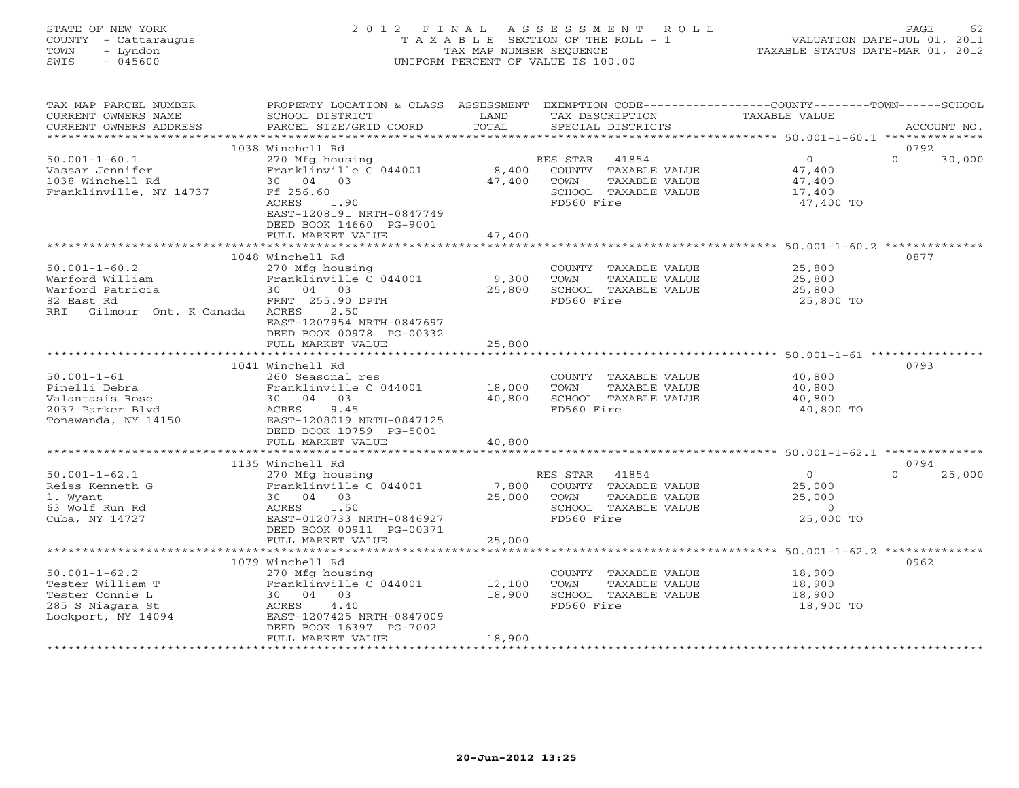STATE OF NEW YORK 2 0 1 2 F I N A L A S S E S S M E N T R O L L PAGE 62 COUNTY - Cattaraugus T A X A B L E SECTION OF THE ROLL - 1 VALUATION DATE-JUL 01, 2011 TOWN - Lyndon TAX MAP NUMBER SEQUENCE TAXABLE STATUS DATE-MAR 01, 2012 SWIS - 045600 UNIFORM PERCENT OF VALUE IS 100.00

| TAX MAP PARCEL NUMBER     | PROPERTY LOCATION & CLASS ASSESSMENT                              |        |                             | EXEMPTION CODE----------------COUNTY-------TOWN------SCHOOL |
|---------------------------|-------------------------------------------------------------------|--------|-----------------------------|-------------------------------------------------------------|
| CURRENT OWNERS NAME       | SCHOOL DISTRICT                                                   | LAND   | TAX DESCRIPTION             | TAXABLE VALUE                                               |
| CURRENT OWNERS ADDRESS    | PARCEL SIZE/GRID COORD                                            | TOTAL  | SPECIAL DISTRICTS           | ACCOUNT NO.                                                 |
|                           |                                                                   |        |                             |                                                             |
|                           | 1038 Winchell Rd                                                  |        |                             | 0792                                                        |
| $50.001 - 1 - 60.1$       | 270 Mfg housing                                                   |        | RES STAR 41854              | $\Omega$<br>$\Omega$<br>30,000                              |
| Vassar Jennifer           | Franklinville C 044001 8,400                                      |        | COUNTY TAXABLE VALUE        | 47,400                                                      |
| 1038 Winchell Rd          | 30 04 03                                                          | 47,400 | TOWN<br>TAXABLE VALUE       | 47,400                                                      |
| Franklinville, NY 14737   | Ff 256.60                                                         |        | SCHOOL TAXABLE VALUE        | 17,400                                                      |
|                           | 1.90<br>ACRES                                                     |        | FD560 Fire                  | 47,400 TO                                                   |
|                           | EAST-1208191 NRTH-0847749                                         |        |                             |                                                             |
|                           | DEED BOOK 14660 PG-9001                                           |        |                             |                                                             |
|                           | FULL MARKET VALUE                                                 | 47,400 |                             |                                                             |
|                           |                                                                   |        |                             |                                                             |
|                           | 1048 Winchell Rd                                                  |        |                             | 0877                                                        |
| $50.001 - 1 - 60.2$       | 270 Mfg housing                                                   |        | COUNTY TAXABLE VALUE 25,800 |                                                             |
| Warford William           | Franklinville C 044001                                            | 9,300  | TOWN<br>TAXABLE VALUE       | 25,800                                                      |
| Warford Patricia          | 30 04 03                                                          | 25,800 | SCHOOL TAXABLE VALUE        | 25,800                                                      |
| 82 East Rd                | FRNT 255.90 DPTH                                                  |        | FD560 Fire                  | 25,800 TO                                                   |
| RRI Gilmour Ont. K Canada | 2.50<br>ACRES                                                     |        |                             |                                                             |
|                           | EAST-1207954 NRTH-0847697                                         |        |                             |                                                             |
|                           | DEED BOOK 00978 PG-00332                                          |        |                             |                                                             |
|                           | FULL MARKET VALUE                                                 |        |                             |                                                             |
|                           |                                                                   | 25,800 |                             |                                                             |
|                           |                                                                   |        |                             |                                                             |
|                           | 1041 Winchell Rd                                                  |        |                             | 0793                                                        |
| $50.001 - 1 - 61$         | 260 Seasonal res                                                  |        | COUNTY TAXABLE VALUE        | 40,800                                                      |
| Pinelli Debra             | Franklinville C 044001<br>Franklinville<br>30 04 03<br>ACRES 9.45 | 18,000 | TOWN<br>TAXABLE VALUE       | 40,800                                                      |
| Valantasis Rose           |                                                                   | 40,800 | SCHOOL TAXABLE VALUE        | 40,800                                                      |
| 2037 Parker Blvd          | 9.45                                                              |        | FD560 Fire                  | 40,800 TO                                                   |
| Tonawanda, NY 14150       | EAST-1208019 NRTH-0847125                                         |        |                             |                                                             |
|                           | DEED BOOK 10759 PG-5001                                           |        |                             |                                                             |
|                           | FULL MARKET VALUE                                                 | 40,800 |                             |                                                             |
|                           |                                                                   |        |                             |                                                             |
|                           | 1135 Winchell Rd                                                  |        |                             | 0794                                                        |
| $50.001 - 1 - 62.1$       | 270 Mfg housing                                                   |        | RES STAR<br>41854           | 25,000<br>$\overline{0}$<br>$\Omega$                        |
| Reiss Kenneth G           | Franklinville C 044001                                            | 7,800  | COUNTY TAXABLE VALUE        | 25,000                                                      |
| 1. Wyant                  | 30 04 03                                                          | 25,000 | TAXABLE VALUE<br>TOWN       | 25,000                                                      |
| 63 Wolf Run Rd            | ACRES<br>1.50                                                     |        | SCHOOL TAXABLE VALUE        | $\overline{0}$                                              |
| Cuba, NY 14727            | EAST-0120733 NRTH-0846927                                         |        | FD560 Fire                  | 25,000 TO                                                   |
|                           | DEED BOOK 00911 PG-00371                                          |        |                             |                                                             |
|                           | FULL MARKET VALUE                                                 | 25,000 |                             |                                                             |
|                           |                                                                   |        |                             |                                                             |
|                           | 1079 Winchell Rd                                                  |        |                             | 0962                                                        |
| $50.001 - 1 - 62.2$       | 270 Mfg housing                                                   |        | COUNTY TAXABLE VALUE        | 18,900                                                      |
| Tester William T          | Franklinville C 044001                                            | 12,100 | TOWN<br>TAXABLE VALUE       | 18,900                                                      |
| Tester Connie L           | 30 04 03                                                          | 18,900 | SCHOOL TAXABLE VALUE        | 18,900                                                      |
| 285 S Niagara St          | ACRES<br>4.40                                                     |        | FD560 Fire                  | 18,900 TO                                                   |
| Lockport, NY 14094        | EAST-1207425 NRTH-0847009                                         |        |                             |                                                             |
|                           | DEED BOOK 16397 PG-7002                                           |        |                             |                                                             |
|                           | FULL MARKET VALUE                                                 | 18,900 |                             |                                                             |
|                           |                                                                   |        |                             |                                                             |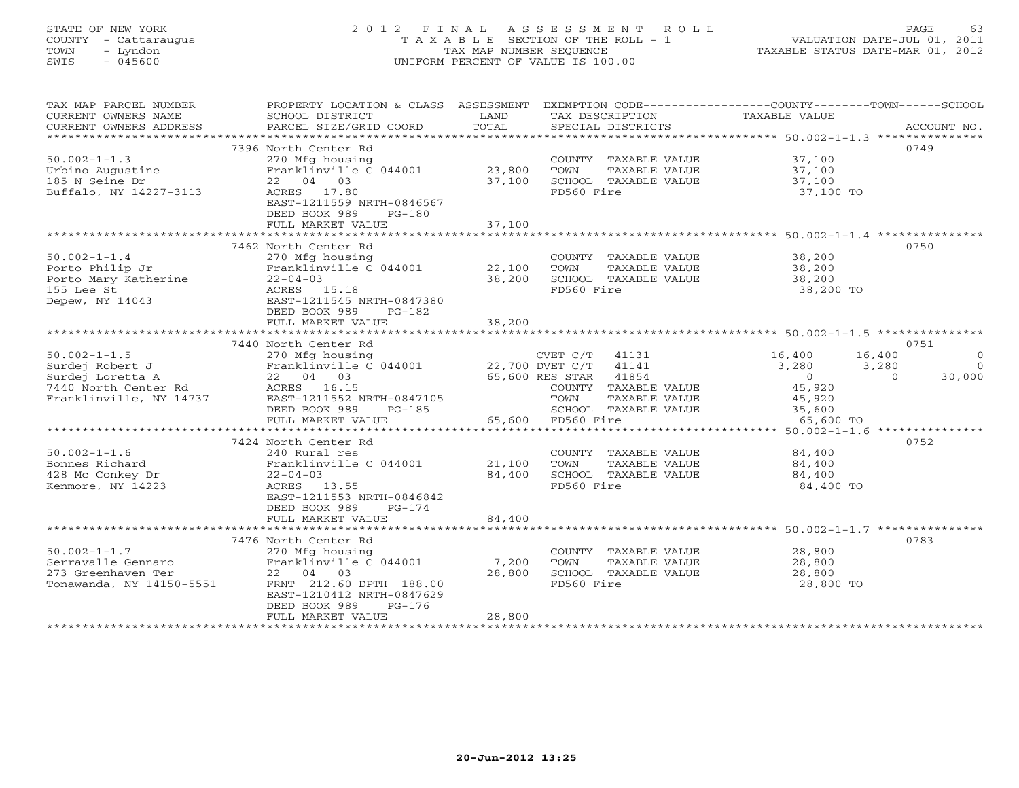# STATE OF NEW YORK 2 0 1 2 F I N A L A S S E S S M E N T R O L L PAGE 63 COUNTY - Cattaraugus T A X A B L E SECTION OF THE ROLL - 1 VALUATION DATE-JUL 01, 2011 TOWN - Lyndon TAX MAP NUMBER SEQUENCE TAXABLE STATUS DATE-MAR 01, 2012 SWIS - 045600 UNIFORM PERCENT OF VALUE IS 100.00UNIFORM PERCENT OF VALUE IS 100.00

| TAX MAP PARCEL NUMBER<br>CURRENT OWNERS NAME<br>CURRENT OWNERS ADDRESS<br>***********************            | PROPERTY LOCATION & CLASS ASSESSMENT<br>SCHOOL DISTRICT<br>PARCEL SIZE/GRID COORD                                                                                                       | LAND<br>TOTAL              | TAX DESCRIPTION<br>SPECIAL DISTRICTS                                                                 | EXEMPTION CODE-----------------COUNTY-------TOWN------SCHOOL<br>TAXABLE VALUE        | ACCOUNT NO.                    |
|--------------------------------------------------------------------------------------------------------------|-----------------------------------------------------------------------------------------------------------------------------------------------------------------------------------------|----------------------------|------------------------------------------------------------------------------------------------------|--------------------------------------------------------------------------------------|--------------------------------|
| $50.002 - 1 - 1.3$<br>Urbino Augustine<br>185 N Seine Dr<br>Buffalo, NY 14227-3113                           | 7396 North Center Rd<br>270 Mfg housing<br>Franklinville C 044001<br>22 04 03<br>ACRES 17.80<br>EAST-1211559 NRTH-0846567<br>DEED BOOK 989<br>$PG-180$<br>FULL MARKET VALUE             | 23,800<br>37,100<br>37,100 | COUNTY TAXABLE VALUE<br>TOWN<br>TAXABLE VALUE<br>SCHOOL TAXABLE VALUE<br>FD560 Fire                  | 37,100<br>37,100<br>37,100<br>37,100 TO                                              | 0749                           |
|                                                                                                              | 7462 North Center Rd                                                                                                                                                                    |                            |                                                                                                      |                                                                                      | 0750                           |
| $50.002 - 1 - 1.4$<br>Porto Philip Jr<br>Porto Mary Katherine<br>155 Lee St<br>Depew, NY 14043               | 270 Mfg housing<br>Franklinville C 044001 22,100<br>$22 - 04 - 03$<br>ACRES 15.18<br>EAST-1211545 NRTH-0847380<br>DEED BOOK 989<br>$PG-182$                                             | 38,200                     | COUNTY TAXABLE VALUE<br>TOWN<br>TAXABLE VALUE<br>SCHOOL TAXABLE VALUE<br>FD560 Fire                  | 38,200<br>38,200<br>38,200<br>38,200 TO                                              |                                |
|                                                                                                              | FULL MARKET VALUE                                                                                                                                                                       | 38,200                     |                                                                                                      |                                                                                      |                                |
|                                                                                                              | 7440 North Center Rd                                                                                                                                                                    |                            |                                                                                                      |                                                                                      | 0751                           |
| $50.002 - 1 - 1.5$<br>Surdej Robert J<br>Surdej Loretta A<br>7440 North Center Rd<br>Franklinville, NY 14737 | 270 Mfg housing<br>Franklinville C $044001$ 22,700 DVET C/T<br>22 04 03<br>ACRES 16.15<br>EAST-1211552 NRTH-0847105                                                                     |                            | CVET C/T 41131<br>41141<br>41854<br>65,600 RES STAR<br>COUNTY TAXABLE VALUE<br>TOWN<br>TAXABLE VALUE | 16,400<br>16,400<br>3,280<br>3,280<br>$\overline{0}$<br>$\Omega$<br>45,920<br>45,920 | $\Omega$<br>$\Omega$<br>30,000 |
|                                                                                                              | DEED BOOK 989<br>$PG-185$<br>FULL MARKET VALUE                                                                                                                                          |                            | SCHOOL TAXABLE VALUE<br>65,600 FD560 Fire                                                            | 35,600<br>65,600 TO                                                                  |                                |
|                                                                                                              | ***************************                                                                                                                                                             |                            |                                                                                                      |                                                                                      |                                |
| $50.002 - 1 - 1.6$<br>Bonnes Richard<br>428 Mc Conkey Dr<br>Kenmore, NY 14223                                | 7424 North Center Rd<br>240 Rural res<br>Franklinville C 044001<br>$22 - 04 - 03$<br>ACRES 13.55<br>EAST-1211553 NRTH-0846842<br>DEED BOOK 989<br>$PG-174$                              | 21,100<br>84,400           | COUNTY TAXABLE VALUE<br>TOWN<br>TAXABLE VALUE<br>SCHOOL TAXABLE VALUE<br>FD560 Fire                  | 84,400<br>84,400<br>84,400<br>84,400 TO                                              | 0752                           |
|                                                                                                              | FULL MARKET VALUE                                                                                                                                                                       | 84,400                     |                                                                                                      |                                                                                      |                                |
| $50.002 - 1 - 1.7$<br>Serravalle Gennaro<br>273 Greenhaven Ter<br>Tonawanda, NY 14150-5551                   | 7476 North Center Rd<br>270 Mfg housing<br>Franklinville C 044001<br>22 04 03<br>FRNT 212.60 DPTH 188.00<br>EAST-1210412 NRTH-0847629<br>DEED BOOK 989<br>$PG-176$<br>FULL MARKET VALUE | 7,200<br>28,800<br>28,800  | COUNTY TAXABLE VALUE<br>TOWN<br>TAXABLE VALUE<br>SCHOOL TAXABLE VALUE<br>FD560 Fire                  | 28,800<br>28,800<br>28,800<br>28,800 TO                                              | 0783                           |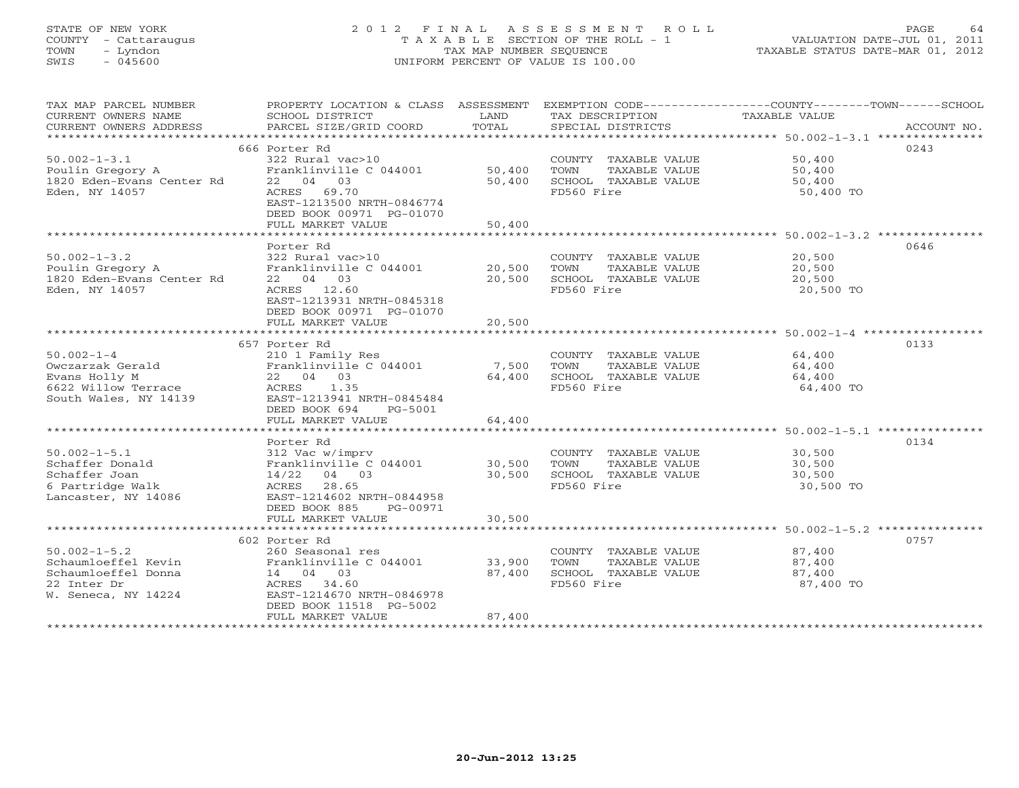# STATE OF NEW YORK 2 0 1 2 F I N A L A S S E S S M E N T R O L L PAGE 64 COUNTY - Cattaraugus T A X A B L E SECTION OF THE ROLL - 1 VALUATION DATE-JUL 01, 2011 TOWN - Lyndon TAX MAP NUMBER SEQUENCE TAXABLE STATUS DATE-MAR 01, 2012 SWIS - 045600 UNIFORM PERCENT OF VALUE IS 100.00UNIFORM PERCENT OF VALUE IS 100.00

| TAX MAP PARCEL NUMBER<br>CURRENT OWNERS NAME<br>CURRENT OWNERS ADDRESS                                 | PROPERTY LOCATION & CLASS ASSESSMENT<br>SCHOOL DISTRICT<br>PARCEL SIZE/GRID COORD                                                                                    | LAND<br>TOTAL              | TAX DESCRIPTION<br>SPECIAL DISTRICTS                                                | EXEMPTION CODE-----------------COUNTY-------TOWN------SCHOOL<br>TAXABLE VALUE<br>ACCOUNT NO. |
|--------------------------------------------------------------------------------------------------------|----------------------------------------------------------------------------------------------------------------------------------------------------------------------|----------------------------|-------------------------------------------------------------------------------------|----------------------------------------------------------------------------------------------|
| $50.002 - 1 - 3.1$<br>Poulin Gregory A<br>1820 Eden-Evans Center Rd<br>Eden, NY 14057                  | 666 Porter Rd<br>322 Rural vac>10<br>Franklinville C 044001<br>22 04 03<br>ACRES 69.70<br>EAST-1213500 NRTH-0846774<br>DEED BOOK 00971 PG-01070<br>FULL MARKET VALUE | 50,400<br>50,400<br>50,400 | COUNTY TAXABLE VALUE<br>TOWN<br>TAXABLE VALUE<br>SCHOOL TAXABLE VALUE<br>FD560 Fire | 0243<br>50,400<br>50,400<br>50,400<br>50,400 TO                                              |
|                                                                                                        | Porter Rd                                                                                                                                                            |                            |                                                                                     | 0646                                                                                         |
| $50.002 - 1 - 3.2$<br>Poulin Gregory A<br>1820 Eden-Evans Center Rd<br>Eden, NY 14057                  | 322 Rural vac>10<br>Franklinville C 044001<br>22 04 03<br>ACRES 12.60<br>EAST-1213931 NRTH-0845318<br>DEED BOOK 00971 PG-01070                                       | 20,500<br>20,500           | COUNTY TAXABLE VALUE<br>TOWN<br>TAXABLE VALUE<br>SCHOOL TAXABLE VALUE<br>FD560 Fire | 20,500<br>20,500<br>20,500<br>20,500 TO                                                      |
|                                                                                                        | FULL MARKET VALUE                                                                                                                                                    | 20,500                     |                                                                                     |                                                                                              |
|                                                                                                        | 657 Porter Rd                                                                                                                                                        |                            |                                                                                     | 0133                                                                                         |
| $50.002 - 1 - 4$<br>Owczarzak Gerald<br>Evans Holly M<br>6622 Willow Terrace<br>South Wales, NY 14139  | 210 1 Family Res<br>Franklinville C 044001<br>22 04 03<br>ACRES<br>1.35<br>EAST-1213941 NRTH-0845484<br>DEED BOOK 694<br>PG-5001                                     | 7,500<br>64,400            | COUNTY TAXABLE VALUE<br>TOWN<br>TAXABLE VALUE<br>SCHOOL TAXABLE VALUE<br>FD560 Fire | 64,400<br>64,400<br>64,400<br>64,400 TO                                                      |
|                                                                                                        | FULL MARKET VALUE                                                                                                                                                    | 64,400                     |                                                                                     |                                                                                              |
| $50.002 - 1 - 5.1$<br>Schaffer Donald<br>Schaffer Joan<br>6 Partridge Walk<br>Lancaster, NY 14086      | Porter Rd<br>312 Vac w/imprv<br>Franklinville C 044001<br>14/22<br>04 03<br>28.65<br>ACRES<br>EAST-1214602 NRTH-0844958                                              | 30,500<br>30,500           | COUNTY TAXABLE VALUE<br>TOWN<br>TAXABLE VALUE<br>SCHOOL TAXABLE VALUE<br>FD560 Fire | 0134<br>30,500<br>30,500<br>30,500<br>30,500 TO                                              |
|                                                                                                        | DEED BOOK 885<br>PG-00971                                                                                                                                            |                            |                                                                                     |                                                                                              |
|                                                                                                        | FULL MARKET VALUE                                                                                                                                                    | 30,500                     |                                                                                     |                                                                                              |
| $50.002 - 1 - 5.2$<br>Schaumloeffel Kevin<br>Schaumloeffel Donna<br>22 Inter Dr<br>W. Seneca, NY 14224 | 602 Porter Rd<br>260 Seasonal res<br>Franklinville C 044001<br>14 04 03<br>ACRES 34.60<br>EAST-1214670 NRTH-0846978<br>DEED BOOK 11518 PG-5002                       | 33,900<br>87,400           | COUNTY TAXABLE VALUE<br>TOWN<br>TAXABLE VALUE<br>SCHOOL TAXABLE VALUE<br>FD560 Fire | 0757<br>87,400<br>87,400<br>87,400<br>87,400 TO                                              |
|                                                                                                        | FULL MARKET VALUE                                                                                                                                                    | 87,400                     |                                                                                     |                                                                                              |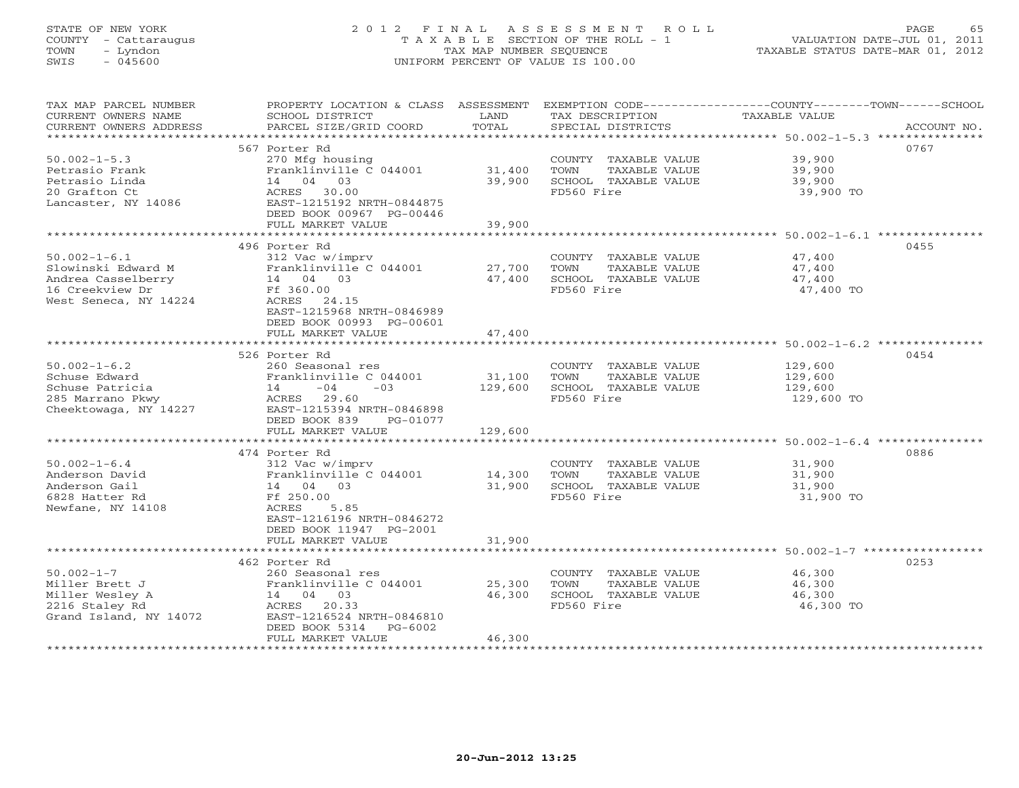# STATE OF NEW YORK 2 0 1 2 F I N A L A S S E S S M E N T R O L L PAGE 65 COUNTY - Cattaraugus T A X A B L E SECTION OF THE ROLL - 1 VALUATION DATE-JUL 01, 2011 TOWN - Lyndon TAX MAP NUMBER SEQUENCE TAXABLE STATUS DATE-MAR 01, 2012 SWIS - 045600 UNIFORM PERCENT OF VALUE IS 100.00UNIFORM PERCENT OF VALUE IS 100.00

| TAX MAP PARCEL NUMBER<br>CURRENT OWNERS NAME<br>CURRENT OWNERS ADDRESS                                     | PROPERTY LOCATION & CLASS ASSESSMENT<br>SCHOOL DISTRICT<br>PARCEL SIZE/GRID COORD                                                                                              | LAND<br>TOTAL                | TAX DESCRIPTION<br>SPECIAL DISTRICTS                                                | EXEMPTION CODE-----------------COUNTY-------TOWN------SCHOOL<br>TAXABLE VALUE<br>ACCOUNT NO. |
|------------------------------------------------------------------------------------------------------------|--------------------------------------------------------------------------------------------------------------------------------------------------------------------------------|------------------------------|-------------------------------------------------------------------------------------|----------------------------------------------------------------------------------------------|
| ***********************                                                                                    |                                                                                                                                                                                |                              |                                                                                     |                                                                                              |
|                                                                                                            | 567 Porter Rd                                                                                                                                                                  |                              |                                                                                     | 0767                                                                                         |
| $50.002 - 1 - 5.3$<br>Petrasio Frank<br>Petrasio Linda<br>20 Grafton Ct                                    | 270 Mfg housing<br>Franklinville C 044001<br>14 04 03<br>ACRES 30.00                                                                                                           | 31,400<br>39,900             | COUNTY TAXABLE VALUE<br>TOWN<br>TAXABLE VALUE<br>SCHOOL TAXABLE VALUE<br>FD560 Fire | 39,900<br>39,900<br>39,900<br>39,900 TO                                                      |
| Lancaster, NY 14086                                                                                        | EAST-1215192 NRTH-0844875<br>DEED BOOK 00967 PG-00446<br>FULL MARKET VALUE                                                                                                     | 39,900                       |                                                                                     |                                                                                              |
|                                                                                                            |                                                                                                                                                                                |                              |                                                                                     |                                                                                              |
|                                                                                                            | 496 Porter Rd                                                                                                                                                                  |                              |                                                                                     | 0455                                                                                         |
| $50.002 - 1 - 6.1$<br>Slowinski Edward M<br>Andrea Casselberry<br>16 Creekview Dr<br>West Seneca, NY 14224 | 312 Vac w/imprv<br>Franklinville C 044001<br>14 04 03<br>Ff 360.00<br>ACRES 24.15<br>EAST-1215968 NRTH-0846989                                                                 | 27,700<br>47,400             | COUNTY TAXABLE VALUE<br>TOWN<br>TAXABLE VALUE<br>SCHOOL TAXABLE VALUE<br>FD560 Fire | 47,400<br>47,400<br>47,400<br>47,400 TO                                                      |
|                                                                                                            | DEED BOOK 00993 PG-00601<br>FULL MARKET VALUE<br>**********************                                                                                                        | 47,400<br>*********          |                                                                                     |                                                                                              |
|                                                                                                            |                                                                                                                                                                                |                              |                                                                                     | ************************* 50.002-1-6.2 ***************                                       |
| $50.002 - 1 - 6.2$<br>Schuse Edward<br>Schuse Patricia<br>285 Marrano Pkwy<br>Cheektowaga, NY 14227        | 526 Porter Rd<br>260 Seasonal res<br>Franklinville C 044001<br>$14 -04$<br>$-03$<br>ACRES 29.60<br>EAST-1215394 NRTH-0846898<br>DEED BOOK 839<br>PG-01077<br>FULL MARKET VALUE | 31,100<br>129,600<br>129,600 | COUNTY TAXABLE VALUE<br>TOWN<br>TAXABLE VALUE<br>SCHOOL TAXABLE VALUE<br>FD560 Fire | 0454<br>129,600<br>129,600<br>129,600<br>129,600 TO                                          |
|                                                                                                            | ***************************                                                                                                                                                    |                              |                                                                                     |                                                                                              |
| $50.002 - 1 - 6.4$<br>Anderson David<br>Anderson Gail<br>6828 Hatter Rd<br>Newfane, NY 14108               | 474 Porter Rd<br>312 Vac w/imprv<br>Franklinville C 044001<br>14 04 03<br>Ff 250.00<br>ACRES<br>5.85<br>EAST-1216196 NRTH-0846272<br>DEED BOOK 11947 PG-2001                   | 14,300<br>31,900             | COUNTY TAXABLE VALUE<br>TOWN<br>TAXABLE VALUE<br>SCHOOL TAXABLE VALUE<br>FD560 Fire | 0886<br>31,900<br>31,900<br>31,900<br>31,900 TO                                              |
|                                                                                                            | FULL MARKET VALUE                                                                                                                                                              | 31,900                       |                                                                                     |                                                                                              |
|                                                                                                            |                                                                                                                                                                                |                              |                                                                                     |                                                                                              |
|                                                                                                            | 462 Porter Rd                                                                                                                                                                  |                              |                                                                                     | 0253                                                                                         |
| $50.002 - 1 - 7$<br>Miller Brett J<br>Miller Wesley A<br>2216 Staley Rd<br>Grand Island, NY 14072          | 260 Seasonal res<br>Franklinville C 044001<br>14 04 03<br>ACRES 20.33<br>EAST-1216524 NRTH-0846810<br>DEED BOOK 5314<br>PG-6002<br>FULL MARKET VALUE                           | 25,300<br>46,300<br>46,300   | COUNTY TAXABLE VALUE<br>TOWN<br>TAXABLE VALUE<br>SCHOOL TAXABLE VALUE<br>FD560 Fire | 46,300<br>46,300<br>46,300<br>46,300 TO                                                      |
|                                                                                                            |                                                                                                                                                                                |                              |                                                                                     |                                                                                              |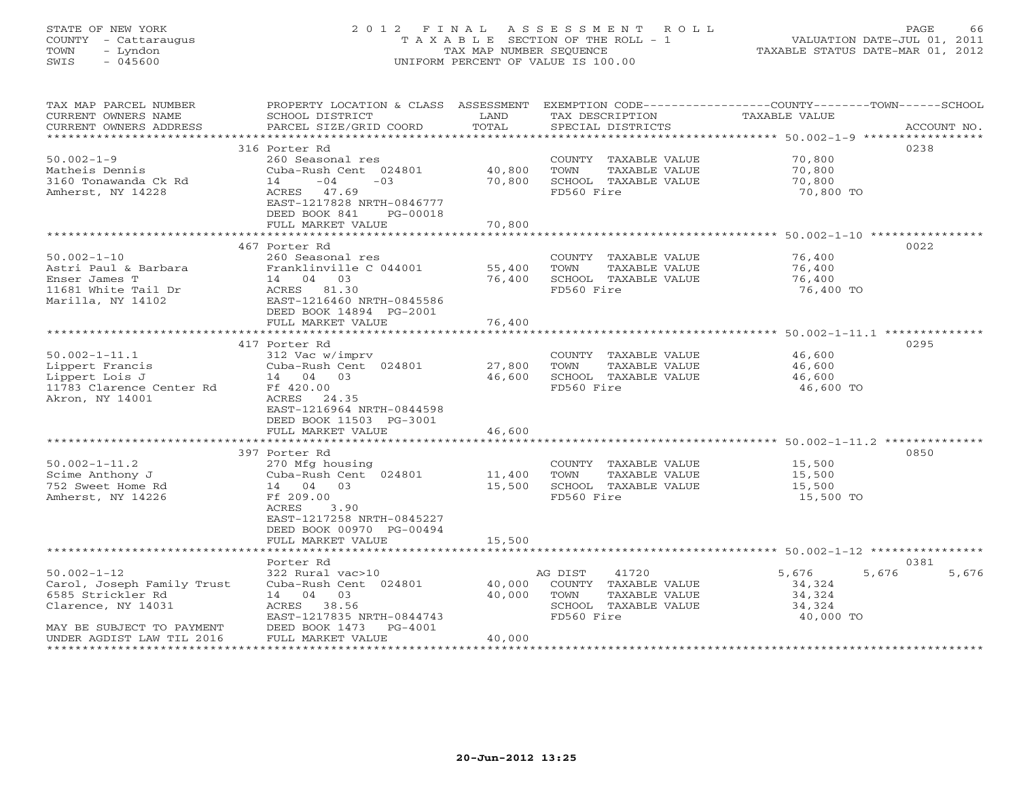# STATE OF NEW YORK 2 0 1 2 F I N A L A S S E S S M E N T R O L L PAGE 66 COUNTY - Cattaraugus T A X A B L E SECTION OF THE ROLL - 1 VALUATION DATE-JUL 01, 2011 TOWN - Lyndon TAX MAP NUMBER SEQUENCE TAXABLE STATUS DATE-MAR 01, 2012 SWIS - 045600 UNIFORM PERCENT OF VALUE IS 100.00UNIFORM PERCENT OF VALUE IS 100.00

| TAX MAP PARCEL NUMBER<br>CURRENT OWNERS NAME<br>CURRENT OWNERS ADDRESS | PROPERTY LOCATION & CLASS ASSESSMENT<br>SCHOOL DISTRICT<br>PARCEL SIZE/GRID COORD | LAND<br>TOTAL  | TAX DESCRIPTION<br>SPECIAL DISTRICTS          | EXEMPTION CODE-----------------COUNTY-------TOWN------SCHOOL<br>TAXABLE VALUE | ACCOUNT NO. |
|------------------------------------------------------------------------|-----------------------------------------------------------------------------------|----------------|-----------------------------------------------|-------------------------------------------------------------------------------|-------------|
| **************************                                             |                                                                                   |                |                                               |                                                                               |             |
|                                                                        | 316 Porter Rd                                                                     |                |                                               |                                                                               | 0238        |
| $50.002 - 1 - 9$                                                       | 260 Seasonal res                                                                  |                | COUNTY TAXABLE VALUE                          | 70,800                                                                        |             |
| Matheis Dennis                                                         | Cuba-Rush Cent 024801                                                             | 40,800         | TOWN<br>TAXABLE VALUE                         | 70,800                                                                        |             |
| 3160 Tonawanda Ck Rd                                                   | $-04$<br>$-03$<br>14                                                              | 70,800         | SCHOOL TAXABLE VALUE                          | 70,800                                                                        |             |
| Amherst, NY 14228                                                      | 47.69<br>ACRES                                                                    |                | FD560 Fire                                    | 70,800 TO                                                                     |             |
|                                                                        | EAST-1217828 NRTH-0846777                                                         |                |                                               |                                                                               |             |
|                                                                        | DEED BOOK 841<br>PG-00018<br>FULL MARKET VALUE                                    | 70,800         |                                               |                                                                               |             |
|                                                                        |                                                                                   | ************** |                                               |                                                                               |             |
|                                                                        | 467 Porter Rd                                                                     |                |                                               |                                                                               | 0022        |
| $50.002 - 1 - 10$                                                      | 260 Seasonal res                                                                  |                | COUNTY TAXABLE VALUE                          | 76,400                                                                        |             |
| Astri Paul & Barbara                                                   | Franklinville C 044001                                                            | 55,400         | TOWN<br>TAXABLE VALUE                         | 76,400                                                                        |             |
| Enser James T                                                          | 14 04 03                                                                          | 76,400         | SCHOOL TAXABLE VALUE                          | 76,400                                                                        |             |
| 11681 White Tail Dr                                                    | ACRES 81.30                                                                       |                | FD560 Fire                                    | 76,400 TO                                                                     |             |
| Marilla, NY 14102                                                      | EAST-1216460 NRTH-0845586                                                         |                |                                               |                                                                               |             |
|                                                                        | DEED BOOK 14894 PG-2001                                                           |                |                                               |                                                                               |             |
|                                                                        | FULL MARKET VALUE                                                                 | 76,400         |                                               |                                                                               |             |
|                                                                        |                                                                                   |                |                                               |                                                                               |             |
|                                                                        | 417 Porter Rd                                                                     |                |                                               |                                                                               | 0295        |
| $50.002 - 1 - 11.1$                                                    | 312 Vac w/imprv<br>Cuba-Rush Cent 024801                                          | 27,800         | COUNTY TAXABLE VALUE<br>TAXABLE VALUE<br>TOWN | 46,600<br>46,600                                                              |             |
| Lippert Francis<br>Lippert Lois J                                      | 14  04  03                                                                        | 46,600         | SCHOOL TAXABLE VALUE                          | 46,600                                                                        |             |
| 11783 Clarence Center Rd                                               | Ff 420.00                                                                         |                | FD560 Fire                                    | 46,600 TO                                                                     |             |
| Akron, NY 14001                                                        | ACRES 24.35                                                                       |                |                                               |                                                                               |             |
|                                                                        | EAST-1216964 NRTH-0844598                                                         |                |                                               |                                                                               |             |
|                                                                        | DEED BOOK 11503 PG-3001                                                           |                |                                               |                                                                               |             |
|                                                                        | FULL MARKET VALUE                                                                 | 46,600         |                                               |                                                                               |             |
|                                                                        |                                                                                   |                |                                               |                                                                               |             |
|                                                                        | 397 Porter Rd                                                                     |                |                                               |                                                                               | 0850        |
| $50.002 - 1 - 11.2$                                                    | 270 Mfg housing                                                                   |                | COUNTY TAXABLE VALUE                          | 15,500                                                                        |             |
| Scime Anthony J                                                        | Cuba-Rush Cent 024801                                                             | 11,400         | TAXABLE VALUE<br>TOWN                         | 15,500                                                                        |             |
| 752 Sweet Home Rd                                                      | 14 04 03                                                                          | 15,500         | SCHOOL TAXABLE VALUE                          | 15,500                                                                        |             |
| Amherst, NY 14226                                                      | Ff 209.00<br>3.90<br>ACRES                                                        |                | FD560 Fire                                    | 15,500 TO                                                                     |             |
|                                                                        | EAST-1217258 NRTH-0845227                                                         |                |                                               |                                                                               |             |
|                                                                        | DEED BOOK 00970 PG-00494                                                          |                |                                               |                                                                               |             |
|                                                                        | FULL MARKET VALUE                                                                 | 15,500         |                                               |                                                                               |             |
|                                                                        | * * * * * * * * * * * * * * * * * * *                                             |                |                                               | ****************************** 50.002-1-12 **************                     |             |
|                                                                        | Porter Rd                                                                         |                |                                               |                                                                               | 0381        |
| $50.002 - 1 - 12$                                                      | 322 Rural vac>10                                                                  |                | AG DIST<br>41720                              | 5,676<br>5,676                                                                | 5,676       |
| Carol, Joseph Family Trust                                             | Cuba-Rush Cent 024801                                                             | 40,000         | COUNTY TAXABLE VALUE                          | 34,324                                                                        |             |
| 6585 Strickler Rd                                                      | 14 04 03                                                                          | 40,000         | TOWN<br>TAXABLE VALUE                         | 34,324                                                                        |             |
| Clarence, NY 14031                                                     | ACRES 38.56                                                                       |                | SCHOOL TAXABLE VALUE                          | 34,324                                                                        |             |
|                                                                        | EAST-1217835 NRTH-0844743                                                         |                | FD560 Fire                                    | 40,000 TO                                                                     |             |
| MAY BE SUBJECT TO PAYMENT<br>UNDER AGDIST LAW TIL 2016                 | DEED BOOK 1473<br>PG-4001<br>FULL MARKET VALUE                                    | 40,000         |                                               |                                                                               |             |
|                                                                        |                                                                                   |                |                                               |                                                                               |             |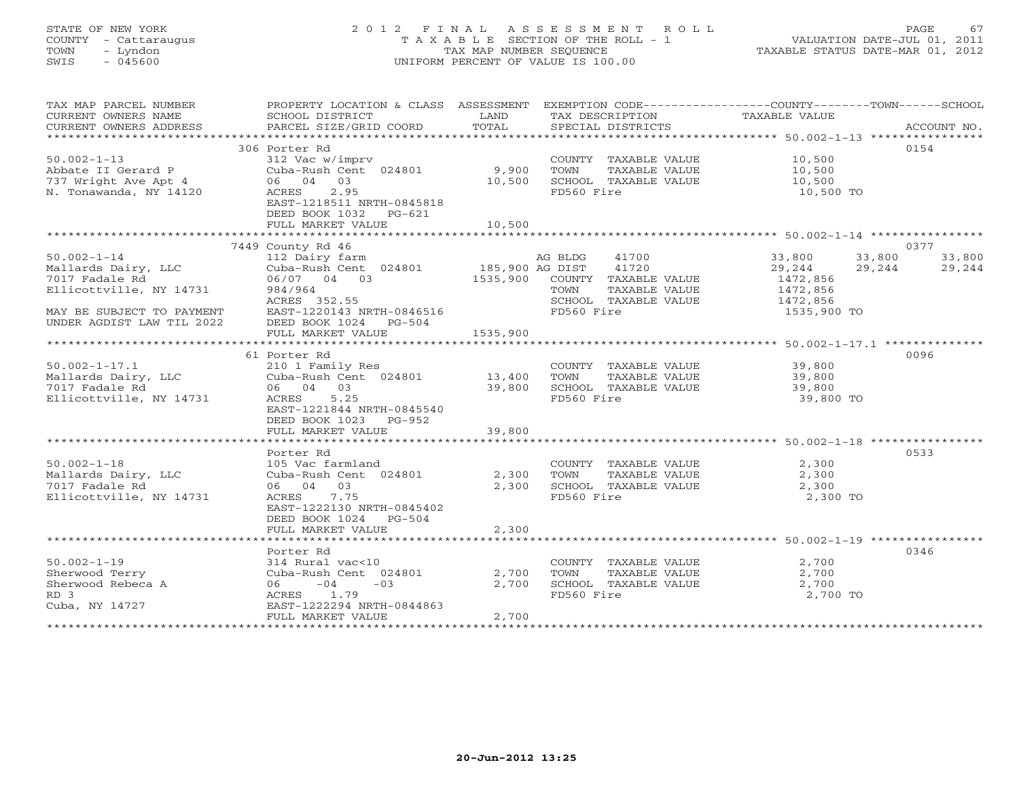# STATE OF NEW YORK 2 0 1 2 F I N A L A S S E S S M E N T R O L L PAGE 67 COUNTY - Cattaraugus T A X A B L E SECTION OF THE ROLL - 1 VALUATION DATE-JUL 01, 2011 TOWN - Lyndon TAX MAP NUMBER SEQUENCE TAXABLE STATUS DATE-MAR 01, 2012 SWIS - 045600 UNIFORM PERCENT OF VALUE IS 100.00UNIFORM PERCENT OF VALUE IS 100.00

| TAX MAP PARCEL NUMBER<br>CURRENT OWNERS NAME<br>CURRENT OWNERS ADDRESS | PROPERTY LOCATION & CLASS ASSESSMENT EXEMPTION CODE---------------COUNTY-------TOWN------SCHOOL<br>SCHOOL DISTRICT<br>PARCEL SIZE/GRID COORD | LAND<br>TOTAL        | SPECIAL DISTRICTS                  | TAX DESCRIPTION TAXABLE VALUE                                                                                                    | ACCOUNT NO.      |
|------------------------------------------------------------------------|----------------------------------------------------------------------------------------------------------------------------------------------|----------------------|------------------------------------|----------------------------------------------------------------------------------------------------------------------------------|------------------|
|                                                                        |                                                                                                                                              |                      |                                    |                                                                                                                                  |                  |
|                                                                        | 306 Porter Rd                                                                                                                                |                      |                                    |                                                                                                                                  | 0154             |
| $50.002 - 1 - 13$                                                      | 312 Vac w/imprv                                                                                                                              |                      |                                    |                                                                                                                                  |                  |
| Abbate II Gerard P                                                     | Cuba-Rush Cent $024801$ 9,900                                                                                                                |                      |                                    |                                                                                                                                  |                  |
|                                                                        |                                                                                                                                              | 10,500               |                                    | COUNTY TAXABLE VALUE $10,500$<br>TOWN TAXABLE VALUE $10,500$<br>SCHOOL TAXABLE VALUE $10,500$<br>THE COLL TAXABLE VALUE $10,500$ |                  |
| 737 Wright Ave Apt 4 06 04 03<br>N. Tonawanda, NY 14120 ACRES 2.95     | ACRES 2.95                                                                                                                                   |                      | FD560 Fire                         |                                                                                                                                  |                  |
|                                                                        |                                                                                                                                              |                      |                                    | 10,500 TO                                                                                                                        |                  |
|                                                                        | EAST-1218511 NRTH-0845818                                                                                                                    |                      |                                    |                                                                                                                                  |                  |
|                                                                        | DEED BOOK 1032 PG-621                                                                                                                        |                      |                                    |                                                                                                                                  |                  |
|                                                                        | FULL MARKET VALUE                                                                                                                            | 10,500               |                                    |                                                                                                                                  |                  |
|                                                                        |                                                                                                                                              |                      |                                    |                                                                                                                                  |                  |
|                                                                        | 7449 County Rd 46                                                                                                                            |                      |                                    |                                                                                                                                  | 0377             |
| $50.002 - 1 - 14$                                                      | 112 Dairy farm                                                                                                                               |                      | AG BLDG 41700                      | 33,800                                                                                                                           | 33,800<br>33,800 |
| Mallards Dairy, LLC<br>7017 Fadale Rd                                  | Cuba-Rush Cent 024801 185,900 AG DIST                                                                                                        |                      | 41720                              | 29,244                                                                                                                           | 29,244<br>29,244 |
|                                                                        | 06/07 04 03 1535,900 COUNTY TAXABLE VALUE                                                                                                    |                      |                                    | 1472,856                                                                                                                         |                  |
| Ellicottville, NY 14731 984/964                                        |                                                                                                                                              |                      |                                    | 1472,856                                                                                                                         |                  |
|                                                                        | 984/964<br>ACRES 352.55                                                                                                                      |                      | TOWN<br>TAXABLE VALUE              |                                                                                                                                  |                  |
|                                                                        |                                                                                                                                              |                      | SCHOOL TAXABLE VALUE               | 1472,856                                                                                                                         |                  |
| MAY BE SUBJECT TO PAYMENT EAST-1220143 NRTH-0846516                    |                                                                                                                                              |                      | FD560 Fire                         | 1535,900 TO                                                                                                                      |                  |
| UNDER AGDIST LAW TIL 2022                                              | DEED BOOK 1024 PG-504                                                                                                                        |                      |                                    |                                                                                                                                  |                  |
|                                                                        | FULL MARKET VALUE                                                                                                                            | 1535,900             |                                    |                                                                                                                                  |                  |
|                                                                        |                                                                                                                                              |                      |                                    |                                                                                                                                  |                  |
|                                                                        | 61 Porter Rd                                                                                                                                 |                      |                                    |                                                                                                                                  | 0096             |
| $50.002 - 1 - 17.1$                                                    |                                                                                                                                              |                      |                                    |                                                                                                                                  |                  |
| Mallards Dairy, LLC                                                    | 210 1 Family Res<br>Cuba-Rush Cent 024801 13,400                                                                                             |                      |                                    | COUNTY TAXABLE VALUE 39,800<br>TOWN TAXABLE VALUE 39,800                                                                         |                  |
| 7017 Fadale Rd                                                         | 06 04 03                                                                                                                                     | $\frac{1}{39}$ , 800 | SCHOOL TAXABLE VALUE               |                                                                                                                                  |                  |
|                                                                        |                                                                                                                                              |                      |                                    | 39,800<br>39,800 TO                                                                                                              |                  |
| Ellicottville, NY 14731                                                | 5.25<br>ACRES                                                                                                                                |                      | FD560 Fire                         |                                                                                                                                  |                  |
|                                                                        | EAST-1221844 NRTH-0845540                                                                                                                    |                      |                                    |                                                                                                                                  |                  |
|                                                                        | DEED BOOK 1023 PG-952                                                                                                                        |                      |                                    |                                                                                                                                  |                  |
|                                                                        | FULL MARKET VALUE                                                                                                                            | 39,800               |                                    |                                                                                                                                  |                  |
|                                                                        |                                                                                                                                              |                      |                                    |                                                                                                                                  |                  |
|                                                                        | Porter Rd                                                                                                                                    |                      |                                    |                                                                                                                                  | 0533             |
| $50.002 - 1 - 18$                                                      | 105 Vac farmland                                                                                                                             |                      | COUNTY TAXABLE VALUE               | 2,300                                                                                                                            |                  |
| Mallards Dairy, LLC                                                    | Cuba-Rush Cent 024801                                                                                                                        | 2,300                | TOWN                               | TAXABLE VALUE 2,300                                                                                                              |                  |
| 7017 Fadale Rd                                                         | 06 04 03                                                                                                                                     | 2,300                |                                    | 2,300                                                                                                                            |                  |
| Ellicottville, NY 14731                                                | ACRES<br>7.75                                                                                                                                |                      | SCHOOL TAXABLE VALUE<br>FD560 Fire | 2,300 TO                                                                                                                         |                  |
|                                                                        | EAST-1222130 NRTH-0845402                                                                                                                    |                      |                                    |                                                                                                                                  |                  |
|                                                                        | DEED BOOK 1024 PG-504                                                                                                                        |                      |                                    |                                                                                                                                  |                  |
|                                                                        |                                                                                                                                              |                      |                                    |                                                                                                                                  |                  |
|                                                                        | FULL MARKET VALUE                                                                                                                            | 2,300                |                                    |                                                                                                                                  |                  |
|                                                                        |                                                                                                                                              |                      |                                    |                                                                                                                                  |                  |
|                                                                        | Porter Rd                                                                                                                                    |                      |                                    |                                                                                                                                  | 0346             |
| $50.002 - 1 - 19$                                                      | 314 Rural vac<10                                                                                                                             |                      | COUNTY TAXABLE VALUE               | 2,700                                                                                                                            |                  |
| Sorros<br>Sherwood Terry<br>Sherwood Rebeca A                          | Cuba-Rush Cent 024801                                                                                                                        | 2,700                |                                    |                                                                                                                                  |                  |
|                                                                        | $06 -04$<br>$-03$                                                                                                                            | 2,700                |                                    |                                                                                                                                  |                  |
| RD 3                                                                   | ACRES 1.79                                                                                                                                   |                      | FD560 Fire                         | 2,700 TO                                                                                                                         |                  |
| Cuba, NY 14727                                                         | EAST-1222294 NRTH-0844863                                                                                                                    |                      |                                    |                                                                                                                                  |                  |
|                                                                        | FULL MARKET VALUE                                                                                                                            | 2,700                |                                    |                                                                                                                                  |                  |
|                                                                        |                                                                                                                                              |                      |                                    |                                                                                                                                  |                  |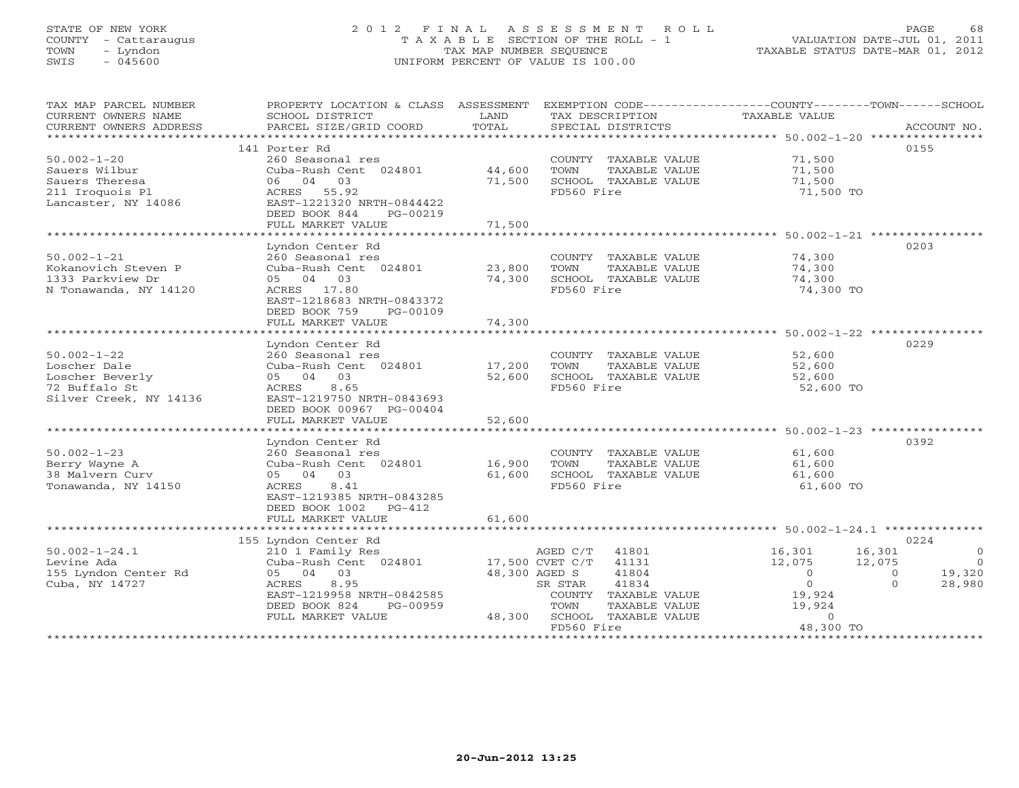# STATE OF NEW YORK 2 0 1 2 F I N A L A S S E S S M E N T R O L L PAGE 68 COUNTY - Cattaraugus T A X A B L E SECTION OF THE ROLL - 1 VALUATION DATE-JUL 01, 2011 TOWN - Lyndon TAX MAP NUMBER SEQUENCE TAXABLE STATUS DATE-MAR 01, 2012 SWIS - 045600 UNIFORM PERCENT OF VALUE IS 100.00

| TAX MAP PARCEL NUMBER<br>CURRENT OWNERS NAME<br>CURRENT OWNERS ADDRESS<br>****************** | PROPERTY LOCATION & CLASS ASSESSMENT<br>SCHOOL DISTRICT<br>PARCEL SIZE/GRID COORD | LAND<br>TOTAL<br>************ | EXEMPTION CODE-----------------COUNTY-------TOWN------SCHOOL<br>TAX DESCRIPTION<br>SPECIAL DISTRICTS | TAXABLE VALUE                                          | ACCOUNT NO.                          |
|----------------------------------------------------------------------------------------------|-----------------------------------------------------------------------------------|-------------------------------|------------------------------------------------------------------------------------------------------|--------------------------------------------------------|--------------------------------------|
|                                                                                              |                                                                                   |                               |                                                                                                      | ***************** 50.002-1-20 *****************        | 0155                                 |
| $50.002 - 1 - 20$                                                                            | 141 Porter Rd<br>260 Seasonal res                                                 |                               | COUNTY TAXABLE VALUE                                                                                 | 71,500                                                 |                                      |
| Sauers Wilbur                                                                                | Cuba-Rush Cent 024801                                                             | 44,600                        | TOWN<br>TAXABLE VALUE                                                                                | 71,500                                                 |                                      |
| Sauers Theresa                                                                               | 03<br>06 04                                                                       | 71,500                        | SCHOOL TAXABLE VALUE                                                                                 | 71,500                                                 |                                      |
| 211 Iroquois Pl                                                                              | ACRES<br>55.92                                                                    |                               | FD560 Fire                                                                                           | 71,500 TO                                              |                                      |
| Lancaster, NY 14086                                                                          | EAST-1221320 NRTH-0844422                                                         |                               |                                                                                                      |                                                        |                                      |
|                                                                                              | DEED BOOK 844<br>PG-00219                                                         |                               |                                                                                                      |                                                        |                                      |
|                                                                                              | FULL MARKET VALUE                                                                 | 71,500                        |                                                                                                      |                                                        |                                      |
|                                                                                              | **************************                                                        | ***********                   |                                                                                                      | ***************************** 50.002-1-21 ************ |                                      |
|                                                                                              | Lyndon Center Rd                                                                  |                               |                                                                                                      |                                                        | 0203                                 |
| $50.002 - 1 - 21$                                                                            | 260 Seasonal res                                                                  |                               | COUNTY TAXABLE VALUE                                                                                 | 74,300                                                 |                                      |
| Kokanovich Steven P                                                                          | Cuba-Rush Cent 024801                                                             | 23,800                        | TOWN<br>TAXABLE VALUE                                                                                | 74,300                                                 |                                      |
| 1333 Parkview Dr                                                                             | 05 04 03<br>ACRES 17.80                                                           | 74,300                        | SCHOOL TAXABLE VALUE<br>FD560 Fire                                                                   | 74,300                                                 |                                      |
| N Tonawanda, NY 14120                                                                        | EAST-1218683 NRTH-0843372                                                         |                               |                                                                                                      | 74,300 TO                                              |                                      |
|                                                                                              | DEED BOOK 759<br>PG-00109                                                         |                               |                                                                                                      |                                                        |                                      |
|                                                                                              | FULL MARKET VALUE                                                                 | 74,300                        |                                                                                                      |                                                        |                                      |
|                                                                                              |                                                                                   |                               |                                                                                                      |                                                        |                                      |
|                                                                                              | Lyndon Center Rd                                                                  |                               |                                                                                                      |                                                        | 0229                                 |
| $50.002 - 1 - 22$                                                                            | 260 Seasonal res                                                                  |                               | COUNTY TAXABLE VALUE                                                                                 | 52,600                                                 |                                      |
| Loscher Dale                                                                                 | Cuba-Rush Cent 024801                                                             | 17,200                        | TOWN<br>TAXABLE VALUE                                                                                | 52,600                                                 |                                      |
| Loscher Beverly                                                                              | 05 04<br>03                                                                       | 52,600                        | SCHOOL TAXABLE VALUE                                                                                 | 52,600                                                 |                                      |
| 72 Buffalo St                                                                                | ACRES<br>8.65                                                                     |                               | FD560 Fire                                                                                           | 52,600 TO                                              |                                      |
| Silver Creek, NY 14136                                                                       | EAST-1219750 NRTH-0843693                                                         |                               |                                                                                                      |                                                        |                                      |
|                                                                                              | DEED BOOK 00967 PG-00404<br>FULL MARKET VALUE                                     | 52,600                        |                                                                                                      |                                                        |                                      |
|                                                                                              | *******************                                                               |                               |                                                                                                      | ************************ 50.002-1-23 ***************** |                                      |
|                                                                                              | Lyndon Center Rd                                                                  |                               |                                                                                                      |                                                        | 0392                                 |
| $50.002 - 1 - 23$                                                                            | 260 Seasonal res                                                                  |                               | COUNTY TAXABLE VALUE                                                                                 | 61,600                                                 |                                      |
| Berry Wayne A                                                                                | Cuba-Rush Cent 024801                                                             | 16,900                        | TOWN<br>TAXABLE VALUE                                                                                | 61,600                                                 |                                      |
| 38 Malvern Curv                                                                              | 05 04 03                                                                          | 61,600                        | SCHOOL TAXABLE VALUE                                                                                 | 61,600                                                 |                                      |
| Tonawanda, NY 14150                                                                          | 8.41<br>ACRES                                                                     |                               | FD560 Fire                                                                                           | 61,600 TO                                              |                                      |
|                                                                                              | EAST-1219385 NRTH-0843285                                                         |                               |                                                                                                      |                                                        |                                      |
|                                                                                              | DEED BOOK 1002<br>$PG-412$                                                        |                               |                                                                                                      |                                                        |                                      |
|                                                                                              | FULL MARKET VALUE                                                                 | 61,600                        |                                                                                                      |                                                        |                                      |
|                                                                                              |                                                                                   |                               |                                                                                                      |                                                        |                                      |
|                                                                                              | 155 Lyndon Center Rd                                                              |                               |                                                                                                      |                                                        | 0224                                 |
| $50.002 - 1 - 24.1$                                                                          | 210 1 Family Res                                                                  |                               | AGED C/T<br>41801                                                                                    | 16,301                                                 | 16,301<br>$\overline{0}$<br>$\Omega$ |
| Levine Ada<br>155 Lyndon Center Rd                                                           | Cuba-Rush Cent 024801<br>03<br>05 04                                              | 48,300 AGED S                 | 17,500 CVET C/T<br>41131<br>41804                                                                    | 12,075<br>$\circ$                                      | 12,075<br>19,320<br>$\circ$          |
| Cuba, NY 14727                                                                               | 8.95<br>ACRES                                                                     |                               | 41834<br>SR STAR                                                                                     | $\overline{0}$                                         | 28,980<br>$\Omega$                   |
|                                                                                              | EAST-1219958 NRTH-0842585                                                         |                               | COUNTY TAXABLE VALUE                                                                                 | 19,924                                                 |                                      |
|                                                                                              | DEED BOOK 824<br>PG-00959                                                         |                               | TOWN<br>TAXABLE VALUE                                                                                | 19,924                                                 |                                      |
|                                                                                              | FULL MARKET VALUE                                                                 | 48,300                        | SCHOOL TAXABLE VALUE                                                                                 | $\Omega$                                               |                                      |
|                                                                                              |                                                                                   |                               | FD560 Fire                                                                                           | 48,300 TO                                              |                                      |
|                                                                                              |                                                                                   |                               |                                                                                                      |                                                        |                                      |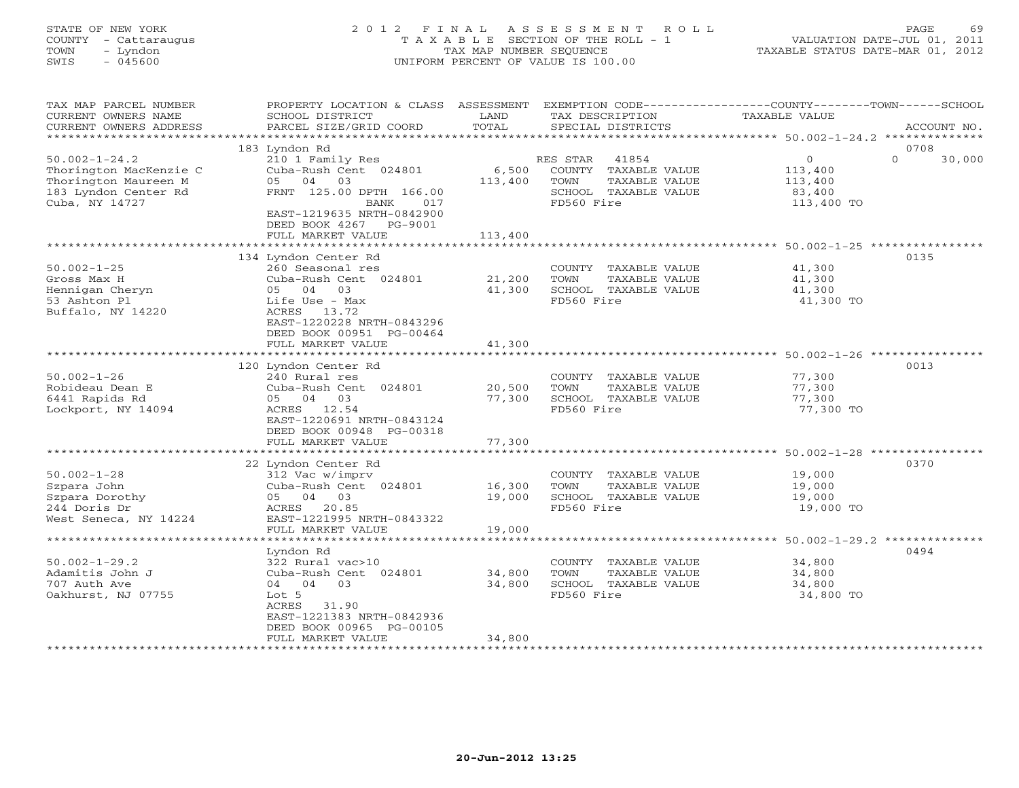# STATE OF NEW YORK 2 0 1 2 F I N A L A S S E S S M E N T R O L L PAGE 69 COUNTY - Cattaraugus T A X A B L E SECTION OF THE ROLL - 1 VALUATION DATE-JUL 01, 2011 TOWN - Lyndon TAX MAP NUMBER SEQUENCE TAXABLE STATUS DATE-MAR 01, 2012 SWIS - 045600 UNIFORM PERCENT OF VALUE IS 100.00

| TAX MAP PARCEL NUMBER<br>CURRENT OWNERS NAME<br>CURRENT OWNERS ADDRESS                                          | PROPERTY LOCATION & CLASS ASSESSMENT<br>SCHOOL DISTRICT<br>PARCEL SIZE/GRID COORD                                                                      | LAND<br>TOTAL    | TAX DESCRIPTION<br>SPECIAL DISTRICTS                                                                     | EXEMPTION CODE----------------COUNTY-------TOWN-----SCHOOL<br>TAXABLE VALUE | ACCOUNT NO. |
|-----------------------------------------------------------------------------------------------------------------|--------------------------------------------------------------------------------------------------------------------------------------------------------|------------------|----------------------------------------------------------------------------------------------------------|-----------------------------------------------------------------------------|-------------|
| *************************                                                                                       |                                                                                                                                                        |                  |                                                                                                          |                                                                             |             |
|                                                                                                                 | 183 Lyndon Rd                                                                                                                                          |                  |                                                                                                          |                                                                             | 0708        |
| $50.002 - 1 - 24.2$<br>Thorington MacKenzie C<br>Thorington Maureen M<br>183 Lyndon Center Rd<br>Cuba, NY 14727 | 210 1 Family Res<br>Cuba-Rush Cent 024801<br>05 04 03<br>FRNT 125.00 DPTH 166.00<br>BANK<br>017<br>EAST-1219635 NRTH-0842900<br>DEED BOOK 4267 PG-9001 | 6,500<br>113,400 | RES STAR<br>41854<br>COUNTY TAXABLE VALUE<br>TAXABLE VALUE<br>TOWN<br>SCHOOL TAXABLE VALUE<br>FD560 Fire | $\Omega$<br>$\circ$<br>113,400<br>113,400<br>83,400<br>113,400 TO           | 30,000      |
|                                                                                                                 | FULL MARKET VALUE                                                                                                                                      | 113,400          |                                                                                                          |                                                                             |             |
|                                                                                                                 |                                                                                                                                                        |                  |                                                                                                          |                                                                             |             |
| $50.002 - 1 - 25$<br>Gross Max H<br>Hennigan Cheryn<br>53 Ashton Pl<br>Buffalo, NY 14220                        | 134 Lyndon Center Rd<br>260 Seasonal res<br>Cuba-Rush Cent 024801<br>05 04 03<br>Life Use - Max<br>ACRES 13.72<br>EAST-1220228 NRTH-0843296            | 21,200<br>41,300 | COUNTY TAXABLE VALUE<br>TOWN<br>TAXABLE VALUE<br>SCHOOL TAXABLE VALUE<br>FD560 Fire                      | 41,300<br>41,300<br>41,300<br>41,300 TO                                     | 0135        |
|                                                                                                                 | DEED BOOK 00951 PG-00464<br>FULL MARKET VALUE                                                                                                          | 41,300           |                                                                                                          |                                                                             |             |
|                                                                                                                 | 120 Lyndon Center Rd                                                                                                                                   |                  |                                                                                                          |                                                                             | 0013        |
| $50.002 - 1 - 26$<br>Robideau Dean E<br>6441 Rapids Rd<br>Lockport, NY 14094                                    | 240 Rural res<br>Cuba-Rush Cent 024801<br>05 04 03<br>ACRES 12.54<br>EAST-1220691 NRTH-0843124<br>DEED BOOK 00948 PG-00318                             | 20,500<br>77,300 | COUNTY TAXABLE VALUE<br>TAXABLE VALUE<br>TOWN<br>SCHOOL TAXABLE VALUE<br>FD560 Fire                      | 77,300<br>77,300<br>77,300<br>77,300 TO                                     |             |
|                                                                                                                 | FULL MARKET VALUE                                                                                                                                      | 77,300           |                                                                                                          |                                                                             |             |
| $50.002 - 1 - 28$<br>Szpara John<br>Szpara Dorothy<br>244 Doris Dr                                              | 22 Lyndon Center Rd<br>312 Vac w/imprv<br>Cuba-Rush Cent 024801<br>05 04 03<br>20.85<br>ACRES                                                          | 16,300<br>19,000 | COUNTY TAXABLE VALUE<br>TOWN<br>TAXABLE VALUE<br>SCHOOL TAXABLE VALUE<br>FD560 Fire                      | 19,000<br>19,000<br>19,000<br>19,000 TO                                     | 0370        |
| West Seneca, NY 14224                                                                                           | EAST-1221995 NRTH-0843322<br>FULL MARKET VALUE                                                                                                         | 19,000           |                                                                                                          |                                                                             |             |
|                                                                                                                 |                                                                                                                                                        |                  |                                                                                                          |                                                                             |             |
|                                                                                                                 | Lyndon Rd                                                                                                                                              |                  |                                                                                                          |                                                                             | 0494        |
| $50.002 - 1 - 29.2$<br>Adamitis John J<br>707 Auth Ave<br>Oakhurst, NJ 07755                                    | 322 Rural vac>10<br>Cuba-Rush Cent 024801<br>03<br>04 04<br>Lot 5<br>ACRES<br>31.90<br>EAST-1221383 NRTH-0842936<br>DEED BOOK 00965 PG-00105           | 34,800<br>34,800 | COUNTY TAXABLE VALUE<br>TOWN<br>TAXABLE VALUE<br>SCHOOL TAXABLE VALUE<br>FD560 Fire                      | 34,800<br>34,800<br>34,800<br>34,800 TO                                     |             |
|                                                                                                                 | FULL MARKET VALUE                                                                                                                                      | 34,800           | *******************************                                                                          |                                                                             |             |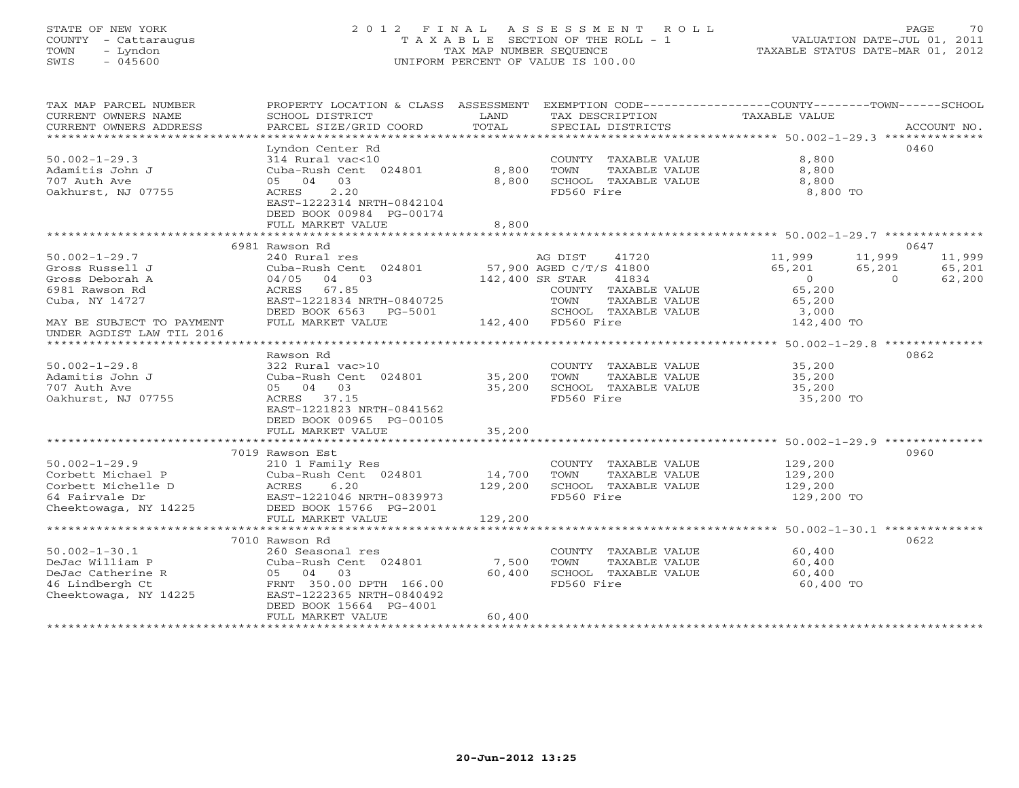# STATE OF NEW YORK 2 0 1 2 F I N A L A S S E S S M E N T R O L L PAGE 70 COUNTY - Cattaraugus T A X A B L E SECTION OF THE ROLL - 1 VALUATION DATE-JUL 01, 2011 TOWN - Lyndon TAX MAP NUMBER SEQUENCE TAXABLE STATUS DATE-MAR 01, 2012 SWIS - 045600 UNIFORM PERCENT OF VALUE IS 100.00

| TAX MAP PARCEL NUMBER<br>CURRENT OWNERS NAME<br>CURRENT OWNERS ADDRESS | PROPERTY LOCATION & CLASS ASSESSMENT<br>SCHOOL DISTRICT<br>PARCEL SIZE/GRID COORD | LAND<br>TOTAL   | EXEMPTION CODE-----------------COUNTY-------TOWN------SCHOOL<br>TAX DESCRIPTION<br>SPECIAL DISTRICTS | TAXABLE VALUE                             | ACCOUNT NO.                |
|------------------------------------------------------------------------|-----------------------------------------------------------------------------------|-----------------|------------------------------------------------------------------------------------------------------|-------------------------------------------|----------------------------|
| ************************                                               |                                                                                   |                 |                                                                                                      |                                           |                            |
| $50.002 - 1 - 29.3$                                                    | Lyndon Center Rd<br>314 Rural vac<10                                              |                 | COUNTY TAXABLE VALUE                                                                                 | 8,800                                     | 0460                       |
| Adamitis John J<br>707 Auth Ave                                        | Cuba-Rush Cent 024801<br>05 04 03                                                 | 8,800<br>8,800  | TOWN<br>TAXABLE VALUE<br>SCHOOL TAXABLE VALUE                                                        | 8,800<br>8,800                            |                            |
| Oakhurst, NJ 07755                                                     | 2.20<br>ACRES<br>EAST-1222314 NRTH-0842104<br>DEED BOOK 00984 PG-00174            |                 | FD560 Fire                                                                                           | 8,800 TO                                  |                            |
|                                                                        | FULL MARKET VALUE                                                                 | 8,800           |                                                                                                      |                                           |                            |
|                                                                        |                                                                                   |                 |                                                                                                      |                                           |                            |
| $50.002 - 1 - 29.7$                                                    | 6981 Rawson Rd                                                                    |                 |                                                                                                      |                                           | 0647<br>11,999             |
| Gross Russell J                                                        | 240 Rural res<br>Cuba-Rush Cent 024801                                            |                 | AG DIST<br>41720<br>57,900 AGED C/T/S 41800                                                          | 11,999<br>65,201                          | 11,999<br>65,201<br>65,201 |
| Gross Deborah A                                                        | 04/05 04 03                                                                       | 142,400 SR STAR | 41834                                                                                                | $\begin{array}{c} 5,201 \\ 0 \end{array}$ | $\overline{0}$<br>62,200   |
| 6981 Rawson Rd                                                         | ACRES 67.85                                                                       |                 | COUNTY TAXABLE VALUE                                                                                 | 65,200                                    |                            |
| Cuba, NY 14727                                                         | EAST-1221834 NRTH-0840725                                                         |                 | TOWN<br>TAXABLE VALUE                                                                                | 65,200                                    |                            |
|                                                                        | DEED BOOK 6563 PG-5001                                                            |                 | SCHOOL TAXABLE VALUE                                                                                 |                                           |                            |
| MAY BE SUBJECT TO PAYMENT                                              | FULL MARKET VALUE                                                                 |                 | $-5001$ SCHOOD TAX<br>142,400 FD560 Fire                                                             | 3,000<br>142,400 TO                       |                            |
| UNDER AGDIST LAW TIL 2016                                              |                                                                                   |                 |                                                                                                      |                                           |                            |
|                                                                        | Rawson Rd                                                                         |                 |                                                                                                      |                                           | 0862                       |
| $50.002 - 1 - 29.8$                                                    | 322 Rural vac>10                                                                  |                 | COUNTY TAXABLE VALUE                                                                                 | 35,200                                    |                            |
| Adamitis John J                                                        | Cuba-Rush Cent 024801 35,200                                                      |                 | TOWN<br>TAXABLE VALUE                                                                                | 35,200                                    |                            |
| 707 Auth Ave                                                           | 05 04 03                                                                          | 35,200          | SCHOOL TAXABLE VALUE                                                                                 | 35,200                                    |                            |
| Oakhurst, NJ 07755                                                     | ACRES 37.15                                                                       |                 | FD560 Fire                                                                                           | 35,200 TO                                 |                            |
|                                                                        | EAST-1221823 NRTH-0841562<br>DEED BOOK 00965 PG-00105                             |                 |                                                                                                      |                                           |                            |
|                                                                        | FULL MARKET VALUE                                                                 | 35,200          |                                                                                                      |                                           |                            |
|                                                                        |                                                                                   |                 |                                                                                                      |                                           |                            |
|                                                                        | 7019 Rawson Est                                                                   |                 |                                                                                                      |                                           | 0960                       |
| $50.002 - 1 - 29.9$                                                    | 210 1 Family Res                                                                  |                 | COUNTY TAXABLE VALUE                                                                                 | 129,200                                   |                            |
| Corbett Michael P                                                      | Cuba-Rush Cent 024801                                                             | 14,700          | TOWN<br>TAXABLE VALUE                                                                                | 129,200                                   |                            |
| Corbett Michelle D                                                     | 6.20<br>ACRES                                                                     | 129,200         | SCHOOL TAXABLE VALUE                                                                                 | 129,200                                   |                            |
| 64 Fairvale Dr                                                         | EAST-1221046 NRTH-0839973                                                         |                 | FD560 Fire                                                                                           | 129,200 TO                                |                            |
| Cheektowaga, NY 14225                                                  | DEED BOOK 15766 PG-2001                                                           |                 |                                                                                                      |                                           |                            |
|                                                                        | FULL MARKET VALUE                                                                 | 129,200         |                                                                                                      |                                           |                            |
|                                                                        |                                                                                   |                 |                                                                                                      |                                           |                            |
|                                                                        | 7010 Rawson Rd                                                                    |                 |                                                                                                      |                                           | 0622                       |
| $50.002 - 1 - 30.1$                                                    | 260 Seasonal res                                                                  |                 | COUNTY TAXABLE VALUE                                                                                 | 60,400                                    |                            |
| DeJac William P                                                        | Cuba-Rush Cent 024801                                                             | 7,500           | TOWN<br>TAXABLE VALUE                                                                                | 60,400                                    |                            |
| DeJac Catherine R                                                      | 05 04 03                                                                          | 60,400          | SCHOOL TAXABLE VALUE                                                                                 | 60,400                                    |                            |
| 46 Lindbergh Ct                                                        | FRNT 350.00 DPTH 166.00                                                           |                 | FD560 Fire                                                                                           | 60,400 TO                                 |                            |
| Cheektowaga, NY 14225                                                  | EAST-1222365 NRTH-0840492                                                         |                 |                                                                                                      |                                           |                            |
|                                                                        | DEED BOOK 15664 PG-4001                                                           |                 |                                                                                                      |                                           |                            |
|                                                                        | FULL MARKET VALUE                                                                 | 60,400          |                                                                                                      |                                           |                            |
|                                                                        |                                                                                   |                 |                                                                                                      |                                           |                            |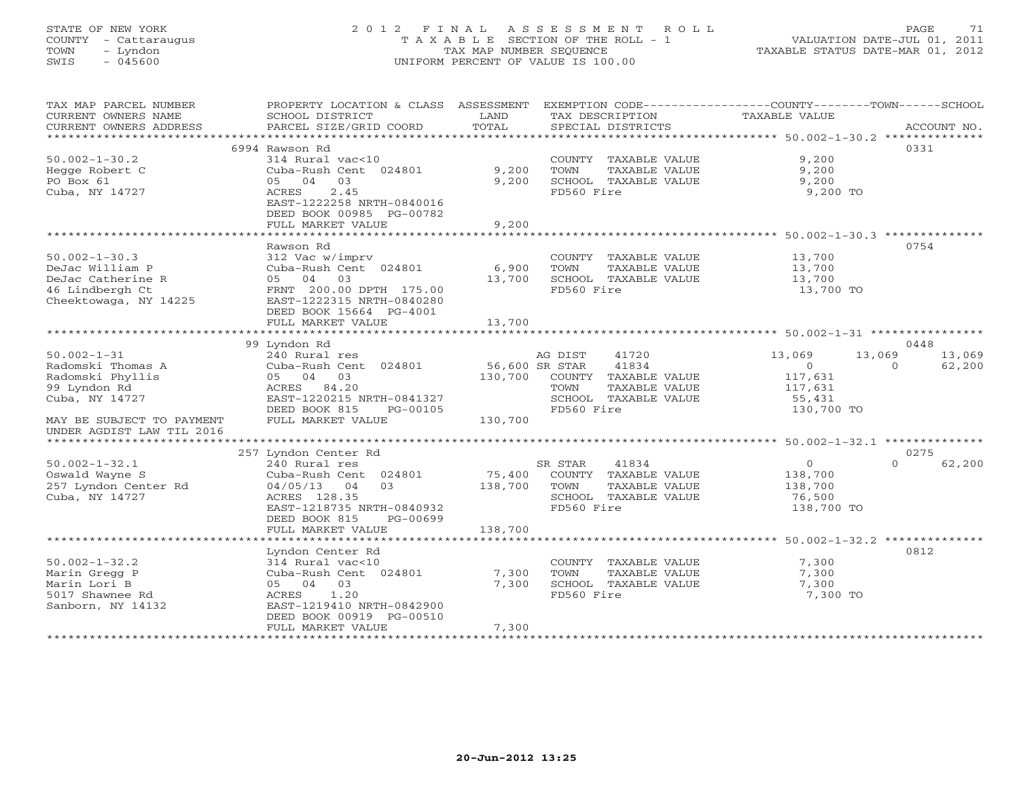# STATE OF NEW YORK 2 0 1 2 F I N A L A S S E S S M E N T R O L L PAGE 71 COUNTY - Cattaraugus T A X A B L E SECTION OF THE ROLL - 1 VALUATION DATE-JUL 01, 2011 TOWN - Lyndon TAX MAP NUMBER SEQUENCE TAXABLE STATUS DATE-MAR 01, 2012 SWIS - 045600 UNIFORM PERCENT OF VALUE IS 100.00UNIFORM PERCENT OF VALUE IS 100.00

| TAX MAP PARCEL NUMBER<br>CURRENT OWNERS NAME | PROPERTY LOCATION & CLASS ASSESSMENT<br>SCHOOL DISTRICT | LAND           | TAX DESCRIPTION                               | EXEMPTION CODE-----------------COUNTY-------TOWN------SCHOOL<br><b>TAXABLE VALUE</b> |        |
|----------------------------------------------|---------------------------------------------------------|----------------|-----------------------------------------------|--------------------------------------------------------------------------------------|--------|
| CURRENT OWNERS ADDRESS                       | PARCEL SIZE/GRID COORD                                  | TOTAL          | SPECIAL DISTRICTS                             | ACCOUNT NO.                                                                          |        |
|                                              |                                                         |                |                                               |                                                                                      |        |
|                                              | 6994 Rawson Rd                                          |                |                                               | 0331                                                                                 |        |
| $50.002 - 1 - 30.2$                          | 314 Rural vac<10                                        |                | COUNTY TAXABLE VALUE                          | 9,200                                                                                |        |
| Hegge Robert C                               | Cuba-Rush Cent 024801                                   | 9,200          | TOWN<br>TAXABLE VALUE                         | 9,200                                                                                |        |
| PO Box 61                                    | 03<br>05 04                                             | 9,200          | SCHOOL TAXABLE VALUE                          | 9,200                                                                                |        |
| Cuba, NY 14727                               | 2.45<br>ACRES                                           |                | FD560 Fire                                    | 9,200 TO                                                                             |        |
|                                              | EAST-1222258 NRTH-0840016                               |                |                                               |                                                                                      |        |
|                                              | DEED BOOK 00985 PG-00782                                |                |                                               |                                                                                      |        |
|                                              | FULL MARKET VALUE                                       | 9,200          |                                               |                                                                                      |        |
|                                              |                                                         |                |                                               |                                                                                      |        |
|                                              | Rawson Rd                                               |                |                                               | 0754                                                                                 |        |
| $50.002 - 1 - 30.3$                          | 312 Vac w/imprv                                         |                | COUNTY TAXABLE VALUE                          | 13,700                                                                               |        |
| DeJac William P                              | Cuba-Rush Cent 024801                                   | 6,900          | TOWN<br>TAXABLE VALUE                         | 13,700                                                                               |        |
| DeJac Catherine R                            | 05 04<br>03                                             | 13,700         | SCHOOL TAXABLE VALUE                          | 13,700                                                                               |        |
| 46 Lindbergh Ct                              | FRNT 200.00 DPTH 175.00                                 |                | FD560 Fire                                    | 13,700 TO                                                                            |        |
| Cheektowaga, NY 14225                        | EAST-1222315 NRTH-0840280                               |                |                                               |                                                                                      |        |
|                                              | DEED BOOK 15664 PG-4001                                 |                |                                               |                                                                                      |        |
|                                              | FULL MARKET VALUE                                       | 13,700         |                                               |                                                                                      |        |
|                                              |                                                         |                |                                               |                                                                                      |        |
|                                              | 99 Lyndon Rd                                            |                |                                               | 0448<br>13,069                                                                       |        |
| $50.002 - 1 - 31$                            | 240 Rural res                                           |                | 41720<br>AG DIST                              | 13,069<br>13,069<br>$\Omega$                                                         |        |
| Radomski Thomas A                            | Cuba-Rush Cent 024801                                   | 56,600 SR STAR | 41834                                         | 62,200<br>$\Omega$                                                                   |        |
| Radomski Phyllis                             | 05 04 03                                                | 130,700        | COUNTY TAXABLE VALUE                          | 117,631                                                                              |        |
| 99 Lyndon Rd                                 | ACRES 84.20<br>EAST-1220215 NRTH-0841327                |                | TOWN<br>TAXABLE VALUE<br>SCHOOL TAXABLE VALUE | 117,631                                                                              |        |
| Cuba, NY 14727                               | DEED BOOK 815<br>PG-00105                               |                | FD560 Fire                                    | 55,431<br>130,700 TO                                                                 |        |
| MAY BE SUBJECT TO PAYMENT                    | FULL MARKET VALUE                                       | 130,700        |                                               |                                                                                      |        |
| UNDER AGDIST LAW TIL 2016                    |                                                         |                |                                               |                                                                                      |        |
|                                              |                                                         |                |                                               |                                                                                      |        |
|                                              | 257 Lyndon Center Rd                                    |                |                                               | 0275                                                                                 |        |
| $50.002 - 1 - 32.1$                          | 240 Rural res                                           |                | 41834<br>SR STAR                              | $0 \qquad \qquad$<br>$\Omega$                                                        | 62,200 |
| Oswald Wayne S                               | Cuba-Rush Cent 024801                                   | 75,400         | COUNTY TAXABLE VALUE                          | 138,700                                                                              |        |
| 257 Lyndon Center Rd                         | 0.3<br>04/05/13<br>04                                   | 138,700        | TAXABLE VALUE<br>TOWN                         | 138,700                                                                              |        |
| Cuba, NY 14727                               | ACRES 128.35                                            |                | SCHOOL TAXABLE VALUE                          | 76,500                                                                               |        |
|                                              | EAST-1218735 NRTH-0840932                               |                | FD560 Fire                                    | 138,700 TO                                                                           |        |
|                                              | DEED BOOK 815<br>PG-00699                               |                |                                               |                                                                                      |        |
|                                              | FULL MARKET VALUE                                       | 138,700        |                                               |                                                                                      |        |
|                                              |                                                         |                |                                               |                                                                                      |        |
|                                              | Lyndon Center Rd                                        |                |                                               | 0812                                                                                 |        |
| $50.002 - 1 - 32.2$                          | 314 Rural vac<10                                        |                | COUNTY TAXABLE VALUE                          | 7,300                                                                                |        |
| Marin Gregg P                                | Cuba-Rush Cent 024801                                   | 7,300          | TOWN<br>TAXABLE VALUE                         | 7,300                                                                                |        |
| Marin Lori B                                 | 05 04 03                                                | 7,300          | SCHOOL TAXABLE VALUE                          | 7,300                                                                                |        |
| 5017 Shawnee Rd                              | 1.20<br>ACRES                                           |                | FD560 Fire                                    | 7,300 TO                                                                             |        |
| Sanborn, NY 14132                            | EAST-1219410 NRTH-0842900                               |                |                                               |                                                                                      |        |
|                                              | DEED BOOK 00919 PG-00510                                |                |                                               |                                                                                      |        |
|                                              | FULL MARKET VALUE                                       | 7,300          |                                               |                                                                                      |        |
|                                              |                                                         |                |                                               |                                                                                      |        |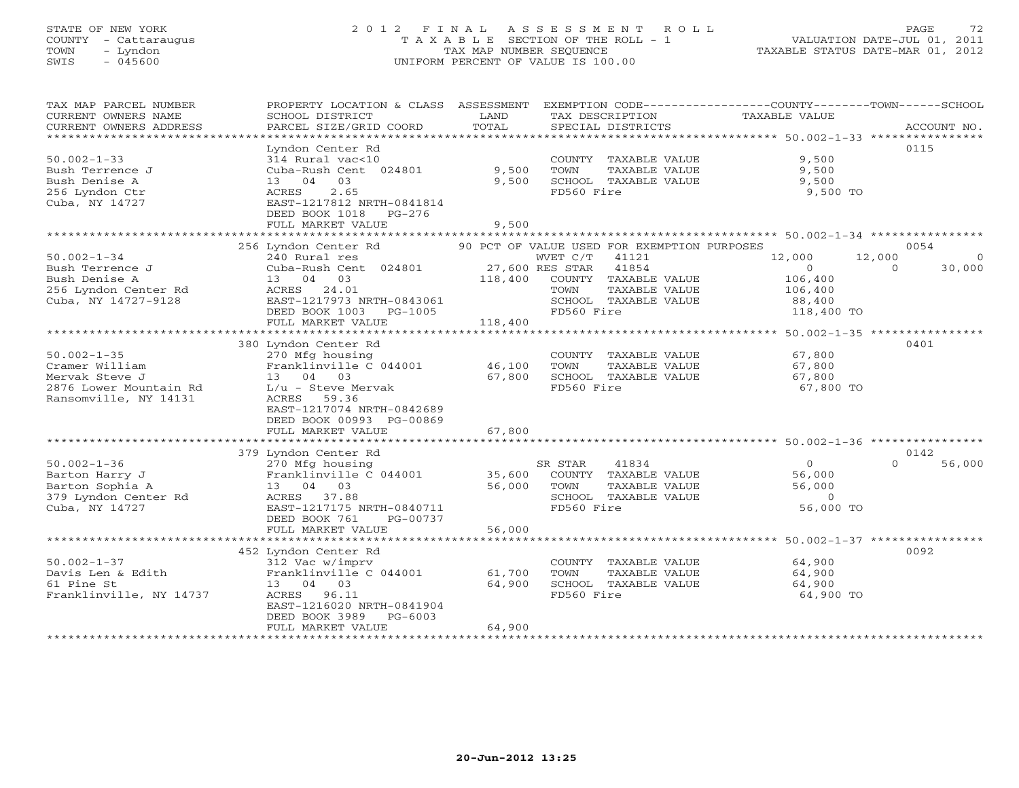# STATE OF NEW YORK 2 0 1 2 F I N A L A S S E S S M E N T R O L L PAGE 72 COUNTY - Cattaraugus T A X A B L E SECTION OF THE ROLL - 1 VALUATION DATE-JUL 01, 2011 TOWN - Lyndon TAX MAP NUMBER SEQUENCE TAXABLE STATUS DATE-MAR 01, 2012 SWIS - 045600 UNIFORM PERCENT OF VALUE IS 100.00

| TAX MAP PARCEL NUMBER<br>CURRENT OWNERS NAME<br>CURRENT OWNERS ADDRESS | PROPERTY LOCATION & CLASS ASSESSMENT<br>SCHOOL DISTRICT<br>PARCEL SIZE/GRID COORD | LAND<br>TOTAL      | TAX DESCRIPTION<br>SPECIAL DISTRICTS        | EXEMPTION CODE-----------------COUNTY-------TOWN------SCHOOL<br>TAXABLE VALUE | ACCOUNT NO. |
|------------------------------------------------------------------------|-----------------------------------------------------------------------------------|--------------------|---------------------------------------------|-------------------------------------------------------------------------------|-------------|
| **************************                                             |                                                                                   |                    |                                             |                                                                               |             |
|                                                                        | Lyndon Center Rd                                                                  |                    |                                             |                                                                               | 0115        |
| $50.002 - 1 - 33$                                                      | 314 Rural vac<10                                                                  |                    | COUNTY TAXABLE VALUE                        | 9,500                                                                         |             |
| Bush Terrence J                                                        | Cuba-Rush Cent 024801                                                             | 9,500              | TOWN<br>TAXABLE VALUE                       | 9,500                                                                         |             |
| Bush Denise A                                                          | 13 04<br>03                                                                       | 9,500              | SCHOOL TAXABLE VALUE                        | 9,500                                                                         |             |
| 256 Lyndon Ctr<br>Cuba, NY 14727                                       | 2.65<br>ACRES<br>EAST-1217812 NRTH-0841814                                        |                    | FD560 Fire                                  | 9,500 TO                                                                      |             |
|                                                                        | DEED BOOK 1018<br>$PG-276$                                                        |                    |                                             |                                                                               |             |
|                                                                        | FULL MARKET VALUE                                                                 | 9,500              |                                             |                                                                               |             |
|                                                                        | ************************                                                          |                    |                                             |                                                                               |             |
|                                                                        | 256 Lyndon Center Rd                                                              |                    | 90 PCT OF VALUE USED FOR EXEMPTION PURPOSES |                                                                               | 0054        |
| $50.002 - 1 - 34$                                                      | 240 Rural res                                                                     |                    | WVET C/T<br>41121                           | 12,000<br>12,000                                                              | $\Omega$    |
| Bush Terrence J                                                        | Cuba-Rush Cent 024801                                                             |                    | 27,600 RES STAR<br>41854                    | $\circ$<br>$\Omega$                                                           | 30,000      |
| Bush Denise A                                                          | 13 04 03                                                                          | 118,400            | COUNTY TAXABLE VALUE                        | 106,400                                                                       |             |
| 256 Lyndon Center Rd                                                   | 24.01<br>ACRES                                                                    |                    | TAXABLE VALUE<br>TOWN                       | 106,400                                                                       |             |
| Cuba, NY 14727-9128                                                    | EAST-1217973 NRTH-0843061                                                         |                    | SCHOOL TAXABLE VALUE                        | 88,400                                                                        |             |
|                                                                        | DEED BOOK 1003<br>PG-1005                                                         |                    | FD560 Fire                                  | 118,400 TO                                                                    |             |
|                                                                        | FULL MARKET VALUE                                                                 | 118,400            |                                             |                                                                               |             |
|                                                                        |                                                                                   |                    |                                             | ************************ 50.002-1-35 *****************                        |             |
|                                                                        | 380 Lyndon Center Rd                                                              |                    |                                             |                                                                               | 0401        |
| $50.002 - 1 - 35$                                                      | 270 Mfg housing                                                                   |                    | COUNTY<br>TAXABLE VALUE                     | 67,800                                                                        |             |
| Cramer William                                                         | Franklinville C 044001                                                            | 46,100             | TOWN<br>TAXABLE VALUE                       | 67,800                                                                        |             |
| Mervak Steve J                                                         | 13 04 03                                                                          | 67,800             | SCHOOL TAXABLE VALUE                        | 67,800                                                                        |             |
| 2876 Lower Mountain Rd                                                 | $L/u$ - Steve Mervak                                                              |                    | FD560 Fire                                  | 67,800 TO                                                                     |             |
| Ransomville, NY 14131                                                  | 59.36<br>ACRES                                                                    |                    |                                             |                                                                               |             |
|                                                                        | EAST-1217074 NRTH-0842689                                                         |                    |                                             |                                                                               |             |
|                                                                        | DEED BOOK 00993 PG-00869                                                          |                    |                                             |                                                                               |             |
|                                                                        | FULL MARKET VALUE<br>******************                                           | 67,800<br>******** |                                             | ************************* 50.002-1-36 ****************                        |             |
|                                                                        | 379 Lyndon Center Rd                                                              |                    |                                             |                                                                               | 0142        |
| $50.002 - 1 - 36$                                                      | 270 Mfg housing                                                                   |                    | SR STAR<br>41834                            | $\circ$<br>$\cap$                                                             | 56,000      |
| Barton Harry J                                                         | Franklinville C 044001                                                            | 35,600             | COUNTY TAXABLE VALUE                        | 56,000                                                                        |             |
| Barton Sophia A                                                        | 13 04 03                                                                          | 56,000             | TOWN<br>TAXABLE VALUE                       | 56,000                                                                        |             |
| 379 Lyndon Center Rd                                                   | 37.88<br>ACRES                                                                    |                    | SCHOOL TAXABLE VALUE                        | $\overline{0}$                                                                |             |
| Cuba, NY 14727                                                         | EAST-1217175 NRTH-0840711                                                         |                    | FD560 Fire                                  | 56,000 TO                                                                     |             |
|                                                                        | DEED BOOK 761<br>PG-00737                                                         |                    |                                             |                                                                               |             |
|                                                                        | FULL MARKET VALUE                                                                 | 56,000             |                                             |                                                                               |             |
|                                                                        |                                                                                   |                    |                                             |                                                                               |             |
|                                                                        | 452 Lyndon Center Rd                                                              |                    |                                             |                                                                               | 0092        |
| $50.002 - 1 - 37$                                                      | 312 Vac w/imprv                                                                   |                    | COUNTY TAXABLE VALUE                        | 64,900                                                                        |             |
| Davis Len & Edith                                                      | Franklinville C 044001                                                            | 61,700             | TAXABLE VALUE<br>TOWN                       | 64,900                                                                        |             |
| 61 Pine St                                                             | 13 04 03                                                                          | 64,900             | SCHOOL TAXABLE VALUE                        | 64,900                                                                        |             |
| Franklinville, NY 14737                                                | ACRES 96.11                                                                       |                    | FD560 Fire                                  | 64,900 TO                                                                     |             |
|                                                                        | EAST-1216020 NRTH-0841904                                                         |                    |                                             |                                                                               |             |
|                                                                        | DEED BOOK 3989<br>$PG-6003$                                                       |                    |                                             |                                                                               |             |
|                                                                        | FULL MARKET VALUE                                                                 | 64,900             |                                             |                                                                               |             |
|                                                                        |                                                                                   |                    |                                             |                                                                               |             |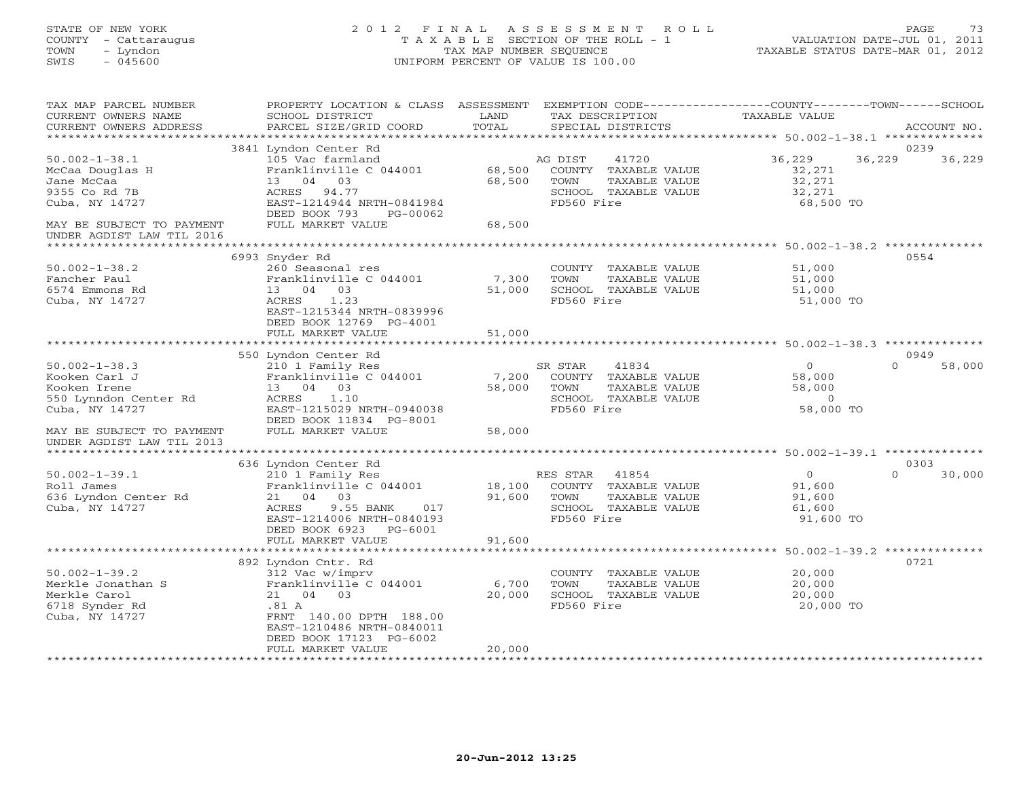STATE OF NEW YORK 2 0 1 2 F I N A L A S S E S S M E N T R O L L PAGE 73 COUNTY - Cattaraugus T A X A B L E SECTION OF THE ROLL - 1 VALUATION DATE-JUL 01, 2011 TOWN - Lyndon TAX MAP NUMBER SEQUENCE TAXABLE STATUS DATE-MAR 01, 2012 SWIS - 045600 UNIFORM PERCENT OF VALUE IS 100.00

TAX MAP PARCEL NUMBER PROPERTY LOCATION & CLASS ASSESSMENT EXEMPTION CODE-----------------COUNTY-------TOWN------SCHOOL<br>CURRENT OWNERS NAME SCHOOL DISTRICT LAND TAX DESC \*\*\*\*\*\*\*\*\*\*\*\*\*\*\*\*\*\*\*\*\*\*\*\*\*\*\*\*\*\*\*\*\*\*\*\*\*\*\*\*\*\*\*\*\*\*\*\*\*\*\*\*\*\*\*\*\*\*\*\*\*\*\*\*\*\*\*\*\*\*\*\*\*\*\*\*\*\*\*\*\*\*\*\*\*\*\*\*\*\*\*\*\*\*\*\*\*\*\*\*\*\*\* 50.002-1-38.1 \*\*\*\*\*\*\*\*\*\*\*\*\*\* 3841 Lyndon Center Rd 0239 50.002-1-38.1 105 Vac farmland AG DIST 41720 36,229 36,229 36,229 McCaa Douglas H Franklinville C 044001 68,500 COUNTY TAXABLE VALUE 32,271 Jane McCaa 13 04 03 68,500 TOWN TAXABLE VALUE 32,271 9355 Co Rd 7B ACRES 94.77 SCHOOL TAXABLE VALUE 32,271 Cuba, NY 14727 EAST-1214944 NRTH-0841984 FD560 Fire 68,500 TO DEED BOOK 793 PG-00062 MAY BE SUBJECT TO PAYMENT FULL MARKET VALUE 68,500 UNDER AGDIST LAW TIL 2016 \*\*\*\*\*\*\*\*\*\*\*\*\*\*\*\*\*\*\*\*\*\*\*\*\*\*\*\*\*\*\*\*\*\*\*\*\*\*\*\*\*\*\*\*\*\*\*\*\*\*\*\*\*\*\*\*\*\*\*\*\*\*\*\*\*\*\*\*\*\*\*\*\*\*\*\*\*\*\*\*\*\*\*\*\*\*\*\*\*\*\*\*\*\*\*\*\*\*\*\*\*\*\* 50.002-1-38.2 \*\*\*\*\*\*\*\*\*\*\*\*\*\* 6993 Snyder Rd 0554 50.002-1-38.2 260 Seasonal res COUNTY TAXABLE VALUE 51,000 Fancher Paul Franklinville C 044001 7,300 TOWN TAXABLE VALUE 51,000 6574 Emmons Rd 13 04 03 51,000 SCHOOL TAXABLE VALUE 51,000 Cuba, NY 14727 ACRES 1.23 FD560 Fire 51,000 TO EAST-1215344 NRTH-0839996DEED BOOK 12769 PG-4001 DEED BOOK 12769 PG-4001 FULL MARKET VALUE 51,000 \*\*\*\*\*\*\*\*\*\*\*\*\*\*\*\*\*\*\*\*\*\*\*\*\*\*\*\*\*\*\*\*\*\*\*\*\*\*\*\*\*\*\*\*\*\*\*\*\*\*\*\*\*\*\*\*\*\*\*\*\*\*\*\*\*\*\*\*\*\*\*\*\*\*\*\*\*\*\*\*\*\*\*\*\*\*\*\*\*\*\*\*\*\*\*\*\*\*\*\*\*\*\* 50.002-1-38.3 \*\*\*\*\*\*\*\*\*\*\*\*\*\* 550 Lyndon Center Rd 0949 50.002-1-38.3 210 1 Family Res SR STAR 41834 0 0 58,000 Kooken Carl J Franklinville C 044001 7,200 COUNTY TAXABLE VALUE 58,000 Kooken Irene 13 04 03 58,000 TOWN TAXABLE VALUE 58,000 550 Lynndon Center Rd ACRES 1.10 SCHOOL TAXABLE VALUE 0 Cuba, NY 14727 EAST-1215029 NRTH-0940038 FD560 Fire 58,000 TO DEED BOOK 11834 PG-8001 MAY BE SUBJECT TO PAYMENT FULL MARKET VALUE 58,000 UNDER AGDIST LAW TIL 2013 \*\*\*\*\*\*\*\*\*\*\*\*\*\*\*\*\*\*\*\*\*\*\*\*\*\*\*\*\*\*\*\*\*\*\*\*\*\*\*\*\*\*\*\*\*\*\*\*\*\*\*\*\*\*\*\*\*\*\*\*\*\*\*\*\*\*\*\*\*\*\*\*\*\*\*\*\*\*\*\*\*\*\*\*\*\*\*\*\*\*\*\*\*\*\*\*\*\*\*\*\*\*\* 50.002-1-39.1 \*\*\*\*\*\*\*\*\*\*\*\*\*\* 636 Lyndon Center Rd 0303 50.002-1-39.1 210 1 Family Res RES STAR 41854 0 0 30,000 Roll James Franklinville C 044001 18,100 COUNTY TAXABLE VALUE 91,600 636 Lyndon Center Rd 21 04 03 91,600 TOWN TAXABLE VALUE 91,600 Cuba, NY 14727 ACRES 9.55 BANK 017 SCHOOL TAXABLE VALUE 61,600 EAST-1214006 NRTH-0840193 FD560 Fire 91,600 TO DEED BOOK 6923 PG-6001 FULL MARKET VALUE 91,600 \*\*\*\*\*\*\*\*\*\*\*\*\*\*\*\*\*\*\*\*\*\*\*\*\*\*\*\*\*\*\*\*\*\*\*\*\*\*\*\*\*\*\*\*\*\*\*\*\*\*\*\*\*\*\*\*\*\*\*\*\*\*\*\*\*\*\*\*\*\*\*\*\*\*\*\*\*\*\*\*\*\*\*\*\*\*\*\*\*\*\*\*\*\*\*\*\*\*\*\*\*\*\* 50.002-1-39.2 \*\*\*\*\*\*\*\*\*\*\*\*\*\* 892 Lyndon Cntr. Rd 0721 50.002-1-39.2 312 Vac w/imprv COUNTY TAXABLE VALUE 20,000 Merkle Jonathan S Franklinville C 044001 6,700 TOWN TAXABLE VALUE 20,000 Merkle Carol 21 04 03 20,000 SCHOOL TAXABLE VALUE 20,000 6718 Synder Rd .81 A FD560 Fire 20,000 TO Cuba, NY 14727 FRNT 140.00 DPTH 188.00 EAST-1210486 NRTH-0840011 DEED BOOK 17123 PG-6002 FULL MARKET VALUE 20,000 \*\*\*\*\*\*\*\*\*\*\*\*\*\*\*\*\*\*\*\*\*\*\*\*\*\*\*\*\*\*\*\*\*\*\*\*\*\*\*\*\*\*\*\*\*\*\*\*\*\*\*\*\*\*\*\*\*\*\*\*\*\*\*\*\*\*\*\*\*\*\*\*\*\*\*\*\*\*\*\*\*\*\*\*\*\*\*\*\*\*\*\*\*\*\*\*\*\*\*\*\*\*\*\*\*\*\*\*\*\*\*\*\*\*\*\*\*\*\*\*\*\*\*\*\*\*\*\*\*\*\*\*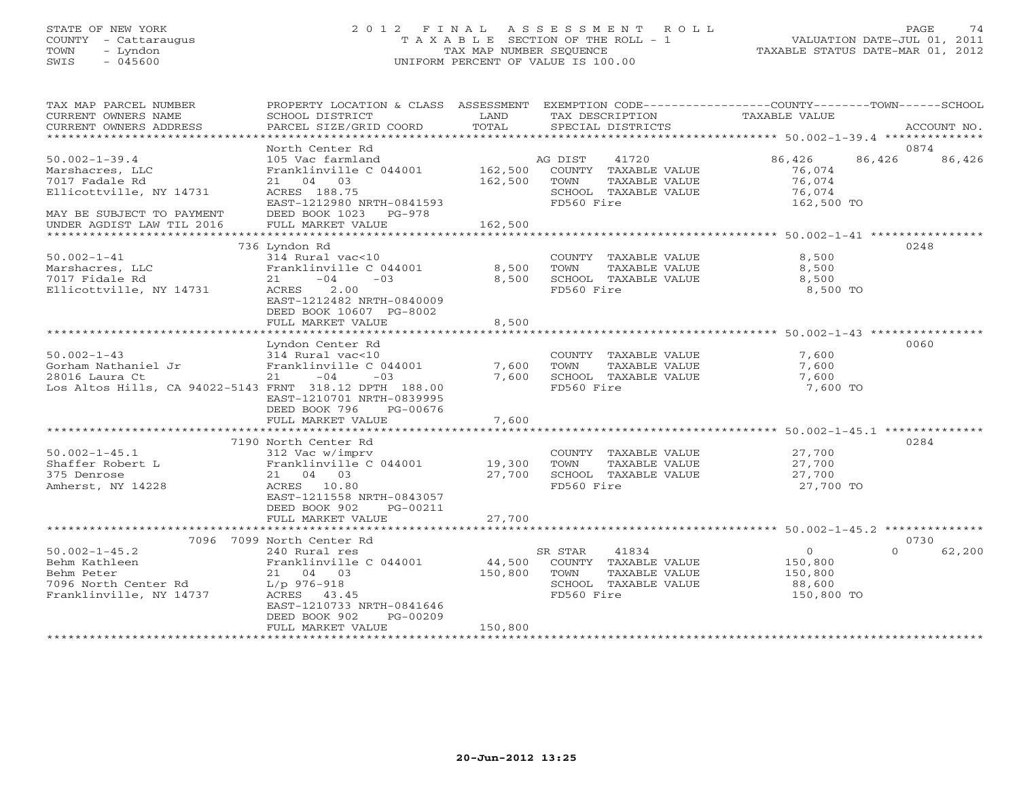### STATE OF NEW YORK 2 0 1 2 F I N A L A S S E S S M E N T R O L L PAGE 74 COUNTY - Cattaraugus T A X A B L E SECTION OF THE ROLL - 1 VALUATION DATE-JUL 01, 2011 TOWN - Lyndon TAX MAP NUMBER SEQUENCE TAXABLE STATUS DATE-MAR 01, 2012 SWIS - 045600 UNIFORM PERCENT OF VALUE IS 100.00

| TAX MAP PARCEL NUMBER<br>CURRENT OWNERS NAME<br>CURRENT OWNERS ADDRESS<br>***********************                    | PROPERTY LOCATION & CLASS ASSESSMENT<br>SCHOOL DISTRICT<br>PARCEL SIZE/GRID COORD                                                                                                               | LAND<br>TOTAL                | TAX DESCRIPTION<br>SPECIAL DISTRICTS                                                                    | EXEMPTION CODE-----------------COUNTY-------TOWN------SCHOOL<br>TAXABLE VALUE | ACCOUNT NO.    |
|----------------------------------------------------------------------------------------------------------------------|-------------------------------------------------------------------------------------------------------------------------------------------------------------------------------------------------|------------------------------|---------------------------------------------------------------------------------------------------------|-------------------------------------------------------------------------------|----------------|
|                                                                                                                      |                                                                                                                                                                                                 |                              |                                                                                                         |                                                                               |                |
| $50.002 - 1 - 39.4$<br>Marshacres, LLC<br>7017 Fadale Rd<br>Ellicottville, NY 14731<br>MAY BE SUBJECT TO PAYMENT     | North Center Rd<br>105 Vac farmland<br>Franklinville C 044001<br>21 04 03<br>ACRES 188.75<br>EAST-1212980 NRTH-0841593<br>DEED BOOK 1023 PG-978                                                 | 162,500<br>162,500           | AG DIST<br>41720<br>COUNTY TAXABLE VALUE<br>TOWN<br>TAXABLE VALUE<br>SCHOOL TAXABLE VALUE<br>FD560 Fire | 86,426<br>86,426<br>76,074<br>76,074<br>76,074<br>162,500 TO                  | 0874<br>86,426 |
| UNDER AGDIST LAW TIL 2016                                                                                            | FULL MARKET VALUE                                                                                                                                                                               | 162,500                      |                                                                                                         |                                                                               |                |
|                                                                                                                      |                                                                                                                                                                                                 |                              |                                                                                                         |                                                                               |                |
| $50.002 - 1 - 41$<br>Marshacres, LLC<br>7017 Fidale Rd<br>Ellicottville, NY 14731                                    | 736 Lyndon Rd<br>314 Rural vac<10<br>Franklinville C 044001<br>$-04$<br>$-03$<br>21<br>2.00<br>ACRES<br>EAST-1212482 NRTH-0840009<br>DEED BOOK 10607 PG-8002<br>FULL MARKET VALUE               | 8,500<br>8,500<br>8,500      | COUNTY TAXABLE VALUE<br>TOWN<br>TAXABLE VALUE<br>SCHOOL TAXABLE VALUE<br>FD560 Fire                     | 8,500<br>8,500<br>8,500<br>8,500 TO                                           | 0248           |
|                                                                                                                      |                                                                                                                                                                                                 |                              |                                                                                                         |                                                                               |                |
| $50.002 - 1 - 43$<br>Gorham Nathaniel Jr<br>28016 Laura Ct<br>Los Altos Hills, CA 94022-5143 FRNT 318.12 DPTH 188.00 | Lyndon Center Rd<br>314 Rural vac<10<br>Franklinville C 044001<br>$-04$<br>21<br>$-03$<br>EAST-1210701 NRTH-0839995<br>DEED BOOK 796<br>PG-00676                                                | 7,600<br>7,600               | COUNTY TAXABLE VALUE<br>TAXABLE VALUE<br>TOWN<br>SCHOOL TAXABLE VALUE<br>FD560 Fire                     | 7,600<br>7,600<br>7,600<br>7,600 TO                                           | 0060           |
|                                                                                                                      | FULL MARKET VALUE                                                                                                                                                                               | 7,600                        |                                                                                                         |                                                                               |                |
| $50.002 - 1 - 45.1$<br>Shaffer Robert L<br>375 Denrose<br>Amherst, NY 14228                                          | 7190 North Center Rd<br>312 Vac w/imprv<br>Franklinville C 044001 19,300<br>21 04 03<br>ACRES 10.80<br>EAST-1211558 NRTH-0843057<br>DEED BOOK 902<br>PG-00211                                   | 27,700                       | COUNTY TAXABLE VALUE<br>TAXABLE VALUE<br>TOWN<br>SCHOOL TAXABLE VALUE<br>FD560 Fire                     | 27,700<br>27,700<br>27,700<br>27,700 TO                                       | 0284           |
|                                                                                                                      | FULL MARKET VALUE                                                                                                                                                                               | 27,700                       |                                                                                                         |                                                                               |                |
|                                                                                                                      |                                                                                                                                                                                                 |                              |                                                                                                         |                                                                               |                |
| $50.002 - 1 - 45.2$<br>Behm Kathleen<br>Behm Peter<br>7096 North Center Rd<br>Franklinville, NY 14737                | 7096 7099 North Center Rd<br>240 Rural res<br>Franklinville C 044001<br>21 04 03<br>$L/p$ 976-918<br>ACRES 43.45<br>EAST-1210733 NRTH-0841646<br>DEED BOOK 902<br>PG-00209<br>FULL MARKET VALUE | 44,500<br>150,800<br>150,800 | 41834<br>SR STAR<br>COUNTY TAXABLE VALUE<br>TAXABLE VALUE<br>TOWN<br>SCHOOL TAXABLE VALUE<br>FD560 Fire | $\circ$<br>$\Omega$<br>150,800<br>150,800<br>88,600<br>150,800 TO             | 0730<br>62,200 |
|                                                                                                                      |                                                                                                                                                                                                 |                              |                                                                                                         |                                                                               |                |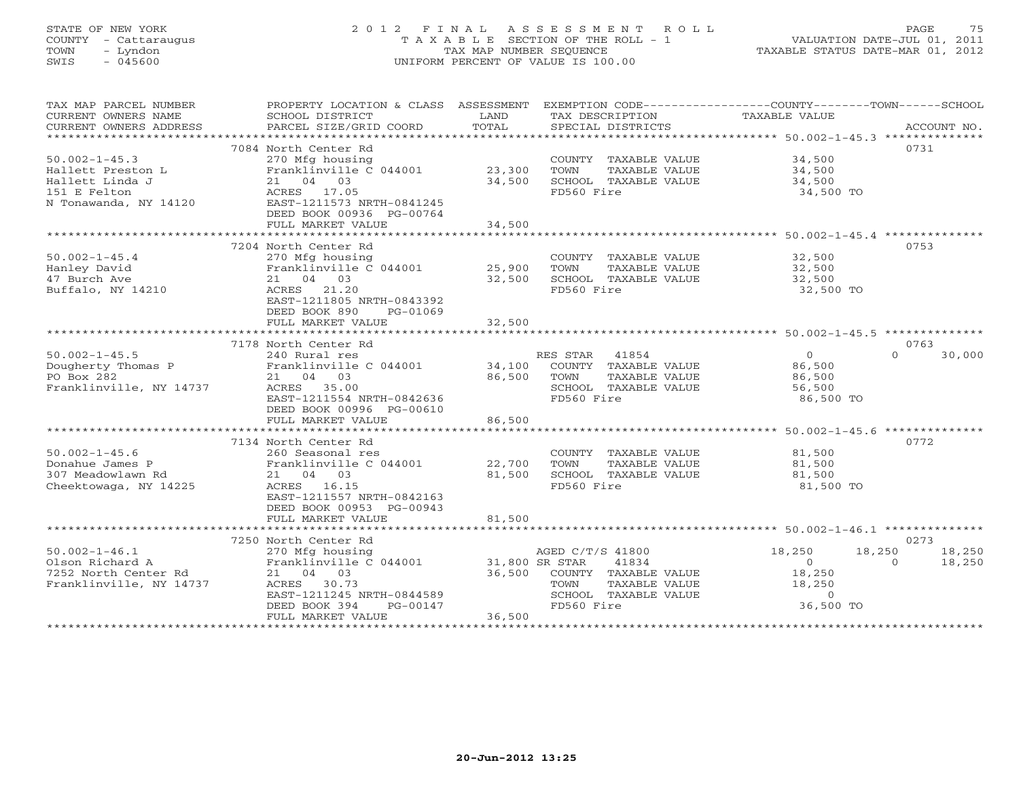# STATE OF NEW YORK 2 0 1 2 F I N A L A S S E S S M E N T R O L L PAGE 75 COUNTY - Cattaraugus T A X A B L E SECTION OF THE ROLL - 1 VALUATION DATE-JUL 01, 2011 TOWN - Lyndon TAX MAP NUMBER SEQUENCE TAXABLE STATUS DATE-MAR 01, 2012 SWIS - 045600 UNIFORM PERCENT OF VALUE IS 100.00

| TAX MAP PARCEL NUMBER<br>CURRENT OWNERS NAME<br>CURRENT OWNERS ADDRESS | PROPERTY LOCATION & CLASS ASSESSMENT<br>SCHOOL DISTRICT<br>PARCEL SIZE/GRID COORD | LAND<br>TOTAL   | TAX DESCRIPTION<br>SPECIAL DISTRICTS  | EXEMPTION CODE-----------------COUNTY-------TOWN------SCHOOL<br><b>TAXABLE VALUE</b> | ACCOUNT NO. |
|------------------------------------------------------------------------|-----------------------------------------------------------------------------------|-----------------|---------------------------------------|--------------------------------------------------------------------------------------|-------------|
| ***********************                                                |                                                                                   |                 |                                       |                                                                                      |             |
|                                                                        | 7084 North Center Rd                                                              |                 |                                       |                                                                                      | 0731        |
| $50.002 - 1 - 45.3$                                                    | 270 Mfg housing                                                                   |                 | COUNTY TAXABLE VALUE                  | 34,500                                                                               |             |
| Hallett Preston L                                                      | Franklinville C 044001                                                            | 23,300          | TOWN<br>TAXABLE VALUE                 | 34,500                                                                               |             |
| Hallett Linda J                                                        | 21 04 03                                                                          | 34,500          | SCHOOL TAXABLE VALUE                  | 34,500                                                                               |             |
| 151 E Felton                                                           | ACRES 17.05                                                                       |                 | FD560 Fire                            | 34,500 TO                                                                            |             |
| N Tonawanda, NY 14120                                                  | EAST-1211573 NRTH-0841245                                                         |                 |                                       |                                                                                      |             |
|                                                                        | DEED BOOK 00936 PG-00764                                                          | 34,500          |                                       |                                                                                      |             |
|                                                                        | FULL MARKET VALUE                                                                 |                 |                                       |                                                                                      |             |
|                                                                        | 7204 North Center Rd                                                              |                 |                                       |                                                                                      | 0753        |
| $50.002 - 1 - 45.4$                                                    | 270 Mfg housing                                                                   |                 | COUNTY TAXABLE VALUE                  | 32,500                                                                               |             |
| Hanley David                                                           | Franklinville C 044001                                                            | 25,900          | TOWN<br>TAXABLE VALUE                 | 32,500                                                                               |             |
| 47 Burch Ave                                                           | 21 04 03                                                                          | 32,500          | SCHOOL TAXABLE VALUE                  | $\frac{32}{32}$ , 500                                                                |             |
| Buffalo, NY 14210                                                      | ACRES 21.20                                                                       |                 | FD560 Fire                            | 32,500 TO                                                                            |             |
|                                                                        | EAST-1211805 NRTH-0843392                                                         |                 |                                       |                                                                                      |             |
|                                                                        | DEED BOOK 890<br>PG-01069                                                         |                 |                                       |                                                                                      |             |
|                                                                        | FULL MARKET VALUE                                                                 | 32,500          |                                       |                                                                                      |             |
|                                                                        | *****************************                                                     | *************** |                                       |                                                                                      |             |
|                                                                        | 7178 North Center Rd                                                              |                 |                                       |                                                                                      | 0763        |
| $50.002 - 1 - 45.5$                                                    | 240 Rural res                                                                     |                 | RES STAR<br>41854                     | $\circ$<br>$\Omega$                                                                  | 30,000      |
| Dougherty Thomas P                                                     | Franklinville C 044001                                                            | 34,100          | COUNTY TAXABLE VALUE                  | 86,500                                                                               |             |
| PO Box 282                                                             | 21 04 03                                                                          | 86,500          | TOWN<br>TAXABLE VALUE                 | 86,500                                                                               |             |
| Franklinville, NY 14737                                                | ACRES 35.00                                                                       |                 | SCHOOL TAXABLE VALUE                  | 56,500                                                                               |             |
|                                                                        | EAST-1211554 NRTH-0842636                                                         |                 | FD560 Fire                            | 86,500 TO                                                                            |             |
|                                                                        | DEED BOOK 00996 PG-00610                                                          |                 |                                       |                                                                                      |             |
|                                                                        | FULL MARKET VALUE                                                                 | 86,500          |                                       |                                                                                      |             |
|                                                                        |                                                                                   |                 |                                       |                                                                                      |             |
| $50.002 - 1 - 45.6$                                                    | 7134 North Center Rd<br>260 Seasonal res                                          |                 |                                       | 81,500                                                                               | 0772        |
| Donahue James P                                                        | Franklinville C 044001                                                            | 22,700          | COUNTY TAXABLE VALUE<br>TAXABLE VALUE |                                                                                      |             |
| 307 Meadowlawn Rd                                                      | 21 04 03                                                                          | 81,500          | TOWN<br>SCHOOL TAXABLE VALUE          | 81,500<br>81,500                                                                     |             |
| Cheektowaga, NY 14225                                                  | ACRES 16.15                                                                       |                 | FD560 Fire                            | 81,500 TO                                                                            |             |
|                                                                        | EAST-1211557 NRTH-0842163                                                         |                 |                                       |                                                                                      |             |
|                                                                        | DEED BOOK 00953 PG-00943                                                          |                 |                                       |                                                                                      |             |
|                                                                        | FULL MARKET VALUE                                                                 | 81,500          |                                       |                                                                                      |             |
|                                                                        |                                                                                   |                 |                                       |                                                                                      |             |
|                                                                        | 7250 North Center Rd                                                              |                 |                                       |                                                                                      | 0273        |
| $50.002 - 1 - 46.1$                                                    | 270 Mfg housing                                                                   |                 | AGED C/T/S 41800                      | 18,250<br>18,250                                                                     | 18,250      |
| Olson Richard A                                                        | Franklinville C 044001                                                            | 31,800 SR STAR  | 41834                                 | $\overline{0}$<br>$\Omega$                                                           | 18,250      |
| 7252 North Center Rd                                                   | 21 04 03                                                                          | 36,500          | COUNTY TAXABLE VALUE                  | 18,250                                                                               |             |
| Franklinville, NY 14737                                                | ACRES 30.73                                                                       |                 | TOWN<br>TAXABLE VALUE                 | 18,250                                                                               |             |
|                                                                        | EAST-1211245 NRTH-0844589                                                         |                 | SCHOOL TAXABLE VALUE                  | $\Omega$                                                                             |             |
|                                                                        | DEED BOOK 394<br>PG-00147                                                         |                 | FD560 Fire                            | 36,500 TO                                                                            |             |
|                                                                        | FULL MARKET VALUE                                                                 | 36,500          |                                       |                                                                                      |             |
|                                                                        |                                                                                   |                 |                                       |                                                                                      |             |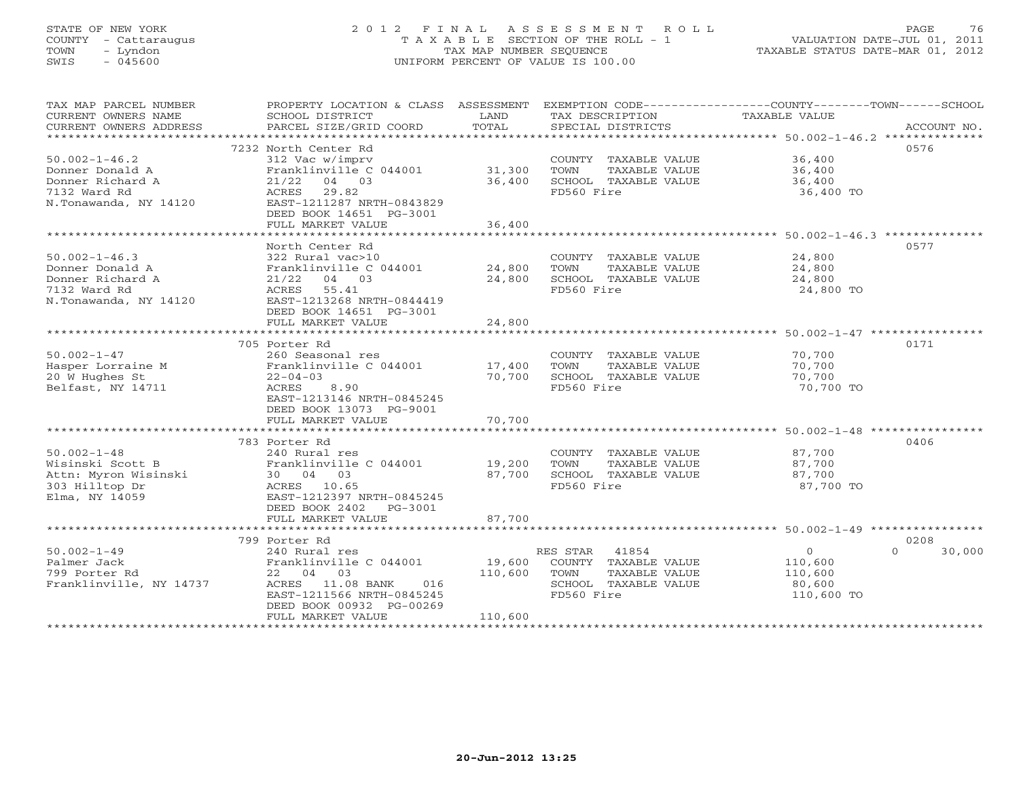# STATE OF NEW YORK 2 0 1 2 F I N A L A S S E S S M E N T R O L L PAGE 76 COUNTY - Cattaraugus T A X A B L E SECTION OF THE ROLL - 1 VALUATION DATE-JUL 01, 2011 TOWN - Lyndon TAX MAP NUMBER SEQUENCE TAXABLE STATUS DATE-MAR 01, 2012 SWIS - 045600 UNIFORM PERCENT OF VALUE IS 100.00

| TAX MAP PARCEL NUMBER<br>CURRENT OWNERS NAME<br>CURRENT OWNERS ADDRESS<br>***********************   | PROPERTY LOCATION & CLASS ASSESSMENT<br>SCHOOL DISTRICT<br>PARCEL SIZE/GRID COORD                                                                                             | LAND<br>TOTAL                | TAX DESCRIPTION<br>SPECIAL DISTRICTS                                                                  | EXEMPTION CODE-----------------COUNTY-------TOWN------SCHOOL<br>TAXABLE VALUE<br>ACCOUNT NO. |
|-----------------------------------------------------------------------------------------------------|-------------------------------------------------------------------------------------------------------------------------------------------------------------------------------|------------------------------|-------------------------------------------------------------------------------------------------------|----------------------------------------------------------------------------------------------|
| $50.002 - 1 - 46.2$<br>Donner Donald A<br>Donner Richard A<br>7132 Ward Rd                          | 7232 North Center Rd<br>312 Vac w/imprv<br>Franklinville C 044001<br>$21/22$ 04 03<br>29.82<br>ACRES                                                                          | 31,300<br>36,400             | COUNTY TAXABLE VALUE<br>TOWN<br>TAXABLE VALUE<br>SCHOOL TAXABLE VALUE<br>FD560 Fire                   | 0576<br>36,400<br>36,400<br>36,400<br>36,400 TO                                              |
| N.Tonawanda, NY 14120                                                                               | EAST-1211287 NRTH-0843829<br>DEED BOOK 14651 PG-3001<br>FULL MARKET VALUE<br>****************************                                                                     | 36,400                       |                                                                                                       |                                                                                              |
| $50.002 - 1 - 46.3$<br>Donner Donald A<br>Donner Richard A<br>7132 Ward Rd<br>N.Tonawanda, NY 14120 | North Center Rd<br>322 Rural vac>10<br>Franklinville C 044001<br>$21/22$ 04 03<br>55.41<br>ACRES<br>EAST-1213268 NRTH-0844419<br>DEED BOOK 14651 PG-3001                      | 24,800<br>24,800             | COUNTY TAXABLE VALUE<br>TOWN<br>TAXABLE VALUE<br>SCHOOL TAXABLE VALUE<br>FD560 Fire                   | 0577<br>24,800<br>24,800<br>24,800<br>24,800 TO                                              |
|                                                                                                     | FULL MARKET VALUE                                                                                                                                                             | 24,800                       |                                                                                                       |                                                                                              |
| $50.002 - 1 - 47$<br>Hasper Lorraine M<br>20 W Hughes St<br>Belfast, NY 14711                       | 705 Porter Rd<br>260 Seasonal res<br>Franklinville C 044001<br>$22 - 04 - 03$<br>ACRES<br>8.90<br>EAST-1213146 NRTH-0845245<br>DEED BOOK 13073 PG-9001                        | 17,400<br>70,700             | COUNTY TAXABLE VALUE<br>TOWN<br>TAXABLE VALUE<br>SCHOOL TAXABLE VALUE<br>FD560 Fire                   | 0171<br>70,700<br>70,700<br>70,700<br>70,700 TO                                              |
|                                                                                                     | FULL MARKET VALUE                                                                                                                                                             | 70,700                       |                                                                                                       |                                                                                              |
| $50.002 - 1 - 48$<br>Wisinski Scott B<br>Attn: Myron Wisinski<br>303 Hilltop Dr<br>Elma, NY 14059   | 783 Porter Rd<br>240 Rural res<br>Franklinville C 044001<br>30 04 03<br>ACRES 10.65<br>EAST-1212397 NRTH-0845245<br>DEED BOOK 2402<br>PG-3001                                 | 19,200<br>87,700             | COUNTY TAXABLE VALUE<br>TOWN<br>TAXABLE VALUE<br>SCHOOL TAXABLE VALUE<br>FD560 Fire                   | 0406<br>87,700<br>87,700<br>87,700<br>87,700 TO                                              |
|                                                                                                     | FULL MARKET VALUE                                                                                                                                                             | 87,700                       |                                                                                                       |                                                                                              |
| $50.002 - 1 - 49$<br>Palmer Jack<br>799 Porter Rd<br>Franklinville, NY 14737                        | 799 Porter Rd<br>240 Rural res<br>Franklinville C 044001<br>22 04 03<br>ACRES 11.08 BANK<br>016<br>EAST-1211566 NRTH-0845245<br>DEED BOOK 00932 PG-00269<br>FULL MARKET VALUE | 19,600<br>110,600<br>110,600 | RES STAR 41854<br>COUNTY TAXABLE VALUE<br>TOWN<br>TAXABLE VALUE<br>SCHOOL TAXABLE VALUE<br>FD560 Fire | 0208<br>$\circ$<br>$\Omega$<br>30,000<br>110,600<br>110,600<br>80,600<br>110,600 TO          |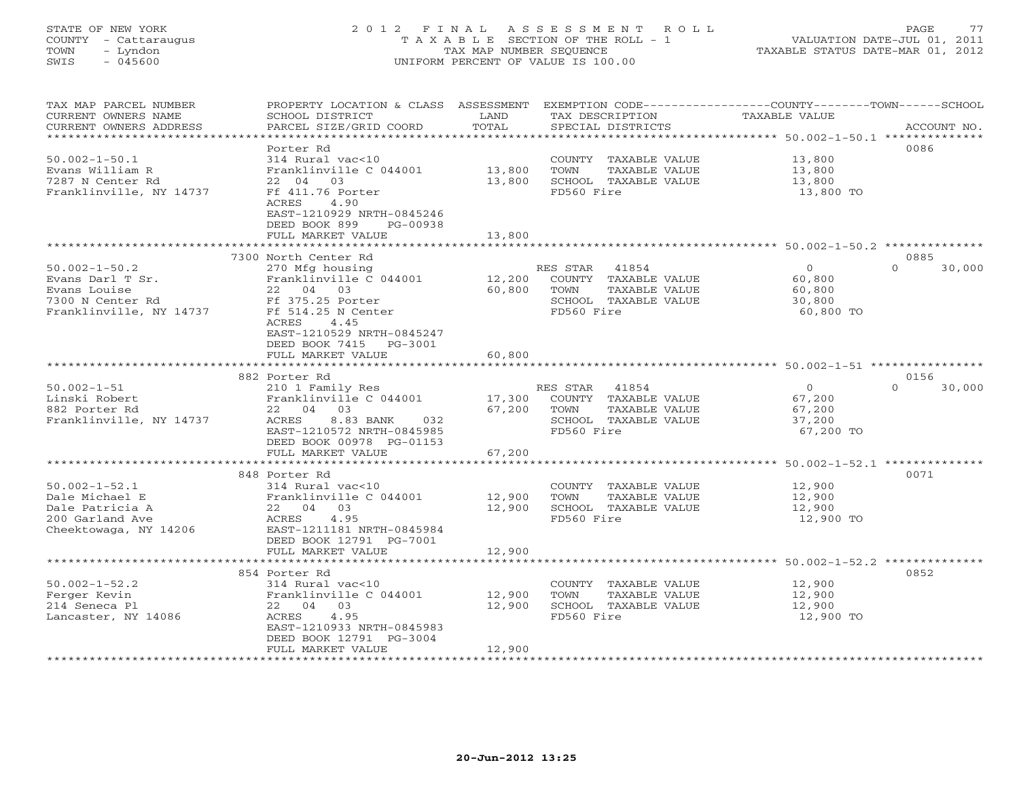# STATE OF NEW YORK 2 0 1 2 F I N A L A S S E S S M E N T R O L L PAGE 77 COUNTY - Cattaraugus T A X A B L E SECTION OF THE ROLL - 1 VALUATION DATE-JUL 01, 2011 TOWN - Lyndon TAX MAP NUMBER SEQUENCE TAXABLE STATUS DATE-MAR 01, 2012 SWIS - 045600 UNIFORM PERCENT OF VALUE IS 100.00

| TAX MAP PARCEL NUMBER<br>CURRENT OWNERS NAME<br>CURRENT OWNERS ADDRESS                                 | PROPERTY LOCATION & CLASS ASSESSMENT<br>SCHOOL DISTRICT<br>PARCEL SIZE/GRID COORD                                                                                             | LAND<br>TOTAL          | EXEMPTION CODE-----------------COUNTY-------TOWN------SCHOOL<br>TAX DESCRIPTION<br>SPECIAL DISTRICTS     | <b>TAXABLE VALUE</b>                                                      | ACCOUNT NO.        |
|--------------------------------------------------------------------------------------------------------|-------------------------------------------------------------------------------------------------------------------------------------------------------------------------------|------------------------|----------------------------------------------------------------------------------------------------------|---------------------------------------------------------------------------|--------------------|
| *********************<br>$50.002 - 1 - 50.1$                                                           | Porter Rd<br>314 Rural vac<10                                                                                                                                                 | ***************        | COUNTY TAXABLE VALUE                                                                                     | ********************************** 50.002-1-50.1 **************<br>13,800 | 0086               |
| Evans William R<br>7287 N Center Rd<br>Franklinville, NY 14737                                         | Franklinville C 044001<br>22 04<br>03<br>Ff 411.76 Porter<br>ACRES<br>4.90                                                                                                    | 13,800<br>13,800       | TOWN<br>TAXABLE VALUE<br>SCHOOL TAXABLE VALUE<br>FD560 Fire                                              | 13,800<br>13,800<br>13,800 TO                                             |                    |
|                                                                                                        | EAST-1210929 NRTH-0845246<br>DEED BOOK 899<br>PG-00938<br>FULL MARKET VALUE                                                                                                   | 13,800                 |                                                                                                          |                                                                           |                    |
|                                                                                                        | 7300 North Center Rd                                                                                                                                                          |                        |                                                                                                          | ******** 50.002-1-50.2 *******                                            | 0885               |
| $50.002 - 1 - 50.2$<br>Evans Darl T Sr.<br>Evans Louise<br>7300 N Center Rd<br>Franklinville, NY 14737 | 270 Mfg housing<br>Franklinville C 044001<br>22<br>04 03<br>Ff 375.25 Porter<br>Ff 514.25 N Center<br>ACRES<br>4.45<br>EAST-1210529 NRTH-0845247<br>DEED BOOK 7415<br>PG-3001 | 12,200<br>60,800       | 41854<br>RES STAR<br>COUNTY TAXABLE VALUE<br>TOWN<br>TAXABLE VALUE<br>SCHOOL TAXABLE VALUE<br>FD560 Fire | $\overline{0}$<br>60,800<br>60,800<br>30,800<br>60,800 TO                 | 30,000<br>$\Omega$ |
|                                                                                                        | FULL MARKET VALUE                                                                                                                                                             | 60,800                 |                                                                                                          |                                                                           |                    |
|                                                                                                        | 882 Porter Rd                                                                                                                                                                 |                        |                                                                                                          | ******************************* 50.002-1-51 *****************             | 0156               |
| $50.002 - 1 - 51$<br>Linski Robert<br>882 Porter Rd<br>Franklinville, NY 14737                         | 210 1 Family Res<br>Franklinville C 044001<br>22 04 03<br>ACRES<br>8.83 BANK<br>032<br>EAST-1210572 NRTH-0845985<br>DEED BOOK 00978 PG-01153                                  | 17,300<br>67,200       | RES STAR<br>41854<br>COUNTY TAXABLE VALUE<br>TAXABLE VALUE<br>TOWN<br>SCHOOL TAXABLE VALUE<br>FD560 Fire | $\overline{0}$<br>67,200<br>67,200<br>37,200<br>67,200 TO                 | $\Omega$<br>30,000 |
|                                                                                                        | FULL MARKET VALUE<br>********************************                                                                                                                         | 67,200                 |                                                                                                          |                                                                           |                    |
|                                                                                                        | 848 Porter Rd                                                                                                                                                                 |                        |                                                                                                          |                                                                           | 0071               |
| $50.002 - 1 - 52.1$<br>Dale Michael E<br>Dale Patricia A<br>200 Garland Ave<br>Cheektowaga, NY 14206   | 314 Rural vac<10<br>Franklinville C 044001<br>22 04 03<br>ACRES<br>4.95<br>EAST-1211181 NRTH-0845984<br>DEED BOOK 12791 PG-7001                                               | 12,900<br>12,900       | COUNTY TAXABLE VALUE<br>TOWN<br>TAXABLE VALUE<br>SCHOOL TAXABLE VALUE<br>FD560 Fire                      | 12,900<br>12,900<br>12,900<br>12,900 TO                                   |                    |
|                                                                                                        | FULL MARKET VALUE                                                                                                                                                             | 12,900<br>************ |                                                                                                          | *********************** 50.002-1-52.2 **************                      |                    |
|                                                                                                        | 854 Porter Rd                                                                                                                                                                 |                        |                                                                                                          |                                                                           | 0852               |
| $50.002 - 1 - 52.2$<br>Ferger Kevin<br>214 Seneca Pl<br>Lancaster, NY 14086                            | 314 Rural vac<10<br>Franklinville C 044001<br>22 04<br>03<br>4.95<br>ACRES<br>EAST-1210933 NRTH-0845983<br>DEED BOOK 12791 PG-3004                                            | 12,900<br>12,900       | COUNTY TAXABLE VALUE<br>TAXABLE VALUE<br>TOWN<br>SCHOOL TAXABLE VALUE<br>FD560 Fire                      | 12,900<br>12,900<br>12,900<br>12,900 TO                                   |                    |
| ***********************                                                                                | FULL MARKET VALUE                                                                                                                                                             | 12,900                 |                                                                                                          |                                                                           |                    |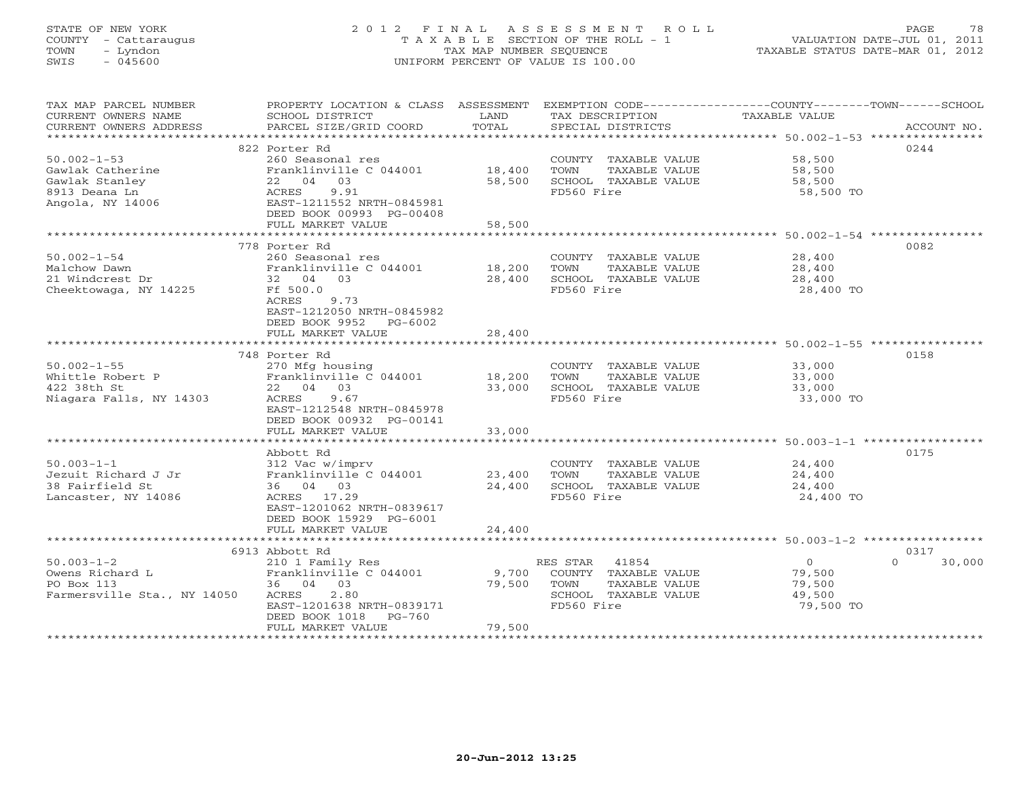# STATE OF NEW YORK 2 0 1 2 F I N A L A S S E S S M E N T R O L L PAGE 78 COUNTY - Cattaraugus T A X A B L E SECTION OF THE ROLL - 1 VALUATION DATE-JUL 01, 2011 TOWN - Lyndon TAX MAP NUMBER SEQUENCE TAXABLE STATUS DATE-MAR 01, 2012 SWIS - 045600 UNIFORM PERCENT OF VALUE IS 100.00

| TAX MAP PARCEL NUMBER<br>CURRENT OWNERS NAME<br>CURRENT OWNERS ADDRESS | PROPERTY LOCATION & CLASS ASSESSMENT<br>SCHOOL DISTRICT<br>PARCEL SIZE/GRID COORD | LAND<br>TOTAL | EXEMPTION CODE-----------------COUNTY-------TOWN------SCHOOL<br>TAX DESCRIPTION<br>SPECIAL DISTRICTS | TAXABLE VALUE                                              | ACCOUNT NO.        |
|------------------------------------------------------------------------|-----------------------------------------------------------------------------------|---------------|------------------------------------------------------------------------------------------------------|------------------------------------------------------------|--------------------|
|                                                                        |                                                                                   |               |                                                                                                      |                                                            |                    |
|                                                                        | 822 Porter Rd                                                                     |               |                                                                                                      |                                                            | 0244               |
| $50.002 - 1 - 53$                                                      | 260 Seasonal res                                                                  |               | COUNTY TAXABLE VALUE 58,500                                                                          |                                                            |                    |
| Gawlak Catherine                                                       | Franklinville C 044001 18,400                                                     |               | TOWN<br>TAXABLE VALUE                                                                                | 58,500<br>58,500                                           |                    |
| Gawlak Stanley                                                         |                                                                                   | 58,500        | SCHOOL TAXABLE VALUE                                                                                 |                                                            |                    |
| 8913 Deana Ln                                                          |                                                                                   |               | FD560 Fire                                                                                           | 58,500 TO                                                  |                    |
| Angola, NY 14006                                                       | 22 04<br>ACRES 9.91<br>EAST-1211552 NRTH-0845981<br>-227 00993 PG-00408           |               |                                                                                                      |                                                            |                    |
|                                                                        |                                                                                   |               |                                                                                                      |                                                            |                    |
|                                                                        | FULL MARKET VALUE                                                                 | 58,500        |                                                                                                      |                                                            |                    |
|                                                                        | 778 Porter Rd                                                                     |               |                                                                                                      |                                                            | 0082               |
| $50.002 - 1 - 54$                                                      | 260 Seasonal res                                                                  |               |                                                                                                      |                                                            |                    |
|                                                                        |                                                                                   | 18,200        | COUNTY TAXABLE VALUE                                                                                 | 28,400                                                     |                    |
| Malchow Dawn<br>21 Windcrest Dr                                        | Franklinville C 044001<br>32 04 03                                                | 28,400        | TOWN<br>TAXABLE VALUE<br>SCHOOL TAXABLE VALUE                                                        | 28,400<br>28,400                                           |                    |
|                                                                        | Ff 500.0                                                                          |               | FD560 Fire                                                                                           |                                                            |                    |
| Cheektowaga, NY 14225                                                  | ACRES 9.73                                                                        |               |                                                                                                      | 28,400 TO                                                  |                    |
|                                                                        |                                                                                   |               |                                                                                                      |                                                            |                    |
|                                                                        | EAST-1212050 NRTH-0845982<br>DEED BOOK 9952 PG-6002                               |               |                                                                                                      |                                                            |                    |
|                                                                        |                                                                                   |               |                                                                                                      |                                                            |                    |
|                                                                        | FULL MARKET VALUE                                                                 | 28,400        |                                                                                                      |                                                            |                    |
|                                                                        |                                                                                   |               |                                                                                                      |                                                            |                    |
|                                                                        | 748 Porter Rd                                                                     |               |                                                                                                      |                                                            | 0158               |
| $50.002 - 1 - 55$                                                      | 270 Mfg housing<br>Franklinville C 044001 18,200                                  |               | COUNTY TAXABLE VALUE                                                                                 | 33,000<br>33,000                                           |                    |
| Whittle Robert P                                                       |                                                                                   |               | TAXABLE VALUE<br>TOWN                                                                                |                                                            |                    |
| 422 38th St                                                            | 22 04 03                                                                          | 33,000        | SCHOOL TAXABLE VALUE<br>FD560 Fire                                                                   | 33,000                                                     |                    |
| Niagara Falls, NY 14303                                                | ACRES<br>9.67<br>EAST-1212548 NRTH-0845978                                        |               |                                                                                                      | 33,000 TO                                                  |                    |
|                                                                        |                                                                                   |               |                                                                                                      |                                                            |                    |
|                                                                        | DEED BOOK 00932 PG-00141                                                          |               |                                                                                                      |                                                            |                    |
|                                                                        | FULL MARKET VALUE                                                                 | 33,000        |                                                                                                      | ******************************* 50.003-1-1 *************** |                    |
|                                                                        | Abbott Rd                                                                         |               |                                                                                                      |                                                            | 0175               |
|                                                                        | 312 Vac w/imprv                                                                   |               |                                                                                                      |                                                            |                    |
| $50.003 - 1 - 1$                                                       | Franklinville C 044001                                                            |               | COUNTY TAXABLE VALUE 24,400                                                                          |                                                            |                    |
| Jezuit Richard J Jr<br>38 Fairfield St                                 | 36 04 03                                                                          | 23,400        | TAXABLE VALUE<br>TOWN                                                                                | 24,400<br>24,400                                           |                    |
|                                                                        | ACRES 17.29                                                                       | 24,400        | SCHOOL TAXABLE VALUE<br>FD560 Fire                                                                   | 24,400 TO                                                  |                    |
| Lancaster, NY 14086                                                    | EAST-1201062 NRTH-0839617                                                         |               |                                                                                                      |                                                            |                    |
|                                                                        | DEED BOOK 15929 PG-6001                                                           |               |                                                                                                      |                                                            |                    |
|                                                                        | FULL MARKET VALUE                                                                 | 24,400        |                                                                                                      |                                                            |                    |
|                                                                        |                                                                                   |               |                                                                                                      |                                                            |                    |
|                                                                        | 6913 Abbott Rd                                                                    |               |                                                                                                      |                                                            | 0317               |
| $50.003 - 1 - 2$                                                       | 210 1 Family Res                                                                  |               | RES STAR<br>41854                                                                                    | $\overline{O}$                                             | $\Omega$<br>30,000 |
| Owens Richard L                                                        | Franklinville C 044001                                                            | 9,700         | COUNTY TAXABLE VALUE                                                                                 | 79,500                                                     |                    |
| PO Box 113                                                             | 36 04 03                                                                          | 79,500        | TOWN<br>TAXABLE VALUE                                                                                | 79,500                                                     |                    |
| Farmersville Sta., NY 14050                                            | 2.80<br>ACRES                                                                     |               | SCHOOL TAXABLE VALUE                                                                                 | 49,500                                                     |                    |
|                                                                        | EAST-1201638 NRTH-0839171                                                         |               | FD560 Fire                                                                                           | 79,500 TO                                                  |                    |
|                                                                        | DEED BOOK 1018 PG-760                                                             |               |                                                                                                      |                                                            |                    |
|                                                                        | FULL MARKET VALUE                                                                 | 79,500        |                                                                                                      |                                                            |                    |
|                                                                        |                                                                                   |               |                                                                                                      |                                                            |                    |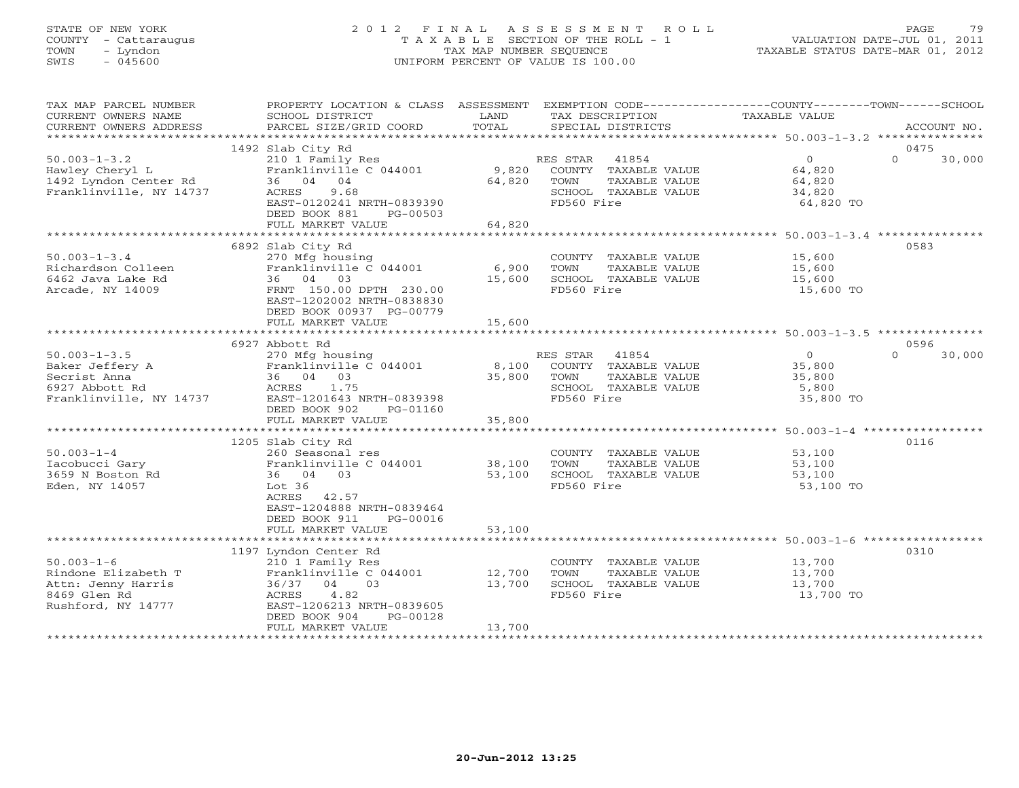# STATE OF NEW YORK 2 0 1 2 F I N A L A S S E S S M E N T R O L L PAGE 79 COUNTY - Cattaraugus T A X A B L E SECTION OF THE ROLL - 1 VALUATION DATE-JUL 01, 2011 TOWN - Lyndon TAX MAP NUMBER SEQUENCE TAXABLE STATUS DATE-MAR 01, 2012 SWIS - 045600 UNIFORM PERCENT OF VALUE IS 100.00

| TAX MAP PARCEL NUMBER<br>CURRENT OWNERS NAME<br>CURRENT OWNERS ADDRESS                                                                                                         | PROPERTY LOCATION & CLASS ASSESSMENT<br>SCHOOL DISTRICT<br>PARCEL SIZE/GRID COORD                                                                                                                                                                                  | LAND<br>TOTAL                                 | TAX DESCRIPTION<br>SPECIAL DISTRICTS                                                                                                                                                         | EXEMPTION CODE-----------------COUNTY-------TOWN-----SCHOOL<br>TAXABLE VALUE                 | ACCOUNT NO.                        |
|--------------------------------------------------------------------------------------------------------------------------------------------------------------------------------|--------------------------------------------------------------------------------------------------------------------------------------------------------------------------------------------------------------------------------------------------------------------|-----------------------------------------------|----------------------------------------------------------------------------------------------------------------------------------------------------------------------------------------------|----------------------------------------------------------------------------------------------|------------------------------------|
|                                                                                                                                                                                |                                                                                                                                                                                                                                                                    |                                               |                                                                                                                                                                                              |                                                                                              |                                    |
| $50.003 - 1 - 3.2$<br>Hawley Cheryl L<br>1492 Lyndon Center Rd<br>Franklinville, NY 14737                                                                                      | 1492 Slab City Rd<br>210 1 Family Res<br>Franklinville C 044001<br>36 04 04<br>9.68<br>ACRES<br>EAST-0120241 NRTH-0839390<br>DEED BOOK 881<br>PG-00503                                                                                                             | 9,820<br>64,820                               | RES STAR<br>41854<br>COUNTY TAXABLE VALUE<br>TOWN<br>TAXABLE VALUE<br>SCHOOL TAXABLE VALUE<br>FD560 Fire                                                                                     | $\Omega$<br>64,820<br>64,820<br>34,820<br>64,820 TO                                          | 0475<br>$\Omega$<br>30,000         |
|                                                                                                                                                                                | FULL MARKET VALUE                                                                                                                                                                                                                                                  | 64,820                                        |                                                                                                                                                                                              |                                                                                              |                                    |
| $50.003 - 1 - 3.4$<br>Richardson Colleen<br>6462 Java Lake Rd<br>Arcade, NY 14009                                                                                              | 6892 Slab City Rd<br>270 Mfg housing<br>Franklinville C 044001<br>36 04 03<br>FRNT 150.00 DPTH 230.00<br>EAST-1202002 NRTH-0838830<br>DEED BOOK 00937 PG-00779<br>FULL MARKET VALUE                                                                                | 6,900<br>15,600<br>15,600                     | COUNTY TAXABLE VALUE<br>TOWN<br>TAXABLE VALUE<br>SCHOOL TAXABLE VALUE<br>FD560 Fire                                                                                                          | 15,600<br>15,600<br>15,600<br>15,600 TO                                                      | 0583                               |
|                                                                                                                                                                                |                                                                                                                                                                                                                                                                    |                                               |                                                                                                                                                                                              |                                                                                              |                                    |
| $50.003 - 1 - 3.5$<br>Baker Jeffery A<br>Secrist Anna<br>6927 Abbott Rd<br>Franklinville, NY 14737<br>$50.003 - 1 - 4$<br>Iacobucci Gary<br>3659 N Boston Rd<br>Eden, NY 14057 | 6927 Abbott Rd<br>270 Mfg housing<br>Franklinville C 044001<br>36 04 03<br>ACRES<br>1.75<br>EAST-1201643 NRTH-0839398<br>DEED BOOK 902<br>PG-01160<br>FULL MARKET VALUE<br>1205 Slab City Rd<br>260 Seasonal res<br>Franklinville C 044001<br>36 04 03<br>Lot $36$ | 8,100<br>35,800<br>35,800<br>38,100<br>53,100 | RES STAR 41854<br>COUNTY TAXABLE VALUE<br>TOWN<br>TAXABLE VALUE<br>SCHOOL TAXABLE VALUE<br>FD560 Fire<br>COUNTY TAXABLE VALUE<br>TOWN<br>TAXABLE VALUE<br>SCHOOL TAXABLE VALUE<br>FD560 Fire | $\circ$<br>35,800<br>35,800<br>5,800<br>35,800 TO<br>53,100<br>53,100<br>53,100<br>53,100 TO | 0596<br>$\Omega$<br>30,000<br>0116 |
|                                                                                                                                                                                | ACRES<br>42.57<br>EAST-1204888 NRTH-0839464<br>DEED BOOK 911<br>PG-00016<br>FULL MARKET VALUE                                                                                                                                                                      | 53,100                                        |                                                                                                                                                                                              |                                                                                              |                                    |
|                                                                                                                                                                                | 1197 Lyndon Center Rd                                                                                                                                                                                                                                              |                                               |                                                                                                                                                                                              |                                                                                              | 0310                               |
| $50.003 - 1 - 6$<br>Rindone Elizabeth T<br>Attn: Jenny Harris<br>8469 Glen Rd<br>Rushford, NY 14777                                                                            | 210 1 Family Res<br>Franklinville C 044001<br>03<br>36/37<br>04<br>4.82<br>ACRES<br>EAST-1206213 NRTH-0839605<br>DEED BOOK 904<br>PG-00128<br>FULL MARKET VALUE                                                                                                    | 12,700<br>13,700<br>13,700                    | COUNTY TAXABLE VALUE<br>TAXABLE VALUE<br>TOWN<br>SCHOOL TAXABLE VALUE<br>FD560 Fire                                                                                                          | 13,700<br>13,700<br>13,700<br>13,700 TO                                                      |                                    |
|                                                                                                                                                                                |                                                                                                                                                                                                                                                                    |                                               |                                                                                                                                                                                              |                                                                                              |                                    |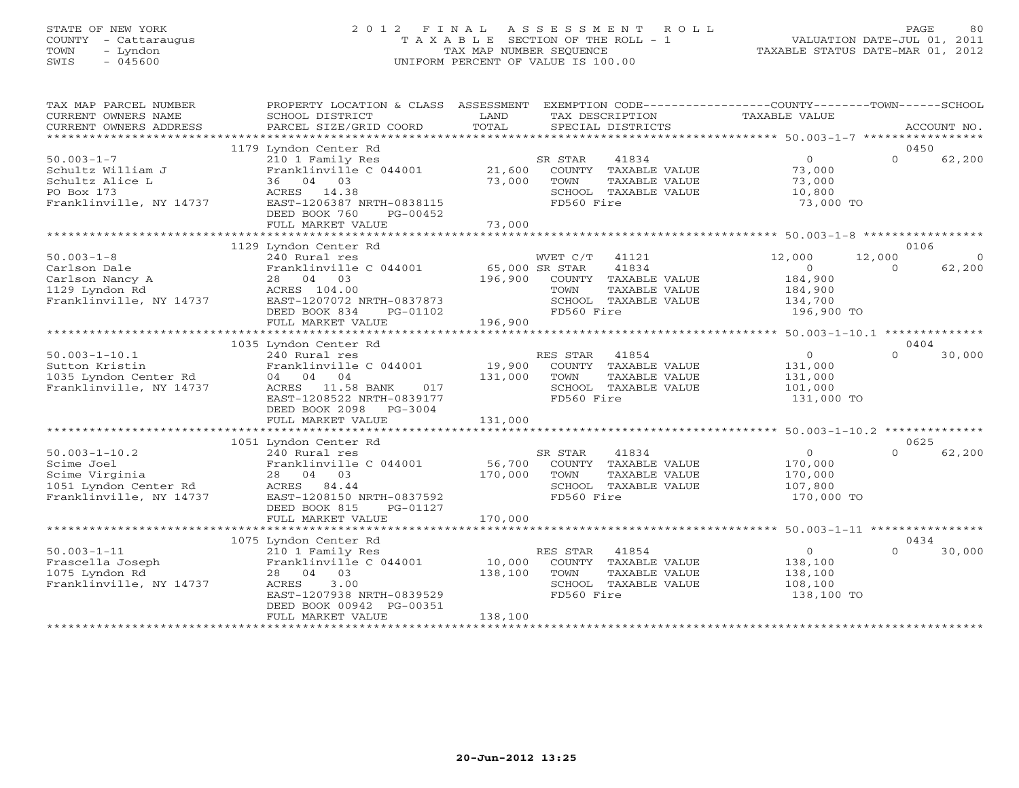# STATE OF NEW YORK 2 0 1 2 F I N A L A S S E S S M E N T R O L L PAGE 80 COUNTY - Cattaraugus T A X A B L E SECTION OF THE ROLL - 1 VALUATION DATE-JUL 01, 2011 TOWN - Lyndon TAX MAP NUMBER SEQUENCE TAXABLE STATUS DATE-MAR 01, 2012 SWIS - 045600 UNIFORM PERCENT OF VALUE IS 100.00

| TAX MAP PARCEL NUMBER<br>CURRENT OWNERS NAME<br>CURRENT OWNERS ADDRESS                                  | PROPERTY LOCATION & CLASS ASSESSMENT<br>SCHOOL DISTRICT<br>PARCEL SIZE/GRID COORD                                                                                                                         | LAND<br>TAX DESCRIPTION<br>TOTAL<br>SPECIAL DISTRICTS                                                                                          | EXEMPTION CODE-----------------COUNTY-------TOWN-----SCHOOL<br>TAXABLE VALUE<br>ACCOUNT NO.              |
|---------------------------------------------------------------------------------------------------------|-----------------------------------------------------------------------------------------------------------------------------------------------------------------------------------------------------------|------------------------------------------------------------------------------------------------------------------------------------------------|----------------------------------------------------------------------------------------------------------|
|                                                                                                         | 1179 Lyndon Center Rd                                                                                                                                                                                     |                                                                                                                                                | 0450                                                                                                     |
| $50.003 - 1 - 7$<br>Schultz William J<br>Schultz Alice L<br>PO Box 173<br>Franklinville, NY 14737       | 210 1 Family Res<br>Franklinville C 044001<br>36 04 03<br>ACRES 14.38<br>EAST-1206387 NRTH-0838115<br>DEED BOOK 760<br>PG-00452<br>FULL MARKET VALUE                                                      | 41834<br>SR STAR<br>21,600<br>COUNTY TAXABLE VALUE<br>73,000<br>TOWN<br>TAXABLE VALUE<br>SCHOOL TAXABLE VALUE<br>FD560 Fire<br>73,000          | $\overline{0}$<br>$\Omega$<br>62,200<br>73,000<br>73,000<br>10,800<br>73,000 TO                          |
|                                                                                                         |                                                                                                                                                                                                           |                                                                                                                                                |                                                                                                          |
| $50.003 - 1 - 8$<br>Carlson Dale<br>Carlson Nancy A<br>1129 Lyndon Rd<br>Franklinville, NY 14737        | 1129 Lyndon Center Rd<br>240 Rural res<br>Franklinville C 044001<br>28 04 03<br>ACRES 104.00<br>EAST-1207072 NRTH-0837873<br>DEED BOOK 834<br>PG-01102                                                    | WVET C/T<br>41121<br>41834<br>65,000 SR STAR<br>196,900<br>COUNTY TAXABLE VALUE<br>TOWN<br>TAXABLE VALUE<br>SCHOOL TAXABLE VALUE<br>FD560 Fire | 0106<br>12,000<br>12,000<br>62,200<br>$\circ$<br>$\Omega$<br>184,900<br>184,900<br>134,700<br>196,900 TO |
|                                                                                                         | FULL MARKET VALUE                                                                                                                                                                                         | 196,900                                                                                                                                        |                                                                                                          |
|                                                                                                         |                                                                                                                                                                                                           |                                                                                                                                                |                                                                                                          |
| $50.003 - 1 - 10.1$<br>Sutton Kristin<br>1035 Lyndon Center Rd<br>Franklinville, NY 14737               | 1035 Lyndon Center Rd<br>240 Rural res<br>Franklinville C 044001<br>04 04 04<br>ACRES 11.58 BANK<br>017<br>EAST-1208522 NRTH-0839177<br>DEED BOOK 2098<br>$PG-3004$                                       | RES STAR<br>41854<br>19,900<br>COUNTY TAXABLE VALUE<br>131,000<br>TOWN<br>TAXABLE VALUE<br>SCHOOL TAXABLE VALUE<br>FD560 Fire                  | 0404<br>$\circ$<br>$\Omega$<br>30,000<br>131,000<br>131,000<br>101,000<br>131,000 TO                     |
|                                                                                                         | FULL MARKET VALUE                                                                                                                                                                                         | 131,000                                                                                                                                        |                                                                                                          |
|                                                                                                         |                                                                                                                                                                                                           |                                                                                                                                                |                                                                                                          |
| $50.003 - 1 - 10.2$<br>Scime Joel<br>Scime Virginia<br>1051 Lyndon Center Rd<br>Franklinville, NY 14737 | 1051 Lyndon Center Rd<br>240 Rural res<br>Franklinville C 044001<br>28 04 03<br>ACRES 84.44<br>EAST-1208150 NRTH-0837592<br>DEED BOOK 815<br>PG-01127<br>FULL MARKET VALUE                                | SR STAR<br>41834<br>56,700<br>COUNTY<br>TAXABLE VALUE<br>170,000<br>TOWN<br>TAXABLE VALUE<br>SCHOOL TAXABLE VALUE<br>FD560 Fire<br>170,000     | 0625<br>$\circ$<br>$\cap$<br>62,200<br>170,000<br>170,000<br>107,800<br>170,000 TO                       |
|                                                                                                         |                                                                                                                                                                                                           |                                                                                                                                                |                                                                                                          |
| $50.003 - 1 - 11$<br>Frascella Joseph<br>1075 Lyndon Rd<br>Franklinville, NY 14737                      | 1075 Lyndon Center Rd<br>210 1 Family Res<br>Franklinville C 044001<br>28 04 03<br>ACRES<br>3.00<br>EAST-1207938 NRTH-0839529<br>DEED BOOK 00942 PG-00351<br>FULL MARKET VALUE<br>*********************** | 41854<br>RES STAR<br>10,000<br>COUNTY TAXABLE VALUE<br>138,100<br>TOWN<br>TAXABLE VALUE<br>SCHOOL TAXABLE VALUE<br>FD560 Fire<br>138,100       | 0434<br>$\circ$<br>30,000<br>$\Omega$<br>138,100<br>138,100<br>108,100<br>138,100 TO                     |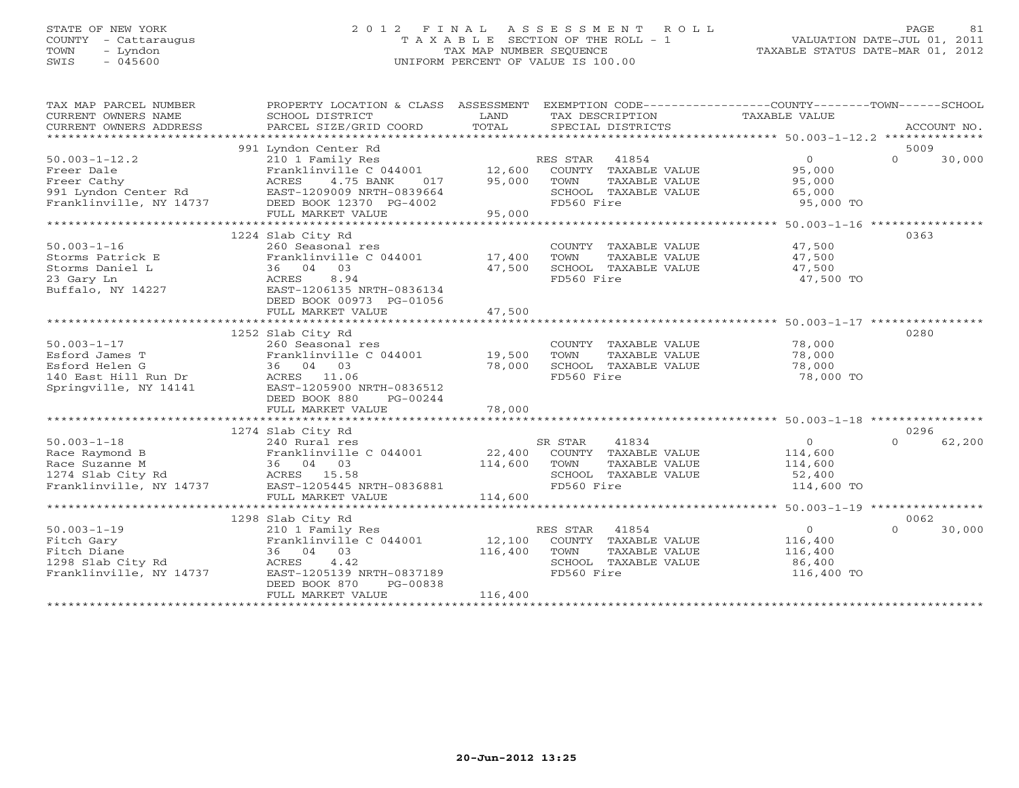#### STATE OF NEW YORK 2 0 1 2 F I N A L A S S E S S M E N T R O L L PAGE 81 COUNTY - Cattaraugus T A X A B L E SECTION OF THE ROLL - 1 VALUATION DATE-JUL 01, 2011 TOWN - Lyndon TAX MAP NUMBER SEQUENCE TAXABLE STATUS DATE-MAR 01, 2012 SWIS - 045600 UNIFORM PERCENT OF VALUE IS 100.00

| TAX MAP PARCEL NUMBER                           | PROPERTY LOCATION & CLASS ASSESSMENT |         | EXEMPTION CODE-----------------COUNTY-------TOWN------SCHOOL |                                                       |                    |
|-------------------------------------------------|--------------------------------------|---------|--------------------------------------------------------------|-------------------------------------------------------|--------------------|
|                                                 |                                      |         |                                                              |                                                       |                    |
|                                                 | 991 Lyndon Center Rd                 |         |                                                              |                                                       | 5009               |
| $50.003 - 1 - 12.2$                             | 210 1 Family Res                     |         | RES STAR<br>41854                                            | $\overline{0}$                                        | $\Omega$<br>30,000 |
| Freer Dale                                      | Franklinville C 044001               | 12,600  | COUNTY TAXABLE VALUE                                         | 95,000                                                |                    |
| Freer Cathy                                     | ACRES<br>4.75 BANK<br>017            | 95,000  | TOWN<br>TAXABLE VALUE                                        | 95,000                                                |                    |
| 991 Lyndon Center Rd<br>Franklinville. NY 14737 | EAST-1209009 NRTH-0839664            |         | SCHOOL TAXABLE VALUE                                         | 65,000                                                |                    |
| Franklinville, NY 14737                         | DEED BOOK 12370 PG-4002              |         | FD560 Fire                                                   | 95,000 TO                                             |                    |
|                                                 | FULL MARKET VALUE                    | 95,000  |                                                              |                                                       |                    |
|                                                 |                                      |         |                                                              | *********************** 50.003-1-16 ***************** |                    |
|                                                 | 1224 Slab City Rd                    |         |                                                              |                                                       | 0363               |
| $50.003 - 1 - 16$                               | 260 Seasonal res                     |         | COUNTY TAXABLE VALUE                                         | 47,500                                                |                    |
| Storms Patrick E                                | Franklinville C 044001               | 17,400  | TOWN<br>TAXABLE VALUE                                        | 47,500                                                |                    |
| Storms Daniel L                                 | 36 04 03                             | 47,500  | SCHOOL TAXABLE VALUE                                         | 47,500                                                |                    |
| 23 Gary Ln                                      | ACRES<br>8.94                        |         | FD560 Fire                                                   | 47,500 TO                                             |                    |
| Buffalo, NY 14227                               | EAST-1206135 NRTH-0836134            |         |                                                              |                                                       |                    |
|                                                 | DEED BOOK 00973 PG-01056             |         |                                                              |                                                       |                    |
|                                                 | FULL MARKET VALUE                    | 47,500  |                                                              |                                                       |                    |
|                                                 |                                      |         |                                                              |                                                       |                    |
|                                                 | 1252 Slab City Rd                    |         |                                                              |                                                       | 0280               |
| $50.003 - 1 - 17$                               | 260 Seasonal res                     |         | COUNTY TAXABLE VALUE                                         | 78,000                                                |                    |
| Esford James T                                  | Franklinville C 044001               | 19,500  | TOWN<br>TAXABLE VALUE                                        | 78,000                                                |                    |
| Esford Helen G                                  | 36 04 03                             | 78,000  | SCHOOL TAXABLE VALUE                                         | 78,000                                                |                    |
| 140 East Hill Run Dr                            | ACRES 11.06                          |         | FD560 Fire                                                   | 78,000 TO                                             |                    |
| Springville, NY 14141                           | EAST-1205900 NRTH-0836512            |         |                                                              |                                                       |                    |
|                                                 | DEED BOOK 880<br>PG-00244            |         |                                                              |                                                       |                    |
|                                                 | FULL MARKET VALUE                    | 78,000  |                                                              |                                                       |                    |
|                                                 |                                      |         |                                                              |                                                       |                    |
|                                                 | 1274 Slab City Rd                    |         |                                                              |                                                       | 0296               |
| $50.003 - 1 - 18$                               | 240 Rural res                        |         | SR STAR<br>41834                                             | $\Omega$                                              | $\Omega$<br>62,200 |
| Race Raymond B                                  | Franklinville C 044001 22,400        |         | COUNTY TAXABLE VALUE                                         | 114,600                                               |                    |
| Race Suzanne M                                  | 36 04 03                             | 114,600 | TOWN<br>TAXABLE VALUE                                        | 114,600                                               |                    |
| 1274 Slab City Rd                               | ACRES 15.58                          |         | SCHOOL TAXABLE VALUE                                         | 52,400                                                |                    |
| Franklinville, NY 14737                         | EAST-1205445 NRTH-0836881            |         | FD560 Fire                                                   | 114,600 TO                                            |                    |
|                                                 | FULL MARKET VALUE                    | 114,600 |                                                              |                                                       |                    |
|                                                 |                                      |         |                                                              |                                                       |                    |
|                                                 | 1298 Slab City Rd                    |         |                                                              |                                                       | 0062               |
| $50.003 - 1 - 19$                               | 210 1 Family Res                     |         | RES STAR<br>41854                                            | $\circ$                                               | 30,000<br>$\Omega$ |
| Fitch Gary                                      | Franklinville C 044001               | 12,100  | COUNTY TAXABLE VALUE                                         | 116,400                                               |                    |
| Fitch Diane                                     | 36 04 03                             | 116,400 | TOWN<br>TAXABLE VALUE                                        | 116,400                                               |                    |
| 1298 Slab City Rd                               | 4.42<br>ACRES                        |         | SCHOOL TAXABLE VALUE<br>FD560 Fire                           | 86,400                                                |                    |
| Franklinville, NY 14737                         | EAST-1205139 NRTH-0837189            |         |                                                              | 116,400 TO                                            |                    |
|                                                 | DEED BOOK 870<br>PG-00838            |         |                                                              |                                                       |                    |
|                                                 | FULL MARKET VALUE                    | 116,400 |                                                              |                                                       |                    |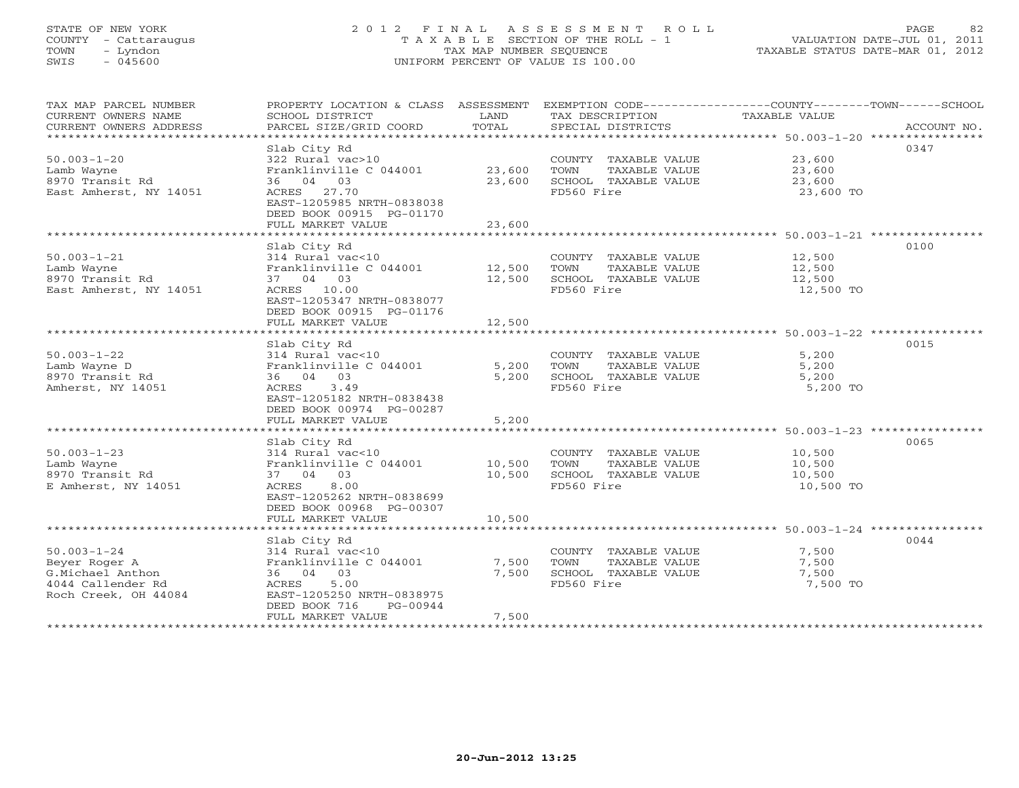#### STATE OF NEW YORK 2 0 1 2 F I N A L A S S E S S M E N T R O L L PAGE 82 COUNTY - Cattaraugus T A X A B L E SECTION OF THE ROLL - 1 VALUATION DATE-JUL 01, 2011 TOWN - Lyndon TAX MAP NUMBER SEQUENCE TAXABLE STATUS DATE-MAR 01, 2012 SWIS - 045600 UNIFORM PERCENT OF VALUE IS 100.00

| TAX MAP PARCEL NUMBER  | PROPERTY LOCATION & CLASS ASSESSMENT EXEMPTION CODE---------------COUNTY-------TOWN------SCHOOL |        |                       |               |             |
|------------------------|-------------------------------------------------------------------------------------------------|--------|-----------------------|---------------|-------------|
| CURRENT OWNERS NAME    | SCHOOL DISTRICT                                                                                 | LAND   | TAX DESCRIPTION       | TAXABLE VALUE |             |
| CURRENT OWNERS ADDRESS | PARCEL SIZE/GRID COORD                                                                          | TOTAL  | SPECIAL DISTRICTS     |               | ACCOUNT NO. |
|                        |                                                                                                 |        |                       |               |             |
|                        | Slab City Rd                                                                                    |        |                       |               | 0347        |
| $50.003 - 1 - 20$      | 322 Rural vac>10                                                                                |        | COUNTY TAXABLE VALUE  | 23,600        |             |
| Lamb Wayne             | Franklinville C 044001                                                                          | 23,600 | TOWN<br>TAXABLE VALUE | 23,600        |             |
| 8970 Transit Rd        | 36 04 03                                                                                        | 23,600 | SCHOOL TAXABLE VALUE  | 23,600        |             |
| East Amherst, NY 14051 | ACRES 27.70                                                                                     |        | FD560 Fire            | 23,600 TO     |             |
|                        | EAST-1205985 NRTH-0838038                                                                       |        |                       |               |             |
|                        | DEED BOOK 00915 PG-01170                                                                        |        |                       |               |             |
|                        | FULL MARKET VALUE                                                                               | 23,600 |                       |               |             |
|                        |                                                                                                 |        |                       |               |             |
|                        | Slab City Rd                                                                                    |        |                       |               | 0100        |
| $50.003 - 1 - 21$      | 314 Rural vac<10                                                                                |        | COUNTY TAXABLE VALUE  | 12,500        |             |
| Lamb Wayne             | Franklinville C 044001 12,500                                                                   |        | TOWN<br>TAXABLE VALUE | 12,500        |             |
| 8970 Transit Rd        | 37 04 03                                                                                        | 12,500 | SCHOOL TAXABLE VALUE  | 12,500        |             |
| East Amherst, NY 14051 | ACRES 10.00                                                                                     |        | FD560 Fire            | 12,500 TO     |             |
|                        | EAST-1205347 NRTH-0838077                                                                       |        |                       |               |             |
|                        | DEED BOOK 00915 PG-01176                                                                        |        |                       |               |             |
|                        | FULL MARKET VALUE                                                                               | 12,500 |                       |               |             |
|                        |                                                                                                 |        |                       |               |             |
|                        | Slab City Rd                                                                                    |        |                       |               | 0015        |
| $50.003 - 1 - 22$      | 314 Rural vac<10                                                                                |        | COUNTY TAXABLE VALUE  | 5,200         |             |
| Lamb Wayne D           | Franklinville C 044001                                                                          | 5,200  | TAXABLE VALUE<br>TOWN | 5,200         |             |
| 8970 Transit Rd        | 36 04 03                                                                                        | 5,200  | SCHOOL TAXABLE VALUE  | 5,200         |             |
| Amherst, NY 14051      | ACRES 3.49                                                                                      |        | FD560 Fire            | 5,200 TO      |             |
|                        | EAST-1205182 NRTH-0838438                                                                       |        |                       |               |             |
|                        | DEED BOOK 00974 PG-00287                                                                        |        |                       |               |             |
|                        | FULL MARKET VALUE                                                                               | 5,200  |                       |               |             |
|                        |                                                                                                 |        |                       |               |             |
|                        | Slab City Rd                                                                                    |        |                       |               | 0065        |
| $50.003 - 1 - 23$      | 314 Rural vac<10                                                                                |        | COUNTY TAXABLE VALUE  | 10,500        |             |
| Lamb Wayne             | Franklinville C 044001                                                                          | 10,500 | TOWN<br>TAXABLE VALUE | 10,500        |             |
| 8970 Transit Rd        | 37 04 03                                                                                        | 10,500 | SCHOOL TAXABLE VALUE  | 10,500        |             |
| E Amherst, NY 14051    | 8.00<br>ACRES                                                                                   |        | FD560 Fire            | 10,500 TO     |             |
|                        | EAST-1205262 NRTH-0838699                                                                       |        |                       |               |             |
|                        | DEED BOOK 00968 PG-00307                                                                        |        |                       |               |             |
|                        | FULL MARKET VALUE                                                                               | 10,500 |                       |               |             |
|                        |                                                                                                 |        |                       |               |             |
|                        | Slab City Rd                                                                                    |        |                       |               | 0044        |
| $50.003 - 1 - 24$      | 314 Rural vac<10                                                                                |        | COUNTY TAXABLE VALUE  | 7,500         |             |
| Beyer Roger A          | Franklinville C 044001                                                                          | 7,500  | TOWN<br>TAXABLE VALUE | 7,500         |             |
| G.Michael Anthon       | 36 04 03                                                                                        | 7,500  | SCHOOL TAXABLE VALUE  | 7,500         |             |
| 4044 Callender Rd      | 5.00<br>ACRES                                                                                   |        | FD560 Fire            | 7,500 TO      |             |
| Roch Creek, OH 44084   | EAST-1205250 NRTH-0838975                                                                       |        |                       |               |             |
|                        | DEED BOOK 716<br>PG-00944                                                                       |        |                       |               |             |
|                        | FULL MARKET VALUE                                                                               | 7,500  |                       |               |             |
|                        |                                                                                                 |        |                       |               |             |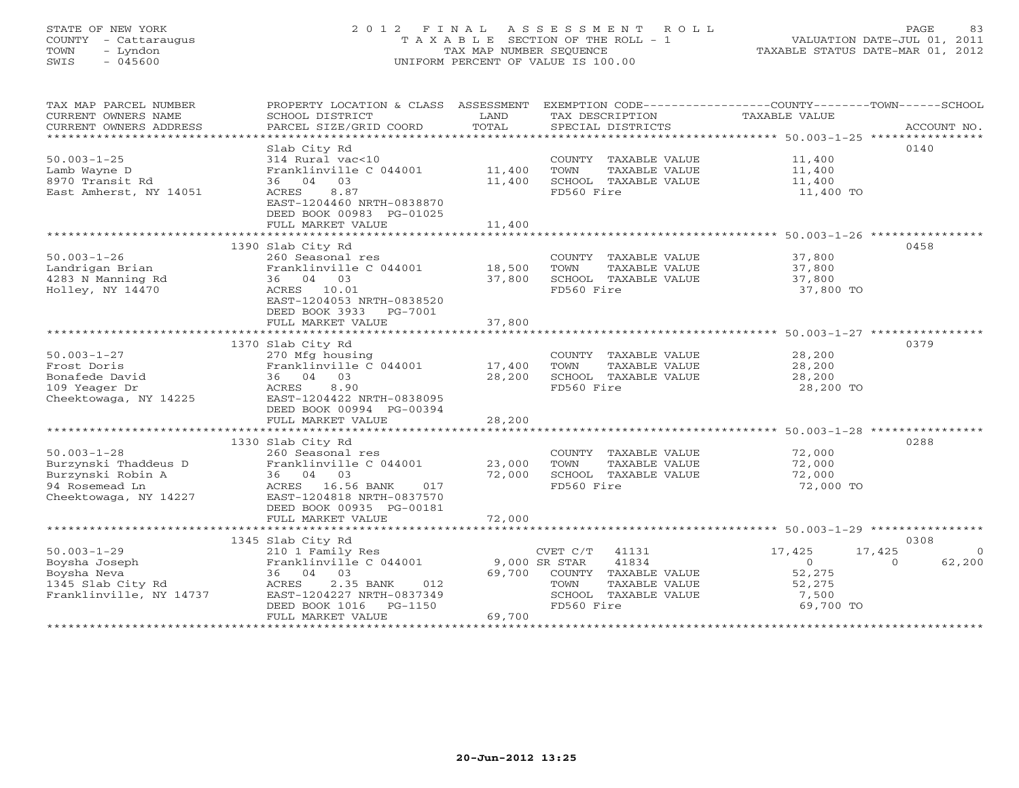# STATE OF NEW YORK 2 0 1 2 F I N A L A S S E S S M E N T R O L L PAGE 83 COUNTY - Cattaraugus T A X A B L E SECTION OF THE ROLL - 1 VALUATION DATE-JUL 01, 2011 TOWN - Lyndon TAX MAP NUMBER SEQUENCE TAXABLE STATUS DATE-MAR 01, 2012 SWIS - 045600 UNIFORM PERCENT OF VALUE IS 100.00

| TAXABLE VALUE<br>CURRENT OWNERS NAME<br>SCHOOL DISTRICT<br>LAND<br>TAX DESCRIPTION<br>.CURRENT OWNERS ADDRESS PARCEL SIZE/GRID COORD TOTAL SPECIAL DISTRICTS ACCOUNT NO ACCOUNT NO ACCOUNT NO ARE A LATA A LATA A LATA A LATA A LATA A LATA A LATA A LATA A LATA A LATA A LATA A LATA A LATA A LATA A LATA A LATA A<br>0140<br>Slab City Rd<br>$50.003 - 1 - 25$<br>11,400<br>314 Rural vac<10<br>COUNTY TAXABLE VALUE<br>Franklinville C 044001 11,400<br>11,400<br>Lamb Wayne D<br>TOWN<br>TAXABLE VALUE<br>11,400<br>8970 Transit Rd<br>SCHOOL TAXABLE VALUE<br>36 04 03<br>11,400<br>8.87<br>FD560 Fire<br>East Amherst, NY 14051<br>ACRES<br>11,400 TO<br>EAST-1204460 NRTH-0838870<br>DEED BOOK 00983 PG-01025<br>11,400<br>FULL MARKET VALUE<br>0458<br>1390 Slab City Rd<br>$50.003 - 1 - 26$<br>COUNTY TAXABLE VALUE<br>37,800<br>260 Seasonal res<br>Franklinville C 044001 18,500<br>Landrigan Brian<br>TOWN<br>TAXABLE VALUE<br>37,800<br>37,800<br>4283 N Manning Rd<br>37,800<br>SCHOOL TAXABLE VALUE<br>36 04 03<br>Holley, NY 14470<br>ACRES 10.01<br>FD560 Fire<br>37,800 TO<br>EAST-1204053 NRTH-0838520<br>DEED BOOK 3933 PG-7001<br>FULL MARKET VALUE<br>37,800<br>0379<br>1370 Slab City Rd<br>$50.003 - 1 - 27$<br>28,200<br>COUNTY TAXABLE VALUE<br>270 Mfg housing<br>Franklinville C 044001               17,400<br>TAXABLE VALUE<br>28,200<br>Frost Doris<br>TOWN<br>Bonafede David<br>36 04 03<br>28,200<br>SCHOOL TAXABLE VALUE<br>28,200<br>109 Yeager Dr<br>ACRES 8.90<br>FD560 Fire<br>28,200 TO<br>Cheektowaga, NY 14225<br>EAST-1204422 NRTH-0838095<br>DEED BOOK 00994 PG-00394<br>FULL MARKET VALUE<br>28,200<br>0288<br>1330 Slab City Rd<br>$50.003 - 1 - 28$<br>72,000<br>260 Seasonal res<br>COUNTY TAXABLE VALUE<br>Franklinville C 044001 23,000<br>Burzynski Thaddeus D<br>TAXABLE VALUE<br>72,000<br>TOWN<br>Burzynski Robin A<br>36 04 03<br>ACRES 16.56 BANK<br>72,000<br>SCHOOL TAXABLE VALUE<br>72,000<br>94 Rosemead Ln<br>FD560 Fire<br>72,000 TO<br>017<br>Cheektowaga, NY 14227<br>EAST-1204818 NRTH-0837570<br>DEED BOOK 00935 PG-00181<br>0308<br>1345 Slab City Rd<br>$50.003 - 1 - 29$<br>$CVET C/T$ 41131<br>17,425<br>17,425<br>210 1 Family Res<br>$\overline{0}$<br>Boysha Joseph<br>Boysha Neva<br>1345 Slab City Rd<br>Franklinville, NY 14737<br>EAST-1<br>Franklinville C 044001<br>41834<br>62,200<br>9,000 SR STAR<br>$\overline{0}$<br>$\Omega$<br>36 04 03<br>69,700 COUNTY TAXABLE VALUE<br>52,275<br>52,275<br>2.35 BANK<br>012<br>TOWN<br>TAXABLE VALUE<br>EAST-1204227 NRTH-0837349<br>SCHOOL TAXABLE VALUE<br>7,500<br>69,700 TO<br>DEED BOOK 1016    PG-1150<br>FD560 Fire<br>69,700<br>FULL MARKET VALUE | TAX MAP PARCEL NUMBER |  | PROPERTY LOCATION & CLASS ASSESSMENT EXEMPTION CODE----------------COUNTY-------TOWN------SCHOOL |
|------------------------------------------------------------------------------------------------------------------------------------------------------------------------------------------------------------------------------------------------------------------------------------------------------------------------------------------------------------------------------------------------------------------------------------------------------------------------------------------------------------------------------------------------------------------------------------------------------------------------------------------------------------------------------------------------------------------------------------------------------------------------------------------------------------------------------------------------------------------------------------------------------------------------------------------------------------------------------------------------------------------------------------------------------------------------------------------------------------------------------------------------------------------------------------------------------------------------------------------------------------------------------------------------------------------------------------------------------------------------------------------------------------------------------------------------------------------------------------------------------------------------------------------------------------------------------------------------------------------------------------------------------------------------------------------------------------------------------------------------------------------------------------------------------------------------------------------------------------------------------------------------------------------------------------------------------------------------------------------------------------------------------------------------------------------------------------------------------------------------------------------------------------------------------------------------------------------------------------------------------------------------------------------------------------------------------------------------------------------------------------------------------------------------------------------------------------------------------------------------------------------------------------------------------------------------------------------------------------------------------------------------------------------------------------|-----------------------|--|--------------------------------------------------------------------------------------------------|
|                                                                                                                                                                                                                                                                                                                                                                                                                                                                                                                                                                                                                                                                                                                                                                                                                                                                                                                                                                                                                                                                                                                                                                                                                                                                                                                                                                                                                                                                                                                                                                                                                                                                                                                                                                                                                                                                                                                                                                                                                                                                                                                                                                                                                                                                                                                                                                                                                                                                                                                                                                                                                                                                                    |                       |  |                                                                                                  |
|                                                                                                                                                                                                                                                                                                                                                                                                                                                                                                                                                                                                                                                                                                                                                                                                                                                                                                                                                                                                                                                                                                                                                                                                                                                                                                                                                                                                                                                                                                                                                                                                                                                                                                                                                                                                                                                                                                                                                                                                                                                                                                                                                                                                                                                                                                                                                                                                                                                                                                                                                                                                                                                                                    |                       |  |                                                                                                  |
|                                                                                                                                                                                                                                                                                                                                                                                                                                                                                                                                                                                                                                                                                                                                                                                                                                                                                                                                                                                                                                                                                                                                                                                                                                                                                                                                                                                                                                                                                                                                                                                                                                                                                                                                                                                                                                                                                                                                                                                                                                                                                                                                                                                                                                                                                                                                                                                                                                                                                                                                                                                                                                                                                    |                       |  |                                                                                                  |
|                                                                                                                                                                                                                                                                                                                                                                                                                                                                                                                                                                                                                                                                                                                                                                                                                                                                                                                                                                                                                                                                                                                                                                                                                                                                                                                                                                                                                                                                                                                                                                                                                                                                                                                                                                                                                                                                                                                                                                                                                                                                                                                                                                                                                                                                                                                                                                                                                                                                                                                                                                                                                                                                                    |                       |  |                                                                                                  |
|                                                                                                                                                                                                                                                                                                                                                                                                                                                                                                                                                                                                                                                                                                                                                                                                                                                                                                                                                                                                                                                                                                                                                                                                                                                                                                                                                                                                                                                                                                                                                                                                                                                                                                                                                                                                                                                                                                                                                                                                                                                                                                                                                                                                                                                                                                                                                                                                                                                                                                                                                                                                                                                                                    |                       |  |                                                                                                  |
|                                                                                                                                                                                                                                                                                                                                                                                                                                                                                                                                                                                                                                                                                                                                                                                                                                                                                                                                                                                                                                                                                                                                                                                                                                                                                                                                                                                                                                                                                                                                                                                                                                                                                                                                                                                                                                                                                                                                                                                                                                                                                                                                                                                                                                                                                                                                                                                                                                                                                                                                                                                                                                                                                    |                       |  |                                                                                                  |
|                                                                                                                                                                                                                                                                                                                                                                                                                                                                                                                                                                                                                                                                                                                                                                                                                                                                                                                                                                                                                                                                                                                                                                                                                                                                                                                                                                                                                                                                                                                                                                                                                                                                                                                                                                                                                                                                                                                                                                                                                                                                                                                                                                                                                                                                                                                                                                                                                                                                                                                                                                                                                                                                                    |                       |  |                                                                                                  |
|                                                                                                                                                                                                                                                                                                                                                                                                                                                                                                                                                                                                                                                                                                                                                                                                                                                                                                                                                                                                                                                                                                                                                                                                                                                                                                                                                                                                                                                                                                                                                                                                                                                                                                                                                                                                                                                                                                                                                                                                                                                                                                                                                                                                                                                                                                                                                                                                                                                                                                                                                                                                                                                                                    |                       |  |                                                                                                  |
|                                                                                                                                                                                                                                                                                                                                                                                                                                                                                                                                                                                                                                                                                                                                                                                                                                                                                                                                                                                                                                                                                                                                                                                                                                                                                                                                                                                                                                                                                                                                                                                                                                                                                                                                                                                                                                                                                                                                                                                                                                                                                                                                                                                                                                                                                                                                                                                                                                                                                                                                                                                                                                                                                    |                       |  |                                                                                                  |
|                                                                                                                                                                                                                                                                                                                                                                                                                                                                                                                                                                                                                                                                                                                                                                                                                                                                                                                                                                                                                                                                                                                                                                                                                                                                                                                                                                                                                                                                                                                                                                                                                                                                                                                                                                                                                                                                                                                                                                                                                                                                                                                                                                                                                                                                                                                                                                                                                                                                                                                                                                                                                                                                                    |                       |  |                                                                                                  |
|                                                                                                                                                                                                                                                                                                                                                                                                                                                                                                                                                                                                                                                                                                                                                                                                                                                                                                                                                                                                                                                                                                                                                                                                                                                                                                                                                                                                                                                                                                                                                                                                                                                                                                                                                                                                                                                                                                                                                                                                                                                                                                                                                                                                                                                                                                                                                                                                                                                                                                                                                                                                                                                                                    |                       |  |                                                                                                  |
|                                                                                                                                                                                                                                                                                                                                                                                                                                                                                                                                                                                                                                                                                                                                                                                                                                                                                                                                                                                                                                                                                                                                                                                                                                                                                                                                                                                                                                                                                                                                                                                                                                                                                                                                                                                                                                                                                                                                                                                                                                                                                                                                                                                                                                                                                                                                                                                                                                                                                                                                                                                                                                                                                    |                       |  |                                                                                                  |
|                                                                                                                                                                                                                                                                                                                                                                                                                                                                                                                                                                                                                                                                                                                                                                                                                                                                                                                                                                                                                                                                                                                                                                                                                                                                                                                                                                                                                                                                                                                                                                                                                                                                                                                                                                                                                                                                                                                                                                                                                                                                                                                                                                                                                                                                                                                                                                                                                                                                                                                                                                                                                                                                                    |                       |  |                                                                                                  |
|                                                                                                                                                                                                                                                                                                                                                                                                                                                                                                                                                                                                                                                                                                                                                                                                                                                                                                                                                                                                                                                                                                                                                                                                                                                                                                                                                                                                                                                                                                                                                                                                                                                                                                                                                                                                                                                                                                                                                                                                                                                                                                                                                                                                                                                                                                                                                                                                                                                                                                                                                                                                                                                                                    |                       |  |                                                                                                  |
|                                                                                                                                                                                                                                                                                                                                                                                                                                                                                                                                                                                                                                                                                                                                                                                                                                                                                                                                                                                                                                                                                                                                                                                                                                                                                                                                                                                                                                                                                                                                                                                                                                                                                                                                                                                                                                                                                                                                                                                                                                                                                                                                                                                                                                                                                                                                                                                                                                                                                                                                                                                                                                                                                    |                       |  |                                                                                                  |
|                                                                                                                                                                                                                                                                                                                                                                                                                                                                                                                                                                                                                                                                                                                                                                                                                                                                                                                                                                                                                                                                                                                                                                                                                                                                                                                                                                                                                                                                                                                                                                                                                                                                                                                                                                                                                                                                                                                                                                                                                                                                                                                                                                                                                                                                                                                                                                                                                                                                                                                                                                                                                                                                                    |                       |  |                                                                                                  |
|                                                                                                                                                                                                                                                                                                                                                                                                                                                                                                                                                                                                                                                                                                                                                                                                                                                                                                                                                                                                                                                                                                                                                                                                                                                                                                                                                                                                                                                                                                                                                                                                                                                                                                                                                                                                                                                                                                                                                                                                                                                                                                                                                                                                                                                                                                                                                                                                                                                                                                                                                                                                                                                                                    |                       |  |                                                                                                  |
|                                                                                                                                                                                                                                                                                                                                                                                                                                                                                                                                                                                                                                                                                                                                                                                                                                                                                                                                                                                                                                                                                                                                                                                                                                                                                                                                                                                                                                                                                                                                                                                                                                                                                                                                                                                                                                                                                                                                                                                                                                                                                                                                                                                                                                                                                                                                                                                                                                                                                                                                                                                                                                                                                    |                       |  |                                                                                                  |
|                                                                                                                                                                                                                                                                                                                                                                                                                                                                                                                                                                                                                                                                                                                                                                                                                                                                                                                                                                                                                                                                                                                                                                                                                                                                                                                                                                                                                                                                                                                                                                                                                                                                                                                                                                                                                                                                                                                                                                                                                                                                                                                                                                                                                                                                                                                                                                                                                                                                                                                                                                                                                                                                                    |                       |  |                                                                                                  |
|                                                                                                                                                                                                                                                                                                                                                                                                                                                                                                                                                                                                                                                                                                                                                                                                                                                                                                                                                                                                                                                                                                                                                                                                                                                                                                                                                                                                                                                                                                                                                                                                                                                                                                                                                                                                                                                                                                                                                                                                                                                                                                                                                                                                                                                                                                                                                                                                                                                                                                                                                                                                                                                                                    |                       |  |                                                                                                  |
|                                                                                                                                                                                                                                                                                                                                                                                                                                                                                                                                                                                                                                                                                                                                                                                                                                                                                                                                                                                                                                                                                                                                                                                                                                                                                                                                                                                                                                                                                                                                                                                                                                                                                                                                                                                                                                                                                                                                                                                                                                                                                                                                                                                                                                                                                                                                                                                                                                                                                                                                                                                                                                                                                    |                       |  |                                                                                                  |
|                                                                                                                                                                                                                                                                                                                                                                                                                                                                                                                                                                                                                                                                                                                                                                                                                                                                                                                                                                                                                                                                                                                                                                                                                                                                                                                                                                                                                                                                                                                                                                                                                                                                                                                                                                                                                                                                                                                                                                                                                                                                                                                                                                                                                                                                                                                                                                                                                                                                                                                                                                                                                                                                                    |                       |  |                                                                                                  |
|                                                                                                                                                                                                                                                                                                                                                                                                                                                                                                                                                                                                                                                                                                                                                                                                                                                                                                                                                                                                                                                                                                                                                                                                                                                                                                                                                                                                                                                                                                                                                                                                                                                                                                                                                                                                                                                                                                                                                                                                                                                                                                                                                                                                                                                                                                                                                                                                                                                                                                                                                                                                                                                                                    |                       |  |                                                                                                  |
|                                                                                                                                                                                                                                                                                                                                                                                                                                                                                                                                                                                                                                                                                                                                                                                                                                                                                                                                                                                                                                                                                                                                                                                                                                                                                                                                                                                                                                                                                                                                                                                                                                                                                                                                                                                                                                                                                                                                                                                                                                                                                                                                                                                                                                                                                                                                                                                                                                                                                                                                                                                                                                                                                    |                       |  |                                                                                                  |
|                                                                                                                                                                                                                                                                                                                                                                                                                                                                                                                                                                                                                                                                                                                                                                                                                                                                                                                                                                                                                                                                                                                                                                                                                                                                                                                                                                                                                                                                                                                                                                                                                                                                                                                                                                                                                                                                                                                                                                                                                                                                                                                                                                                                                                                                                                                                                                                                                                                                                                                                                                                                                                                                                    |                       |  |                                                                                                  |
|                                                                                                                                                                                                                                                                                                                                                                                                                                                                                                                                                                                                                                                                                                                                                                                                                                                                                                                                                                                                                                                                                                                                                                                                                                                                                                                                                                                                                                                                                                                                                                                                                                                                                                                                                                                                                                                                                                                                                                                                                                                                                                                                                                                                                                                                                                                                                                                                                                                                                                                                                                                                                                                                                    |                       |  |                                                                                                  |
|                                                                                                                                                                                                                                                                                                                                                                                                                                                                                                                                                                                                                                                                                                                                                                                                                                                                                                                                                                                                                                                                                                                                                                                                                                                                                                                                                                                                                                                                                                                                                                                                                                                                                                                                                                                                                                                                                                                                                                                                                                                                                                                                                                                                                                                                                                                                                                                                                                                                                                                                                                                                                                                                                    |                       |  |                                                                                                  |
|                                                                                                                                                                                                                                                                                                                                                                                                                                                                                                                                                                                                                                                                                                                                                                                                                                                                                                                                                                                                                                                                                                                                                                                                                                                                                                                                                                                                                                                                                                                                                                                                                                                                                                                                                                                                                                                                                                                                                                                                                                                                                                                                                                                                                                                                                                                                                                                                                                                                                                                                                                                                                                                                                    |                       |  |                                                                                                  |
|                                                                                                                                                                                                                                                                                                                                                                                                                                                                                                                                                                                                                                                                                                                                                                                                                                                                                                                                                                                                                                                                                                                                                                                                                                                                                                                                                                                                                                                                                                                                                                                                                                                                                                                                                                                                                                                                                                                                                                                                                                                                                                                                                                                                                                                                                                                                                                                                                                                                                                                                                                                                                                                                                    |                       |  |                                                                                                  |
|                                                                                                                                                                                                                                                                                                                                                                                                                                                                                                                                                                                                                                                                                                                                                                                                                                                                                                                                                                                                                                                                                                                                                                                                                                                                                                                                                                                                                                                                                                                                                                                                                                                                                                                                                                                                                                                                                                                                                                                                                                                                                                                                                                                                                                                                                                                                                                                                                                                                                                                                                                                                                                                                                    |                       |  |                                                                                                  |
|                                                                                                                                                                                                                                                                                                                                                                                                                                                                                                                                                                                                                                                                                                                                                                                                                                                                                                                                                                                                                                                                                                                                                                                                                                                                                                                                                                                                                                                                                                                                                                                                                                                                                                                                                                                                                                                                                                                                                                                                                                                                                                                                                                                                                                                                                                                                                                                                                                                                                                                                                                                                                                                                                    |                       |  |                                                                                                  |
|                                                                                                                                                                                                                                                                                                                                                                                                                                                                                                                                                                                                                                                                                                                                                                                                                                                                                                                                                                                                                                                                                                                                                                                                                                                                                                                                                                                                                                                                                                                                                                                                                                                                                                                                                                                                                                                                                                                                                                                                                                                                                                                                                                                                                                                                                                                                                                                                                                                                                                                                                                                                                                                                                    |                       |  |                                                                                                  |
|                                                                                                                                                                                                                                                                                                                                                                                                                                                                                                                                                                                                                                                                                                                                                                                                                                                                                                                                                                                                                                                                                                                                                                                                                                                                                                                                                                                                                                                                                                                                                                                                                                                                                                                                                                                                                                                                                                                                                                                                                                                                                                                                                                                                                                                                                                                                                                                                                                                                                                                                                                                                                                                                                    |                       |  |                                                                                                  |
|                                                                                                                                                                                                                                                                                                                                                                                                                                                                                                                                                                                                                                                                                                                                                                                                                                                                                                                                                                                                                                                                                                                                                                                                                                                                                                                                                                                                                                                                                                                                                                                                                                                                                                                                                                                                                                                                                                                                                                                                                                                                                                                                                                                                                                                                                                                                                                                                                                                                                                                                                                                                                                                                                    |                       |  |                                                                                                  |
|                                                                                                                                                                                                                                                                                                                                                                                                                                                                                                                                                                                                                                                                                                                                                                                                                                                                                                                                                                                                                                                                                                                                                                                                                                                                                                                                                                                                                                                                                                                                                                                                                                                                                                                                                                                                                                                                                                                                                                                                                                                                                                                                                                                                                                                                                                                                                                                                                                                                                                                                                                                                                                                                                    |                       |  |                                                                                                  |
|                                                                                                                                                                                                                                                                                                                                                                                                                                                                                                                                                                                                                                                                                                                                                                                                                                                                                                                                                                                                                                                                                                                                                                                                                                                                                                                                                                                                                                                                                                                                                                                                                                                                                                                                                                                                                                                                                                                                                                                                                                                                                                                                                                                                                                                                                                                                                                                                                                                                                                                                                                                                                                                                                    |                       |  |                                                                                                  |
|                                                                                                                                                                                                                                                                                                                                                                                                                                                                                                                                                                                                                                                                                                                                                                                                                                                                                                                                                                                                                                                                                                                                                                                                                                                                                                                                                                                                                                                                                                                                                                                                                                                                                                                                                                                                                                                                                                                                                                                                                                                                                                                                                                                                                                                                                                                                                                                                                                                                                                                                                                                                                                                                                    |                       |  |                                                                                                  |
|                                                                                                                                                                                                                                                                                                                                                                                                                                                                                                                                                                                                                                                                                                                                                                                                                                                                                                                                                                                                                                                                                                                                                                                                                                                                                                                                                                                                                                                                                                                                                                                                                                                                                                                                                                                                                                                                                                                                                                                                                                                                                                                                                                                                                                                                                                                                                                                                                                                                                                                                                                                                                                                                                    |                       |  |                                                                                                  |
|                                                                                                                                                                                                                                                                                                                                                                                                                                                                                                                                                                                                                                                                                                                                                                                                                                                                                                                                                                                                                                                                                                                                                                                                                                                                                                                                                                                                                                                                                                                                                                                                                                                                                                                                                                                                                                                                                                                                                                                                                                                                                                                                                                                                                                                                                                                                                                                                                                                                                                                                                                                                                                                                                    |                       |  |                                                                                                  |
|                                                                                                                                                                                                                                                                                                                                                                                                                                                                                                                                                                                                                                                                                                                                                                                                                                                                                                                                                                                                                                                                                                                                                                                                                                                                                                                                                                                                                                                                                                                                                                                                                                                                                                                                                                                                                                                                                                                                                                                                                                                                                                                                                                                                                                                                                                                                                                                                                                                                                                                                                                                                                                                                                    |                       |  |                                                                                                  |
|                                                                                                                                                                                                                                                                                                                                                                                                                                                                                                                                                                                                                                                                                                                                                                                                                                                                                                                                                                                                                                                                                                                                                                                                                                                                                                                                                                                                                                                                                                                                                                                                                                                                                                                                                                                                                                                                                                                                                                                                                                                                                                                                                                                                                                                                                                                                                                                                                                                                                                                                                                                                                                                                                    |                       |  |                                                                                                  |
|                                                                                                                                                                                                                                                                                                                                                                                                                                                                                                                                                                                                                                                                                                                                                                                                                                                                                                                                                                                                                                                                                                                                                                                                                                                                                                                                                                                                                                                                                                                                                                                                                                                                                                                                                                                                                                                                                                                                                                                                                                                                                                                                                                                                                                                                                                                                                                                                                                                                                                                                                                                                                                                                                    |                       |  |                                                                                                  |
|                                                                                                                                                                                                                                                                                                                                                                                                                                                                                                                                                                                                                                                                                                                                                                                                                                                                                                                                                                                                                                                                                                                                                                                                                                                                                                                                                                                                                                                                                                                                                                                                                                                                                                                                                                                                                                                                                                                                                                                                                                                                                                                                                                                                                                                                                                                                                                                                                                                                                                                                                                                                                                                                                    |                       |  |                                                                                                  |
|                                                                                                                                                                                                                                                                                                                                                                                                                                                                                                                                                                                                                                                                                                                                                                                                                                                                                                                                                                                                                                                                                                                                                                                                                                                                                                                                                                                                                                                                                                                                                                                                                                                                                                                                                                                                                                                                                                                                                                                                                                                                                                                                                                                                                                                                                                                                                                                                                                                                                                                                                                                                                                                                                    |                       |  |                                                                                                  |
|                                                                                                                                                                                                                                                                                                                                                                                                                                                                                                                                                                                                                                                                                                                                                                                                                                                                                                                                                                                                                                                                                                                                                                                                                                                                                                                                                                                                                                                                                                                                                                                                                                                                                                                                                                                                                                                                                                                                                                                                                                                                                                                                                                                                                                                                                                                                                                                                                                                                                                                                                                                                                                                                                    |                       |  |                                                                                                  |
|                                                                                                                                                                                                                                                                                                                                                                                                                                                                                                                                                                                                                                                                                                                                                                                                                                                                                                                                                                                                                                                                                                                                                                                                                                                                                                                                                                                                                                                                                                                                                                                                                                                                                                                                                                                                                                                                                                                                                                                                                                                                                                                                                                                                                                                                                                                                                                                                                                                                                                                                                                                                                                                                                    |                       |  |                                                                                                  |
|                                                                                                                                                                                                                                                                                                                                                                                                                                                                                                                                                                                                                                                                                                                                                                                                                                                                                                                                                                                                                                                                                                                                                                                                                                                                                                                                                                                                                                                                                                                                                                                                                                                                                                                                                                                                                                                                                                                                                                                                                                                                                                                                                                                                                                                                                                                                                                                                                                                                                                                                                                                                                                                                                    |                       |  |                                                                                                  |
|                                                                                                                                                                                                                                                                                                                                                                                                                                                                                                                                                                                                                                                                                                                                                                                                                                                                                                                                                                                                                                                                                                                                                                                                                                                                                                                                                                                                                                                                                                                                                                                                                                                                                                                                                                                                                                                                                                                                                                                                                                                                                                                                                                                                                                                                                                                                                                                                                                                                                                                                                                                                                                                                                    |                       |  |                                                                                                  |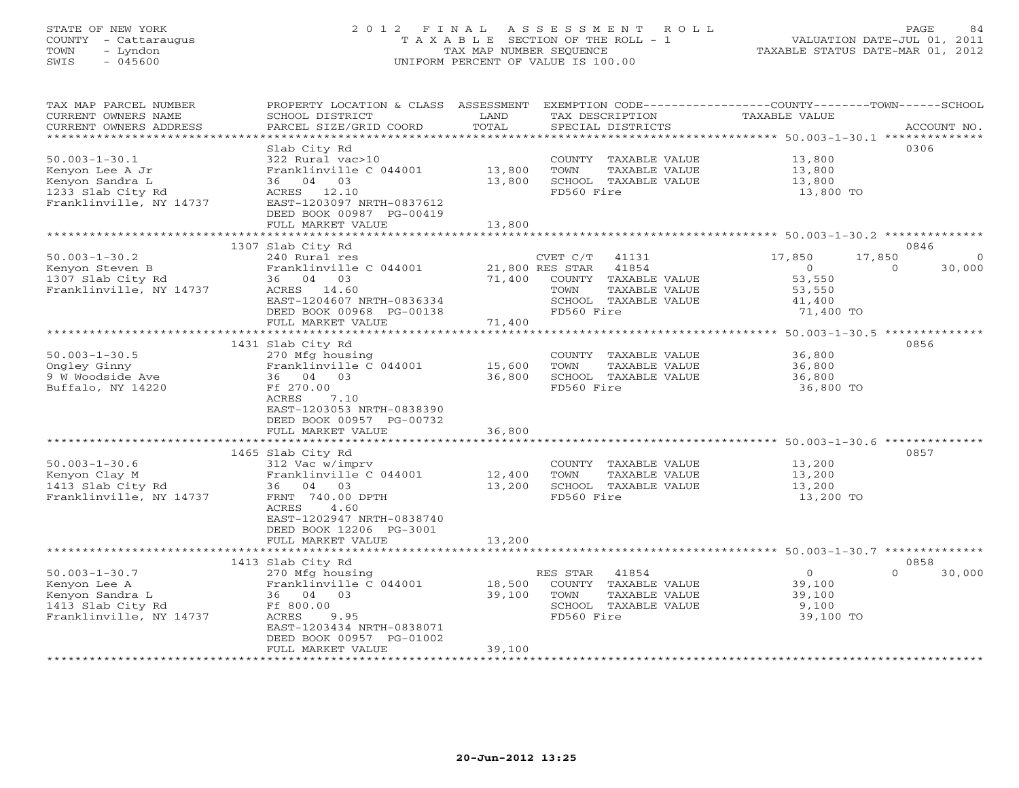# STATE OF NEW YORK 2 0 1 2 F I N A L A S S E S S M E N T R O L L PAGE 84 COUNTY - Cattaraugus T A X A B L E SECTION OF THE ROLL - 1 VALUATION DATE-JUL 01, 2011 TOWN - Lyndon TAX MAP NUMBER SEQUENCE TAXABLE STATUS DATE-MAR 01, 2012 SWIS - 045600 UNIFORM PERCENT OF VALUE IS 100.00

| TAX MAP PARCEL NUMBER<br>CURRENT OWNERS NAME<br>CURRENT OWNERS ADDRESS<br>**********************       | PROPERTY LOCATION & CLASS ASSESSMENT EXEMPTION CODE---------------COUNTY-------TOWN------SCHOOL<br>SCHOOL DISTRICT<br>PARCEL SIZE/GRID COORD                                           | LAND<br>TOTAL              | TAX DESCRIPTION<br>SPECIAL DISTRICTS                                                                                   | TAXABLE VALUE                                             | ACCOUNT NO.                           |
|--------------------------------------------------------------------------------------------------------|----------------------------------------------------------------------------------------------------------------------------------------------------------------------------------------|----------------------------|------------------------------------------------------------------------------------------------------------------------|-----------------------------------------------------------|---------------------------------------|
| $50.003 - 1 - 30.1$<br>Kenyon Lee A Jr<br>Kenyon Sandra L<br>1233 Slab City Rd                         | Slab City Rd<br>322 Rural vac>10<br>Franklinville C 044001<br>36 04 03<br>ACRES 12.10                                                                                                  | 13,800<br>13,800           | COUNTY TAXABLE VALUE<br>TOWN<br>TAXABLE VALUE<br>SCHOOL TAXABLE VALUE<br>FD560 Fire                                    | 13,800<br>13,800<br>13,800<br>13,800 TO                   | 0306                                  |
| Franklinville, NY 14737                                                                                | EAST-1203097 NRTH-0837612<br>DEED BOOK 00987 PG-00419<br>FULL MARKET VALUE                                                                                                             | 13,800                     |                                                                                                                        |                                                           |                                       |
|                                                                                                        |                                                                                                                                                                                        |                            |                                                                                                                        |                                                           |                                       |
| $50.003 - 1 - 30.2$<br>Kenyon Steven B<br>1307 Slab City Rd<br>Franklinville, NY 14737                 | 1307 Slab City Rd<br>240 Rural res<br>Franklinville C 044001<br>36 04 03<br>ACRES 14.60<br>EAST-1204607 NRTH-0836334                                                                   | 71,400                     | CVET C/T<br>41131<br>21,800 RES STAR<br>41854<br>COUNTY TAXABLE VALUE<br>TOWN<br>TAXABLE VALUE<br>SCHOOL TAXABLE VALUE | 17,850<br>17,850<br>$\circ$<br>53,550<br>53,550<br>41,400 | 0846<br>$\Omega$<br>30,000<br>$\circ$ |
|                                                                                                        | DEED BOOK 00968 PG-00138                                                                                                                                                               | 71,400                     | FD560 Fire                                                                                                             | 71,400 TO                                                 |                                       |
|                                                                                                        | FULL MARKET VALUE                                                                                                                                                                      |                            |                                                                                                                        |                                                           |                                       |
|                                                                                                        | 1431 Slab City Rd                                                                                                                                                                      |                            |                                                                                                                        |                                                           | 0856                                  |
| $50.003 - 1 - 30.5$<br>Ongley Ginny<br>9 W Woodside Ave<br>Buffalo, NY 14220                           | 270 Mfg housing<br>Franklinville C 044001<br>36 04 03<br>Ff 270.00<br>7.10<br>ACRES<br>EAST-1203053 NRTH-0838390<br>DEED BOOK 00957 PG-00732<br>FULL MARKET VALUE<br>1465 Slab City Rd | 15,600<br>36,800<br>36,800 | COUNTY TAXABLE VALUE<br>TOWN<br>TAXABLE VALUE<br>SCHOOL TAXABLE VALUE<br>FD560 Fire                                    | 36,800<br>36,800<br>36,800<br>36,800 TO                   | 0857                                  |
| $50.003 - 1 - 30.6$<br>Kenyon Clay M<br>1413 Slab City Rd<br>Franklinville, NY 14737                   | 312 Vac w/imprv<br>Franklinville C 044001<br>36 04 03<br>FRNT 740.00 DPTH<br>4.60<br>ACRES<br>EAST-1202947 NRTH-0838740<br>DEED BOOK 12206 PG-3001<br>FULL MARKET VALUE                | 12,400<br>13,200<br>13,200 | COUNTY TAXABLE VALUE<br>TOWN<br>TAXABLE VALUE<br>SCHOOL TAXABLE VALUE<br>FD560 Fire                                    | 13,200<br>13,200<br>13,200<br>13,200 TO                   |                                       |
|                                                                                                        | 1413 Slab City Rd                                                                                                                                                                      |                            |                                                                                                                        |                                                           | 0858                                  |
| $50.003 - 1 - 30.7$<br>Kenyon Lee A<br>Kenyon Sandra L<br>1413 Slab City Rd<br>Franklinville, NY 14737 | 270 Mfg housing<br>Franklinville C 044001<br>36 04 03<br>Ff 800.00<br>ACRES<br>9.95<br>EAST-1203434 NRTH-0838071<br>DEED BOOK 00957 PG-01002<br>FULL MARKET VALUE                      | 18,500<br>39,100<br>39,100 | 41854<br>RES STAR<br>COUNTY TAXABLE VALUE<br>TOWN<br>TAXABLE VALUE<br>SCHOOL TAXABLE VALUE<br>FD560 Fire               | $\Omega$<br>39,100<br>39,100<br>9,100<br>39,100 TO        | $\Omega$<br>30,000                    |
|                                                                                                        |                                                                                                                                                                                        |                            |                                                                                                                        |                                                           |                                       |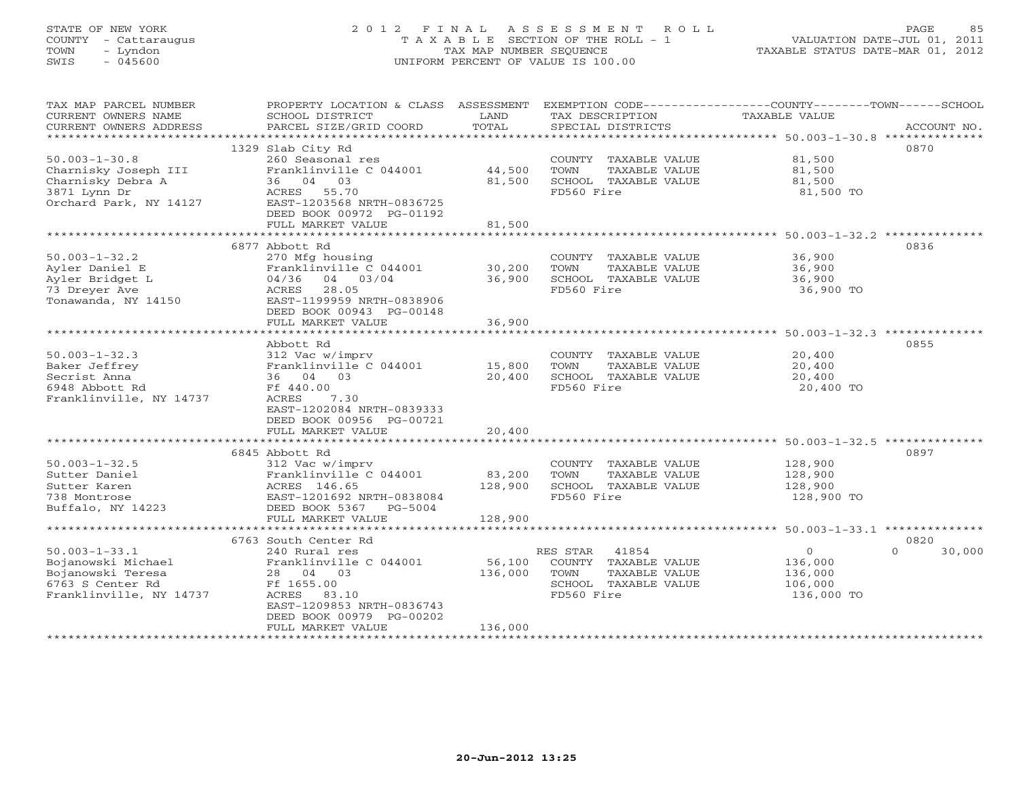# STATE OF NEW YORK 2 0 1 2 F I N A L A S S E S S M E N T R O L L PAGE 85 COUNTY - Cattaraugus T A X A B L E SECTION OF THE ROLL - 1 VALUATION DATE-JUL 01, 2011 TOWN - Lyndon TAX MAP NUMBER SEQUENCE TAXABLE STATUS DATE-MAR 01, 2012 SWIS - 045600 UNIFORM PERCENT OF VALUE IS 100.00

| TAX MAP PARCEL NUMBER<br>CURRENT OWNERS NAME<br>CURRENT OWNERS ADDRESS | PROPERTY LOCATION & CLASS ASSESSMENT<br>SCHOOL DISTRICT<br>PARCEL SIZE/GRID COORD | LAND<br>TOTAL | EXEMPTION CODE-----------------COUNTY-------TOWN-----SCHOOL<br>TAX DESCRIPTION<br>SPECIAL DISTRICTS | <b>TAXABLE VALUE</b>                                         | ACCOUNT NO. |
|------------------------------------------------------------------------|-----------------------------------------------------------------------------------|---------------|-----------------------------------------------------------------------------------------------------|--------------------------------------------------------------|-------------|
|                                                                        |                                                                                   |               |                                                                                                     |                                                              |             |
|                                                                        | 1329 Slab City Rd                                                                 |               |                                                                                                     |                                                              | 0870        |
| $50.003 - 1 - 30.8$                                                    | 260 Seasonal res                                                                  |               | COUNTY TAXABLE VALUE                                                                                | 81,500                                                       |             |
| Charnisky Joseph III                                                   | Franklinville C 044001                                                            | 44,500        | TOWN<br>TAXABLE VALUE                                                                               | 81,500                                                       |             |
| Charnisky Debra A                                                      | 36 04 03                                                                          | 81,500        | SCHOOL TAXABLE VALUE                                                                                | 81,500                                                       |             |
| 3871 Lynn Dr<br>Orchard Park, NY 14127                                 | ACRES 55.70<br>EAST-1203568 NRTH-0836725                                          |               | FD560 Fire                                                                                          | 81,500 TO                                                    |             |
|                                                                        | DEED BOOK 00972 PG-01192                                                          |               |                                                                                                     |                                                              |             |
|                                                                        | FULL MARKET VALUE                                                                 | 81,500        |                                                                                                     |                                                              |             |
|                                                                        | **************************                                                        |               |                                                                                                     |                                                              |             |
|                                                                        | 6877 Abbott Rd                                                                    |               |                                                                                                     |                                                              | 0836        |
| $50.003 - 1 - 32.2$                                                    | 270 Mfg housing                                                                   |               | COUNTY TAXABLE VALUE                                                                                | 36,900                                                       |             |
| Ayler Daniel E                                                         | Franklinville C 044001                                                            | 30,200        | TOWN<br>TAXABLE VALUE                                                                               | 36,900                                                       |             |
| Ayler Bridget L                                                        | 04/36 04 03/04                                                                    | 36,900        | SCHOOL TAXABLE VALUE                                                                                | 36,900                                                       |             |
| 73 Dreyer Ave                                                          | 28.05<br>ACRES                                                                    |               | FD560 Fire                                                                                          | 36,900 TO                                                    |             |
| Tonawanda, NY 14150                                                    | EAST-1199959 NRTH-0838906<br>DEED BOOK 00943 PG-00148                             |               |                                                                                                     |                                                              |             |
|                                                                        | FULL MARKET VALUE                                                                 | 36,900        |                                                                                                     |                                                              |             |
|                                                                        |                                                                                   |               |                                                                                                     |                                                              |             |
|                                                                        | Abbott Rd                                                                         |               |                                                                                                     |                                                              | 0855        |
| $50.003 - 1 - 32.3$                                                    | 312 Vac w/imprv                                                                   |               | COUNTY TAXABLE VALUE                                                                                | 20,400                                                       |             |
| Baker Jeffrey                                                          | Franklinville C 044001                                                            | 15,800        | TOWN<br>TAXABLE VALUE                                                                               | 20,400                                                       |             |
| Secrist Anna                                                           | 36 04 03                                                                          | 20,400        | SCHOOL TAXABLE VALUE                                                                                | 20,400                                                       |             |
| 6948 Abbott Rd                                                         | Ff 440.00                                                                         |               | FD560 Fire                                                                                          | 20,400 TO                                                    |             |
| Franklinville, NY 14737                                                | 7.30<br>ACRES                                                                     |               |                                                                                                     |                                                              |             |
|                                                                        | EAST-1202084 NRTH-0839333<br>DEED BOOK 00956 PG-00721                             |               |                                                                                                     |                                                              |             |
|                                                                        | FULL MARKET VALUE                                                                 | 20,400        |                                                                                                     |                                                              |             |
|                                                                        |                                                                                   | ************* |                                                                                                     | ******************************* 50.003-1-32.5 ************** |             |
|                                                                        | 6845 Abbott Rd                                                                    |               |                                                                                                     |                                                              | 0897        |
| $50.003 - 1 - 32.5$                                                    | 312 Vac w/imprv                                                                   |               | COUNTY TAXABLE VALUE                                                                                | 128,900                                                      |             |
| Sutter Daniel                                                          | Franklinville C 044001                                                            | 83,200        | TOWN<br>TAXABLE VALUE                                                                               | 128,900                                                      |             |
| Sutter Karen                                                           | ACRES 146.65                                                                      | 128,900       | SCHOOL TAXABLE VALUE                                                                                | 128,900                                                      |             |
| 738 Montrose                                                           | EAST-1201692 NRTH-0838084                                                         |               | FD560 Fire                                                                                          | 128,900 TO                                                   |             |
| Buffalo, NY 14223                                                      | DEED BOOK 5367<br>$PG-5004$<br>FULL MARKET VALUE                                  | 128,900       |                                                                                                     |                                                              |             |
|                                                                        |                                                                                   |               |                                                                                                     |                                                              |             |
|                                                                        | 6763 South Center Rd                                                              |               |                                                                                                     |                                                              | 0820        |
| $50.003 - 1 - 33.1$                                                    | 240 Rural res                                                                     |               | 41854<br>RES STAR                                                                                   | $\circ$<br>$\Omega$                                          | 30,000      |
| Bojanowski Michael                                                     | Franklinville C 044001                                                            | 56,100        | COUNTY TAXABLE VALUE                                                                                | 136,000                                                      |             |
| Bojanowski Teresa                                                      | 28 04 03                                                                          | 136,000       | TOWN<br>TAXABLE VALUE                                                                               | 136,000                                                      |             |
| 6763 S Center Rd                                                       | Ff 1655.00                                                                        |               | SCHOOL TAXABLE VALUE                                                                                | 106,000                                                      |             |
| Franklinville, NY 14737                                                | ACRES 83.10                                                                       |               | FD560 Fire                                                                                          | 136,000 TO                                                   |             |
|                                                                        | EAST-1209853 NRTH-0836743<br>DEED BOOK 00979 PG-00202                             |               |                                                                                                     |                                                              |             |
|                                                                        | FULL MARKET VALUE                                                                 | 136,000       |                                                                                                     |                                                              |             |
|                                                                        |                                                                                   |               |                                                                                                     |                                                              |             |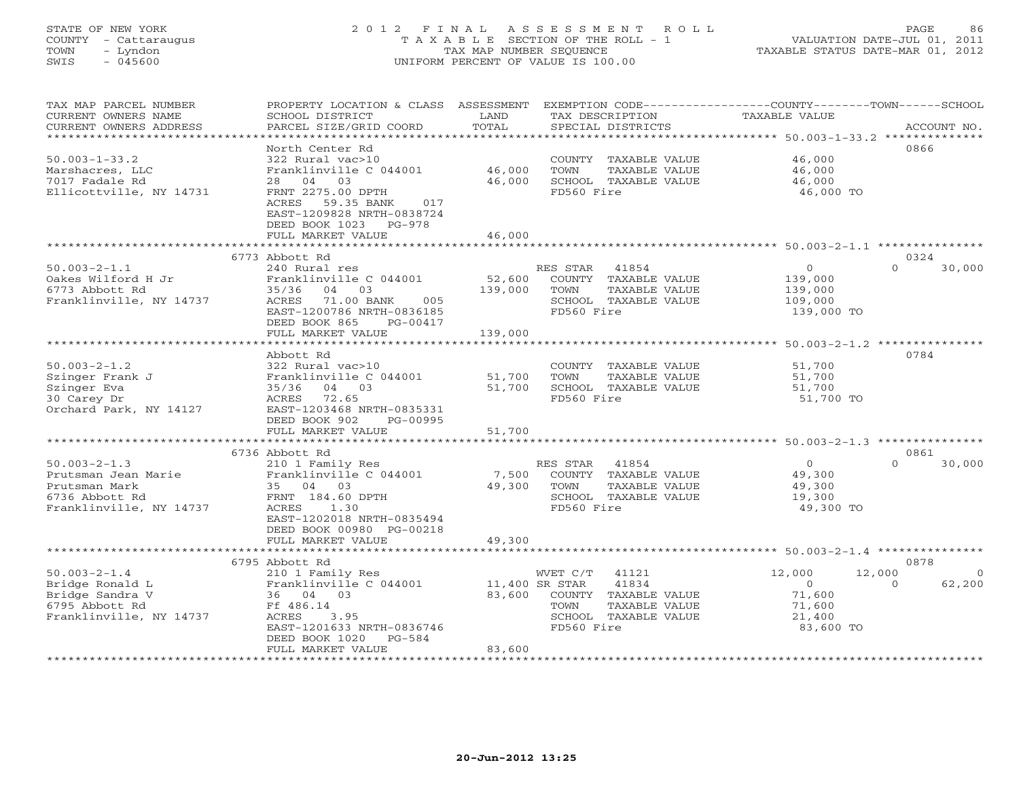# STATE OF NEW YORK 2 0 1 2 F I N A L A S S E S S M E N T R O L L PAGE 86 COUNTY - Cattaraugus T A X A B L E SECTION OF THE ROLL - 1 VALUATION DATE-JUL 01, 2011 TOWN - Lyndon TAX MAP NUMBER SEQUENCE TAXABLE STATUS DATE-MAR 01, 2012 SWIS - 045600 UNIFORM PERCENT OF VALUE IS 100.00

| TAX MAP PARCEL NUMBER<br>CURRENT OWNERS NAME | PROPERTY LOCATION & CLASS<br>SCHOOL DISTRICT           | ASSESSMENT<br>LAND  | TAX DESCRIPTION                 | EXEMPTION CODE----------------COUNTY-------TOWN-----SCHOOL<br><b>TAXABLE VALUE</b> |                    |
|----------------------------------------------|--------------------------------------------------------|---------------------|---------------------------------|------------------------------------------------------------------------------------|--------------------|
| CURRENT OWNERS ADDRESS                       | PARCEL SIZE/GRID COORD                                 | TOTAL<br>********** | SPECIAL DISTRICTS               |                                                                                    | ACCOUNT NO.        |
|                                              | North Center Rd                                        |                     |                                 | ********************************* 50.003-1-33.2 **************                     | 0866               |
| $50.003 - 1 - 33.2$                          | 322 Rural vac>10                                       |                     | COUNTY<br>TAXABLE VALUE         | 46,000                                                                             |                    |
| Marshacres, LLC                              | Franklinville C 044001                                 | 46,000              | TOWN<br>TAXABLE VALUE           | 46,000                                                                             |                    |
| 7017 Fadale Rd                               | 04<br>03<br>28                                         | 46,000              | SCHOOL TAXABLE VALUE            | 46,000                                                                             |                    |
| Ellicottville, NY 14731                      | FRNT 2275.00 DPTH<br>017                               |                     | FD560 Fire                      | 46,000 TO                                                                          |                    |
|                                              | ACRES 59.35 BANK<br>EAST-1209828 NRTH-0838724          |                     |                                 |                                                                                    |                    |
|                                              | DEED BOOK 1023<br>$PG-978$                             |                     |                                 |                                                                                    |                    |
|                                              | FULL MARKET VALUE                                      | 46,000              |                                 |                                                                                    |                    |
|                                              |                                                        |                     |                                 | ******** 50.003-2-1.1 **********                                                   |                    |
|                                              | 6773 Abbott Rd                                         |                     |                                 |                                                                                    | 0324               |
| $50.003 - 2 - 1.1$                           | 240 Rural res                                          |                     | RES STAR<br>41854               | $\overline{0}$                                                                     | $\Omega$<br>30,000 |
| Oakes Wilford H Jr                           | Franklinville C 044001                                 | 52,600              | COUNTY TAXABLE VALUE            | 139,000                                                                            |                    |
| 6773 Abbott Rd                               | 35/36<br>04<br>03                                      | 139,000             | TOWN<br>TAXABLE VALUE           | 139,000                                                                            |                    |
| Franklinville, NY 14737                      | ACRES<br>71.00 BANK<br>005                             |                     | SCHOOL TAXABLE VALUE            | 109,000                                                                            |                    |
|                                              | EAST-1200786 NRTH-0836185                              |                     | FD560 Fire                      | 139,000 TO                                                                         |                    |
|                                              | DEED BOOK 865<br>PG-00417                              |                     |                                 |                                                                                    |                    |
|                                              | FULL MARKET VALUE                                      | 139,000             |                                 |                                                                                    |                    |
|                                              |                                                        |                     |                                 | ******************* 50.003-2-1.2 **********                                        |                    |
|                                              | Abbott Rd                                              |                     |                                 |                                                                                    | 0784               |
| $50.003 - 2 - 1.2$                           | 322 Rural vac>10                                       |                     | COUNTY TAXABLE VALUE            | 51,700                                                                             |                    |
| Szinger Frank J                              | Franklinville C 044001                                 | 51,700              | TOWN<br>TAXABLE VALUE           | 51,700                                                                             |                    |
| Szinger Eva                                  | 35/36<br>04 03                                         | 51,700              | SCHOOL TAXABLE VALUE            | 51,700                                                                             |                    |
| 30 Carey Dr                                  | ACRES<br>72.65                                         |                     | FD560 Fire                      | 51,700 TO                                                                          |                    |
| Orchard Park, NY 14127                       | EAST-1203468 NRTH-0835331<br>DEED BOOK 902<br>PG-00995 |                     |                                 |                                                                                    |                    |
|                                              | FULL MARKET VALUE                                      | 51,700              |                                 |                                                                                    |                    |
|                                              |                                                        |                     |                                 |                                                                                    |                    |
|                                              | 6736 Abbott Rd                                         |                     |                                 |                                                                                    | 0861               |
| $50.003 - 2 - 1.3$                           | 210 1 Family Res                                       |                     | RES STAR<br>41854               | $\overline{0}$                                                                     | $\Omega$<br>30,000 |
| Prutsman Jean Marie                          | Franklinville C 044001                                 | 7,500               | COUNTY TAXABLE VALUE            | 49,300                                                                             |                    |
| Prutsman Mark                                | 35 04 03                                               | 49,300              | TOWN<br>TAXABLE VALUE           | 49,300                                                                             |                    |
| 6736 Abbott Rd                               | FRNT 184.60 DPTH                                       |                     | SCHOOL TAXABLE VALUE            | 19,300                                                                             |                    |
| Franklinville, NY 14737                      | <b>ACRES</b><br>1.30                                   |                     | FD560 Fire                      | 49,300 TO                                                                          |                    |
|                                              | EAST-1202018 NRTH-0835494                              |                     |                                 |                                                                                    |                    |
|                                              | DEED BOOK 00980 PG-00218                               |                     |                                 |                                                                                    |                    |
|                                              | FULL MARKET VALUE                                      | 49,300              |                                 |                                                                                    |                    |
|                                              | *******************                                    |                     |                                 |                                                                                    |                    |
|                                              | 6795 Abbott Rd                                         |                     |                                 |                                                                                    | 0878               |
| $50.003 - 2 - 1.4$                           | 210 1 Family Res                                       |                     | 41121<br>WVET C/T               | 12,000<br>12,000                                                                   | $\Omega$           |
| Bridge Ronald L                              | Franklinville C 044001                                 | 11,400 SR STAR      | 41834                           | $\circ$                                                                            | 62,200<br>$\Omega$ |
| Bridge Sandra V                              | 36 04 03                                               | 83,600              | COUNTY TAXABLE VALUE            | 71,600                                                                             |                    |
| 6795 Abbott Rd<br>Franklinville, NY 14737    | Ff 486.14<br>ACRES<br>3.95                             |                     | TAXABLE VALUE<br>TOWN<br>SCHOOL | 71,600                                                                             |                    |
|                                              | EAST-1201633 NRTH-0836746                              |                     | TAXABLE VALUE<br>FD560 Fire     | 21,400<br>83,600 TO                                                                |                    |
|                                              | DEED BOOK 1020<br>$PG-584$                             |                     |                                 |                                                                                    |                    |
|                                              | FULL MARKET VALUE                                      | 83,600              |                                 |                                                                                    |                    |
|                                              |                                                        |                     |                                 |                                                                                    |                    |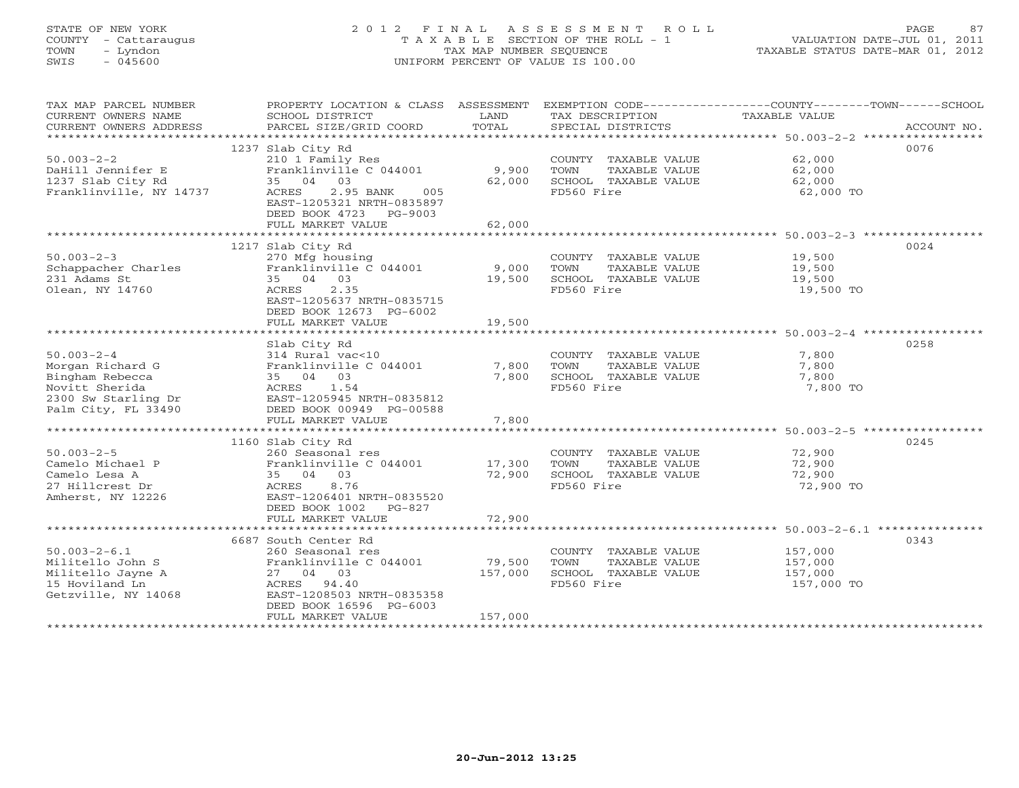# STATE OF NEW YORK 2 0 1 2 F I N A L A S S E S S M E N T R O L L PAGE 87 COUNTY - Cattaraugus T A X A B L E SECTION OF THE ROLL - 1 VALUATION DATE-JUL 01, 2011 TOWN - Lyndon TAX MAP NUMBER SEQUENCE TAXABLE STATUS DATE-MAR 01, 2012 SWIS - 045600 UNIFORM PERCENT OF VALUE IS 100.00

| TAX MAP PARCEL NUMBER   |                                |         |                       | PROPERTY LOCATION & CLASS ASSESSMENT EXEMPTION CODE----------------COUNTY-------TOWN------SCHOOL |
|-------------------------|--------------------------------|---------|-----------------------|--------------------------------------------------------------------------------------------------|
| CURRENT OWNERS NAME     | SCHOOL DISTRICT                | LAND    | TAX DESCRIPTION       | TAXABLE VALUE                                                                                    |
| CURRENT OWNERS ADDRESS  | PARCEL SIZE/GRID COORD         | TOTAL   | SPECIAL DISTRICTS     | ACCOUNT NO.                                                                                      |
|                         |                                |         |                       |                                                                                                  |
|                         | 1237 Slab City Rd              |         |                       | 0076                                                                                             |
| $50.003 - 2 - 2$        | 210 1 Family Res               |         | COUNTY TAXABLE VALUE  | 62,000                                                                                           |
| DaHill Jennifer E       | Franklinville C 044001         | 9,900   | TOWN<br>TAXABLE VALUE | 62,000                                                                                           |
| 1237 Slab City Rd       | 35 04 03                       | 62,000  | SCHOOL TAXABLE VALUE  | 62,000                                                                                           |
| Franklinville, NY 14737 | ACRES<br>2.95 BANK<br>005      |         | FD560 Fire            | 62,000 TO                                                                                        |
|                         | EAST-1205321 NRTH-0835897      |         |                       |                                                                                                  |
|                         | DEED BOOK 4723 PG-9003         |         |                       |                                                                                                  |
|                         | FULL MARKET VALUE              | 62,000  |                       |                                                                                                  |
|                         |                                |         |                       |                                                                                                  |
|                         | 1217 Slab City Rd              |         |                       | 0024                                                                                             |
| $50.003 - 2 - 3$        | 270 Mfg housing                |         | COUNTY TAXABLE VALUE  | 19,500                                                                                           |
| Schappacher Charles     | Franklinville $C$ 044001 9,000 |         | TOWN<br>TAXABLE VALUE | 19,500                                                                                           |
| 231 Adams St            | 35 04 03                       | 19,500  | SCHOOL TAXABLE VALUE  | 19,500                                                                                           |
| Olean, NY 14760         | ACRES 2.35                     |         | FD560 Fire            | 19,500 TO                                                                                        |
|                         | EAST-1205637 NRTH-0835715      |         |                       |                                                                                                  |
|                         | DEED BOOK 12673 PG-6002        |         |                       |                                                                                                  |
|                         | FULL MARKET VALUE              | 19,500  |                       |                                                                                                  |
|                         |                                |         |                       |                                                                                                  |
|                         | Slab City Rd                   |         |                       | 0258                                                                                             |
| $50.003 - 2 - 4$        | 314 Rural vac<10               |         | COUNTY TAXABLE VALUE  | 7,800                                                                                            |
| Morgan Richard G        | Franklinville C 044001         | 7,800   | TOWN<br>TAXABLE VALUE | 7,800                                                                                            |
| Bingham Rebecca         | 35 04 03                       | 7,800   | SCHOOL TAXABLE VALUE  | 7,800                                                                                            |
| Novitt Sherida          | ACRES 1.54                     |         | FD560 Fire            | 7,800 TO                                                                                         |
| 2300 Sw Starling Dr     | EAST-1205945 NRTH-0835812      |         |                       |                                                                                                  |
| Palm City, FL 33490     | DEED BOOK 00949 PG-00588       |         |                       |                                                                                                  |
|                         | FULL MARKET VALUE              | 7,800   |                       |                                                                                                  |
|                         |                                |         |                       |                                                                                                  |
|                         | 1160 Slab City Rd              |         |                       | 0245                                                                                             |
| $50.003 - 2 - 5$        | 260 Seasonal res               |         | COUNTY TAXABLE VALUE  | 72,900                                                                                           |
| Camelo Michael P        | Franklinville C 044001         | 17,300  | TOWN<br>TAXABLE VALUE | 72,900                                                                                           |
| Camelo Lesa A           | 35 04 03                       | 72,900  | SCHOOL TAXABLE VALUE  | 72,900                                                                                           |
| 27 Hillcrest Dr         | 8.76<br>ACRES                  |         | FD560 Fire            | 72,900 TO                                                                                        |
| Amherst, NY 12226       | EAST-1206401 NRTH-0835520      |         |                       |                                                                                                  |
|                         | DEED BOOK 1002 PG-827          |         |                       |                                                                                                  |
|                         | FULL MARKET VALUE              | 72,900  |                       |                                                                                                  |
|                         |                                |         |                       |                                                                                                  |
|                         | 6687 South Center Rd           |         |                       | 0343                                                                                             |
| $50.003 - 2 - 6.1$      | 260 Seasonal res               |         | COUNTY TAXABLE VALUE  | 157,000                                                                                          |
| Militello John S        | Franklinville C 044001         | 79,500  | TAXABLE VALUE<br>TOWN | 157,000                                                                                          |
| Militello Jayne A       | 27 04 03                       | 157,000 | SCHOOL TAXABLE VALUE  | 157,000                                                                                          |
| 15 Hoviland Ln          | ACRES 94.40                    |         | FD560 Fire            | 157,000 TO                                                                                       |
| Getzville, NY 14068     | EAST-1208503 NRTH-0835358      |         |                       |                                                                                                  |
|                         | DEED BOOK 16596 PG-6003        |         |                       |                                                                                                  |
|                         | FULL MARKET VALUE              | 157,000 |                       |                                                                                                  |
|                         |                                |         |                       |                                                                                                  |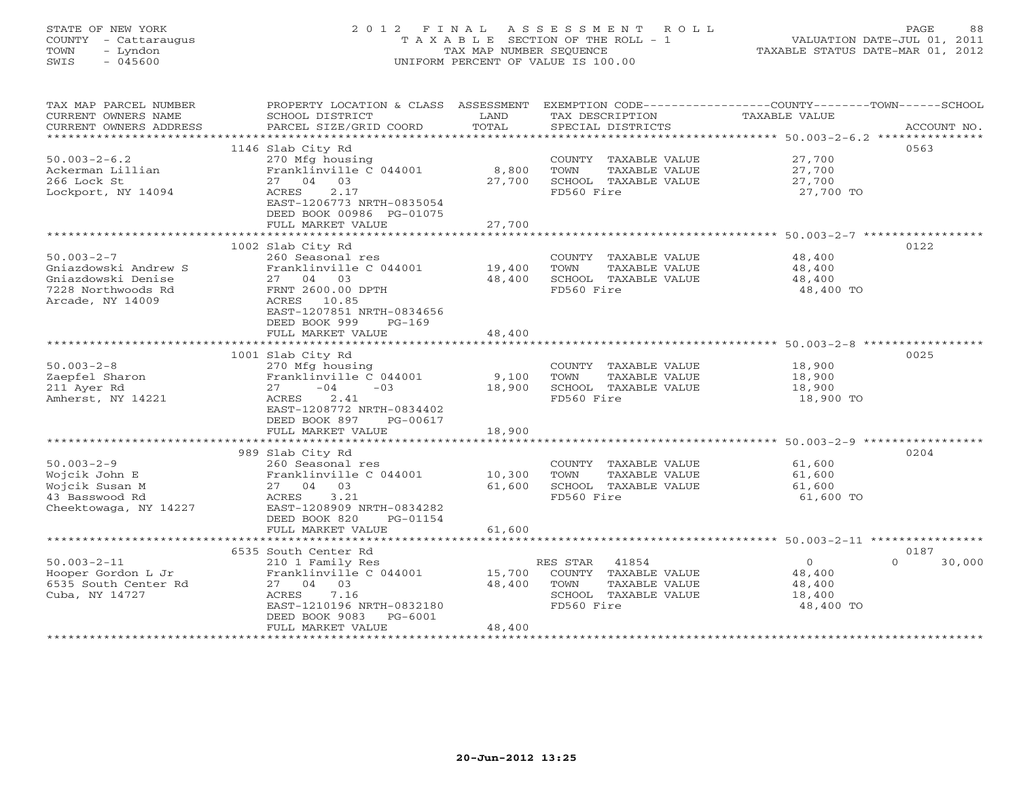# STATE OF NEW YORK 2 0 1 2 F I N A L A S S E S S M E N T R O L L PAGE 88 COUNTY - Cattaraugus T A X A B L E SECTION OF THE ROLL - 1 VALUATION DATE-JUL 01, 2011 TOWN - Lyndon TAX MAP NUMBER SEQUENCE TAXABLE STATUS DATE-MAR 01, 2012 SWIS - 045600 UNIFORM PERCENT OF VALUE IS 100.00

| TAX MAP PARCEL NUMBER<br>CURRENT OWNERS NAME<br>CURRENT OWNERS ADDRESS<br>**********************         | PROPERTY LOCATION & CLASS ASSESSMENT<br>SCHOOL DISTRICT<br>PARCEL SIZE/GRID COORD                                                                                                                 | LAND<br>TOTAL                               | TAX DESCRIPTION<br>SPECIAL DISTRICTS                                                                     | EXEMPTION CODE-----------------COUNTY-------TOWN------SCHOOL<br>TAXABLE VALUE<br>ACCOUNT NO.                    |
|----------------------------------------------------------------------------------------------------------|---------------------------------------------------------------------------------------------------------------------------------------------------------------------------------------------------|---------------------------------------------|----------------------------------------------------------------------------------------------------------|-----------------------------------------------------------------------------------------------------------------|
| $50.003 - 2 - 6.2$<br>Ackerman Lillian<br>266 Lock St<br>Lockport, NY 14094                              | 1146 Slab City Rd<br>270 Mfg housing<br>Franklinville C 044001<br>27 04 03<br>2.17<br>ACRES<br>EAST-1206773 NRTH-0835054<br>DEED BOOK 00986 PG-01075<br>FULL MARKET VALUE                         | 8,800<br>27,700<br>27,700<br>************** | COUNTY TAXABLE VALUE<br>TOWN<br>TAXABLE VALUE<br>SCHOOL TAXABLE VALUE<br>FD560 Fire                      | 0563<br>27,700<br>27,700<br>27,700<br>27,700 TO<br>******************************* 50.003-2-7 ***************** |
| $50.003 - 2 - 7$<br>Gniazdowski Andrew S<br>Gniazdowski Denise<br>7228 Northwoods Rd<br>Arcade, NY 14009 | 1002 Slab City Rd<br>260 Seasonal res<br>Franklinville C 044001<br>27 04<br>03<br>FRNT 2600.00 DPTH<br>ACRES 10.85<br>EAST-1207851 NRTH-0834656<br>DEED BOOK 999<br>$PG-169$<br>FULL MARKET VALUE | 19,400<br>48,400<br>48,400                  | COUNTY TAXABLE VALUE<br>TOWN<br>TAXABLE VALUE<br>SCHOOL TAXABLE VALUE<br>FD560 Fire                      | 0122<br>48,400<br>48,400<br>48,400<br>48,400 TO                                                                 |
|                                                                                                          |                                                                                                                                                                                                   |                                             |                                                                                                          | ************************* 50.003-2-8 **                                                                         |
| $50.003 - 2 - 8$<br>Zaepfel Sharon<br>211 Ayer Rd<br>Amherst, NY 14221                                   | 1001 Slab City Rd<br>270 Mfg housing<br>Franklinville C 044001<br>$-04$<br>$-03$<br>27<br>2.41<br>ACRES<br>EAST-1208772 NRTH-0834402<br>DEED BOOK 897<br>PG-00617                                 | 9,100<br>18,900                             | COUNTY TAXABLE VALUE<br>TOWN<br>TAXABLE VALUE<br>SCHOOL TAXABLE VALUE<br>FD560 Fire                      | 0025<br>18,900<br>18,900<br>18,900<br>18,900 TO                                                                 |
|                                                                                                          | FULL MARKET VALUE                                                                                                                                                                                 | 18,900                                      |                                                                                                          |                                                                                                                 |
| $50.003 - 2 - 9$<br>Wojcik John E<br>Wojcik Susan M<br>43 Basswood Rd<br>Cheektowaga, NY 14227           | 989 Slab City Rd<br>260 Seasonal res<br>Franklinville C 044001<br>27 04 03<br>3.21<br>ACRES<br>EAST-1208909 NRTH-0834282                                                                          | 10,300<br>61,600                            | COUNTY TAXABLE VALUE<br>TOWN<br>TAXABLE VALUE<br>SCHOOL TAXABLE VALUE<br>FD560 Fire                      | 0204<br>61,600<br>61,600<br>61,600<br>61,600 TO                                                                 |
|                                                                                                          | DEED BOOK 820<br>PG-01154<br>FULL MARKET VALUE                                                                                                                                                    | 61,600                                      |                                                                                                          |                                                                                                                 |
|                                                                                                          | 6535 South Center Rd                                                                                                                                                                              |                                             |                                                                                                          | 0187                                                                                                            |
| $50.003 - 2 - 11$<br>Hooper Gordon L Jr<br>6535 South Center Rd<br>Cuba, NY 14727                        | 210 1 Family Res<br>Franklinville C 044001<br>27 04 03<br>7.16<br>ACRES<br>EAST-1210196 NRTH-0832180<br>DEED BOOK 9083<br>$PG-6001$<br>FULL MARKET VALUE                                          | 15,700<br>48,400<br>48,400                  | 41854<br>RES STAR<br>COUNTY TAXABLE VALUE<br>TOWN<br>TAXABLE VALUE<br>SCHOOL TAXABLE VALUE<br>FD560 Fire | $\circ$<br>$\Omega$<br>30,000<br>48,400<br>48,400<br>18,400<br>48,400 TO                                        |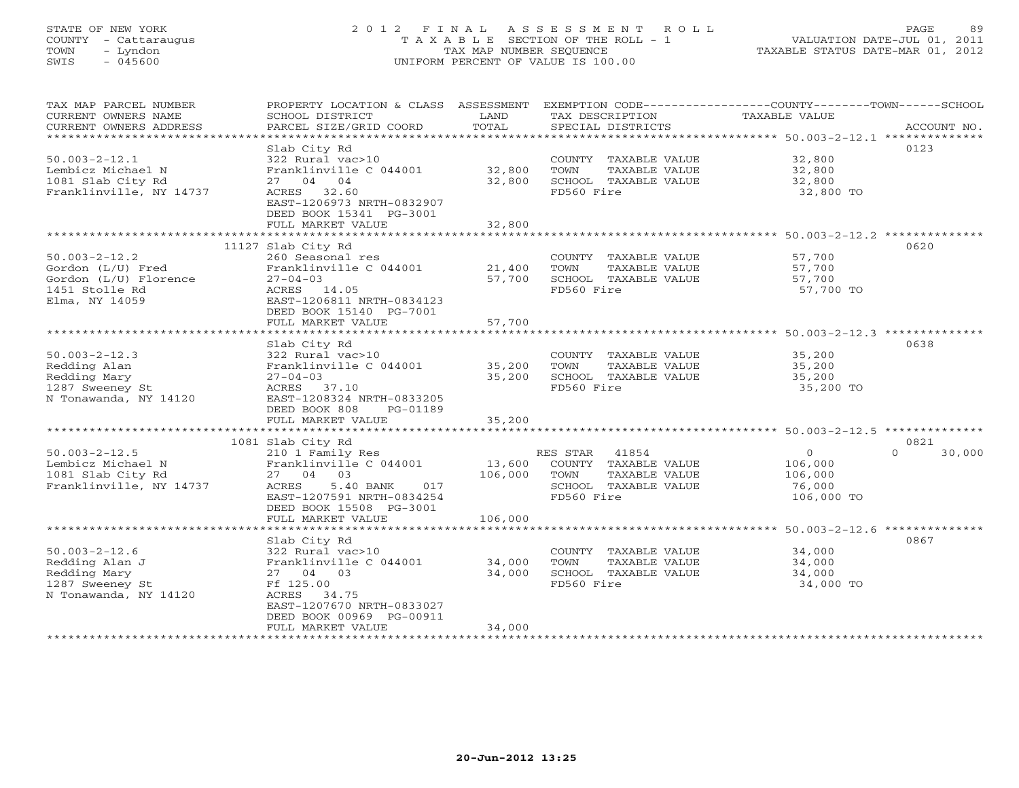# STATE OF NEW YORK 2 0 1 2 F I N A L A S S E S S M E N T R O L L PAGE 89 COUNTY - Cattaraugus T A X A B L E SECTION OF THE ROLL - 1 VALUATION DATE-JUL 01, 2011 TOWN - Lyndon TAX MAP NUMBER SEQUENCE TAXABLE STATUS DATE-MAR 01, 2012 SWIS - 045600 UNIFORM PERCENT OF VALUE IS 100.00

| TAX MAP PARCEL NUMBER<br>CURRENT OWNERS NAME<br>CURRENT OWNERS ADDRESS | PROPERTY LOCATION & CLASS ASSESSMENT EXEMPTION CODE----------------COUNTY-------TOWN------SCHOOL<br>SCHOOL DISTRICT<br>PARCEL SIZE/GRID COORD | LAND<br>TOTAL         | TAX DESCRIPTION<br>SPECIAL DISTRICTS          | <b>TAXABLE VALUE</b>                                  | ACCOUNT NO.      |
|------------------------------------------------------------------------|-----------------------------------------------------------------------------------------------------------------------------------------------|-----------------------|-----------------------------------------------|-------------------------------------------------------|------------------|
| ************************                                               |                                                                                                                                               |                       |                                               |                                                       |                  |
| $50.003 - 2 - 12.1$<br>Lembicz Michael N                               | Slab City Rd<br>322 Rural vac>10<br>Franklinville C 044001                                                                                    | 32,800                | COUNTY TAXABLE VALUE<br>TOWN<br>TAXABLE VALUE | 32,800<br>32,800                                      | 0123             |
| 1081 Slab City Rd                                                      | 27 04 04                                                                                                                                      | 32,800                | SCHOOL TAXABLE VALUE                          | 32,800                                                |                  |
| Franklinville, NY 14737                                                | ACRES 32.60<br>EAST-1206973 NRTH-0832907<br>DEED BOOK 15341 PG-3001                                                                           |                       | FD560 Fire                                    | 32,800 TO                                             |                  |
|                                                                        | FULL MARKET VALUE<br>***********************                                                                                                  | 32,800<br>*********** |                                               |                                                       |                  |
|                                                                        | 11127 Slab City Rd                                                                                                                            |                       |                                               | ************************ 50.003-2-12.2 ************** | 0620             |
| $50.003 - 2 - 12.2$                                                    | 260 Seasonal res                                                                                                                              |                       | COUNTY TAXABLE VALUE                          | 57,700                                                |                  |
| Gordon (L/U) Fred                                                      | Franklinville C 044001                                                                                                                        | 21,400                | TAXABLE VALUE<br>TOWN                         | 57,700                                                |                  |
| Gordon (L/U) Florence                                                  | $27 - 04 - 03$                                                                                                                                | 57,700                | SCHOOL TAXABLE VALUE                          | 57,700                                                |                  |
| 1451 Stolle Rd                                                         | ACRES 14.05                                                                                                                                   |                       | FD560 Fire                                    | 57,700 TO                                             |                  |
| Elma, NY 14059                                                         | EAST-1206811 NRTH-0834123                                                                                                                     |                       |                                               |                                                       |                  |
|                                                                        | DEED BOOK 15140 PG-7001                                                                                                                       |                       |                                               |                                                       |                  |
| ******************************                                         | FULL MARKET VALUE                                                                                                                             | 57,700                |                                               |                                                       |                  |
|                                                                        | Slab City Rd                                                                                                                                  |                       |                                               |                                                       | 0638             |
| $50.003 - 2 - 12.3$                                                    | 322 Rural vac>10                                                                                                                              |                       | COUNTY TAXABLE VALUE                          | 35,200                                                |                  |
| Redding Alan                                                           | Franklinville C 044001                                                                                                                        | 35,200                | TOWN<br>TAXABLE VALUE                         | 35,200                                                |                  |
| Redding Mary                                                           | $27 - 04 - 03$                                                                                                                                | 35,200                | SCHOOL TAXABLE VALUE                          | 35,200                                                |                  |
| 1287 Sweeney St                                                        | ACRES 37.10                                                                                                                                   |                       | FD560 Fire                                    | 35,200 TO                                             |                  |
| N Tonawanda, NY 14120                                                  | EAST-1208324 NRTH-0833205<br>DEED BOOK 808<br>PG-01189                                                                                        |                       |                                               |                                                       |                  |
|                                                                        | FULL MARKET VALUE                                                                                                                             | 35,200                |                                               |                                                       |                  |
|                                                                        |                                                                                                                                               |                       |                                               |                                                       |                  |
|                                                                        | 1081 Slab City Rd                                                                                                                             |                       |                                               |                                                       | 0821             |
| $50.003 - 2 - 12.5$                                                    | 210 1 Family Res                                                                                                                              |                       | 41854<br>RES STAR                             | $\Omega$                                              | $\cap$<br>30,000 |
| Lembicz Michael N                                                      | Franklinville C 044001                                                                                                                        | 13,600                | COUNTY TAXABLE VALUE                          | 106,000                                               |                  |
| 1081 Slab City Rd                                                      | 27 04 03                                                                                                                                      | 106,000               | TOWN<br>TAXABLE VALUE                         | 106,000                                               |                  |
| Franklinville, NY 14737                                                | 5.40 BANK<br><b>ACRES</b><br>017<br>EAST-1207591 NRTH-0834254                                                                                 |                       | SCHOOL TAXABLE VALUE<br>FD560 Fire            | 76,000<br>106,000 TO                                  |                  |
|                                                                        | DEED BOOK 15508 PG-3001                                                                                                                       |                       |                                               |                                                       |                  |
|                                                                        | FULL MARKET VALUE                                                                                                                             | 106,000               |                                               |                                                       |                  |
|                                                                        | ********************                                                                                                                          | ***********           |                                               | ********************* 50.003-2-12.6 **************    |                  |
|                                                                        | Slab City Rd                                                                                                                                  |                       |                                               |                                                       | 0867             |
| $50.003 - 2 - 12.6$                                                    | 322 Rural vac>10                                                                                                                              |                       | COUNTY TAXABLE VALUE                          | 34,000                                                |                  |
| Redding Alan J                                                         | Franklinville C 044001                                                                                                                        | 34,000                | TOWN<br>TAXABLE VALUE<br>SCHOOL TAXABLE VALUE | 34,000                                                |                  |
| Redding Mary<br>1287 Sweeney St                                        | 27 04 03<br>Ff 125.00                                                                                                                         | 34,000                | FD560 Fire                                    | 34,000<br>34,000 TO                                   |                  |
| N Tonawanda, NY 14120                                                  | ACRES 34.75                                                                                                                                   |                       |                                               |                                                       |                  |
|                                                                        | EAST-1207670 NRTH-0833027                                                                                                                     |                       |                                               |                                                       |                  |
|                                                                        | DEED BOOK 00969 PG-00911                                                                                                                      |                       |                                               |                                                       |                  |
|                                                                        | FULL MARKET VALUE                                                                                                                             | 34,000                |                                               |                                                       |                  |
|                                                                        | * * * * * * * * * * * * * * * * * * *                                                                                                         |                       |                                               |                                                       |                  |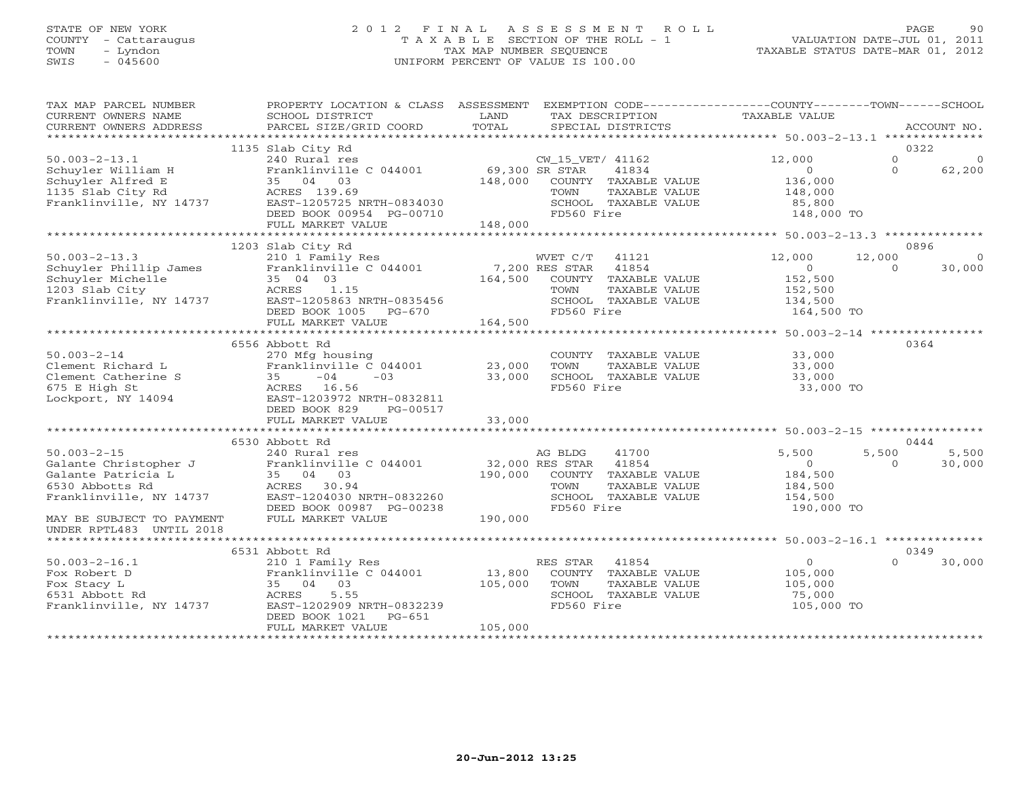#### STATE OF NEW YORK 2 0 1 2 F I N A L A S S E S S M E N T R O L L PAGE 90 COUNTY - Cattaraugus T A X A B L E SECTION OF THE ROLL - 1 VALUATION DATE-JUL 01, 2011 TOWN - Lyndon - Lyndon TAX MAP NUMBER SEQUENCE TAXABLE STATUS DATE-MAR 01, 2012<br>
SWIS - 045600 - UNIFORM PERCENT OF VALUE IS 100.00 SWIS - 045600 UNIFORM PERCENT OF VALUE IS 100.00

| TAX MAP PARCEL NUMBER<br>CURRENT OWNERS NAME<br>CURRENT OWNERS ADDRESS<br>***********************               | PROPERTY LOCATION & CLASS ASSESSMENT<br>SCHOOL DISTRICT<br>PARCEL SIZE/GRID COORD                                                                                                 | LAND<br>TOTAL                | EXEMPTION CODE----------------COUNTY-------TOWN------SCHOOL<br>TAX DESCRIPTION<br>SPECIAL DISTRICTS                                           | TAXABLE VALUE                                                          |                      | ACCOUNT NO.                |
|-----------------------------------------------------------------------------------------------------------------|-----------------------------------------------------------------------------------------------------------------------------------------------------------------------------------|------------------------------|-----------------------------------------------------------------------------------------------------------------------------------------------|------------------------------------------------------------------------|----------------------|----------------------------|
| $50.003 - 2 - 13.1$<br>Schuyler William H<br>Schuyler Alfred E<br>1135 Slab City Rd<br>Franklinville, NY 14737  | 1135 Slab City Rd<br>240 Rural res<br>Franklinville C 044001<br>35 04 03<br>ACRES 139.69<br>EAST-1205725 NRTH-0834030<br>DEED BOOK 00954 PG-00710                                 | 69,300 SR STAR<br>148,000    | CW_15_VET/ 41162<br>41834<br>COUNTY TAXABLE VALUE<br>TOWN<br>TAXABLE VALUE<br>SCHOOL TAXABLE VALUE<br>FD560 Fire                              | 12,000<br>$\overline{0}$<br>136,000<br>148,000<br>85,800<br>148,000 TO | $\Omega$<br>$\Omega$ | 0322<br>$\Omega$<br>62,200 |
|                                                                                                                 | FULL MARKET VALUE<br>***************************                                                                                                                                  | 148,000                      |                                                                                                                                               |                                                                        |                      |                            |
| $50.003 - 2 - 13.3$<br>Schuyler Phillip James<br>Schuyler Michelle<br>1203 Slab City<br>Franklinville, NY 14737 | 1203 Slab City Rd<br>210 1 Family Res<br>Franklinville C 044001<br>35 04 03<br>ACRES<br>1.15<br>EAST-1205863 NRTH-0835456<br>DEED BOOK 1005 PG-670                                | 164,500                      | WVET C/T<br>41121<br>7,200 RES STAR<br>41854<br>TAXABLE VALUE<br>COUNTY<br><b>TAXABLE VALUE</b><br>TOWN<br>SCHOOL TAXABLE VALUE<br>FD560 Fire | 12,000<br>$\circ$<br>152,500<br>152,500<br>134,500<br>164,500 TO       | 12,000<br>$\Omega$   | 0896<br>30,000             |
|                                                                                                                 | FULL MARKET VALUE                                                                                                                                                                 | 164,500                      |                                                                                                                                               | *********** 50.003-2-14 ****************                               |                      |                            |
| $50.003 - 2 - 14$<br>Clement Richard L<br>Clement Catherine S<br>675 E High St<br>Lockport, NY 14094            | 6556 Abbott Rd<br>270 Mfg housing<br>Franklinville C 044001<br>$-04$<br>$-03$<br>35<br>ACRES 16.56<br>EAST-1203972 NRTH-0832811<br>DEED BOOK 829<br>PG-00517<br>FULL MARKET VALUE | 23,000<br>33,000<br>33,000   | COUNTY TAXABLE VALUE<br>TOWN<br>TAXABLE VALUE<br>SCHOOL TAXABLE VALUE<br>FD560 Fire                                                           | 33,000<br>33,000<br>33,000<br>33,000 TO                                |                      | 0364                       |
|                                                                                                                 | 6530 Abbott Rd                                                                                                                                                                    |                              |                                                                                                                                               |                                                                        |                      | 0444                       |
| $50.003 - 2 - 15$<br>Galante Christopher J<br>Galante Patricia L<br>6530 Abbotts Rd<br>Franklinville, NY 14737  | 240 Rural res<br>Franklinville C 044001<br>35 04 03<br>ACRES 30.94<br>EAST-1204030 NRTH-0832260<br>DEED BOOK 00987 PG-00238                                                       | 190,000                      | AG BLDG<br>41700<br>41854<br>32,000 RES STAR<br>COUNTY TAXABLE VALUE<br>TOWN<br>TAXABLE VALUE<br>SCHOOL TAXABLE VALUE<br>FD560 Fire           | 5,500<br>$\circ$<br>184,500<br>184,500<br>154,500<br>190,000 TO        | 5,500<br>$\Omega$    | 5,500<br>30,000            |
| MAY BE SUBJECT TO PAYMENT<br>UNDER RPTL483 UNTIL 2018                                                           | FULL MARKET VALUE                                                                                                                                                                 | 190,000                      |                                                                                                                                               |                                                                        |                      |                            |
|                                                                                                                 |                                                                                                                                                                                   |                              |                                                                                                                                               |                                                                        |                      | 0349                       |
| $50.003 - 2 - 16.1$<br>Fox Robert D<br>Fox Stacy L<br>6531 Abbott Rd<br>Franklinville, NY 14737                 | 210 1 Family Res<br>Franklinville C 044001<br>35 04 03<br>5.55<br>ACRES<br>EAST-1202909 NRTH-0832239<br>DEED BOOK 1021<br>$PG-651$<br>FULL MARKET VALUE                           | 13,800<br>105,000<br>105,000 | RES STAR<br>41854<br>COUNTY TAXABLE VALUE<br>TAXABLE VALUE<br>TOWN<br>SCHOOL TAXABLE VALUE<br>FD560 Fire                                      | $\overline{O}$<br>105,000<br>105,000<br>75,000<br>105,000 TO           | $\Omega$             | 30,000                     |
|                                                                                                                 | 6531 Abbott Rd                                                                                                                                                                    |                              |                                                                                                                                               |                                                                        |                      |                            |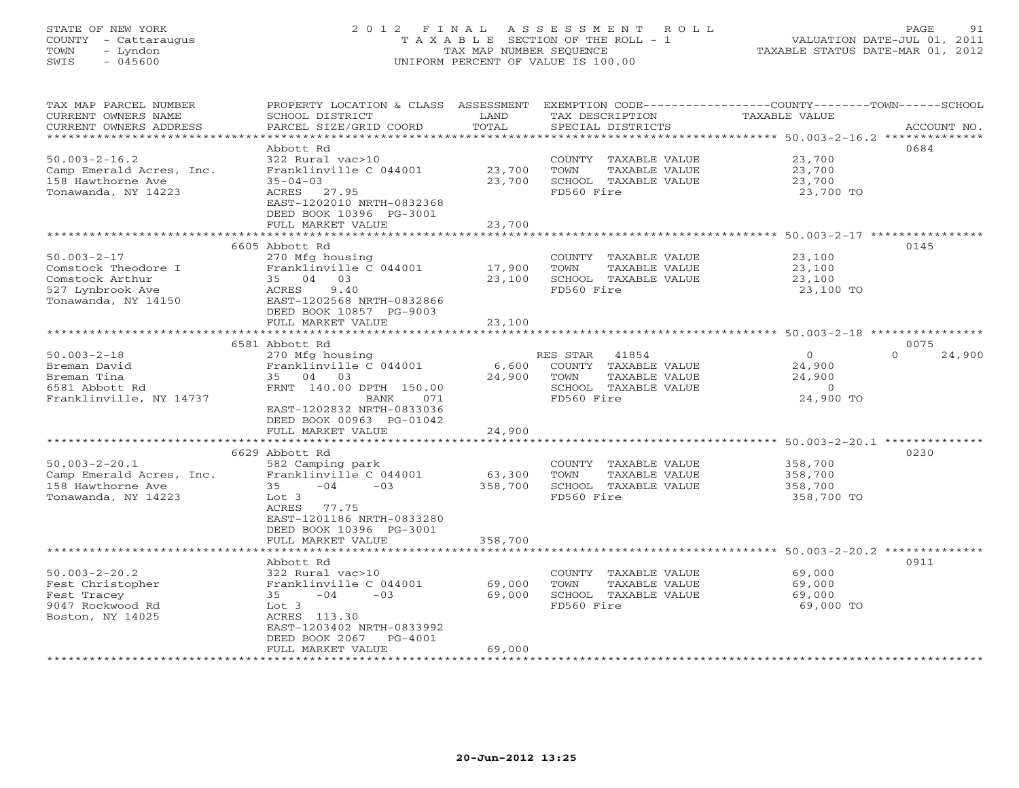#### STATE OF NEW YORK 2 0 1 2 F I N A L A S S E S S M E N T R O L L PAGE 91 COUNTY - Cattaraugus T A X A B L E SECTION OF THE ROLL - 1 VALUATION DATE-JUL 01, 2011 TOWN - Lyndon TAX MAP NUMBER SEQUENCE TAXABLE STATUS DATE-MAR 01, 2012 SWIS - 045600 UNIFORM PERCENT OF VALUE IS 100.00UNIFORM PERCENT OF VALUE IS 100.00

| TAX MAP PARCEL NUMBER<br>CURRENT OWNERS NAME<br>CURRENT OWNERS ADDRESS                                               | PROPERTY LOCATION & CLASS ASSESSMENT<br>SCHOOL DISTRICT<br>PARCEL SIZE/GRID COORD                                                                                                                                                     | LAND<br>TOTAL                     | TAX DESCRIPTION<br>SPECIAL DISTRICTS                                                                                             | EXEMPTION CODE-----------------COUNTY-------TOWN------SCHOOL<br><b>TAXABLE VALUE</b><br>ACCOUNT NO.                |  |
|----------------------------------------------------------------------------------------------------------------------|---------------------------------------------------------------------------------------------------------------------------------------------------------------------------------------------------------------------------------------|-----------------------------------|----------------------------------------------------------------------------------------------------------------------------------|--------------------------------------------------------------------------------------------------------------------|--|
| *****************<br>$50.003 - 2 - 16.2$<br>Camp Emerald Acres, Inc.<br>158 Hawthorne Ave<br>Tonawanda, NY 14223     | Abbott Rd<br>322 Rural vac>10<br>Franklinville C 044001<br>$35 - 04 - 03$<br>ACRES 27.95<br>EAST-1202010 NRTH-0832368<br>DEED BOOK 10396 PG-3001                                                                                      | *************<br>23,700<br>23,700 | COUNTY TAXABLE VALUE<br>TOWN<br>TAXABLE VALUE<br>SCHOOL TAXABLE VALUE<br>FD560 Fire                                              | ********************************** 50.003-2-16.2 **************<br>0684<br>23,700<br>23,700<br>23,700<br>23,700 TO |  |
|                                                                                                                      | FULL MARKET VALUE                                                                                                                                                                                                                     | 23,700                            |                                                                                                                                  |                                                                                                                    |  |
|                                                                                                                      | *******************                                                                                                                                                                                                                   | ***************                   |                                                                                                                                  | ******************************** 50.003-2-17 ***********                                                           |  |
| $50.003 - 2 - 17$<br>Comstock Theodore I<br>Comstock Arthur<br>527 Lynbrook Ave<br>Tonawanda, NY 14150               | 6605 Abbott Rd<br>270 Mfg housing<br>Franklinville C 044001<br>35 04 03<br>ACRES<br>9.40<br>EAST-1202568 NRTH-0832866<br>DEED BOOK 10857 PG-9003                                                                                      | 17,900<br>23,100                  | COUNTY TAXABLE VALUE<br>TOWN<br>TAXABLE VALUE<br>SCHOOL TAXABLE VALUE<br>FD560 Fire                                              | 0145<br>23,100<br>23,100<br>23,100<br>23,100 TO                                                                    |  |
|                                                                                                                      | FULL MARKET VALUE                                                                                                                                                                                                                     | 23,100                            |                                                                                                                                  |                                                                                                                    |  |
|                                                                                                                      | ***************************                                                                                                                                                                                                           |                                   |                                                                                                                                  |                                                                                                                    |  |
| $50.003 - 2 - 18$<br>Breman David<br>Breman Tina<br>6581 Abbott Rd<br>Franklinville, NY 14737<br>$50.003 - 2 - 20.1$ | 6581 Abbott Rd<br>270 Mfg housing<br>Franklinville C 044001<br>35 04 03<br>FRNT 140.00 DPTH 150.00<br>071<br>BANK<br>EAST-1202832 NRTH-0833036<br>DEED BOOK 00963 PG-01042<br>FULL MARKET VALUE<br>6629 Abbott Rd<br>582 Camping park | 6,600<br>24,900<br>24,900         | RES STAR<br>41854<br>COUNTY TAXABLE VALUE<br>TOWN<br>TAXABLE VALUE<br>SCHOOL TAXABLE VALUE<br>FD560 Fire<br>COUNTY TAXABLE VALUE | 0075<br>$\circ$<br>24,900<br>$\Omega$<br>24,900<br>24,900<br>$\circ$<br>24,900 TO<br>0230<br>358,700               |  |
| 158 Hawthorne Ave<br>Tonawanda, NY 14223                                                                             | $-04$<br>$-0.3$<br>35<br>Lot 3<br>ACRES<br>77.75<br>EAST-1201186 NRTH-0833280<br>DEED BOOK 10396 PG-3001<br>FULL MARKET VALUE                                                                                                         | 358,700<br>358,700                | SCHOOL TAXABLE VALUE<br>FD560 Fire                                                                                               | 358,700<br>358,700 TO                                                                                              |  |
|                                                                                                                      |                                                                                                                                                                                                                                       |                                   |                                                                                                                                  |                                                                                                                    |  |
| $50.003 - 2 - 20.2$<br>Fest Christopher<br>Fest Tracey<br>9047 Rockwood Rd<br>Boston, NY 14025                       | 322 Rural vac>10<br>Franklinville C 044001<br>$-04$<br>$-03$<br>35<br>Lot 3<br>ACRES 113.30<br>EAST-1203402 NRTH-0833992<br>DEED BOOK 2067<br>$PG-4001$<br>FULL MARKET VALUE                                                          | 69,000<br>69,000<br>69,000        | COUNTY TAXABLE VALUE<br>TOWN<br>TAXABLE VALUE<br>SCHOOL TAXABLE VALUE<br>FD560 Fire                                              | 69,000<br>69,000<br>69,000<br>69,000 TO                                                                            |  |
| Camp Emerald Acres, Inc.                                                                                             | Franklinville C 044001<br>Abbott Rd                                                                                                                                                                                                   | 63,300                            | TOWN<br>TAXABLE VALUE                                                                                                            | 358,700<br>************************ 50.003-2-20.2 **************<br>0911                                           |  |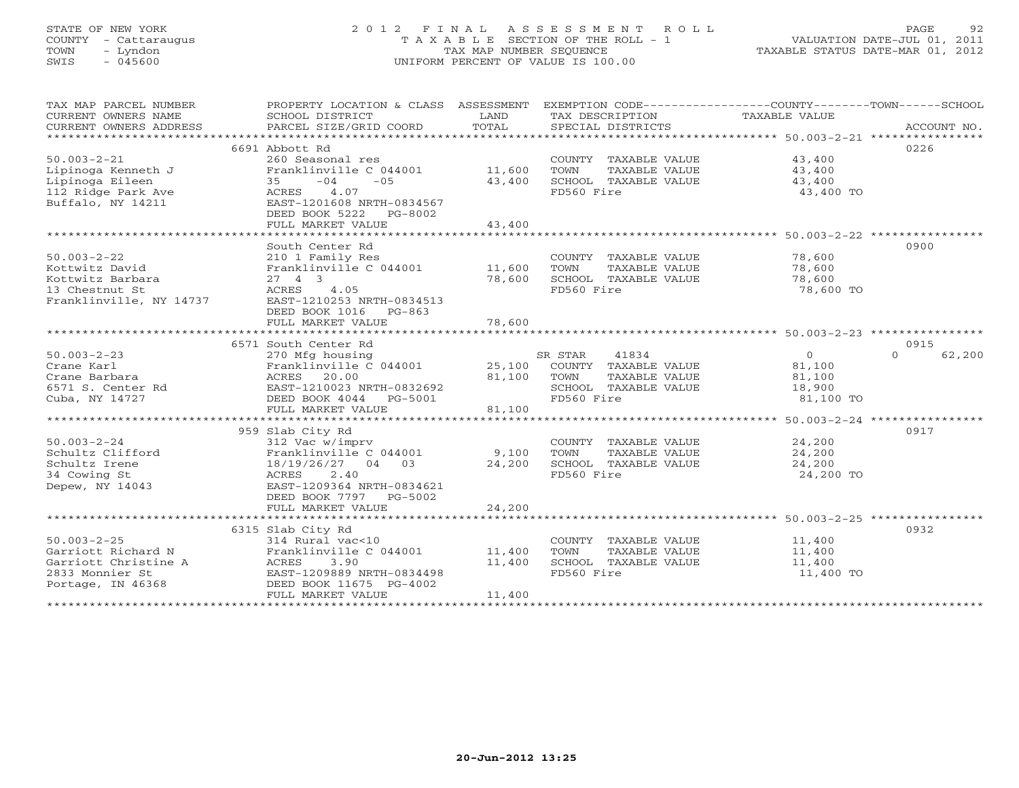# STATE OF NEW YORK 2 0 1 2 F I N A L A S S E S S M E N T R O L L PAGE 92 COUNTY - Cattaraugus T A X A B L E SECTION OF THE ROLL - 1 VALUATION DATE-JUL 01, 2011 TOWN - Lyndon TAX MAP NUMBER SEQUENCE TAXABLE STATUS DATE-MAR 01, 2012 SWIS - 045600 UNIFORM PERCENT OF VALUE IS 100.00

| TAX MAP PARCEL NUMBER<br>CURRENT OWNERS NAME<br>CURRENT OWNERS ADDRESS | PROPERTY LOCATION & CLASS ASSESSMENT<br>SCHOOL DISTRICT<br>PARCEL SIZE/GRID COORD | LAND<br>TOTAL | EXEMPTION CODE-----------------COUNTY-------TOWN------SCHOOL<br>TAX DESCRIPTION<br>SPECIAL DISTRICTS | <b>TAXABLE VALUE</b>                                          | ACCOUNT NO.        |
|------------------------------------------------------------------------|-----------------------------------------------------------------------------------|---------------|------------------------------------------------------------------------------------------------------|---------------------------------------------------------------|--------------------|
|                                                                        | 6691 Abbott Rd                                                                    |               |                                                                                                      |                                                               | 0226               |
|                                                                        |                                                                                   |               |                                                                                                      |                                                               |                    |
| $50.003 - 2 - 21$                                                      | 260 Seasonal res                                                                  |               | COUNTY TAXABLE VALUE                                                                                 | 43,400                                                        |                    |
| Lipinoga Kenneth J                                                     | Franklinville C 044001                                                            | 11,600        | TOWN<br>TAXABLE VALUE                                                                                | 43,400                                                        |                    |
| Lipinoga Eileen                                                        | 35<br>$-04$<br>$-05$                                                              | 43,400        | SCHOOL TAXABLE VALUE                                                                                 | 43,400                                                        |                    |
| 112 Ridge Park Ave                                                     | ACRES<br>4.07                                                                     |               | FD560 Fire                                                                                           | 43,400 TO                                                     |                    |
| Buffalo, NY 14211                                                      | EAST-1201608 NRTH-0834567                                                         |               |                                                                                                      |                                                               |                    |
|                                                                        | DEED BOOK 5222 PG-8002                                                            |               |                                                                                                      |                                                               |                    |
|                                                                        | FULL MARKET VALUE                                                                 | 43,400        |                                                                                                      |                                                               |                    |
|                                                                        |                                                                                   |               |                                                                                                      | ******************************* 50.003-2-22 ***************** |                    |
|                                                                        | South Center Rd                                                                   |               |                                                                                                      |                                                               | 0900               |
| $50.003 - 2 - 22$                                                      | 210 1 Family Res                                                                  |               | COUNTY TAXABLE VALUE                                                                                 | 78,600                                                        |                    |
| Kottwitz David                                                         | Franklinville C 044001                                                            | 11,600        | TOWN<br>TAXABLE VALUE                                                                                | 78,600                                                        |                    |
| Kottwitz Barbara                                                       | $27 \quad 4 \quad 3$                                                              | 78,600        | SCHOOL TAXABLE VALUE                                                                                 | 78,600                                                        |                    |
| 13 Chestnut St                                                         | 4.05<br>ACRES                                                                     |               | FD560 Fire                                                                                           | 78,600 TO                                                     |                    |
| Franklinville, NY 14737                                                | EAST-1210253 NRTH-0834513                                                         |               |                                                                                                      |                                                               |                    |
|                                                                        | DEED BOOK 1016 PG-863                                                             |               |                                                                                                      |                                                               |                    |
|                                                                        | FULL MARKET VALUE                                                                 | 78,600        |                                                                                                      |                                                               |                    |
|                                                                        |                                                                                   |               |                                                                                                      |                                                               |                    |
|                                                                        | 6571 South Center Rd                                                              |               |                                                                                                      |                                                               | 0915               |
| $50.003 - 2 - 23$                                                      | 270 Mfg housing                                                                   |               | SR STAR<br>41834                                                                                     | $\Omega$                                                      | 62,200<br>$\Omega$ |
| Crane Karl                                                             | Franklinville C 044001                                                            | 25,100        | COUNTY TAXABLE VALUE                                                                                 | 81,100                                                        |                    |
| Crane Barbara                                                          | ACRES 20.00                                                                       | 81,100        | TOWN<br>TAXABLE VALUE                                                                                | 81,100                                                        |                    |
|                                                                        | EAST-1210023 NRTH-0832692                                                         |               | SCHOOL TAXABLE VALUE                                                                                 |                                                               |                    |
| 6571 S. Center Rd<br>Cuba, NY 14727                                    | DEED BOOK 4044 PG-5001                                                            |               | FD560 Fire                                                                                           | 18,900                                                        |                    |
|                                                                        |                                                                                   |               |                                                                                                      | 81,100 TO                                                     |                    |
|                                                                        | FULL MARKET VALUE                                                                 | 81,100        |                                                                                                      |                                                               |                    |
|                                                                        |                                                                                   |               |                                                                                                      |                                                               |                    |
|                                                                        | 959 Slab City Rd                                                                  |               |                                                                                                      |                                                               | 0917               |
| $50.003 - 2 - 24$                                                      | 312 Vac w/imprv                                                                   |               | COUNTY TAXABLE VALUE                                                                                 | 24,200                                                        |                    |
| Schultz Clifford                                                       | Franklinville C 044001                                                            | 9,100         | TOWN<br>TAXABLE VALUE                                                                                | 24,200                                                        |                    |
| Schultz Irene                                                          | 18/19/26/27 04<br>0.3                                                             | 24,200        | SCHOOL TAXABLE VALUE                                                                                 | 24,200                                                        |                    |
| 34 Cowing St                                                           | ACRES<br>2.40                                                                     |               | FD560 Fire                                                                                           | 24,200 TO                                                     |                    |
| Depew, NY 14043                                                        | EAST-1209364 NRTH-0834621                                                         |               |                                                                                                      |                                                               |                    |
|                                                                        | DEED BOOK 7797 PG-5002                                                            |               |                                                                                                      |                                                               |                    |
|                                                                        | FULL MARKET VALUE                                                                 | 24,200        |                                                                                                      |                                                               |                    |
|                                                                        |                                                                                   |               |                                                                                                      | ******************************* 50.003-2-25 ****************  |                    |
|                                                                        | 6315 Slab City Rd                                                                 |               |                                                                                                      |                                                               | 0932               |
| $50.003 - 2 - 25$                                                      | 314 Rural vac<10                                                                  |               | COUNTY TAXABLE VALUE                                                                                 | 11,400                                                        |                    |
| Garriott Richard N                                                     | Franklinville C 044001                                                            | 11,400        | TOWN<br>TAXABLE VALUE                                                                                | 11,400                                                        |                    |
| Garriott Christine A                                                   | ACRES<br>3.90                                                                     | 11,400        | SCHOOL TAXABLE VALUE                                                                                 | 11,400                                                        |                    |
| 2833 Monnier St                                                        | EAST-1209889 NRTH-0834498                                                         |               | FD560 Fire                                                                                           | 11,400 TO                                                     |                    |
| Portage, IN 46368                                                      | DEED BOOK 11675 PG-4002                                                           |               |                                                                                                      |                                                               |                    |
|                                                                        | FULL MARKET VALUE                                                                 | 11,400        |                                                                                                      |                                                               |                    |
|                                                                        |                                                                                   |               |                                                                                                      |                                                               |                    |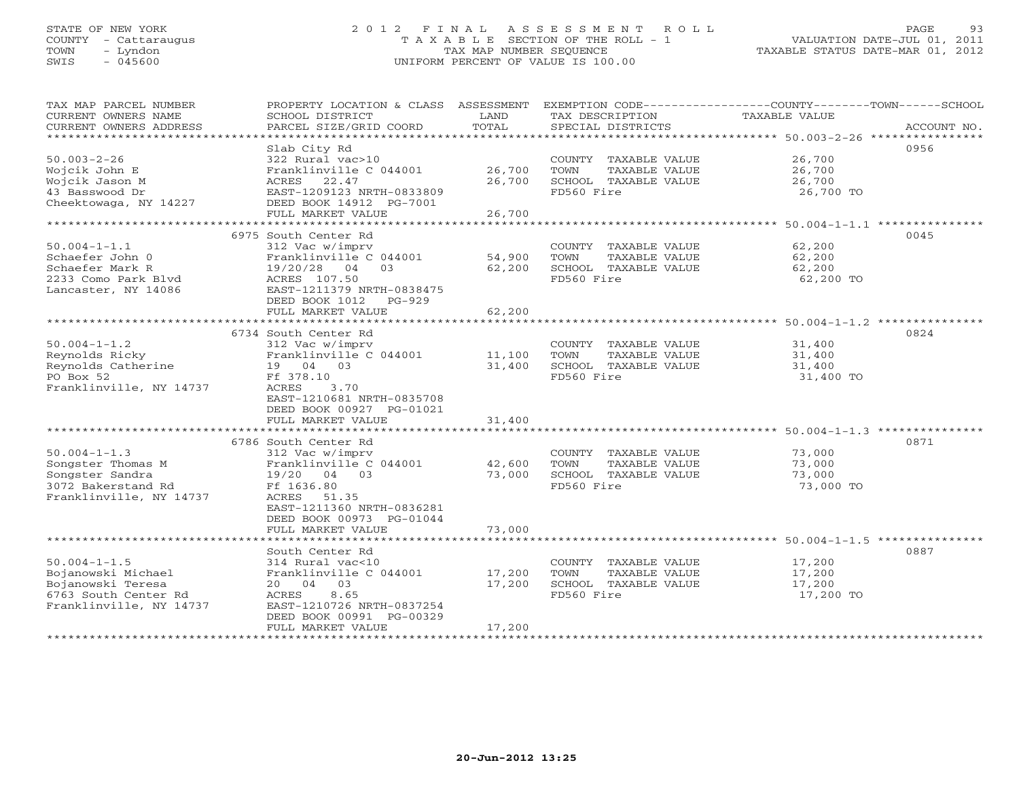# STATE OF NEW YORK 2 0 1 2 F I N A L A S S E S S M E N T R O L L PAGE 93 COUNTY - Cattaraugus T A X A B L E SECTION OF THE ROLL - 1 VALUATION DATE-JUL 01, 2011 TOWN - Lyndon TAX MAP NUMBER SEQUENCE TAXABLE STATUS DATE-MAR 01, 2012 SWIS - 045600 UNIFORM PERCENT OF VALUE IS 100.00

| TAX MAP PARCEL NUMBER<br>CURRENT OWNERS NAME<br>CURRENT OWNERS ADDRESS                                           | PROPERTY LOCATION & CLASS ASSESSMENT<br>SCHOOL DISTRICT<br>PARCEL SIZE/GRID COORD                                                                                           | LAND<br>TOTAL                       | TAX DESCRIPTION<br>SPECIAL DISTRICTS                                                | EXEMPTION CODE-----------------COUNTY-------TOWN------SCHOOL<br><b>TAXABLE VALUE</b><br>ACCOUNT NO. |
|------------------------------------------------------------------------------------------------------------------|-----------------------------------------------------------------------------------------------------------------------------------------------------------------------------|-------------------------------------|-------------------------------------------------------------------------------------|-----------------------------------------------------------------------------------------------------|
|                                                                                                                  | Slab City Rd                                                                                                                                                                |                                     |                                                                                     | 0956                                                                                                |
| $50.003 - 2 - 26$<br>Wojcik John E<br>Wojcik Jason M<br>43 Basswood Dr<br>Cheektowaga, NY 14227                  | 322 Rural vac>10<br>Franklinville C 044001<br>ACRES<br>22.47<br>EAST-1209123 NRTH-0833809<br>DEED BOOK 14912 PG-7001                                                        | 26,700<br>26,700                    | COUNTY TAXABLE VALUE<br>TAXABLE VALUE<br>TOWN<br>SCHOOL TAXABLE VALUE<br>FD560 Fire | 26,700<br>26,700<br>26,700<br>26,700 TO                                                             |
|                                                                                                                  | FULL MARKET VALUE                                                                                                                                                           | 26,700<br>* * * * * * * * * * * * * |                                                                                     | ********************** 50.004-1-1.1 ****************                                                |
|                                                                                                                  | 6975 South Center Rd                                                                                                                                                        |                                     |                                                                                     | 0045                                                                                                |
| $50.004 - 1 - 1.1$<br>Schaefer John 0<br>Schaefer Mark R<br>2233 Como Park Blyd<br>Lancaster, NY 14086           | 312 Vac w/imprv<br>Franklinville C 044001<br>19/20/28<br>04<br>03<br>ACRES 107.50<br>EAST-1211379 NRTH-0838475<br>DEED BOOK 1012<br>PG-929                                  | 54,900<br>62,200                    | COUNTY TAXABLE VALUE<br>TOWN<br>TAXABLE VALUE<br>SCHOOL TAXABLE VALUE<br>FD560 Fire | 62,200<br>62,200<br>62,200<br>62,200 TO                                                             |
|                                                                                                                  | FULL MARKET VALUE<br>******************************                                                                                                                         | 62,200                              |                                                                                     |                                                                                                     |
|                                                                                                                  | 6734 South Center Rd                                                                                                                                                        |                                     |                                                                                     | 0824                                                                                                |
| $50.004 - 1 - 1.2$<br>Reynolds Ricky<br>Reynolds Catherine<br>PO Box 52<br>Franklinville, NY 14737               | 312 Vac w/imprv<br>Franklinville C 044001<br>19 04 03<br>Ff 378.10<br>ACRES<br>3.70<br>EAST-1210681 NRTH-0835708                                                            | 11,100<br>31,400                    | COUNTY TAXABLE VALUE<br>TOWN<br>TAXABLE VALUE<br>SCHOOL TAXABLE VALUE<br>FD560 Fire | 31,400<br>31,400<br>31,400<br>31,400 TO                                                             |
|                                                                                                                  | DEED BOOK 00927 PG-01021<br>FULL MARKET VALUE                                                                                                                               | 31,400                              |                                                                                     |                                                                                                     |
|                                                                                                                  |                                                                                                                                                                             |                                     |                                                                                     |                                                                                                     |
| $50.004 - 1 - 1.3$<br>Songster Thomas M<br>Songster Sandra<br>3072 Bakerstand Rd<br>Franklinville, NY 14737      | 6786 South Center Rd<br>312 Vac w/imprv<br>Franklinville C 044001<br>19/20 04 03<br>Ff 1636.80<br>ACRES<br>51.35<br>EAST-1211360 NRTH-0836281<br>DEED BOOK 00973 PG-01044   | 42,600<br>73,000                    | COUNTY TAXABLE VALUE<br>TOWN<br>TAXABLE VALUE<br>SCHOOL TAXABLE VALUE<br>FD560 Fire | 0871<br>73,000<br>73,000<br>73,000<br>73,000 TO                                                     |
|                                                                                                                  | FULL MARKET VALUE                                                                                                                                                           | 73,000                              |                                                                                     |                                                                                                     |
|                                                                                                                  | ******************************                                                                                                                                              |                                     |                                                                                     |                                                                                                     |
| $50.004 - 1 - 1.5$<br>Bojanowski Michael<br>Bojanowski Teresa<br>6763 South Center Rd<br>Franklinville, NY 14737 | South Center Rd<br>314 Rural vac<10<br>Franklinville C 044001<br>03<br>20 04<br>8.65<br>ACRES<br>EAST-1210726 NRTH-0837254<br>DEED BOOK 00991 PG-00329<br>FULL MARKET VALUE | 17,200<br>17,200<br>17,200          | COUNTY TAXABLE VALUE<br>TAXABLE VALUE<br>TOWN<br>SCHOOL TAXABLE VALUE<br>FD560 Fire | 0887<br>17,200<br>17,200<br>17,200<br>17,200 TO                                                     |
|                                                                                                                  |                                                                                                                                                                             |                                     |                                                                                     |                                                                                                     |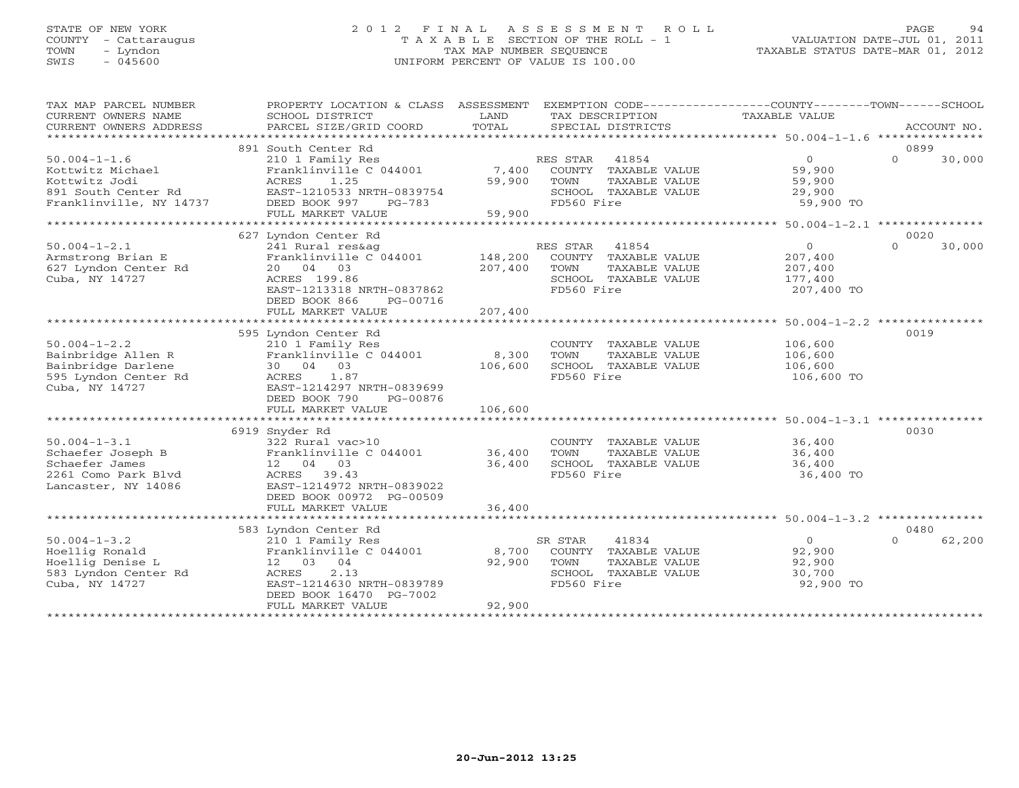# STATE OF NEW YORK 2 0 1 2 F I N A L A S S E S S M E N T R O L L PAGE 94 COUNTY - Cattaraugus T A X A B L E SECTION OF THE ROLL - 1 VALUATION DATE-JUL 01, 2011 TOWN - Lyndon TAX MAP NUMBER SEQUENCE TAXABLE STATUS DATE-MAR 01, 2012 SWIS - 045600 UNIFORM PERCENT OF VALUE IS 100.00

| TAX MAP PARCEL NUMBER<br>CURRENT OWNERS NAME<br>CURRENT OWNERS ADDRESS | PROPERTY LOCATION & CLASS ASSESSMENT<br>SCHOOL DISTRICT<br>PARCEL SIZE/GRID COORD | LAND<br>TOTAL | EXEMPTION CODE-----------------COUNTY-------TOWN------SCHOOL<br>TAX DESCRIPTION<br>SPECIAL DISTRICTS | TAXABLE VALUE  | ACCOUNT NO.        |
|------------------------------------------------------------------------|-----------------------------------------------------------------------------------|---------------|------------------------------------------------------------------------------------------------------|----------------|--------------------|
|                                                                        |                                                                                   |               |                                                                                                      |                |                    |
|                                                                        | 891 South Center Rd                                                               |               |                                                                                                      |                | 0899               |
| $50.004 - 1 - 1.6$                                                     | 210 1 Family Res                                                                  |               | RES STAR<br>41854                                                                                    | $\overline{0}$ | $\Omega$<br>30,000 |
| Kottwitz Michael                                                       | Franklinville C 044001                                                            | 7,400         | COUNTY TAXABLE VALUE                                                                                 | 59,900         |                    |
| Kottwitz Jodi                                                          | ACRES<br>1.25                                                                     | 59,900        | TOWN<br>TAXABLE VALUE                                                                                | 59,900         |                    |
| 891 South Center Rd                                                    | EAST-1210533 NRTH-0839754                                                         |               | SCHOOL TAXABLE VALUE                                                                                 | 29,900         |                    |
| Franklinville, NY 14737                                                | DEED BOOK 997<br>$PG-783$                                                         |               | FD560 Fire                                                                                           | 59,900 TO      |                    |
|                                                                        | FULL MARKET VALUE                                                                 | 59,900        |                                                                                                      |                |                    |
| **********************                                                 |                                                                                   |               |                                                                                                      |                |                    |
|                                                                        | 627 Lyndon Center Rd                                                              |               |                                                                                                      |                | 0020               |
| $50.004 - 1 - 2.1$                                                     | 241 Rural res&ag                                                                  |               | RES STAR<br>41854                                                                                    | $\circ$        | $\Omega$<br>30,000 |
| Armstrong Brian E                                                      | Franklinville C 044001                                                            | 148,200       | COUNTY TAXABLE VALUE                                                                                 | 207,400        |                    |
| 627 Lyndon Center Rd                                                   | 20 04 03                                                                          | 207,400       | TOWN<br>TAXABLE VALUE                                                                                | 207,400        |                    |
| Cuba, NY 14727                                                         | ACRES 199.86                                                                      |               | SCHOOL TAXABLE VALUE                                                                                 | 177,400        |                    |
|                                                                        | EAST-1213318 NRTH-0837862                                                         |               | FD560 Fire                                                                                           | 207,400 TO     |                    |
|                                                                        | DEED BOOK 866<br>PG-00716                                                         |               |                                                                                                      |                |                    |
|                                                                        | FULL MARKET VALUE                                                                 | 207,400       |                                                                                                      |                |                    |
|                                                                        | 595 Lyndon Center Rd                                                              |               |                                                                                                      |                | 0019               |
| $50.004 - 1 - 2.2$                                                     | 210 1 Family Res                                                                  |               | COUNTY TAXABLE VALUE                                                                                 | 106,600        |                    |
| Bainbridge Allen R                                                     | Franklinville C 044001                                                            | 8,300         | TOWN<br>TAXABLE VALUE                                                                                | 106,600        |                    |
| Bainbridge Darlene                                                     | 30 04 03                                                                          | 106,600       | SCHOOL TAXABLE VALUE                                                                                 | 106,600        |                    |
| 595 Lyndon Center Rd                                                   | 1.87<br>ACRES                                                                     |               | FD560 Fire                                                                                           | 106,600 TO     |                    |
| Cuba, NY 14727                                                         | EAST-1214297 NRTH-0839699                                                         |               |                                                                                                      |                |                    |
|                                                                        | DEED BOOK 790<br>PG-00876                                                         |               |                                                                                                      |                |                    |
|                                                                        | FULL MARKET VALUE                                                                 | 106,600       |                                                                                                      |                |                    |
|                                                                        |                                                                                   |               |                                                                                                      |                |                    |
|                                                                        | 6919 Snyder Rd                                                                    |               |                                                                                                      |                | 0030               |
| $50.004 - 1 - 3.1$                                                     | 322 Rural vac>10                                                                  |               | COUNTY TAXABLE VALUE                                                                                 | 36,400         |                    |
| Schaefer Joseph B                                                      | Franklinville C 044001                                                            | 36,400        | TOWN<br>TAXABLE VALUE                                                                                | 36,400         |                    |
| Schaefer James                                                         | 12 04 03                                                                          | 36,400        | SCHOOL TAXABLE VALUE                                                                                 | 36,400         |                    |
| 2261 Como Park Blyd                                                    | ACRES 39.43                                                                       |               | FD560 Fire                                                                                           | 36,400 TO      |                    |
| Lancaster, NY 14086                                                    | EAST-1214972 NRTH-0839022                                                         |               |                                                                                                      |                |                    |
|                                                                        | DEED BOOK 00972 PG-00509                                                          |               |                                                                                                      |                |                    |
|                                                                        | FULL MARKET VALUE                                                                 | 36,400        |                                                                                                      |                |                    |
|                                                                        |                                                                                   |               |                                                                                                      |                |                    |
|                                                                        | 583 Lyndon Center Rd                                                              |               |                                                                                                      |                | 0480               |
| $50.004 - 1 - 3.2$                                                     | 210 1 Family Res                                                                  |               | SR STAR<br>41834                                                                                     | $\overline{0}$ | $\Omega$<br>62,200 |
| Hoellig Ronald                                                         | Franklinville C 044001                                                            | 8,700         | COUNTY TAXABLE VALUE                                                                                 | 92,900         |                    |
| Hoellig Denise L                                                       | 12 03 04                                                                          | 92,900        | TOWN<br>TAXABLE VALUE                                                                                | 92,900         |                    |
| 583 Lyndon Center Rd                                                   | ACRES<br>2.13                                                                     |               | SCHOOL TAXABLE VALUE                                                                                 | 30,700         |                    |
| Cuba, NY 14727                                                         | EAST-1214630 NRTH-0839789                                                         |               | FD560 Fire                                                                                           | 92,900 TO      |                    |
|                                                                        | DEED BOOK 16470 PG-7002                                                           | 92,900        |                                                                                                      |                |                    |
|                                                                        | FULL MARKET VALUE<br>*******************                                          |               |                                                                                                      |                |                    |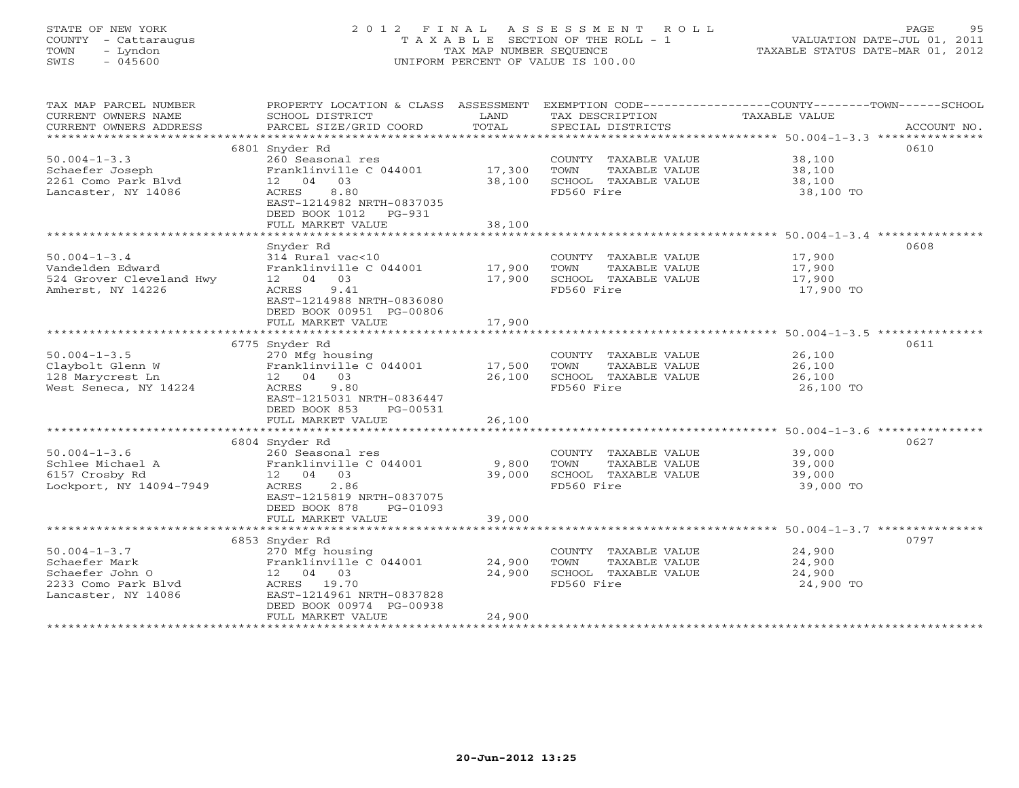# STATE OF NEW YORK 2 0 1 2 F I N A L A S S E S S M E N T R O L L PAGE 95 COUNTY - Cattaraugus T A X A B L E SECTION OF THE ROLL - 1 VALUATION DATE-JUL 01, 2011 TOWN - Lyndon TAX MAP NUMBER SEQUENCE TAXABLE STATUS DATE-MAR 01, 2012 SWIS - 045600 UNIFORM PERCENT OF VALUE IS 100.00

| TAX MAP PARCEL NUMBER<br>CURRENT OWNERS NAME<br>CURRENT OWNERS ADDRESS | SCHOOL DISTRICT<br>PARCEL SIZE/GRID COORD                                       | LAND<br>TOTAL | TAX DESCRIPTION<br>SPECIAL DISTRICTS          | PROPERTY LOCATION & CLASS ASSESSMENT EXEMPTION CODE---------------COUNTY-------TOWN------SCHOOL<br>TAXABLE VALUE<br>ACCOUNT NO. |
|------------------------------------------------------------------------|---------------------------------------------------------------------------------|---------------|-----------------------------------------------|---------------------------------------------------------------------------------------------------------------------------------|
| $50.004 - 1 - 3.3$<br>Schaefer Joseph                                  | 6801 Snyder Rd<br>260 Seasonal res<br>Franklinville C 044001 17,300             |               | COUNTY TAXABLE VALUE<br>TOWN<br>TAXABLE VALUE | 0610<br>38,100<br>38,100                                                                                                        |
| 2261 Como Park Blvd<br>Lancaster, NY 14086                             | 12 04 03<br>8.80<br>ACRES<br>EAST-1214982 NRTH-0837035<br>DEED BOOK 1012 PG-931 | 38,100        | SCHOOL TAXABLE VALUE<br>FD560 Fire            | 38,100<br>38,100 TO                                                                                                             |
|                                                                        | FULL MARKET VALUE                                                               | 38,100        |                                               |                                                                                                                                 |
|                                                                        | Snyder Rd                                                                       |               |                                               | 0608                                                                                                                            |
| $50.004 - 1 - 3.4$                                                     | 314 Rural vac<10                                                                |               | COUNTY TAXABLE VALUE                          | 17,900                                                                                                                          |
| Vandelden Edward                                                       | Franklinville C 044001                                                          | 17,900        | TOWN<br>TAXABLE VALUE                         | 17,900                                                                                                                          |
| 524 Grover Cleveland Hwy                                               | 12 04 03                                                                        | 17,900        | SCHOOL TAXABLE VALUE                          | 17,900                                                                                                                          |
| Amherst, NY 14226                                                      | ACRES<br>9.41<br>EAST-1214988 NRTH-0836080<br>DEED BOOK 00951 PG-00806          |               | FD560 Fire                                    | 17,900 TO                                                                                                                       |
|                                                                        | FULL MARKET VALUE                                                               | 17,900        |                                               |                                                                                                                                 |
|                                                                        |                                                                                 |               |                                               |                                                                                                                                 |
|                                                                        | 6775 Snyder Rd                                                                  |               |                                               | 0611                                                                                                                            |
| $50.004 - 1 - 3.5$                                                     | 270 Mfg housing                                                                 |               | COUNTY TAXABLE VALUE                          | 26,100                                                                                                                          |
| Claybolt Glenn W                                                       | Franklinville C 044001<br>12 04 03                                              | 17,500        | TOWN<br>TAXABLE VALUE                         | 26,100                                                                                                                          |
| 128 Marycrest Ln<br>West Seneca, NY 14224                              | 9.80<br>ACRES                                                                   | 26,100        | SCHOOL TAXABLE VALUE<br>FD560 Fire            | 26,100<br>26,100 TO                                                                                                             |
|                                                                        | EAST-1215031 NRTH-0836447                                                       |               |                                               |                                                                                                                                 |
|                                                                        | DEED BOOK 853<br>PG-00531                                                       |               |                                               |                                                                                                                                 |
|                                                                        | FULL MARKET VALUE                                                               | 26,100        |                                               |                                                                                                                                 |
|                                                                        |                                                                                 |               |                                               |                                                                                                                                 |
|                                                                        | 6804 Snyder Rd                                                                  |               |                                               | 0627                                                                                                                            |
| $50.004 - 1 - 3.6$                                                     | 260 Seasonal res                                                                |               | COUNTY TAXABLE VALUE                          | 39,000                                                                                                                          |
| Schlee Michael A                                                       | Franklinville C 044001                                                          | 9,800         | TAXABLE VALUE<br>TOWN                         | 39,000                                                                                                                          |
| 6157 Crosby Rd                                                         | 12  04  03                                                                      | 39,000        | SCHOOL TAXABLE VALUE                          | 39,000                                                                                                                          |
| Lockport, NY 14094-7949                                                | 2.86<br>ACRES<br>EAST-1215819 NRTH-0837075<br>DEED BOOK 878<br>PG-01093         |               | FD560 Fire                                    | 39,000 TO                                                                                                                       |
|                                                                        | FULL MARKET VALUE                                                               | 39,000        |                                               |                                                                                                                                 |
|                                                                        |                                                                                 |               |                                               |                                                                                                                                 |
|                                                                        | 6853 Snyder Rd                                                                  |               |                                               | 0797                                                                                                                            |
| $50.004 - 1 - 3.7$                                                     | 270 Mfg housing                                                                 |               | COUNTY TAXABLE VALUE                          | 24,900                                                                                                                          |
| Schaefer Mark                                                          | Franklinville C 044001                                                          | 24,900        | TAXABLE VALUE<br>TOWN                         | 24,900                                                                                                                          |
| Schaefer John O                                                        | 12 04 03                                                                        | 24,900        | SCHOOL TAXABLE VALUE                          | 24,900                                                                                                                          |
| 2233 Como Park Blvd                                                    | ACRES 19.70<br>EAST-1214961 NRTH-0837828                                        |               | FD560 Fire                                    | 24,900 TO                                                                                                                       |
| Lancaster, NY 14086                                                    | DEED BOOK 00974 PG-00938                                                        |               |                                               |                                                                                                                                 |
|                                                                        | FULL MARKET VALUE                                                               | 24,900        |                                               |                                                                                                                                 |
|                                                                        |                                                                                 |               |                                               |                                                                                                                                 |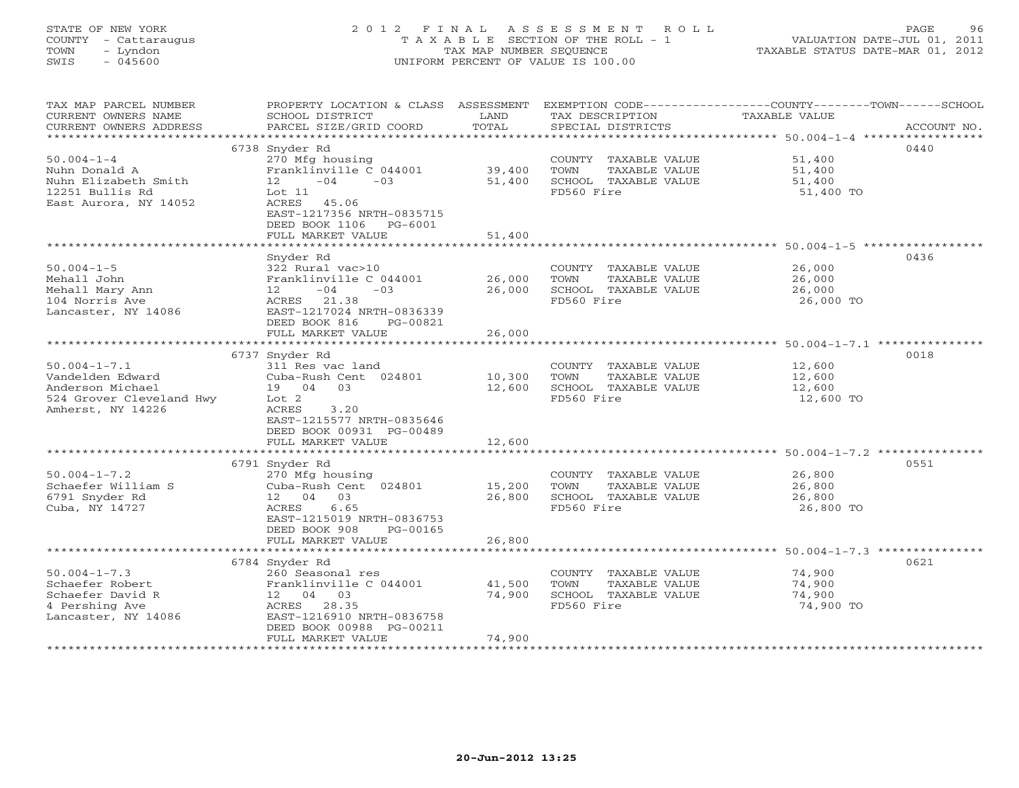# STATE OF NEW YORK 2 0 1 2 F I N A L A S S E S S M E N T R O L L PAGE 96 COUNTY - Cattaraugus T A X A B L E SECTION OF THE ROLL - 1 VALUATION DATE-JUL 01, 2011 TOWN - Lyndon TAX MAP NUMBER SEQUENCE TAXABLE STATUS DATE-MAR 01, 2012 SWIS - 045600 UNIFORM PERCENT OF VALUE IS 100.00

| TAX MAP PARCEL NUMBER<br>CURRENT OWNERS NAME<br>CURRENT OWNERS ADDRESS                                      | SCHOOL DISTRICT<br>PARCEL SIZE/GRID COORD                                                                                                              | LAND<br>TOTAL               | TAX DESCRIPTION<br>SPECIAL DISTRICTS                                                | PROPERTY LOCATION & CLASS ASSESSMENT EXEMPTION CODE----------------COUNTY-------TOWN------SCHOOL<br>TAXABLE VALUE | ACCOUNT NO. |
|-------------------------------------------------------------------------------------------------------------|--------------------------------------------------------------------------------------------------------------------------------------------------------|-----------------------------|-------------------------------------------------------------------------------------|-------------------------------------------------------------------------------------------------------------------|-------------|
| ***********************                                                                                     |                                                                                                                                                        |                             |                                                                                     |                                                                                                                   |             |
|                                                                                                             | 6738 Snyder Rd                                                                                                                                         |                             |                                                                                     |                                                                                                                   | 0440        |
| $50.004 - 1 - 4$<br>Nuhn Donald A<br>Nuhn Elizabeth Smith<br>12251 Bullis Rd<br>East Aurora, NY 14052       | 270 Mfg housing<br>Franklinville C 044001<br>$12 - 04$<br>$-03$<br>Lot 11<br>ACRES 45.06<br>EAST-1217356 NRTH-0835715<br>DEED BOOK 1106 PG-6001        | 39,400<br>51,400            | COUNTY TAXABLE VALUE<br>TOWN<br>TAXABLE VALUE<br>SCHOOL TAXABLE VALUE<br>FD560 Fire | 51,400<br>51,400<br>51,400<br>51,400 TO                                                                           |             |
|                                                                                                             | FULL MARKET VALUE                                                                                                                                      | 51,400                      |                                                                                     |                                                                                                                   |             |
|                                                                                                             |                                                                                                                                                        |                             |                                                                                     | ******************************* 50.004-1-5 *****************                                                      |             |
| $50.004 - 1 - 5$<br>Mehall John<br>Mehall Mary Ann<br>104 Norris Ave<br>Lancaster, NY 14086                 | Snyder Rd<br>322 Rural vac>10<br>Franklinville C 044001<br>$12 - 04$<br>$-03$<br>ACRES 21.38<br>EAST-1217024 NRTH-0836339<br>DEED BOOK 816<br>PG-00821 | 26,000<br>26,000            | COUNTY TAXABLE VALUE<br>TOWN<br>TAXABLE VALUE<br>SCHOOL TAXABLE VALUE<br>FD560 Fire | 26,000<br>26,000<br>26,000<br>26,000 TO                                                                           | 0436        |
|                                                                                                             | FULL MARKET VALUE                                                                                                                                      | 26,000                      |                                                                                     |                                                                                                                   |             |
|                                                                                                             | ***************************                                                                                                                            | *************               |                                                                                     | ****************************** 50.004-1-7.1 ***************                                                       |             |
|                                                                                                             | 6737 Snyder Rd                                                                                                                                         |                             |                                                                                     |                                                                                                                   | 0018        |
| $50.004 - 1 - 7.1$<br>Vandelden Edward<br>Anderson Michael<br>524 Grover Cleveland Hwy<br>Amherst, NY 14226 | 311 Res vac land<br>Cuba-Rush Cent 024801<br>19 04 03<br>Lot <sub>2</sub><br>3.20<br>ACRES<br>EAST-1215577 NRTH-0835646<br>DEED BOOK 00931 PG-00489    | 10,300<br>12,600            | COUNTY TAXABLE VALUE<br>TOWN<br>TAXABLE VALUE<br>SCHOOL TAXABLE VALUE<br>FD560 Fire | 12,600<br>12,600<br>12,600<br>12,600 TO                                                                           |             |
|                                                                                                             | FULL MARKET VALUE                                                                                                                                      | 12,600                      |                                                                                     |                                                                                                                   |             |
|                                                                                                             |                                                                                                                                                        |                             |                                                                                     |                                                                                                                   |             |
| $50.004 - 1 - 7.2$<br>Schaefer William S<br>6791 Snyder Rd<br>Cuba, NY 14727                                | 6791 Snyder Rd<br>270 Mfg housing<br>Cuba-Rush Cent 024801<br>12 04 03<br>6.65<br>ACRES<br>EAST-1215019 NRTH-0836753<br>DEED BOOK 908<br>PG-00165      | 15,200<br>26,800<br>26,800  | COUNTY TAXABLE VALUE<br>TOWN<br>TAXABLE VALUE<br>SCHOOL TAXABLE VALUE<br>FD560 Fire | 26,800<br>26,800<br>26,800<br>26,800 TO                                                                           | 0551        |
|                                                                                                             | FULL MARKET VALUE<br>********************                                                                                                              | ***********                 |                                                                                     | ***************************** 50.004-1-7.3 ****************                                                       |             |
|                                                                                                             | 6784 Snyder Rd                                                                                                                                         |                             |                                                                                     |                                                                                                                   | 0621        |
| $50.004 - 1 - 7.3$<br>Schaefer Robert<br>Schaefer David R<br>4 Pershing Ave<br>Lancaster, NY 14086          | 260 Seasonal res<br>Franklinville C 044001<br>12 04 03<br>ACRES 28.35<br>EAST-1216910 NRTH-0836758<br>DEED BOOK 00988 PG-00211                         | 41,500<br>74,900            | COUNTY TAXABLE VALUE<br>TOWN<br>TAXABLE VALUE<br>SCHOOL TAXABLE VALUE<br>FD560 Fire | 74,900<br>74,900<br>74,900<br>74,900 TO                                                                           |             |
|                                                                                                             | FULL MARKET VALUE                                                                                                                                      | 74,900<br>***************** |                                                                                     |                                                                                                                   |             |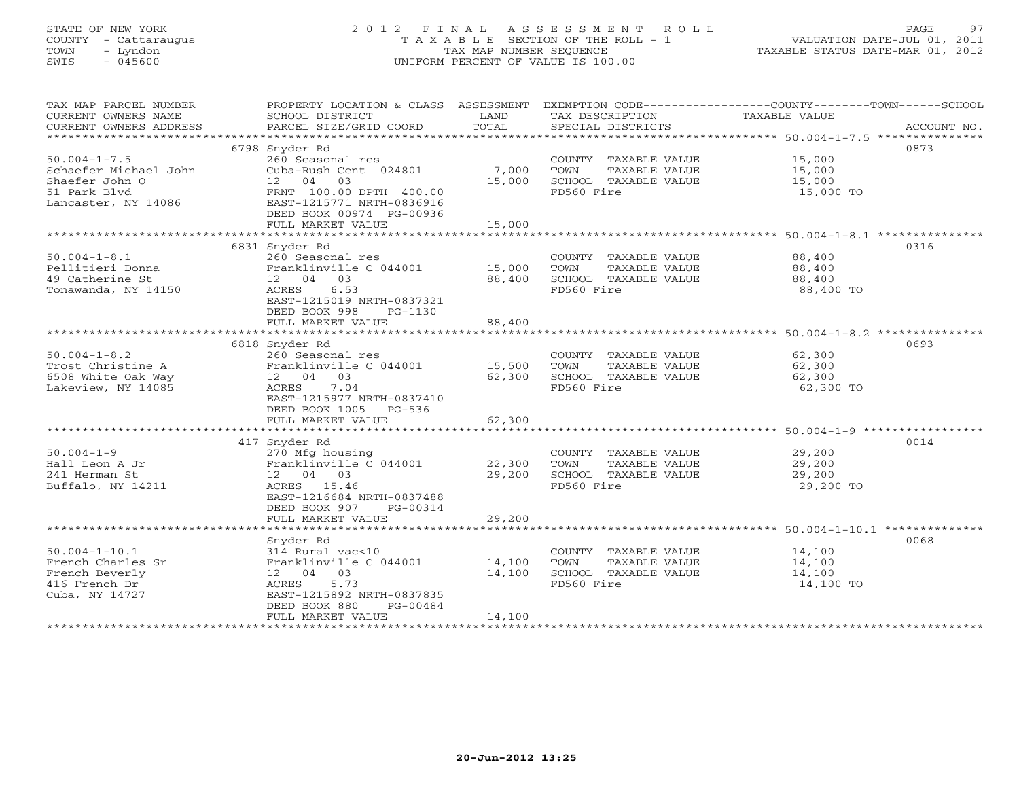# STATE OF NEW YORK 2 0 1 2 F I N A L A S S E S S M E N T R O L L PAGE 97 COUNTY - Cattaraugus T A X A B L E SECTION OF THE ROLL - 1 VALUATION DATE-JUL 01, 2011 TOWN - Lyndon TAX MAP NUMBER SEQUENCE TAXABLE STATUS DATE-MAR 01, 2012 SWIS - 045600 UNIFORM PERCENT OF VALUE IS 100.00

| 6798 Snyder Rd<br>0873<br>$50.004 - 1 - 7.5$<br>260 Seasonal res<br>COUNTY TAXABLE VALUE 15,000<br>Cuba-Rush Cent 024801<br>7,000<br>Schaefer Michael John<br>TOWN<br>TAXABLE VALUE<br>15,000<br>12 04 03<br>15,000<br>SCHOOL TAXABLE VALUE<br>Shaefer John O<br>15,000<br>51 Park Blyd<br>FRNT 100.00 DPTH 400.00<br>FD560 Fire<br>15,000 TO<br>EAST-1215771 NRTH-0836916<br>Lancaster, NY 14086<br>DEED BOOK 00974 PG-00936<br>FULL MARKET VALUE<br>15,000<br>0316<br>6831 Snyder Rd<br>$50.004 - 1 - 8.1$<br>260 Seasonal res<br>COUNTY TAXABLE VALUE 88,400<br>Franklinville C 044001 15,000<br>Pellitieri Donna<br>TOWN<br>TAXABLE VALUE<br>88,400<br>49 Catherine St<br>12  04  03<br>88,400<br>SCHOOL TAXABLE VALUE<br>88,400<br>Tonawanda, NY 14150<br>6.53<br>FD560 Fire<br>ACRES<br>88,400 TO<br>EAST-1215019 NRTH-0837321<br>DEED BOOK 998<br>PG-1130<br>FULL MARKET VALUE<br>88,400<br>0693<br>6818 Snyder Rd<br>$50.004 - 1 - 8.2$<br>260 Seasonal res<br>COUNTY TAXABLE VALUE 62,300<br>Trost Christine A<br>Franklinville C 044001<br>15,500<br>TAXABLE VALUE<br>TOWN<br>62,300<br>6508 White Oak Way<br>12 04 03<br>SCHOOL TAXABLE VALUE<br>62,300<br>62,300<br>Lakeview, NY 14085<br>7.04<br>FD560 Fire<br>ACRES<br>62,300 TO<br>EAST-1215977 NRTH-0837410<br>DEED BOOK 1005 PG-536<br>62,300<br>FULL MARKET VALUE<br>0014<br>417 Snyder Rd<br>$50.004 - 1 - 9$<br>29,200<br>270 Mfg housing<br>COUNTY TAXABLE VALUE<br>Franklinville C 044001<br>Hall Leon A Jr<br>22,300<br>TOWN<br>TAXABLE VALUE<br>29,200<br>241 Herman St<br>12  04  03<br>29,200<br>SCHOOL TAXABLE VALUE<br>29,200<br>FD560 Fire<br>Buffalo, NY 14211<br>ACRES 15.46<br>29,200 TO<br>EAST-1216684 NRTH-0837488<br>DEED BOOK 907 PG-00314<br>29,200<br>FULL MARKET VALUE<br>0068<br>Snyder Rd<br>$50.004 - 1 - 10.1$<br>314 Rural vac<10<br>COUNTY TAXABLE VALUE<br>14,100<br>Franklinville C 044001 14,100<br>French Charles Sr<br>TOWN<br>TAXABLE VALUE<br>14,100<br>French Beverly<br>12 04 03<br>14,100<br>SCHOOL TAXABLE VALUE<br>14,100<br>416 French Dr<br>5.73<br>FD560 Fire<br>14,100 TO<br>ACRES<br>Cuba, NY 14727<br>EAST-1215892 NRTH-0837835<br>DEED BOOK 880<br>PG-00484<br>FULL MARKET VALUE<br>14,100 | TAX MAP PARCEL NUMBER<br>CURRENT OWNERS NAME<br>CURRENT OWNERS ADDRESS | PROPERTY LOCATION & CLASS ASSESSMENT<br>SCHOOL DISTRICT<br>PARCEL SIZE/GRID COORD | LAND<br>TOTAL | TAX DESCRIPTION<br>SPECIAL DISTRICTS | EXEMPTION CODE-----------------COUNTY-------TOWN------SCHOOL<br>TAXABLE VALUE<br>ACCOUNT NO. |
|-------------------------------------------------------------------------------------------------------------------------------------------------------------------------------------------------------------------------------------------------------------------------------------------------------------------------------------------------------------------------------------------------------------------------------------------------------------------------------------------------------------------------------------------------------------------------------------------------------------------------------------------------------------------------------------------------------------------------------------------------------------------------------------------------------------------------------------------------------------------------------------------------------------------------------------------------------------------------------------------------------------------------------------------------------------------------------------------------------------------------------------------------------------------------------------------------------------------------------------------------------------------------------------------------------------------------------------------------------------------------------------------------------------------------------------------------------------------------------------------------------------------------------------------------------------------------------------------------------------------------------------------------------------------------------------------------------------------------------------------------------------------------------------------------------------------------------------------------------------------------------------------------------------------------------------------------------------------------------------------------------------------------------------------------------------------------------------------------------------------------------------------------------------------------------------------------------------|------------------------------------------------------------------------|-----------------------------------------------------------------------------------|---------------|--------------------------------------|----------------------------------------------------------------------------------------------|
|                                                                                                                                                                                                                                                                                                                                                                                                                                                                                                                                                                                                                                                                                                                                                                                                                                                                                                                                                                                                                                                                                                                                                                                                                                                                                                                                                                                                                                                                                                                                                                                                                                                                                                                                                                                                                                                                                                                                                                                                                                                                                                                                                                                                             |                                                                        |                                                                                   |               |                                      |                                                                                              |
|                                                                                                                                                                                                                                                                                                                                                                                                                                                                                                                                                                                                                                                                                                                                                                                                                                                                                                                                                                                                                                                                                                                                                                                                                                                                                                                                                                                                                                                                                                                                                                                                                                                                                                                                                                                                                                                                                                                                                                                                                                                                                                                                                                                                             |                                                                        |                                                                                   |               |                                      |                                                                                              |
|                                                                                                                                                                                                                                                                                                                                                                                                                                                                                                                                                                                                                                                                                                                                                                                                                                                                                                                                                                                                                                                                                                                                                                                                                                                                                                                                                                                                                                                                                                                                                                                                                                                                                                                                                                                                                                                                                                                                                                                                                                                                                                                                                                                                             |                                                                        |                                                                                   |               |                                      |                                                                                              |
|                                                                                                                                                                                                                                                                                                                                                                                                                                                                                                                                                                                                                                                                                                                                                                                                                                                                                                                                                                                                                                                                                                                                                                                                                                                                                                                                                                                                                                                                                                                                                                                                                                                                                                                                                                                                                                                                                                                                                                                                                                                                                                                                                                                                             |                                                                        |                                                                                   |               |                                      |                                                                                              |
|                                                                                                                                                                                                                                                                                                                                                                                                                                                                                                                                                                                                                                                                                                                                                                                                                                                                                                                                                                                                                                                                                                                                                                                                                                                                                                                                                                                                                                                                                                                                                                                                                                                                                                                                                                                                                                                                                                                                                                                                                                                                                                                                                                                                             |                                                                        |                                                                                   |               |                                      |                                                                                              |
|                                                                                                                                                                                                                                                                                                                                                                                                                                                                                                                                                                                                                                                                                                                                                                                                                                                                                                                                                                                                                                                                                                                                                                                                                                                                                                                                                                                                                                                                                                                                                                                                                                                                                                                                                                                                                                                                                                                                                                                                                                                                                                                                                                                                             |                                                                        |                                                                                   |               |                                      |                                                                                              |
|                                                                                                                                                                                                                                                                                                                                                                                                                                                                                                                                                                                                                                                                                                                                                                                                                                                                                                                                                                                                                                                                                                                                                                                                                                                                                                                                                                                                                                                                                                                                                                                                                                                                                                                                                                                                                                                                                                                                                                                                                                                                                                                                                                                                             |                                                                        |                                                                                   |               |                                      |                                                                                              |
|                                                                                                                                                                                                                                                                                                                                                                                                                                                                                                                                                                                                                                                                                                                                                                                                                                                                                                                                                                                                                                                                                                                                                                                                                                                                                                                                                                                                                                                                                                                                                                                                                                                                                                                                                                                                                                                                                                                                                                                                                                                                                                                                                                                                             |                                                                        |                                                                                   |               |                                      |                                                                                              |
|                                                                                                                                                                                                                                                                                                                                                                                                                                                                                                                                                                                                                                                                                                                                                                                                                                                                                                                                                                                                                                                                                                                                                                                                                                                                                                                                                                                                                                                                                                                                                                                                                                                                                                                                                                                                                                                                                                                                                                                                                                                                                                                                                                                                             |                                                                        |                                                                                   |               |                                      |                                                                                              |
|                                                                                                                                                                                                                                                                                                                                                                                                                                                                                                                                                                                                                                                                                                                                                                                                                                                                                                                                                                                                                                                                                                                                                                                                                                                                                                                                                                                                                                                                                                                                                                                                                                                                                                                                                                                                                                                                                                                                                                                                                                                                                                                                                                                                             |                                                                        |                                                                                   |               |                                      |                                                                                              |
|                                                                                                                                                                                                                                                                                                                                                                                                                                                                                                                                                                                                                                                                                                                                                                                                                                                                                                                                                                                                                                                                                                                                                                                                                                                                                                                                                                                                                                                                                                                                                                                                                                                                                                                                                                                                                                                                                                                                                                                                                                                                                                                                                                                                             |                                                                        |                                                                                   |               |                                      |                                                                                              |
|                                                                                                                                                                                                                                                                                                                                                                                                                                                                                                                                                                                                                                                                                                                                                                                                                                                                                                                                                                                                                                                                                                                                                                                                                                                                                                                                                                                                                                                                                                                                                                                                                                                                                                                                                                                                                                                                                                                                                                                                                                                                                                                                                                                                             |                                                                        |                                                                                   |               |                                      |                                                                                              |
|                                                                                                                                                                                                                                                                                                                                                                                                                                                                                                                                                                                                                                                                                                                                                                                                                                                                                                                                                                                                                                                                                                                                                                                                                                                                                                                                                                                                                                                                                                                                                                                                                                                                                                                                                                                                                                                                                                                                                                                                                                                                                                                                                                                                             |                                                                        |                                                                                   |               |                                      |                                                                                              |
|                                                                                                                                                                                                                                                                                                                                                                                                                                                                                                                                                                                                                                                                                                                                                                                                                                                                                                                                                                                                                                                                                                                                                                                                                                                                                                                                                                                                                                                                                                                                                                                                                                                                                                                                                                                                                                                                                                                                                                                                                                                                                                                                                                                                             |                                                                        |                                                                                   |               |                                      |                                                                                              |
|                                                                                                                                                                                                                                                                                                                                                                                                                                                                                                                                                                                                                                                                                                                                                                                                                                                                                                                                                                                                                                                                                                                                                                                                                                                                                                                                                                                                                                                                                                                                                                                                                                                                                                                                                                                                                                                                                                                                                                                                                                                                                                                                                                                                             |                                                                        |                                                                                   |               |                                      |                                                                                              |
|                                                                                                                                                                                                                                                                                                                                                                                                                                                                                                                                                                                                                                                                                                                                                                                                                                                                                                                                                                                                                                                                                                                                                                                                                                                                                                                                                                                                                                                                                                                                                                                                                                                                                                                                                                                                                                                                                                                                                                                                                                                                                                                                                                                                             |                                                                        |                                                                                   |               |                                      |                                                                                              |
|                                                                                                                                                                                                                                                                                                                                                                                                                                                                                                                                                                                                                                                                                                                                                                                                                                                                                                                                                                                                                                                                                                                                                                                                                                                                                                                                                                                                                                                                                                                                                                                                                                                                                                                                                                                                                                                                                                                                                                                                                                                                                                                                                                                                             |                                                                        |                                                                                   |               |                                      |                                                                                              |
|                                                                                                                                                                                                                                                                                                                                                                                                                                                                                                                                                                                                                                                                                                                                                                                                                                                                                                                                                                                                                                                                                                                                                                                                                                                                                                                                                                                                                                                                                                                                                                                                                                                                                                                                                                                                                                                                                                                                                                                                                                                                                                                                                                                                             |                                                                        |                                                                                   |               |                                      |                                                                                              |
|                                                                                                                                                                                                                                                                                                                                                                                                                                                                                                                                                                                                                                                                                                                                                                                                                                                                                                                                                                                                                                                                                                                                                                                                                                                                                                                                                                                                                                                                                                                                                                                                                                                                                                                                                                                                                                                                                                                                                                                                                                                                                                                                                                                                             |                                                                        |                                                                                   |               |                                      |                                                                                              |
|                                                                                                                                                                                                                                                                                                                                                                                                                                                                                                                                                                                                                                                                                                                                                                                                                                                                                                                                                                                                                                                                                                                                                                                                                                                                                                                                                                                                                                                                                                                                                                                                                                                                                                                                                                                                                                                                                                                                                                                                                                                                                                                                                                                                             |                                                                        |                                                                                   |               |                                      |                                                                                              |
|                                                                                                                                                                                                                                                                                                                                                                                                                                                                                                                                                                                                                                                                                                                                                                                                                                                                                                                                                                                                                                                                                                                                                                                                                                                                                                                                                                                                                                                                                                                                                                                                                                                                                                                                                                                                                                                                                                                                                                                                                                                                                                                                                                                                             |                                                                        |                                                                                   |               |                                      |                                                                                              |
|                                                                                                                                                                                                                                                                                                                                                                                                                                                                                                                                                                                                                                                                                                                                                                                                                                                                                                                                                                                                                                                                                                                                                                                                                                                                                                                                                                                                                                                                                                                                                                                                                                                                                                                                                                                                                                                                                                                                                                                                                                                                                                                                                                                                             |                                                                        |                                                                                   |               |                                      |                                                                                              |
|                                                                                                                                                                                                                                                                                                                                                                                                                                                                                                                                                                                                                                                                                                                                                                                                                                                                                                                                                                                                                                                                                                                                                                                                                                                                                                                                                                                                                                                                                                                                                                                                                                                                                                                                                                                                                                                                                                                                                                                                                                                                                                                                                                                                             |                                                                        |                                                                                   |               |                                      |                                                                                              |
|                                                                                                                                                                                                                                                                                                                                                                                                                                                                                                                                                                                                                                                                                                                                                                                                                                                                                                                                                                                                                                                                                                                                                                                                                                                                                                                                                                                                                                                                                                                                                                                                                                                                                                                                                                                                                                                                                                                                                                                                                                                                                                                                                                                                             |                                                                        |                                                                                   |               |                                      |                                                                                              |
|                                                                                                                                                                                                                                                                                                                                                                                                                                                                                                                                                                                                                                                                                                                                                                                                                                                                                                                                                                                                                                                                                                                                                                                                                                                                                                                                                                                                                                                                                                                                                                                                                                                                                                                                                                                                                                                                                                                                                                                                                                                                                                                                                                                                             |                                                                        |                                                                                   |               |                                      |                                                                                              |
|                                                                                                                                                                                                                                                                                                                                                                                                                                                                                                                                                                                                                                                                                                                                                                                                                                                                                                                                                                                                                                                                                                                                                                                                                                                                                                                                                                                                                                                                                                                                                                                                                                                                                                                                                                                                                                                                                                                                                                                                                                                                                                                                                                                                             |                                                                        |                                                                                   |               |                                      |                                                                                              |
|                                                                                                                                                                                                                                                                                                                                                                                                                                                                                                                                                                                                                                                                                                                                                                                                                                                                                                                                                                                                                                                                                                                                                                                                                                                                                                                                                                                                                                                                                                                                                                                                                                                                                                                                                                                                                                                                                                                                                                                                                                                                                                                                                                                                             |                                                                        |                                                                                   |               |                                      |                                                                                              |
|                                                                                                                                                                                                                                                                                                                                                                                                                                                                                                                                                                                                                                                                                                                                                                                                                                                                                                                                                                                                                                                                                                                                                                                                                                                                                                                                                                                                                                                                                                                                                                                                                                                                                                                                                                                                                                                                                                                                                                                                                                                                                                                                                                                                             |                                                                        |                                                                                   |               |                                      |                                                                                              |
|                                                                                                                                                                                                                                                                                                                                                                                                                                                                                                                                                                                                                                                                                                                                                                                                                                                                                                                                                                                                                                                                                                                                                                                                                                                                                                                                                                                                                                                                                                                                                                                                                                                                                                                                                                                                                                                                                                                                                                                                                                                                                                                                                                                                             |                                                                        |                                                                                   |               |                                      |                                                                                              |
|                                                                                                                                                                                                                                                                                                                                                                                                                                                                                                                                                                                                                                                                                                                                                                                                                                                                                                                                                                                                                                                                                                                                                                                                                                                                                                                                                                                                                                                                                                                                                                                                                                                                                                                                                                                                                                                                                                                                                                                                                                                                                                                                                                                                             |                                                                        |                                                                                   |               |                                      |                                                                                              |
|                                                                                                                                                                                                                                                                                                                                                                                                                                                                                                                                                                                                                                                                                                                                                                                                                                                                                                                                                                                                                                                                                                                                                                                                                                                                                                                                                                                                                                                                                                                                                                                                                                                                                                                                                                                                                                                                                                                                                                                                                                                                                                                                                                                                             |                                                                        |                                                                                   |               |                                      |                                                                                              |
|                                                                                                                                                                                                                                                                                                                                                                                                                                                                                                                                                                                                                                                                                                                                                                                                                                                                                                                                                                                                                                                                                                                                                                                                                                                                                                                                                                                                                                                                                                                                                                                                                                                                                                                                                                                                                                                                                                                                                                                                                                                                                                                                                                                                             |                                                                        |                                                                                   |               |                                      |                                                                                              |
|                                                                                                                                                                                                                                                                                                                                                                                                                                                                                                                                                                                                                                                                                                                                                                                                                                                                                                                                                                                                                                                                                                                                                                                                                                                                                                                                                                                                                                                                                                                                                                                                                                                                                                                                                                                                                                                                                                                                                                                                                                                                                                                                                                                                             |                                                                        |                                                                                   |               |                                      |                                                                                              |
|                                                                                                                                                                                                                                                                                                                                                                                                                                                                                                                                                                                                                                                                                                                                                                                                                                                                                                                                                                                                                                                                                                                                                                                                                                                                                                                                                                                                                                                                                                                                                                                                                                                                                                                                                                                                                                                                                                                                                                                                                                                                                                                                                                                                             |                                                                        |                                                                                   |               |                                      |                                                                                              |
|                                                                                                                                                                                                                                                                                                                                                                                                                                                                                                                                                                                                                                                                                                                                                                                                                                                                                                                                                                                                                                                                                                                                                                                                                                                                                                                                                                                                                                                                                                                                                                                                                                                                                                                                                                                                                                                                                                                                                                                                                                                                                                                                                                                                             |                                                                        |                                                                                   |               |                                      |                                                                                              |
|                                                                                                                                                                                                                                                                                                                                                                                                                                                                                                                                                                                                                                                                                                                                                                                                                                                                                                                                                                                                                                                                                                                                                                                                                                                                                                                                                                                                                                                                                                                                                                                                                                                                                                                                                                                                                                                                                                                                                                                                                                                                                                                                                                                                             |                                                                        |                                                                                   |               |                                      |                                                                                              |
|                                                                                                                                                                                                                                                                                                                                                                                                                                                                                                                                                                                                                                                                                                                                                                                                                                                                                                                                                                                                                                                                                                                                                                                                                                                                                                                                                                                                                                                                                                                                                                                                                                                                                                                                                                                                                                                                                                                                                                                                                                                                                                                                                                                                             |                                                                        |                                                                                   |               |                                      |                                                                                              |
|                                                                                                                                                                                                                                                                                                                                                                                                                                                                                                                                                                                                                                                                                                                                                                                                                                                                                                                                                                                                                                                                                                                                                                                                                                                                                                                                                                                                                                                                                                                                                                                                                                                                                                                                                                                                                                                                                                                                                                                                                                                                                                                                                                                                             |                                                                        |                                                                                   |               |                                      |                                                                                              |
|                                                                                                                                                                                                                                                                                                                                                                                                                                                                                                                                                                                                                                                                                                                                                                                                                                                                                                                                                                                                                                                                                                                                                                                                                                                                                                                                                                                                                                                                                                                                                                                                                                                                                                                                                                                                                                                                                                                                                                                                                                                                                                                                                                                                             |                                                                        |                                                                                   |               |                                      |                                                                                              |
|                                                                                                                                                                                                                                                                                                                                                                                                                                                                                                                                                                                                                                                                                                                                                                                                                                                                                                                                                                                                                                                                                                                                                                                                                                                                                                                                                                                                                                                                                                                                                                                                                                                                                                                                                                                                                                                                                                                                                                                                                                                                                                                                                                                                             |                                                                        |                                                                                   |               |                                      |                                                                                              |
|                                                                                                                                                                                                                                                                                                                                                                                                                                                                                                                                                                                                                                                                                                                                                                                                                                                                                                                                                                                                                                                                                                                                                                                                                                                                                                                                                                                                                                                                                                                                                                                                                                                                                                                                                                                                                                                                                                                                                                                                                                                                                                                                                                                                             |                                                                        |                                                                                   |               |                                      |                                                                                              |
|                                                                                                                                                                                                                                                                                                                                                                                                                                                                                                                                                                                                                                                                                                                                                                                                                                                                                                                                                                                                                                                                                                                                                                                                                                                                                                                                                                                                                                                                                                                                                                                                                                                                                                                                                                                                                                                                                                                                                                                                                                                                                                                                                                                                             |                                                                        |                                                                                   |               |                                      |                                                                                              |
|                                                                                                                                                                                                                                                                                                                                                                                                                                                                                                                                                                                                                                                                                                                                                                                                                                                                                                                                                                                                                                                                                                                                                                                                                                                                                                                                                                                                                                                                                                                                                                                                                                                                                                                                                                                                                                                                                                                                                                                                                                                                                                                                                                                                             |                                                                        |                                                                                   |               |                                      |                                                                                              |
|                                                                                                                                                                                                                                                                                                                                                                                                                                                                                                                                                                                                                                                                                                                                                                                                                                                                                                                                                                                                                                                                                                                                                                                                                                                                                                                                                                                                                                                                                                                                                                                                                                                                                                                                                                                                                                                                                                                                                                                                                                                                                                                                                                                                             |                                                                        |                                                                                   |               |                                      |                                                                                              |
|                                                                                                                                                                                                                                                                                                                                                                                                                                                                                                                                                                                                                                                                                                                                                                                                                                                                                                                                                                                                                                                                                                                                                                                                                                                                                                                                                                                                                                                                                                                                                                                                                                                                                                                                                                                                                                                                                                                                                                                                                                                                                                                                                                                                             |                                                                        |                                                                                   |               |                                      |                                                                                              |
|                                                                                                                                                                                                                                                                                                                                                                                                                                                                                                                                                                                                                                                                                                                                                                                                                                                                                                                                                                                                                                                                                                                                                                                                                                                                                                                                                                                                                                                                                                                                                                                                                                                                                                                                                                                                                                                                                                                                                                                                                                                                                                                                                                                                             |                                                                        |                                                                                   |               |                                      |                                                                                              |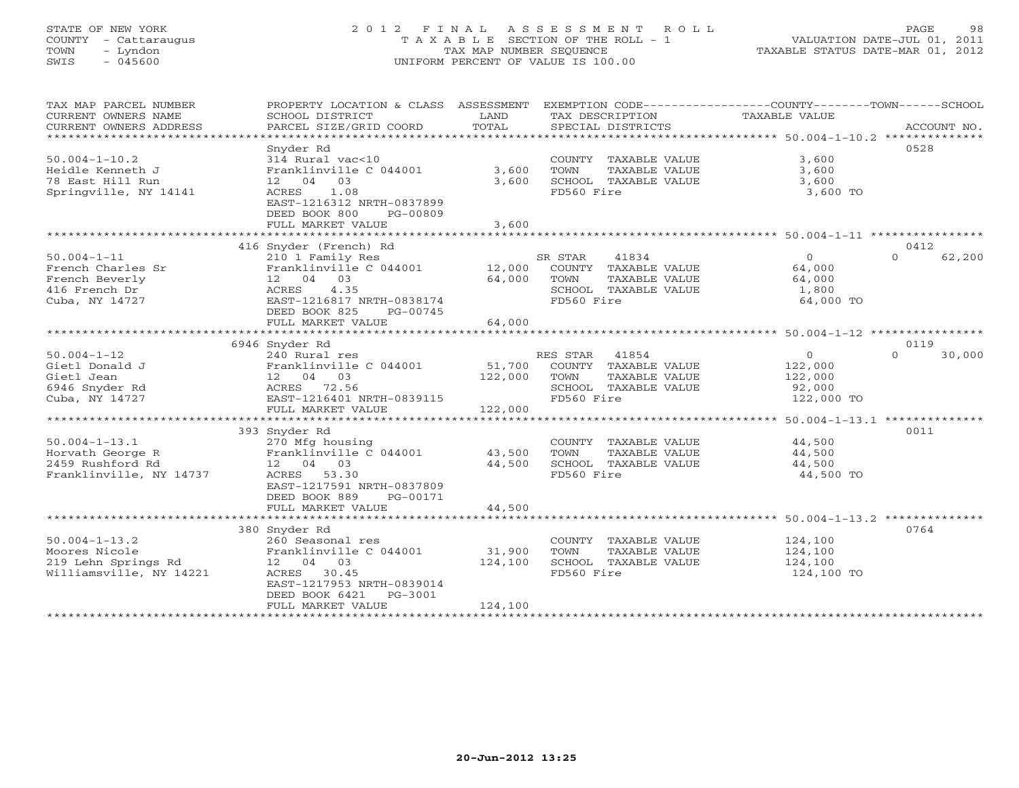# STATE OF NEW YORK 2 0 1 2 F I N A L A S S E S S M E N T R O L L PAGE 98 COUNTY - Cattaraugus T A X A B L E SECTION OF THE ROLL - 1 VALUATION DATE-JUL 01, 2011 TOWN - Lyndon TAX MAP NUMBER SEQUENCE TAXABLE STATUS DATE-MAR 01, 2012 SWIS - 045600 UNIFORM PERCENT OF VALUE IS 100.00

| TAX MAP PARCEL NUMBER<br>CURRENT OWNERS NAME | PROPERTY LOCATION & CLASS ASSESSMENT<br>SCHOOL DISTRICT | LAND    | EXEMPTION CODE----------------COUNTY-------TOWN-----SCHOOL<br>TAX DESCRIPTION | TAXABLE VALUE |                    |
|----------------------------------------------|---------------------------------------------------------|---------|-------------------------------------------------------------------------------|---------------|--------------------|
| CURRENT OWNERS ADDRESS                       | PARCEL SIZE/GRID COORD                                  | TOTAL   | SPECIAL DISTRICTS                                                             |               | ACCOUNT NO.        |
| *********************                        |                                                         |         |                                                                               |               |                    |
|                                              | Snyder Rd                                               |         |                                                                               |               | 0528               |
| $50.004 - 1 - 10.2$                          | 314 Rural vac<10                                        |         | COUNTY TAXABLE VALUE                                                          | 3,600         |                    |
| Heidle Kenneth J                             | Franklinville C 044001                                  | 3,600   | TOWN<br>TAXABLE VALUE                                                         | 3,600         |                    |
| 78 East Hill Run                             | 12 04 03                                                | 3,600   | SCHOOL TAXABLE VALUE                                                          | 3,600         |                    |
| Springville, NY 14141                        | 1.08<br>ACRES                                           |         | FD560 Fire                                                                    | 3,600 TO      |                    |
|                                              | EAST-1216312 NRTH-0837899<br>DEED BOOK 800<br>PG-00809  |         |                                                                               |               |                    |
|                                              | FULL MARKET VALUE                                       | 3,600   |                                                                               |               |                    |
|                                              |                                                         |         |                                                                               |               |                    |
|                                              | 416 Snyder (French) Rd                                  |         |                                                                               |               | 0412               |
| $50.004 - 1 - 11$                            | 210 1 Family Res                                        |         | SR STAR<br>41834                                                              | $\circ$       | $\Omega$<br>62,200 |
| French Charles Sr                            | Franklinville C 044001                                  | 12,000  | COUNTY TAXABLE VALUE                                                          | 64,000        |                    |
| French Beverly                               | 12 04 03                                                | 64,000  | TOWN<br>TAXABLE VALUE                                                         | 64,000        |                    |
| 416 French Dr                                | ACRES<br>4.35                                           |         | SCHOOL TAXABLE VALUE                                                          | 1,800         |                    |
| Cuba, NY 14727                               | EAST-1216817 NRTH-0838174                               |         | FD560 Fire                                                                    | 64,000 TO     |                    |
|                                              | DEED BOOK 825<br>PG-00745                               |         |                                                                               |               |                    |
|                                              | FULL MARKET VALUE                                       | 64,000  |                                                                               |               |                    |
|                                              |                                                         |         |                                                                               |               |                    |
|                                              | 6946 Snyder Rd                                          |         |                                                                               |               | 0119               |
| $50.004 - 1 - 12$                            | 240 Rural res                                           |         | RES STAR<br>41854                                                             | $\circ$       | $\Omega$<br>30,000 |
| Gietl Donald J                               | Franklinville C 044001                                  | 51,700  | COUNTY TAXABLE VALUE                                                          | 122,000       |                    |
| Gietl Jean                                   | 12 04 03                                                | 122,000 | TAXABLE VALUE<br>TOWN                                                         | 122,000       |                    |
| 6946 Snyder Rd                               | ACRES 72.56                                             |         | SCHOOL TAXABLE VALUE                                                          | 92,000        |                    |
| Cuba, NY 14727                               | EAST-1216401 NRTH-0839115                               |         | FD560 Fire                                                                    | 122,000 TO    |                    |
|                                              | FULL MARKET VALUE                                       | 122,000 |                                                                               |               |                    |
|                                              | ***********************                                 |         |                                                                               |               |                    |
|                                              | 393 Snyder Rd                                           |         |                                                                               |               | 0011               |
| $50.004 - 1 - 13.1$                          | 270 Mfg housing                                         |         | COUNTY TAXABLE VALUE                                                          | 44,500        |                    |
| Horvath George R                             | Franklinville C 044001                                  | 43,500  | TOWN<br>TAXABLE VALUE                                                         | 44,500        |                    |
| 2459 Rushford Rd                             | 12 04 03                                                | 44,500  | SCHOOL TAXABLE VALUE                                                          | 44,500        |                    |
| Franklinville, NY 14737                      | ACRES<br>53.30                                          |         | FD560 Fire                                                                    | 44,500 TO     |                    |
|                                              | EAST-1217591 NRTH-0837809                               |         |                                                                               |               |                    |
|                                              | DEED BOOK 889<br>PG-00171                               |         |                                                                               |               |                    |
|                                              | FULL MARKET VALUE                                       | 44,500  |                                                                               |               |                    |
|                                              |                                                         |         |                                                                               |               |                    |
|                                              | 380 Snyder Rd                                           |         |                                                                               |               | 0764               |
| $50.004 - 1 - 13.2$                          | 260 Seasonal res                                        |         | COUNTY TAXABLE VALUE                                                          | 124,100       |                    |
| Moores Nicole                                | Franklinville C 044001                                  | 31,900  | TOWN<br>TAXABLE VALUE                                                         | 124,100       |                    |
| 219 Lehn Springs Rd                          | 12  04  03                                              | 124,100 | SCHOOL TAXABLE VALUE                                                          | 124,100       |                    |
| Williamsville, NY 14221                      | ACRES 30.45                                             |         | FD560 Fire                                                                    | 124,100 TO    |                    |
|                                              | EAST-1217953 NRTH-0839014                               |         |                                                                               |               |                    |
|                                              | DEED BOOK 6421<br>PG-3001                               |         |                                                                               |               |                    |
|                                              | FULL MARKET VALUE                                       | 124,100 |                                                                               |               |                    |
|                                              | *******************                                     |         |                                                                               |               |                    |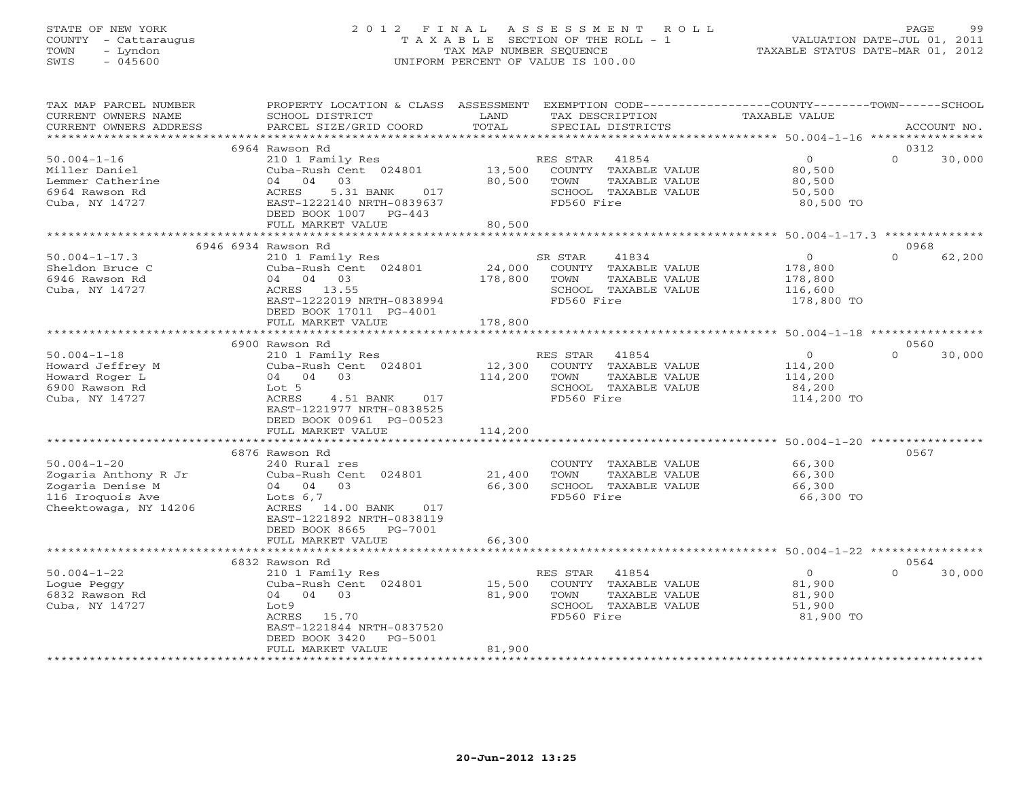# STATE OF NEW YORK 2 0 1 2 F I N A L A S S E S S M E N T R O L L PAGE 99 COUNTY - Cattaraugus T A X A B L E SECTION OF THE ROLL - 1 VALUATION DATE-JUL 01, 2011 TOWN - Lyndon TAX MAP NUMBER SEQUENCE TAXABLE STATUS DATE-MAR 01, 2012 SWIS - 045600 UNIFORM PERCENT OF VALUE IS 100.00

| TAX MAP PARCEL NUMBER<br>CURRENT OWNERS NAME<br>CURRENT OWNERS ADDRESS                                     | PROPERTY LOCATION & CLASS ASSESSMENT<br>SCHOOL DISTRICT<br>PARCEL SIZE/GRID COORD                                                                                                                  | LAND<br>TOTAL                | TAX DESCRIPTION<br>SPECIAL DISTRICTS                                                                     | EXEMPTION CODE-----------------COUNTY-------TOWN------SCHOOL<br>TAXABLE VALUE | ACCOUNT NO. |
|------------------------------------------------------------------------------------------------------------|----------------------------------------------------------------------------------------------------------------------------------------------------------------------------------------------------|------------------------------|----------------------------------------------------------------------------------------------------------|-------------------------------------------------------------------------------|-------------|
| *************************                                                                                  |                                                                                                                                                                                                    |                              |                                                                                                          |                                                                               |             |
| $50.004 - 1 - 16$<br>Miller Daniel<br>Lemmer Catherine<br>6964 Rawson Rd<br>Cuba, NY 14727                 | 6964 Rawson Rd<br>210 1 Family Res<br>Cuba-Rush Cent 024801<br>03<br>04 04<br>ACRES<br>5.31 BANK<br>017<br>EAST-1222140 NRTH-0839637<br>DEED BOOK 1007 PG-443<br>FULL MARKET VALUE                 | 13,500<br>80,500<br>80,500   | RES STAR<br>41854<br>COUNTY TAXABLE VALUE<br>TOWN<br>TAXABLE VALUE<br>SCHOOL TAXABLE VALUE<br>FD560 Fire | 0312<br>$\overline{0}$<br>$\Omega$<br>80,500<br>80,500<br>50,500<br>80,500 TO | 30,000      |
|                                                                                                            |                                                                                                                                                                                                    |                              |                                                                                                          |                                                                               |             |
|                                                                                                            | 6946 6934 Rawson Rd                                                                                                                                                                                |                              |                                                                                                          | 0968                                                                          |             |
| $50.004 - 1 - 17.3$<br>Sheldon Bruce C<br>6946 Rawson Rd<br>Cuba, NY 14727                                 | 210 1 Family Res<br>Cuba-Rush Cent 024801<br>04 04 03<br>ACRES 13.55<br>EAST-1222019 NRTH-0838994<br>DEED BOOK 17011 PG-4001                                                                       | 24,000<br>178,800            | SR STAR<br>41834<br>COUNTY TAXABLE VALUE<br>TOWN<br>TAXABLE VALUE<br>SCHOOL TAXABLE VALUE<br>FD560 Fire  | $\circ$<br>$\Omega$<br>178,800<br>178,800<br>116,600<br>178,800 TO            | 62,200      |
|                                                                                                            | FULL MARKET VALUE                                                                                                                                                                                  | 178,800                      |                                                                                                          |                                                                               |             |
|                                                                                                            |                                                                                                                                                                                                    |                              |                                                                                                          |                                                                               |             |
|                                                                                                            | 6900 Rawson Rd                                                                                                                                                                                     |                              |                                                                                                          | 0560                                                                          |             |
| $50.004 - 1 - 18$<br>Howard Jeffrey M<br>Howard Roger L<br>6900 Rawson Rd<br>Cuba, NY 14727                | 210 1 Family Res<br>Cuba-Rush Cent 024801<br>04 04 03<br>Lot 5<br>ACRES<br>4.51 BANK<br>017<br>EAST-1221977 NRTH-0838525<br>DEED BOOK 00961 PG-00523<br>FULL MARKET VALUE                          | 12,300<br>114,200<br>114,200 | RES STAR<br>41854<br>COUNTY TAXABLE VALUE<br>TOWN<br>TAXABLE VALUE<br>SCHOOL TAXABLE VALUE<br>FD560 Fire | $\circ$<br>$\Omega$<br>114,200<br>114,200<br>84,200<br>114,200 TO             | 30,000      |
|                                                                                                            | ************************                                                                                                                                                                           |                              |                                                                                                          |                                                                               |             |
| $50.004 - 1 - 20$<br>Zogaria Anthony R Jr<br>Zogaria Denise M<br>116 Iroquois Ave<br>Cheektowaga, NY 14206 | 6876 Rawson Rd<br>240 Rural res<br>Cuba-Rush Cent 024801<br>04 04<br>0.3<br>Lots $6,7$<br>ACRES 14.00 BANK<br>017<br>EAST-1221892 NRTH-0838119<br>DEED BOOK 8665<br>PG-7001                        | 21,400<br>66,300             | COUNTY TAXABLE VALUE<br>TAXABLE VALUE<br>TOWN<br>SCHOOL TAXABLE VALUE<br>FD560 Fire                      | 0567<br>66,300<br>66,300<br>66,300<br>66,300 TO                               |             |
|                                                                                                            | FULL MARKET VALUE<br>********************                                                                                                                                                          | 66,300                       |                                                                                                          |                                                                               |             |
|                                                                                                            | 6832 Rawson Rd                                                                                                                                                                                     |                              |                                                                                                          | 0564                                                                          |             |
| $50.004 - 1 - 22$<br>Logue Peggy<br>6832 Rawson Rd<br>Cuba, NY 14727                                       | 210 1 Family Res<br>Cuba-Rush Cent 024801<br>04 04 03<br>Lot9<br>ACRES 15.70<br>EAST-1221844 NRTH-0837520<br>DEED BOOK 3420<br>PG-5001<br>FULL MARKET VALUE<br>* * * * * * * * * * * * * * * * * * | 15,500<br>81,900<br>81,900   | 41854<br>RES STAR<br>COUNTY TAXABLE VALUE<br>TOWN<br>TAXABLE VALUE<br>SCHOOL TAXABLE VALUE<br>FD560 Fire | $\Omega$<br>$\Omega$<br>81,900<br>81,900<br>51,900<br>81,900 TO               | 30,000      |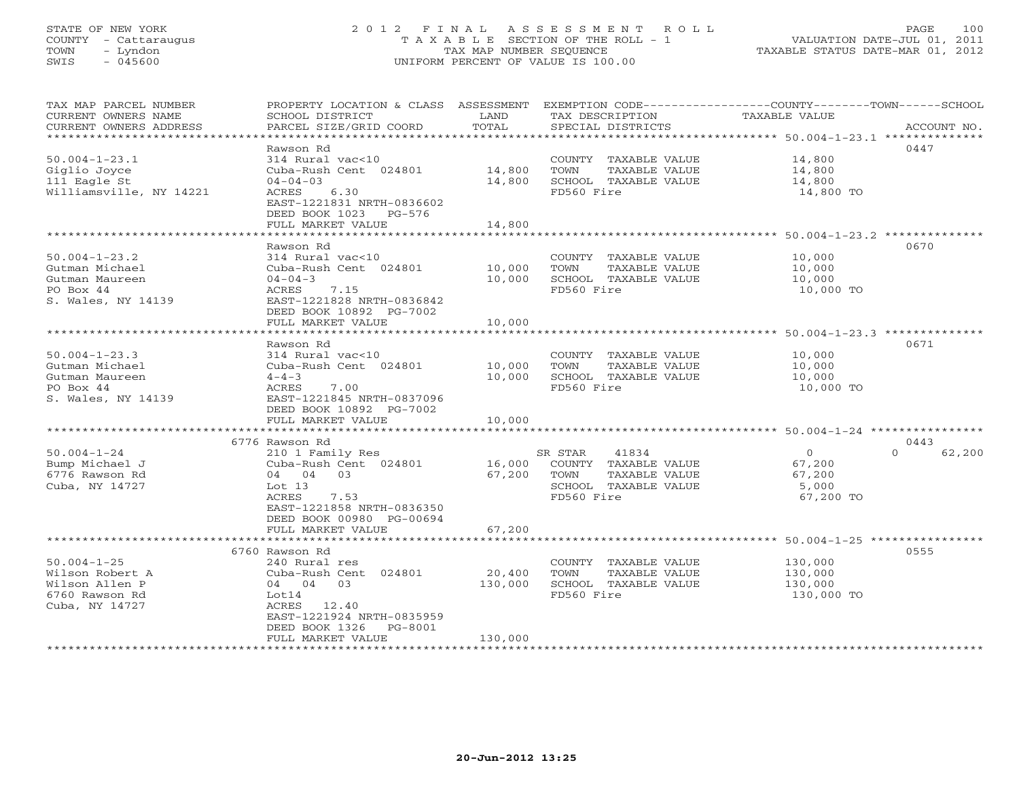#### STATE OF NEW YORK 2 0 1 2 F I N A L A S S E S S M E N T R O L L PAGE 100 COUNTY - Cattaraugus T A X A B L E SECTION OF THE ROLL - 1 VALUATION DATE-JUL 01, 2011 TOWN - Lyndon TAX MAP NUMBER SEQUENCE TAXABLE STATUS DATE-MAR 01, 2012 SWIS - 045600 UNIFORM PERCENT OF VALUE IS 100.00UNIFORM PERCENT OF VALUE IS 100.00

| TAX MAP PARCEL NUMBER<br>CURRENT OWNERS NAME     | PROPERTY LOCATION & CLASS ASSESSMENT<br>SCHOOL DISTRICT             | LAND        | TAX DESCRIPTION       | EXEMPTION CODE-----------------COUNTY-------TOWN------SCHOOL<br>TAXABLE VALUE |
|--------------------------------------------------|---------------------------------------------------------------------|-------------|-----------------------|-------------------------------------------------------------------------------|
| CURRENT OWNERS ADDRESS<br>********************** | PARCEL SIZE/GRID COORD                                              | TOTAL       | SPECIAL DISTRICTS     | ACCOUNT NO.                                                                   |
|                                                  | Rawson Rd                                                           |             |                       | 0447                                                                          |
| $50.004 - 1 - 23.1$                              | 314 Rural vac<10                                                    |             | COUNTY TAXABLE VALUE  | 14,800                                                                        |
| Giglio Joyce                                     | Cuba-Rush Cent 024801                                               | 14,800      | TAXABLE VALUE<br>TOWN | 14,800                                                                        |
| 111 Eagle St                                     | $04 - 04 - 03$                                                      | 14,800      | SCHOOL TAXABLE VALUE  | 14,800                                                                        |
| Williamsville, NY 14221                          | ACRES<br>6.30<br>EAST-1221831 NRTH-0836602<br>DEED BOOK 1023 PG-576 |             | FD560 Fire            | 14,800 TO                                                                     |
|                                                  | FULL MARKET VALUE                                                   | 14,800      |                       |                                                                               |
|                                                  | *******************                                                 | *********** |                       | .****************************** 50.004-1-23.2 **************                  |
|                                                  | Rawson Rd                                                           |             |                       | 0670                                                                          |
| $50.004 - 1 - 23.2$                              | 314 Rural vac<10                                                    |             | COUNTY TAXABLE VALUE  | 10,000                                                                        |
| Gutman Michael                                   | Cuba-Rush Cent 024801                                               | 10,000      | TAXABLE VALUE<br>TOWN | 10,000                                                                        |
| Gutman Maureen                                   | $04 - 04 - 3$                                                       | 10,000      | SCHOOL TAXABLE VALUE  | 10,000                                                                        |
| PO Box 44                                        | ACRES<br>7.15                                                       |             | FD560 Fire            | 10,000 TO                                                                     |
| S. Wales, NY 14139                               | EAST-1221828 NRTH-0836842                                           |             |                       |                                                                               |
|                                                  | DEED BOOK 10892 PG-7002                                             |             |                       |                                                                               |
|                                                  | FULL MARKET VALUE                                                   | 10,000      |                       |                                                                               |
|                                                  |                                                                     |             |                       |                                                                               |
|                                                  | Rawson Rd                                                           |             |                       | 0671                                                                          |
| $50.004 - 1 - 23.3$                              | 314 Rural vac<10                                                    |             | COUNTY TAXABLE VALUE  | 10,000                                                                        |
| Gutman Michael                                   | Cuba-Rush Cent 024801                                               | 10,000      | TAXABLE VALUE<br>TOWN | 10,000                                                                        |
| Gutman Maureen                                   | $4 - 4 - 3$                                                         | 10,000      | SCHOOL TAXABLE VALUE  | 10,000                                                                        |
| PO Box 44                                        | ACRES<br>7.00                                                       |             | FD560 Fire            | 10,000 TO                                                                     |
| S. Wales, NY 14139                               | EAST-1221845 NRTH-0837096                                           |             |                       |                                                                               |
|                                                  | DEED BOOK 10892 PG-7002                                             |             |                       |                                                                               |
|                                                  | FULL MARKET VALUE                                                   | 10,000      |                       |                                                                               |
|                                                  | ***********************                                             | ********    |                       | ********************* 50.004-1-24 ****************                            |
|                                                  | 6776 Rawson Rd                                                      |             |                       | 0443                                                                          |
| $50.004 - 1 - 24$                                | 210 1 Family Res                                                    |             | SR STAR<br>41834      | $\circ$<br>$\Omega$<br>62,200                                                 |
| Bump Michael J                                   | Cuba-Rush Cent 024801                                               | 16,000      | COUNTY TAXABLE VALUE  | 67,200                                                                        |
| 6776 Rawson Rd                                   | 04 04 03                                                            | 67,200      | TOWN<br>TAXABLE VALUE | 67,200                                                                        |
| Cuba, NY 14727                                   | Lot $13$                                                            |             | SCHOOL TAXABLE VALUE  | 5,000                                                                         |
|                                                  | ACRES<br>7.53                                                       |             | FD560 Fire            | 67,200 TO                                                                     |
|                                                  | EAST-1221858 NRTH-0836350                                           |             |                       |                                                                               |
|                                                  | DEED BOOK 00980 PG-00694                                            |             |                       |                                                                               |
|                                                  | FULL MARKET VALUE<br>*******************                            | 67,200      |                       |                                                                               |
|                                                  |                                                                     |             |                       |                                                                               |
|                                                  | 6760 Rawson Rd                                                      |             |                       | 0555                                                                          |
| $50.004 - 1 - 25$                                | 240 Rural res                                                       |             | COUNTY TAXABLE VALUE  | 130,000                                                                       |
| Wilson Robert A                                  | Cuba-Rush Cent 024801                                               | 20,400      | TAXABLE VALUE<br>TOWN | 130,000                                                                       |
| Wilson Allen P                                   | 04 04 03                                                            | 130,000     | SCHOOL TAXABLE VALUE  | 130,000                                                                       |
| 6760 Rawson Rd                                   | Lot14                                                               |             | FD560 Fire            | 130,000 TO                                                                    |
| Cuba, NY 14727                                   | 12.40<br>ACRES                                                      |             |                       |                                                                               |
|                                                  | EAST-1221924 NRTH-0835959                                           |             |                       |                                                                               |
|                                                  | DEED BOOK 1326<br>PG-8001                                           |             |                       |                                                                               |
|                                                  | FULL MARKET VALUE                                                   | 130,000     |                       |                                                                               |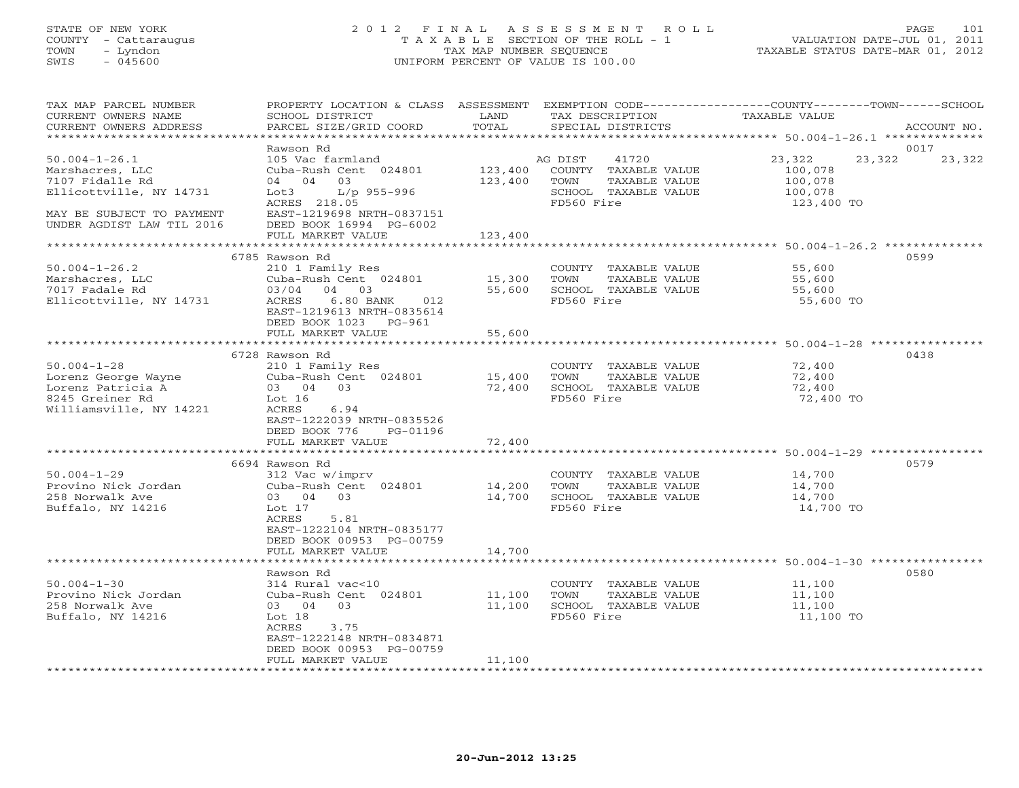#### STATE OF NEW YORK 2 0 1 2 F I N A L A S S E S S M E N T R O L L PAGE 101 COUNTY - Cattaraugus T A X A B L E SECTION OF THE ROLL - 1 VALUATION DATE-JUL 01, 2011 TOWN - Lyndon TAX MAP NUMBER SEQUENCE TAXABLE STATUS DATE-MAR 01, 2012 SWIS - 045600 UNIFORM PERCENT OF VALUE IS 100.00UNIFORM PERCENT OF VALUE IS 100.00

| TAX MAP PARCEL NUMBER<br>CURRENT OWNERS NAME<br>CURRENT OWNERS ADDRESS<br>**************************              | PROPERTY LOCATION & CLASS ASSESSMENT<br>SCHOOL DISTRICT<br>PARCEL SIZE/GRID COORD                                                         | LAND<br>TOTAL      | TAX DESCRIPTION<br>SPECIAL DISTRICTS                                                                    | EXEMPTION CODE-----------------COUNTY-------TOWN------SCHOOL<br>TAXABLE VALUE | ACCOUNT NO.    |
|-------------------------------------------------------------------------------------------------------------------|-------------------------------------------------------------------------------------------------------------------------------------------|--------------------|---------------------------------------------------------------------------------------------------------|-------------------------------------------------------------------------------|----------------|
|                                                                                                                   |                                                                                                                                           |                    |                                                                                                         |                                                                               |                |
| $50.004 - 1 - 26.1$<br>Marshacres, LLC<br>7107 Fidalle Rd<br>Ellicottville, NY 14731<br>MAY BE SUBJECT TO PAYMENT | Rawson Rd<br>105 Vac farmland<br>Cuba-Rush Cent 024801<br>04 04<br>03<br>Lot3<br>L/p 955-996<br>ACRES 218.05<br>EAST-1219698 NRTH-0837151 | 123,400<br>123,400 | 41720<br>AG DIST<br>COUNTY TAXABLE VALUE<br>TOWN<br>TAXABLE VALUE<br>SCHOOL TAXABLE VALUE<br>FD560 Fire | 23,322<br>23,322<br>100,078<br>100,078<br>100,078<br>123,400 TO               | 0017<br>23,322 |
| UNDER AGDIST LAW TIL 2016                                                                                         | DEED BOOK 16994 PG-6002                                                                                                                   |                    |                                                                                                         |                                                                               |                |
|                                                                                                                   | FULL MARKET VALUE                                                                                                                         | 123,400            |                                                                                                         |                                                                               |                |
|                                                                                                                   |                                                                                                                                           |                    |                                                                                                         |                                                                               |                |
| $50.004 - 1 - 26.2$<br>Marshacres, LLC<br>7017 Fadale Rd<br>Ellicottville, NY 14731                               | 6785 Rawson Rd<br>210 1 Family Res<br>Cuba-Rush Cent 024801<br>04 03<br>03/04<br>ACRES 6.80 BANK 012<br>EAST-1219613 NRTH-0835614         | 15,300<br>55,600   | COUNTY TAXABLE VALUE<br>TOWN<br>TAXABLE VALUE<br>SCHOOL TAXABLE VALUE<br>FD560 Fire                     | 55,600<br>55,600<br>55,600<br>55,600 TO                                       | 0599           |
|                                                                                                                   | DEED BOOK 1023 PG-961                                                                                                                     |                    |                                                                                                         |                                                                               |                |
|                                                                                                                   | FULL MARKET VALUE                                                                                                                         | 55,600             |                                                                                                         |                                                                               |                |
|                                                                                                                   |                                                                                                                                           |                    |                                                                                                         |                                                                               |                |
|                                                                                                                   | 6728 Rawson Rd                                                                                                                            |                    |                                                                                                         |                                                                               | 0438           |
| $50.004 - 1 - 28$                                                                                                 | 210 1 Family Res                                                                                                                          |                    | COUNTY TAXABLE VALUE                                                                                    | 72,400                                                                        |                |
| Lorenz George Wayne                                                                                               | Cuba-Rush Cent 024801                                                                                                                     | 15,400             | TAXABLE VALUE<br>TOWN                                                                                   | 72,400                                                                        |                |
| Lorenz Patricia A                                                                                                 | 03 04 03                                                                                                                                  | 72,400             | SCHOOL TAXABLE VALUE                                                                                    | 72,400                                                                        |                |
| 8245 Greiner Rd                                                                                                   | Lot 16                                                                                                                                    |                    | FD560 Fire                                                                                              | 72,400 TO                                                                     |                |
| Williamsville, NY 14221                                                                                           | ACRES<br>6.94                                                                                                                             |                    |                                                                                                         |                                                                               |                |
|                                                                                                                   | EAST-1222039 NRTH-0835526<br>PG-01196                                                                                                     |                    |                                                                                                         |                                                                               |                |
|                                                                                                                   | DEED BOOK 776<br>FULL MARKET VALUE                                                                                                        |                    |                                                                                                         |                                                                               |                |
|                                                                                                                   | ***************************                                                                                                               | 72,400             |                                                                                                         |                                                                               |                |
|                                                                                                                   | 6694 Rawson Rd                                                                                                                            |                    |                                                                                                         |                                                                               | 0579           |
| $50.004 - 1 - 29$                                                                                                 | 312 Vac w/imprv                                                                                                                           |                    | COUNTY TAXABLE VALUE                                                                                    | 14,700                                                                        |                |
| Provino Nick Jordan                                                                                               | Cuba-Rush Cent 024801                                                                                                                     | 14,200             | TOWN<br>TAXABLE VALUE                                                                                   | 14,700                                                                        |                |
| 258 Norwalk Ave                                                                                                   | 03 04 03                                                                                                                                  | 14,700             | SCHOOL TAXABLE VALUE                                                                                    | 14,700                                                                        |                |
| Buffalo, NY 14216                                                                                                 | Lot 17                                                                                                                                    |                    | FD560 Fire                                                                                              | 14,700 TO                                                                     |                |
|                                                                                                                   | ACRES<br>5.81                                                                                                                             |                    |                                                                                                         |                                                                               |                |
|                                                                                                                   | EAST-1222104 NRTH-0835177                                                                                                                 |                    |                                                                                                         |                                                                               |                |
|                                                                                                                   | DEED BOOK 00953 PG-00759                                                                                                                  |                    |                                                                                                         |                                                                               |                |
|                                                                                                                   | FULL MARKET VALUE                                                                                                                         | 14,700             |                                                                                                         |                                                                               |                |
|                                                                                                                   |                                                                                                                                           |                    |                                                                                                         |                                                                               |                |
|                                                                                                                   | Rawson Rd                                                                                                                                 |                    |                                                                                                         |                                                                               | 0580           |
| $50.004 - 1 - 30$                                                                                                 | 314 Rural vac<10                                                                                                                          |                    | COUNTY TAXABLE VALUE                                                                                    | 11,100                                                                        |                |
| Provino Nick Jordan                                                                                               | Cuba-Rush Cent 024801                                                                                                                     | 11,100             | TOWN<br>TAXABLE VALUE                                                                                   | 11,100                                                                        |                |
| 258 Norwalk Ave                                                                                                   | 03 04 03                                                                                                                                  | 11,100             | SCHOOL TAXABLE VALUE                                                                                    | 11,100                                                                        |                |
| Buffalo, NY 14216                                                                                                 | Lot 18                                                                                                                                    |                    | FD560 Fire                                                                                              | 11,100 TO                                                                     |                |
|                                                                                                                   | ACRES<br>3.75                                                                                                                             |                    |                                                                                                         |                                                                               |                |
|                                                                                                                   | EAST-1222148 NRTH-0834871                                                                                                                 |                    |                                                                                                         |                                                                               |                |
|                                                                                                                   | DEED BOOK 00953 PG-00759                                                                                                                  |                    |                                                                                                         |                                                                               |                |
| **********************                                                                                            | FULL MARKET VALUE                                                                                                                         | 11,100             |                                                                                                         |                                                                               |                |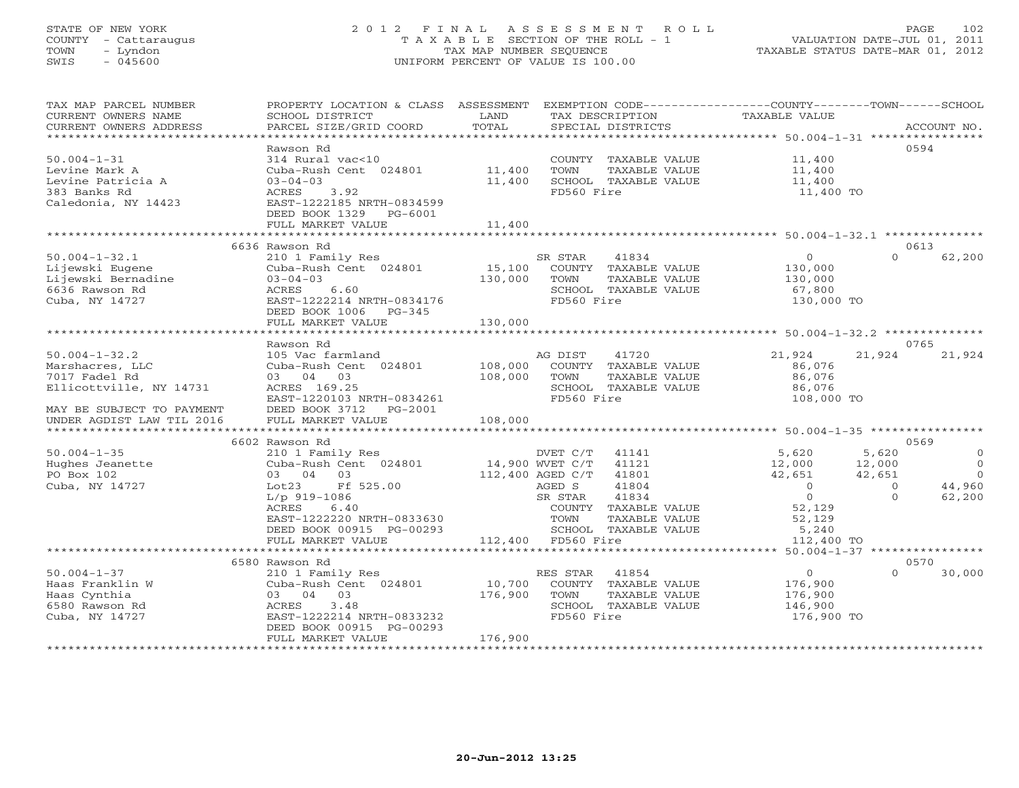#### STATE OF NEW YORK 2 0 1 2 F I N A L A S S E S S M E N T R O L L PAGE 102 COUNTY - Cattaraugus T A X A B L E SECTION OF THE ROLL - 1 VALUATION DATE-JUL 01, 2011 TOWN - Lyndon TAX MAP NUMBER SEQUENCE TAXABLE STATUS DATE-MAR 01, 2012 SWIS - 045600 UNIFORM PERCENT OF VALUE IS 100.00UNIFORM PERCENT OF VALUE IS 100.00

| TAX MAP PARCEL NUMBER<br>CURRENT OWNERS NAME<br>CURRENT OWNERS ADDRESS | PROPERTY LOCATION & CLASS ASSESSMENT<br>SCHOOL DISTRICT<br>PARCEL SIZE/GRID COORD | LAND<br>TOTAL          |                    | TAX DESCRIPTION<br>SPECIAL DISTRICTS  | EXEMPTION CODE-----------------COUNTY-------TOWN------SCHOOL<br>TAXABLE VALUE |          | ACCOUNT NO.    |
|------------------------------------------------------------------------|-----------------------------------------------------------------------------------|------------------------|--------------------|---------------------------------------|-------------------------------------------------------------------------------|----------|----------------|
|                                                                        |                                                                                   |                        |                    |                                       |                                                                               |          |                |
|                                                                        | Rawson Rd                                                                         |                        |                    |                                       |                                                                               |          | 0594           |
| $50.004 - 1 - 31$                                                      | 314 Rural vac<10                                                                  |                        |                    | COUNTY TAXABLE VALUE                  | 11,400                                                                        |          |                |
| Levine Mark A                                                          | Cuba-Rush Cent 024801                                                             | 11,400                 | TOWN               | TAXABLE VALUE                         | 11,400                                                                        |          |                |
| Levine Patricia A                                                      | $03 - 04 - 03$                                                                    | 11,400                 |                    | SCHOOL TAXABLE VALUE                  | 11,400                                                                        |          |                |
| 383 Banks Rd                                                           | 3.92<br>ACRES                                                                     |                        | FD560 Fire         |                                       | 11,400 TO                                                                     |          |                |
| Caledonia, NY 14423                                                    | EAST-1222185 NRTH-0834599                                                         |                        |                    |                                       |                                                                               |          |                |
|                                                                        | DEED BOOK 1329<br>PG-6001                                                         |                        |                    |                                       |                                                                               |          |                |
|                                                                        | FULL MARKET VALUE                                                                 | 11,400                 |                    |                                       |                                                                               |          |                |
|                                                                        |                                                                                   |                        |                    |                                       |                                                                               |          |                |
|                                                                        | 6636 Rawson Rd                                                                    |                        |                    |                                       |                                                                               |          | 0613           |
| $50.004 - 1 - 32.1$                                                    | 210 1 Family Res                                                                  |                        | SR STAR            | 41834                                 | $\circ$                                                                       | $\Omega$ | 62,200         |
| Lijewski Eugene                                                        | Cuba-Rush Cent 024801                                                             | 15,100                 |                    | COUNTY TAXABLE VALUE                  | 130,000                                                                       |          |                |
| Lijewski Bernadine                                                     | $03 - 04 - 03$                                                                    | 130,000                | TOWN               | TAXABLE VALUE                         | 130,000                                                                       |          |                |
| 6636 Rawson Rd                                                         | 6.60<br>ACRES                                                                     |                        |                    | SCHOOL TAXABLE VALUE                  | 67,800                                                                        |          |                |
| Cuba, NY 14727                                                         | EAST-1222214 NRTH-0834176                                                         |                        | FD560 Fire         |                                       | 130,000 TO                                                                    |          |                |
|                                                                        | DEED BOOK 1006 PG-345                                                             |                        |                    |                                       |                                                                               |          |                |
|                                                                        | FULL MARKET VALUE                                                                 | 130,000                |                    |                                       |                                                                               |          |                |
|                                                                        | ***************************                                                       |                        |                    |                                       |                                                                               |          |                |
|                                                                        | Rawson Rd                                                                         |                        |                    |                                       |                                                                               |          | 0765           |
| $50.004 - 1 - 32.2$                                                    | 105 Vac farmland                                                                  |                        | AG DIST            | 41720                                 | 21,924                                                                        | 21,924   | 21,924         |
| Marshacres, LLC                                                        | Cuba-Rush Cent 024801                                                             | 108,000                |                    | COUNTY TAXABLE VALUE                  | 86,076                                                                        |          |                |
| 7017 Fadel Rd                                                          | 03 04 03                                                                          | 108,000                | TOWN               | TAXABLE VALUE                         | 86,076                                                                        |          |                |
| Ellicottville, NY 14731                                                | ACRES 169.25                                                                      |                        |                    | SCHOOL TAXABLE VALUE                  | 86,076                                                                        |          |                |
|                                                                        | EAST-1220103 NRTH-0834261                                                         |                        | FD560 Fire         |                                       | 108,000 TO                                                                    |          |                |
| MAY BE SUBJECT TO PAYMENT                                              | DEED BOOK 3712<br>$PG-2001$                                                       |                        |                    |                                       |                                                                               |          |                |
| UNDER AGDIST LAW TIL 2016                                              | FULL MARKET VALUE<br>***********************                                      | 108,000<br>*********** |                    |                                       |                                                                               |          |                |
| *************************                                              |                                                                                   |                        |                    |                                       | ********************* 50.004-1-35 *****************                           |          |                |
|                                                                        | 6602 Rawson Rd                                                                    |                        |                    |                                       |                                                                               |          | 0569           |
| $50.004 - 1 - 35$                                                      | 210 1 Family Res                                                                  |                        | DVET C/T           | 41141                                 | 5,620                                                                         | 5,620    | $\circ$        |
| Hughes Jeanette                                                        | Cuba-Rush Cent 024801                                                             | 14,900 WVET C/T        |                    | 41121                                 | 12,000                                                                        | 12,000   | $\overline{0}$ |
| PO Box 102                                                             | 03 04 03                                                                          | 112,400 AGED C/T       |                    | 41801                                 | 42,651                                                                        | 42,651   | $\Omega$       |
| Cuba, NY 14727                                                         | Lot23<br>Ff 525.00                                                                |                        | AGED S             | 41804                                 | $\Omega$                                                                      | $\Omega$ | 44,960         |
|                                                                        | $L/p$ 919-1086                                                                    |                        | SR STAR            | 41834                                 | $\circ$                                                                       | $\Omega$ | 62,200         |
|                                                                        | ACRES<br>6.40                                                                     |                        |                    | COUNTY TAXABLE VALUE                  | 52,129                                                                        |          |                |
|                                                                        | EAST-1222220 NRTH-0833630<br>DEED BOOK 00915 PG-00293                             |                        | TOWN               | TAXABLE VALUE<br>SCHOOL TAXABLE VALUE | 52,129<br>5,240                                                               |          |                |
|                                                                        | FULL MARKET VALUE                                                                 |                        |                    |                                       | 112,400 TO                                                                    |          |                |
|                                                                        | **********************                                                            |                        | 112,400 FD560 Fire |                                       | ********* 50.004-1-37 *****************                                       |          |                |
|                                                                        | 6580 Rawson Rd                                                                    |                        |                    |                                       |                                                                               |          | 0570           |
| $50.004 - 1 - 37$                                                      | 210 1 Family Res                                                                  |                        | RES STAR           | 41854                                 | $\circ$                                                                       | $\Omega$ | 30,000         |
| Haas Franklin W                                                        | Cuba-Rush Cent 024801                                                             | 10,700                 |                    | COUNTY TAXABLE VALUE                  | 176,900                                                                       |          |                |
| Haas Cynthia                                                           | 03 04 03                                                                          | 176,900                | TOWN               | TAXABLE VALUE                         | 176,900                                                                       |          |                |
| 6580 Rawson Rd                                                         | 3.48<br>ACRES                                                                     |                        |                    | SCHOOL TAXABLE VALUE                  | 146,900                                                                       |          |                |
| Cuba, NY 14727                                                         | EAST-1222214 NRTH-0833232                                                         |                        | FD560 Fire         |                                       | 176,900 TO                                                                    |          |                |
|                                                                        | DEED BOOK 00915 PG-00293                                                          |                        |                    |                                       |                                                                               |          |                |
|                                                                        | FULL MARKET VALUE                                                                 | 176,900                |                    |                                       |                                                                               |          |                |
|                                                                        |                                                                                   |                        |                    |                                       |                                                                               |          |                |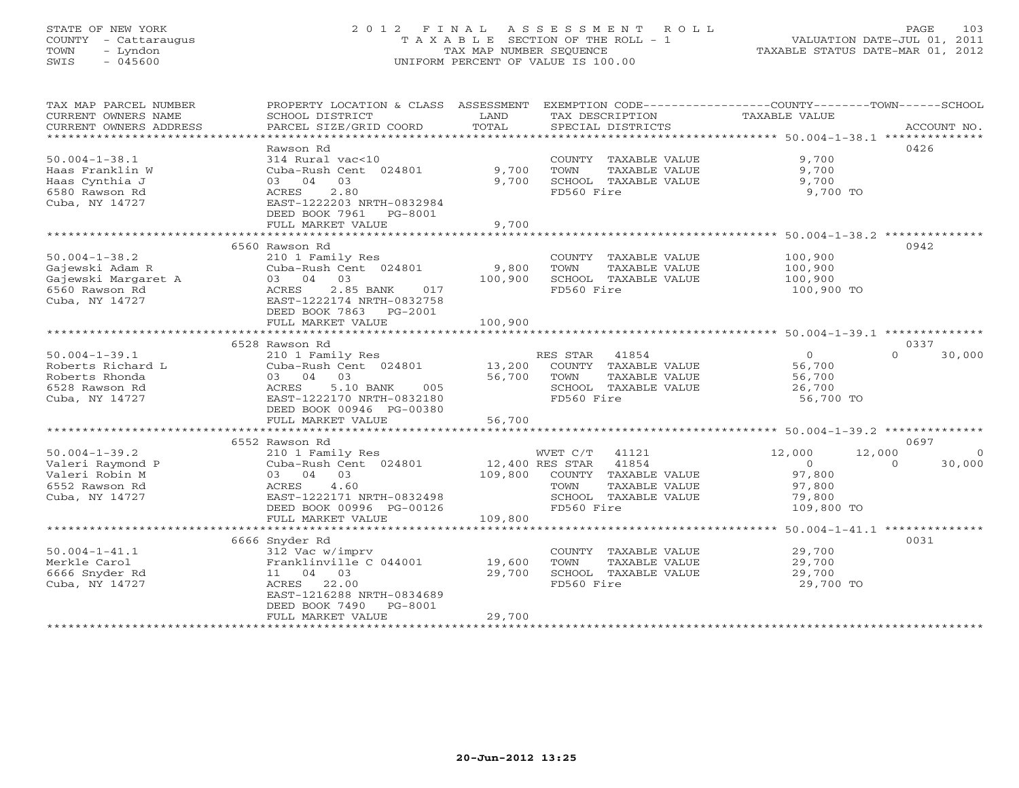#### STATE OF NEW YORK 2 0 1 2 F I N A L A S S E S S M E N T R O L L PAGE 103 COUNTY - Cattaraugus T A X A B L E SECTION OF THE ROLL - 1 VALUATION DATE-JUL 01, 2011 TOWN - Lyndon TAX MAP NUMBER SEQUENCE TAXABLE STATUS DATE-MAR 01, 2012 SWIS - 045600 UNIFORM PERCENT OF VALUE IS 100.00UNIFORM PERCENT OF VALUE IS 100.00

| TAX MAP PARCEL NUMBER<br>CURRENT OWNERS NAME<br>CURRENT OWNERS ADDRESS                            | PROPERTY LOCATION & CLASS ASSESSMENT EXEMPTION CODE----------------COUNTY-------TOWN------SCHOOL<br>SCHOOL DISTRICT<br>PARCEL SIZE/GRID COORD                         | LAND<br>TOTAL               | TAX DESCRIPTION<br>SPECIAL DISTRICTS                                                                           | TAXABLE VALUE                                                            | ACCOUNT NO.                    |
|---------------------------------------------------------------------------------------------------|-----------------------------------------------------------------------------------------------------------------------------------------------------------------------|-----------------------------|----------------------------------------------------------------------------------------------------------------|--------------------------------------------------------------------------|--------------------------------|
| $50.004 - 1 - 38.1$<br>Haas Franklin W<br>Haas Cynthia J<br>6580 Rawson Rd<br>Cuba, NY 14727      | Rawson Rd<br>314 Rural vac<10<br>Cuba-Rush Cent 024801<br>03<br>03 04<br>2.80<br>ACRES<br>EAST-1222203 NRTH-0832984<br>DEED BOOK 7961<br>PG-8001<br>FULL MARKET VALUE | 9,700<br>9,700<br>9,700     | COUNTY TAXABLE VALUE<br>TOWN<br>TAXABLE VALUE<br>SCHOOL TAXABLE VALUE<br>FD560 Fire                            | 9,700<br>9,700<br>9,700<br>9,700 TO                                      | 0426                           |
|                                                                                                   | 6560 Rawson Rd                                                                                                                                                        |                             |                                                                                                                |                                                                          | 0942                           |
| $50.004 - 1 - 38.2$<br>Gajewski Adam R<br>Gajewski Margaret A<br>6560 Rawson Rd<br>Cuba, NY 14727 | 210 1 Family Res<br>Cuba-Rush Cent 024801<br>03 04 03<br>2.85 BANK<br>ACRES<br>017<br>EAST-1222174 NRTH-0832758<br>DEED BOOK 7863 PG-2001<br>FULL MARKET VALUE        | 9,800<br>100,900<br>100,900 | COUNTY TAXABLE VALUE<br>TOWN<br>TAXABLE VALUE<br>SCHOOL TAXABLE VALUE<br>FD560 Fire                            | 100,900<br>100,900<br>100,900<br>100,900 TO                              |                                |
|                                                                                                   | 6528 Rawson Rd                                                                                                                                                        |                             |                                                                                                                |                                                                          | 0337                           |
| $50.004 - 1 - 39.1$<br>Roberts Richard L<br>Roberts Rhonda<br>6528 Rawson Rd<br>Cuba, NY 14727    | 210 1 Family Res<br>Cuba-Rush Cent 024801<br>03 04 03<br>ACRES<br>5.10 BANK<br>005<br>EAST-1222170 NRTH-0832180<br>DEED BOOK 00946 PG-00380                           | 13,200<br>56,700            | RES STAR<br>41854<br>COUNTY TAXABLE VALUE<br>TAXABLE VALUE<br>TOWN<br>SCHOOL TAXABLE VALUE<br>FD560 Fire       | $\overline{0}$<br>56,700<br>56,700<br>26,700<br>56,700 TO                | $\Omega$<br>30,000             |
|                                                                                                   | FULL MARKET VALUE                                                                                                                                                     | 56,700                      |                                                                                                                |                                                                          |                                |
|                                                                                                   | 6552 Rawson Rd                                                                                                                                                        |                             |                                                                                                                |                                                                          | 0697                           |
| $50.004 - 1 - 39.2$<br>Valeri Raymond P<br>Valeri Robin M<br>6552 Rawson Rd<br>Cuba, NY 14727     | 210 1 Family Res<br>Cuba-Rush Cent 024801<br>03 04 03<br>4.60<br>ACRES<br>EAST-1222171 NRTH-0832498<br>DEED BOOK 00996 PG-00126                                       | 12,400 RES STAR<br>109,800  | WVET C/T 41121<br>41854<br>COUNTY TAXABLE VALUE<br>TAXABLE VALUE<br>TOWN<br>SCHOOL TAXABLE VALUE<br>FD560 Fire | 12,000<br>12,000<br>$\Omega$<br>97,800<br>97,800<br>79,800<br>109,800 TO | $\Omega$<br>$\Omega$<br>30,000 |
|                                                                                                   | FULL MARKET VALUE                                                                                                                                                     | 109,800                     |                                                                                                                |                                                                          |                                |
| $50.004 - 1 - 41.1$<br>Merkle Carol<br>6666 Snyder Rd<br>Cuba, NY 14727                           | 6666 Snyder Rd<br>312 Vac w/imprv<br>Franklinville C 044001<br>11 04 03<br>22.00<br>ACRES<br>EAST-1216288 NRTH-0834689<br>DEED BOOK 7490<br>PG-8001                   | 19,600<br>29,700            | COUNTY TAXABLE VALUE<br>TOWN<br>TAXABLE VALUE<br>SCHOOL TAXABLE VALUE<br>FD560 Fire                            | 29,700<br>29,700<br>29,700<br>29,700 TO                                  | 0031                           |
| ************************                                                                          | FULL MARKET VALUE                                                                                                                                                     | 29,700                      | ******************************                                                                                 |                                                                          |                                |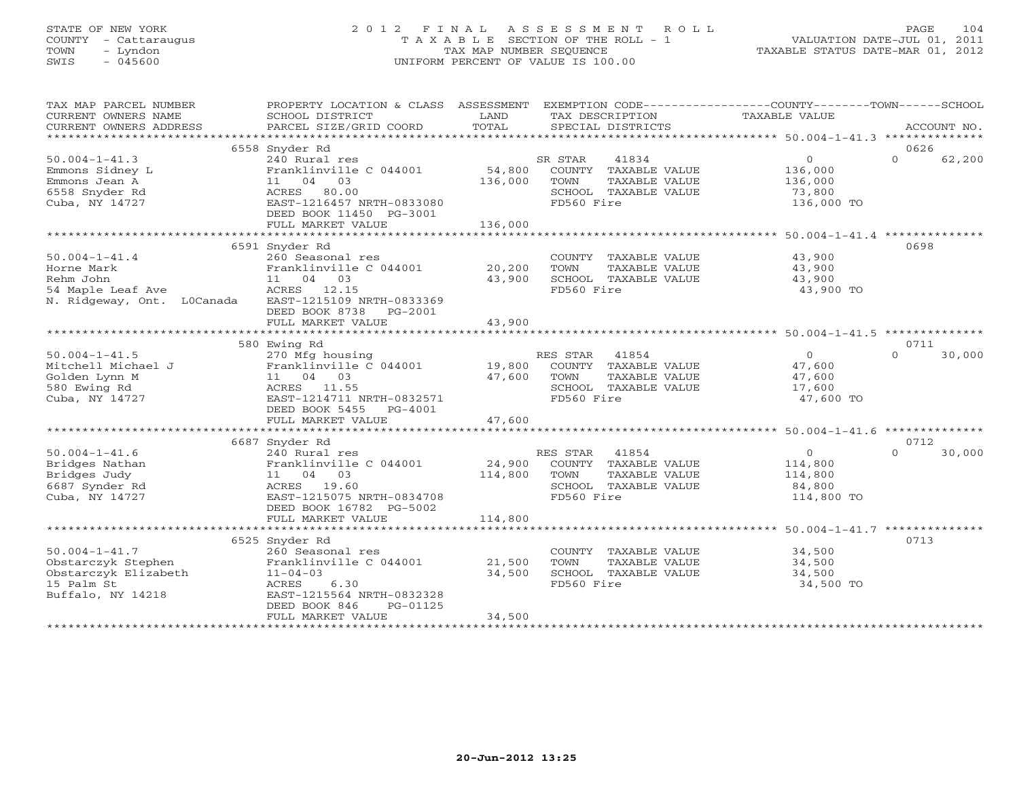#### STATE OF NEW YORK 2 0 1 2 F I N A L A S S E S S M E N T R O L L PAGE 104 COUNTY - Cattaraugus T A X A B L E SECTION OF THE ROLL - 1 VALUATION DATE-JUL 01, 2011 TOWN - Lyndon TAX MAP NUMBER SEQUENCE TAXABLE STATUS DATE-MAR 01, 2012 SWIS - 045600 UNIFORM PERCENT OF VALUE IS 100.00UNIFORM PERCENT OF VALUE IS 100.00

| TAX MAP PARCEL NUMBER<br>CURRENT OWNERS NAME<br>CURRENT OWNERS ADDRESS | PROPERTY LOCATION & CLASS ASSESSMENT<br>SCHOOL DISTRICT<br>PARCEL SIZE/GRID COORD | LAND<br>TOTAL | TAX DESCRIPTION<br>SPECIAL DISTRICTS | EXEMPTION CODE-----------------COUNTY-------TOWN------SCHOOL<br>TAXABLE VALUE | ACCOUNT NO.        |
|------------------------------------------------------------------------|-----------------------------------------------------------------------------------|---------------|--------------------------------------|-------------------------------------------------------------------------------|--------------------|
|                                                                        |                                                                                   |               |                                      |                                                                               |                    |
|                                                                        | 6558 Snyder Rd                                                                    |               |                                      |                                                                               | 0626               |
| $50.004 - 1 - 41.3$                                                    | 240 Rural res                                                                     |               | 41834<br>SR STAR                     | $\overline{0}$                                                                | $\Omega$<br>62,200 |
| Emmons Sidney L                                                        | Franklinville C 044001                                                            | 54,800        | COUNTY TAXABLE VALUE                 | 136,000                                                                       |                    |
| Emmons Jean A                                                          | 11 04 03                                                                          | 136,000       | TAXABLE VALUE<br>TOWN                | 136,000                                                                       |                    |
| 6558 Snyder Rd                                                         | ACRES 80.00                                                                       |               | SCHOOL TAXABLE VALUE                 | 73,800                                                                        |                    |
| Cuba, NY 14727                                                         | EAST-1216457 NRTH-0833080                                                         |               | FD560 Fire                           | 136,000 TO                                                                    |                    |
|                                                                        | DEED BOOK 11450 PG-3001                                                           |               |                                      |                                                                               |                    |
|                                                                        | FULL MARKET VALUE                                                                 | 136,000       |                                      |                                                                               |                    |
|                                                                        |                                                                                   |               |                                      |                                                                               |                    |
|                                                                        | 6591 Snyder Rd                                                                    |               |                                      |                                                                               | 0698               |
|                                                                        |                                                                                   |               |                                      |                                                                               |                    |
| $50.004 - 1 - 41.4$                                                    | 260 Seasonal res                                                                  |               | COUNTY TAXABLE VALUE                 | 43,900                                                                        |                    |
| Horne Mark                                                             | Franklinville C 044001                                                            | 20,200        | TOWN<br>TAXABLE VALUE                | 43,900                                                                        |                    |
| Rehm John                                                              | 11 04 03                                                                          | 43,900        | SCHOOL TAXABLE VALUE                 | 43,900                                                                        |                    |
| 54 Maple Leaf Ave                                                      | ACRES 12.15                                                                       |               | FD560 Fire                           | 43,900 TO                                                                     |                    |
| N. Ridgeway, Ont. LOCanada                                             | EAST-1215109 NRTH-0833369                                                         |               |                                      |                                                                               |                    |
|                                                                        | DEED BOOK 8738<br>PG-2001                                                         |               |                                      |                                                                               |                    |
|                                                                        | FULL MARKET VALUE                                                                 | 43,900        |                                      |                                                                               |                    |
|                                                                        |                                                                                   |               |                                      |                                                                               |                    |
|                                                                        | 580 Ewing Rd                                                                      |               |                                      |                                                                               | 0711               |
| $50.004 - 1 - 41.5$                                                    | 270 Mfg housing                                                                   |               | RES STAR<br>41854                    | $\overline{0}$                                                                | $\cap$<br>30,000   |
| Mitchell Michael J                                                     | Franklinville C 044001                                                            | 19,800        | COUNTY TAXABLE VALUE                 | 47,600                                                                        |                    |
| Golden Lynn M                                                          | 11 04 03                                                                          | 47,600        | TAXABLE VALUE<br>TOWN                | 47,600                                                                        |                    |
| 580 Ewing Rd                                                           | ACRES 11.55                                                                       |               | SCHOOL TAXABLE VALUE                 | 17,600                                                                        |                    |
| Cuba, NY 14727                                                         | EAST-1214711 NRTH-0832571                                                         |               | FD560 Fire                           | 47,600 TO                                                                     |                    |
|                                                                        | DEED BOOK 5455<br>$PG-4001$                                                       |               |                                      |                                                                               |                    |
|                                                                        | FULL MARKET VALUE                                                                 | 47,600        |                                      |                                                                               |                    |
|                                                                        |                                                                                   |               |                                      |                                                                               |                    |
|                                                                        |                                                                                   |               |                                      |                                                                               |                    |
|                                                                        | 6687 Snyder Rd                                                                    |               |                                      |                                                                               | 0712               |
| $50.004 - 1 - 41.6$                                                    | 240 Rural res                                                                     |               | RES STAR<br>41854                    | $\overline{0}$                                                                | $\Omega$<br>30,000 |
| Bridges Nathan                                                         | Franklinville C 044001                                                            | 24,900        | COUNTY TAXABLE VALUE                 | 114,800                                                                       |                    |
| Bridges Judy                                                           | 11 04 03                                                                          | 114,800       | TOWN<br>TAXABLE VALUE                | 114,800                                                                       |                    |
| 6687 Synder Rd                                                         | ACRES 19.60                                                                       |               | SCHOOL TAXABLE VALUE                 | 84,800                                                                        |                    |
| Cuba, NY 14727                                                         | EAST-1215075 NRTH-0834708                                                         |               | FD560 Fire                           | 114,800 TO                                                                    |                    |
|                                                                        | DEED BOOK 16782 PG-5002                                                           |               |                                      |                                                                               |                    |
|                                                                        | FULL MARKET VALUE                                                                 | 114,800       |                                      |                                                                               |                    |
|                                                                        |                                                                                   |               |                                      |                                                                               |                    |
|                                                                        | 6525 Snyder Rd                                                                    |               |                                      |                                                                               | 0713               |
| $50.004 - 1 - 41.7$                                                    | 260 Seasonal res                                                                  |               | COUNTY TAXABLE VALUE                 | 34,500                                                                        |                    |
| Obstarczyk Stephen                                                     | Franklinville C 044001                                                            | 21,500        | TOWN<br>TAXABLE VALUE                | 34,500                                                                        |                    |
| Obstarczyk Elizabeth                                                   | $11 - 04 - 03$                                                                    | 34,500        | SCHOOL TAXABLE VALUE                 | 34,500                                                                        |                    |
| 15 Palm St                                                             | 6.30<br>ACRES                                                                     |               | FD560 Fire                           | 34,500 TO                                                                     |                    |
| Buffalo, NY 14218                                                      | EAST-1215564 NRTH-0832328                                                         |               |                                      |                                                                               |                    |
|                                                                        | DEED BOOK 846<br>PG-01125                                                         |               |                                      |                                                                               |                    |
|                                                                        | FULL MARKET VALUE                                                                 | 34,500        |                                      |                                                                               |                    |
|                                                                        |                                                                                   |               |                                      |                                                                               |                    |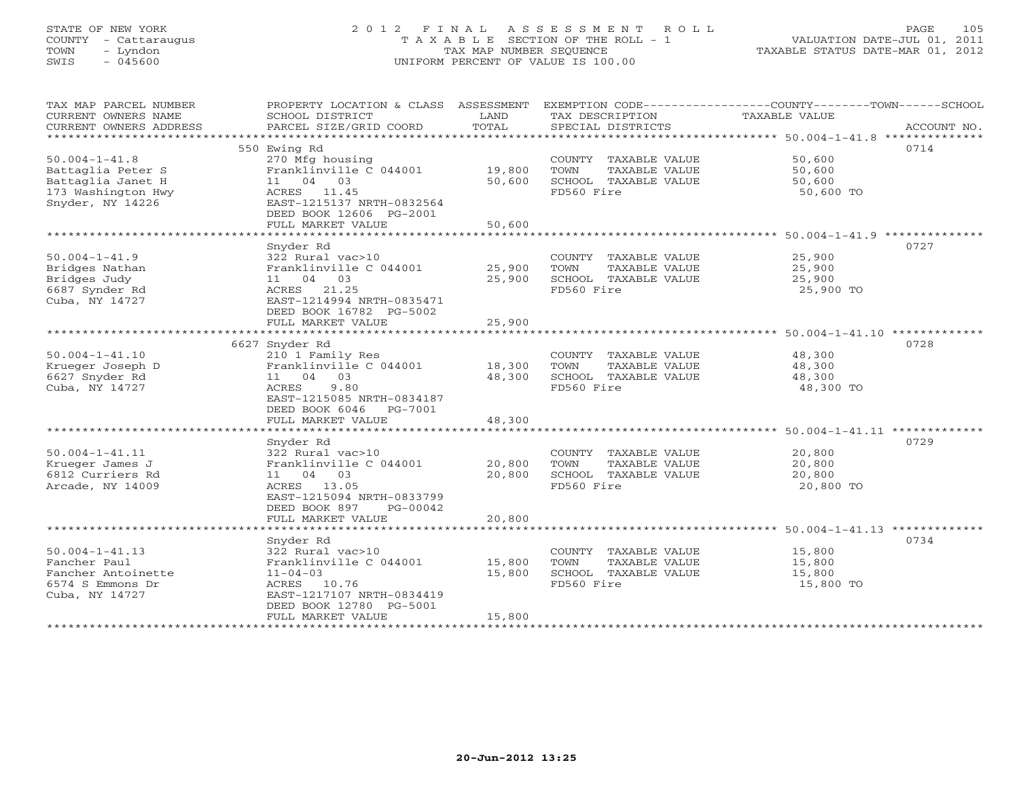#### STATE OF NEW YORK 2 0 1 2 F I N A L A S S E S S M E N T R O L L PAGE 105 COUNTY - Cattaraugus T A X A B L E SECTION OF THE ROLL - 1 VALUATION DATE-JUL 01, 2011 TOWN - Lyndon TAX MAP NUMBER SEQUENCE TAXABLE STATUS DATE-MAR 01, 2012 SWIS - 045600 UNIFORM PERCENT OF VALUE IS 100.00UNIFORM PERCENT OF VALUE IS 100.00

| TAX MAP PARCEL NUMBER<br>CURRENT OWNERS NAME<br>CURRENT OWNERS ADDRESS                                  | PROPERTY LOCATION & CLASS ASSESSMENT<br>SCHOOL DISTRICT<br>PARCEL SIZE/GRID COORD                                                                                 | LAND<br>TOTAL              | TAX DESCRIPTION<br>SPECIAL DISTRICTS                                                | EXEMPTION CODE-----------------COUNTY-------TOWN------SCHOOL<br>TAXABLE VALUE<br>ACCOUNT NO. |
|---------------------------------------------------------------------------------------------------------|-------------------------------------------------------------------------------------------------------------------------------------------------------------------|----------------------------|-------------------------------------------------------------------------------------|----------------------------------------------------------------------------------------------|
|                                                                                                         |                                                                                                                                                                   |                            |                                                                                     |                                                                                              |
| $50.004 - 1 - 41.8$<br>Battaglia Peter S<br>Battaglia Janet H<br>173 Washington Hwy<br>Snyder, NY 14226 | 550 Ewing Rd<br>270 Mfg housing<br>Franklinville C 044001<br>11 04 03<br>ACRES 11.45<br>EAST-1215137 NRTH-0832564<br>DEED BOOK 12606 PG-2001<br>FULL MARKET VALUE | 19,800<br>50,600<br>50,600 | COUNTY TAXABLE VALUE<br>TOWN<br>TAXABLE VALUE<br>SCHOOL TAXABLE VALUE<br>FD560 Fire | 0714<br>50,600<br>50,600<br>50,600<br>50,600 TO                                              |
|                                                                                                         |                                                                                                                                                                   |                            |                                                                                     |                                                                                              |
| $50.004 - 1 - 41.9$<br>Bridges Nathan<br>Bridges Judy<br>6687 Synder Rd<br>Cuba, NY 14727               | Snyder Rd<br>322 Rural vac>10<br>Franklinville C 044001<br>11 04 03<br>ACRES 21.25<br>EAST-1214994 NRTH-0835471<br>DEED BOOK 16782 PG-5002                        | 25,900<br>25,900           | COUNTY TAXABLE VALUE<br>TOWN<br>TAXABLE VALUE<br>SCHOOL TAXABLE VALUE<br>FD560 Fire | 0727<br>25,900<br>25,900<br>25,900<br>25,900 TO                                              |
|                                                                                                         | FULL MARKET VALUE                                                                                                                                                 | 25,900                     |                                                                                     |                                                                                              |
|                                                                                                         |                                                                                                                                                                   |                            |                                                                                     |                                                                                              |
|                                                                                                         | 6627 Snyder Rd                                                                                                                                                    |                            |                                                                                     | 0728                                                                                         |
| $50.004 - 1 - 41.10$<br>Krueger Joseph D<br>6627 Snyder Rd<br>Cuba, NY 14727                            | 210 1 Family Res<br>Franklinville C 044001<br>11 04 03<br>9.80<br>ACRES<br>EAST-1215085 NRTH-0834187                                                              | 18,300<br>48,300           | COUNTY TAXABLE VALUE<br>TOWN<br>TAXABLE VALUE<br>SCHOOL TAXABLE VALUE<br>FD560 Fire | 48,300<br>48,300<br>48,300<br>48,300 TO                                                      |
|                                                                                                         | DEED BOOK 6046<br>PG-7001<br>FULL MARKET VALUE                                                                                                                    | 48,300                     |                                                                                     |                                                                                              |
|                                                                                                         |                                                                                                                                                                   |                            |                                                                                     |                                                                                              |
|                                                                                                         | Snyder Rd                                                                                                                                                         |                            |                                                                                     | 0729                                                                                         |
| $50.004 - 1 - 41.11$<br>Krueger James J<br>6812 Curriers Rd<br>Arcade, NY 14009                         | 322 Rural vac>10<br>Franklinville C 044001<br>11 04 03<br>ACRES 13.05<br>EAST-1215094 NRTH-0833799<br>DEED BOOK 897<br>PG-00042                                   | 20,800<br>20,800           | COUNTY TAXABLE VALUE<br>TOWN<br>TAXABLE VALUE<br>SCHOOL TAXABLE VALUE<br>FD560 Fire | 20,800<br>20,800<br>20,800<br>20,800 TO                                                      |
|                                                                                                         | FULL MARKET VALUE                                                                                                                                                 | 20,800                     |                                                                                     |                                                                                              |
|                                                                                                         |                                                                                                                                                                   |                            |                                                                                     |                                                                                              |
| $50.004 - 1 - 41.13$<br>Fancher Paul<br>Fancher Antoinette<br>6574 S Emmons Dr<br>Cuba, NY 14727        | Snyder Rd<br>322 Rural vac>10<br>Franklinville C 044001<br>$11 - 04 - 03$<br>ACRES 10.76<br>EAST-1217107 NRTH-0834419<br>DEED BOOK 12780 PG-5001                  | 15,800<br>15,800           | COUNTY TAXABLE VALUE<br>TOWN<br>TAXABLE VALUE<br>SCHOOL TAXABLE VALUE<br>FD560 Fire | 0734<br>15,800<br>15,800<br>15,800<br>15,800 TO                                              |
|                                                                                                         | FULL MARKET VALUE                                                                                                                                                 | 15,800                     |                                                                                     |                                                                                              |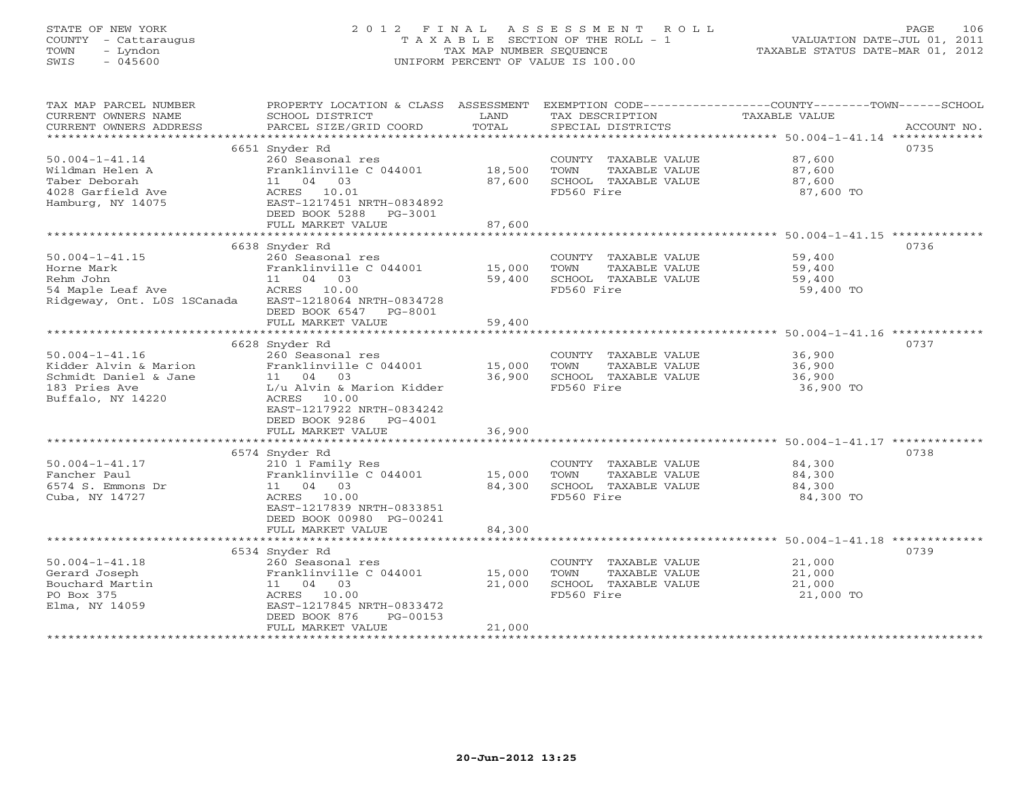#### STATE OF NEW YORK 2 0 1 2 F I N A L A S S E S S M E N T R O L L PAGE 106 COUNTY - Cattaraugus T A X A B L E SECTION OF THE ROLL - 1 VALUATION DATE-JUL 01, 2011 TOWN - Lyndon TAX MAP NUMBER SEQUENCE TAXABLE STATUS DATE-MAR 01, 2012 SWIS - 045600 UNIFORM PERCENT OF VALUE IS 100.00UNIFORM PERCENT OF VALUE IS 100.00

| *************************<br>0735<br>6651 Snyder Rd<br>$50.004 - 1 - 41.14$<br>260 Seasonal res<br>COUNTY TAXABLE VALUE<br>87,600<br>Wildman Helen A<br>Franklinville C 044001<br>18,500<br>TAXABLE VALUE<br>TOWN<br>87,600<br>11 04 03<br>SCHOOL TAXABLE VALUE<br>Taber Deborah<br>87,600<br>87,600<br>4028 Garfield Ave<br>FD560 Fire<br>ACRES 10.01<br>87,600 TO<br>Hamburg, NY 14075<br>EAST-1217451 NRTH-0834892<br>DEED BOOK 5288<br>PG-3001<br>87,600<br>FULL MARKET VALUE<br>6638 Snyder Rd<br>0736<br>$50.004 - 1 - 41.15$<br>COUNTY TAXABLE VALUE<br>260 Seasonal res<br>59,400<br>Franklinville C 044001<br>TAXABLE VALUE<br>Horne Mark<br>15,000<br>TOWN<br>59,400 |
|--------------------------------------------------------------------------------------------------------------------------------------------------------------------------------------------------------------------------------------------------------------------------------------------------------------------------------------------------------------------------------------------------------------------------------------------------------------------------------------------------------------------------------------------------------------------------------------------------------------------------------------------------------------------------------|
|                                                                                                                                                                                                                                                                                                                                                                                                                                                                                                                                                                                                                                                                                |
|                                                                                                                                                                                                                                                                                                                                                                                                                                                                                                                                                                                                                                                                                |
| 11 04 03<br>SCHOOL TAXABLE VALUE<br>Rehm John<br>59,400<br>59,400<br>ACRES 10.00<br>FD560 Fire<br>54 Maple Leaf Ave<br>59,400 TO<br>Ridgeway, Ont. LOS 1SCanada<br>EAST-1218064 NRTH-0834728<br>DEED BOOK 6547 PG-8001                                                                                                                                                                                                                                                                                                                                                                                                                                                         |
| FULL MARKET VALUE<br>59,400                                                                                                                                                                                                                                                                                                                                                                                                                                                                                                                                                                                                                                                    |
|                                                                                                                                                                                                                                                                                                                                                                                                                                                                                                                                                                                                                                                                                |
| 6628 Snyder Rd<br>0737<br>$50.004 - 1 - 41.16$<br>260 Seasonal res<br>COUNTY TAXABLE VALUE<br>36,900<br>Franklinville C 044001<br>15,000<br>TOWN<br>TAXABLE VALUE<br>Kidder Alvin & Marion<br>36,900<br>Schmidt Daniel & Jane<br>11 04 03<br>36,900<br>SCHOOL TAXABLE VALUE<br>36,900<br>183 Pries Ave<br>L/u Alvin & Marion Kidder<br>FD560 Fire<br>36,900 TO<br>Buffalo, NY 14220<br>ACRES 10.00<br>EAST-1217922 NRTH-0834242<br>DEED BOOK 9286 PG-4001                                                                                                                                                                                                                      |
| FULL MARKET VALUE<br>36,900                                                                                                                                                                                                                                                                                                                                                                                                                                                                                                                                                                                                                                                    |
| 0738<br>6574 Snyder Rd                                                                                                                                                                                                                                                                                                                                                                                                                                                                                                                                                                                                                                                         |
| $50.004 - 1 - 41.17$<br>84,300<br>210 1 Family Res<br>COUNTY TAXABLE VALUE<br>Franklinville C 044001<br>Fancher Paul<br>15,000<br>TOWN<br>TAXABLE VALUE<br>84,300<br>6574 S. Emmons Dr<br>SCHOOL TAXABLE VALUE<br>11 04 03<br>84,300<br>84,300<br>FD560 Fire<br>Cuba, NY 14727<br>ACRES 10.00<br>84,300 TO<br>EAST-1217839 NRTH-0833851<br>DEED BOOK 00980 PG-00241<br>FULL MARKET VALUE<br>84,300                                                                                                                                                                                                                                                                             |
|                                                                                                                                                                                                                                                                                                                                                                                                                                                                                                                                                                                                                                                                                |
| 0739<br>6534 Snyder Rd<br>$50.004 - 1 - 41.18$<br>21,000<br>260 Seasonal res<br>COUNTY TAXABLE VALUE<br>Franklinville C 044001<br>15,000<br>Gerard Joseph<br>TOWN<br>TAXABLE VALUE<br>21,000                                                                                                                                                                                                                                                                                                                                                                                                                                                                                   |
| SCHOOL TAXABLE VALUE<br>Bouchard Martin<br>11 04 03<br>21,000<br>21,000<br>PO Box 375<br>10.00<br>FD560 Fire<br>21,000 TO<br>ACRES<br>EAST-1217845 NRTH-0833472<br>Elma, NY 14059<br>DEED BOOK 876<br>PG-00153                                                                                                                                                                                                                                                                                                                                                                                                                                                                 |
| FULL MARKET VALUE<br>21,000                                                                                                                                                                                                                                                                                                                                                                                                                                                                                                                                                                                                                                                    |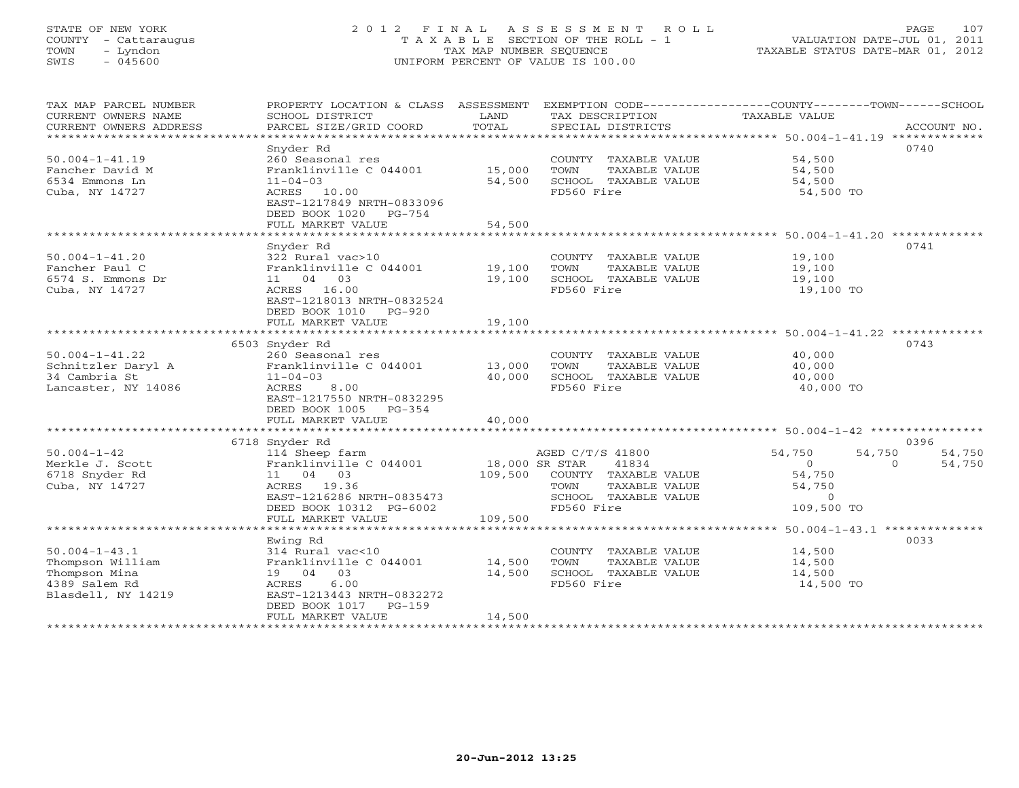#### STATE OF NEW YORK 2 0 1 2 F I N A L A S S E S S M E N T R O L L PAGE 107 COUNTY - Cattaraugus T A X A B L E SECTION OF THE ROLL - 1 VALUATION DATE-JUL 01, 2011 TOWN - Lyndon TAX MAP NUMBER SEQUENCE TAXABLE STATUS DATE-MAR 01, 2012 SWIS - 045600 UNIFORM PERCENT OF VALUE IS 100.00UNIFORM PERCENT OF VALUE IS 100.00

| TAX MAP PARCEL NUMBER<br>CURRENT OWNERS NAME<br>CURRENT OWNERS ADDRESS | PROPERTY LOCATION & CLASS ASSESSMENT<br>SCHOOL DISTRICT<br>PARCEL SIZE/GRID COORD | LAND<br>TOTAL    | TAX DESCRIPTION<br>SPECIAL DISTRICTS          | EXEMPTION CODE-----------------COUNTY-------TOWN------SCHOOL<br>TAXABLE VALUE<br>ACCOUNT NO. |
|------------------------------------------------------------------------|-----------------------------------------------------------------------------------|------------------|-----------------------------------------------|----------------------------------------------------------------------------------------------|
| *************************                                              |                                                                                   |                  |                                               |                                                                                              |
|                                                                        | Snyder Rd                                                                         |                  |                                               | 0740                                                                                         |
| $50.004 - 1 - 41.19$                                                   | 260 Seasonal res                                                                  |                  | COUNTY TAXABLE VALUE                          | 54,500                                                                                       |
| Fancher David M                                                        | Franklinville C 044001                                                            | 15,000           | TOWN<br>TAXABLE VALUE                         | 54,500                                                                                       |
| 6534 Emmons Ln                                                         | $11 - 04 - 03$                                                                    | 54,500           | SCHOOL TAXABLE VALUE                          | 54,500                                                                                       |
| Cuba, NY 14727                                                         | ACRES 10.00                                                                       |                  | FD560 Fire                                    | 54,500 TO                                                                                    |
|                                                                        | EAST-1217849 NRTH-0833096<br>DEED BOOK 1020 PG-754                                |                  |                                               |                                                                                              |
|                                                                        | FULL MARKET VALUE                                                                 | 54,500           |                                               |                                                                                              |
|                                                                        |                                                                                   |                  |                                               |                                                                                              |
|                                                                        | Snyder Rd                                                                         |                  |                                               | 0741                                                                                         |
| $50.004 - 1 - 41.20$                                                   | 322 Rural vac>10                                                                  |                  | COUNTY TAXABLE VALUE                          | 19,100                                                                                       |
| Fancher Paul C                                                         | Franklinville C 044001                                                            | 19,100           | TOWN<br>TAXABLE VALUE                         | 19,100                                                                                       |
| 6574 S. Emmons Dr                                                      | 11 04 03                                                                          | 19,100           | SCHOOL TAXABLE VALUE                          | 19,100                                                                                       |
| Cuba, NY 14727                                                         | ACRES 16.00                                                                       |                  | FD560 Fire                                    | 19,100 TO                                                                                    |
|                                                                        | EAST-1218013 NRTH-0832524                                                         |                  |                                               |                                                                                              |
|                                                                        | DEED BOOK 1010 PG-920                                                             |                  |                                               |                                                                                              |
|                                                                        | FULL MARKET VALUE                                                                 | 19,100           |                                               |                                                                                              |
|                                                                        | 6503 Snyder Rd                                                                    |                  |                                               | 0743                                                                                         |
| $50.004 - 1 - 41.22$                                                   | 260 Seasonal res                                                                  |                  | COUNTY TAXABLE VALUE                          | 40,000                                                                                       |
| Schnitzler Daryl A                                                     | Franklinville C 044001                                                            | 13,000           | TOWN<br>TAXABLE VALUE                         | 40,000                                                                                       |
| 34 Cambria St                                                          | $11 - 04 - 03$                                                                    | 40,000           | SCHOOL TAXABLE VALUE                          | 40,000                                                                                       |
| Lancaster, NY 14086                                                    | ACRES 8.00                                                                        |                  | FD560 Fire                                    | 40,000 TO                                                                                    |
|                                                                        | EAST-1217550 NRTH-0832295                                                         |                  |                                               |                                                                                              |
|                                                                        | DEED BOOK 1005 PG-354                                                             |                  |                                               |                                                                                              |
|                                                                        | FULL MARKET VALUE                                                                 | 40,000           |                                               |                                                                                              |
|                                                                        | 6718 Snyder Rd                                                                    |                  |                                               | 0396                                                                                         |
| $50.004 - 1 - 42$                                                      | 114 Sheep farm                                                                    |                  | AGED C/T/S 41800                              | 54,750<br>54,750<br>54,750                                                                   |
| Merkle J. Scott                                                        | Franklinville C 044001                                                            | 18,000 SR STAR   | 41834                                         | $\overline{0}$<br>$\Omega$<br>54,750                                                         |
| 6718 Snyder Rd                                                         | 11 04 03                                                                          |                  | 109,500 COUNTY TAXABLE VALUE                  | 54,750                                                                                       |
| Cuba, NY 14727                                                         | ACRES 19.36                                                                       |                  | TAXABLE VALUE<br>TOWN                         | 54,750                                                                                       |
|                                                                        | EAST-1216286 NRTH-0835473                                                         |                  | SCHOOL TAXABLE VALUE                          | $\overline{0}$                                                                               |
|                                                                        | DEED BOOK 10312 PG-6002                                                           |                  | FD560 Fire                                    | 109,500 TO                                                                                   |
|                                                                        | FULL MARKET VALUE                                                                 | 109,500          |                                               |                                                                                              |
|                                                                        |                                                                                   |                  |                                               |                                                                                              |
|                                                                        | Ewing Rd                                                                          |                  |                                               | 0033                                                                                         |
| $50.004 - 1 - 43.1$                                                    | 314 Rural vac<10                                                                  |                  | COUNTY TAXABLE VALUE                          | 14,500                                                                                       |
| Thompson William<br>Thompson Mina                                      | Franklinville C 044001<br>19 04 03                                                | 14,500<br>14,500 | TAXABLE VALUE<br>TOWN<br>SCHOOL TAXABLE VALUE | 14,500<br>14,500                                                                             |
| 4389 Salem Rd                                                          | 6.00<br>ACRES                                                                     |                  | FD560 Fire                                    | 14,500 TO                                                                                    |
| Blasdell, NY 14219                                                     | EAST-1213443 NRTH-0832272                                                         |                  |                                               |                                                                                              |
|                                                                        | DEED BOOK 1017 PG-159                                                             |                  |                                               |                                                                                              |
|                                                                        | FULL MARKET VALUE                                                                 | 14,500           |                                               |                                                                                              |
|                                                                        | *********************                                                             |                  |                                               |                                                                                              |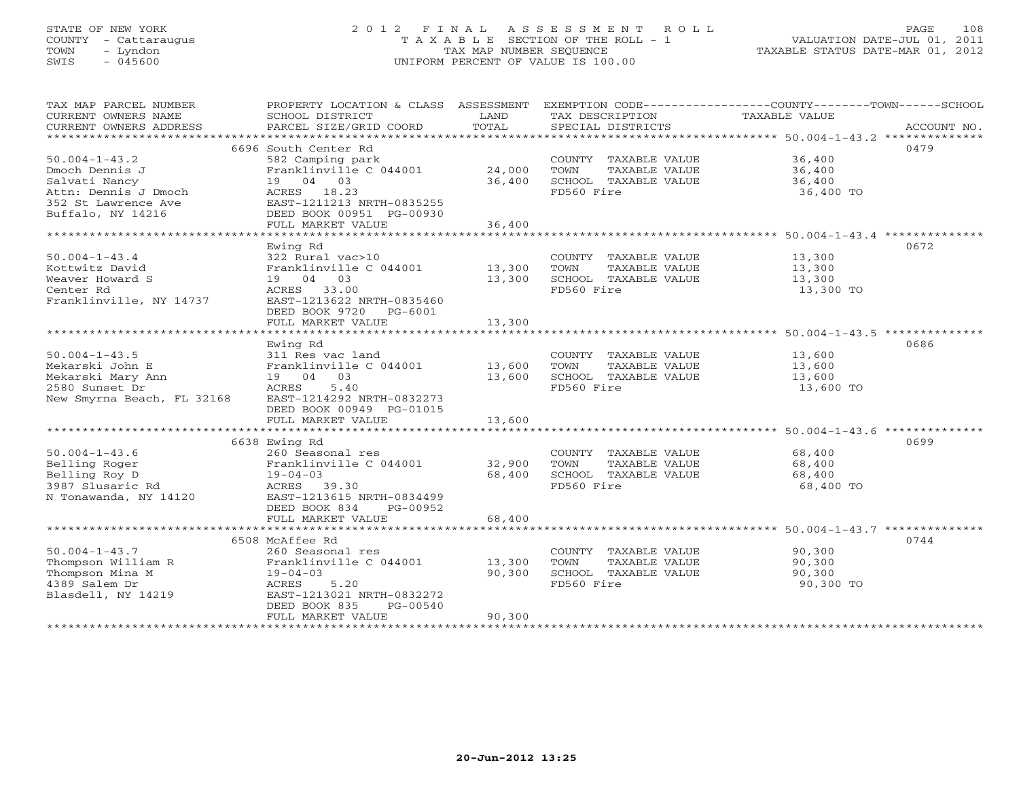#### STATE OF NEW YORK 2 0 1 2 F I N A L A S S E S S M E N T R O L L PAGE 108 COUNTY - Cattaraugus T A X A B L E SECTION OF THE ROLL - 1 VALUATION DATE-JUL 01, 2011 TOWN - Lyndon TAX MAP NUMBER SEQUENCE TAXABLE STATUS DATE-MAR 01, 2012 SWIS - 045600 UNIFORM PERCENT OF VALUE IS 100.00UNIFORM PERCENT OF VALUE IS 100.00

| TAX MAP PARCEL NUMBER<br>CURRENT OWNERS NAME | PROPERTY LOCATION & CLASS ASSESSMENT |               |                               | EXEMPTION CODE-----------------COUNTY-------TOWN------SCHOOL |
|----------------------------------------------|--------------------------------------|---------------|-------------------------------|--------------------------------------------------------------|
|                                              | SCHOOL DISTRICT                      | LAND<br>TOTAL | TAX DESCRIPTION TAXABLE VALUE |                                                              |
| CURRENT OWNERS ADDRESS                       | PARCEL SIZE/GRID COORD               |               | SPECIAL DISTRICTS             | ACCOUNT NO.                                                  |
|                                              |                                      |               |                               |                                                              |
|                                              | 6696 South Center Rd                 |               |                               | 0479                                                         |
| $50.004 - 1 - 43.2$                          | 582 Camping park                     |               | COUNTY TAXABLE VALUE          | 36,400                                                       |
| Dmoch Dennis J                               | Franklinville C 044001               | 24,000        | TOWN<br>TAXABLE VALUE         | 36,400                                                       |
| Salvati Nancy                                | 19 04 03                             | 36,400        | SCHOOL TAXABLE VALUE          | 36,400                                                       |
| Attn: Dennis J Dmoch                         | ACRES 18.23                          |               | FD560 Fire                    | 36,400 TO                                                    |
| 352 St Lawrence Ave                          | EAST-1211213 NRTH-0835255            |               |                               |                                                              |
| Buffalo, NY 14216                            | DEED BOOK 00951 PG-00930             |               |                               |                                                              |
|                                              | FULL MARKET VALUE                    | 36,400        |                               |                                                              |
|                                              |                                      |               |                               |                                                              |
|                                              | Ewing Rd                             |               |                               | 0672                                                         |
|                                              |                                      |               |                               |                                                              |
| $50.004 - 1 - 43.4$                          | 322 Rural vac>10                     |               | COUNTY TAXABLE VALUE          | 13,300                                                       |
| Kottwitz David                               | Franklinville C 044001 13,300        |               | TAXABLE VALUE<br>TOWN         | 13,300                                                       |
| Weaver Howard S                              | 19 04 03                             | 13,300        | SCHOOL TAXABLE VALUE          | 13,300                                                       |
| Center Rd                                    | ACRES 33.00                          |               | FD560 Fire                    | 13,300 TO                                                    |
| Franklinville, NY 14737                      | EAST-1213622 NRTH-0835460            |               |                               |                                                              |
|                                              | DEED BOOK 9720 PG-6001               |               |                               |                                                              |
|                                              | FULL MARKET VALUE                    | 13,300        |                               |                                                              |
|                                              |                                      |               |                               |                                                              |
|                                              | Ewing Rd                             |               |                               | 0686                                                         |
| $50.004 - 1 - 43.5$                          | 311 Res vac land                     |               | COUNTY TAXABLE VALUE 13,600   |                                                              |
| Mekarski John E                              | Franklinville C 044001 13,600        |               | TOWN<br>TAXABLE VALUE         | 13,600                                                       |
| Mekarski Mary Ann                            | 19 04 03                             | 13,600        | SCHOOL TAXABLE VALUE          | $\frac{13,000}{13,600}$                                      |
| 2580 Sunset Dr                               | ACRES<br>5.40                        |               | FD560 Fire                    | 13,600 TO                                                    |
|                                              | EAST-1214292 NRTH-0832273            |               |                               |                                                              |
| New Smyrna Beach, FL 32168                   |                                      |               |                               |                                                              |
|                                              | DEED BOOK 00949 PG-01015             |               |                               |                                                              |
|                                              | FULL MARKET VALUE                    | 13,600        |                               |                                                              |
|                                              |                                      |               |                               |                                                              |
|                                              | 6638 Ewing Rd                        |               |                               | 0699                                                         |
| $50.004 - 1 - 43.6$                          | 260 Seasonal res                     |               | COUNTY TAXABLE VALUE          | 68,400                                                       |
| Belling Roger                                | Franklinville C 044001               | 32,900        | TOWN<br>TAXABLE VALUE         | 68,400                                                       |
| Belling Roy D                                | $19 - 04 - 03$                       | 68,400        | SCHOOL TAXABLE VALUE          | 68,400                                                       |
| 3987 Slusaric Rd                             | ACRES 39.30                          |               | FD560 Fire                    | 68,400 TO                                                    |
| N Tonawanda, NY 14120                        | EAST-1213615 NRTH-0834499            |               |                               |                                                              |
|                                              | DEED BOOK 834<br>PG-00952            |               |                               |                                                              |
|                                              | FULL MARKET VALUE                    | 68,400        |                               |                                                              |
|                                              |                                      |               |                               |                                                              |
|                                              | 6508 McAffee Rd                      |               |                               | 0744                                                         |
| $50.004 - 1 - 43.7$                          | 260 Seasonal res                     |               | COUNTY TAXABLE VALUE          | 90,300                                                       |
| Thompson William R                           | Franklinville C 044001 13,300        |               | TAXABLE VALUE<br>TOWN         | 90,300                                                       |
| Thompson Mina M                              | $19 - 04 - 03$                       | 90,300        | SCHOOL TAXABLE VALUE          |                                                              |
|                                              |                                      |               |                               | 90,300                                                       |
| 4389 Salem Dr                                | ACRES<br>5.20                        |               | FD560 Fire                    | 90,300 TO                                                    |
| Blasdell, NY 14219                           | EAST-1213021 NRTH-0832272            |               |                               |                                                              |
|                                              | DEED BOOK 835<br>PG-00540            |               |                               |                                                              |
|                                              | FULL MARKET VALUE                    | 90,300        |                               |                                                              |
|                                              |                                      |               |                               |                                                              |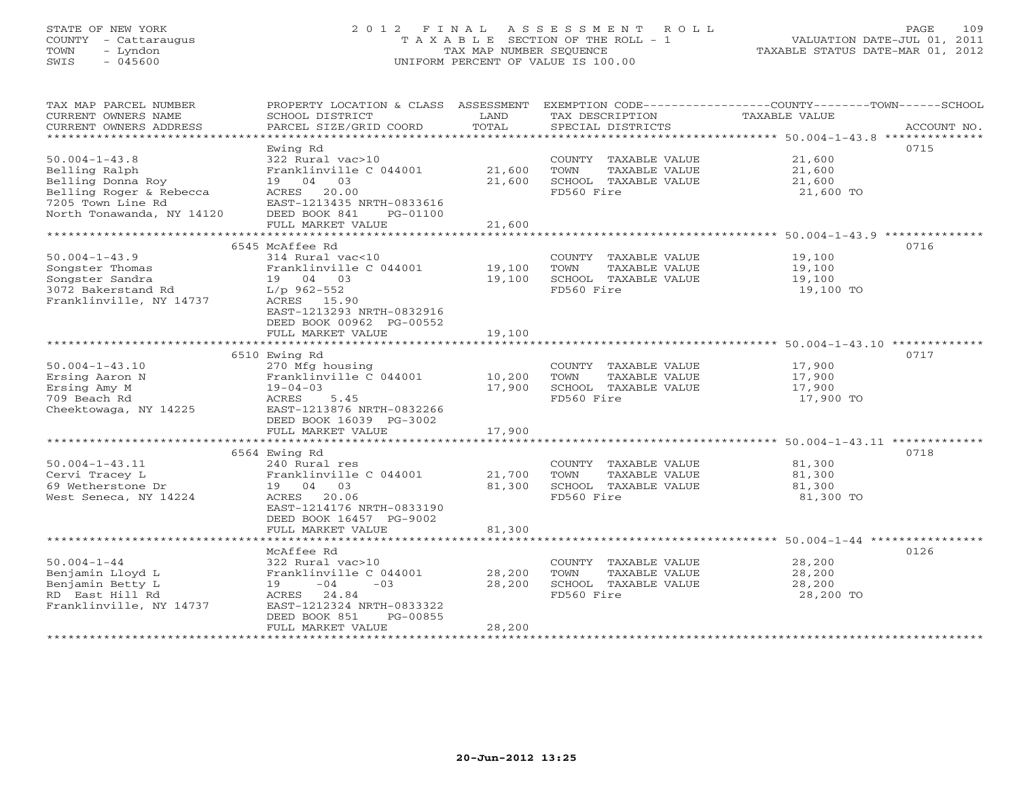# STATE OF NEW YORK 2 0 1 2 F I N A L A S S E S S M E N T R O L L PAGE 109 COUNTY - Cattaraugus T A X A B L E SECTION OF THE ROLL - 1 VALUATION DATE-JUL 01, 2011 TOWN - Lyndon TAX MAP NUMBER SEQUENCE TAXABLE STATUS DATE-MAR 01, 2012 SWIS - 045600 UNIFORM PERCENT OF VALUE IS 100.00UNIFORM PERCENT OF VALUE IS 100.00

| TAX MAP PARCEL NUMBER     | PROPERTY LOCATION & CLASS ASSESSMENT      |        | EXEMPTION CODE----------------COUNTY-------TOWN------SCHOOL |               |             |
|---------------------------|-------------------------------------------|--------|-------------------------------------------------------------|---------------|-------------|
| CURRENT OWNERS NAME       | SCHOOL DISTRICT                           | LAND   | TAX DESCRIPTION                                             | TAXABLE VALUE |             |
| CURRENT OWNERS ADDRESS    | PARCEL SIZE/GRID COORD                    | TOTAL  | SPECIAL DISTRICTS                                           |               | ACCOUNT NO. |
| **********************    |                                           |        |                                                             |               |             |
|                           | Ewing Rd                                  |        |                                                             |               | 0715        |
| $50.004 - 1 - 43.8$       | 322 Rural vac>10                          |        | COUNTY TAXABLE VALUE                                        | 21,600        |             |
| Belling Ralph             | Franklinville C 044001                    | 21,600 | TOWN<br>TAXABLE VALUE                                       | 21,600        |             |
| Belling Donna Roy         | 19 04 03                                  | 21,600 | SCHOOL TAXABLE VALUE                                        | 21,600        |             |
| Belling Roger & Rebecca   | ACRES 20.00                               |        | FD560 Fire                                                  | 21,600 TO     |             |
| 7205 Town Line Rd         | EAST-1213435 NRTH-0833616                 |        |                                                             |               |             |
| North Tonawanda, NY 14120 | DEED BOOK 841<br>PG-01100                 |        |                                                             |               |             |
|                           | FULL MARKET VALUE                         | 21,600 |                                                             |               |             |
|                           |                                           |        |                                                             |               |             |
|                           | 6545 McAffee Rd                           |        |                                                             |               | 0716        |
| $50.004 - 1 - 43.9$       | 314 Rural vac<10                          |        | COUNTY TAXABLE VALUE                                        | 19,100        |             |
| Songster Thomas           | Franklinville C 044001                    | 19,100 | TOWN<br>TAXABLE VALUE                                       | 19,100        |             |
| Songster Sandra           | 19 04 03                                  | 19,100 | SCHOOL TAXABLE VALUE                                        | 19,100        |             |
| 3072 Bakerstand Rd        | $L/p$ 962-552                             |        | FD560 Fire                                                  | 19,100 TO     |             |
| Franklinville, NY 14737   | ACRES 15.90                               |        |                                                             |               |             |
|                           | EAST-1213293 NRTH-0832916                 |        |                                                             |               |             |
|                           | DEED BOOK 00962 PG-00552                  |        |                                                             |               |             |
|                           | FULL MARKET VALUE                         | 19,100 |                                                             |               |             |
|                           |                                           |        |                                                             |               |             |
|                           | 6510 Ewing Rd                             |        |                                                             |               | 0717        |
| $50.004 - 1 - 43.10$      | 270 Mfg housing                           |        | COUNTY TAXABLE VALUE                                        | 17,900        |             |
| Ersing Aaron N            | Franklinville C 044001                    | 10,200 | TOWN<br>TAXABLE VALUE                                       | 17,900        |             |
| Ersing Amy M              | $19 - 04 - 03$                            | 17,900 | SCHOOL TAXABLE VALUE                                        | 17,900        |             |
| 709 Beach Rd              | ACRES<br>5.45                             |        | FD560 Fire                                                  | 17,900 TO     |             |
| Cheektowaga, NY 14225     | EAST-1213876 NRTH-0832266                 |        |                                                             |               |             |
|                           | DEED BOOK 16039 PG-3002                   |        |                                                             |               |             |
|                           | FULL MARKET VALUE                         | 17,900 |                                                             |               |             |
|                           |                                           |        |                                                             |               |             |
|                           | 6564 Ewing Rd                             |        |                                                             |               | 0718        |
| $50.004 - 1 - 43.11$      | 240 Rural res                             |        | COUNTY TAXABLE VALUE                                        | 81,300        |             |
| Cervi Tracey L            | Franklinville C 044001                    | 21,700 | TOWN<br>TAXABLE VALUE                                       | 81,300        |             |
| 69 Wetherstone Dr         | 19  04  03                                | 81,300 | SCHOOL TAXABLE VALUE                                        | 81,300        |             |
| West Seneca, NY 14224     | ACRES 20.06                               |        | FD560 Fire                                                  | 81,300 TO     |             |
|                           | EAST-1214176 NRTH-0833190                 |        |                                                             |               |             |
|                           | DEED BOOK 16457 PG-9002                   |        |                                                             |               |             |
|                           | FULL MARKET VALUE                         | 81,300 |                                                             |               |             |
|                           |                                           |        |                                                             |               |             |
|                           | McAffee Rd                                |        |                                                             |               | 0126        |
| $50.004 - 1 - 44$         | 322 Rural vac>10                          |        | COUNTY TAXABLE VALUE                                        | 28,200        |             |
| Benjamin Lloyd L          | Franklinville C 044001                    | 28,200 | TOWN<br>TAXABLE VALUE                                       | 28,200        |             |
| Benjamin Betty L          | $19 -04 -03$                              | 28,200 | SCHOOL TAXABLE VALUE                                        | 28,200        |             |
| RD East Hill Rd           | ACRES 24.84                               |        | FD560 Fire                                                  | 28,200 TO     |             |
| Franklinville, NY 14737   | EAST-1212324 NRTH-0833322                 |        |                                                             |               |             |
|                           | DEED BOOK 851<br>PG-00855                 |        |                                                             |               |             |
|                           | FULL MARKET VALUE<br>******************** | 28,200 |                                                             |               |             |
|                           |                                           |        |                                                             |               |             |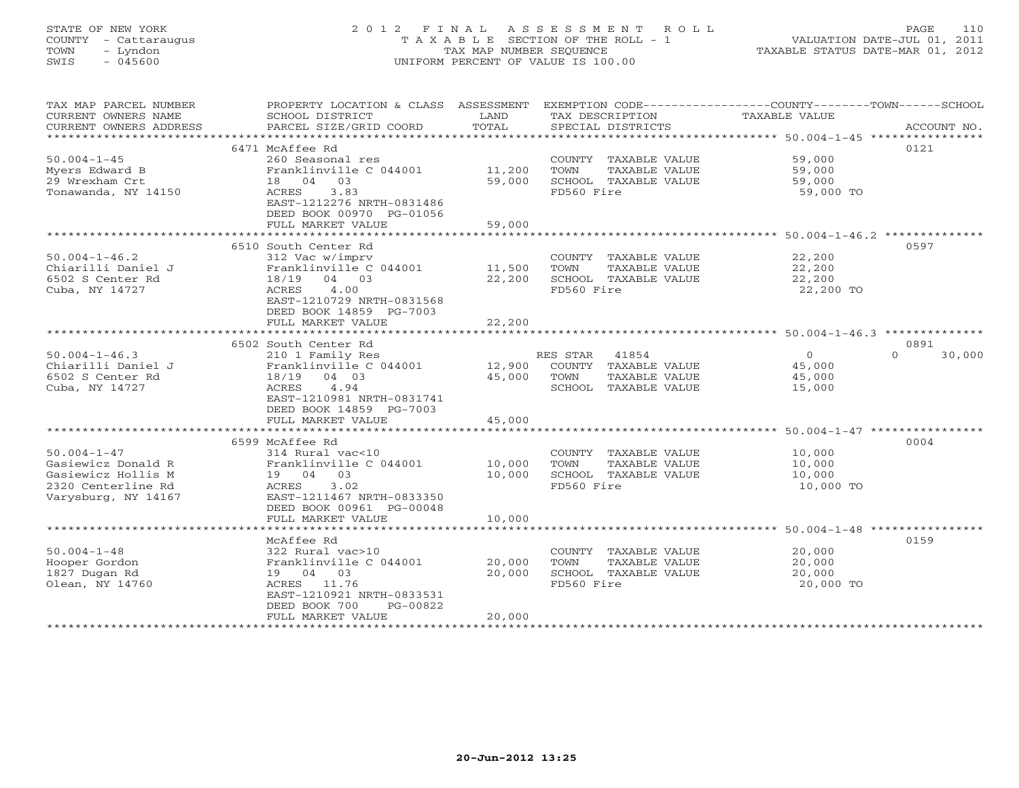# STATE OF NEW YORK 2 0 1 2 F I N A L A S S E S S M E N T R O L L PAGE 110 COUNTY - Cattaraugus T A X A B L E SECTION OF THE ROLL - 1 VALUATION DATE-JUL 01, 2011 TOWN - Lyndon TAX MAP NUMBER SEQUENCE TAXABLE STATUS DATE-MAR 01, 2012 SWIS - 045600 UNIFORM PERCENT OF VALUE IS 100.00UNIFORM PERCENT OF VALUE IS 100.00

| TAX MAP PARCEL NUMBER<br>CURRENT OWNERS NAME<br>CURRENT OWNERS ADDRESS<br>*********************** | PROPERTY LOCATION & CLASS ASSESSMENT<br>SCHOOL DISTRICT<br>PARCEL SIZE/GRID COORD | LAND<br>TOTAL | EXEMPTION CODE-----------------COUNTY-------TOWN------SCHOOL<br>TAX DESCRIPTION<br>SPECIAL DISTRICTS | TAXABLE VALUE                                                 | ACCOUNT NO.        |
|---------------------------------------------------------------------------------------------------|-----------------------------------------------------------------------------------|---------------|------------------------------------------------------------------------------------------------------|---------------------------------------------------------------|--------------------|
|                                                                                                   |                                                                                   |               |                                                                                                      |                                                               |                    |
|                                                                                                   | 6471 McAffee Rd                                                                   |               |                                                                                                      |                                                               | 0121               |
| $50.004 - 1 - 45$                                                                                 | 260 Seasonal res                                                                  |               | COUNTY TAXABLE VALUE                                                                                 | 59,000                                                        |                    |
| Myers Edward B                                                                                    | Franklinville C 044001                                                            | 11,200        | TOWN<br>TAXABLE VALUE                                                                                | 59,000                                                        |                    |
| 29 Wrexham Crt                                                                                    | 18  04  03                                                                        | 59,000        | SCHOOL TAXABLE VALUE                                                                                 | 59,000                                                        |                    |
| Tonawanda, NY 14150                                                                               | 3.83<br>ACRES                                                                     |               | FD560 Fire                                                                                           | 59,000 TO                                                     |                    |
|                                                                                                   | EAST-1212276 NRTH-0831486                                                         |               |                                                                                                      |                                                               |                    |
|                                                                                                   | DEED BOOK 00970 PG-01056                                                          |               |                                                                                                      |                                                               |                    |
|                                                                                                   | FULL MARKET VALUE                                                                 | 59,000        |                                                                                                      |                                                               |                    |
|                                                                                                   | *************************                                                         |               |                                                                                                      |                                                               |                    |
|                                                                                                   | 6510 South Center Rd                                                              |               |                                                                                                      |                                                               | 0597               |
| $50.004 - 1 - 46.2$                                                                               | 312 Vac w/imprv                                                                   |               | COUNTY TAXABLE VALUE                                                                                 | 22,200                                                        |                    |
| Chiarilli Daniel J                                                                                | Franklinville C 044001                                                            | 11,500        | TOWN<br>TAXABLE VALUE                                                                                | 22,200                                                        |                    |
| 6502 S Center Rd                                                                                  | 18/19<br>04 03                                                                    | 22,200        | SCHOOL TAXABLE VALUE                                                                                 | 22,200                                                        |                    |
| Cuba, NY 14727                                                                                    | <b>ACRES</b><br>4.00                                                              |               | FD560 Fire                                                                                           | 22,200 TO                                                     |                    |
|                                                                                                   | EAST-1210729 NRTH-0831568                                                         |               |                                                                                                      |                                                               |                    |
|                                                                                                   | DEED BOOK 14859 PG-7003                                                           |               |                                                                                                      |                                                               |                    |
|                                                                                                   | FULL MARKET VALUE                                                                 | 22,200        |                                                                                                      |                                                               |                    |
|                                                                                                   |                                                                                   |               |                                                                                                      | ******************************** 50.004-1-46.3 ************** |                    |
|                                                                                                   |                                                                                   |               |                                                                                                      |                                                               |                    |
|                                                                                                   | 6502 South Center Rd                                                              |               |                                                                                                      |                                                               | 0891               |
| $50.004 - 1 - 46.3$                                                                               | 210 1 Family Res                                                                  |               | RES STAR<br>41854                                                                                    | $\circ$                                                       | $\Omega$<br>30,000 |
| Chiarilli Daniel J                                                                                | Franklinville C 044001                                                            | 12,900        | COUNTY TAXABLE VALUE                                                                                 | 45,000                                                        |                    |
| 6502 S Center Rd                                                                                  | 18/19<br>04 03                                                                    | 45,000        | TOWN<br>TAXABLE VALUE                                                                                | 45,000                                                        |                    |
| Cuba, NY 14727                                                                                    | 4.94<br>ACRES                                                                     |               | SCHOOL TAXABLE VALUE                                                                                 | 15,000                                                        |                    |
|                                                                                                   | EAST-1210981 NRTH-0831741                                                         |               |                                                                                                      |                                                               |                    |
|                                                                                                   | DEED BOOK 14859 PG-7003                                                           |               |                                                                                                      |                                                               |                    |
|                                                                                                   | FULL MARKET VALUE                                                                 | 45,000        |                                                                                                      |                                                               |                    |
|                                                                                                   |                                                                                   |               |                                                                                                      |                                                               |                    |
|                                                                                                   | 6599 McAffee Rd                                                                   |               |                                                                                                      |                                                               | 0004               |
| $50.004 - 1 - 47$                                                                                 | 314 Rural vac<10                                                                  |               | COUNTY TAXABLE VALUE                                                                                 | 10,000                                                        |                    |
| Gasiewicz Donald R                                                                                | Franklinville C 044001                                                            | 10,000        | TAXABLE VALUE<br>TOWN                                                                                | 10,000                                                        |                    |
| Gasiewicz Hollis M                                                                                | 19 04 03                                                                          | 10,000        | SCHOOL TAXABLE VALUE                                                                                 | 10,000                                                        |                    |
| 2320 Centerline Rd                                                                                | ACRES<br>3.02                                                                     |               | FD560 Fire                                                                                           | 10,000 TO                                                     |                    |
| Varysburg, NY 14167                                                                               | EAST-1211467 NRTH-0833350                                                         |               |                                                                                                      |                                                               |                    |
|                                                                                                   | DEED BOOK 00961 PG-00048                                                          |               |                                                                                                      |                                                               |                    |
|                                                                                                   | FULL MARKET VALUE                                                                 | 10,000        |                                                                                                      |                                                               |                    |
|                                                                                                   |                                                                                   |               |                                                                                                      |                                                               |                    |
|                                                                                                   | McAffee Rd                                                                        |               |                                                                                                      |                                                               | 0159               |
| $50.004 - 1 - 48$                                                                                 | 322 Rural vac>10                                                                  |               | COUNTY TAXABLE VALUE                                                                                 | 20,000                                                        |                    |
| Hooper Gordon                                                                                     | Franklinville C 044001                                                            | 20,000        | TOWN<br>TAXABLE VALUE                                                                                | 20,000                                                        |                    |
| 1827 Dugan Rd                                                                                     | 19 04 03                                                                          | 20,000        | SCHOOL TAXABLE VALUE                                                                                 | 20,000                                                        |                    |
| Olean, NY 14760                                                                                   | ACRES 11.76                                                                       |               | FD560 Fire                                                                                           | 20,000 TO                                                     |                    |
|                                                                                                   | EAST-1210921 NRTH-0833531                                                         |               |                                                                                                      |                                                               |                    |
|                                                                                                   | DEED BOOK 700<br>PG-00822                                                         |               |                                                                                                      |                                                               |                    |
|                                                                                                   | FULL MARKET VALUE                                                                 | 20,000        |                                                                                                      |                                                               |                    |
|                                                                                                   |                                                                                   |               |                                                                                                      |                                                               |                    |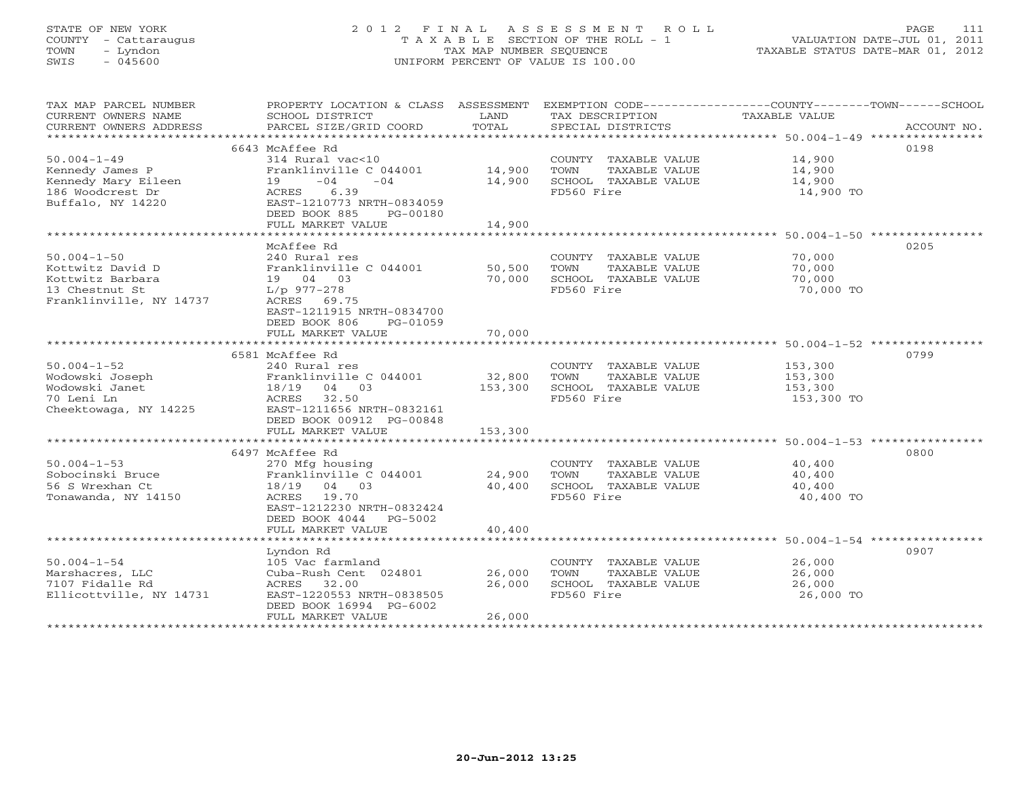# STATE OF NEW YORK 2 0 1 2 F I N A L A S S E S S M E N T R O L L PAGE 111 COUNTY - Cattaraugus T A X A B L E SECTION OF THE ROLL - 1 VALUATION DATE-JUL 01, 2011 TOWN - Lyndon TAX MAP NUMBER SEQUENCE TAXABLE STATUS DATE-MAR 01, 2012 SWIS - 045600 UNIFORM PERCENT OF VALUE IS 100.00UNIFORM PERCENT OF VALUE IS 100.00

| TAX MAP PARCEL NUMBER   | PROPERTY LOCATION & CLASS ASSESSMENT |         | EXEMPTION CODE-----------------COUNTY-------TOWN------SCHOOL |               |             |
|-------------------------|--------------------------------------|---------|--------------------------------------------------------------|---------------|-------------|
| CURRENT OWNERS NAME     | SCHOOL DISTRICT                      | LAND    | TAX DESCRIPTION                                              | TAXABLE VALUE |             |
| CURRENT OWNERS ADDRESS  | PARCEL SIZE/GRID COORD               | TOTAL   | SPECIAL DISTRICTS                                            |               | ACCOUNT NO. |
|                         |                                      |         |                                                              |               |             |
|                         | 6643 McAffee Rd                      |         |                                                              |               | 0198        |
| $50.004 - 1 - 49$       | 314 Rural vac<10                     |         | COUNTY TAXABLE VALUE 14,900                                  |               |             |
| Kennedy James P         | Franklinville C 044001               | 14,900  | TOWN<br>TAXABLE VALUE                                        | 14,900        |             |
| Kennedy Mary Eileen     | $-04$<br>$-04$<br>19                 | 14,900  | SCHOOL TAXABLE VALUE                                         | 14,900        |             |
| 186 Woodcrest Dr        | ACRES 6.39                           |         | FD560 Fire                                                   | 14,900 TO     |             |
| Buffalo, NY 14220       | EAST-1210773 NRTH-0834059            |         |                                                              |               |             |
|                         | DEED BOOK 885<br>PG-00180            |         |                                                              |               |             |
|                         | FULL MARKET VALUE                    | 14,900  |                                                              |               |             |
|                         |                                      |         |                                                              |               |             |
|                         | McAffee Rd                           |         |                                                              |               | 0205        |
| $50.004 - 1 - 50$       | 240 Rural res                        |         | COUNTY TAXABLE VALUE                                         | 70,000        |             |
| Kottwitz David D        | Franklinville C 044001               | 50,500  | TAXABLE VALUE<br>TOWN                                        | 70,000        |             |
| Kottwitz Barbara        | 19 04 03                             | 70,000  | SCHOOL TAXABLE VALUE                                         | 70,000        |             |
| 13 Chestnut St          | $L/p$ 977-278                        |         | FD560 Fire                                                   | 70,000 TO     |             |
| Franklinville, NY 14737 | ACRES 69.75                          |         |                                                              |               |             |
|                         | EAST-1211915 NRTH-0834700            |         |                                                              |               |             |
|                         | DEED BOOK 806<br>PG-01059            |         |                                                              |               |             |
|                         | FULL MARKET VALUE                    | 70,000  |                                                              |               |             |
|                         |                                      |         |                                                              |               |             |
|                         | 6581 McAffee Rd                      |         |                                                              |               | 0799        |
| $50.004 - 1 - 52$       | 240 Rural res                        |         | COUNTY TAXABLE VALUE                                         | 153,300       |             |
| Wodowski Joseph         | Franklinville C 044001               | 32,800  | TOWN<br>TAXABLE VALUE                                        | 153,300       |             |
| Wodowski Janet          | 18/19 04 03                          | 153,300 | SCHOOL TAXABLE VALUE                                         | 153,300       |             |
| 70 Leni Ln              | ACRES 32.50                          |         | FD560 Fire                                                   | 153,300 TO    |             |
|                         | EAST-1211656 NRTH-0832161            |         |                                                              |               |             |
| Cheektowaga, NY 14225   | DEED BOOK 00912 PG-00848             |         |                                                              |               |             |
|                         |                                      |         |                                                              |               |             |
|                         | FULL MARKET VALUE                    | 153,300 |                                                              |               |             |
|                         |                                      |         |                                                              |               |             |
|                         | 6497 McAffee Rd                      |         |                                                              |               | 0800        |
| $50.004 - 1 - 53$       | 270 Mfg housing                      |         | COUNTY TAXABLE VALUE                                         | 40,400        |             |
| Sobocinski Bruce        | Franklinville C 044001               | 24,900  | TAXABLE VALUE<br>TOWN                                        | 40,400        |             |
| 56 S Wrexhan Ct         | 18/19 04 03                          | 40,400  | SCHOOL TAXABLE VALUE                                         | 40,400        |             |
| Tonawanda, NY 14150     | ACRES 19.70                          |         | FD560 Fire                                                   | 40,400 TO     |             |
|                         | EAST-1212230 NRTH-0832424            |         |                                                              |               |             |
|                         | DEED BOOK 4044<br>PG-5002            |         |                                                              |               |             |
|                         | FULL MARKET VALUE                    | 40,400  |                                                              |               |             |
|                         |                                      |         |                                                              |               |             |
|                         | Lyndon Rd                            |         |                                                              |               | 0907        |
| $50.004 - 1 - 54$       | 105 Vac farmland                     |         | COUNTY TAXABLE VALUE                                         | 26,000        |             |
| Marshacres, LLC         | Cuba-Rush Cent 024801                | 26,000  | TOWN<br>TAXABLE VALUE                                        | 26,000        |             |
| 7107 Fidalle Rd         | ACRES 32.00                          | 26,000  | SCHOOL TAXABLE VALUE                                         | 26,000        |             |
| Ellicottville, NY 14731 | EAST-1220553 NRTH-0838505            |         | FD560 Fire                                                   | 26,000 TO     |             |
|                         | DEED BOOK 16994 PG-6002              |         |                                                              |               |             |
|                         | FULL MARKET VALUE                    | 26,000  |                                                              |               |             |
|                         |                                      |         |                                                              |               |             |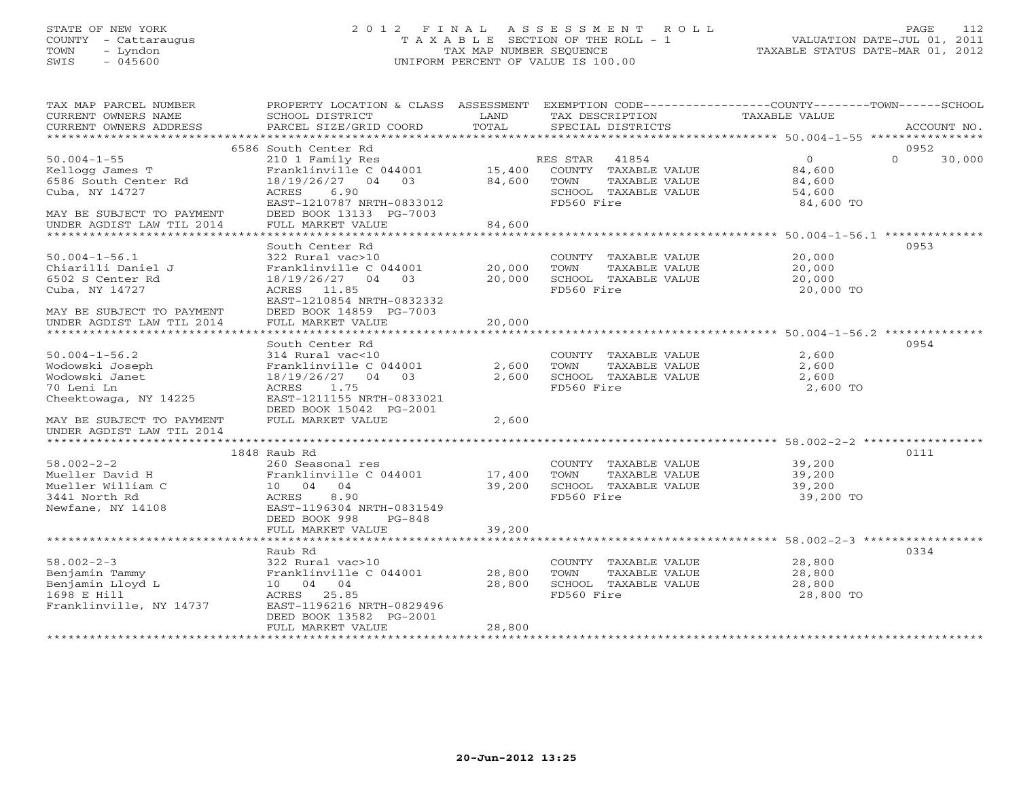# STATE OF NEW YORK 2 0 1 2 F I N A L A S S E S S M E N T R O L L PAGE 112 COUNTY - Cattaraugus T A X A B L E SECTION OF THE ROLL - 1 VALUATION DATE-JUL 01, 2011 TOWN - Lyndon TAX MAP NUMBER SEQUENCE TAXABLE STATUS DATE-MAR 01, 2012 SWIS - 045600 UNIFORM PERCENT OF VALUE IS 100.00UNIFORM PERCENT OF VALUE IS 100.00

| TAX MAP PARCEL NUMBER<br>CURRENT OWNERS NAME<br>CURRENT OWNERS ADDRESS | PROPERTY LOCATION & CLASS ASSESSMENT<br>SCHOOL DISTRICT<br>PARCEL SIZE/GRID COORD       | LAND<br>TOTAL    | EXEMPTION CODE-----------------COUNTY-------TOWN------SCHOOL<br>TAX DESCRIPTION<br>SPECIAL DISTRICTS | <b>TAXABLE VALUE</b>                                        | ACCOUNT NO.                |
|------------------------------------------------------------------------|-----------------------------------------------------------------------------------------|------------------|------------------------------------------------------------------------------------------------------|-------------------------------------------------------------|----------------------------|
|                                                                        |                                                                                         |                  |                                                                                                      |                                                             |                            |
| $50.004 - 1 - 55$<br>Kellogg James T<br>6586 South Center Rd           | 6586 South Center Rd<br>210 1 Family Res<br>Franklinville C 044001<br>18/19/26/27 04 03 | 15,400<br>84,600 | RES STAR<br>41854<br>COUNTY TAXABLE VALUE<br>TOWN<br>TAXABLE VALUE                                   | $\Omega$<br>84,600<br>84,600                                | 0952<br>$\Omega$<br>30,000 |
| Cuba, NY 14727<br>MAY BE SUBJECT TO PAYMENT                            | 6.90<br>ACRES<br>EAST-1210787 NRTH-0833012<br>DEED BOOK 13133 PG-7003                   |                  | SCHOOL TAXABLE VALUE<br>FD560 Fire                                                                   | 54,600<br>84,600 TO                                         |                            |
| UNDER AGDIST LAW TIL 2014                                              | FULL MARKET VALUE                                                                       | 84,600           |                                                                                                      |                                                             |                            |
|                                                                        | South Center Rd                                                                         |                  |                                                                                                      |                                                             | 0953                       |
| $50.004 - 1 - 56.1$                                                    | 322 Rural vac>10                                                                        |                  | COUNTY TAXABLE VALUE                                                                                 | 20,000                                                      |                            |
| Chiarilli Daniel J                                                     | Franklinville C 044001                                                                  | 20,000           | TOWN<br>TAXABLE VALUE                                                                                | 20,000                                                      |                            |
| 6502 S Center Rd                                                       | 18/19/26/27 04 03                                                                       | 20,000           | SCHOOL TAXABLE VALUE                                                                                 | 20,000                                                      |                            |
| Cuba, NY 14727                                                         | ACRES 11.85                                                                             |                  | FD560 Fire                                                                                           | 20,000 TO                                                   |                            |
|                                                                        | EAST-1210854 NRTH-0832332                                                               |                  |                                                                                                      |                                                             |                            |
| MAY BE SUBJECT TO PAYMENT                                              | DEED BOOK 14859 PG-7003                                                                 |                  |                                                                                                      |                                                             |                            |
| UNDER AGDIST LAW TIL 2014                                              | FULL MARKET VALUE                                                                       | 20,000           |                                                                                                      |                                                             |                            |
|                                                                        |                                                                                         |                  |                                                                                                      |                                                             |                            |
|                                                                        | South Center Rd                                                                         |                  |                                                                                                      |                                                             | 0954                       |
| $50.004 - 1 - 56.2$                                                    | 314 Rural vac<10                                                                        |                  | COUNTY TAXABLE VALUE                                                                                 | 2,600                                                       |                            |
| Wodowski Joseph                                                        | Franklinville C 044001                                                                  | 2,600            | TAXABLE VALUE<br>TOWN                                                                                | 2,600                                                       |                            |
| Wodowski Janet                                                         | 18/19/26/27 04 03                                                                       | 2,600            | SCHOOL TAXABLE VALUE                                                                                 | 2,600                                                       |                            |
| 70 Leni Ln                                                             | ACRES<br>1.75                                                                           |                  | FD560 Fire                                                                                           | 2,600 TO                                                    |                            |
| Cheektowaga, NY 14225                                                  | EAST-1211155 NRTH-0833021<br>DEED BOOK 15042 PG-2001                                    |                  |                                                                                                      |                                                             |                            |
| MAY BE SUBJECT TO PAYMENT<br>UNDER AGDIST LAW TIL 2014                 | FULL MARKET VALUE                                                                       | 2,600            |                                                                                                      |                                                             |                            |
|                                                                        |                                                                                         |                  |                                                                                                      |                                                             |                            |
|                                                                        | 1848 Raub Rd                                                                            |                  |                                                                                                      |                                                             | 0111                       |
| $58.002 - 2 - 2$                                                       | 260 Seasonal res                                                                        |                  | COUNTY TAXABLE VALUE                                                                                 | 39,200                                                      |                            |
| Mueller David H                                                        | Franklinville C 044001                                                                  | 17,400           | TOWN<br>TAXABLE VALUE                                                                                | 39,200                                                      |                            |
| Mueller William C                                                      | 10 04 04                                                                                | 39,200           | SCHOOL TAXABLE VALUE                                                                                 | 39,200                                                      |                            |
| 3441 North Rd                                                          | 8.90<br>ACRES                                                                           |                  | FD560 Fire                                                                                           | 39,200 TO                                                   |                            |
| Newfane, NY 14108                                                      | EAST-1196304 NRTH-0831549<br>DEED BOOK 998<br>PG-848                                    |                  |                                                                                                      |                                                             |                            |
|                                                                        | FULL MARKET VALUE                                                                       | 39,200           |                                                                                                      |                                                             |                            |
|                                                                        | *********************************                                                       | ***********      |                                                                                                      | ****************************** 58.002-2-3 ***************** |                            |
|                                                                        | Raub Rd                                                                                 |                  |                                                                                                      |                                                             | 0334                       |
| $58.002 - 2 - 3$                                                       | 322 Rural vac>10                                                                        |                  | COUNTY TAXABLE VALUE                                                                                 | 28,800                                                      |                            |
| Benjamin Tammy                                                         | Franklinville C 044001                                                                  | 28,800           | TOWN<br>TAXABLE VALUE                                                                                | 28,800                                                      |                            |
| Benjamin Lloyd L                                                       | 10 04 04                                                                                | 28,800           | SCHOOL TAXABLE VALUE                                                                                 | 28,800                                                      |                            |
| 1698 E Hill                                                            | ACRES 25.85                                                                             |                  | FD560 Fire                                                                                           | 28,800 TO                                                   |                            |
| Franklinville, NY 14737                                                | EAST-1196216 NRTH-0829496<br>DEED BOOK 13582 PG-2001                                    |                  |                                                                                                      |                                                             |                            |
|                                                                        | FULL MARKET VALUE                                                                       | 28,800           |                                                                                                      |                                                             |                            |
|                                                                        |                                                                                         |                  |                                                                                                      |                                                             |                            |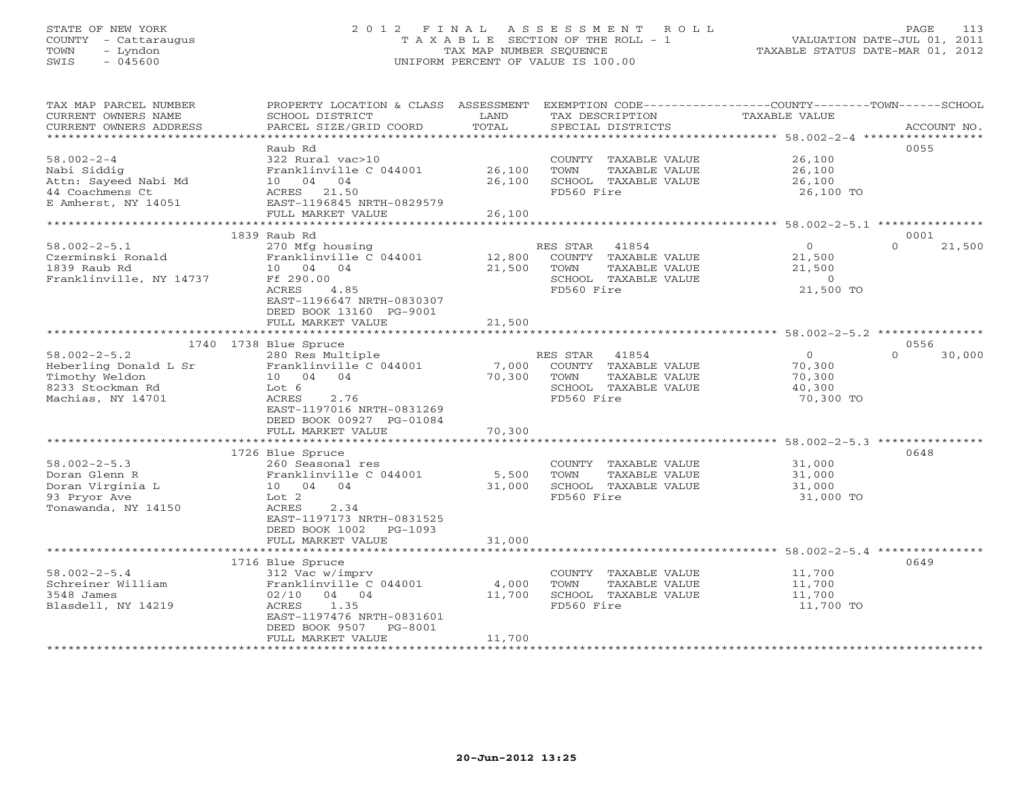# STATE OF NEW YORK 2 0 1 2 F I N A L A S S E S S M E N T R O L L PAGE 113 COUNTY - Cattaraugus T A X A B L E SECTION OF THE ROLL - 1 VALUATION DATE-JUL 01, 2011 TOWN - Lyndon TAX MAP NUMBER SEQUENCE TAXABLE STATUS DATE-MAR 01, 2012 SWIS - 045600 UNIFORM PERCENT OF VALUE IS 100.00UNIFORM PERCENT OF VALUE IS 100.00

| TAX MAP PARCEL NUMBER<br>CURRENT OWNERS NAME<br>CURRENT OWNERS ADDRESS<br>*********************        | PROPERTY LOCATION & CLASS ASSESSMENT<br>SCHOOL DISTRICT<br>PARCEL SIZE/GRID COORD<br>***************************                                                                      | LAND<br>TOTAL             | TAX DESCRIPTION<br>SPECIAL DISTRICTS                                                                     | EXEMPTION CODE-----------------COUNTY-------TOWN------SCHOOL<br>TAXABLE VALUE | ACCOUNT NO.<br>***************** |
|--------------------------------------------------------------------------------------------------------|---------------------------------------------------------------------------------------------------------------------------------------------------------------------------------------|---------------------------|----------------------------------------------------------------------------------------------------------|-------------------------------------------------------------------------------|----------------------------------|
| $58.002 - 2 - 4$<br>Nabi Siddig<br>Attn: Sayeed Nabi Md<br>44 Coachmens Ct<br>E Amherst, NY 14051      | Raub Rd<br>322 Rural vac>10<br>Franklinville C 044001<br>10 04<br>04<br>ACRES 21.50<br>EAST-1196845 NRTH-0829579                                                                      | 26,100<br>26,100          | COUNTY TAXABLE VALUE<br>TOWN<br>TAXABLE VALUE<br>SCHOOL TAXABLE VALUE<br>FD560 Fire                      | 26,100<br>26,100<br>26,100<br>26,100 TO                                       | 0055                             |
|                                                                                                        | FULL MARKET VALUE                                                                                                                                                                     | 26,100                    |                                                                                                          |                                                                               |                                  |
|                                                                                                        | 1839 Raub Rd                                                                                                                                                                          |                           |                                                                                                          | ************* 58.002-2-5.1 ***********                                        | 0001                             |
| $58.002 - 2 - 5.1$<br>Czerminski Ronald<br>1839 Raub Rd<br>Franklinville, NY 14737                     | 270 Mfg housing<br>Franklinville C 044001<br>10 04 04<br>Ff 290.00<br>ACRES<br>4.85<br>EAST-1196647 NRTH-0830307<br>DEED BOOK 13160 PG-9001                                           | 12,800<br>21,500          | RES STAR<br>41854<br>COUNTY TAXABLE VALUE<br>TOWN<br>TAXABLE VALUE<br>SCHOOL TAXABLE VALUE<br>FD560 Fire | $\circ$<br>21,500<br>21,500<br>$\circ$<br>21,500 TO                           | $\Omega$<br>21,500               |
|                                                                                                        | FULL MARKET VALUE                                                                                                                                                                     | 21,500                    |                                                                                                          |                                                                               |                                  |
|                                                                                                        | 1740 1738 Blue Spruce                                                                                                                                                                 |                           |                                                                                                          |                                                                               | 0556                             |
| $58.002 - 2 - 5.2$<br>Heberling Donald L Sr<br>Timothy Weldon<br>8233 Stockman Rd<br>Machias, NY 14701 | 280 Res Multiple<br>Franklinville C 044001<br>10 04 04<br>Lot 6<br>2.76<br>ACRES<br>EAST-1197016 NRTH-0831269<br>DEED BOOK 00927 PG-01084<br>FULL MARKET VALUE                        | 7,000<br>70,300<br>70,300 | RES STAR<br>41854<br>COUNTY TAXABLE VALUE<br>TOWN<br>TAXABLE VALUE<br>SCHOOL TAXABLE VALUE<br>FD560 Fire | $\circ$<br>70,300<br>70,300<br>40,300<br>70,300 TO                            | $\Omega$<br>30,000               |
|                                                                                                        | *****************                                                                                                                                                                     |                           |                                                                                                          | ********************************* 58.002-2-5.3 *********                      |                                  |
| $58.002 - 2 - 5.3$<br>Doran Glenn R<br>Doran Virginia L<br>93 Pryor Ave<br>Tonawanda, NY 14150         | 1726 Blue Spruce<br>260 Seasonal res<br>Franklinville C 044001<br>10 04 04<br>Lot 2<br>ACRES<br>2.34<br>EAST-1197173 NRTH-0831525<br>DEED BOOK 1002<br>$PG-1093$<br>FULL MARKET VALUE | 5,500<br>31,000<br>31,000 | COUNTY TAXABLE VALUE<br>TOWN<br>TAXABLE VALUE<br>SCHOOL TAXABLE VALUE<br>FD560 Fire                      | 31,000<br>31,000<br>31,000<br>31,000 TO                                       | 0648                             |
|                                                                                                        | **************************                                                                                                                                                            |                           |                                                                                                          |                                                                               |                                  |
| $58.002 - 2 - 5.4$<br>Schreiner William<br>3548 James<br>Blasdell, NY 14219                            | 1716 Blue Spruce<br>312 Vac w/imprv<br>Franklinville C 044001<br>02/10<br>04 04<br>1.35<br>ACRES<br>EAST-1197476 NRTH-0831601<br>DEED BOOK 9507<br>PG-8001<br>FULL MARKET VALUE       | 4,000<br>11,700<br>11,700 | COUNTY TAXABLE VALUE<br>TOWN<br>TAXABLE VALUE<br>SCHOOL TAXABLE VALUE<br>FD560 Fire                      | 11,700<br>11,700<br>11,700<br>11,700 TO                                       | 0649                             |
|                                                                                                        |                                                                                                                                                                                       |                           |                                                                                                          |                                                                               |                                  |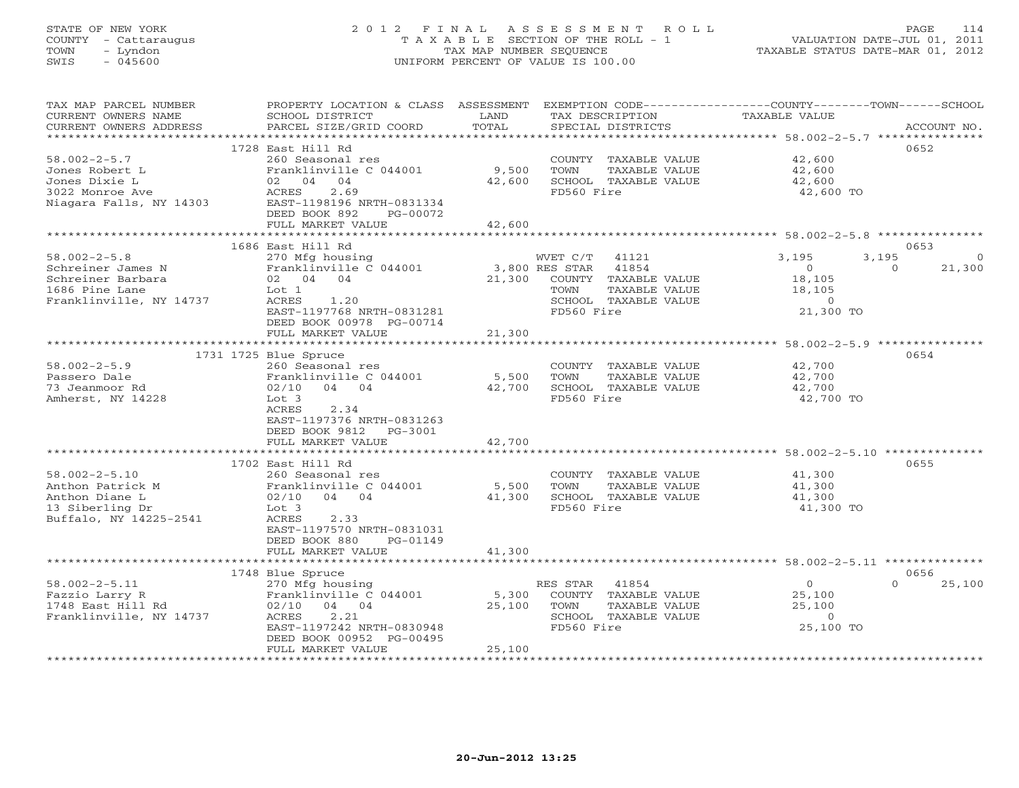# STATE OF NEW YORK 2 0 1 2 F I N A L A S S E S S M E N T R O L L PAGE 114 COUNTY - Cattaraugus T A X A B L E SECTION OF THE ROLL - 1 VALUATION DATE-JUL 01, 2011 TOWN - Lyndon TAX MAP NUMBER SEQUENCE TAXABLE STATUS DATE-MAR 01, 2012 SWIS - 045600 UNIFORM PERCENT OF VALUE IS 100.00UNIFORM PERCENT OF VALUE IS 100.00

| TAX MAP PARCEL NUMBER<br>CURRENT OWNERS NAME<br>CURRENT OWNERS ADDRESS | PROPERTY LOCATION & CLASS ASSESSMENT<br>SCHOOL DISTRICT<br>PARCEL SIZE/GRID COORD | LAND<br>TOTAL    | TAX DESCRIPTION<br>SPECIAL DISTRICTS | EXEMPTION CODE-----------------COUNTY-------TOWN------SCHOOL<br><b>TAXABLE VALUE</b> | ACCOUNT NO.        |
|------------------------------------------------------------------------|-----------------------------------------------------------------------------------|------------------|--------------------------------------|--------------------------------------------------------------------------------------|--------------------|
|                                                                        |                                                                                   |                  |                                      |                                                                                      |                    |
|                                                                        | 1728 East Hill Rd                                                                 |                  |                                      |                                                                                      | 0652               |
| $58.002 - 2 - 5.7$                                                     | 260 Seasonal res                                                                  |                  | COUNTY TAXABLE VALUE                 | 42,600                                                                               |                    |
| Jones Robert L                                                         | Franklinville C 044001                                                            | 9,500            | TOWN<br>TAXABLE VALUE                | 42,600                                                                               |                    |
| Jones Dixie L                                                          | 04<br>02 04                                                                       | 42,600           | SCHOOL TAXABLE VALUE                 | 42,600                                                                               |                    |
| 3022 Monroe Ave                                                        | 2.69<br>ACRES                                                                     |                  | FD560 Fire                           | 42,600 TO                                                                            |                    |
| Niagara Falls, NY 14303                                                | EAST-1198196 NRTH-0831334                                                         |                  |                                      |                                                                                      |                    |
|                                                                        | DEED BOOK 892<br>PG-00072                                                         |                  |                                      |                                                                                      |                    |
|                                                                        | FULL MARKET VALUE                                                                 | 42,600           |                                      |                                                                                      |                    |
|                                                                        |                                                                                   |                  |                                      |                                                                                      |                    |
|                                                                        | 1686 East Hill Rd                                                                 |                  |                                      |                                                                                      | 0653               |
| $58.002 - 2 - 5.8$                                                     | 270 Mfg housing                                                                   |                  | WVET C/T<br>41121                    | 3,195<br>3,195                                                                       | $\Omega$           |
| Schreiner James N                                                      | Franklinville C 044001                                                            |                  | 3,800 RES STAR<br>41854              | $\circ$                                                                              | 21,300<br>$\Omega$ |
| Schreiner Barbara                                                      | 02 04 04                                                                          | 21,300           | COUNTY TAXABLE VALUE                 | 18,105                                                                               |                    |
| 1686 Pine Lane                                                         | Lot <sub>1</sub>                                                                  |                  | TOWN<br>TAXABLE VALUE                | 18,105                                                                               |                    |
| Franklinville, NY 14737                                                | ACRES<br>1.20                                                                     |                  | SCHOOL TAXABLE VALUE                 | $\circ$                                                                              |                    |
|                                                                        | EAST-1197768 NRTH-0831281                                                         |                  | FD560 Fire                           | 21,300 TO                                                                            |                    |
|                                                                        | DEED BOOK 00978 PG-00714                                                          |                  |                                      |                                                                                      |                    |
|                                                                        | FULL MARKET VALUE                                                                 | 21,300           |                                      |                                                                                      |                    |
|                                                                        |                                                                                   |                  |                                      |                                                                                      |                    |
|                                                                        | 1731 1725 Blue Spruce                                                             |                  |                                      |                                                                                      | 0654               |
| $58.002 - 2 - 5.9$                                                     | 260 Seasonal res                                                                  |                  | COUNTY TAXABLE VALUE                 | 42,700                                                                               |                    |
| Passero Dale                                                           | Franklinville C 044001                                                            | 5,500            | <b>TOWN</b><br><b>TAXABLE VALUE</b>  | 42,700                                                                               |                    |
| 73 Jeanmoor Rd                                                         | 02/10<br>$04$ 04                                                                  | 42,700           | SCHOOL TAXABLE VALUE                 | 42,700                                                                               |                    |
| Amherst, NY 14228                                                      | Lot 3                                                                             |                  | FD560 Fire                           | 42,700 TO                                                                            |                    |
|                                                                        | ACRES<br>2.34                                                                     |                  |                                      |                                                                                      |                    |
|                                                                        | EAST-1197376 NRTH-0831263                                                         |                  |                                      |                                                                                      |                    |
|                                                                        | DEED BOOK 9812<br>$PG-3001$                                                       |                  |                                      |                                                                                      |                    |
|                                                                        | FULL MARKET VALUE                                                                 | 42,700           |                                      |                                                                                      |                    |
|                                                                        |                                                                                   | ********         |                                      | ********************* 58.002-2-5.10 **************                                   |                    |
|                                                                        | 1702 East Hill Rd                                                                 |                  |                                      |                                                                                      | 0655               |
| $58.002 - 2 - 5.10$                                                    | 260 Seasonal res                                                                  |                  | COUNTY TAXABLE VALUE                 | 41,300                                                                               |                    |
| Anthon Patrick M                                                       | Franklinville C 044001                                                            | 5,500            | TOWN<br>TAXABLE VALUE                | 41,300                                                                               |                    |
| Anthon Diane L                                                         | 02/10<br>04<br>04                                                                 | 41,300           | SCHOOL TAXABLE VALUE                 | 41,300                                                                               |                    |
| 13 Siberling Dr                                                        | Lot 3                                                                             |                  | FD560 Fire                           | 41,300 TO                                                                            |                    |
| Buffalo, NY 14225-2541                                                 | ACRES<br>2.33                                                                     |                  |                                      |                                                                                      |                    |
|                                                                        | EAST-1197570 NRTH-0831031                                                         |                  |                                      |                                                                                      |                    |
|                                                                        | DEED BOOK 880<br>PG-01149                                                         |                  |                                      |                                                                                      |                    |
|                                                                        | FULL MARKET VALUE                                                                 | 41,300           |                                      |                                                                                      |                    |
|                                                                        |                                                                                   |                  |                                      |                                                                                      |                    |
|                                                                        | 1748 Blue Spruce                                                                  |                  |                                      |                                                                                      | 0656               |
| $58.002 - 2 - 5.11$                                                    | 270 Mfg housing                                                                   |                  | RES STAR<br>41854                    | $\circ$                                                                              | 25,100<br>$\Omega$ |
| Fazzio Larry R                                                         | Franklinville C 044001                                                            | 5,300            | COUNTY TAXABLE VALUE                 | 25,100                                                                               |                    |
| 1748 East Hill Rd                                                      | 02/10<br>04 04                                                                    | 25,100           | TOWN<br><b>TAXABLE VALUE</b>         | 25,100                                                                               |                    |
| Franklinville, NY 14737                                                | ACRES<br>2.21                                                                     |                  | SCHOOL TAXABLE VALUE                 | $\Omega$                                                                             |                    |
|                                                                        | EAST-1197242 NRTH-0830948                                                         |                  | FD560 Fire                           | 25,100 TO                                                                            |                    |
|                                                                        | DEED BOOK 00952 PG-00495                                                          |                  |                                      |                                                                                      |                    |
|                                                                        | FULL MARKET VALUE                                                                 | 25,100           |                                      |                                                                                      |                    |
| **********************                                                 | *************************                                                         | **************** |                                      |                                                                                      |                    |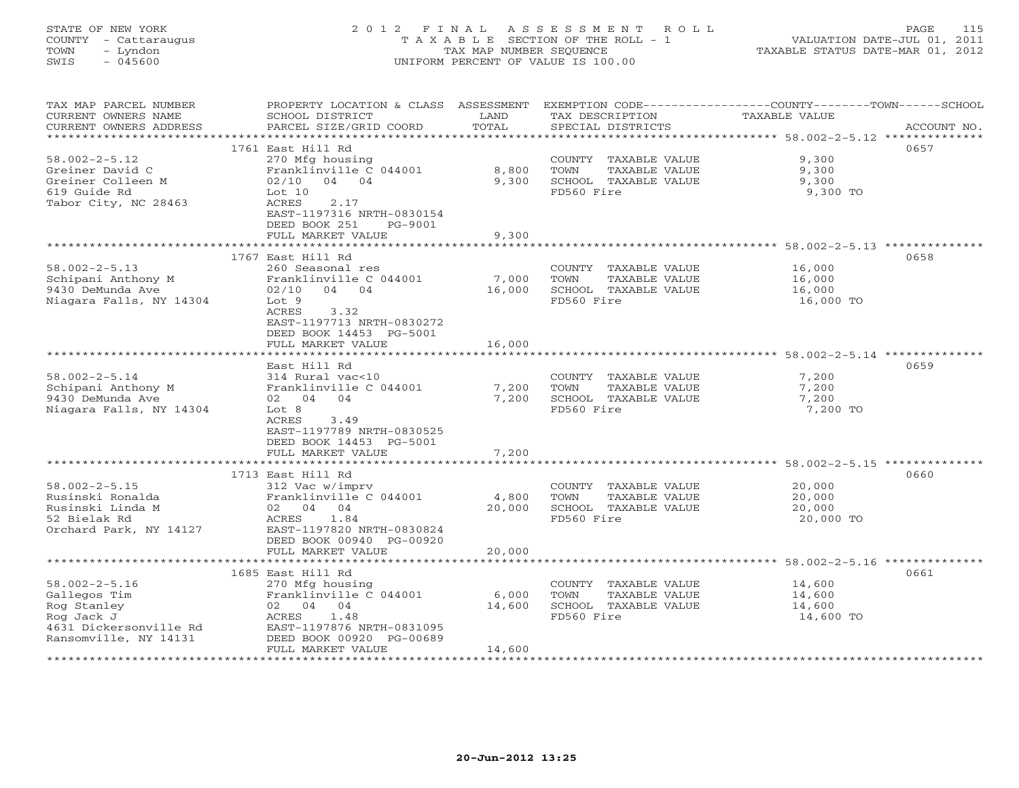# STATE OF NEW YORK 2 0 1 2 F I N A L A S S E S S M E N T R O L L PAGE 115 COUNTY - Cattaraugus T A X A B L E SECTION OF THE ROLL - 1 VALUATION DATE-JUL 01, 2011 TOWN - Lyndon TAX MAP NUMBER SEQUENCE TAXABLE STATUS DATE-MAR 01, 2012 SWIS - 045600 UNIFORM PERCENT OF VALUE IS 100.00UNIFORM PERCENT OF VALUE IS 100.00

| TAX MAP PARCEL NUMBER<br>CURRENT OWNERS NAME<br>CURRENT OWNERS ADDRESS | PROPERTY LOCATION & CLASS ASSESSMENT<br>SCHOOL DISTRICT<br>PARCEL SIZE/GRID COORD           | LAND<br>TOTAL  | TAX DESCRIPTION<br>SPECIAL DISTRICTS                        | EXEMPTION CODE-----------------COUNTY-------TOWN------SCHOOL<br>TAXABLE VALUE<br>ACCOUNT NO. |
|------------------------------------------------------------------------|---------------------------------------------------------------------------------------------|----------------|-------------------------------------------------------------|----------------------------------------------------------------------------------------------|
| ***********************                                                |                                                                                             |                |                                                             |                                                                                              |
| $58.002 - 2 - 5.12$                                                    | 1761 East Hill Rd<br>270 Mfg housing                                                        |                | COUNTY TAXABLE VALUE                                        | 0657<br>9,300                                                                                |
| Greiner David C<br>Greiner Colleen M<br>619 Guide Rd                   | Franklinville C 044001<br>02/10<br>04 04<br>Lot 10                                          | 8,800<br>9,300 | TOWN<br>TAXABLE VALUE<br>SCHOOL TAXABLE VALUE<br>FD560 Fire | 9,300<br>9,300<br>9,300 TO                                                                   |
| Tabor City, NC 28463                                                   | 2.17<br>ACRES<br>EAST-1197316 NRTH-0830154<br>DEED BOOK 251<br>PG-9001<br>FULL MARKET VALUE | 9,300          |                                                             |                                                                                              |
|                                                                        |                                                                                             |                |                                                             | ******************************** 58.002-2-5.13 **************                                |
|                                                                        | 1767 East Hill Rd                                                                           |                |                                                             | 0658                                                                                         |
| $58.002 - 2 - 5.13$                                                    | 260 Seasonal res                                                                            |                | COUNTY TAXABLE VALUE                                        | 16,000                                                                                       |
| Schipani Anthony M                                                     | Franklinville C 044001                                                                      | 7,000          | TOWN<br>TAXABLE VALUE                                       | 16,000                                                                                       |
| 9430 DeMunda Ave                                                       | 04 04<br>02/10                                                                              | 16,000         | SCHOOL TAXABLE VALUE                                        | 16,000                                                                                       |
| Niagara Falls, NY 14304                                                | Lot 9<br>3.32<br>ACRES<br>EAST-1197713 NRTH-0830272                                         |                | FD560 Fire                                                  | 16,000 TO                                                                                    |
|                                                                        | DEED BOOK 14453 PG-5001                                                                     |                |                                                             |                                                                                              |
|                                                                        | FULL MARKET VALUE                                                                           | 16,000         |                                                             |                                                                                              |
|                                                                        | East Hill Rd                                                                                |                |                                                             | 0659                                                                                         |
| $58.002 - 2 - 5.14$                                                    | 314 Rural vac<10                                                                            |                | COUNTY TAXABLE VALUE                                        | 7,200                                                                                        |
| Schipani Anthony M                                                     | Franklinville C 044001                                                                      | 7,200          | TOWN<br>TAXABLE VALUE                                       | 7,200                                                                                        |
| 9430 DeMunda Ave                                                       | 02 04 04                                                                                    | 7,200          | SCHOOL TAXABLE VALUE                                        | 7,200                                                                                        |
| Niagara Falls, NY 14304                                                | Lot 8                                                                                       |                | FD560 Fire                                                  | 7,200 TO                                                                                     |
|                                                                        | ACRES<br>3.49                                                                               |                |                                                             |                                                                                              |
|                                                                        | EAST-1197789 NRTH-0830525                                                                   |                |                                                             |                                                                                              |
|                                                                        | DEED BOOK 14453 PG-5001                                                                     |                |                                                             |                                                                                              |
|                                                                        | FULL MARKET VALUE                                                                           | 7,200          |                                                             |                                                                                              |
|                                                                        |                                                                                             |                |                                                             | ******************************** 58.002-2-5.15 **************                                |
|                                                                        | 1713 East Hill Rd                                                                           |                |                                                             | 0660                                                                                         |
| $58.002 - 2 - 5.15$                                                    | 312 Vac w/imprv                                                                             |                | COUNTY TAXABLE VALUE                                        | 20,000                                                                                       |
| Rusinski Ronalda                                                       | Franklinville C 044001                                                                      | 4,800          | TOWN<br>TAXABLE VALUE                                       | 20,000                                                                                       |
| Rusinski Linda M                                                       | 02 04 04                                                                                    | 20,000         | SCHOOL TAXABLE VALUE                                        | 20,000                                                                                       |
| 52 Bielak Rd                                                           | 1.84<br>ACRES                                                                               |                | FD560 Fire                                                  | 20,000 TO                                                                                    |
| Orchard Park, NY 14127                                                 | EAST-1197820 NRTH-0830824                                                                   |                |                                                             |                                                                                              |
|                                                                        | DEED BOOK 00940 PG-00920<br>FULL MARKET VALUE                                               | 20,000         |                                                             |                                                                                              |
|                                                                        |                                                                                             |                |                                                             |                                                                                              |
|                                                                        | 1685 East Hill Rd                                                                           |                |                                                             | 0661                                                                                         |
| $58.002 - 2 - 5.16$                                                    | 270 Mfg housing                                                                             |                | COUNTY TAXABLE VALUE                                        | 14,600                                                                                       |
| Gallegos Tim                                                           | Franklinville C 044001                                                                      | 6,000          | TOWN<br>TAXABLE VALUE                                       | 14,600                                                                                       |
| Rog Stanley                                                            | 02 04 04                                                                                    | 14,600         | SCHOOL TAXABLE VALUE                                        | 14,600                                                                                       |
| Rog Jack J                                                             | 1.48<br>ACRES                                                                               |                | FD560 Fire                                                  | 14,600 TO                                                                                    |
| 4631 Dickersonville Rd                                                 | EAST-1197876 NRTH-0831095                                                                   |                |                                                             |                                                                                              |
| Ransomville, NY 14131                                                  | DEED BOOK 00920 PG-00689                                                                    |                |                                                             |                                                                                              |
|                                                                        | FULL MARKET VALUE                                                                           | 14,600         |                                                             |                                                                                              |
|                                                                        |                                                                                             |                |                                                             |                                                                                              |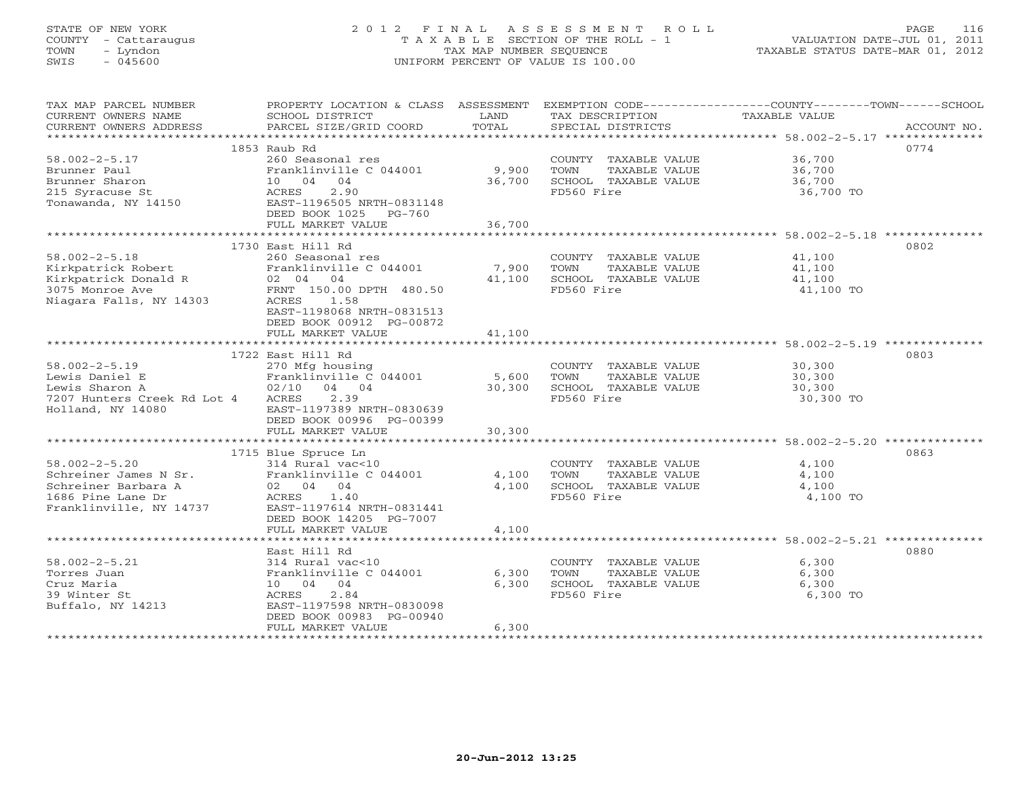# STATE OF NEW YORK 2 0 1 2 F I N A L A S S E S S M E N T R O L L PAGE 116 COUNTY - Cattaraugus T A X A B L E SECTION OF THE ROLL - 1 VALUATION DATE-JUL 01, 2011 TOWN - Lyndon TAX MAP NUMBER SEQUENCE TAXABLE STATUS DATE-MAR 01, 2012 SWIS - 045600 UNIFORM PERCENT OF VALUE IS 100.00UNIFORM PERCENT OF VALUE IS 100.00

| TAX MAP PARCEL NUMBER                                                                         | PROPERTY LOCATION & CLASS ASSESSMENT |        |                             | EXEMPTION CODE-----------------COUNTY-------TOWN------SCHOOL |  |
|-----------------------------------------------------------------------------------------------|--------------------------------------|--------|-----------------------------|--------------------------------------------------------------|--|
| CURRENT OWNERS NAME                                                                           | SCHOOL DISTRICT                      | LAND   | TAX DESCRIPTION             | TAXABLE VALUE                                                |  |
| CURRENT OWNERS ADDRESS                                                                        | PARCEL SIZE/GRID COORD               | TOTAL  | SPECIAL DISTRICTS           | ACCOUNT NO.                                                  |  |
|                                                                                               | 1853 Raub Rd                         |        |                             | 0774                                                         |  |
| $58.002 - 2 - 5.17$                                                                           | 260 Seasonal res                     |        | COUNTY TAXABLE VALUE 36,700 |                                                              |  |
| Brunner Paul                                                                                  | Franklinville C 044001               | 9,900  | TOWN<br>TAXABLE VALUE       | 36,700                                                       |  |
| Brunner Sharon                                                                                | 10 04 04                             | 36,700 | SCHOOL TAXABLE VALUE        | 36,700                                                       |  |
| 215 Syracuse St                                                                               | 2.90<br>ACRES                        |        | FD560 Fire                  | 36,700 TO                                                    |  |
| Tonawanda, NY 14150                                                                           | EAST-1196505 NRTH-0831148            |        |                             |                                                              |  |
|                                                                                               | DEED BOOK 1025<br>PG-760             |        |                             |                                                              |  |
|                                                                                               | FULL MARKET VALUE                    | 36,700 |                             |                                                              |  |
|                                                                                               |                                      |        |                             |                                                              |  |
|                                                                                               | 1730 East Hill Rd                    |        |                             | 0802                                                         |  |
| $58.002 - 2 - 5.18$                                                                           | 260 Seasonal res                     |        | COUNTY TAXABLE VALUE        | 41,100                                                       |  |
| Kirkpatrick Robert                                                                            | Franklinville C 044001               | 7,900  | TOWN<br>TAXABLE VALUE       | 41,100                                                       |  |
|                                                                                               | 02 04 04                             | 41,100 | SCHOOL TAXABLE VALUE        | 41,100                                                       |  |
|                                                                                               | FRNT 150.00 DPTH 480.50              |        | FD560 Fire                  | 41,100 TO                                                    |  |
| Kirkpatrick Donald R<br>3075 Monroe Ave<br>Niagara Falls, NY 14303<br>Niagara Falls, NY 14303 | 1.58<br>ACRES                        |        |                             |                                                              |  |
|                                                                                               | EAST-1198068 NRTH-0831513            |        |                             |                                                              |  |
|                                                                                               | DEED BOOK 00912 PG-00872             |        |                             |                                                              |  |
|                                                                                               | FULL MARKET VALUE                    | 41,100 |                             |                                                              |  |
|                                                                                               |                                      |        |                             |                                                              |  |
|                                                                                               | 1722 East Hill Rd                    |        |                             | 0803                                                         |  |
| $58.002 - 2 - 5.19$                                                                           | 270 Mfg housing                      |        | COUNTY TAXABLE VALUE        | 30,300                                                       |  |
| Lewis Daniel E                                                                                | Franklinville C 044001               | 5,600  | TOWN<br>TAXABLE VALUE       | 30,300                                                       |  |
| Lewis Sharon A                                                                                | $02/10$ 04 04                        | 30,300 | SCHOOL TAXABLE VALUE        | 30,300                                                       |  |
| 7207 Hunters Creek Rd Lot 4                                                                   | ACRES<br>2.39                        |        | FD560 Fire                  | 30,300 TO                                                    |  |
| Holland, NY 14080                                                                             | EAST-1197389 NRTH-0830639            |        |                             |                                                              |  |
|                                                                                               | DEED BOOK 00996 PG-00399             |        |                             |                                                              |  |
|                                                                                               | FULL MARKET VALUE                    | 30,300 |                             |                                                              |  |
|                                                                                               |                                      |        |                             |                                                              |  |
|                                                                                               | 1715 Blue Spruce Ln                  |        |                             | 0863                                                         |  |
| $58.002 - 2 - 5.20$                                                                           | 314 Rural vac<10                     |        | COUNTY TAXABLE VALUE        | 4,100                                                        |  |
| 58.002-2-5.20<br>Schreiner James N Sr.                                                        | Franklinville C 044001               | 4,100  | TOWN<br>TAXABLE VALUE       | 4,100                                                        |  |
|                                                                                               |                                      | 4,100  | SCHOOL TAXABLE VALUE        | 4,100                                                        |  |
| Schreiner James N Si.<br>Schreiner Barbara A (2004) 04<br>1686 Dine Lane Dr. (2005) 2005 2014 | 1.40                                 |        | FD560 Fire                  | 4,100 TO                                                     |  |
| Franklinville, NY 14737                                                                       | EAST-1197614 NRTH-0831441            |        |                             |                                                              |  |
|                                                                                               | DEED BOOK 14205 PG-7007              |        |                             |                                                              |  |
|                                                                                               | FULL MARKET VALUE                    | 4,100  |                             |                                                              |  |
|                                                                                               |                                      |        |                             |                                                              |  |
|                                                                                               | East Hill Rd                         |        |                             | 0880                                                         |  |
| $58.002 - 2 - 5.21$                                                                           | 314 Rural vac<10                     |        | COUNTY TAXABLE VALUE        | 6,300                                                        |  |
| Torres Juan                                                                                   | Franklinville C 044001               | 6,300  | TOWN<br>TAXABLE VALUE       | 6,300                                                        |  |
| Cruz Maria                                                                                    | 10 04 04                             | 6,300  | SCHOOL TAXABLE VALUE        | 6,300                                                        |  |
| 39 Winter St                                                                                  | 2.84<br>ACRES                        |        | FD560 Fire                  | 6,300 TO                                                     |  |
| Buffalo, NY 14213                                                                             | EAST-1197598 NRTH-0830098            |        |                             |                                                              |  |
|                                                                                               | DEED BOOK 00983 PG-00940             |        |                             |                                                              |  |
|                                                                                               | FULL MARKET VALUE                    | 6,300  |                             |                                                              |  |
|                                                                                               |                                      |        |                             |                                                              |  |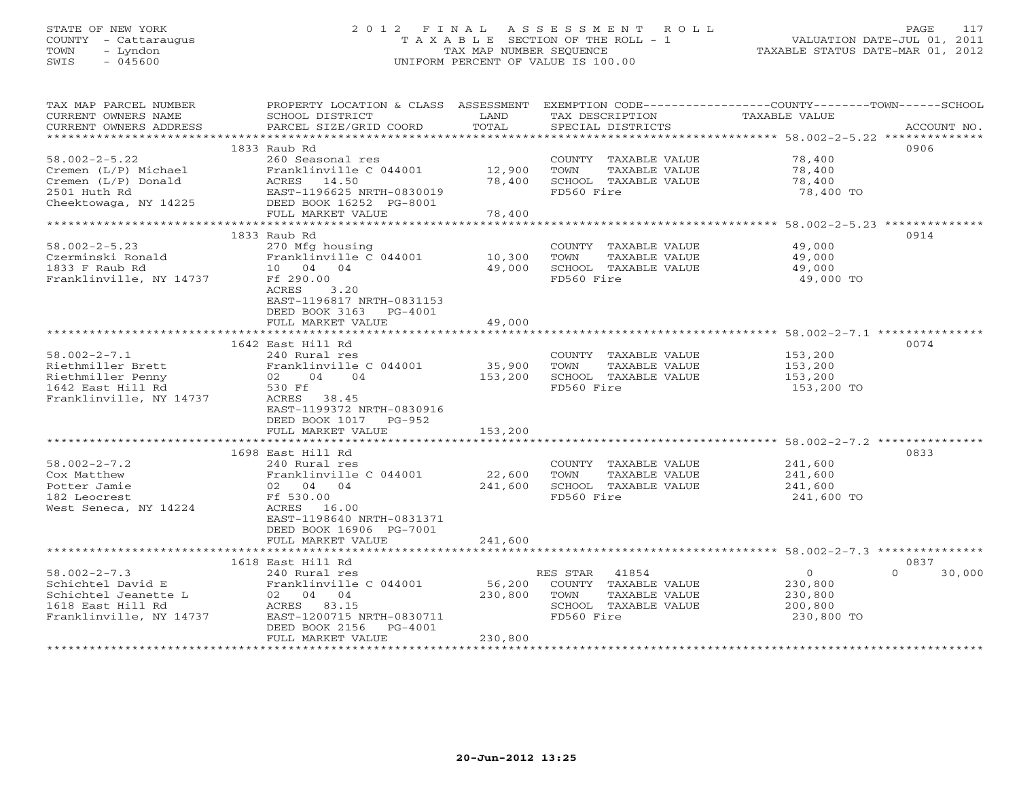# STATE OF NEW YORK 2 0 1 2 F I N A L A S S E S S M E N T R O L L PAGE 117 COUNTY - Cattaraugus T A X A B L E SECTION OF THE ROLL - 1 VALUATION DATE-JUL 01, 2011 TOWN - Lyndon TAX MAP NUMBER SEQUENCE TAXABLE STATUS DATE-MAR 01, 2012 SWIS - 045600 UNIFORM PERCENT OF VALUE IS 100.00UNIFORM PERCENT OF VALUE IS 100.00

| TAX MAP PARCEL NUMBER                         | PROPERTY LOCATION & CLASS ASSESSMENT      |               |                                      | EXEMPTION CODE-----------------COUNTY-------TOWN------SCHOOL |                    |
|-----------------------------------------------|-------------------------------------------|---------------|--------------------------------------|--------------------------------------------------------------|--------------------|
| CURRENT OWNERS NAME<br>CURRENT OWNERS ADDRESS | SCHOOL DISTRICT<br>PARCEL SIZE/GRID COORD | LAND<br>TOTAL | TAX DESCRIPTION<br>SPECIAL DISTRICTS | TAXABLE VALUE                                                | ACCOUNT NO.        |
|                                               |                                           |               |                                      |                                                              |                    |
|                                               | 1833 Raub Rd                              |               |                                      |                                                              | 0906               |
| $58.002 - 2 - 5.22$                           | 260 Seasonal res                          |               | COUNTY TAXABLE VALUE                 | 78,400                                                       |                    |
| Cremen (L/P) Michael                          | Franklinville C 044001                    | 12,900        | TOWN<br>TAXABLE VALUE                | 78,400                                                       |                    |
| Cremen (L/P) Donald                           |                                           | 78,400        | SCHOOL TAXABLE VALUE                 | 78,400                                                       |                    |
| 2501 Huth Rd                                  | ACRES 14.50<br>EAST-1196625 NRTH-0830019  |               | FD560 Fire                           | 78,400 TO                                                    |                    |
| Cheektowaga, NY 14225                         | DEED BOOK 16252 PG-8001                   |               |                                      |                                                              |                    |
|                                               | FULL MARKET VALUE                         | 78,400        |                                      |                                                              |                    |
|                                               |                                           |               |                                      |                                                              |                    |
|                                               | 1833 Raub Rd                              |               |                                      |                                                              | 0914               |
| $58.002 - 2 - 5.23$                           | 270 Mfg housing                           |               | COUNTY TAXABLE VALUE                 | 49,000                                                       |                    |
| Czerminski Ronald                             | Franklinville C 044001                    | 10,300        | TOWN<br>TAXABLE VALUE                | 49,000                                                       |                    |
| 1833 F Raub Rd                                | 10 04 04                                  | 49,000        | SCHOOL TAXABLE VALUE                 | 49,000                                                       |                    |
| Franklinville, NY 14737                       | Ff 290.00                                 |               | FD560 Fire                           | 49,000 TO                                                    |                    |
|                                               | ACRES<br>3.20                             |               |                                      |                                                              |                    |
|                                               | EAST-1196817 NRTH-0831153                 |               |                                      |                                                              |                    |
|                                               | DEED BOOK 3163<br>$PG-4001$               |               |                                      |                                                              |                    |
|                                               | FULL MARKET VALUE                         | 49,000        |                                      |                                                              |                    |
|                                               |                                           |               |                                      |                                                              |                    |
|                                               | 1642 East Hill Rd                         |               |                                      |                                                              | 0074               |
| $58.002 - 2 - 7.1$                            | 240 Rural res                             |               | COUNTY TAXABLE VALUE                 | 153,200                                                      |                    |
| Riethmiller Brett                             | Franklinville C 044001                    | 35,900        | TOWN<br>TAXABLE VALUE                | 153,200                                                      |                    |
| Riethmiller Penny                             | 02 04 04                                  | 153,200       | SCHOOL TAXABLE VALUE                 | 153,200                                                      |                    |
| 1642 East Hill Rd                             | 530 Ff                                    |               | FD560 Fire                           | 153,200 TO                                                   |                    |
| Franklinville, NY 14737                       | ACRES 38.45                               |               |                                      |                                                              |                    |
|                                               | EAST-1199372 NRTH-0830916                 |               |                                      |                                                              |                    |
|                                               | DEED BOOK 1017 PG-952                     |               |                                      |                                                              |                    |
|                                               | FULL MARKET VALUE                         | 153,200       |                                      |                                                              |                    |
|                                               |                                           |               |                                      |                                                              |                    |
|                                               | 1698 East Hill Rd                         |               |                                      |                                                              | 0833               |
| $58.002 - 2 - 7.2$                            | 240 Rural res                             |               | COUNTY TAXABLE VALUE                 | 241,600                                                      |                    |
| Cox Matthew                                   | Franklinville C 044001                    | 22,600        | TOWN<br>TAXABLE VALUE                | 241,600                                                      |                    |
| Potter Jamie                                  | 02 04 04                                  | 241,600       | SCHOOL TAXABLE VALUE                 | 241,600                                                      |                    |
| 182 Leocrest                                  | Ff 530.00                                 |               | FD560 Fire                           | 241,600 TO                                                   |                    |
| West Seneca, NY 14224                         | ACRES 16.00                               |               |                                      |                                                              |                    |
|                                               | EAST-1198640 NRTH-0831371                 |               |                                      |                                                              |                    |
|                                               | DEED BOOK 16906 PG-7001                   |               |                                      |                                                              |                    |
|                                               | FULL MARKET VALUE                         | 241,600       |                                      |                                                              |                    |
|                                               | ***********************                   |               |                                      | ****************************** 58.002-2-7.3 **************** |                    |
|                                               | 1618 East Hill Rd                         |               |                                      |                                                              | 0837               |
| $58.002 - 2 - 7.3$                            | 240 Rural res                             |               | RES STAR<br>41854                    | $\overline{0}$                                               | $\Omega$<br>30,000 |
| Schichtel David E                             | Franklinville C 044001                    | 56,200        | COUNTY TAXABLE VALUE                 | 230,800                                                      |                    |
| Schichtel Jeanette L                          | 02 04 04                                  | 230,800       | TOWN<br>TAXABLE VALUE                | 230,800                                                      |                    |
| 1618 East Hill Rd                             | ACRES 83.15                               |               | SCHOOL TAXABLE VALUE                 | 200,800                                                      |                    |
| Franklinville, NY 14737                       | EAST-1200715 NRTH-0830711                 |               | FD560 Fire                           | 230,800 TO                                                   |                    |
|                                               | DEED BOOK 2156<br>$PG-4001$               |               |                                      |                                                              |                    |
|                                               | FULL MARKET VALUE                         | 230,800       |                                      |                                                              |                    |
|                                               |                                           |               |                                      |                                                              |                    |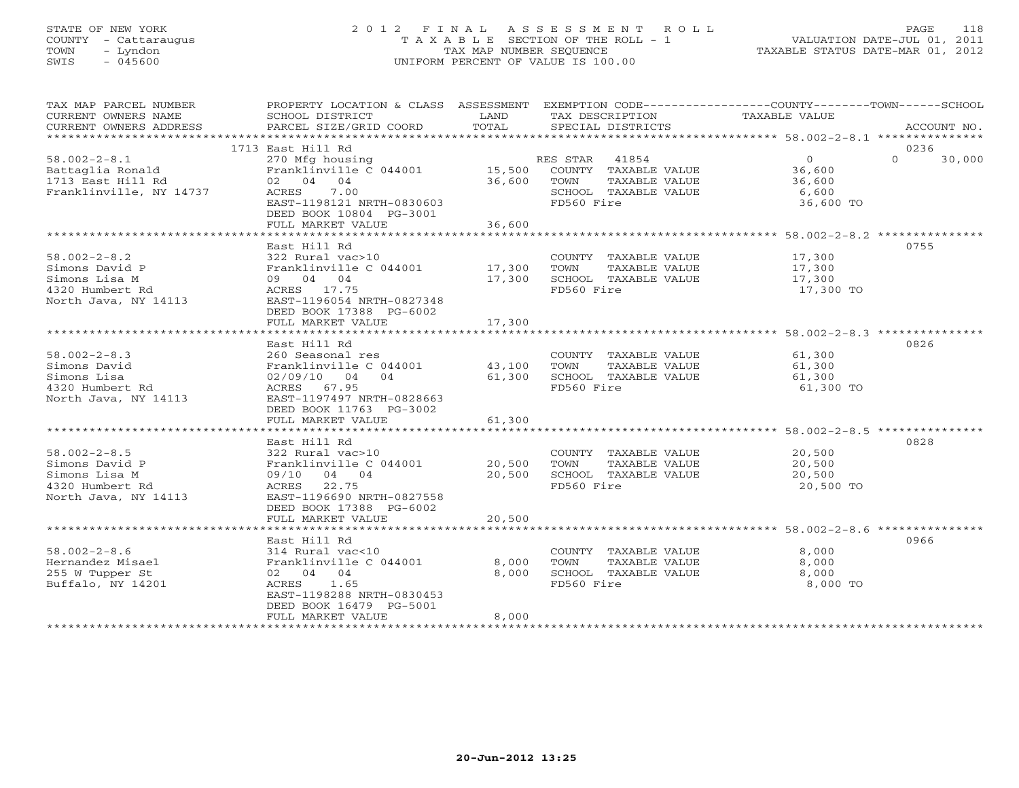# STATE OF NEW YORK 2 0 1 2 F I N A L A S S E S S M E N T R O L L PAGE 118 COUNTY - Cattaraugus T A X A B L E SECTION OF THE ROLL - 1 VALUATION DATE-JUL 01, 2011 TOWN - Lyndon TAX MAP NUMBER SEQUENCE TAXABLE STATUS DATE-MAR 01, 2012 SWIS - 045600 UNIFORM PERCENT OF VALUE IS 100.00UNIFORM PERCENT OF VALUE IS 100.00

| TAX MAP PARCEL NUMBER<br>CURRENT OWNERS NAME<br>CURRENT OWNERS ADDRESS                           | SCHOOL DISTRICT<br><b>EXAMPLE DESCRIPTION OF STREET AND SERVICE</b><br>PARCEL SIZE/GRID COORD                                                                                     | TOTAL                     | TAX DESCRIPTION<br>SPECIAL DISTRICTS                                                          | PROPERTY LOCATION & CLASS ASSESSMENT EXEMPTION CODE----------------COUNTY-------TOWN------SCHOOL<br>TAXABLE VALUE<br>ACCOUNT NO. |
|--------------------------------------------------------------------------------------------------|-----------------------------------------------------------------------------------------------------------------------------------------------------------------------------------|---------------------------|-----------------------------------------------------------------------------------------------|----------------------------------------------------------------------------------------------------------------------------------|
|                                                                                                  |                                                                                                                                                                                   |                           |                                                                                               |                                                                                                                                  |
| $58.002 - 2 - 8.1$<br>Battaglia Ronald<br>1713 East Hill Rd<br>Franklinville, NY 14737           | 1713 East Hill Rd<br>270 Mfg housing<br>Franklinville $C$ 044001 15,500<br>02 04 04<br>ACRES<br>7.00<br>EAST-1198121 NRTH-0830603<br>DEED BOOK 10804 PG-3001<br>FULL MARKET VALUE | 36,600 TOWN<br>36,600     | RES STAR 41854<br>COUNTY TAXABLE VALUE<br>TAXABLE VALUE<br>SCHOOL TAXABLE VALUE<br>FD560 Fire | 0236<br>$\Omega$<br>$\Omega$<br>30,000<br>36,600<br>36,600<br>6,600<br>36,600 TO                                                 |
|                                                                                                  |                                                                                                                                                                                   |                           |                                                                                               |                                                                                                                                  |
| $58.002 - 2 - 8.2$<br>Simons David P<br>Simons Lisa M<br>4320 Humbert Rd<br>North Java, NY 14113 | East Hill Rd<br>322 Rural vac>10<br>Franklinville C 044001 17,300<br>09 04 04<br>ACRES 17.75<br>EAST-1196054 NRTH-0827348<br>DEED BOOK 17388 PG-6002                              | 17,300                    | COUNTY TAXABLE VALUE 17,300<br>TOWN<br>TAXABLE VALUE<br>SCHOOL TAXABLE VALUE<br>FD560 Fire    | 0755<br>17,300<br>17,300<br>17,300 TO                                                                                            |
|                                                                                                  | FULL MARKET VALUE                                                                                                                                                                 | 17,300                    |                                                                                               |                                                                                                                                  |
|                                                                                                  | *************************                                                                                                                                                         | * * * * * * * * * * * * * |                                                                                               | *********************************** 58.002-2-8.3 ***************                                                                 |
| $58.002 - 2 - 8.3$<br>Simons David<br>Simons Lisa<br>4320 Humbert Rd<br>North Java, NY 14113     | East Hill Rd<br>260 Seasonal res<br>Franklinville C 044001<br>02/09/10 04 04<br>ACRES 67.95<br>EAST-1197497 NRTH-0828663<br>DEED BOOK 11763 PG-3002                               | 43,100<br>61,300          | COUNTY TAXABLE VALUE 61,300<br>TOWN<br>TAXABLE VALUE<br>SCHOOL TAXABLE VALUE<br>FD560 Fire    | 0826<br>61,300<br>61,300<br>61,300 TO                                                                                            |
|                                                                                                  | FULL MARKET VALUE                                                                                                                                                                 | 61,300                    |                                                                                               |                                                                                                                                  |
| $58.002 - 2 - 8.5$<br>Simons David P<br>Simons Lisa M<br>4320 Humbert Rd<br>North Java, NY 14113 | East Hill Rd<br>322 Rural vac>10<br>Franklinville C 044001 20,500<br>09/10 04 04<br>ACRES 22.75<br>EAST-1196690 NRTH-0827558<br>DEED BOOK 17388 PG-6002                           | 20,500                    | COUNTY TAXABLE VALUE<br>TOWN<br>TAXABLE VALUE<br>SCHOOL TAXABLE VALUE<br>FD560 Fire           | 0828<br>20,500<br>20,500<br>20,500<br>20,500 TO                                                                                  |
|                                                                                                  | FULL MARKET VALUE                                                                                                                                                                 | 20,500                    |                                                                                               |                                                                                                                                  |
|                                                                                                  | East Hill Rd                                                                                                                                                                      |                           |                                                                                               | 0966                                                                                                                             |
| $58.002 - 2 - 8.6$<br>Hernandez Misael<br>255 W Tupper St<br>Buffalo, NY 14201                   | 314 Rural vac<10<br>Franklinville C 044001<br>02 04 04<br>ACRES 1.65<br>EAST-1198288 NRTH-0830453<br>DEED BOOK 16479 PG-5001<br>FULL MARKET VALUE                                 | 8,000<br>8,000<br>8,000   | COUNTY TAXABLE VALUE<br>TOWN<br>TAXABLE VALUE<br>SCHOOL TAXABLE VALUE<br>FD560 Fire           | 8,000<br>8,000<br>8,000<br>8,000 TO                                                                                              |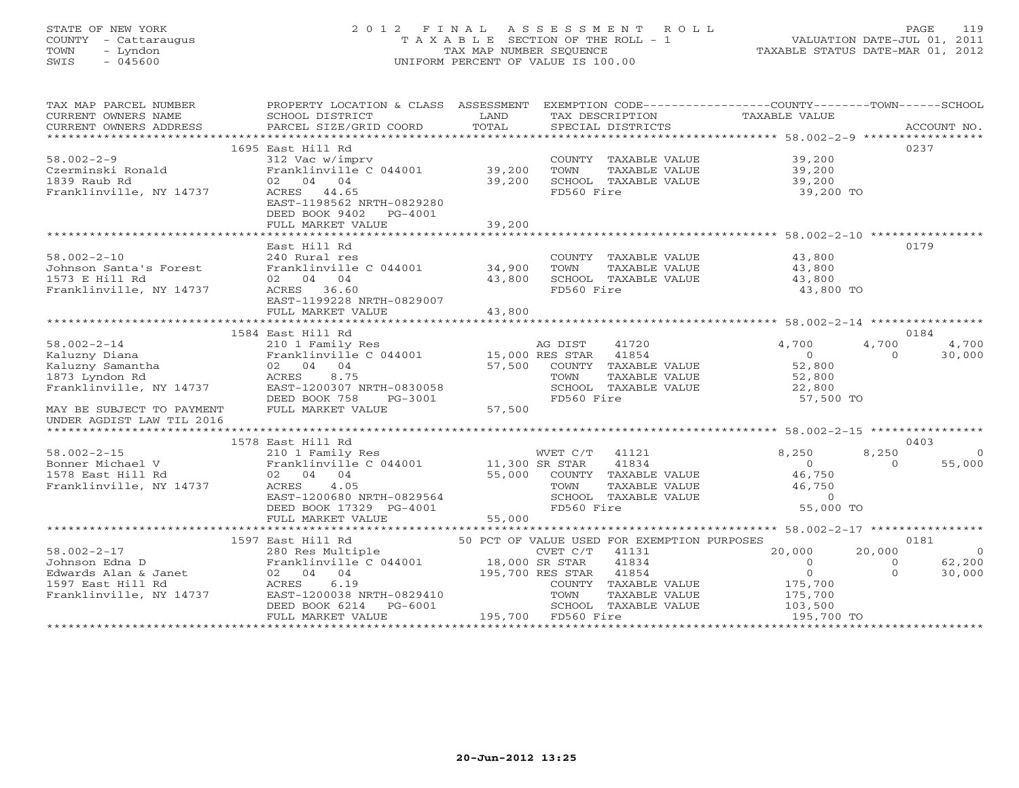# STATE OF NEW YORK 2 0 1 2 F I N A L A S S E S S M E N T R O L L PAGE 119 COUNTY - Cattaraugus T A X A B L E SECTION OF THE ROLL - 1 VALUATION DATE-JUL 01, 2011 TOWN - Lyndon TAX MAP NUMBER SEQUENCE TAXABLE STATUS DATE-MAR 01, 2012 SWIS - 045600 UNIFORM PERCENT OF VALUE IS 100.00UNIFORM PERCENT OF VALUE IS 100.00

| TAX MAP PARCEL NUMBER<br>CURRENT OWNERS NAME<br>CURRENT OWNERS ADDRESS                                                                             | PROPERTY LOCATION & CLASS ASSESSMENT EXEMPTION CODE---------------COUNTY-------TOWN------SCHOOL<br>SCHOOL DISTRICT<br>PARCEL SIZE/GRID COORD                                                                                                   | LAND<br>TOTAL    | TAX DESCRIPTION TAXABLE VALUE<br>SPECIAL DISTRICTS                                                                                                                                                                         |                                                                                                          | ACCOUNT NO.                                                                        |
|----------------------------------------------------------------------------------------------------------------------------------------------------|------------------------------------------------------------------------------------------------------------------------------------------------------------------------------------------------------------------------------------------------|------------------|----------------------------------------------------------------------------------------------------------------------------------------------------------------------------------------------------------------------------|----------------------------------------------------------------------------------------------------------|------------------------------------------------------------------------------------|
| $58.002 - 2 - 9$<br>Czerminski Ronald<br>1839 Raub Rd<br>Franklinville, NY 14737                                                                   | 1695 East Hill Rd<br>312 Vac w/imprv<br>Franklinville $C$ 044001 39,200<br>02 04 04<br>ACRES 44.65<br>EAST-1198562 NRTH-0829280<br>DEED BOOK 9402 PG-4001<br>FULL MARKET VALUE                                                                 | 39,200<br>39,200 | COUNTY TAXABLE VALUE 39,200<br>TOWN TAXABLE VALUE 39,200<br>SCHOOL TAXABLE VALUE 39,200<br>FD560 Fire                                                                                                                      | 39,200 TO                                                                                                | 0237                                                                               |
| $58.002 - 2 - 10$<br>Johnson Santa's Forest<br>1573 E Hill Rd<br>Franklinville, NY 14737                                                           | East Hill Rd<br>240 Rural res<br>Franklinville C 044001 34,900<br>02 04 04<br>ACRES 36.60<br>EAST-1199228 NRTH-0829007<br>FULL MARKET VALUE                                                                                                    | 43,800<br>43,800 | COUNTY TAXABLE VALUE 43,800<br>TOWN<br>TAXABLE VALUE<br>SCHOOL TAXABLE VALUE<br>FD560 Fire                                                                                                                                 | 43,800<br>43,800<br>43,800 TO                                                                            | 0179                                                                               |
|                                                                                                                                                    | 1584 East Hill Rd                                                                                                                                                                                                                              |                  |                                                                                                                                                                                                                            |                                                                                                          | 0184                                                                               |
| $58.002 - 2 - 14$<br>$\overline{a}$<br>Kaluzny Diana<br>Kaluzny Samantha<br>1873 Lyndon ka<br>Franklinville, NY 14737<br>MAY BE SUBJECT TO PAYMENT | 210 1 Family Res<br>Franklinville C 044001 15,000 RES STAR<br>02 04 04<br>8.75<br>ACRES<br>EAST-1200307 NRTH-0830058<br>DEED BOOK 758<br>PG-3001<br>FULL MARKET VALUE                                                                          | 57,500           | AG DIST<br>41720<br>41854<br>$57,500$ $\frac{1}{2000}$ $\frac{1}{2000}$ $\frac{1}{200}$ $\frac{1}{2000}$ $\frac{1}{2000}$ $\frac{1}{2000}$ $\frac{1}{2000}$ $\frac{1}{2000}$<br>TOWN<br>SCHOOL TAXABLE VALUE<br>FD560 Fire | 4,700<br>$\begin{array}{c} 0 \\ 52,800 \end{array}$<br>TAXABLE VALUE 52,800<br>22,800<br>57,500 TO       | 4,700<br>4,700<br>$\Omega$<br>30,000                                               |
| UNDER AGDIST LAW TIL 2016                                                                                                                          |                                                                                                                                                                                                                                                |                  |                                                                                                                                                                                                                            |                                                                                                          |                                                                                    |
| $58.002 - 2 - 15$<br>Bonner Michael V<br>1578 East Hill Rd<br>Franklinville, NY 14737                                                              | 1578 East Hill Rd<br>210 1 Family Res WVET C/T<br>Franklinville C 044001 11,300 SR STAR<br>02 04 04<br>ACRES 4.05<br>EAST-1200680 NRTH-0829564<br>DEED BOOK 17329 PG-4001                                                                      |                  | WVET C/T 41121<br>41834<br>$55,000$ COUNTY TAXABLE VALUE<br><b>TOWN</b><br>SCHOOL TAXABLE VALUE<br>FD560 Fire                                                                                                              | 8,250<br>$\overline{0}$<br>46,750<br>46,750<br>TAXABLE VALUE<br>TAXABLE VALUE<br>TAXABLE VALUE 55,000 TO | 0403<br>8,250<br>$\Omega$<br>$\Omega$<br>55,000                                    |
|                                                                                                                                                    | FULL MARKET VALUE                                                                                                                                                                                                                              | 55,000           |                                                                                                                                                                                                                            |                                                                                                          |                                                                                    |
| $58.002 - 2 - 17$<br>Johnson Edna D<br>Edwards Alan & Janet (1920) 92<br>1597 East Hill Rd (1920) 94<br>Franklinville, NY 14737 (1987-1200038)     | 1597 East Hill Rd<br>280 Res Multiple<br>Franklinville C 044001 18,000 SR STAR 41834<br>02 04 04 195,700 RES STAR 41854<br>RACRES 6.19 COUNTY TAXABLE<br>EAST-1200038 NRTH-0829410 TOWN TAXABLE<br>DEED BOOK 6214 PG-6001<br>FULL MARKET VALUE |                  | 50 PCT OF VALUE USED FOR EXEMPTION PURPOSES<br>COUNTY TAXABLE VALUE<br>TAXABLE VALUE<br>001 195,700 FD560 Fire<br>195,700 FD560 Fire<br>SCHOOL TAXABLE VALUE                                                               | 20,000<br>$\overline{0}$<br>$\overline{0}$<br>175,700<br>175,700<br>103,500<br>195,700 TO                | 0181<br>20,000<br>$\overline{0}$<br>62,200<br>$\overline{0}$<br>$\Omega$<br>30,000 |
|                                                                                                                                                    |                                                                                                                                                                                                                                                |                  |                                                                                                                                                                                                                            |                                                                                                          |                                                                                    |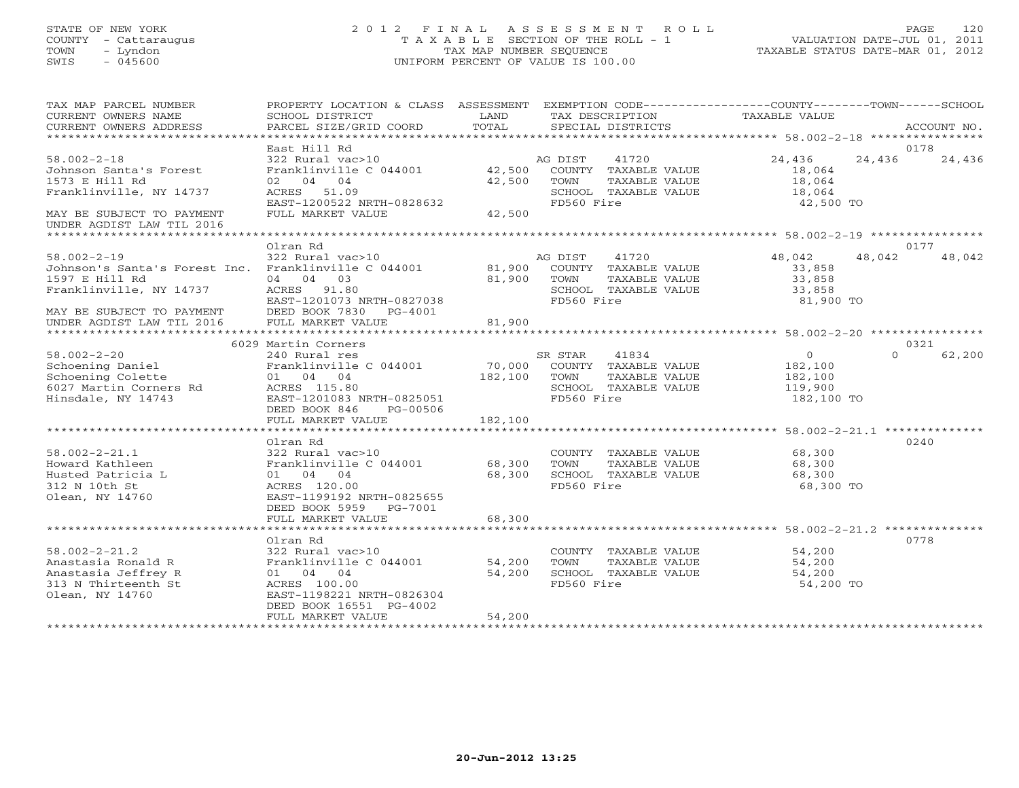## STATE OF NEW YORK 2 0 1 2 F I N A L A S S E S S M E N T R O L L PAGE 120 COUNTY - Cattaraugus T A X A B L E SECTION OF THE ROLL - 1 VALUATION DATE-JUL 01, 2011 TOWN - Lyndon TAX MAP NUMBER SEQUENCE TAXABLE STATUS DATE-MAR 01, 2012 SWIS - 045600 UNIFORM PERCENT OF VALUE IS 100.00UNIFORM PERCENT OF VALUE IS 100.00

| TAX MAP PARCEL NUMBER<br>CURRENT OWNERS NAME<br>CURRENT OWNERS ADDRESS                                                                                         | PROPERTY LOCATION & CLASS ASSESSMENT EXEMPTION CODE---------------COUNTY-------TOWN-----SCHOOL<br>SCHOOL DISTRICT<br>PARCEL SIZE/GRID COORD                            | <b>LAND</b><br>TOTAL  |                               | TAX DESCRIPTION<br>SPECIAL DISTRICTS                          | TAXABLE VALUE                                                                   |          | ACCOUNT NO. |
|----------------------------------------------------------------------------------------------------------------------------------------------------------------|------------------------------------------------------------------------------------------------------------------------------------------------------------------------|-----------------------|-------------------------------|---------------------------------------------------------------|---------------------------------------------------------------------------------|----------|-------------|
|                                                                                                                                                                | East Hill Rd                                                                                                                                                           |                       |                               |                                                               |                                                                                 |          | 0178        |
| $58.002 - 2 - 18$<br>Johnson Santa's Forest<br>1573 E Hill Rd<br>Franklinville, NY 14737<br>MAY BE SUBJECT TO PAYMENT                                          | 322 Rural vac>10<br>Franklinville C 044001 42,500 COUNTY TAXABLE VALUE<br>02 04 04<br>ACRES 51.09<br>EAST-1200522 NRTH-0828632<br>FULL MARKET VALUE                    | 42,500 TOWN<br>42,500 | AG DIST 41720<br>FD560 Fire   | TAXABLE VALUE<br>SCHOOL TAXABLE VALUE                         | 24,436<br>18,064<br>18,064<br>18,064<br>42,500 TO                               | 24,436   | 24,436      |
| UNDER AGDIST LAW TIL 2016                                                                                                                                      |                                                                                                                                                                        |                       |                               |                                                               |                                                                                 |          |             |
|                                                                                                                                                                | Olran Rd                                                                                                                                                               |                       |                               |                                                               |                                                                                 |          | 0177        |
| $58.002 - 2 - 19$<br>Johnson's Santa's Forest Inc. Franklinville C 044001 81,900 COUNTY TAXABLE VALUE<br>1597 E Hill Rd<br>Franklinville, NY 14737 ACRES 91.80 | 322 Rural vac>10<br>04 04 03<br>EAST-1201073 NRTH-0827038                                                                                                              | 81,900<br>81,900      | AG DIST<br>TOWN<br>FD560 Fire | 41720<br>TAXABLE VALUE<br>SCHOOL TAXABLE VALUE                | 48,042<br>33,858<br>33,858<br>33,858<br>81,900 TO                               | 48,042   | 48,042      |
|                                                                                                                                                                |                                                                                                                                                                        |                       |                               |                                                               |                                                                                 |          |             |
|                                                                                                                                                                | 6029 Martin Corners                                                                                                                                                    |                       |                               |                                                               |                                                                                 |          | 0321        |
| $58.002 - 2 - 20$                                                                                                                                              |                                                                                                                                                                        |                       |                               |                                                               |                                                                                 | $\Omega$ | 62,200      |
| Schoening Daniel<br>Schoening Colette<br>6027 Martin Corners Rd<br>Hinsdale NY 14743<br>Hinsdale, NY 14743                                                     | 01 04 04<br>ACRES 115.80<br>EAST-1201083 NRTH-0825051<br>DEED BOOK 846<br>PG-00506                                                                                     | 182,100 TOWN          | FD560 Fire                    | TAXABLE VALUE<br>SCHOOL TAXABLE VALUE                         | $\begin{array}{c} 0 \\ 182,100 \end{array}$<br>182,100<br>119,900<br>182,100 TO |          |             |
|                                                                                                                                                                | FULL MARKET VALUE                                                                                                                                                      | 182,100               |                               |                                                               |                                                                                 |          |             |
|                                                                                                                                                                |                                                                                                                                                                        |                       |                               |                                                               |                                                                                 |          |             |
| $58.002 - 2 - 21.1$<br>Howard Kathleen<br>Husted Patricia L<br>312 N 10th St<br>Olean, NY 14760                                                                | Olran Rd<br>322 Rural vac>10<br>01 04 04<br>68,300<br>ACRES 120.00<br>EAST-1199192 NRTH-0825655<br>DEED BOOK 5959 PG-7001                                              |                       | FD560 Fire                    | COUNTY TAXABLE VALUE<br>TAXABLE VALUE<br>SCHOOL TAXABLE VALUE | 68,300<br>68,300<br>68,300<br>68,300 TO                                         |          | 0240        |
|                                                                                                                                                                | FULL MARKET VALUE                                                                                                                                                      | 68,300                |                               |                                                               |                                                                                 |          |             |
|                                                                                                                                                                |                                                                                                                                                                        |                       |                               |                                                               |                                                                                 |          |             |
| $58.002 - 2 - 21.2$<br>Anastasia Ronald R<br>Anastasia Jeffrey R<br>313 N Thirteenth St<br>Olean, NY 14760                                                     | Olran Rd<br>322 Rural vac>10<br>Franklinville C 044001 54,200<br>01 04 04<br>ACRES 100.00<br>EAST-1198221 NRTH-0826304<br>DEED BOOK 16551 PG-4002<br>FULL MARKET VALUE | 54,200<br>54,200      | TOWN<br>FD560 Fire            | COUNTY TAXABLE VALUE<br>TAXABLE VALUE<br>SCHOOL TAXABLE VALUE | 54,200<br>54,200<br>54,200<br>54,200 TO                                         |          | 0778        |
|                                                                                                                                                                |                                                                                                                                                                        |                       |                               |                                                               |                                                                                 |          |             |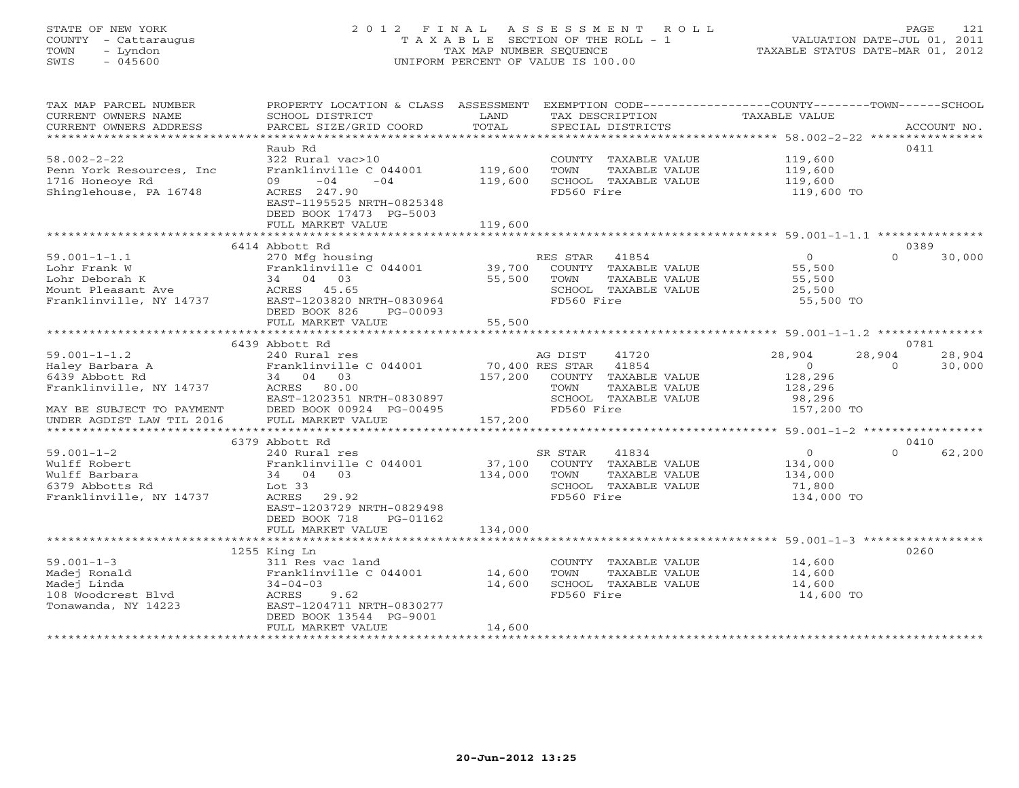# STATE OF NEW YORK 2 0 1 2 F I N A L A S S E S S M E N T R O L L PAGE 121 COUNTY - Cattaraugus T A X A B L E SECTION OF THE ROLL - 1 VALUATION DATE-JUL 01, 2011 TOWN - Lyndon TAX MAP NUMBER SEQUENCE TAXABLE STATUS DATE-MAR 01, 2012 SWIS - 045600 UNIFORM PERCENT OF VALUE IS 100.00UNIFORM PERCENT OF VALUE IS 100.00

| TAX MAP PARCEL NUMBER<br>CURRENT OWNERS NAME<br>CURRENT OWNERS ADDRESS | PROPERTY LOCATION & CLASS ASSESSMENT<br>SCHOOL DISTRICT<br>PARCEL SIZE/GRID COORD | LAND<br>TOTAL |                 | TAX DESCRIPTION<br>SPECIAL DISTRICTS | EXEMPTION CODE----------------COUNTY-------TOWN------SCHOOL<br><b>TAXABLE VALUE</b> |          | ACCOUNT NO. |
|------------------------------------------------------------------------|-----------------------------------------------------------------------------------|---------------|-----------------|--------------------------------------|-------------------------------------------------------------------------------------|----------|-------------|
|                                                                        |                                                                                   |               |                 |                                      |                                                                                     |          |             |
|                                                                        | Raub Rd                                                                           |               |                 |                                      |                                                                                     |          | 0411        |
| $58.002 - 2 - 22$                                                      | 322 Rural vac>10                                                                  |               |                 | COUNTY TAXABLE VALUE                 | 119,600                                                                             |          |             |
| Penn York Resources, Inc                                               | Franklinville C 044001                                                            | 119,600       | TOWN            | TAXABLE VALUE                        | 119,600                                                                             |          |             |
| 1716 Honeoye Rd                                                        | $-04$<br>$-04$<br>09                                                              | 119,600       |                 | SCHOOL TAXABLE VALUE                 | 119,600                                                                             |          |             |
| Shinglehouse, PA 16748                                                 | ACRES 247.90                                                                      |               | FD560 Fire      |                                      | 119,600 TO                                                                          |          |             |
|                                                                        | EAST-1195525 NRTH-0825348                                                         |               |                 |                                      |                                                                                     |          |             |
|                                                                        | DEED BOOK 17473 PG-5003<br>FULL MARKET VALUE                                      | 119,600       |                 |                                      |                                                                                     |          |             |
|                                                                        |                                                                                   |               |                 |                                      |                                                                                     |          |             |
|                                                                        | 6414 Abbott Rd                                                                    |               |                 |                                      |                                                                                     |          | 0389        |
| $59.001 - 1 - 1.1$                                                     | 270 Mfg housing                                                                   |               | RES STAR 41854  |                                      | $\overline{0}$                                                                      | $\Omega$ | 30,000      |
| Lohr Frank W                                                           | Franklinville C 044001                                                            | 39,700        |                 | COUNTY TAXABLE VALUE                 | 55,500                                                                              |          |             |
| Lohr Deborah K                                                         | 34 04 03                                                                          | 55,500        | TOWN            | TAXABLE VALUE                        | 55,500                                                                              |          |             |
| Mount Pleasant Ave                                                     | ACRES 45.65                                                                       |               |                 | SCHOOL TAXABLE VALUE                 | 25,500                                                                              |          |             |
| Franklinville, NY 14737                                                | EAST-1203820 NRTH-0830964                                                         |               | FD560 Fire      |                                      | 55,500 TO                                                                           |          |             |
|                                                                        | DEED BOOK 826<br>PG-00093                                                         |               |                 |                                      |                                                                                     |          |             |
|                                                                        | FULL MARKET VALUE                                                                 | 55,500        |                 |                                      |                                                                                     |          |             |
|                                                                        |                                                                                   |               |                 |                                      |                                                                                     |          |             |
|                                                                        | 6439 Abbott Rd                                                                    |               |                 |                                      |                                                                                     |          | 0781        |
| $59.001 - 1 - 1.2$                                                     | 240 Rural res                                                                     |               | AG DIST         | 41720                                | 28,904                                                                              | 28,904   | 28,904      |
| Haley Barbara A                                                        | Franklinville C 044001                                                            |               | 70,400 RES STAR | 41854                                | $\Omega$                                                                            | $\Omega$ | 30,000      |
| 6439 Abbott Rd                                                         | 34 04 03                                                                          | 157,200       |                 | COUNTY TAXABLE VALUE                 | 128,296                                                                             |          |             |
| Franklinville, NY 14737                                                | ACRES 80.00                                                                       |               | TOWN            | TAXABLE VALUE                        | 128,296                                                                             |          |             |
|                                                                        | EAST-1202351 NRTH-0830897                                                         |               |                 | SCHOOL TAXABLE VALUE                 | 98,296                                                                              |          |             |
| MAY BE SUBJECT TO PAYMENT<br>UNDER AGDIST LAW TIL 2016                 | DEED BOOK 00924 PG-00495                                                          |               | FD560 Fire      |                                      | 157,200 TO                                                                          |          |             |
|                                                                        | FULL MARKET VALUE                                                                 | 157,200       |                 |                                      |                                                                                     |          |             |
|                                                                        |                                                                                   |               |                 |                                      |                                                                                     |          |             |
|                                                                        | 6379 Abbott Rd                                                                    |               |                 |                                      |                                                                                     |          | 0410        |
| $59.001 - 1 - 2$                                                       | 240 Rural res                                                                     |               | SR STAR         | 41834                                | $\circ$                                                                             | $\Omega$ | 62,200      |
| Wulff Robert                                                           | Franklinville C 044001                                                            | 37,100        |                 | COUNTY TAXABLE VALUE                 | 134,000                                                                             |          |             |
| Wulff Barbara                                                          | 34 04 03                                                                          | 134,000       | TOWN            | TAXABLE VALUE                        | 134,000                                                                             |          |             |
| 6379 Abbotts Rd                                                        | Lot 33                                                                            |               |                 | SCHOOL TAXABLE VALUE                 | 71,800                                                                              |          |             |
| Franklinville, NY 14737                                                | ACRES 29.92                                                                       |               | FD560 Fire      |                                      | 134,000 TO                                                                          |          |             |
|                                                                        | EAST-1203729 NRTH-0829498                                                         |               |                 |                                      |                                                                                     |          |             |
|                                                                        | DEED BOOK 718<br>PG-01162                                                         |               |                 |                                      |                                                                                     |          |             |
|                                                                        | FULL MARKET VALUE                                                                 | 134,000       |                 |                                      |                                                                                     |          |             |
|                                                                        | 1255 King Ln                                                                      |               |                 |                                      |                                                                                     |          | 0260        |
| $59.001 - 1 - 3$                                                       | 311 Res vac land                                                                  |               |                 | COUNTY TAXABLE VALUE                 | 14,600                                                                              |          |             |
| Madej Ronald                                                           | Franklinville C 044001                                                            | 14,600        | TOWN            | TAXABLE VALUE                        | 14,600                                                                              |          |             |
| Madej Linda                                                            | $34 - 04 - 03$                                                                    | 14,600        |                 | SCHOOL TAXABLE VALUE                 | 14,600                                                                              |          |             |
| 108 Woodcrest Blvd                                                     | ACRES<br>9.62                                                                     |               | FD560 Fire      |                                      | 14,600 TO                                                                           |          |             |
| Tonawanda, NY 14223                                                    | EAST-1204711 NRTH-0830277                                                         |               |                 |                                      |                                                                                     |          |             |
|                                                                        | DEED BOOK 13544 PG-9001                                                           |               |                 |                                      |                                                                                     |          |             |
|                                                                        | FULL MARKET VALUE                                                                 | 14,600        |                 |                                      |                                                                                     |          |             |
|                                                                        |                                                                                   |               |                 |                                      |                                                                                     |          |             |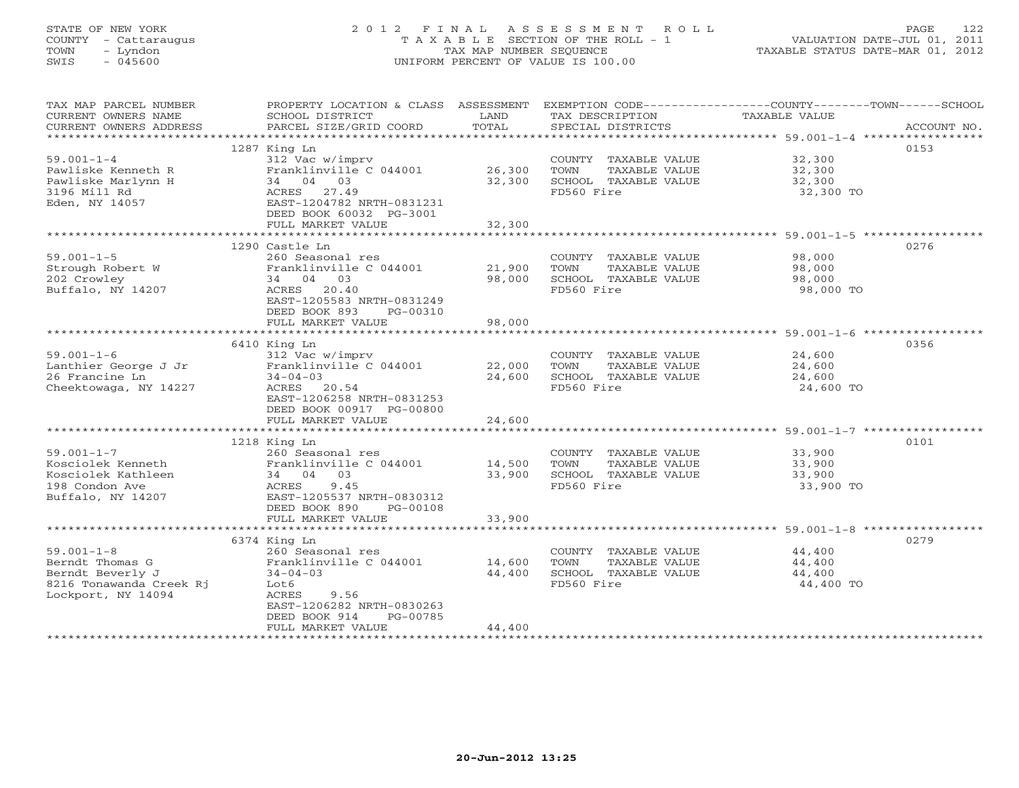# STATE OF NEW YORK 2 0 1 2 F I N A L A S S E S S M E N T R O L L PAGE 122 COUNTY - Cattaraugus T A X A B L E SECTION OF THE ROLL - 1 VALUATION DATE-JUL 01, 2011 TOWN - Lyndon TAX MAP NUMBER SEQUENCE TAXABLE STATUS DATE-MAR 01, 2012 SWIS - 045600 UNIFORM PERCENT OF VALUE IS 100.00UNIFORM PERCENT OF VALUE IS 100.00

| TAX MAP PARCEL NUMBER<br>CURRENT OWNERS NAME | PROPERTY LOCATION & CLASS ASSESSMENT<br>SCHOOL DISTRICT | LAND          | TAX DESCRIPTION       | EXEMPTION CODE-----------------COUNTY-------TOWN------SCHOOL<br>TAXABLE VALUE |
|----------------------------------------------|---------------------------------------------------------|---------------|-----------------------|-------------------------------------------------------------------------------|
| CURRENT OWNERS ADDRESS                       | PARCEL SIZE/GRID COORD                                  | TOTAL         | SPECIAL DISTRICTS     | ACCOUNT NO.                                                                   |
|                                              | 1287 King Ln                                            |               |                       | 0153                                                                          |
| $59.001 - 1 - 4$                             | 312 Vac w/imprv                                         |               | COUNTY TAXABLE VALUE  | 32,300                                                                        |
| Pawliske Kenneth R                           | Franklinville C 044001                                  | 26,300        | TOWN<br>TAXABLE VALUE | 32,300                                                                        |
| Pawliske Marlynn H                           | 34 04 03                                                | 32,300        | SCHOOL TAXABLE VALUE  | 32,300                                                                        |
| 3196 Mill Rd                                 | ACRES 27.49                                             |               | FD560 Fire            | 32,300 TO                                                                     |
| Eden, NY 14057                               | EAST-1204782 NRTH-0831231                               |               |                       |                                                                               |
|                                              | DEED BOOK 60032 PG-3001                                 |               |                       |                                                                               |
|                                              | FULL MARKET VALUE                                       | 32,300        |                       |                                                                               |
|                                              |                                                         |               |                       |                                                                               |
|                                              | 1290 Castle Ln                                          |               |                       | 0276                                                                          |
| $59.001 - 1 - 5$                             | 260 Seasonal res                                        |               | COUNTY TAXABLE VALUE  | 98,000                                                                        |
| Strough Robert W                             | Franklinville C 044001                                  | 21,900        | TAXABLE VALUE<br>TOWN | 98,000                                                                        |
| 202 Crowley                                  | 34 04 03                                                | 98,000        | SCHOOL TAXABLE VALUE  | 98,000                                                                        |
| Buffalo, NY 14207                            | 20.40<br>ACRES                                          |               | FD560 Fire            | 98,000 TO                                                                     |
|                                              | EAST-1205583 NRTH-0831249                               |               |                       |                                                                               |
|                                              | DEED BOOK 893<br>PG-00310                               |               |                       |                                                                               |
|                                              | FULL MARKET VALUE                                       | 98,000        |                       |                                                                               |
|                                              |                                                         |               |                       | 0356                                                                          |
| $59.001 - 1 - 6$                             | 6410 King Ln<br>312 Vac w/imprv                         |               | COUNTY TAXABLE VALUE  | 24,600                                                                        |
| Lanthier George J Jr                         | Franklinville C 044001                                  | 22,000        | TOWN<br>TAXABLE VALUE | 24,600                                                                        |
| 26 Francine Ln                               | $34 - 04 - 03$                                          | 24,600        | SCHOOL TAXABLE VALUE  | 24,600                                                                        |
| Cheektowaga, NY 14227                        | ACRES<br>20.54                                          |               | FD560 Fire            | 24,600 TO                                                                     |
|                                              | EAST-1206258 NRTH-0831253                               |               |                       |                                                                               |
|                                              | DEED BOOK 00917 PG-00800                                |               |                       |                                                                               |
|                                              | FULL MARKET VALUE                                       | 24,600        |                       |                                                                               |
|                                              |                                                         |               |                       |                                                                               |
|                                              | 1218 King Ln                                            |               |                       | 0101                                                                          |
| $59.001 - 1 - 7$                             | 260 Seasonal res                                        |               | COUNTY TAXABLE VALUE  | 33,900                                                                        |
| Kosciolek Kenneth                            | Franklinville C 044001 14,500                           |               | TOWN<br>TAXABLE VALUE | 33,900                                                                        |
| Kosciolek Kathleen                           | 34 04 03                                                | 33,900        | SCHOOL TAXABLE VALUE  | 33,900                                                                        |
| 198 Condon Ave                               | ACRES<br>9.45                                           |               | FD560 Fire            | 33,900 TO                                                                     |
| Buffalo, NY 14207                            | EAST-1205537 NRTH-0830312                               |               |                       |                                                                               |
|                                              | DEED BOOK 890<br>PG-00108<br>FULL MARKET VALUE          | 33,900        |                       |                                                                               |
|                                              |                                                         | ************* |                       |                                                                               |
|                                              | 6374 King Ln                                            |               |                       | 0279                                                                          |
| $59.001 - 1 - 8$                             | 260 Seasonal res                                        |               | COUNTY TAXABLE VALUE  | 44,400                                                                        |
| Berndt Thomas G                              | Franklinville C 044001                                  | 14,600        | TOWN<br>TAXABLE VALUE | 44,400                                                                        |
| Berndt Beverly J                             | $34 - 04 - 03$                                          | 44,400        | SCHOOL TAXABLE VALUE  | 44,400                                                                        |
| 8216 Tonawanda Creek Rj                      | Lot6                                                    |               | FD560 Fire            | 44,400 TO                                                                     |
| Lockport, NY 14094                           | ACRES<br>9.56                                           |               |                       |                                                                               |
|                                              | EAST-1206282 NRTH-0830263                               |               |                       |                                                                               |
|                                              | DEED BOOK 914<br>PG-00785                               |               |                       |                                                                               |
|                                              | FULL MARKET VALUE                                       | 44,400        |                       |                                                                               |
|                                              | **********************                                  |               |                       |                                                                               |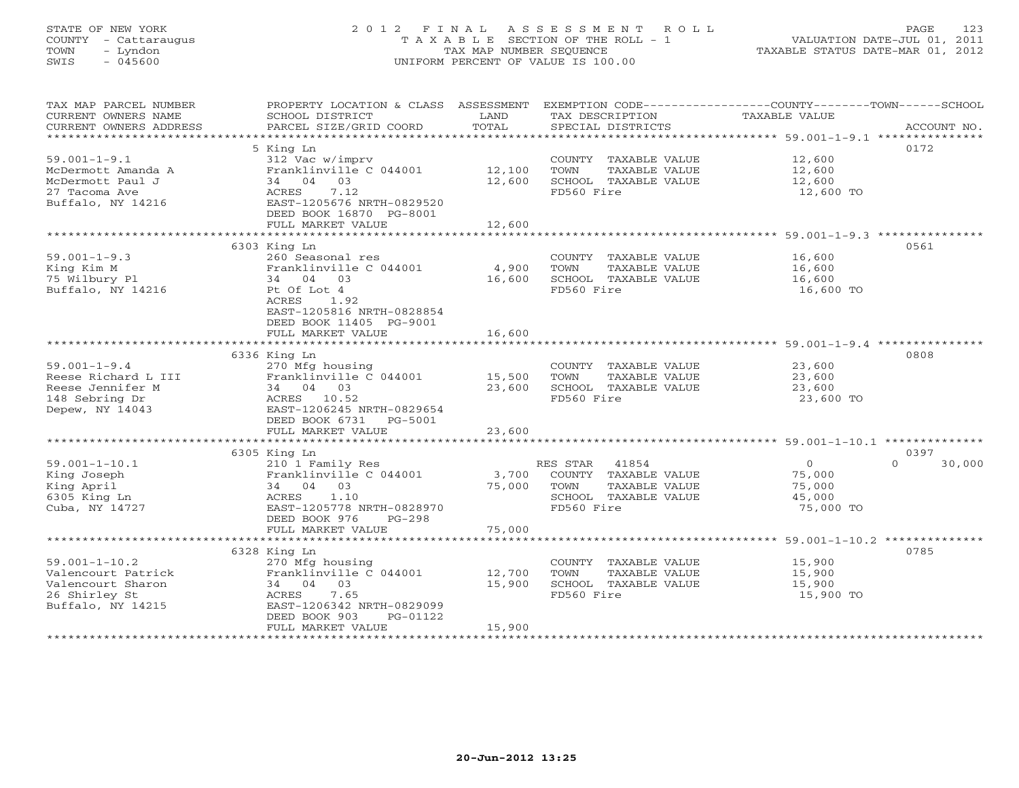# STATE OF NEW YORK 2 0 1 2 F I N A L A S S E S S M E N T R O L L PAGE 123 COUNTY - Cattaraugus T A X A B L E SECTION OF THE ROLL - 1 VALUATION DATE-JUL 01, 2011 TOWN - Lyndon TAX MAP NUMBER SEQUENCE TAXABLE STATUS DATE-MAR 01, 2012 SWIS - 045600 UNIFORM PERCENT OF VALUE IS 100.00UNIFORM PERCENT OF VALUE IS 100.00

| TAX MAP PARCEL NUMBER                                                                                                                                                                                                                    | PROPERTY LOCATION & CLASS ASSESSMENT EXEMPTION CODE---------------COUNTY-------TOWN------SCHOOL              |        |                             |                                            |                    |
|------------------------------------------------------------------------------------------------------------------------------------------------------------------------------------------------------------------------------------------|--------------------------------------------------------------------------------------------------------------|--------|-----------------------------|--------------------------------------------|--------------------|
| CURRENT OWNERS NAME                                                                                                                                                                                                                      | SCHOOL DISTRICT                                                                                              | LAND   | TAX DESCRIPTION             | TAXABLE VALUE                              |                    |
| - CURRENT OWNERS ADDRESS - PITTEL SIZE/GRID COORD - TOTAL - SPECIAL DISTRICTS - ACCOUNT NO.<br>- ARCOUNT NO - ARCEL SIZE/GRID COORD - TOTAL - SPECIAL DISTRICTS - ARCHORENT OWNERS - ACCOUNT NO - ARCOUNT NO -<br>CURRENT OWNERS ADDRESS |                                                                                                              |        |                             |                                            |                    |
|                                                                                                                                                                                                                                          |                                                                                                              |        |                             |                                            |                    |
|                                                                                                                                                                                                                                          | 5 King Ln                                                                                                    |        |                             |                                            | 0172               |
| $59.001 - 1 - 9.1$                                                                                                                                                                                                                       | 312 Vac w/imprv                                                                                              |        | COUNTY TAXABLE VALUE 12,600 |                                            |                    |
| McDermott Amanda A                                                                                                                                                                                                                       |                                                                                                              |        | TOWN<br>TAXABLE VALUE       | 12,600                                     |                    |
| McDermott Paul J                                                                                                                                                                                                                         | 34 04 03                                                                                                     | 12,600 | SCHOOL TAXABLE VALUE 12,600 |                                            |                    |
| 27 Tacoma Ave                                                                                                                                                                                                                            | ACRES 7.12                                                                                                   |        | FD560 Fire                  | 12,600 TO                                  |                    |
| Buffalo, NY 14216                                                                                                                                                                                                                        | EAST-1205676 NRTH-0829520                                                                                    |        |                             |                                            |                    |
|                                                                                                                                                                                                                                          | DEED BOOK 16870 PG-8001                                                                                      |        |                             |                                            |                    |
|                                                                                                                                                                                                                                          | FULL MARKET VALUE                                                                                            | 12,600 |                             |                                            |                    |
|                                                                                                                                                                                                                                          |                                                                                                              |        |                             |                                            |                    |
|                                                                                                                                                                                                                                          | 6303 King Ln                                                                                                 |        |                             |                                            | 0561               |
| $59.001 - 1 - 9.3$                                                                                                                                                                                                                       | 260 Seasonal res                                                                                             |        | COUNTY TAXABLE VALUE 16,600 |                                            |                    |
|                                                                                                                                                                                                                                          | Franklinville C 044001 4,900                                                                                 |        | TOWN                        | TAXABLE VALUE 16,600                       |                    |
|                                                                                                                                                                                                                                          | 34 04 03                                                                                                     | 16,600 | SCHOOL TAXABLE VALUE        | 16,600                                     |                    |
| Alng Kim M<br>75 Wilbury Pl<br>Buffalo, NY 14216                                                                                                                                                                                         | Pt Of Lot 4                                                                                                  |        | FD560 Fire                  | 16,600 TO                                  |                    |
|                                                                                                                                                                                                                                          | ACRES 1.92                                                                                                   |        |                             |                                            |                    |
|                                                                                                                                                                                                                                          | EAST-1205816 NRTH-0828854                                                                                    |        |                             |                                            |                    |
|                                                                                                                                                                                                                                          | DEED BOOK 11405 PG-9001                                                                                      |        |                             |                                            |                    |
|                                                                                                                                                                                                                                          | FULL MARKET VALUE                                                                                            | 16,600 |                             |                                            |                    |
|                                                                                                                                                                                                                                          |                                                                                                              |        |                             |                                            |                    |
| 59.001-1-9.4<br>Reese Richard L III Franklinviic<br>Reese Jennifer M 34 04 03<br>140 Sebring Dr. Reese Control 21 206245 !<br>240 Sebring Dr. RAST-1206245 !<br>268T-1206245 !                                                           |                                                                                                              |        |                             |                                            | 0808               |
|                                                                                                                                                                                                                                          | 270 Mfg housing                                                                                              |        | COUNTY TAXABLE VALUE 23,600 |                                            |                    |
|                                                                                                                                                                                                                                          | Franklinville C 044001 15,500                                                                                |        | TOWN<br>TAXABLE VALUE       | 23,600                                     |                    |
|                                                                                                                                                                                                                                          |                                                                                                              |        | 23,600 SCHOOL TAXABLE VALUE | 23,600                                     |                    |
|                                                                                                                                                                                                                                          |                                                                                                              |        | FD560 Fire                  | $23,600$ TO                                |                    |
|                                                                                                                                                                                                                                          | EAST-1206245 NRTH-0829654                                                                                    |        |                             |                                            |                    |
|                                                                                                                                                                                                                                          | DEED BOOK 6731 PG-5001                                                                                       |        |                             |                                            |                    |
|                                                                                                                                                                                                                                          | FULL MARKET VALUE                                                                                            | 23,600 |                             |                                            |                    |
|                                                                                                                                                                                                                                          |                                                                                                              |        |                             |                                            |                    |
|                                                                                                                                                                                                                                          | 6305 King Ln                                                                                                 |        |                             |                                            | 0397               |
| $59.001 - 1 - 10.1$                                                                                                                                                                                                                      |                                                                                                              |        |                             |                                            | $\Omega$<br>30,000 |
| King Joseph                                                                                                                                                                                                                              | 210 1 Family Res<br>210 1 Family Res<br>Franklinville C 044001                 3,700   COUNTY  TAXABLE VALUE |        |                             | $\begin{array}{c} 0 \\ 75,000 \end{array}$ |                    |
| King April                                                                                                                                                                                                                               | 34 04 03                                                                                                     |        | TAXABLE VALUE               | 75,000                                     |                    |
| 6305 King Ln                                                                                                                                                                                                                             | $75,000$ TOWN<br>SCHOC<br>ACRES 1.10                                                                         |        | SCHOOL TAXABLE VALUE        | 45,000                                     |                    |
| Cuba, NY 14727                                                                                                                                                                                                                           | EAST-1205778 NRTH-0828970                                                                                    |        | FD560 Fire                  | 75,000 TO                                  |                    |
|                                                                                                                                                                                                                                          | DEED BOOK 976 PG-298                                                                                         |        |                             |                                            |                    |
|                                                                                                                                                                                                                                          | FULL MARKET VALUE                                                                                            | 75,000 |                             |                                            |                    |
|                                                                                                                                                                                                                                          |                                                                                                              |        |                             |                                            |                    |
|                                                                                                                                                                                                                                          |                                                                                                              |        |                             |                                            | 0785               |
| $59.001 - 1 - 10.2$                                                                                                                                                                                                                      | 270 Mfg housing                                                                                              |        | COUNTY TAXABLE VALUE 15,900 |                                            |                    |
| x ***<br>x x & King Ln<br>270 Mfg hou.<br>Franklinvill<br>on<br>5 EACRES<br>Franklinvill<br>24 04 03<br>ACRES<br>7<br>Valencourt Patrick                                                                                                 | Franklinville $C$ 044001 12,700                                                                              |        | TOWN                        | TAXABLE VALUE 15,900                       |                    |
| Valencourt Sharon                                                                                                                                                                                                                        |                                                                                                              | 15,900 | SCHOOL TAXABLE VALUE        | 15,900                                     |                    |
| 26 Shirley St                                                                                                                                                                                                                            |                                                                                                              |        | FD560 Fire                  | 15,900 TO                                  |                    |
| Buffalo, NY 14215                                                                                                                                                                                                                        | EAST-1206342 NRTH-0829099                                                                                    |        |                             |                                            |                    |
|                                                                                                                                                                                                                                          | PG-01122                                                                                                     |        |                             |                                            |                    |
|                                                                                                                                                                                                                                          | FULL MARKET VALUE                                                                                            | 15,900 |                             |                                            |                    |
|                                                                                                                                                                                                                                          |                                                                                                              |        |                             |                                            |                    |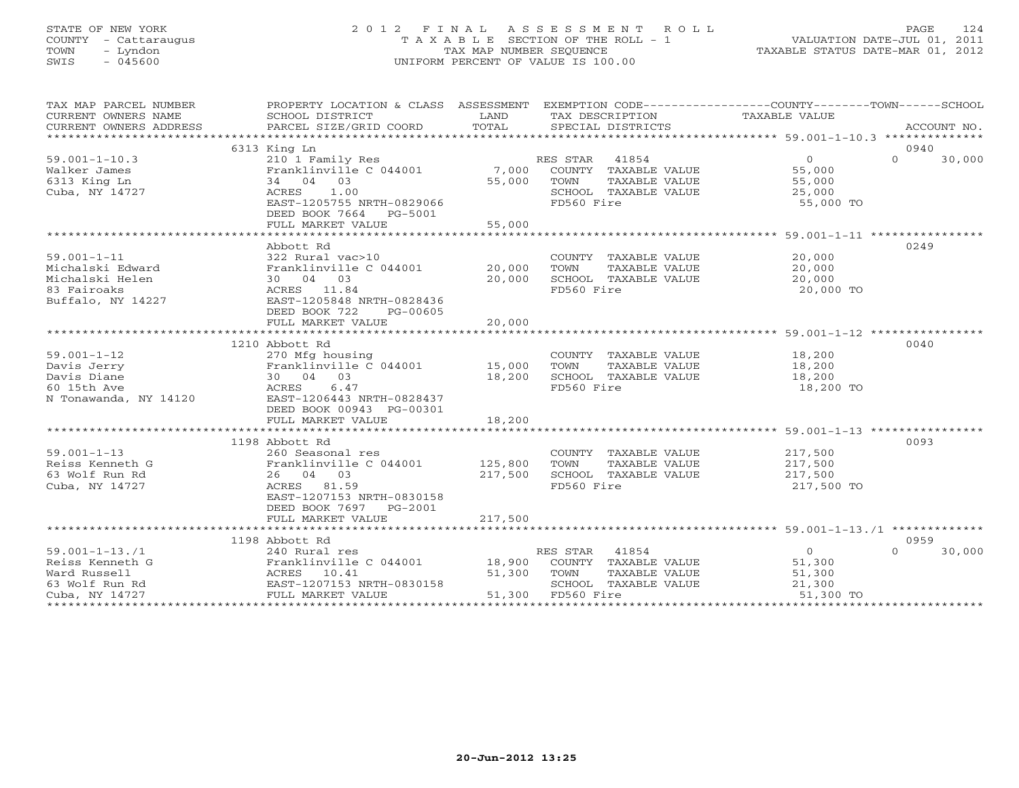# STATE OF NEW YORK 2 0 1 2 F I N A L A S S E S S M E N T R O L L PAGE 124 COUNTY - Cattaraugus T A X A B L E SECTION OF THE ROLL - 1 VALUATION DATE-JUL 01, 2011 TOWN - Lyndon TAX MAP NUMBER SEQUENCE TAXABLE STATUS DATE-MAR 01, 2012 SWIS - 045600 UNIFORM PERCENT OF VALUE IS 100.00UNIFORM PERCENT OF VALUE IS 100.00

| 6313 King Ln<br>0940<br>41854<br>$\overline{0}$<br>$\Omega$<br>30,000<br>$59.001 - 1 - 10.3$<br>RES STAR<br>210 1 Family Res<br>7,000<br>Franklinville C 044001<br>Walker James<br>COUNTY TAXABLE VALUE<br>55,000<br>55,000<br>6313 King Ln<br>34 04 03<br>TOWN<br>TAXABLE VALUE<br>55,000<br>ACRES 1.00<br>Cuba, NY 14727<br>SCHOOL TAXABLE VALUE<br>25,000<br>FD560 Fire<br>EAST-1205755 NRTH-0829066<br>55,000 TO<br>DEED BOOK 7664 PG-5001<br>55,000<br>FULL MARKET VALUE<br>Abbott Rd<br>0249<br>$59.001 - 1 - 11$<br>322 Rural vac>10<br>COUNTY TAXABLE VALUE<br>20,000<br>20,000<br>Michalski Edward<br>Franklinville C 044001<br>TOWN<br>TAXABLE VALUE<br>20,000<br>Michalski Helen<br>30 04 03<br>20,000<br>SCHOOL TAXABLE VALUE<br>20,000<br>ACRES 11.84<br>FD560 Fire<br>20,000 TO<br>83 Fairoaks<br>Buffalo, NY 14227<br>EAST-1205848 NRTH-0828436<br>DEED BOOK 722<br>PG-00605<br>20,000<br>FULL MARKET VALUE<br>1210 Abbott Rd<br>0040<br>$59.001 - 1 - 12$<br>270 Mfg housing<br>COUNTY TAXABLE VALUE<br>18,200<br>Franklinville $C$ 044001 15,000<br>TOWN<br>TAXABLE VALUE<br>Davis Jerry<br>18,200<br>30 04 03<br>SCHOOL TAXABLE VALUE<br>Davis Diane<br>18,200<br>18,200 |
|--------------------------------------------------------------------------------------------------------------------------------------------------------------------------------------------------------------------------------------------------------------------------------------------------------------------------------------------------------------------------------------------------------------------------------------------------------------------------------------------------------------------------------------------------------------------------------------------------------------------------------------------------------------------------------------------------------------------------------------------------------------------------------------------------------------------------------------------------------------------------------------------------------------------------------------------------------------------------------------------------------------------------------------------------------------------------------------------------------------------------------------------------------------------------------------------|
|                                                                                                                                                                                                                                                                                                                                                                                                                                                                                                                                                                                                                                                                                                                                                                                                                                                                                                                                                                                                                                                                                                                                                                                            |
|                                                                                                                                                                                                                                                                                                                                                                                                                                                                                                                                                                                                                                                                                                                                                                                                                                                                                                                                                                                                                                                                                                                                                                                            |
|                                                                                                                                                                                                                                                                                                                                                                                                                                                                                                                                                                                                                                                                                                                                                                                                                                                                                                                                                                                                                                                                                                                                                                                            |
|                                                                                                                                                                                                                                                                                                                                                                                                                                                                                                                                                                                                                                                                                                                                                                                                                                                                                                                                                                                                                                                                                                                                                                                            |
|                                                                                                                                                                                                                                                                                                                                                                                                                                                                                                                                                                                                                                                                                                                                                                                                                                                                                                                                                                                                                                                                                                                                                                                            |
|                                                                                                                                                                                                                                                                                                                                                                                                                                                                                                                                                                                                                                                                                                                                                                                                                                                                                                                                                                                                                                                                                                                                                                                            |
|                                                                                                                                                                                                                                                                                                                                                                                                                                                                                                                                                                                                                                                                                                                                                                                                                                                                                                                                                                                                                                                                                                                                                                                            |
|                                                                                                                                                                                                                                                                                                                                                                                                                                                                                                                                                                                                                                                                                                                                                                                                                                                                                                                                                                                                                                                                                                                                                                                            |
|                                                                                                                                                                                                                                                                                                                                                                                                                                                                                                                                                                                                                                                                                                                                                                                                                                                                                                                                                                                                                                                                                                                                                                                            |
|                                                                                                                                                                                                                                                                                                                                                                                                                                                                                                                                                                                                                                                                                                                                                                                                                                                                                                                                                                                                                                                                                                                                                                                            |
|                                                                                                                                                                                                                                                                                                                                                                                                                                                                                                                                                                                                                                                                                                                                                                                                                                                                                                                                                                                                                                                                                                                                                                                            |
|                                                                                                                                                                                                                                                                                                                                                                                                                                                                                                                                                                                                                                                                                                                                                                                                                                                                                                                                                                                                                                                                                                                                                                                            |
|                                                                                                                                                                                                                                                                                                                                                                                                                                                                                                                                                                                                                                                                                                                                                                                                                                                                                                                                                                                                                                                                                                                                                                                            |
|                                                                                                                                                                                                                                                                                                                                                                                                                                                                                                                                                                                                                                                                                                                                                                                                                                                                                                                                                                                                                                                                                                                                                                                            |
|                                                                                                                                                                                                                                                                                                                                                                                                                                                                                                                                                                                                                                                                                                                                                                                                                                                                                                                                                                                                                                                                                                                                                                                            |
|                                                                                                                                                                                                                                                                                                                                                                                                                                                                                                                                                                                                                                                                                                                                                                                                                                                                                                                                                                                                                                                                                                                                                                                            |
|                                                                                                                                                                                                                                                                                                                                                                                                                                                                                                                                                                                                                                                                                                                                                                                                                                                                                                                                                                                                                                                                                                                                                                                            |
|                                                                                                                                                                                                                                                                                                                                                                                                                                                                                                                                                                                                                                                                                                                                                                                                                                                                                                                                                                                                                                                                                                                                                                                            |
|                                                                                                                                                                                                                                                                                                                                                                                                                                                                                                                                                                                                                                                                                                                                                                                                                                                                                                                                                                                                                                                                                                                                                                                            |
|                                                                                                                                                                                                                                                                                                                                                                                                                                                                                                                                                                                                                                                                                                                                                                                                                                                                                                                                                                                                                                                                                                                                                                                            |
|                                                                                                                                                                                                                                                                                                                                                                                                                                                                                                                                                                                                                                                                                                                                                                                                                                                                                                                                                                                                                                                                                                                                                                                            |
|                                                                                                                                                                                                                                                                                                                                                                                                                                                                                                                                                                                                                                                                                                                                                                                                                                                                                                                                                                                                                                                                                                                                                                                            |
|                                                                                                                                                                                                                                                                                                                                                                                                                                                                                                                                                                                                                                                                                                                                                                                                                                                                                                                                                                                                                                                                                                                                                                                            |
| 60 15th Ave<br>ACRES<br>6.47<br>FD560 Fire<br>18,200 TO                                                                                                                                                                                                                                                                                                                                                                                                                                                                                                                                                                                                                                                                                                                                                                                                                                                                                                                                                                                                                                                                                                                                    |
| N Tonawanda, NY 14120<br>EAST-1206443 NRTH-0828437                                                                                                                                                                                                                                                                                                                                                                                                                                                                                                                                                                                                                                                                                                                                                                                                                                                                                                                                                                                                                                                                                                                                         |
| DEED BOOK 00943 PG-00301                                                                                                                                                                                                                                                                                                                                                                                                                                                                                                                                                                                                                                                                                                                                                                                                                                                                                                                                                                                                                                                                                                                                                                   |
| FULL MARKET VALUE<br>18,200                                                                                                                                                                                                                                                                                                                                                                                                                                                                                                                                                                                                                                                                                                                                                                                                                                                                                                                                                                                                                                                                                                                                                                |
|                                                                                                                                                                                                                                                                                                                                                                                                                                                                                                                                                                                                                                                                                                                                                                                                                                                                                                                                                                                                                                                                                                                                                                                            |
| 0093<br>1198 Abbott Rd                                                                                                                                                                                                                                                                                                                                                                                                                                                                                                                                                                                                                                                                                                                                                                                                                                                                                                                                                                                                                                                                                                                                                                     |
| $59.001 - 1 - 13$<br>COUNTY TAXABLE VALUE 217,500<br>260 Seasonal res                                                                                                                                                                                                                                                                                                                                                                                                                                                                                                                                                                                                                                                                                                                                                                                                                                                                                                                                                                                                                                                                                                                      |
| Reiss Kenneth G<br>Franklinville C 044001 125,800<br>TOWN<br>TAXABLE VALUE<br>217,500<br>217,500                                                                                                                                                                                                                                                                                                                                                                                                                                                                                                                                                                                                                                                                                                                                                                                                                                                                                                                                                                                                                                                                                           |
| 63 Wolf Run Rd<br>26 04 03<br>217,500<br>SCHOOL TAXABLE VALUE                                                                                                                                                                                                                                                                                                                                                                                                                                                                                                                                                                                                                                                                                                                                                                                                                                                                                                                                                                                                                                                                                                                              |
| Cuba, NY 14727<br>ACRES 81.59<br>FD560 Fire<br>217,500 TO                                                                                                                                                                                                                                                                                                                                                                                                                                                                                                                                                                                                                                                                                                                                                                                                                                                                                                                                                                                                                                                                                                                                  |
| EAST-1207153 NRTH-0830158                                                                                                                                                                                                                                                                                                                                                                                                                                                                                                                                                                                                                                                                                                                                                                                                                                                                                                                                                                                                                                                                                                                                                                  |
| DEED BOOK 7697<br>$PG-2001$                                                                                                                                                                                                                                                                                                                                                                                                                                                                                                                                                                                                                                                                                                                                                                                                                                                                                                                                                                                                                                                                                                                                                                |
| 217,500<br>FULL MARKET VALUE                                                                                                                                                                                                                                                                                                                                                                                                                                                                                                                                                                                                                                                                                                                                                                                                                                                                                                                                                                                                                                                                                                                                                               |
|                                                                                                                                                                                                                                                                                                                                                                                                                                                                                                                                                                                                                                                                                                                                                                                                                                                                                                                                                                                                                                                                                                                                                                                            |
| 1198 Abbott Rd<br>0959                                                                                                                                                                                                                                                                                                                                                                                                                                                                                                                                                                                                                                                                                                                                                                                                                                                                                                                                                                                                                                                                                                                                                                     |
| $59.001 - 1 - 13.71$<br>RES STAR 41854<br>$\Omega$<br>$\Omega$<br>30,000<br>240 Rural res                                                                                                                                                                                                                                                                                                                                                                                                                                                                                                                                                                                                                                                                                                                                                                                                                                                                                                                                                                                                                                                                                                  |
| Reiss Kenneth G<br>Franklinville C 044001 18,900<br>COUNTY TAXABLE VALUE<br>51,300                                                                                                                                                                                                                                                                                                                                                                                                                                                                                                                                                                                                                                                                                                                                                                                                                                                                                                                                                                                                                                                                                                         |
| Ward Russell<br>ACRES 10.41<br>51,300<br>TOWN<br>TAXABLE VALUE<br>51,300                                                                                                                                                                                                                                                                                                                                                                                                                                                                                                                                                                                                                                                                                                                                                                                                                                                                                                                                                                                                                                                                                                                   |
| EAST-1207153 NRTH-0830158<br>63 Wolf Run Rd<br>SCHOOL TAXABLE VALUE<br>21,300                                                                                                                                                                                                                                                                                                                                                                                                                                                                                                                                                                                                                                                                                                                                                                                                                                                                                                                                                                                                                                                                                                              |
| 51,300 FD560 Fire<br>FULL MARKET VALUE<br>51,300 TO<br>Cuba, NY 14727                                                                                                                                                                                                                                                                                                                                                                                                                                                                                                                                                                                                                                                                                                                                                                                                                                                                                                                                                                                                                                                                                                                      |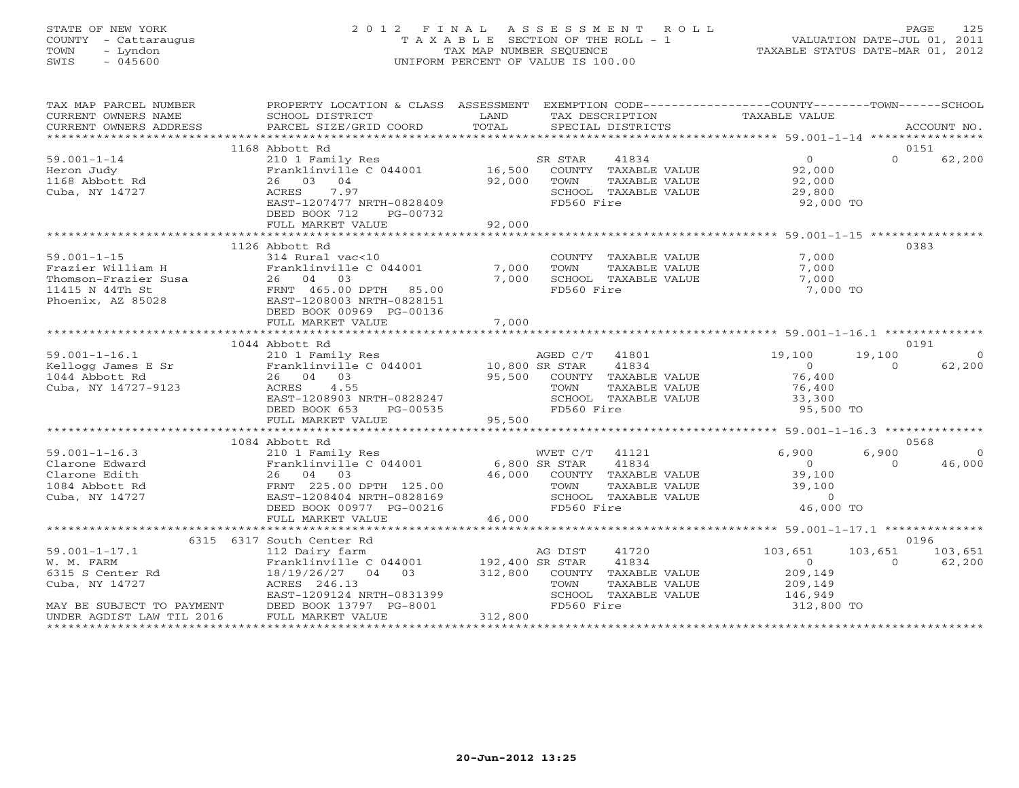# STATE OF NEW YORK 2 0 1 2 F I N A L A S S E S S M E N T R O L L PAGE 125 COUNTY - Cattaraugus T A X A B L E SECTION OF THE ROLL - 1 VALUATION DATE-JUL 01, 2011 TOWN - Lyndon TAX MAP NUMBER SEQUENCE TAXABLE STATUS DATE-MAR 01, 2012 SWIS - 045600 UNIFORM PERCENT OF VALUE IS 100.00UNIFORM PERCENT OF VALUE IS 100.00

| TAX MAP PARCEL NUMBER<br>CURRENT OWNERS NAME                                                                                      | PROPERTY LOCATION & CLASS ASSESSMENT<br>SCHOOL DISTRICT                                                                                                                                 | LAND                                  | EXEMPTION CODE----------------COUNTY-------TOWN------SCHOOL<br>TAX DESCRIPTION                                    | TAXABLE VALUE                                                            |                                                  |
|-----------------------------------------------------------------------------------------------------------------------------------|-----------------------------------------------------------------------------------------------------------------------------------------------------------------------------------------|---------------------------------------|-------------------------------------------------------------------------------------------------------------------|--------------------------------------------------------------------------|--------------------------------------------------|
|                                                                                                                                   |                                                                                                                                                                                         |                                       |                                                                                                                   |                                                                          | 0151                                             |
| $59.001 - 1 - 14$<br>Heron Judy<br>1168 Abbott Rd<br>Cuba, NY 14727                                                               | 1168 Abbott Rd<br>210 1 Family Res<br>Franklinville C 044001 16,500<br>26 03 04<br>7.97<br>ACRES<br>EAST-1207477 NRTH-0828409<br>DEED BOOK 712<br>PG-00732<br>FULL MARKET VALUE         | 92,000<br>92,000                      | 41834<br>SR STAR<br>COUNTY TAXABLE VALUE<br>TOWN<br>TAXABLE VALUE<br>SCHOOL TAXABLE VALUE<br>FD560 Fire           | $\overline{0}$<br>92,000<br>92,000<br>29,800<br>92,000 TO                | $\Omega$<br>62,200                               |
|                                                                                                                                   |                                                                                                                                                                                         |                                       |                                                                                                                   |                                                                          |                                                  |
| $59.001 - 1 - 15$<br>Frazier William H<br>Thomson-Frazier Susa<br>11415 N 44Th St<br>Phoenix, AZ 85028                            | 1126 Abbott Rd<br>314 Rural vac<10<br>Franklinville C 044001<br>26 04 03<br>FRNT 465.00 DPTH 85.00<br>EAST-1208003 NRTH-0828151<br>DEED BOOK 00969 PG-00136                             | 7,000<br>7,000                        | COUNTY TAXABLE VALUE<br>TOWN<br>TAXABLE VALUE<br>SCHOOL TAXABLE VALUE<br>FD560 Fire                               | 7,000<br>7,000<br>7,000<br>7,000 TO                                      | 0383                                             |
|                                                                                                                                   | FULL MARKET VALUE                                                                                                                                                                       | 7,000                                 |                                                                                                                   |                                                                          |                                                  |
|                                                                                                                                   | 1044 Abbott Rd                                                                                                                                                                          |                                       |                                                                                                                   |                                                                          | 0191                                             |
| $59.001 - 1 - 16.1$<br>Kellogg James E Sr<br>1044 Abbott Rd<br>Cuba, NY 14727-9123                                                | 210 1 Family Res<br>Franklinville C 044001 10,800 SR STAR<br>26 04 03<br>ACRES<br>4.55<br>EAST-1208903 NRTH-0828247<br>DEED BOOK 653<br>PG-00535                                        | 95,500                                | 41801<br>AGED C/T<br>41834<br>COUNTY TAXABLE VALUE<br>TAXABLE VALUE<br>TOWN<br>SCHOOL TAXABLE VALUE<br>FD560 Fire | 19,100<br>$\overline{0}$<br>76,400<br>76,400<br>33,300<br>95,500 TO      | 19,100<br>$\Omega$<br>62,200<br>$\Omega$         |
|                                                                                                                                   | FULL MARKET VALUE                                                                                                                                                                       | 95,500                                |                                                                                                                   |                                                                          |                                                  |
|                                                                                                                                   |                                                                                                                                                                                         |                                       |                                                                                                                   |                                                                          |                                                  |
| $59.001 - 1 - 16.3$<br>Clarone Edward<br>Clarone Edith<br>1084 Abbott Rd<br>Cuba, NY 14727                                        | 1084 Abbott Rd<br>210 1 Family Res<br>Franklinville C 044001<br>26 04 03<br>FRNT 225.00 DPTH 125.00<br>EAST-1208404 NRTH-0828169<br>DEED BOOK 00977 PG-00216                            | 6,800 SR STAR<br>46,000               | WVET C/T<br>41121<br>41834<br>COUNTY TAXABLE VALUE<br>TOWN<br>TAXABLE VALUE<br>SCHOOL TAXABLE VALUE<br>FD560 Fire | 6,900<br>$\Omega$<br>39,100<br>39,100<br>$\Omega$<br>46,000 TO           | 0568<br>6,900<br>$\Omega$<br>$\Omega$<br>46,000  |
|                                                                                                                                   | FULL MARKET VALUE                                                                                                                                                                       | 46,000                                |                                                                                                                   |                                                                          |                                                  |
|                                                                                                                                   |                                                                                                                                                                                         |                                       |                                                                                                                   |                                                                          |                                                  |
| $59.001 - 1 - 17.1$<br>W. M. FARM<br>6315 S Center Rd<br>Cuba, NY 14727<br>MAY BE SUBJECT TO PAYMENT<br>UNDER AGDIST LAW TIL 2016 | 6315 6317 South Center Rd<br>112 Dairy farm<br>Franklinville C 044001<br>18/19/26/27 04 03<br>ACRES 246.13<br>EAST-1209124 NRTH-0831399<br>DEED BOOK 13797 PG-8001<br>FULL MARKET VALUE | 192,400 SR STAR<br>312,800<br>312,800 | AG DIST<br>41720<br>41834<br>COUNTY TAXABLE VALUE<br>TOWN<br>TAXABLE VALUE<br>SCHOOL TAXABLE VALUE<br>FD560 Fire  | 103,651<br>$\overline{0}$<br>209,149<br>209,149<br>146,949<br>312,800 TO | 0196<br>103,651<br>103,651<br>$\Omega$<br>62,200 |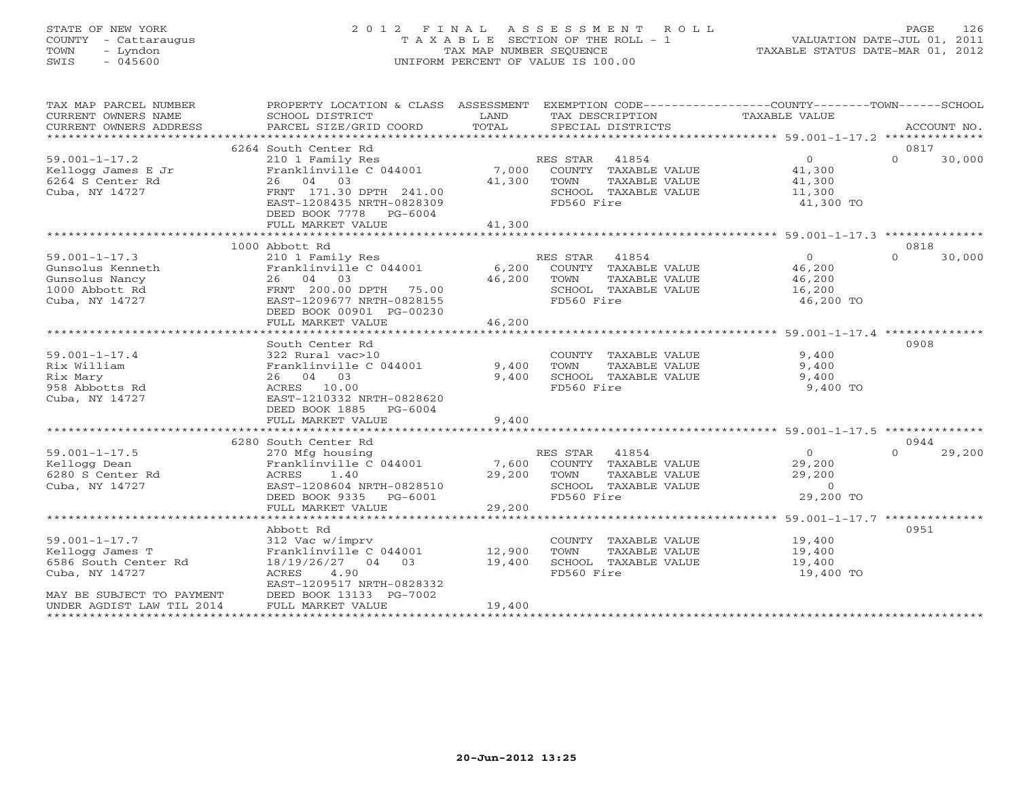## STATE OF NEW YORK 2 0 1 2 F I N A L A S S E S S M E N T R O L L PAGE 126 COUNTY - Cattaraugus T A X A B L E SECTION OF THE ROLL - 1 VALUATION DATE-JUL 01, 2011 TOWN - Lyndon TAX MAP NUMBER SEQUENCE TAXABLE STATUS DATE-MAR 01, 2012 SWIS - 045600 UNIFORM PERCENT OF VALUE IS 100.00UNIFORM PERCENT OF VALUE IS 100.00

| TAX MAP PARCEL NUMBER<br>CURRENT OWNERS NAME<br>CURRENT OWNERS ADDRESS | PROPERTY LOCATION & CLASS ASSESSMENT<br>SCHOOL DISTRICT<br>PARCEL SIZE/GRID COORD | LAND<br>TOTAL | EXEMPTION CODE----------------COUNTY-------TOWN------SCHOOL<br>TAX DESCRIPTION<br>SPECIAL DISTRICTS | TAXABLE VALUE        | ACCOUNT NO.        |
|------------------------------------------------------------------------|-----------------------------------------------------------------------------------|---------------|-----------------------------------------------------------------------------------------------------|----------------------|--------------------|
|                                                                        |                                                                                   |               |                                                                                                     |                      |                    |
|                                                                        | 6264 South Center Rd                                                              |               |                                                                                                     |                      | 0817               |
| $59.001 - 1 - 17.2$                                                    | 210 1 Family Res                                                                  |               | RES STAR<br>41854                                                                                   | $\overline{0}$       | $\Omega$<br>30,000 |
| Kellogg James E Jr                                                     | Franklinville C 044001                                                            |               | 7,000 COUNTY TAXABLE VALUE                                                                          | 41,300               |                    |
| 6264 S Center Rd                                                       | 26 04 03                                                                          | 41,300        | TOWN<br>TAXABLE VALUE                                                                               | 41,300               |                    |
| Cuba, NY 14727                                                         | FRNT 171.30 DPTH 241.00                                                           |               | SCHOOL TAXABLE VALUE                                                                                | 11,300               |                    |
|                                                                        | EAST-1208435 NRTH-0828309                                                         |               | FD560 Fire                                                                                          | 41,300 TO            |                    |
|                                                                        | DEED BOOK 7778 PG-6004                                                            |               |                                                                                                     |                      |                    |
|                                                                        | FULL MARKET VALUE                                                                 | 41,300        |                                                                                                     |                      |                    |
|                                                                        |                                                                                   |               |                                                                                                     |                      |                    |
|                                                                        | 1000 Abbott Rd                                                                    |               |                                                                                                     |                      | 0818               |
| $59.001 - 1 - 17.3$                                                    | 210 1 Family Res                                                                  |               | RES STAR<br>41854                                                                                   | $\overline{0}$       | $\Omega$<br>30,000 |
| Gunsolus Kenneth                                                       | Franklinville C 044001                                                            | 6,200         | COUNTY TAXABLE VALUE                                                                                | 46,200               |                    |
| Gunsolus Nancy                                                         | 26 04 03                                                                          | 46,200        | TOWN<br>TAXABLE VALUE                                                                               | 46,200               |                    |
| 1000 Abbott Rd                                                         | FRNT 200.00 DPTH 75.00                                                            |               | SCHOOL TAXABLE VALUE                                                                                | 16,200               |                    |
| Cuba, NY 14727                                                         | EAST-1209677 NRTH-0828155                                                         |               | FD560 Fire                                                                                          | 46,200 TO            |                    |
|                                                                        | DEED BOOK 00901 PG-00230                                                          |               |                                                                                                     |                      |                    |
|                                                                        | FULL MARKET VALUE                                                                 | 46,200        |                                                                                                     |                      |                    |
|                                                                        |                                                                                   |               |                                                                                                     |                      |                    |
|                                                                        | South Center Rd                                                                   |               |                                                                                                     |                      | 0908               |
| $59.001 - 1 - 17.4$                                                    | 322 Rural vac>10                                                                  |               | COUNTY TAXABLE VALUE                                                                                | 9,400                |                    |
| Rix William                                                            | Franklinville C 044001                                                            | 9,400         | TAXABLE VALUE<br>TOWN                                                                               | 9,400                |                    |
| Rix Mary                                                               | 26 04 03                                                                          | 9,400         | SCHOOL TAXABLE VALUE                                                                                | 9,400                |                    |
| 958 Abbotts Rd                                                         | ACRES 10.00                                                                       |               | FD560 Fire                                                                                          | 9,400 TO             |                    |
| Cuba, NY 14727                                                         | EAST-1210332 NRTH-0828620                                                         |               |                                                                                                     |                      |                    |
|                                                                        | DEED BOOK 1885 PG-6004                                                            |               |                                                                                                     |                      |                    |
|                                                                        | FULL MARKET VALUE                                                                 | 9,400         |                                                                                                     |                      |                    |
|                                                                        |                                                                                   |               |                                                                                                     |                      |                    |
|                                                                        | 6280 South Center Rd                                                              |               |                                                                                                     |                      | 0944               |
| $59.001 - 1 - 17.5$                                                    | 270 Mfg housing                                                                   |               | RES STAR<br>41854                                                                                   | $\circ$              | 29,200<br>$\Omega$ |
| Kellogg Dean                                                           | Franklinville C 044001                                                            |               | 7,600 COUNTY TAXABLE VALUE                                                                          | 29,200               |                    |
|                                                                        | ACRES<br>1.40                                                                     | 29,200        | TOWN                                                                                                | 29,200               |                    |
| 6280 S Center Rd                                                       |                                                                                   |               | TAXABLE VALUE                                                                                       |                      |                    |
| Cuba, NY 14727                                                         | EAST-1208604 NRTH-0828510                                                         |               | SCHOOL TAXABLE VALUE                                                                                | $\circ$<br>29,200 TO |                    |
|                                                                        | DEED BOOK 9335 PG-6001                                                            |               | FD560 Fire                                                                                          |                      |                    |
|                                                                        | FULL MARKET VALUE                                                                 | 29,200        |                                                                                                     |                      |                    |
|                                                                        |                                                                                   |               |                                                                                                     |                      |                    |
|                                                                        | Abbott Rd                                                                         |               |                                                                                                     |                      | 0951               |
| $59.001 - 1 - 17.7$                                                    | 312 Vac w/imprv                                                                   |               | COUNTY TAXABLE VALUE                                                                                | 19,400               |                    |
| Kellogg James T                                                        | Franklinville C 044001                                                            | 12,900        | TAXABLE VALUE<br>TOWN                                                                               | 19,400               |                    |
| 6586 South Center Rd                                                   | 18/19/26/27 04 03                                                                 | 19,400        | SCHOOL TAXABLE VALUE                                                                                | 19,400               |                    |
| Cuba, NY 14727                                                         | ACRES<br>4.90                                                                     |               | FD560 Fire                                                                                          | 19,400 TO            |                    |
|                                                                        | EAST-1209517 NRTH-0828332                                                         |               |                                                                                                     |                      |                    |
| MAY BE SUBJECT TO PAYMENT                                              | DEED BOOK 13133 PG-7002                                                           |               |                                                                                                     |                      |                    |
| UNDER AGDIST LAW TIL 2014<br>*********************                     | FULL MARKET VALUE                                                                 | 19,400        |                                                                                                     |                      |                    |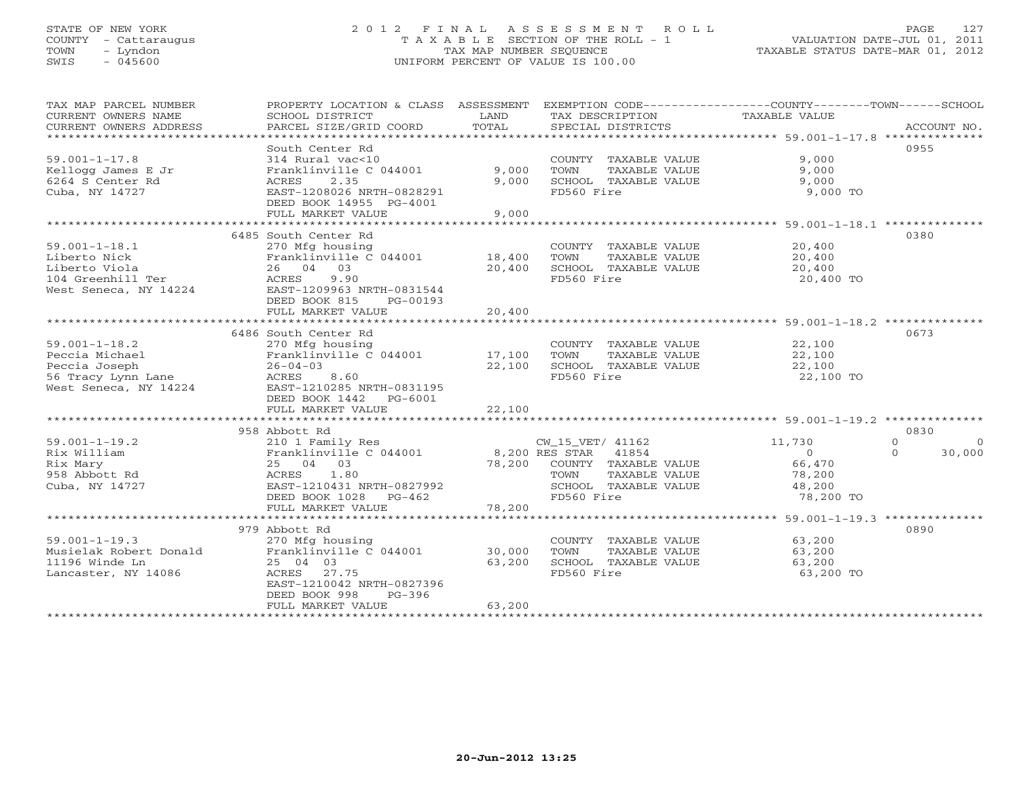# STATE OF NEW YORK 2 0 1 2 F I N A L A S S E S S M E N T R O L L PAGE 127 COUNTY - Cattaraugus T A X A B L E SECTION OF THE ROLL - 1 VALUATION DATE-JUL 01, 2011 TOWN - Lyndon TAX MAP NUMBER SEQUENCE TAXABLE STATUS DATE-MAR 01, 2012 SWIS - 045600 UNIFORM PERCENT OF VALUE IS 100.00UNIFORM PERCENT OF VALUE IS 100.00

| TAX MAP PARCEL NUMBER<br>CURRENT OWNERS NAME<br>CURRENT OWNERS ADDRESS                                | PROPERTY LOCATION & CLASS ASSESSMENT EXEMPTION CODE---------------COUNTY-------TOWN------SCHOOL<br>SCHOOL DISTRICT<br>PARCEL SIZE/GRID COORD                                        | LAND<br>TOTAL              | TAX DESCRIPTION<br>SPECIAL DISTRICTS                                                                                            | TAXABLE VALUE                                                                                             | ACCOUNT NO.                                    |
|-------------------------------------------------------------------------------------------------------|-------------------------------------------------------------------------------------------------------------------------------------------------------------------------------------|----------------------------|---------------------------------------------------------------------------------------------------------------------------------|-----------------------------------------------------------------------------------------------------------|------------------------------------------------|
| ******************************                                                                        |                                                                                                                                                                                     |                            |                                                                                                                                 |                                                                                                           |                                                |
|                                                                                                       | South Center Rd                                                                                                                                                                     |                            |                                                                                                                                 |                                                                                                           | 0955                                           |
| $59.001 - 1 - 17.8$<br>Kellogg James E Jr<br>6264 S Center Rd<br>Cuba, NY 14727                       | 314 Rural vac<10<br>Franklinville C 044001<br>2.35<br>ACRES<br>EAST-1208026 NRTH-0828291<br>DEED BOOK 14955 PG-4001<br>FULL MARKET VALUE                                            | 9,000<br>9,000<br>9,000    | COUNTY TAXABLE VALUE<br>TOWN<br>TAXABLE VALUE<br>SCHOOL TAXABLE VALUE<br>FD560 Fire                                             | 9,000<br>9,000<br>9,000<br>9,000 TO                                                                       |                                                |
|                                                                                                       |                                                                                                                                                                                     |                            |                                                                                                                                 |                                                                                                           |                                                |
| $59.001 - 1 - 18.1$<br>Liberto Nick<br>Liberto Viola<br>104 Greenhill Ter<br>West Seneca, NY 14224    | 6485 South Center Rd<br>270 Mfg housing<br>Franklinville C 044001<br>26 04 03<br>ACRES<br>9.90<br>EAST-1209963 NRTH-0831544<br>DEED BOOK 815<br>PG-00193<br>FULL MARKET VALUE       | 18,400<br>20,400<br>20,400 | COUNTY TAXABLE VALUE<br>TOWN<br>TAXABLE VALUE<br>SCHOOL TAXABLE VALUE<br>FD560 Fire                                             | 20,400<br>20,400<br>20,400<br>20,400 TO<br>********************************* 59.001-1-18.2 ************** | 0380                                           |
|                                                                                                       |                                                                                                                                                                                     |                            |                                                                                                                                 |                                                                                                           |                                                |
| $59.001 - 1 - 18.2$<br>Peccia Michael<br>Peccia Joseph<br>56 Tracy Lynn Lane<br>West Seneca, NY 14224 | 6486 South Center Rd<br>270 Mfg housing<br>Franklinville C 044001<br>$26 - 04 - 03$<br>8.60<br>ACRES<br>EAST-1210285 NRTH-0831195<br>DEED BOOK 1442<br>PG-6001<br>FULL MARKET VALUE | 17,100<br>22,100<br>22,100 | COUNTY TAXABLE VALUE<br>TOWN<br>TAXABLE VALUE<br>SCHOOL TAXABLE VALUE<br>FD560 Fire                                             | 22,100<br>22,100<br>22,100<br>22,100 TO                                                                   | 0673                                           |
|                                                                                                       | 958 Abbott Rd                                                                                                                                                                       |                            |                                                                                                                                 |                                                                                                           | 0830                                           |
| $59.001 - 1 - 19.2$<br>Rix William<br>Rix Mary<br>958 Abbott Rd<br>Cuba, NY 14727                     | 210 1 Family Res<br>Franklinville C 044001<br>25 04 03<br>1.80<br>ACRES<br>EAST-1210431 NRTH-0827992<br>DEED BOOK 1028<br>PG-462<br>FULL MARKET VALUE                               | 78,200<br>78,200           | CW 15 VET/ 41162<br>8,200 RES STAR 41854<br>COUNTY TAXABLE VALUE<br>TOWN<br>TAXABLE VALUE<br>SCHOOL TAXABLE VALUE<br>FD560 Fire | 11,730<br>$\Omega$<br>66,470<br>78,200<br>48,200<br>78,200 TO                                             | $\mathbf{0}$<br>$\Omega$<br>$\Omega$<br>30,000 |
|                                                                                                       | *************************                                                                                                                                                           |                            |                                                                                                                                 |                                                                                                           |                                                |
| $59.001 - 1 - 19.3$<br>Musielak Robert Donald<br>11196 Winde Ln<br>Lancaster, NY 14086                | 979 Abbott Rd<br>270 Mfg housing<br>Franklinville C 044001<br>25 04 03<br>ACRES 27.75<br>EAST-1210042 NRTH-0827396<br>DEED BOOK 998<br>$PG-396$<br>FULL MARKET VALUE                | 30,000<br>63,200<br>63,200 | COUNTY TAXABLE VALUE<br>TOWN<br>TAXABLE VALUE<br>SCHOOL TAXABLE VALUE<br>FD560 Fire                                             | 63,200<br>63,200<br>63,200<br>63,200 TO                                                                   | 0890                                           |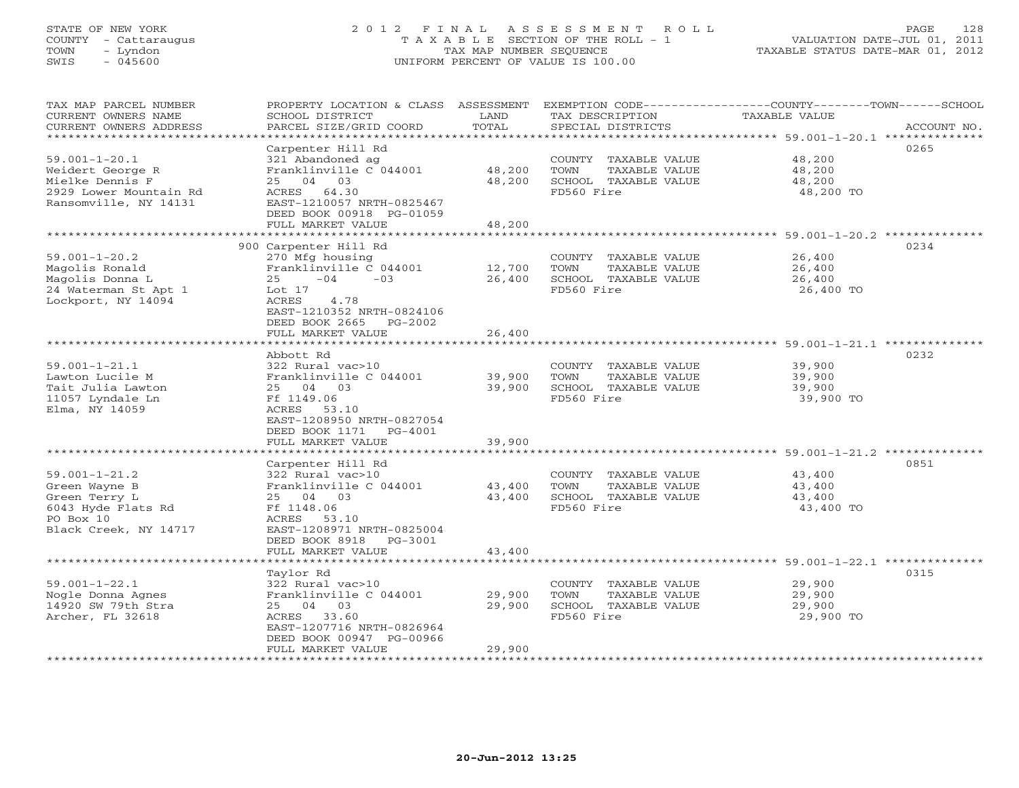# STATE OF NEW YORK 2 0 1 2 F I N A L A S S E S S M E N T R O L L PAGE 128 COUNTY - Cattaraugus T A X A B L E SECTION OF THE ROLL - 1 VALUATION DATE-JUL 01, 2011 TOWN - Lyndon TAX MAP NUMBER SEQUENCE TAXABLE STATUS DATE-MAR 01, 2012 SWIS - 045600 UNIFORM PERCENT OF VALUE IS 100.00UNIFORM PERCENT OF VALUE IS 100.00

| TAX MAP PARCEL NUMBER   | PROPERTY LOCATION & CLASS ASSESSMENT                 |                         |                       | EXEMPTION CODE----------------COUNTY-------TOWN-----SCHOOL      |
|-------------------------|------------------------------------------------------|-------------------------|-----------------------|-----------------------------------------------------------------|
| CURRENT OWNERS NAME     | SCHOOL DISTRICT                                      | LAND                    | TAX DESCRIPTION       | TAXABLE VALUE                                                   |
| CURRENT OWNERS ADDRESS  | PARCEL SIZE/GRID COORD                               | TOTAL                   | SPECIAL DISTRICTS     | ACCOUNT NO.                                                     |
| *********************** |                                                      |                         |                       | ********************************** 59.001-1-20.1 ************** |
|                         | Carpenter Hill Rd                                    |                         |                       | 0265                                                            |
| $59.001 - 1 - 20.1$     | 321 Abandoned ag                                     |                         | COUNTY TAXABLE VALUE  | 48,200                                                          |
| Weidert George R        | Franklinville C 044001                               | 48,200                  | TOWN<br>TAXABLE VALUE | 48,200                                                          |
| Mielke Dennis F         | 25 04 03                                             | 48,200                  | SCHOOL TAXABLE VALUE  | 48,200                                                          |
| 2929 Lower Mountain Rd  | ACRES 64.30                                          |                         | FD560 Fire            | 48,200 TO                                                       |
| Ransomville, NY 14131   | EAST-1210057 NRTH-0825467                            |                         |                       |                                                                 |
|                         |                                                      |                         |                       |                                                                 |
|                         | DEED BOOK 00918 PG-01059                             |                         |                       |                                                                 |
|                         | FULL MARKET VALUE<br>******************************* | 48,200<br>************* |                       |                                                                 |
|                         |                                                      |                         |                       | 0234                                                            |
|                         | 900 Carpenter Hill Rd                                |                         |                       |                                                                 |
| $59.001 - 1 - 20.2$     | 270 Mfg housing                                      |                         | COUNTY TAXABLE VALUE  | 26,400                                                          |
| Magolis Ronald          | Franklinville C 044001                               | 12,700                  | TOWN<br>TAXABLE VALUE | 26,400                                                          |
| Magolis Donna L         | 25<br>$-04$<br>$-0.3$                                | 26,400                  | SCHOOL TAXABLE VALUE  | 26,400                                                          |
| 24 Waterman St Apt 1    | Lot 17                                               |                         | FD560 Fire            | 26,400 TO                                                       |
| Lockport, NY 14094      | ACRES<br>4.78                                        |                         |                       |                                                                 |
|                         | EAST-1210352 NRTH-0824106                            |                         |                       |                                                                 |
|                         | DEED BOOK 2665<br>PG-2002                            |                         |                       |                                                                 |
|                         | FULL MARKET VALUE                                    | 26,400                  |                       |                                                                 |
|                         | *******************                                  | ********                |                       | ******************************** 59.001-1-21.1 **************   |
|                         | Abbott Rd                                            |                         |                       | 0232                                                            |
| $59.001 - 1 - 21.1$     | 322 Rural vac>10                                     |                         | COUNTY TAXABLE VALUE  | 39,900                                                          |
| Lawton Lucile M         | Franklinville C 044001                               | 39,900                  | TAXABLE VALUE<br>TOWN | 39,900                                                          |
| Tait Julia Lawton       | 25 04 03                                             | 39,900                  | SCHOOL TAXABLE VALUE  | 39,900                                                          |
| 11057 Lyndale Ln        | Ff 1149.06                                           |                         | FD560 Fire            | 39,900 TO                                                       |
| Elma, NY 14059          | ACRES<br>53.10                                       |                         |                       |                                                                 |
|                         | EAST-1208950 NRTH-0827054                            |                         |                       |                                                                 |
|                         | DEED BOOK 1171<br>PG-4001                            |                         |                       |                                                                 |
|                         | FULL MARKET VALUE                                    | 39,900                  |                       |                                                                 |
|                         | *************************                            |                         |                       |                                                                 |
|                         | Carpenter Hill Rd                                    |                         |                       | 0851                                                            |
| $59.001 - 1 - 21.2$     | 322 Rural vac>10                                     |                         | COUNTY TAXABLE VALUE  | 43,400                                                          |
| Green Wayne B           | Franklinville C 044001                               | 43,400                  | TOWN<br>TAXABLE VALUE | 43,400                                                          |
| Green Terry L           | 25 04 03                                             | 43,400                  | SCHOOL TAXABLE VALUE  | 43,400                                                          |
| 6043 Hyde Flats Rd      | Ff 1148.06                                           |                         | FD560 Fire            | 43,400 TO                                                       |
| PO Box 10               | ACRES 53.10                                          |                         |                       |                                                                 |
| Black Creek, NY 14717   | EAST-1208971 NRTH-0825004                            |                         |                       |                                                                 |
|                         | DEED BOOK 8918<br>$PG-3001$                          |                         |                       |                                                                 |
|                         | FULL MARKET VALUE                                    | 43,400                  |                       |                                                                 |
|                         |                                                      |                         |                       |                                                                 |
|                         | Taylor Rd                                            |                         |                       | 0315                                                            |
| $59.001 - 1 - 22.1$     | 322 Rural vac>10                                     |                         | COUNTY TAXABLE VALUE  | 29,900                                                          |
| Nogle Donna Agnes       | Franklinville C 044001                               | 29,900                  | TOWN<br>TAXABLE VALUE | 29,900                                                          |
| 14920 SW 79th Stra      | 25 04 03                                             | 29,900                  | SCHOOL TAXABLE VALUE  | 29,900                                                          |
| Archer, FL 32618        | 33.60<br>ACRES                                       |                         | FD560 Fire            | 29,900 TO                                                       |
|                         | EAST-1207716 NRTH-0826964                            |                         |                       |                                                                 |
|                         | DEED BOOK 00947 PG-00966                             |                         |                       |                                                                 |
|                         | FULL MARKET VALUE                                    | 29,900                  |                       |                                                                 |
| **********************  | *****************************                        | ***********             |                       |                                                                 |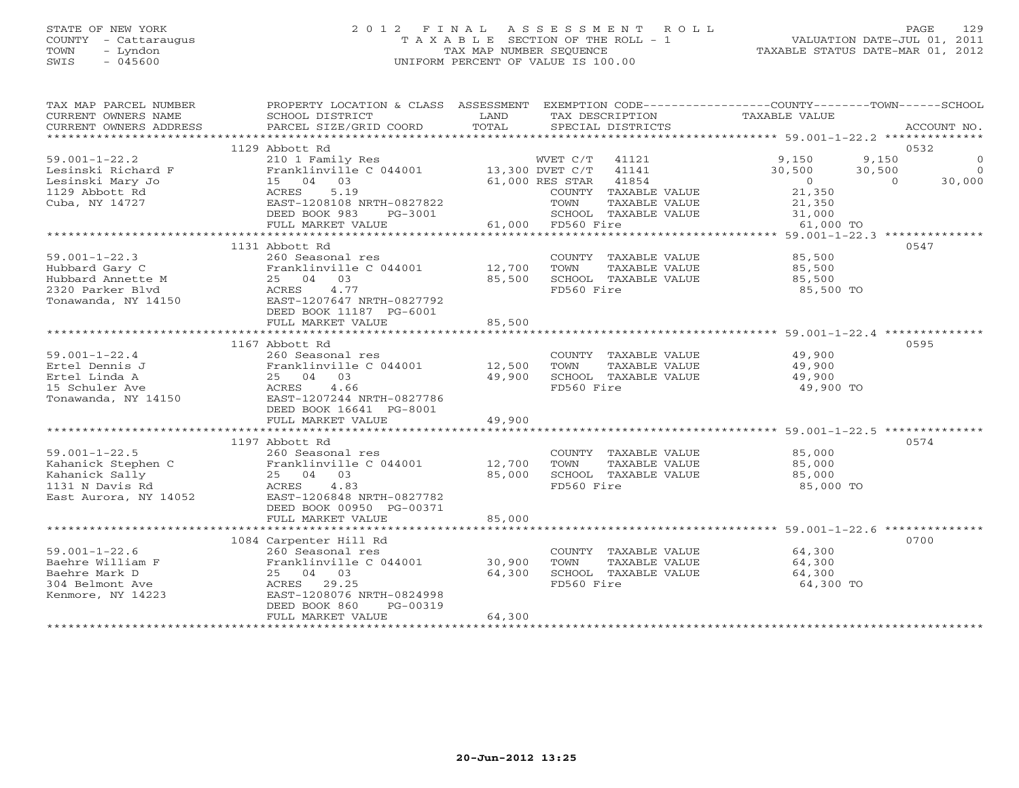# STATE OF NEW YORK 2 0 1 2 F I N A L A S S E S S M E N T R O L L PAGE 129 COUNTY - Cattaraugus T A X A B L E SECTION OF THE ROLL - 1 VALUATION DATE-JUL 01, 2011 TOWN - Lyndon TAX MAP NUMBER SEQUENCE TAXABLE STATUS DATE-MAR 01, 2012 SWIS - 045600 UNIFORM PERCENT OF VALUE IS 100.00UNIFORM PERCENT OF VALUE IS 100.00

| 1129 Abbott Rd<br>0532<br>210 1 Family Res<br>$59.001 - 1 - 22.2$<br>WVET C/T<br>41121<br>9,150<br>9,150<br>$\Omega$<br>Franklinville C $044001$ 13,300 DVET C/T<br>41141<br>30,500<br>30,500<br>Lesinski Richard F<br>$\Omega$<br>Lesinski Mary Jo<br>15 04 03<br>61,000 RES STAR<br>41854<br>30,000<br>$\circ$<br>$\Omega$<br>1129 Abbott Rd<br>ACRES<br>5.19<br>21,350<br>COUNTY TAXABLE VALUE<br>Cuba, NY 14727<br>EAST-1208108 NRTH-0827822<br>TOWN<br>TAXABLE VALUE<br>21,350<br>DEED BOOK 983<br>SCHOOL TAXABLE VALUE<br>31,000<br>PG-3001<br>61,000 FD560 Fire<br>FULL MARKET VALUE<br>61,000 TO<br>0547<br>1131 Abbott Rd<br>$59.001 - 1 - 22.3$<br>260 Seasonal res<br>85,500<br>COUNTY TAXABLE VALUE<br>Hubbard Gary C<br>Franklinville C 044001<br>12,700<br>TOWN<br>TAXABLE VALUE<br>85,500<br>Hubbard Annette M<br>25 04 03<br>85,500<br>SCHOOL TAXABLE VALUE<br>85,500<br>2320 Parker Blyd<br>4.77<br>FD560 Fire<br>ACRES<br>85,500 TO<br>EAST-1207647 NRTH-0827792<br>Tonawanda, NY 14150<br>DEED BOOK 11187 PG-6001<br>FULL MARKET VALUE<br>85,500<br>1167 Abbott Rd<br>0595<br>$59.001 - 1 - 22.4$<br>260 Seasonal res<br>COUNTY TAXABLE VALUE<br>49,900<br>Ertel Dennis J<br>Franklinville C 044001<br>12,500<br>TOWN<br>TAXABLE VALUE<br>49,900<br>49,900<br>Ertel Linda A<br>25 04 03<br>49,900<br>SCHOOL TAXABLE VALUE<br>FD560 Fire<br>15 Schuler Ave<br>ACRES<br>4.66<br>49,900 TO<br>EAST-1207244 NRTH-0827786<br>Tonawanda, NY 14150<br>DEED BOOK 16641 PG-8001<br>49,900<br>FULL MARKET VALUE<br>*******************<br>****************************** 59.001-1-22.5 *************<br>0574<br>1197 Abbott Rd<br>$59.001 - 1 - 22.5$<br>85,000<br>260 Seasonal res<br>COUNTY TAXABLE VALUE<br>Franklinville C 044001<br>Kahanick Stephen C<br>12,700<br>TOWN<br>TAXABLE VALUE<br>85,000<br>85,000<br>SCHOOL TAXABLE VALUE<br>Kahanick Sally<br>25 04 03<br>85,000<br>1131 N Davis Rd<br>ACRES<br>4.83<br>FD560 Fire<br>85,000 TO<br>EAST-1206848 NRTH-0827782<br>East Aurora, NY 14052<br>DEED BOOK 00950 PG-00371<br>FULL MARKET VALUE<br>85,000<br>0700<br>1084 Carpenter Hill Rd<br>$59.001 - 1 - 22.6$<br>260 Seasonal res<br>64,300<br>COUNTY TAXABLE VALUE | TAX MAP PARCEL NUMBER<br>CURRENT OWNERS NAME<br>CURRENT OWNERS ADDRESS | PROPERTY LOCATION & CLASS ASSESSMENT EXEMPTION CODE----------------COUNTY-------TOWN------SCHOOL<br>SCHOOL DISTRICT<br>PARCEL SIZE/GRID COORD | LAND<br>TOTAL |      | SPECIAL DISTRICTS | TAX DESCRIPTION TAXABLE VALUE | ACCOUNT NO. |
|--------------------------------------------------------------------------------------------------------------------------------------------------------------------------------------------------------------------------------------------------------------------------------------------------------------------------------------------------------------------------------------------------------------------------------------------------------------------------------------------------------------------------------------------------------------------------------------------------------------------------------------------------------------------------------------------------------------------------------------------------------------------------------------------------------------------------------------------------------------------------------------------------------------------------------------------------------------------------------------------------------------------------------------------------------------------------------------------------------------------------------------------------------------------------------------------------------------------------------------------------------------------------------------------------------------------------------------------------------------------------------------------------------------------------------------------------------------------------------------------------------------------------------------------------------------------------------------------------------------------------------------------------------------------------------------------------------------------------------------------------------------------------------------------------------------------------------------------------------------------------------------------------------------------------------------------------------------------------------------------------------------------------------------------------------------------------------------------------------------------------------------------------------------------------------------------|------------------------------------------------------------------------|-----------------------------------------------------------------------------------------------------------------------------------------------|---------------|------|-------------------|-------------------------------|-------------|
|                                                                                                                                                                                                                                                                                                                                                                                                                                                                                                                                                                                                                                                                                                                                                                                                                                                                                                                                                                                                                                                                                                                                                                                                                                                                                                                                                                                                                                                                                                                                                                                                                                                                                                                                                                                                                                                                                                                                                                                                                                                                                                                                                                                            |                                                                        |                                                                                                                                               |               |      |                   |                               |             |
|                                                                                                                                                                                                                                                                                                                                                                                                                                                                                                                                                                                                                                                                                                                                                                                                                                                                                                                                                                                                                                                                                                                                                                                                                                                                                                                                                                                                                                                                                                                                                                                                                                                                                                                                                                                                                                                                                                                                                                                                                                                                                                                                                                                            |                                                                        |                                                                                                                                               |               |      |                   |                               |             |
|                                                                                                                                                                                                                                                                                                                                                                                                                                                                                                                                                                                                                                                                                                                                                                                                                                                                                                                                                                                                                                                                                                                                                                                                                                                                                                                                                                                                                                                                                                                                                                                                                                                                                                                                                                                                                                                                                                                                                                                                                                                                                                                                                                                            |                                                                        |                                                                                                                                               |               |      |                   |                               |             |
|                                                                                                                                                                                                                                                                                                                                                                                                                                                                                                                                                                                                                                                                                                                                                                                                                                                                                                                                                                                                                                                                                                                                                                                                                                                                                                                                                                                                                                                                                                                                                                                                                                                                                                                                                                                                                                                                                                                                                                                                                                                                                                                                                                                            |                                                                        |                                                                                                                                               |               |      |                   |                               |             |
|                                                                                                                                                                                                                                                                                                                                                                                                                                                                                                                                                                                                                                                                                                                                                                                                                                                                                                                                                                                                                                                                                                                                                                                                                                                                                                                                                                                                                                                                                                                                                                                                                                                                                                                                                                                                                                                                                                                                                                                                                                                                                                                                                                                            |                                                                        |                                                                                                                                               |               |      |                   |                               |             |
|                                                                                                                                                                                                                                                                                                                                                                                                                                                                                                                                                                                                                                                                                                                                                                                                                                                                                                                                                                                                                                                                                                                                                                                                                                                                                                                                                                                                                                                                                                                                                                                                                                                                                                                                                                                                                                                                                                                                                                                                                                                                                                                                                                                            |                                                                        |                                                                                                                                               |               |      |                   |                               |             |
|                                                                                                                                                                                                                                                                                                                                                                                                                                                                                                                                                                                                                                                                                                                                                                                                                                                                                                                                                                                                                                                                                                                                                                                                                                                                                                                                                                                                                                                                                                                                                                                                                                                                                                                                                                                                                                                                                                                                                                                                                                                                                                                                                                                            |                                                                        |                                                                                                                                               |               |      |                   |                               |             |
|                                                                                                                                                                                                                                                                                                                                                                                                                                                                                                                                                                                                                                                                                                                                                                                                                                                                                                                                                                                                                                                                                                                                                                                                                                                                                                                                                                                                                                                                                                                                                                                                                                                                                                                                                                                                                                                                                                                                                                                                                                                                                                                                                                                            |                                                                        |                                                                                                                                               |               |      |                   |                               |             |
|                                                                                                                                                                                                                                                                                                                                                                                                                                                                                                                                                                                                                                                                                                                                                                                                                                                                                                                                                                                                                                                                                                                                                                                                                                                                                                                                                                                                                                                                                                                                                                                                                                                                                                                                                                                                                                                                                                                                                                                                                                                                                                                                                                                            |                                                                        |                                                                                                                                               |               |      |                   |                               |             |
|                                                                                                                                                                                                                                                                                                                                                                                                                                                                                                                                                                                                                                                                                                                                                                                                                                                                                                                                                                                                                                                                                                                                                                                                                                                                                                                                                                                                                                                                                                                                                                                                                                                                                                                                                                                                                                                                                                                                                                                                                                                                                                                                                                                            |                                                                        |                                                                                                                                               |               |      |                   |                               |             |
|                                                                                                                                                                                                                                                                                                                                                                                                                                                                                                                                                                                                                                                                                                                                                                                                                                                                                                                                                                                                                                                                                                                                                                                                                                                                                                                                                                                                                                                                                                                                                                                                                                                                                                                                                                                                                                                                                                                                                                                                                                                                                                                                                                                            |                                                                        |                                                                                                                                               |               |      |                   |                               |             |
|                                                                                                                                                                                                                                                                                                                                                                                                                                                                                                                                                                                                                                                                                                                                                                                                                                                                                                                                                                                                                                                                                                                                                                                                                                                                                                                                                                                                                                                                                                                                                                                                                                                                                                                                                                                                                                                                                                                                                                                                                                                                                                                                                                                            |                                                                        |                                                                                                                                               |               |      |                   |                               |             |
|                                                                                                                                                                                                                                                                                                                                                                                                                                                                                                                                                                                                                                                                                                                                                                                                                                                                                                                                                                                                                                                                                                                                                                                                                                                                                                                                                                                                                                                                                                                                                                                                                                                                                                                                                                                                                                                                                                                                                                                                                                                                                                                                                                                            |                                                                        |                                                                                                                                               |               |      |                   |                               |             |
|                                                                                                                                                                                                                                                                                                                                                                                                                                                                                                                                                                                                                                                                                                                                                                                                                                                                                                                                                                                                                                                                                                                                                                                                                                                                                                                                                                                                                                                                                                                                                                                                                                                                                                                                                                                                                                                                                                                                                                                                                                                                                                                                                                                            |                                                                        |                                                                                                                                               |               |      |                   |                               |             |
|                                                                                                                                                                                                                                                                                                                                                                                                                                                                                                                                                                                                                                                                                                                                                                                                                                                                                                                                                                                                                                                                                                                                                                                                                                                                                                                                                                                                                                                                                                                                                                                                                                                                                                                                                                                                                                                                                                                                                                                                                                                                                                                                                                                            |                                                                        |                                                                                                                                               |               |      |                   |                               |             |
|                                                                                                                                                                                                                                                                                                                                                                                                                                                                                                                                                                                                                                                                                                                                                                                                                                                                                                                                                                                                                                                                                                                                                                                                                                                                                                                                                                                                                                                                                                                                                                                                                                                                                                                                                                                                                                                                                                                                                                                                                                                                                                                                                                                            |                                                                        |                                                                                                                                               |               |      |                   |                               |             |
|                                                                                                                                                                                                                                                                                                                                                                                                                                                                                                                                                                                                                                                                                                                                                                                                                                                                                                                                                                                                                                                                                                                                                                                                                                                                                                                                                                                                                                                                                                                                                                                                                                                                                                                                                                                                                                                                                                                                                                                                                                                                                                                                                                                            |                                                                        |                                                                                                                                               |               |      |                   |                               |             |
|                                                                                                                                                                                                                                                                                                                                                                                                                                                                                                                                                                                                                                                                                                                                                                                                                                                                                                                                                                                                                                                                                                                                                                                                                                                                                                                                                                                                                                                                                                                                                                                                                                                                                                                                                                                                                                                                                                                                                                                                                                                                                                                                                                                            |                                                                        |                                                                                                                                               |               |      |                   |                               |             |
|                                                                                                                                                                                                                                                                                                                                                                                                                                                                                                                                                                                                                                                                                                                                                                                                                                                                                                                                                                                                                                                                                                                                                                                                                                                                                                                                                                                                                                                                                                                                                                                                                                                                                                                                                                                                                                                                                                                                                                                                                                                                                                                                                                                            |                                                                        |                                                                                                                                               |               |      |                   |                               |             |
|                                                                                                                                                                                                                                                                                                                                                                                                                                                                                                                                                                                                                                                                                                                                                                                                                                                                                                                                                                                                                                                                                                                                                                                                                                                                                                                                                                                                                                                                                                                                                                                                                                                                                                                                                                                                                                                                                                                                                                                                                                                                                                                                                                                            |                                                                        |                                                                                                                                               |               |      |                   |                               |             |
|                                                                                                                                                                                                                                                                                                                                                                                                                                                                                                                                                                                                                                                                                                                                                                                                                                                                                                                                                                                                                                                                                                                                                                                                                                                                                                                                                                                                                                                                                                                                                                                                                                                                                                                                                                                                                                                                                                                                                                                                                                                                                                                                                                                            |                                                                        |                                                                                                                                               |               |      |                   |                               |             |
|                                                                                                                                                                                                                                                                                                                                                                                                                                                                                                                                                                                                                                                                                                                                                                                                                                                                                                                                                                                                                                                                                                                                                                                                                                                                                                                                                                                                                                                                                                                                                                                                                                                                                                                                                                                                                                                                                                                                                                                                                                                                                                                                                                                            |                                                                        |                                                                                                                                               |               |      |                   |                               |             |
|                                                                                                                                                                                                                                                                                                                                                                                                                                                                                                                                                                                                                                                                                                                                                                                                                                                                                                                                                                                                                                                                                                                                                                                                                                                                                                                                                                                                                                                                                                                                                                                                                                                                                                                                                                                                                                                                                                                                                                                                                                                                                                                                                                                            |                                                                        |                                                                                                                                               |               |      |                   |                               |             |
|                                                                                                                                                                                                                                                                                                                                                                                                                                                                                                                                                                                                                                                                                                                                                                                                                                                                                                                                                                                                                                                                                                                                                                                                                                                                                                                                                                                                                                                                                                                                                                                                                                                                                                                                                                                                                                                                                                                                                                                                                                                                                                                                                                                            |                                                                        |                                                                                                                                               |               |      |                   |                               |             |
|                                                                                                                                                                                                                                                                                                                                                                                                                                                                                                                                                                                                                                                                                                                                                                                                                                                                                                                                                                                                                                                                                                                                                                                                                                                                                                                                                                                                                                                                                                                                                                                                                                                                                                                                                                                                                                                                                                                                                                                                                                                                                                                                                                                            |                                                                        |                                                                                                                                               |               |      |                   |                               |             |
|                                                                                                                                                                                                                                                                                                                                                                                                                                                                                                                                                                                                                                                                                                                                                                                                                                                                                                                                                                                                                                                                                                                                                                                                                                                                                                                                                                                                                                                                                                                                                                                                                                                                                                                                                                                                                                                                                                                                                                                                                                                                                                                                                                                            |                                                                        |                                                                                                                                               |               |      |                   |                               |             |
|                                                                                                                                                                                                                                                                                                                                                                                                                                                                                                                                                                                                                                                                                                                                                                                                                                                                                                                                                                                                                                                                                                                                                                                                                                                                                                                                                                                                                                                                                                                                                                                                                                                                                                                                                                                                                                                                                                                                                                                                                                                                                                                                                                                            |                                                                        |                                                                                                                                               |               |      |                   |                               |             |
|                                                                                                                                                                                                                                                                                                                                                                                                                                                                                                                                                                                                                                                                                                                                                                                                                                                                                                                                                                                                                                                                                                                                                                                                                                                                                                                                                                                                                                                                                                                                                                                                                                                                                                                                                                                                                                                                                                                                                                                                                                                                                                                                                                                            |                                                                        |                                                                                                                                               |               |      |                   |                               |             |
|                                                                                                                                                                                                                                                                                                                                                                                                                                                                                                                                                                                                                                                                                                                                                                                                                                                                                                                                                                                                                                                                                                                                                                                                                                                                                                                                                                                                                                                                                                                                                                                                                                                                                                                                                                                                                                                                                                                                                                                                                                                                                                                                                                                            |                                                                        |                                                                                                                                               |               |      |                   |                               |             |
|                                                                                                                                                                                                                                                                                                                                                                                                                                                                                                                                                                                                                                                                                                                                                                                                                                                                                                                                                                                                                                                                                                                                                                                                                                                                                                                                                                                                                                                                                                                                                                                                                                                                                                                                                                                                                                                                                                                                                                                                                                                                                                                                                                                            |                                                                        |                                                                                                                                               |               |      |                   |                               |             |
|                                                                                                                                                                                                                                                                                                                                                                                                                                                                                                                                                                                                                                                                                                                                                                                                                                                                                                                                                                                                                                                                                                                                                                                                                                                                                                                                                                                                                                                                                                                                                                                                                                                                                                                                                                                                                                                                                                                                                                                                                                                                                                                                                                                            |                                                                        |                                                                                                                                               |               |      |                   |                               |             |
|                                                                                                                                                                                                                                                                                                                                                                                                                                                                                                                                                                                                                                                                                                                                                                                                                                                                                                                                                                                                                                                                                                                                                                                                                                                                                                                                                                                                                                                                                                                                                                                                                                                                                                                                                                                                                                                                                                                                                                                                                                                                                                                                                                                            |                                                                        |                                                                                                                                               |               |      |                   |                               |             |
|                                                                                                                                                                                                                                                                                                                                                                                                                                                                                                                                                                                                                                                                                                                                                                                                                                                                                                                                                                                                                                                                                                                                                                                                                                                                                                                                                                                                                                                                                                                                                                                                                                                                                                                                                                                                                                                                                                                                                                                                                                                                                                                                                                                            |                                                                        |                                                                                                                                               |               |      |                   |                               |             |
|                                                                                                                                                                                                                                                                                                                                                                                                                                                                                                                                                                                                                                                                                                                                                                                                                                                                                                                                                                                                                                                                                                                                                                                                                                                                                                                                                                                                                                                                                                                                                                                                                                                                                                                                                                                                                                                                                                                                                                                                                                                                                                                                                                                            |                                                                        |                                                                                                                                               |               |      |                   |                               |             |
|                                                                                                                                                                                                                                                                                                                                                                                                                                                                                                                                                                                                                                                                                                                                                                                                                                                                                                                                                                                                                                                                                                                                                                                                                                                                                                                                                                                                                                                                                                                                                                                                                                                                                                                                                                                                                                                                                                                                                                                                                                                                                                                                                                                            |                                                                        |                                                                                                                                               |               |      |                   |                               |             |
|                                                                                                                                                                                                                                                                                                                                                                                                                                                                                                                                                                                                                                                                                                                                                                                                                                                                                                                                                                                                                                                                                                                                                                                                                                                                                                                                                                                                                                                                                                                                                                                                                                                                                                                                                                                                                                                                                                                                                                                                                                                                                                                                                                                            |                                                                        |                                                                                                                                               |               |      |                   |                               |             |
|                                                                                                                                                                                                                                                                                                                                                                                                                                                                                                                                                                                                                                                                                                                                                                                                                                                                                                                                                                                                                                                                                                                                                                                                                                                                                                                                                                                                                                                                                                                                                                                                                                                                                                                                                                                                                                                                                                                                                                                                                                                                                                                                                                                            |                                                                        |                                                                                                                                               |               |      |                   |                               |             |
|                                                                                                                                                                                                                                                                                                                                                                                                                                                                                                                                                                                                                                                                                                                                                                                                                                                                                                                                                                                                                                                                                                                                                                                                                                                                                                                                                                                                                                                                                                                                                                                                                                                                                                                                                                                                                                                                                                                                                                                                                                                                                                                                                                                            |                                                                        |                                                                                                                                               |               |      |                   |                               |             |
|                                                                                                                                                                                                                                                                                                                                                                                                                                                                                                                                                                                                                                                                                                                                                                                                                                                                                                                                                                                                                                                                                                                                                                                                                                                                                                                                                                                                                                                                                                                                                                                                                                                                                                                                                                                                                                                                                                                                                                                                                                                                                                                                                                                            |                                                                        |                                                                                                                                               |               |      |                   |                               |             |
|                                                                                                                                                                                                                                                                                                                                                                                                                                                                                                                                                                                                                                                                                                                                                                                                                                                                                                                                                                                                                                                                                                                                                                                                                                                                                                                                                                                                                                                                                                                                                                                                                                                                                                                                                                                                                                                                                                                                                                                                                                                                                                                                                                                            | Baehre William F                                                       | Franklinville C 044001                                                                                                                        | 30,900        | TOWN | TAXABLE VALUE     | 64,300                        |             |
| 25 04 03<br>64,300<br>SCHOOL TAXABLE VALUE<br>Baehre Mark D<br>64,300                                                                                                                                                                                                                                                                                                                                                                                                                                                                                                                                                                                                                                                                                                                                                                                                                                                                                                                                                                                                                                                                                                                                                                                                                                                                                                                                                                                                                                                                                                                                                                                                                                                                                                                                                                                                                                                                                                                                                                                                                                                                                                                      |                                                                        |                                                                                                                                               |               |      |                   |                               |             |
| ACRES 29.25<br>FD560 Fire<br>64,300 TO<br>304 Belmont Ave                                                                                                                                                                                                                                                                                                                                                                                                                                                                                                                                                                                                                                                                                                                                                                                                                                                                                                                                                                                                                                                                                                                                                                                                                                                                                                                                                                                                                                                                                                                                                                                                                                                                                                                                                                                                                                                                                                                                                                                                                                                                                                                                  |                                                                        |                                                                                                                                               |               |      |                   |                               |             |
| EAST-1208076 NRTH-0824998<br>Kenmore, NY 14223                                                                                                                                                                                                                                                                                                                                                                                                                                                                                                                                                                                                                                                                                                                                                                                                                                                                                                                                                                                                                                                                                                                                                                                                                                                                                                                                                                                                                                                                                                                                                                                                                                                                                                                                                                                                                                                                                                                                                                                                                                                                                                                                             |                                                                        |                                                                                                                                               |               |      |                   |                               |             |
| DEED BOOK 860<br>PG-00319                                                                                                                                                                                                                                                                                                                                                                                                                                                                                                                                                                                                                                                                                                                                                                                                                                                                                                                                                                                                                                                                                                                                                                                                                                                                                                                                                                                                                                                                                                                                                                                                                                                                                                                                                                                                                                                                                                                                                                                                                                                                                                                                                                  |                                                                        |                                                                                                                                               |               |      |                   |                               |             |
| 64,300<br>FULL MARKET VALUE                                                                                                                                                                                                                                                                                                                                                                                                                                                                                                                                                                                                                                                                                                                                                                                                                                                                                                                                                                                                                                                                                                                                                                                                                                                                                                                                                                                                                                                                                                                                                                                                                                                                                                                                                                                                                                                                                                                                                                                                                                                                                                                                                                |                                                                        |                                                                                                                                               |               |      |                   |                               |             |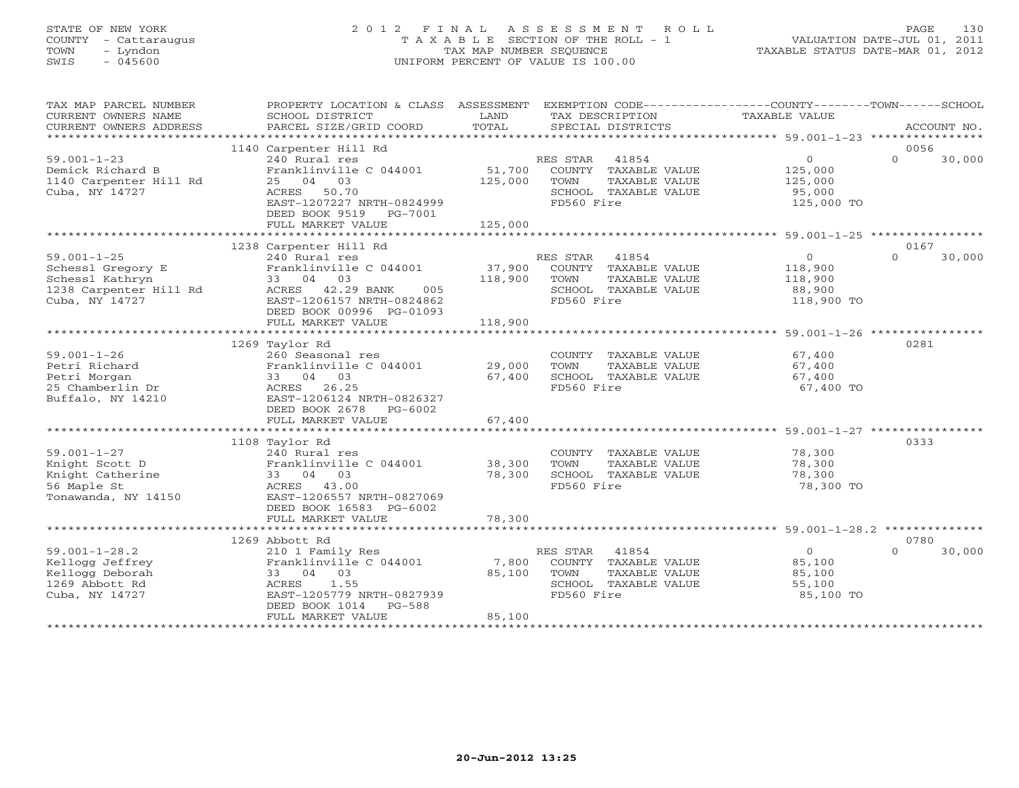# STATE OF NEW YORK 2 0 1 2 F I N A L A S S E S S M E N T R O L L PAGE 130 COUNTY - Cattaraugus T A X A B L E SECTION OF THE ROLL - 1 VALUATION DATE-JUL 01, 2011 TOWN - Lyndon TAX MAP NUMBER SEQUENCE TAXABLE STATUS DATE-MAR 01, 2012 SWIS - 045600 UNIFORM PERCENT OF VALUE IS 100.00UNIFORM PERCENT OF VALUE IS 100.00

| TAX MAP PARCEL NUMBER<br>CURRENT OWNERS NAME<br>CURRENT OWNERS ADDRESS                                | PROPERTY LOCATION & CLASS ASSESSMENT EXEMPTION CODE---------------COUNTY-------TOWN------SCHOOL<br>SCHOOL DISTRICT<br>PARCEL SIZE/GRID COORD                            | LAND<br>TOTAL                | TAX DESCRIPTION<br>SPECIAL DISTRICTS                                                                  | TAXABLE VALUE                                             | ACCOUNT NO.                |
|-------------------------------------------------------------------------------------------------------|-------------------------------------------------------------------------------------------------------------------------------------------------------------------------|------------------------------|-------------------------------------------------------------------------------------------------------|-----------------------------------------------------------|----------------------------|
|                                                                                                       | 1140 Carpenter Hill Rd                                                                                                                                                  |                              |                                                                                                       |                                                           | 0056                       |
| $59.001 - 1 - 23$<br>Demick Richard B<br>1140 Carpenter Hill Rd<br>Cuba, NY 14727                     | 240 Rural res<br>Franklinville C 044001<br>25 04 03<br>ACRES 50.70<br>EAST-1207227 NRTH-0824999<br>DEED BOOK 9519<br>PG-7001<br>FULL MARKET VALUE                       | 51,700<br>125,000<br>125,000 | RES STAR 41854<br>COUNTY TAXABLE VALUE<br>TOWN<br>TAXABLE VALUE<br>SCHOOL TAXABLE VALUE<br>FD560 Fire | $\circ$<br>125,000<br>125,000<br>95,000<br>125,000 TO     | $\Omega$<br>30,000         |
|                                                                                                       |                                                                                                                                                                         |                              |                                                                                                       |                                                           |                            |
| $59.001 - 1 - 25$<br>Schessl Gregory E<br>Schessl Kathryn<br>1238 Carpenter Hill Rd<br>Cuba, NY 14727 | 1238 Carpenter Hill Rd<br>240 Rural res<br>Franklinville C 044001<br>33 04 03<br>ACRES 42.29 BANK<br>005<br>EAST-1206157 NRTH-0824862<br>DEED BOOK 00996 PG-01093       | 37,900<br>118,900            | RES STAR 41854<br>COUNTY TAXABLE VALUE<br>TOWN<br>TAXABLE VALUE<br>SCHOOL TAXABLE VALUE<br>FD560 Fire | $\Omega$<br>118,900<br>118,900<br>88,900<br>118,900 TO    | 0167<br>$\Omega$<br>30,000 |
|                                                                                                       | FULL MARKET VALUE                                                                                                                                                       | 118,900                      |                                                                                                       |                                                           |                            |
|                                                                                                       |                                                                                                                                                                         |                              |                                                                                                       |                                                           |                            |
| $59.001 - 1 - 26$<br>Petri Richard<br>Petri Morgan<br>25 Chamberlin Dr<br>Buffalo, NY 14210           | 1269 Taylor Rd<br>260 Seasonal res<br>Franklinville C 044001<br>33 04 03<br>ACRES 26.25<br>EAST-1206124 NRTH-0826327<br>DEED BOOK 2678<br>PG-6002                       | 29,000<br>67,400             | COUNTY TAXABLE VALUE<br>TOWN<br>TAXABLE VALUE<br>SCHOOL TAXABLE VALUE<br>FD560 Fire                   | 67,400<br>67,400<br>67,400<br>67,400 TO                   | 0281                       |
|                                                                                                       | FULL MARKET VALUE                                                                                                                                                       | 67,400                       |                                                                                                       |                                                           |                            |
|                                                                                                       |                                                                                                                                                                         |                              |                                                                                                       |                                                           |                            |
| $59.001 - 1 - 27$<br>Knight Scott D<br>Knight Catherine<br>56 Maple St<br>Tonawanda, NY 14150         | 1108 Taylor Rd<br>240 Rural res<br>Franklinville C 044001<br>33 04 03<br>ACRES 43.00<br>EAST-1206557 NRTH-0827069<br>DEED BOOK 16583 PG-6002                            | 38,300<br>78,300             | COUNTY TAXABLE VALUE<br>TOWN<br>TAXABLE VALUE<br>SCHOOL TAXABLE VALUE<br>FD560 Fire                   | 78,300<br>78,300<br>78,300<br>78,300 TO                   | 0333                       |
|                                                                                                       | FULL MARKET VALUE                                                                                                                                                       | 78,300                       |                                                                                                       |                                                           |                            |
|                                                                                                       |                                                                                                                                                                         |                              |                                                                                                       |                                                           |                            |
| $59.001 - 1 - 28.2$<br>Kellogg Jeffrey<br>Kellogg Deborah<br>1269 Abbott Rd<br>Cuba, NY 14727         | 1269 Abbott Rd<br>210 1 Family Res<br>Franklinville C 044001<br>33 04 03<br>1.55<br>ACRES<br>EAST-1205779 NRTH-0827939<br>DEED BOOK 1014<br>PG-588<br>FULL MARKET VALUE | 7,800<br>85,100<br>85,100    | RES STAR 41854<br>COUNTY TAXABLE VALUE<br>TAXABLE VALUE<br>TOWN<br>SCHOOL TAXABLE VALUE<br>FD560 Fire | $\overline{0}$<br>85,100<br>85,100<br>55,100<br>85,100 TO | 0780<br>$\Omega$<br>30,000 |
|                                                                                                       |                                                                                                                                                                         |                              |                                                                                                       |                                                           |                            |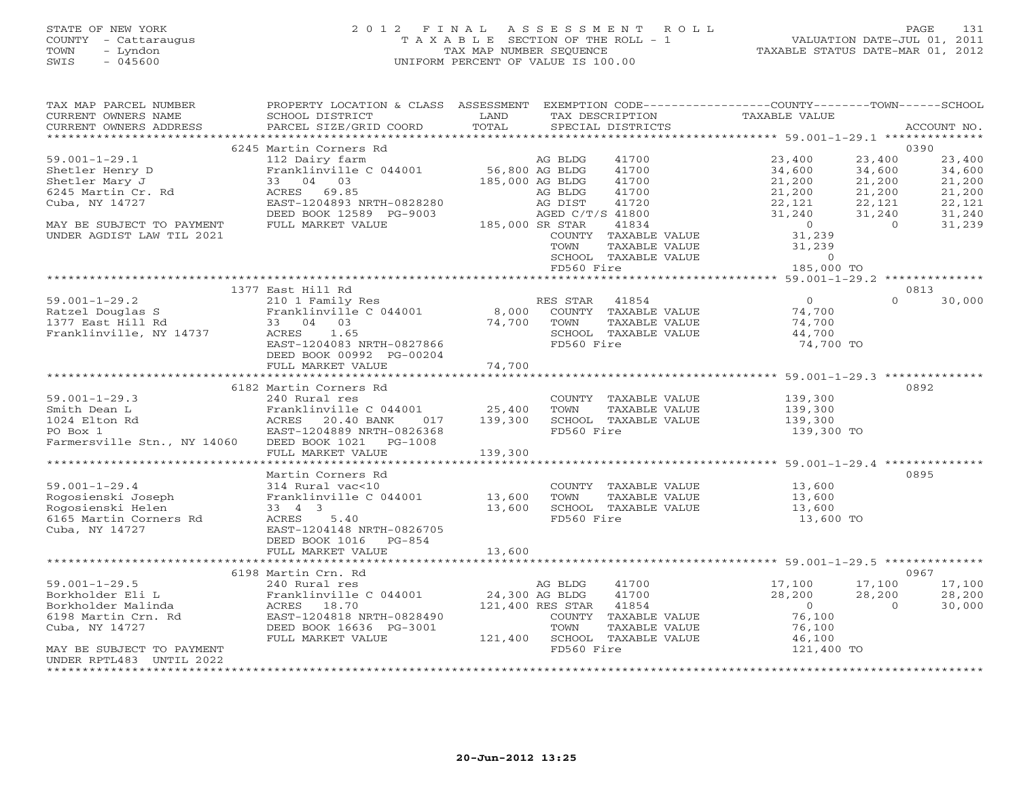# STATE OF NEW YORK 2 0 1 2 F I N A L A S S E S S M E N T R O L L PAGE 131 COUNTY - Cattaraugus T A X A B L E SECTION OF THE ROLL - 1 VALUATION DATE-JUL 01, 2011 TOWN - Lyndon TAX MAP NUMBER SEQUENCE TAXABLE STATUS DATE-MAR 01, 2012 SWIS - 045600 UNIFORM PERCENT OF VALUE IS 100.00UNIFORM PERCENT OF VALUE IS 100.00

| TAX MAP PARCEL NUMBER       | PROPERTY LOCATION & CLASS ASSESSMENT EXEMPTION CODE----------------COUNTY-------TOWN------SCHOOL |                 |                  |                              |                |          |             |
|-----------------------------|--------------------------------------------------------------------------------------------------|-----------------|------------------|------------------------------|----------------|----------|-------------|
| CURRENT OWNERS NAME         | SCHOOL DISTRICT                                                                                  | LAND            |                  | TAX DESCRIPTION              | TAXABLE VALUE  |          |             |
| CURRENT OWNERS ADDRESS      | PARCEL SIZE/GRID COORD                                                                           | TOTAL           |                  | SPECIAL DISTRICTS            |                |          | ACCOUNT NO. |
|                             |                                                                                                  |                 |                  |                              |                |          |             |
|                             | 6245 Martin Corners Rd                                                                           |                 |                  |                              |                |          | 0390        |
| $59.001 - 1 - 29.1$         | 112 Dairy farm                                                                                   |                 | AG BLDG          | 41700                        | 23,400         | 23,400   | 23,400      |
| Shetler Henry D             | Franklinville C 044001                                                                           | 56,800 AG BLDG  |                  | 41700                        | 34,600         | 34,600   | 34,600      |
| Shetler Mary J              | 33 04 03                                                                                         |                 | 185,000 AG BLDG  | 41700                        | 21,200         | 21,200   | 21,200      |
| 6245 Martin Cr. Rd          | ACRES 69.85                                                                                      |                 | AG BLDG          | 41700                        | 21,200         | 21,200   | 21,200      |
| Cuba, NY 14727              | EAST-1204893 NRTH-0828280                                                                        |                 | AG DIST          | 41720                        | 22,121         | 22,121   | 22,121      |
|                             | DEED BOOK 12589 PG-9003                                                                          |                 | AGED C/T/S 41800 |                              | 31,240         | 31,240   | 31,240      |
| MAY BE SUBJECT TO PAYMENT   | FULL MARKET VALUE                                                                                | 185,000 SR STAR |                  | 41834                        | $\sim$ 0       | $\Omega$ | 31,239      |
| UNDER AGDIST LAW TIL 2021   |                                                                                                  |                 |                  | COUNTY TAXABLE VALUE         | 31,239         |          |             |
|                             |                                                                                                  |                 | TOWN             | TAXABLE VALUE                | 31,239         |          |             |
|                             |                                                                                                  |                 |                  | SCHOOL TAXABLE VALUE         | $\circ$        |          |             |
|                             |                                                                                                  |                 | FD560 Fire       |                              | 185,000 TO     |          |             |
|                             |                                                                                                  |                 |                  |                              |                |          |             |
|                             | 1377 East Hill Rd                                                                                |                 |                  |                              |                |          | 0813        |
| $59.001 - 1 - 29.2$         | 210 1 Family Res                                                                                 |                 | RES STAR         | 41854                        | $\overline{0}$ | $\Omega$ | 30,000      |
| Ratzel Douglas S            | Franklinville C 044001 8,000 COUNTY TAXABLE VALUE                                                |                 |                  |                              | 74,700         |          |             |
| 1377 East Hill Rd           | 33 04 03                                                                                         | 74,700          | TOWN             | TAXABLE VALUE                | 74,700         |          |             |
| Franklinville, NY 14737     | ACRES 1.65                                                                                       |                 |                  | SCHOOL TAXABLE VALUE         | 44,700         |          |             |
|                             | EAST-1204083 NRTH-0827866                                                                        |                 | FD560 Fire       |                              | 74,700 TO      |          |             |
|                             | DEED BOOK 00992 PG-00204                                                                         |                 |                  |                              |                |          |             |
|                             | FULL MARKET VALUE                                                                                | 74,700          |                  |                              |                |          |             |
|                             |                                                                                                  |                 |                  |                              |                |          |             |
|                             | 6182 Martin Corners Rd                                                                           |                 |                  |                              |                |          | 0892        |
| $59.001 - 1 - 29.3$         | 240 Rural res                                                                                    |                 |                  | COUNTY TAXABLE VALUE         | 139,300        |          |             |
|                             |                                                                                                  |                 | TOWN             |                              |                |          |             |
| Smith Dean L                | Franklinville C 044001                                                                           | 25,400          |                  | TAXABLE VALUE                | 139,300        |          |             |
| 1024 Elton Rd               | ACRES 20.40 BANK<br>017                                                                          | 139,300         |                  | SCHOOL TAXABLE VALUE         | 139,300        |          |             |
| PO Box 1                    | EAST-1204889 NRTH-0826368                                                                        |                 | FD560 Fire       |                              | 139,300 TO     |          |             |
| Farmersville Stn., NY 14060 | DEED BOOK 1021 PG-1008                                                                           |                 |                  |                              |                |          |             |
|                             | FULL MARKET VALUE                                                                                | 139,300         |                  |                              |                |          |             |
|                             |                                                                                                  |                 |                  |                              |                |          |             |
|                             | Martin Corners Rd                                                                                |                 |                  |                              |                |          | 0895        |
| $59.001 - 1 - 29.4$         | 314 Rural vac<10                                                                                 |                 |                  | COUNTY TAXABLE VALUE         | 13,600         |          |             |
| Rogosienski Joseph          | Franklinville C 044001 13,600                                                                    |                 | TOWN             | TAXABLE VALUE                | 13,600         |          |             |
| Rogosienski Helen           | 33 4 3                                                                                           | 13,600          |                  | SCHOOL TAXABLE VALUE         | 13,600         |          |             |
| 6165 Martin Corners Rd      | ACRES 5.40                                                                                       |                 | FD560 Fire       |                              | 13,600 TO      |          |             |
| Cuba, NY 14727              | EAST-1204148 NRTH-0826705                                                                        |                 |                  |                              |                |          |             |
|                             | DEED BOOK 1016 PG-854                                                                            |                 |                  |                              |                |          |             |
|                             | FULL MARKET VALUE                                                                                | 13,600          |                  |                              |                |          |             |
|                             |                                                                                                  |                 |                  |                              |                |          |             |
|                             | 6198 Martin Crn. Rd                                                                              |                 |                  |                              |                |          | 0967        |
| $59.001 - 1 - 29.5$         | 240 Rural res                                                                                    |                 | AG BLDG          | 41700                        | 17,100         | 17,100   | 17,100      |
| Borkholder Eli L            | Franklinville C 044001                                                                           | 24,300 AG BLDG  |                  | 41700                        | 28,200         | 28,200   | 28,200      |
| Borkholder Malinda          | ACRES 18.70                                                                                      |                 | 121,400 RES STAR | 41854                        | $\bigcirc$     | $\Omega$ | 30,000      |
| 6198 Martin Crn. Rd         | EAST-1204818 NRTH-0828490                                                                        |                 |                  | COUNTY TAXABLE VALUE         | 76,100         |          |             |
| Cuba, NY 14727              | DEED BOOK 16636 PG-3001                                                                          |                 | TOWN             | TAXABLE VALUE                | 76,100         |          |             |
|                             | FULL MARKET VALUE                                                                                |                 |                  | 121,400 SCHOOL TAXABLE VALUE | 46,100         |          |             |
| MAY BE SUBJECT TO PAYMENT   |                                                                                                  |                 | FD560 Fire       |                              | 121,400 TO     |          |             |
| UNDER RPTL483 UNTIL 2022    |                                                                                                  |                 |                  |                              |                |          |             |
|                             |                                                                                                  |                 |                  |                              |                |          |             |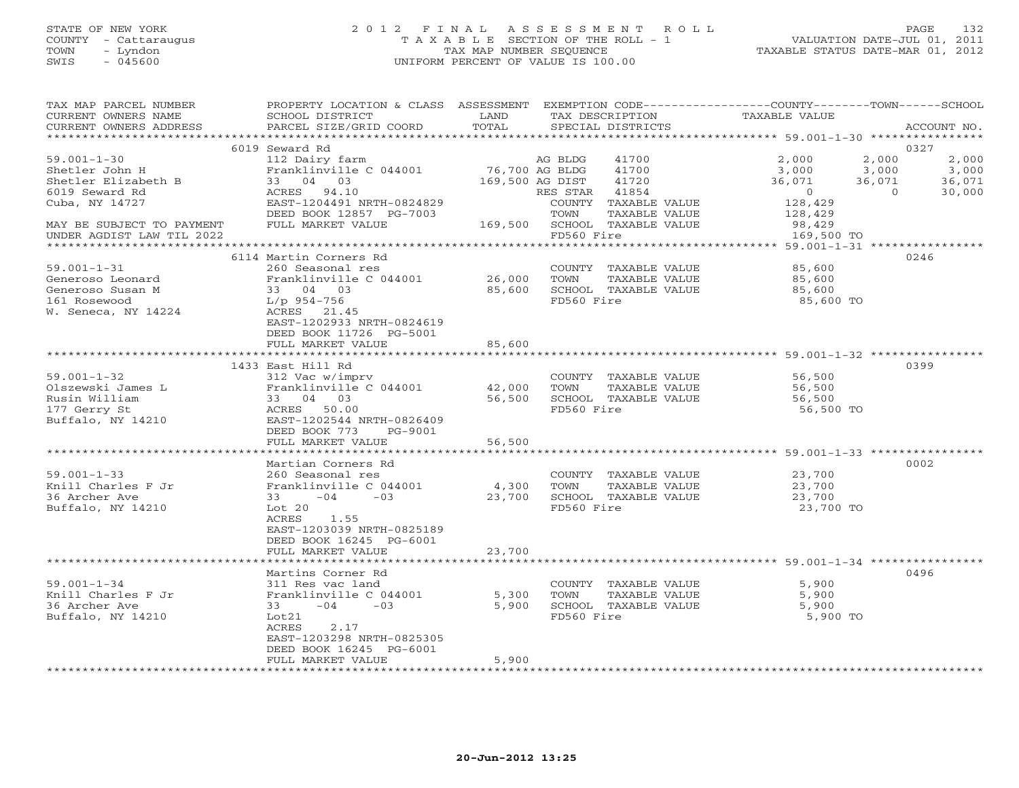## STATE OF NEW YORK 2 0 1 2 F I N A L A S S E S S M E N T R O L L PAGE 132 COUNTY - Cattaraugus T A X A B L E SECTION OF THE ROLL - 1 VALUATION DATE-JUL 01, 2011 TOWN - Lyndon TAX MAP NUMBER SEQUENCE TAXABLE STATUS DATE-MAR 01, 2012 SWIS - 045600 UNIFORM PERCENT OF VALUE IS 100.00UNIFORM PERCENT OF VALUE IS 100.00

| TAX MAP PARCEL NUMBER<br>CURRENT OWNERS NAME<br>CURRENT OWNERS ADDRESS                                                      | PROPERTY LOCATION & CLASS ASSESSMENT<br>SCHOOL DISTRICT<br>PARCEL SIZE/GRID COORD                                                                                      | LAND<br>TOTAL                                |                             | TAX DESCRIPTION<br>SPECIAL DISTRICTS                                                              | EXEMPTION CODE-----------------COUNTY-------TOWN------SCHOOL<br>TAXABLE VALUE |                                      | ACCOUNT NO.                        |
|-----------------------------------------------------------------------------------------------------------------------------|------------------------------------------------------------------------------------------------------------------------------------------------------------------------|----------------------------------------------|-----------------------------|---------------------------------------------------------------------------------------------------|-------------------------------------------------------------------------------|--------------------------------------|------------------------------------|
|                                                                                                                             |                                                                                                                                                                        |                                              |                             |                                                                                                   |                                                                               |                                      | 0327                               |
| $59.001 - 1 - 30$<br>Shetler John H<br>Shetler Elizabeth B<br>6019 Seward Rd<br>Cuba, NY 14727<br>MAY BE SUBJECT TO PAYMENT | 6019 Seward Rd<br>112 Dairy farm<br>Franklinville C 044001<br>33 04 03<br>ACRES 94.10<br>EAST-1204491 NRTH-0824829<br>DEED BOOK 12857 PG-7003<br>FULL MARKET VALUE     | 76,700 AG BLDG<br>169,500 AG DIST<br>169,500 | AG BLDG<br>RES STAR<br>TOWN | 41700<br>41700<br>41720<br>41854<br>COUNTY TAXABLE VALUE<br>TAXABLE VALUE<br>SCHOOL TAXABLE VALUE | 2,000<br>3,000<br>36,071<br>$\overline{0}$<br>128,429<br>128,429<br>98,429    | 2,000<br>3,000<br>36,071<br>$\Omega$ | 2,000<br>3,000<br>36,071<br>30,000 |
| UNDER AGDIST LAW TIL 2022                                                                                                   |                                                                                                                                                                        |                                              | FD560 Fire                  |                                                                                                   | 169,500 TO                                                                    |                                      |                                    |
| $59.001 - 1 - 31$<br>Generoso Leonard<br>Generoso Susan M<br>161 Rosewood<br>W. Seneca, NY 14224                            | 6114 Martin Corners Rd<br>260 Seasonal res<br>Franklinville C 044001<br>33 04 03<br>L/p 954-756<br>ACRES 21.45<br>EAST-1202933 NRTH-0824619<br>DEED BOOK 11726 PG-5001 | 26,000<br>85,600                             | TOWN<br>FD560 Fire          | COUNTY TAXABLE VALUE<br>TAXABLE VALUE<br>SCHOOL TAXABLE VALUE                                     | 85,600<br>85,600<br>85,600<br>85,600 TO                                       |                                      | 0246                               |
|                                                                                                                             | FULL MARKET VALUE                                                                                                                                                      | 85,600                                       |                             |                                                                                                   |                                                                               |                                      |                                    |
|                                                                                                                             | 1433 East Hill Rd                                                                                                                                                      |                                              |                             |                                                                                                   |                                                                               |                                      | 0399                               |
| $59.001 - 1 - 32$<br>Olszewski James L<br>Rusin William<br>177 Gerry St<br>Buffalo, NY 14210                                | 312 Vac w/imprv<br>Franklinville C 044001<br>33 04 03<br>ACRES 50.00<br>EAST-1202544 NRTH-0826409<br>DEED BOOK 773<br>PG-9001<br>FULL MARKET VALUE                     | 42,000<br>56,500<br>56,500                   | TOWN<br>FD560 Fire          | COUNTY TAXABLE VALUE<br>TAXABLE VALUE<br>SCHOOL TAXABLE VALUE                                     | 56,500<br>56,500<br>56,500<br>56,500 TO                                       |                                      |                                    |
|                                                                                                                             | Martian Corners Rd                                                                                                                                                     | * * * * * * * * * *                          |                             |                                                                                                   | ************************* 59.001-1-33 ***********                             |                                      | 0002                               |
| $59.001 - 1 - 33$<br>Knill Charles F Jr<br>36 Archer Ave<br>Buffalo, NY 14210                                               | 260 Seasonal res<br>Franklinville C 044001<br>$-04 -03$<br>Lot 20<br>1.55<br>ACRES<br>EAST-1203039 NRTH-0825189<br>DEED BOOK 16245 PG-6001                             | 4,300<br>23,700                              | TOWN<br>FD560 Fire          | COUNTY TAXABLE VALUE<br>TAXABLE VALUE<br>SCHOOL TAXABLE VALUE                                     | 23,700<br>23,700<br>23,700<br>23,700 TO                                       |                                      |                                    |
|                                                                                                                             | FULL MARKET VALUE                                                                                                                                                      | 23,700                                       |                             |                                                                                                   |                                                                               |                                      |                                    |
| $59.001 - 1 - 34$<br>Knill Charles F Jr<br>36 Archer Ave<br>Buffalo, NY 14210                                               | Martins Corner Rd<br>311 Res vac land<br>Franklinville C 044001<br>$-04 -03$<br>Lot21<br>ACRES<br>2.17<br>EAST-1203298 NRTH-0825305<br>DEED BOOK 16245 PG-6001         | 5,300<br>5,900                               | TOWN<br>FD560 Fire          | COUNTY TAXABLE VALUE<br>TAXABLE VALUE<br>SCHOOL TAXABLE VALUE                                     | 5,900<br>5,900<br>5,900<br>5,900 TO                                           |                                      | 0496                               |
|                                                                                                                             | FULL MARKET VALUE                                                                                                                                                      | 5,900                                        |                             |                                                                                                   |                                                                               |                                      |                                    |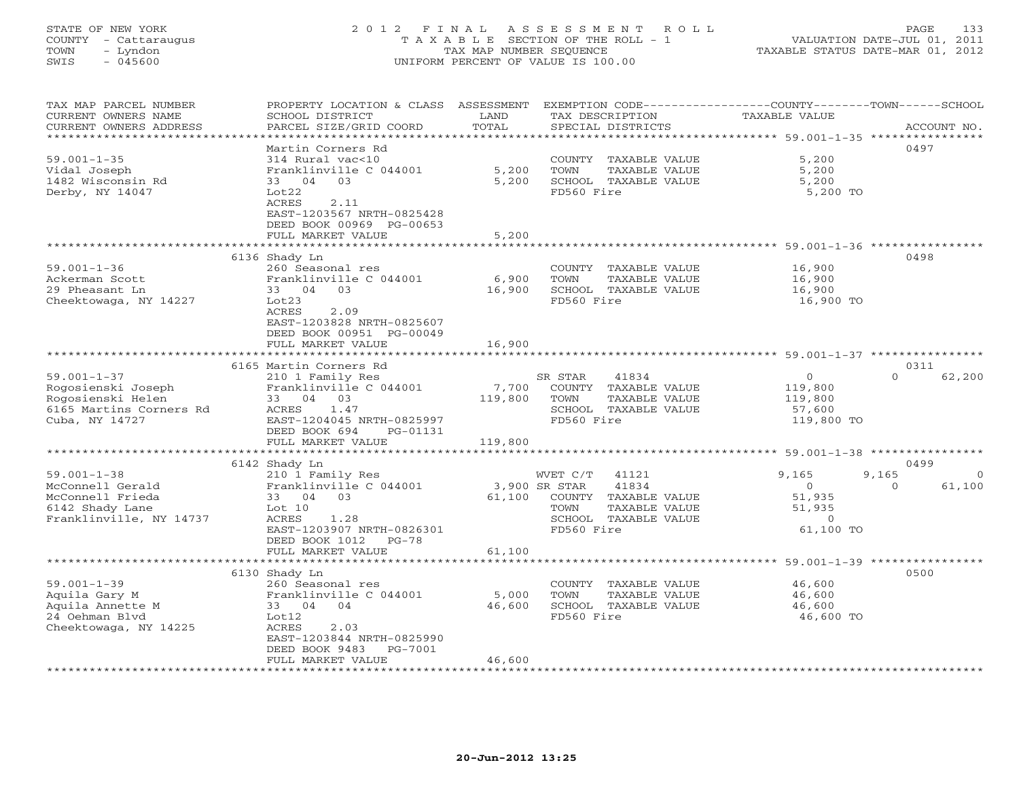# STATE OF NEW YORK 2 0 1 2 F I N A L A S S E S S M E N T R O L L PAGE 133 COUNTY - Cattaraugus T A X A B L E SECTION OF THE ROLL - 1 VALUATION DATE-JUL 01, 2011 TOWN - Lyndon TAX MAP NUMBER SEQUENCE TAXABLE STATUS DATE-MAR 01, 2012 SWIS - 045600 UNIFORM PERCENT OF VALUE IS 100.00UNIFORM PERCENT OF VALUE IS 100.00

| TAX MAP PARCEL NUMBER<br>CURRENT OWNERS NAME | PROPERTY LOCATION & CLASS<br>SCHOOL DISTRICT | ASSESSMENT<br>LAND<br>TAX DESCRIPTION | EXEMPTION CODE-----------------COUNTY-------TOWN------SCHOOL<br><b>TAXABLE VALUE</b> |
|----------------------------------------------|----------------------------------------------|---------------------------------------|--------------------------------------------------------------------------------------|
| CURRENT OWNERS ADDRESS                       | PARCEL SIZE/GRID COORD                       | TOTAL<br>SPECIAL DISTRICTS            | ACCOUNT NO.                                                                          |
| ***************                              | **********************                       |                                       | * * * * * * * * * * * *                                                              |
|                                              | Martin Corners Rd                            |                                       | 0497                                                                                 |
| $59.001 - 1 - 35$                            | 314 Rural vac<10                             | COUNTY TAXABLE VALUE                  | 5,200                                                                                |
|                                              |                                              |                                       |                                                                                      |
| Vidal Joseph                                 | Franklinville C 044001                       | 5,200<br>TOWN                         | TAXABLE VALUE<br>5,200                                                               |
| 1482 Wisconsin Rd                            | 04<br>03<br>33                               | 5,200<br>SCHOOL TAXABLE VALUE         | 5,200                                                                                |
| Derby, NY 14047                              | Lot22                                        | FD560 Fire                            | 5,200 TO                                                                             |
|                                              | <b>ACRES</b><br>2.11                         |                                       |                                                                                      |
|                                              | EAST-1203567 NRTH-0825428                    |                                       |                                                                                      |
|                                              | DEED BOOK 00969 PG-00653                     |                                       |                                                                                      |
|                                              | FULL MARKET VALUE                            | 5,200                                 |                                                                                      |
|                                              |                                              |                                       | *********************** 59.001-1-36 *****************                                |
|                                              | 6136 Shady Ln                                |                                       | 0498                                                                                 |
| $59.001 - 1 - 36$                            | 260 Seasonal res                             | COUNTY TAXABLE VALUE                  | 16,900                                                                               |
| Ackerman Scott                               | Franklinville C 044001                       | 6,900<br>TOWN                         | 16,900<br>TAXABLE VALUE                                                              |
| 29 Pheasant Ln                               | 33 04<br>03                                  | 16,900<br>SCHOOL TAXABLE VALUE        | 16,900                                                                               |
| Cheektowaga, NY 14227                        | Lot23                                        | FD560 Fire                            | 16,900 TO                                                                            |
|                                              | <b>ACRES</b><br>2.09                         |                                       |                                                                                      |
|                                              | EAST-1203828 NRTH-0825607                    |                                       |                                                                                      |
|                                              |                                              |                                       |                                                                                      |
|                                              | DEED BOOK 00951 PG-00049                     |                                       |                                                                                      |
|                                              | FULL MARKET VALUE<br>*********************** | 16,900                                |                                                                                      |
|                                              |                                              |                                       |                                                                                      |
|                                              | 6165 Martin Corners Rd                       |                                       | 0311                                                                                 |
| $59.001 - 1 - 37$                            | 210 1 Family Res                             | SR STAR<br>41834                      | $\circ$<br>$\Omega$<br>62,200                                                        |
| Rogosienski Joseph                           | Franklinville C 044001                       | 7,700<br>COUNTY TAXABLE VALUE         | 119,800                                                                              |
| Rogosienski Helen                            | 33<br>04 03                                  | 119,800<br>TOWN                       | TAXABLE VALUE<br>119,800                                                             |
| 6165 Martins Corners Rd                      | ACRES<br>1.47                                | SCHOOL TAXABLE VALUE                  | 57,600                                                                               |
| Cuba, NY 14727                               | EAST-1204045 NRTH-0825997                    | FD560 Fire                            | 119,800 TO                                                                           |
|                                              | DEED BOOK 694<br>PG-01131                    |                                       |                                                                                      |
|                                              | FULL MARKET VALUE                            | 119,800                               |                                                                                      |
|                                              |                                              |                                       | *********************** 59.001-1-38 ************                                     |
|                                              | 6142 Shady Ln                                |                                       | 0499                                                                                 |
| $59.001 - 1 - 38$                            | 210 1 Family Res                             | WVET C/T<br>41121                     | 9,165<br>9,165                                                                       |
|                                              |                                              | 41834                                 | $\circ$<br>$\Omega$                                                                  |
| McConnell Gerald                             | Franklinville C 044001                       | 3,900 SR STAR                         | 61,100                                                                               |
| McConnell Frieda                             | 03<br>33<br>04                               | 61,100<br>COUNTY TAXABLE VALUE        | 51,935                                                                               |
| 6142 Shady Lane                              | Lot $10$                                     | TOWN                                  | TAXABLE VALUE<br>51,935                                                              |
| Franklinville, NY 14737                      | ACRES<br>1.28                                | SCHOOL TAXABLE VALUE                  | $\circ$                                                                              |
|                                              | EAST-1203907 NRTH-0826301                    | FD560 Fire                            | 61,100 TO                                                                            |
|                                              | DEED BOOK 1012<br>$PG-78$                    |                                       |                                                                                      |
|                                              | FULL MARKET VALUE                            | 61,100                                |                                                                                      |
|                                              |                                              |                                       | ******** 59.001-1-39 ****                                                            |
|                                              | 6130 Shady Ln                                |                                       | 0500                                                                                 |
| $59.001 - 1 - 39$                            | 260 Seasonal res                             | COUNTY TAXABLE VALUE                  | 46,600                                                                               |
| Aquila Gary M                                | Franklinville C 044001                       | 5,000<br>TOWN                         | TAXABLE VALUE<br>46,600                                                              |
| Aquila Annette M                             | 04<br>04<br>33                               | 46,600<br>SCHOOL TAXABLE VALUE        | 46,600                                                                               |
| 24 Oehman Blvd                               | Lot12                                        | FD560 Fire                            | 46,600 TO                                                                            |
| Cheektowaga, NY 14225                        | ACRES<br>2.03                                |                                       |                                                                                      |
|                                              | EAST-1203844 NRTH-0825990                    |                                       |                                                                                      |
|                                              | DEED BOOK 9483<br>PG-7001                    |                                       |                                                                                      |
|                                              |                                              | 46,600                                |                                                                                      |
|                                              | FULL MARKET VALUE                            |                                       |                                                                                      |
|                                              |                                              |                                       |                                                                                      |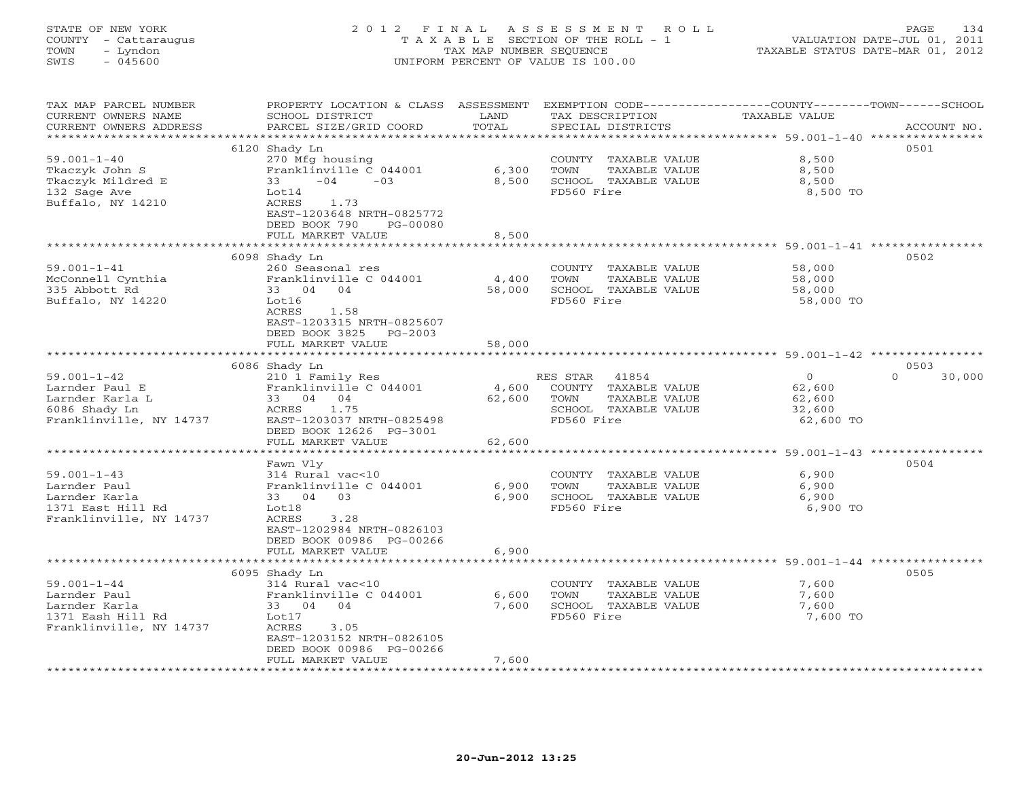# STATE OF NEW YORK 2 0 1 2 F I N A L A S S E S S M E N T R O L L PAGE 134 COUNTY - Cattaraugus T A X A B L E SECTION OF THE ROLL - 1 VALUATION DATE-JUL 01, 2011 TOWN - Lyndon TAX MAP NUMBER SEQUENCE TAXABLE STATUS DATE-MAR 01, 2012 SWIS - 045600 UNIFORM PERCENT OF VALUE IS 100.00UNIFORM PERCENT OF VALUE IS 100.00

| TAX MAP PARCEL NUMBER<br>CURRENT OWNERS NAME<br>CURRENT OWNERS ADDRESS<br>*******************      | PROPERTY LOCATION & CLASS ASSESSMENT<br>SCHOOL DISTRICT<br>PARCEL SIZE/GRID COORD                                                                                                           | LAND<br>TOTAL             | EXEMPTION CODE-----------------COUNTY-------TOWN------SCHOOL<br>TAX DESCRIPTION<br>SPECIAL DISTRICTS     | TAXABLE VALUE                                                                                      | ACCOUNT NO.                |
|----------------------------------------------------------------------------------------------------|---------------------------------------------------------------------------------------------------------------------------------------------------------------------------------------------|---------------------------|----------------------------------------------------------------------------------------------------------|----------------------------------------------------------------------------------------------------|----------------------------|
| $59.001 - 1 - 40$<br>Tkaczyk John S<br>Tkaczyk Mildred E<br>132 Sage Ave<br>Buffalo, NY 14210      | 6120 Shady Ln<br>270 Mfg housing<br>Franklinville C 044001<br>$-04$<br>$-03$<br>33<br>Lot14<br>ACRES<br>1.73<br>EAST-1203648 NRTH-0825772<br>DEED BOOK 790<br>PG-00080<br>FULL MARKET VALUE | 6,300<br>8,500<br>8,500   | COUNTY TAXABLE VALUE<br>TOWN<br>TAXABLE VALUE<br>SCHOOL TAXABLE VALUE<br>FD560 Fire                      | 8,500<br>8,500<br>8,500<br>8,500 TO<br>****************************** 59.001-1-41 **************** | 0501                       |
| $59.001 - 1 - 41$<br>McConnell Cynthia<br>335 Abbott Rd<br>Buffalo, NY 14220                       | 6098 Shady Ln<br>260 Seasonal res<br>Franklinville C 044001<br>33 04 04<br>Lot16<br>ACRES<br>1.58<br>EAST-1203315 NRTH-0825607<br>DEED BOOK 3825 PG-2003<br>FULL MARKET VALUE               | 4,400<br>58,000<br>58,000 | COUNTY TAXABLE VALUE<br>TOWN<br>TAXABLE VALUE<br>SCHOOL TAXABLE VALUE<br>FD560 Fire                      | 58,000<br>58,000<br>58,000<br>58,000 TO                                                            | 0502                       |
|                                                                                                    |                                                                                                                                                                                             |                           |                                                                                                          |                                                                                                    |                            |
| $59.001 - 1 - 42$<br>Larnder Paul E<br>Larnder Karla L<br>6086 Shady Ln<br>Franklinville, NY 14737 | 6086 Shady Ln<br>210 1 Family Res<br>Franklinville C 044001<br>33 04 04<br>1.75<br>ACRES<br>EAST-1203037 NRTH-0825498<br>DEED BOOK 12626 PG-3001<br>FULL MARKET VALUE                       | 4,600<br>62,600<br>62,600 | RES STAR<br>41854<br>COUNTY TAXABLE VALUE<br>TOWN<br>TAXABLE VALUE<br>SCHOOL TAXABLE VALUE<br>FD560 Fire | $\overline{0}$<br>62,600<br>62,600<br>32,600<br>62,600 TO                                          | 0503<br>$\Omega$<br>30,000 |
|                                                                                                    |                                                                                                                                                                                             |                           |                                                                                                          | ********************* 59.001-1-43 ****************                                                 |                            |
| $59.001 - 1 - 43$<br>Larnder Paul<br>Larnder Karla<br>1371 East Hill Rd<br>Franklinville, NY 14737 | Fawn Vly<br>314 Rural vac<10<br>Franklinville C 044001<br>33 04 03<br>Lot18<br>ACRES<br>3.28<br>EAST-1202984 NRTH-0826103<br>DEED BOOK 00986 PG-00266                                       | 6,900<br>6,900            | COUNTY TAXABLE VALUE<br>TOWN<br>TAXABLE VALUE<br>SCHOOL TAXABLE VALUE<br>FD560 Fire                      | 6,900<br>6,900<br>6,900<br>6,900 TO                                                                | 0504                       |
|                                                                                                    | FULL MARKET VALUE                                                                                                                                                                           | 6,900                     |                                                                                                          |                                                                                                    |                            |
|                                                                                                    | ***********<br>6095 Shady Ln                                                                                                                                                                |                           |                                                                                                          | ***************** 59.001-1-44 *********                                                            | 0505                       |
| $59.001 - 1 - 44$<br>Larnder Paul<br>Larnder Karla<br>1371 Eash Hill Rd<br>Franklinville, NY 14737 | 314 Rural vac<10<br>Franklinville C 044001<br>33 04 04<br>Lot17<br>ACRES<br>3.05<br>EAST-1203152 NRTH-0826105<br>DEED BOOK 00986 PG-00266<br>FULL MARKET VALUE                              | 6,600<br>7,600<br>7,600   | COUNTY TAXABLE VALUE<br>TOWN<br>TAXABLE VALUE<br>SCHOOL TAXABLE VALUE<br>FD560 Fire                      | 7,600<br>7,600<br>7,600<br>7,600 TO                                                                |                            |
|                                                                                                    |                                                                                                                                                                                             |                           |                                                                                                          |                                                                                                    |                            |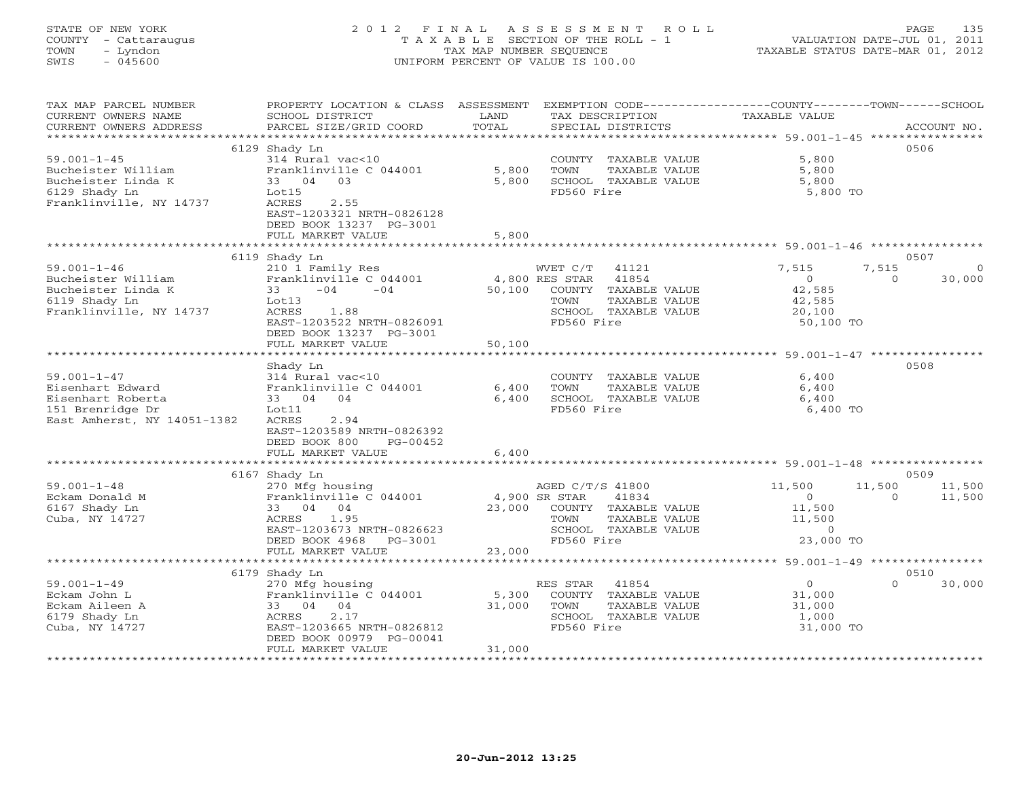# STATE OF NEW YORK 2 0 1 2 F I N A L A S S E S S M E N T R O L L PAGE 135 COUNTY - Cattaraugus T A X A B L E SECTION OF THE ROLL - 1 VALUATION DATE-JUL 01, 2011 TOWN - Lyndon TAX MAP NUMBER SEQUENCE TAXABLE STATUS DATE-MAR 01, 2012 SWIS - 045600 UNIFORM PERCENT OF VALUE IS 100.00UNIFORM PERCENT OF VALUE IS 100.00

| TAX MAP PARCEL NUMBER<br>CURRENT OWNERS NAME<br>CURRENT OWNERS ADDRESS | PROPERTY LOCATION & CLASS ASSESSMENT<br>SCHOOL DISTRICT<br>PARCEL SIZE/GRID COORD                                                | LAND<br>TOTAL         | EXEMPTION CODE-----------------COUNTY-------TOWN------SCHOOL<br>TAX DESCRIPTION<br>SPECIAL DISTRICTS                              | TAXABLE VALUE                                                  | ACCOUNT NO.                            |
|------------------------------------------------------------------------|----------------------------------------------------------------------------------------------------------------------------------|-----------------------|-----------------------------------------------------------------------------------------------------------------------------------|----------------------------------------------------------------|----------------------------------------|
|                                                                        |                                                                                                                                  |                       |                                                                                                                                   |                                                                |                                        |
| $59.001 - 1 - 45$<br>Bucheister William                                | 6129 Shady Ln<br>314 Rural vac<10<br>Franklinville C 044001                                                                      | 5,800                 | COUNTY TAXABLE VALUE<br>TOWN<br>TAXABLE VALUE                                                                                     | 5,800<br>5,800                                                 | 0506                                   |
| Bucheister Linda K<br>6129 Shady Ln<br>Franklinville, NY 14737         | 33 04 03<br>Lot15<br>ACRES<br>2.55<br>EAST-1203321 NRTH-0826128<br>DEED BOOK 13237 PG-3001                                       | 5,800                 | SCHOOL TAXABLE VALUE<br>FD560 Fire                                                                                                | 5,800<br>5,800 TO                                              |                                        |
|                                                                        | FULL MARKET VALUE<br>***************************                                                                                 | 5,800                 |                                                                                                                                   |                                                                |                                        |
|                                                                        | 6119 Shady Ln                                                                                                                    |                       |                                                                                                                                   |                                                                | 0507                                   |
| $59.001 - 1 - 46$<br>Bucheister William<br>Bucheister Linda K          | 210 1 Family Res<br>Franklinville C 044001<br>33<br>$-04$<br>$-04$                                                               | 50,100                | WVET C/T<br>41121<br>4,800 RES STAR<br>41854<br>COUNTY TAXABLE VALUE                                                              | 7,515<br>$\circ$<br>42,585                                     | 7,515<br>30,000<br>$\Omega$            |
| 6119 Shady Ln<br>Franklinville, NY 14737                               | Lot13<br>ACRES<br>1.88<br>EAST-1203522 NRTH-0826091<br>DEED BOOK 13237 PG-3001                                                   |                       | TOWN<br>TAXABLE VALUE<br>SCHOOL TAXABLE VALUE<br>FD560 Fire                                                                       | 42,585<br>20,100<br>50,100 TO                                  |                                        |
|                                                                        | FULL MARKET VALUE                                                                                                                | 50,100                |                                                                                                                                   |                                                                |                                        |
|                                                                        | ******************                                                                                                               | ********************* | ******************************** 59.001-1-47 ****************                                                                     |                                                                |                                        |
| $59.001 - 1 - 47$                                                      | Shady Ln<br>314 Rural vac<10                                                                                                     |                       | COUNTY TAXABLE VALUE                                                                                                              | 6,400                                                          | 0508                                   |
| Eisenhart Edward                                                       | Franklinville C 044001                                                                                                           | 6,400                 | TOWN<br>TAXABLE VALUE                                                                                                             | 6,400                                                          |                                        |
| Eisenhart Roberta                                                      | 33 04 04                                                                                                                         | 6,400                 | SCHOOL TAXABLE VALUE                                                                                                              | 6,400                                                          |                                        |
| 151 Brenridge Dr                                                       | Lot11                                                                                                                            |                       | FD560 Fire                                                                                                                        | 6,400 TO                                                       |                                        |
| East Amherst, NY 14051-1382                                            | ACRES<br>2.94<br>EAST-1203589 NRTH-0826392<br>DEED BOOK 800<br>PG-00452<br>FULL MARKET VALUE                                     | 6,400                 |                                                                                                                                   |                                                                |                                        |
|                                                                        |                                                                                                                                  |                       |                                                                                                                                   |                                                                |                                        |
|                                                                        | 6167 Shady Ln                                                                                                                    |                       |                                                                                                                                   |                                                                | 0509                                   |
| $59.001 - 1 - 48$<br>Eckam Donald M<br>6167 Shady Ln<br>Cuba, NY 14727 | 270 Mfg housing<br>Franklinville C 044001<br>33 04 04<br>ACRES<br>1.95<br>EAST-1203673 NRTH-0826623<br>DEED BOOK 4968<br>PG-3001 | 23,000                | AGED C/T/S 41800<br>4,900 SR STAR<br>41834<br>COUNTY TAXABLE VALUE<br>TAXABLE VALUE<br>TOWN<br>SCHOOL TAXABLE VALUE<br>FD560 Fire | 11,500<br>$\Omega$<br>11,500<br>11,500<br>$\circ$<br>23,000 TO | 11,500<br>11,500<br>11,500<br>$\Omega$ |
|                                                                        | FULL MARKET VALUE                                                                                                                | 23,000                |                                                                                                                                   |                                                                |                                        |
|                                                                        |                                                                                                                                  |                       |                                                                                                                                   |                                                                |                                        |
|                                                                        | 6179 Shady Ln                                                                                                                    |                       |                                                                                                                                   |                                                                | 0510                                   |
| $59.001 - 1 - 49$                                                      | 270 Mfg housing                                                                                                                  |                       | RES STAR<br>41854                                                                                                                 | $\circ$                                                        | $\Omega$<br>30,000                     |
| Eckam John L                                                           | Franklinville C 044001                                                                                                           | 5,300                 | COUNTY TAXABLE VALUE                                                                                                              | 31,000                                                         |                                        |
| Eckam Aileen A                                                         | 33 04<br>04                                                                                                                      | 31,000                | TOWN<br>TAXABLE VALUE                                                                                                             | 31,000                                                         |                                        |
| 6179 Shady Ln                                                          | 2.17<br>ACRES                                                                                                                    |                       | SCHOOL TAXABLE VALUE                                                                                                              | 1,000                                                          |                                        |
| Cuba, NY 14727                                                         | EAST-1203665 NRTH-0826812<br>DEED BOOK 00979 PG-00041<br>FULL MARKET VALUE                                                       | 31,000                | FD560 Fire                                                                                                                        | 31,000 TO                                                      |                                        |
|                                                                        | ***********************                                                                                                          |                       |                                                                                                                                   |                                                                |                                        |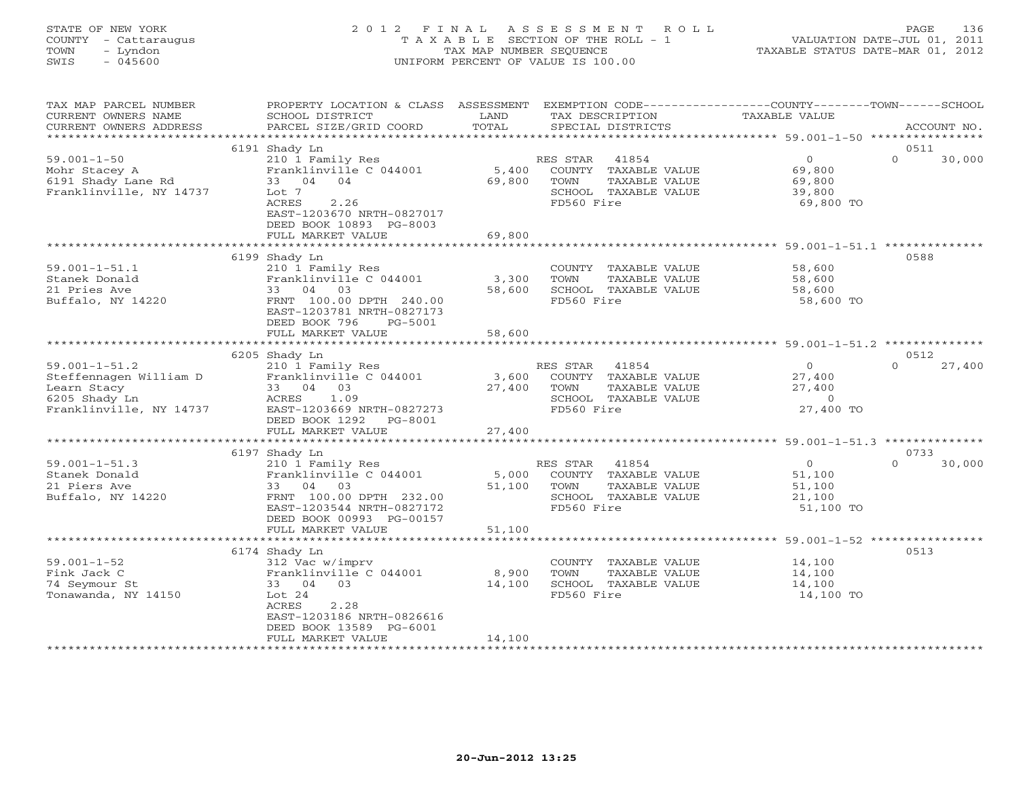# STATE OF NEW YORK 2 0 1 2 F I N A L A S S E S S M E N T R O L L PAGE 136 COUNTY - Cattaraugus T A X A B L E SECTION OF THE ROLL - 1 VALUATION DATE-JUL 01, 2011 TOWN - Lyndon TAX MAP NUMBER SEQUENCE TAXABLE STATUS DATE-MAR 01, 2012 SWIS - 045600 UNIFORM PERCENT OF VALUE IS 100.00UNIFORM PERCENT OF VALUE IS 100.00

| TAX MAP PARCEL NUMBER<br>CURRENT OWNERS NAME<br>CURRENT OWNERS ADDRESS                                   | PROPERTY LOCATION & CLASS ASSESSMENT<br>SCHOOL DISTRICT<br>PARCEL SIZE/GRID COORD                                                                                              | LAND<br>TOTAL             | TAX DESCRIPTION<br>SPECIAL DISTRICTS                                                                     | EXEMPTION CODE----------------COUNTY-------TOWN-----SCHOOL<br>TAXABLE VALUE | ACCOUNT NO.                |
|----------------------------------------------------------------------------------------------------------|--------------------------------------------------------------------------------------------------------------------------------------------------------------------------------|---------------------------|----------------------------------------------------------------------------------------------------------|-----------------------------------------------------------------------------|----------------------------|
| ***********************                                                                                  |                                                                                                                                                                                |                           |                                                                                                          |                                                                             |                            |
| $59.001 - 1 - 50$<br>Mohr Stacey A<br>6191 Shady Lane Rd<br>Franklinville, NY 14737                      | 6191 Shady Ln<br>210 1 Family Res<br>Franklinville C 044001<br>33 04 04<br>Lot 7<br>2.26<br>ACRES<br>EAST-1203670 NRTH-0827017<br>DEED BOOK 10893 PG-8003<br>FULL MARKET VALUE | 5,400<br>69,800<br>69,800 | 41854<br>RES STAR<br>COUNTY TAXABLE VALUE<br>TOWN<br>TAXABLE VALUE<br>SCHOOL TAXABLE VALUE<br>FD560 Fire | $\overline{O}$<br>69,800<br>69,800<br>39,800<br>69,800 TO                   | 0511<br>$\Omega$<br>30,000 |
|                                                                                                          |                                                                                                                                                                                |                           |                                                                                                          |                                                                             |                            |
| $59.001 - 1 - 51.1$<br>Stanek Donald<br>21 Pries Ave<br>Buffalo, NY 14220                                | 6199 Shady Ln<br>210 1 Family Res<br>Franklinville C 044001<br>33 04<br>03<br>FRNT 100.00 DPTH 240.00<br>EAST-1203781 NRTH-0827173<br>DEED BOOK 796<br>PG-5001                 | 3,300<br>58,600           | COUNTY TAXABLE VALUE<br>TOWN<br>TAXABLE VALUE<br>SCHOOL TAXABLE VALUE<br>FD560 Fire                      | 58,600<br>58,600<br>58,600<br>58,600 TO                                     | 0588                       |
|                                                                                                          | FULL MARKET VALUE                                                                                                                                                              | 58,600                    |                                                                                                          |                                                                             |                            |
|                                                                                                          |                                                                                                                                                                                |                           |                                                                                                          |                                                                             | 0512                       |
| $59.001 - 1 - 51.2$<br>Steffennagen William D<br>Learn Stacy<br>6205 Shady Ln<br>Franklinville, NY 14737 | 6205 Shady Ln<br>210 1 Family Res<br>Franklinville C 044001<br>33 04 03<br>1.09<br>ACRES<br>EAST-1203669 NRTH-0827273<br>DEED BOOK 1292 PG-8001<br>FULL MARKET VALUE           | 3,600<br>27,400<br>27,400 | RES STAR<br>41854<br>COUNTY TAXABLE VALUE<br>TOWN<br>TAXABLE VALUE<br>SCHOOL TAXABLE VALUE<br>FD560 Fire | $\Omega$<br>27,400<br>27,400<br>$\overline{0}$<br>27,400 TO                 | $\Omega$<br>27,400         |
|                                                                                                          |                                                                                                                                                                                |                           |                                                                                                          |                                                                             |                            |
|                                                                                                          | 6197 Shady Ln                                                                                                                                                                  |                           |                                                                                                          |                                                                             | 0733                       |
| $59.001 - 1 - 51.3$<br>Stanek Donald<br>21 Piers Ave<br>Buffalo, NY 14220                                | 210 1 Family Res<br>Franklinville C 044001<br>33 04 03<br>FRNT 100.00 DPTH 232.00<br>EAST-1203544 NRTH-0827172<br>DEED BOOK 00993 PG-00157                                     | 5,000<br>51,100           | 41854<br>RES STAR<br>COUNTY TAXABLE VALUE<br>TOWN<br>TAXABLE VALUE<br>SCHOOL TAXABLE VALUE<br>FD560 Fire | $\overline{0}$<br>51,100<br>51,100<br>21,100<br>51,100 TO                   | $\Omega$<br>30,000         |
|                                                                                                          | FULL MARKET VALUE                                                                                                                                                              | 51,100                    |                                                                                                          |                                                                             |                            |
|                                                                                                          |                                                                                                                                                                                |                           |                                                                                                          |                                                                             |                            |
| $59.001 - 1 - 52$<br>Fink Jack C<br>74 Seymour St<br>Tonawanda, NY 14150                                 | 6174 Shady Ln<br>312 Vac w/imprv<br>Franklinville C 044001<br>33 04 03<br>Lot $24$<br><b>ACRES</b><br>2.28<br>EAST-1203186 NRTH-0826616<br>DEED BOOK 13589 PG-6001             | 8,900<br>14,100           | COUNTY TAXABLE VALUE<br>TOWN<br>TAXABLE VALUE<br>SCHOOL TAXABLE VALUE<br>FD560 Fire                      | 14,100<br>14,100<br>14,100<br>14,100 TO                                     | 0513                       |
|                                                                                                          | FULL MARKET VALUE                                                                                                                                                              | 14,100                    |                                                                                                          |                                                                             |                            |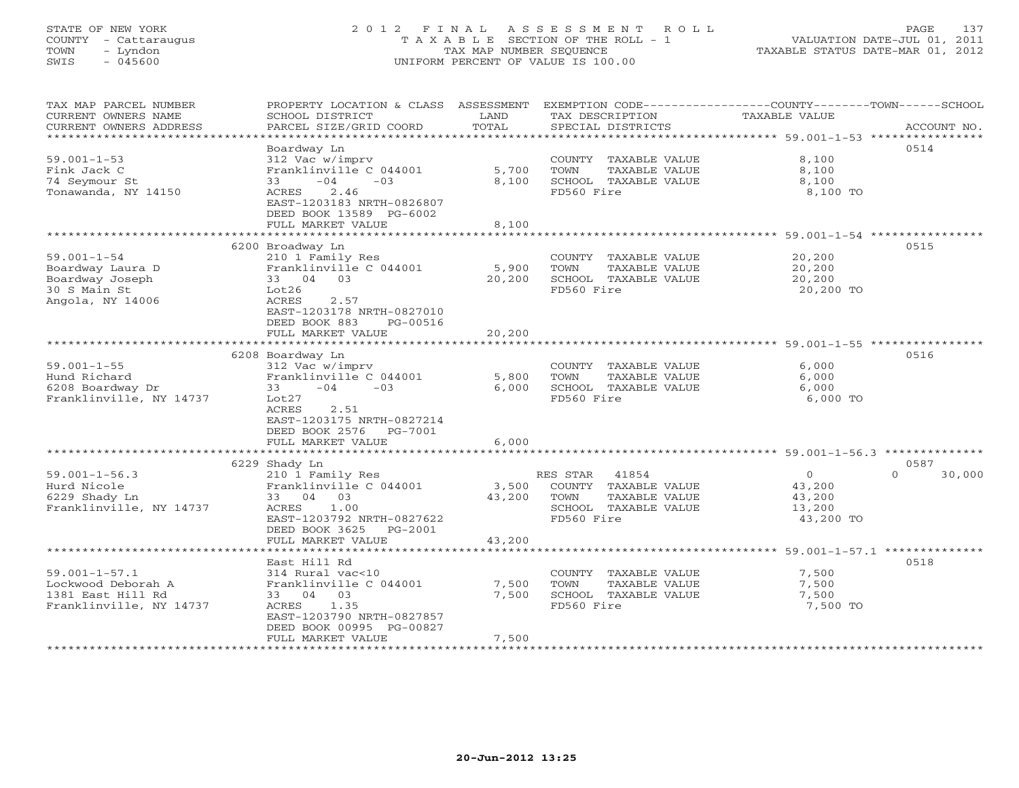# STATE OF NEW YORK 2 0 1 2 F I N A L A S S E S S M E N T R O L L PAGE 137 COUNTY - Cattaraugus T A X A B L E SECTION OF THE ROLL - 1 VALUATION DATE-JUL 01, 2011 TOWN - Lyndon TAX MAP NUMBER SEQUENCE TAXABLE STATUS DATE-MAR 01, 2012 SWIS - 045600 UNIFORM PERCENT OF VALUE IS 100.00UNIFORM PERCENT OF VALUE IS 100.00

| TAX MAP PARCEL NUMBER<br>CURRENT OWNERS NAME<br>CURRENT OWNERS ADDRESS | PROPERTY LOCATION & CLASS ASSESSMENT<br>SCHOOL DISTRICT<br>PARCEL SIZE/GRID COORD | LAND<br>TOTAL | EXEMPTION CODE-----------------COUNTY-------TOWN------SCHOOL<br>TAX DESCRIPTION<br>SPECIAL DISTRICTS | TAXABLE VALUE                                        | ACCOUNT NO.        |
|------------------------------------------------------------------------|-----------------------------------------------------------------------------------|---------------|------------------------------------------------------------------------------------------------------|------------------------------------------------------|--------------------|
| *********************                                                  |                                                                                   |               |                                                                                                      |                                                      |                    |
| $59.001 - 1 - 53$                                                      | Boardway Ln<br>312 Vac w/imprv                                                    |               | COUNTY TAXABLE VALUE                                                                                 | 8,100                                                | 0514               |
| Fink Jack C                                                            | Franklinville C 044001                                                            | 5,700         | TOWN<br>TAXABLE VALUE                                                                                | 8,100                                                |                    |
| 74 Seymour St                                                          | $-04$<br>33<br>$-03$                                                              | 8,100         | SCHOOL TAXABLE VALUE                                                                                 | 8,100                                                |                    |
| Tonawanda, NY 14150                                                    | 2.46<br>ACRES                                                                     |               | FD560 Fire                                                                                           | 8,100 TO                                             |                    |
|                                                                        | EAST-1203183 NRTH-0826807                                                         |               |                                                                                                      |                                                      |                    |
|                                                                        | DEED BOOK 13589 PG-6002                                                           |               |                                                                                                      |                                                      |                    |
|                                                                        | FULL MARKET VALUE                                                                 | 8,100         |                                                                                                      |                                                      |                    |
|                                                                        | ************************                                                          | ************* |                                                                                                      | ****************************** 59.001-1-54 ********* |                    |
|                                                                        | 6200 Broadway Ln                                                                  |               |                                                                                                      |                                                      | 0515               |
| $59.001 - 1 - 54$                                                      | 210 1 Family Res                                                                  |               | COUNTY TAXABLE VALUE                                                                                 | 20,200                                               |                    |
| Boardway Laura D                                                       | Franklinville C 044001                                                            | 5,900         | TAXABLE VALUE<br>TOWN                                                                                | 20,200                                               |                    |
| Boardway Joseph                                                        | 33 04 03                                                                          | 20,200        | SCHOOL TAXABLE VALUE                                                                                 | 20,200                                               |                    |
| 30 S Main St                                                           | Lot26                                                                             |               | FD560 Fire                                                                                           | 20,200 TO                                            |                    |
| Angola, NY 14006                                                       | ACRES<br>2.57                                                                     |               |                                                                                                      |                                                      |                    |
|                                                                        | EAST-1203178 NRTH-0827010                                                         |               |                                                                                                      |                                                      |                    |
|                                                                        | DEED BOOK 883<br>PG-00516                                                         |               |                                                                                                      |                                                      |                    |
|                                                                        | FULL MARKET VALUE                                                                 | 20,200        |                                                                                                      |                                                      |                    |
|                                                                        | * * * * * * * * * * * * * * * * * * *                                             | ********      |                                                                                                      | ********************** 59.001-1-55 ***********       |                    |
|                                                                        | 6208 Boardway Ln                                                                  |               |                                                                                                      |                                                      | 0516               |
| $59.001 - 1 - 55$                                                      | 312 Vac w/imprv                                                                   |               | COUNTY TAXABLE VALUE                                                                                 | 6.000                                                |                    |
| Hund Richard                                                           | Franklinville C 044001                                                            | 5,800         | TOWN<br>TAXABLE VALUE                                                                                | 6,000                                                |                    |
| 6208 Boardway Dr                                                       | $-04$<br>$-0.3$<br>33                                                             | 6,000         | SCHOOL TAXABLE VALUE                                                                                 | 6,000                                                |                    |
| Franklinville, NY 14737                                                | Lot27                                                                             |               | FD560 Fire                                                                                           | 6,000 TO                                             |                    |
|                                                                        | ACRES<br>2.51                                                                     |               |                                                                                                      |                                                      |                    |
|                                                                        | EAST-1203175 NRTH-0827214                                                         |               |                                                                                                      |                                                      |                    |
|                                                                        | DEED BOOK 2576 PG-7001                                                            |               |                                                                                                      |                                                      |                    |
|                                                                        | FULL MARKET VALUE                                                                 | 6,000         |                                                                                                      |                                                      |                    |
|                                                                        |                                                                                   |               |                                                                                                      |                                                      | 0587               |
| $59.001 - 1 - 56.3$                                                    | 6229 Shady Ln<br>210 1 Family Res                                                 |               | RES STAR<br>41854                                                                                    | $\Omega$                                             | $\Omega$<br>30,000 |
| Hurd Nicole                                                            | Franklinville C 044001                                                            | 3,500         | COUNTY TAXABLE VALUE                                                                                 | 43,200                                               |                    |
| 6229 Shady Ln                                                          | 33 04 03                                                                          | 43,200        | TOWN<br>TAXABLE VALUE                                                                                | 43,200                                               |                    |
| Franklinville, NY 14737                                                | ACRES<br>1.00                                                                     |               | SCHOOL TAXABLE VALUE                                                                                 | 13,200                                               |                    |
|                                                                        | EAST-1203792 NRTH-0827622                                                         |               | FD560 Fire                                                                                           | 43,200 TO                                            |                    |
|                                                                        | DEED BOOK 3625<br>PG-2001                                                         |               |                                                                                                      |                                                      |                    |
|                                                                        | FULL MARKET VALUE                                                                 | 43,200        |                                                                                                      |                                                      |                    |
|                                                                        | ********************                                                              |               |                                                                                                      |                                                      |                    |
|                                                                        | East Hill Rd                                                                      |               |                                                                                                      |                                                      | 0518               |
| $59.001 - 1 - 57.1$                                                    | 314 Rural vac<10                                                                  |               | COUNTY TAXABLE VALUE                                                                                 | 7,500                                                |                    |
| Lockwood Deborah A                                                     | Franklinville C 044001                                                            | 7,500         | TOWN<br>TAXABLE VALUE                                                                                | 7,500                                                |                    |
| 1381 East Hill Rd                                                      | 33 04 03                                                                          | 7,500         | SCHOOL TAXABLE VALUE                                                                                 | 7,500                                                |                    |
| Franklinville, NY 14737                                                | ACRES<br>1.35                                                                     |               | FD560 Fire                                                                                           | 7,500 TO                                             |                    |
|                                                                        | EAST-1203790 NRTH-0827857                                                         |               |                                                                                                      |                                                      |                    |
|                                                                        | DEED BOOK 00995 PG-00827                                                          |               |                                                                                                      |                                                      |                    |
|                                                                        | FULL MARKET VALUE                                                                 | 7,500         |                                                                                                      |                                                      |                    |
|                                                                        |                                                                                   |               |                                                                                                      |                                                      |                    |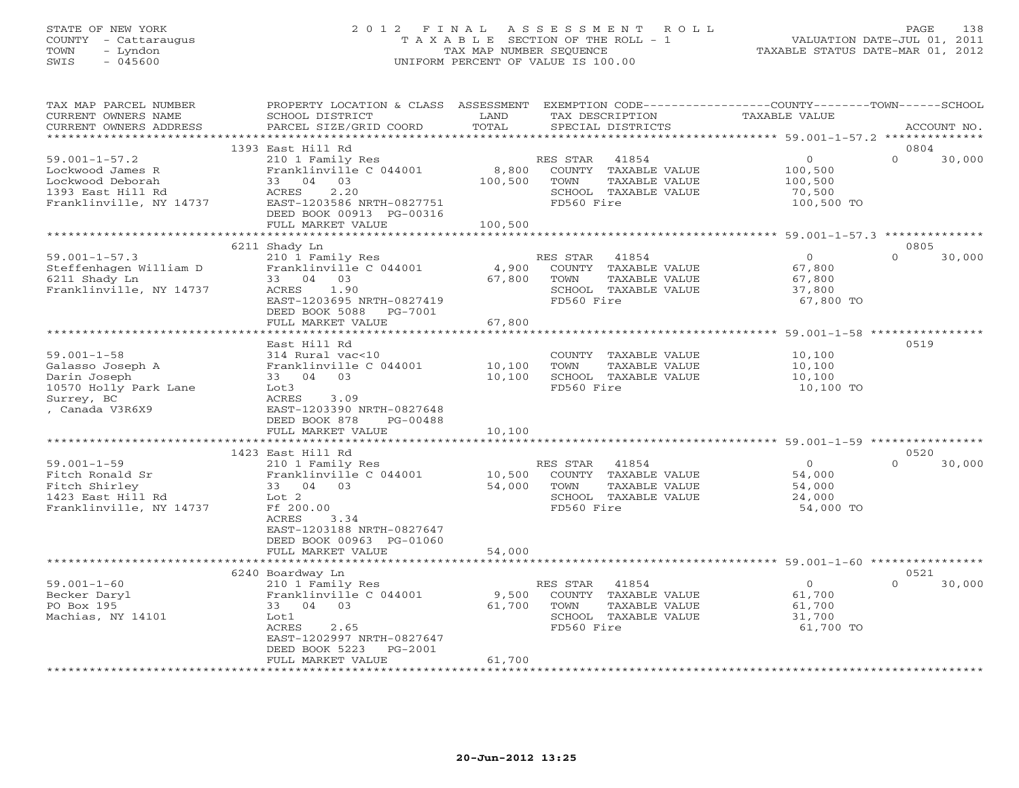## STATE OF NEW YORK 2 0 1 2 F I N A L A S S E S S M E N T R O L L PAGE 138 COUNTY - Cattaraugus T A X A B L E SECTION OF THE ROLL - 1 VALUATION DATE-JUL 01, 2011 TOWN - Lyndon TAX MAP NUMBER SEQUENCE TAXABLE STATUS DATE-MAR 01, 2012 SWIS - 045600 UNIFORM PERCENT OF VALUE IS 100.00UNIFORM PERCENT OF VALUE IS 100.00

| TAX MAP PARCEL NUMBER<br>CURRENT OWNERS NAME | PROPERTY LOCATION & CLASS ASSESSMENT<br>SCHOOL DISTRICT | LAND    | TAX DESCRIPTION       | EXEMPTION CODE----------------COUNTY-------TOWN-----SCHOOL<br><b>TAXABLE VALUE</b> |                  |             |
|----------------------------------------------|---------------------------------------------------------|---------|-----------------------|------------------------------------------------------------------------------------|------------------|-------------|
| CURRENT OWNERS ADDRESS                       | PARCEL SIZE/GRID COORD                                  | TOTAL   | SPECIAL DISTRICTS     |                                                                                    |                  | ACCOUNT NO. |
| ************************                     |                                                         |         |                       |                                                                                    |                  |             |
|                                              | 1393 East Hill Rd                                       |         |                       |                                                                                    | 0804             |             |
| $59.001 - 1 - 57.2$                          | 210 1 Family Res                                        |         | RES STAR<br>41854     | $\circ$                                                                            | $\Omega$         | 30,000      |
| Lockwood James R                             | Franklinville C 044001                                  | 8,800   | COUNTY TAXABLE VALUE  | 100,500                                                                            |                  |             |
| Lockwood Deborah                             | 33 04 03                                                | 100,500 | TOWN<br>TAXABLE VALUE | 100,500                                                                            |                  |             |
| 1393 East Hill Rd                            | 2.20<br>ACRES                                           |         | SCHOOL TAXABLE VALUE  | 70,500                                                                             |                  |             |
| Franklinville, NY 14737                      | EAST-1203586 NRTH-0827751                               |         | FD560 Fire            | 100,500 TO                                                                         |                  |             |
|                                              | DEED BOOK 00913 PG-00316                                |         |                       |                                                                                    |                  |             |
|                                              | FULL MARKET VALUE                                       | 100,500 |                       |                                                                                    |                  |             |
|                                              |                                                         |         |                       |                                                                                    |                  |             |
|                                              | 6211 Shady Ln                                           |         |                       |                                                                                    | 0805<br>$\Omega$ |             |
| $59.001 - 1 - 57.3$                          | 210 1 Family Res                                        |         | RES STAR 41854        | $\overline{0}$                                                                     |                  | 30,000      |
| Steffenhagen William D                       | Franklinville C 044001                                  | 4,900   | COUNTY TAXABLE VALUE  | 67,800                                                                             |                  |             |
| 6211 Shady Ln                                | 33 04 03                                                | 67,800  | TOWN<br>TAXABLE VALUE | 67,800                                                                             |                  |             |
| Franklinville, NY 14737                      | 1.90<br>ACRES                                           |         | SCHOOL TAXABLE VALUE  | 37,800                                                                             |                  |             |
|                                              | EAST-1203695 NRTH-0827419                               |         | FD560 Fire            | 67,800 TO                                                                          |                  |             |
|                                              | DEED BOOK 5088 PG-7001                                  |         |                       |                                                                                    |                  |             |
|                                              | FULL MARKET VALUE                                       | 67,800  |                       |                                                                                    |                  |             |
|                                              |                                                         |         |                       |                                                                                    |                  |             |
|                                              | East Hill Rd                                            |         |                       |                                                                                    | 0519             |             |
| $59.001 - 1 - 58$                            | 314 Rural vac<10                                        |         | COUNTY TAXABLE VALUE  | 10,100                                                                             |                  |             |
| Galasso Joseph A                             | Franklinville C 044001                                  | 10,100  | TAXABLE VALUE<br>TOWN | 10,100                                                                             |                  |             |
| Darin Joseph                                 | 33 04 03                                                | 10,100  | SCHOOL TAXABLE VALUE  | 10,100                                                                             |                  |             |
| 10570 Holly Park Lane                        | Lot3                                                    |         | FD560 Fire            | 10,100 TO                                                                          |                  |             |
| Surrey, BC                                   | ACRES<br>3.09                                           |         |                       |                                                                                    |                  |             |
| , Canada V3R6X9                              | EAST-1203390 NRTH-0827648                               |         |                       |                                                                                    |                  |             |
|                                              | DEED BOOK 878<br>PG-00488                               |         |                       |                                                                                    |                  |             |
|                                              | FULL MARKET VALUE                                       | 10,100  |                       |                                                                                    |                  |             |
|                                              | 1423 East Hill Rd                                       |         |                       |                                                                                    | 0520             |             |
| $59.001 - 1 - 59$                            | 210 1 Family Res                                        |         | RES STAR 41854        | $\Omega$                                                                           | $\cap$           | 30,000      |
| Fitch Ronald Sr                              | Franklinville C 044001                                  | 10,500  | COUNTY TAXABLE VALUE  | 54,000                                                                             |                  |             |
| Fitch Shirley                                | 33 04 03                                                | 54,000  | TOWN<br>TAXABLE VALUE | 54,000                                                                             |                  |             |
| 1423 East Hill Rd                            | Lot 2                                                   |         | SCHOOL TAXABLE VALUE  | 24,000                                                                             |                  |             |
| Franklinville, NY 14737                      | Ff 200.00                                               |         | FD560 Fire            | 54,000 TO                                                                          |                  |             |
|                                              | ACRES<br>3.34                                           |         |                       |                                                                                    |                  |             |
|                                              | EAST-1203188 NRTH-0827647                               |         |                       |                                                                                    |                  |             |
|                                              | DEED BOOK 00963 PG-01060                                |         |                       |                                                                                    |                  |             |
|                                              | FULL MARKET VALUE                                       | 54,000  |                       |                                                                                    |                  |             |
|                                              |                                                         |         |                       |                                                                                    |                  |             |
|                                              | 6240 Boardway Ln                                        |         |                       |                                                                                    | 0521             |             |
| $59.001 - 1 - 60$                            | 210 1 Family Res                                        |         | RES STAR<br>41854     | $\overline{0}$                                                                     | $\Omega$         | 30,000      |
| Becker Daryl                                 | Franklinville C 044001                                  | 9,500   | COUNTY TAXABLE VALUE  | 61,700                                                                             |                  |             |
| PO Box 195                                   | 33 04 03                                                | 61,700  | TOWN<br>TAXABLE VALUE | 61,700                                                                             |                  |             |
| Machias, NY 14101                            | Lot1                                                    |         | SCHOOL TAXABLE VALUE  | 31,700                                                                             |                  |             |
|                                              | ACRES<br>2.65                                           |         | FD560 Fire            | 61,700 TO                                                                          |                  |             |
|                                              | EAST-1202997 NRTH-0827647                               |         |                       |                                                                                    |                  |             |
|                                              | DEED BOOK 5223<br>PG-2001                               |         |                       |                                                                                    |                  |             |
|                                              | FULL MARKET VALUE                                       | 61,700  |                       |                                                                                    |                  |             |
|                                              |                                                         |         |                       |                                                                                    |                  |             |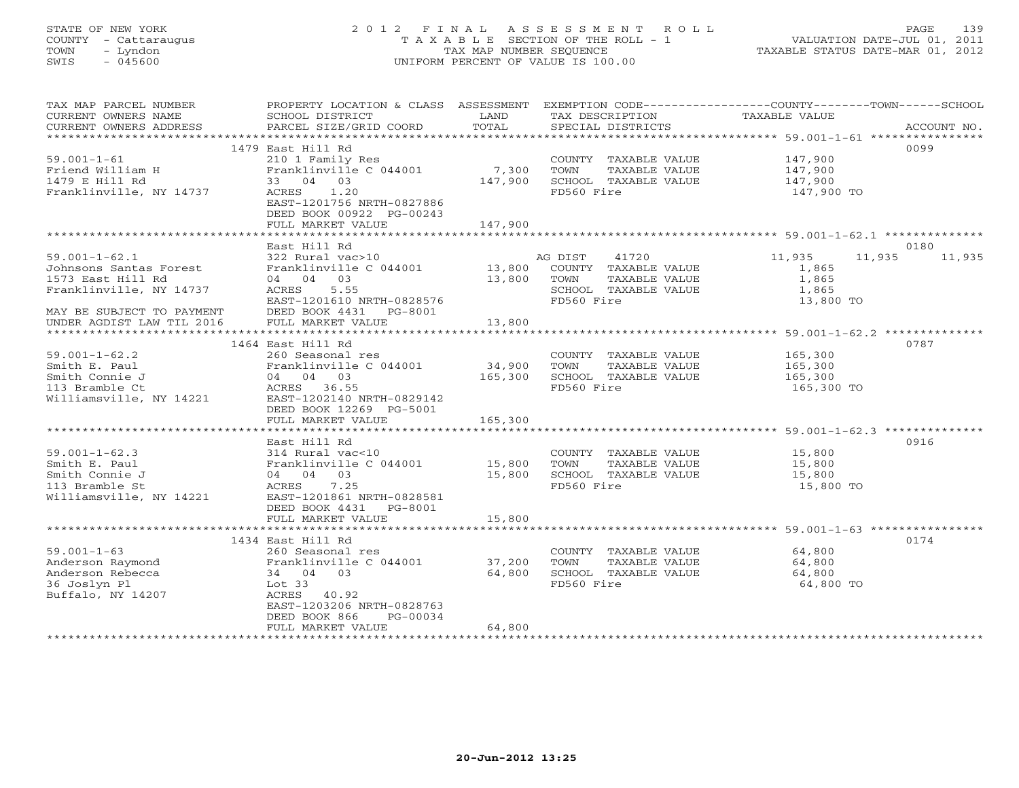# STATE OF NEW YORK 2 0 1 2 F I N A L A S S E S S M E N T R O L L PAGE 139 COUNTY - Cattaraugus T A X A B L E SECTION OF THE ROLL - 1 VALUATION DATE-JUL 01, 2011 TOWN - Lyndon TAX MAP NUMBER SEQUENCE TAXABLE STATUS DATE-MAR 01, 2012 SWIS - 045600 UNIFORM PERCENT OF VALUE IS 100.00UNIFORM PERCENT OF VALUE IS 100.00

| TAX MAP PARCEL NUMBER                               | PROPERTY LOCATION & CLASS ASSESSMENT EXEMPTION CODE----------------COUNTY-------TOWN------SCHOOL |         |                                    |                  |             |
|-----------------------------------------------------|--------------------------------------------------------------------------------------------------|---------|------------------------------------|------------------|-------------|
| CURRENT OWNERS NAME                                 | SCHOOL DISTRICT                                                                                  | LAND    | TAX DESCRIPTION                    | TAXABLE VALUE    |             |
| CURRENT OWNERS ADDRESS<br>************************* | PARCEL SIZE/GRID COORD                                                                           | TOTAL   | SPECIAL DISTRICTS                  |                  | ACCOUNT NO. |
|                                                     |                                                                                                  |         |                                    |                  | 0099        |
| $59.001 - 1 - 61$                                   | 1479 East Hill Rd<br>210 1 Family Res                                                            |         | COUNTY TAXABLE VALUE               | 147,900          |             |
| Friend William H                                    | Franklinville C 044001                                                                           | 7,300   | TOWN<br>TAXABLE VALUE              | 147,900          |             |
| 1479 E Hill Rd                                      | 33 04 03                                                                                         | 147,900 | SCHOOL TAXABLE VALUE               | 147,900          |             |
| Franklinville, NY 14737                             | 1.20<br>ACRES                                                                                    |         | FD560 Fire                         | 147,900 TO       |             |
|                                                     | EAST-1201756 NRTH-0827886                                                                        |         |                                    |                  |             |
|                                                     | DEED BOOK 00922 PG-00243                                                                         |         |                                    |                  |             |
|                                                     | FULL MARKET VALUE                                                                                | 147,900 |                                    |                  |             |
|                                                     |                                                                                                  |         |                                    |                  |             |
|                                                     | East Hill Rd                                                                                     |         |                                    |                  | 0180        |
| $59.001 - 1 - 62.1$                                 | 322 Rural vac>10                                                                                 |         | AG DIST<br>41720                   | 11,935<br>11,935 | 11,935      |
| Johnsons Santas Forest                              | Franklinville C 044001                                                                           | 13,800  | COUNTY TAXABLE VALUE               | 1,865            |             |
| 1573 East Hill Rd                                   | 04 04 03                                                                                         | 13,800  | TOWN<br>TAXABLE VALUE              | 1,865            |             |
| Franklinville, NY 14737                             | 5.55<br>ACRES                                                                                    |         | SCHOOL TAXABLE VALUE               | 1,865            |             |
|                                                     | EAST-1201610 NRTH-0828576                                                                        |         | FD560 Fire                         | 13,800 TO        |             |
| MAY BE SUBJECT TO PAYMENT                           | DEED BOOK 4431 PG-8001                                                                           |         |                                    |                  |             |
| UNDER AGDIST LAW TIL 2016                           | FULL MARKET VALUE                                                                                | 13,800  |                                    |                  |             |
|                                                     | 1464 East Hill Rd                                                                                |         |                                    |                  | 0787        |
| $59.001 - 1 - 62.2$                                 | 260 Seasonal res                                                                                 |         | COUNTY TAXABLE VALUE               | 165,300          |             |
| Smith E. Paul                                       | Franklinville C 044001                                                                           | 34,900  | TOWN<br>TAXABLE VALUE              | 165,300          |             |
| Smith Connie J                                      | 04 04 03                                                                                         | 165,300 | SCHOOL TAXABLE VALUE               | 165,300          |             |
| 113 Bramble Ct                                      | ACRES 36.55                                                                                      |         | FD560 Fire                         | 165,300 TO       |             |
| Williamsville, NY 14221                             | EAST-1202140 NRTH-0829142                                                                        |         |                                    |                  |             |
|                                                     | DEED BOOK 12269 PG-5001                                                                          |         |                                    |                  |             |
|                                                     | FULL MARKET VALUE                                                                                | 165,300 |                                    |                  |             |
|                                                     |                                                                                                  |         |                                    |                  |             |
|                                                     | East Hill Rd                                                                                     |         |                                    |                  | 0916        |
| $59.001 - 1 - 62.3$                                 | 314 Rural vac<10                                                                                 |         | COUNTY TAXABLE VALUE               | 15,800           |             |
| Smith E. Paul                                       | Franklinville C 044001 15,800                                                                    |         | TOWN<br>TAXABLE VALUE              | 15,800           |             |
| Smith Connie J<br>113 Bramble St                    | 04 04 03                                                                                         | 15,800  | SCHOOL TAXABLE VALUE<br>FD560 Fire | 15,800           |             |
| Williamsville, NY 14221                             | ACRES<br>7.25<br>EAST-1201861 NRTH-0828581                                                       |         |                                    | 15,800 TO        |             |
|                                                     | DEED BOOK 4431<br>PG-8001                                                                        |         |                                    |                  |             |
|                                                     | FULL MARKET VALUE                                                                                | 15,800  |                                    |                  |             |
|                                                     |                                                                                                  |         |                                    |                  |             |
|                                                     | 1434 East Hill Rd                                                                                |         |                                    |                  | 0174        |
| $59.001 - 1 - 63$                                   | 260 Seasonal res                                                                                 |         | COUNTY TAXABLE VALUE               | 64,800           |             |
| Anderson Raymond                                    | Franklinville C 044001                                                                           | 37,200  | TOWN<br>TAXABLE VALUE              | 64,800           |             |
| Anderson Rebecca                                    | 34 04 03                                                                                         | 64,800  | SCHOOL TAXABLE VALUE               | 64,800           |             |
| 36 Joslyn Pl                                        | Lot $33$                                                                                         |         | FD560 Fire                         | 64,800 TO        |             |
| Buffalo, NY 14207                                   | ACRES 40.92                                                                                      |         |                                    |                  |             |
|                                                     | EAST-1203206 NRTH-0828763                                                                        |         |                                    |                  |             |
|                                                     | DEED BOOK 866<br>PG-00034                                                                        |         |                                    |                  |             |
|                                                     | FULL MARKET VALUE                                                                                | 64,800  |                                    |                  |             |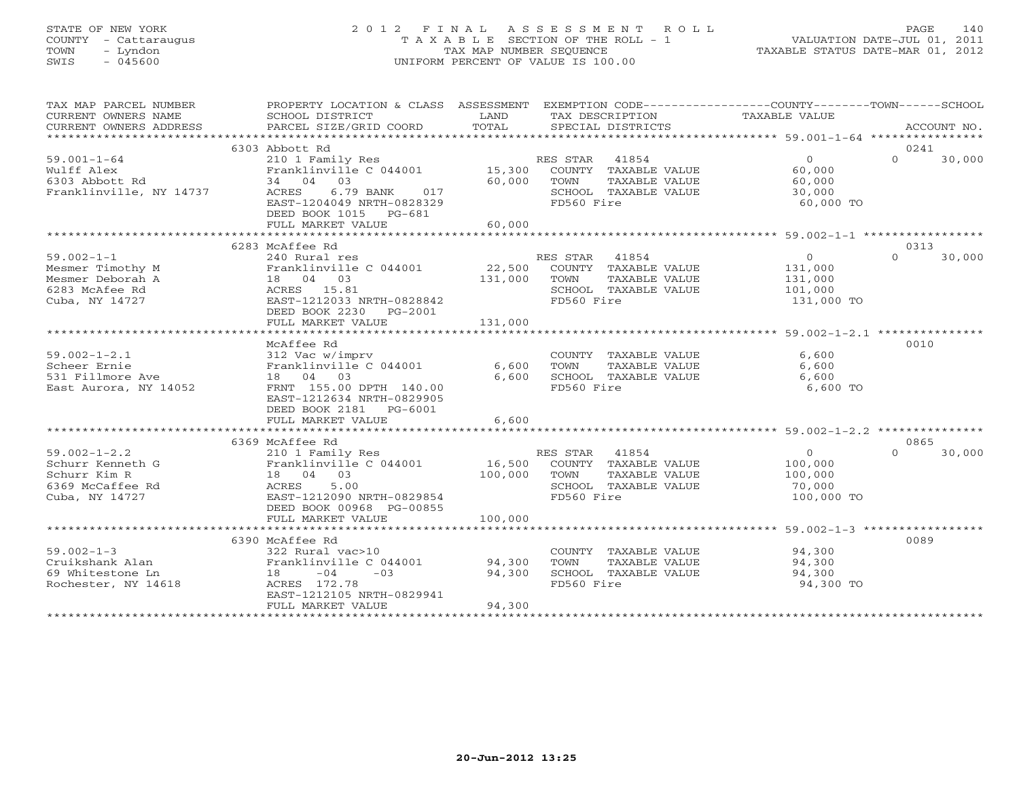# STATE OF NEW YORK 2 0 1 2 F I N A L A S S E S S M E N T R O L L PAGE 140 COUNTY - Cattaraugus T A X A B L E SECTION OF THE ROLL - 1 VALUATION DATE-JUL 01, 2011 TOWN - Lyndon TAX MAP NUMBER SEQUENCE TAXABLE STATUS DATE-MAR 01, 2012 SWIS - 045600 UNIFORM PERCENT OF VALUE IS 100.00

| TAX MAP PARCEL NUMBER<br>CURRENT OWNERS NAME<br>CURRENT OWNERS ADDRESS                       | PROPERTY LOCATION & CLASS ASSESSMENT<br>SCHOOL DISTRICT<br>PARCEL SIZE/GRID COORD                                                                       | LAND<br>TOTAL                | TAX DESCRIPTION<br>SPECIAL DISTRICTS                                                                     | EXEMPTION CODE-----------------COUNTY-------TOWN------SCHOOL<br>TAXABLE VALUE | ACCOUNT NO.                |
|----------------------------------------------------------------------------------------------|---------------------------------------------------------------------------------------------------------------------------------------------------------|------------------------------|----------------------------------------------------------------------------------------------------------|-------------------------------------------------------------------------------|----------------------------|
|                                                                                              |                                                                                                                                                         |                              |                                                                                                          |                                                                               |                            |
| $59.001 - 1 - 64$<br>Wulff Alex<br>6303 Abbott Rd<br>Franklinville, NY 14737                 | 6303 Abbott Rd<br>210 1 Family Res<br>Franklinville C 044001 15,300 COUNTY TAXABLE VALUE<br>34 04 03<br>017<br>ACRES<br>6.79 BANK                       | 60,000                       | RES STAR<br>41854<br>TOWN<br>TAXABLE VALUE<br>SCHOOL TAXABLE VALUE                                       | $\Omega$<br>60,000<br>60,000<br>30,000                                        | 0241<br>$\Omega$<br>30,000 |
|                                                                                              | EAST-1204049 NRTH-0828329<br>DEED BOOK 1015 PG-681<br>FULL MARKET VALUE                                                                                 | 60,000                       | FD560 Fire                                                                                               | 60,000 TO                                                                     |                            |
|                                                                                              |                                                                                                                                                         |                              |                                                                                                          |                                                                               |                            |
|                                                                                              | 6283 McAffee Rd                                                                                                                                         |                              |                                                                                                          |                                                                               | 0313                       |
| $59.002 - 1 - 1$<br>Mesmer Timothy M<br>Mesmer Deborah A<br>6283 McAfee Rd<br>Cuba, NY 14727 | 240 Rural res<br>Franklinville C 044001 22,500 COUNTY TAXABLE VALUE<br>18  04  03<br>ACRES 15.81<br>EAST-1212033 NRTH-0828842<br>DEED BOOK 2230 PG-2001 | 131,000                      | RES STAR 41854<br>TOWN<br>TAXABLE VALUE<br>SCHOOL TAXABLE VALUE<br>FD560 Fire                            | $\overline{0}$<br>131,000<br>131,000<br>101,000<br>131,000 TO                 | $\Omega$<br>30,000         |
|                                                                                              | FULL MARKET VALUE                                                                                                                                       | 131,000                      |                                                                                                          |                                                                               |                            |
|                                                                                              |                                                                                                                                                         |                              |                                                                                                          |                                                                               |                            |
| $59.002 - 1 - 2.1$<br>Scheer Ernie<br>531 Fillmore Ave<br>East Aurora, NY 14052              | McAffee Rd<br>312 Vac w/imprv<br>Franklinville C 044001<br>18  04  03<br>FRNT 155.00 DPTH 140.00<br>EAST-1212634 NRTH-0829905<br>DEED BOOK 2181 PG-6001 | 6,600<br>6,600               | COUNTY TAXABLE VALUE<br>TOWN<br>TAXABLE VALUE<br>SCHOOL TAXABLE VALUE<br>FD560 Fire                      | 6,600<br>6,600<br>6,600<br>6,600 TO                                           | 0010                       |
|                                                                                              | FULL MARKET VALUE                                                                                                                                       | 6,600                        |                                                                                                          |                                                                               |                            |
|                                                                                              |                                                                                                                                                         |                              |                                                                                                          |                                                                               |                            |
|                                                                                              | 6369 McAffee Rd                                                                                                                                         |                              |                                                                                                          |                                                                               | 0865                       |
| $59.002 - 1 - 2.2$<br>Schurr Kenneth G<br>Schurr Kim R<br>6369 McCaffee Rd<br>Cuba, NY 14727 | 210 1 Family Res<br>Franklinville C 044001<br>18 04 03<br>ACRES<br>5.00<br>EAST-1212090 NRTH-0829854<br>DEED BOOK 00968 PG-00855<br>FULL MARKET VALUE   | 16,500<br>100,000<br>100,000 | RES STAR<br>41854<br>COUNTY TAXABLE VALUE<br>TOWN<br>TAXABLE VALUE<br>SCHOOL TAXABLE VALUE<br>FD560 Fire | $\overline{0}$<br>100,000<br>100,000<br>70,000<br>100,000 TO                  | 30,000<br>$\Omega$         |
|                                                                                              |                                                                                                                                                         |                              |                                                                                                          |                                                                               |                            |
| $59.002 - 1 - 3$<br>Cruikshank Alan<br>69 Whitestone Ln<br>Rochester, NY 14618               | 6390 McAffee Rd<br>322 Rural vac>10<br>Franklinville C 044001<br>$-04$<br>$-03$<br>18 —<br>ACRES 172.78<br>EAST-1212105 NRTH-0829941                    | 94,300<br>94,300             | COUNTY TAXABLE VALUE<br>TOWN<br>TAXABLE VALUE<br>SCHOOL TAXABLE VALUE<br>FD560 Fire                      | 94,300<br>94,300<br>94,300<br>94,300 TO                                       | 0089                       |
|                                                                                              | FULL MARKET VALUE                                                                                                                                       | 94,300                       |                                                                                                          |                                                                               |                            |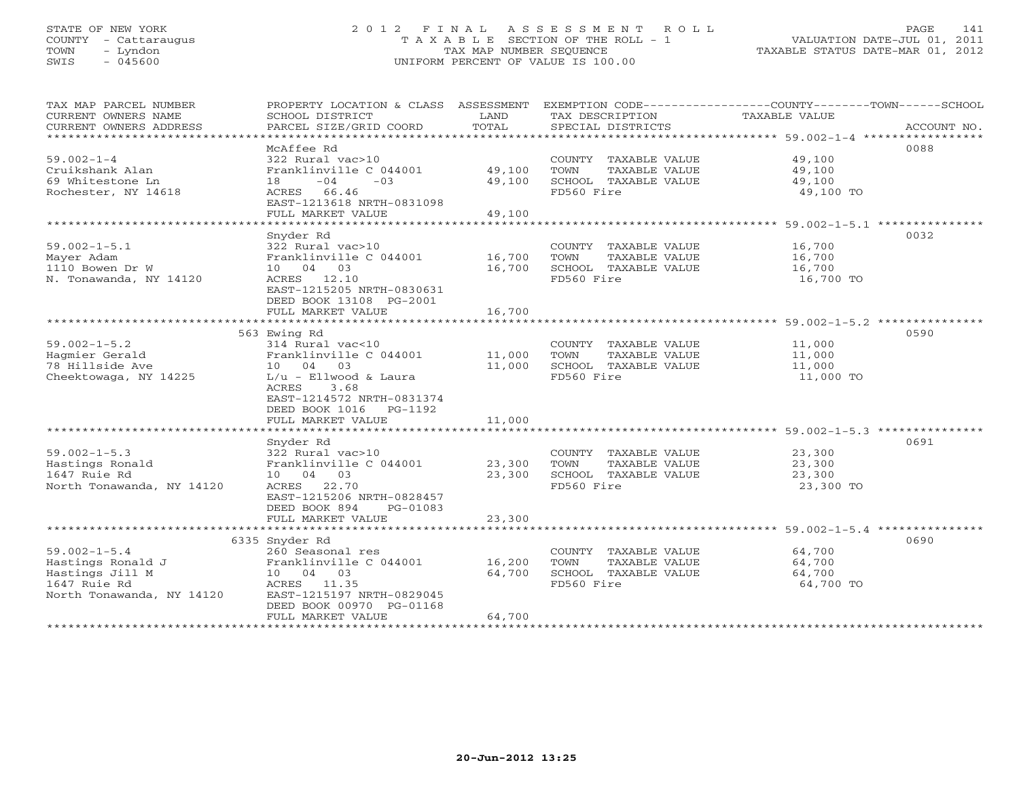# STATE OF NEW YORK 2 0 1 2 F I N A L A S S E S S M E N T R O L L PAGE 141 COUNTY - Cattaraugus T A X A B L E SECTION OF THE ROLL - 1 VALUATION DATE-JUL 01, 2011 TOWN - Lyndon TAX MAP NUMBER SEQUENCE TAXABLE STATUS DATE-MAR 01, 2012 SWIS - 045600 UNIFORM PERCENT OF VALUE IS 100.00UNIFORM PERCENT OF VALUE IS 100.00

| TAX MAP PARCEL NUMBER<br>CURRENT OWNERS NAME<br>CURRENT OWNERS ADDRESS | PROPERTY LOCATION & CLASS ASSESSMENT<br>SCHOOL DISTRICT<br>PARCEL SIZE/GRID COORD                  | LAND<br>TOTAL | TAX DESCRIPTION<br>SPECIAL DISTRICTS | EXEMPTION CODE----------------COUNTY-------TOWN------SCHOOL<br><b>TAXABLE VALUE</b><br>ACCOUNT NO. |
|------------------------------------------------------------------------|----------------------------------------------------------------------------------------------------|---------------|--------------------------------------|----------------------------------------------------------------------------------------------------|
| ********************                                                   |                                                                                                    |               |                                      |                                                                                                    |
|                                                                        | McAffee Rd                                                                                         |               |                                      | 0088                                                                                               |
| $59.002 - 1 - 4$                                                       | 322 Rural vac>10                                                                                   |               | COUNTY TAXABLE VALUE                 | 49,100                                                                                             |
| Cruikshank Alan                                                        | Franklinville C 044001                                                                             | 49,100        | TOWN<br>TAXABLE VALUE                | 49,100                                                                                             |
| 69 Whitestone Ln                                                       | $-04$<br>$-03$<br>18                                                                               | 49,100        | SCHOOL TAXABLE VALUE                 | 49,100                                                                                             |
| Rochester, NY 14618                                                    | ACRES<br>66.46<br>EAST-1213618 NRTH-0831098                                                        |               | FD560 Fire                           | 49,100 TO                                                                                          |
|                                                                        | FULL MARKET VALUE                                                                                  | 49,100        |                                      |                                                                                                    |
|                                                                        |                                                                                                    |               |                                      | ******* 59.002-1-5.1 **                                                                            |
|                                                                        | Snyder Rd                                                                                          |               |                                      | 0032                                                                                               |
| $59.002 - 1 - 5.1$                                                     | 322 Rural vac>10                                                                                   |               | COUNTY TAXABLE VALUE                 | 16,700                                                                                             |
| Mayer Adam                                                             | Franklinville C 044001                                                                             | 16,700        | TOWN<br>TAXABLE VALUE                | 16,700                                                                                             |
| 1110 Bowen Dr W                                                        | 10 04 03                                                                                           | 16,700        | SCHOOL TAXABLE VALUE                 | 16,700                                                                                             |
| N. Tonawanda, NY 14120                                                 | ACRES<br>12.10                                                                                     |               | FD560 Fire                           | 16,700 TO                                                                                          |
|                                                                        | EAST-1215205 NRTH-0830631<br>DEED BOOK 13108 PG-2001                                               |               |                                      |                                                                                                    |
|                                                                        | FULL MARKET VALUE                                                                                  | 16,700        |                                      |                                                                                                    |
|                                                                        | ***************************                                                                        | ************  |                                      | ******************************** 59.002-1-5.2 ***************                                      |
|                                                                        | 563 Ewing Rd                                                                                       |               |                                      | 0590                                                                                               |
| $59.002 - 1 - 5.2$                                                     | 314 Rural vac<10                                                                                   |               | COUNTY TAXABLE VALUE                 | 11,000                                                                                             |
| Hagmier Gerald                                                         | Franklinville C 044001                                                                             | 11,000        | TOWN<br>TAXABLE VALUE                | 11,000                                                                                             |
| 78 Hillside Ave                                                        | 10 04<br>0.3                                                                                       | 11,000        | SCHOOL TAXABLE VALUE                 | 11,000                                                                                             |
| Cheektowaga, NY 14225                                                  | $L/u$ - Ellwood & Laura<br>3.68<br>ACRES<br>EAST-1214572 NRTH-0831374<br>DEED BOOK 1016<br>PG-1192 |               | FD560 Fire                           | 11,000 TO                                                                                          |
|                                                                        | FULL MARKET VALUE                                                                                  | 11,000        |                                      |                                                                                                    |
|                                                                        |                                                                                                    |               |                                      |                                                                                                    |
|                                                                        | Snyder Rd                                                                                          |               |                                      | 0691                                                                                               |
| $59.002 - 1 - 5.3$                                                     | 322 Rural vac>10                                                                                   |               | COUNTY TAXABLE VALUE                 | 23,300                                                                                             |
| Hastings Ronald                                                        | Franklinville C 044001                                                                             | 23,300        | TOWN<br>TAXABLE VALUE                | 23,300                                                                                             |
| 1647 Ruie Rd                                                           | 10 04 03                                                                                           | 23,300        | SCHOOL TAXABLE VALUE                 | 23,300                                                                                             |
| North Tonawanda, NY 14120                                              | ACRES<br>22.70                                                                                     |               | FD560 Fire                           | 23,300 TO                                                                                          |
|                                                                        | EAST-1215206 NRTH-0828457                                                                          |               |                                      |                                                                                                    |
|                                                                        | DEED BOOK 894<br>PG-01083                                                                          |               |                                      |                                                                                                    |
|                                                                        | FULL MARKET VALUE                                                                                  | 23,300        |                                      |                                                                                                    |
|                                                                        | ********************                                                                               |               |                                      | ******** 59.002-1-5.4                                                                              |
|                                                                        | 6335 Snyder Rd                                                                                     |               |                                      | 0690                                                                                               |
| $59.002 - 1 - 5.4$                                                     | 260 Seasonal res                                                                                   |               | COUNTY<br>TAXABLE VALUE              | 64,700                                                                                             |
| Hastings Ronald J                                                      | Franklinville C 044001                                                                             | 16,200        | TOWN<br>TAXABLE VALUE                | 64,700                                                                                             |
| Hastings Jill M                                                        | 10  04  03                                                                                         | 64,700        | SCHOOL TAXABLE VALUE                 | 64,700                                                                                             |
| 1647 Ruie Rd                                                           | 11.35<br>ACRES                                                                                     |               | FD560 Fire                           | 64,700 TO                                                                                          |
| North Tonawanda, NY 14120                                              | EAST-1215197 NRTH-0829045<br>DEED BOOK 00970 PG-01168                                              |               |                                      |                                                                                                    |
|                                                                        | FULL MARKET VALUE                                                                                  | 64,700        |                                      |                                                                                                    |
|                                                                        |                                                                                                    |               |                                      |                                                                                                    |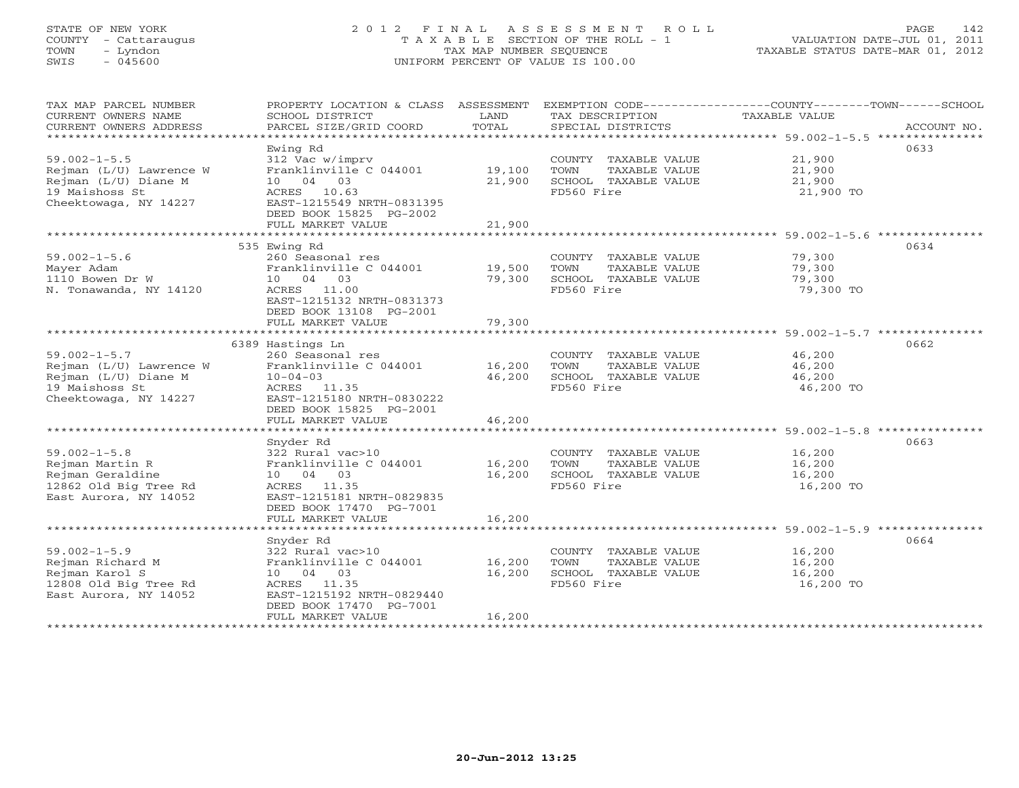# STATE OF NEW YORK 2 0 1 2 F I N A L A S S E S S M E N T R O L L PAGE 142 COUNTY - Cattaraugus T A X A B L E SECTION OF THE ROLL - 1 VALUATION DATE-JUL 01, 2011 TOWN - Lyndon TAX MAP NUMBER SEQUENCE TAXABLE STATUS DATE-MAR 01, 2012 SWIS - 045600 UNIFORM PERCENT OF VALUE IS 100.00

| TAX MAP PARCEL NUMBER<br>CURRENT OWNERS NAME<br>CURRENT OWNERS ADDRESS<br>*************************              | SCHOOL DISTRICT<br>PARCEL SIZE/GRID COORD                                                                                                                     | LAND<br>TOTAL              | TAX DESCRIPTION<br>SPECIAL DISTRICTS                                                       | PROPERTY LOCATION & CLASS ASSESSMENT EXEMPTION CODE---------------COUNTY-------TOWN------SCHOOL<br>TAXABLE VALUE<br>ACCOUNT NO. |
|------------------------------------------------------------------------------------------------------------------|---------------------------------------------------------------------------------------------------------------------------------------------------------------|----------------------------|--------------------------------------------------------------------------------------------|---------------------------------------------------------------------------------------------------------------------------------|
| $59.002 - 1 - 5.5$<br>Rejman (L/U) Lawrence W<br>Rejman (L/U) Diane M<br>19 Maishoss St<br>Cheektowaga, NY 14227 | Ewing Rd<br>312 Vac w/imprv<br>Franklinville C 044001<br>10 04 03<br>ACRES 10.63<br>EAST-1215549 NRTH-0831395<br>DEED BOOK 15825 PG-2002<br>FULL MARKET VALUE | 19,100<br>21,900<br>21,900 | COUNTY TAXABLE VALUE<br>TOWN<br>TAXABLE VALUE<br>SCHOOL TAXABLE VALUE<br>FD560 Fire        | 0633<br>21,900<br>21,900<br>21,900<br>21,900 TO                                                                                 |
|                                                                                                                  | 535 Ewing Rd                                                                                                                                                  |                            |                                                                                            | 0634                                                                                                                            |
| $59.002 - 1 - 5.6$<br>Mayer Adam<br>1110 Bowen Dr W<br>N. Tonawanda, NY 14120                                    | 260 Seasonal res<br>Franklinville C 044001<br>10 04 03<br>ACRES 11.00<br>EAST-1215132 NRTH-0831373<br>DEED BOOK 13108 PG-2001                                 | 19,500<br>79,300           | COUNTY TAXABLE VALUE<br>TOWN<br>TAXABLE VALUE<br>SCHOOL TAXABLE VALUE<br>FD560 Fire        | 79,300<br>79,300<br>79,300<br>79,300 TO                                                                                         |
|                                                                                                                  | FULL MARKET VALUE                                                                                                                                             | 79,300                     |                                                                                            |                                                                                                                                 |
|                                                                                                                  | 6389 Hastings Ln                                                                                                                                              |                            |                                                                                            | 0662                                                                                                                            |
| $59.002 - 1 - 5.7$<br>Rejman (L/U) Lawrence W<br>Rejman (L/U) Diane M<br>19 Maishoss St<br>Cheektowaga, NY 14227 | 260 Seasonal res<br>Franklinville C 044001<br>$10 - 04 - 03$<br>ACRES 11.35<br>EAST-1215180 NRTH-0830222<br>DEED BOOK 15825 PG-2001<br>FULL MARKET VALUE      | 16,200<br>46,200<br>46,200 | COUNTY TAXABLE VALUE<br>TOWN<br>TAXABLE VALUE<br>SCHOOL TAXABLE VALUE<br>FD560 Fire        | 46,200<br>46,200<br>46,200<br>46,200 TO                                                                                         |
|                                                                                                                  |                                                                                                                                                               | ************               |                                                                                            | **********************************59.002-1-5.8 ***************                                                                  |
| $59.002 - 1 - 5.8$<br>Rejman Martin R<br>Rejman Geraldine<br>12862 Old Big Tree Rd<br>East Aurora, NY 14052      | Snyder Rd<br>322 Rural vac>10<br>Franklinville C 044001<br>10 04 03<br>ACRES 11.35<br>EAST-1215181 NRTH-0829835<br>DEED BOOK 17470 PG-7001                    | 16,200<br>16,200           | COUNTY TAXABLE VALUE<br>TOWN<br>TAXABLE VALUE<br>SCHOOL TAXABLE VALUE<br>FD560 Fire        | 0663<br>16,200<br>16,200<br>16,200<br>16,200 TO                                                                                 |
|                                                                                                                  | FULL MARKET VALUE                                                                                                                                             | 16,200                     |                                                                                            |                                                                                                                                 |
| $59.002 - 1 - 5.9$<br>Rejman Richard M<br>Rejman Karol S<br>12808 Old Big Tree Rd<br>East Aurora, NY 14052       | Snyder Rd<br>322 Rural vac>10<br>Franklinville C 044001<br>10 04 03<br>ACRES 11.35<br>EAST-1215192 NRTH-0829440<br>DEED BOOK 17470 PG-7001                    | 16,200<br>16,200           | COUNTY TAXABLE VALUE<br><b>TOWN</b><br>TAXABLE VALUE<br>SCHOOL TAXABLE VALUE<br>FD560 Fire | 0664<br>16,200<br>16,200<br>16,200<br>16,200 TO                                                                                 |
|                                                                                                                  | FULL MARKET VALUE                                                                                                                                             | 16,200                     |                                                                                            |                                                                                                                                 |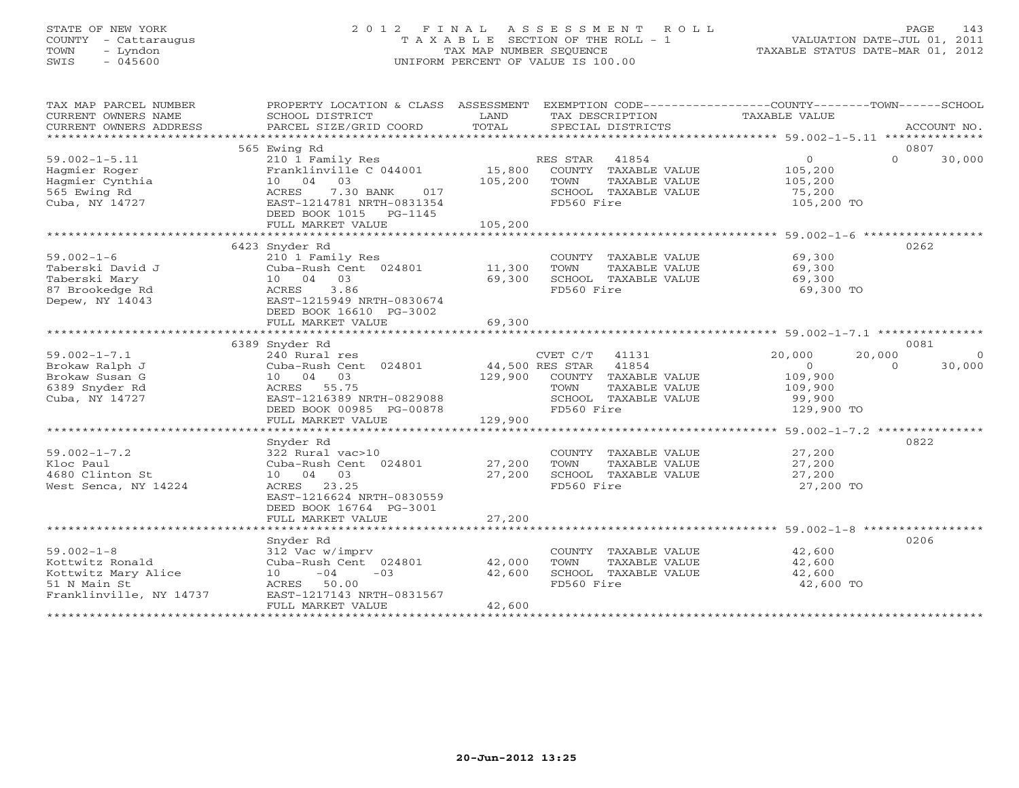# STATE OF NEW YORK 2 0 1 2 F I N A L A S S E S S M E N T R O L L PAGE 143 COUNTY - Cattaraugus T A X A B L E SECTION OF THE ROLL - 1 VALUATION DATE-JUL 01, 2011 TOWN - Lyndon TAX MAP NUMBER SEQUENCE TAXABLE STATUS DATE-MAR 01, 2012 SWIS - 045600 UNIFORM PERCENT OF VALUE IS 100.00UNIFORM PERCENT OF VALUE IS 100.00

| TAX MAP PARCEL NUMBER<br>CURRENT OWNERS NAME<br>CURRENT OWNERS ADDRESS                                | PROPERTY LOCATION & CLASS ASSESSMENT<br>SCHOOL DISTRICT<br>PARCEL SIZE/GRID COORD                                                                                  | LAND<br>TOTAL              | EXEMPTION CODE-----------------COUNTY-------TOWN------SCHOOL<br>TAX DESCRIPTION<br>SPECIAL DISTRICTS                                      | TAXABLE VALUE                                                                    | ACCOUNT NO.                    |
|-------------------------------------------------------------------------------------------------------|--------------------------------------------------------------------------------------------------------------------------------------------------------------------|----------------------------|-------------------------------------------------------------------------------------------------------------------------------------------|----------------------------------------------------------------------------------|--------------------------------|
|                                                                                                       |                                                                                                                                                                    |                            |                                                                                                                                           |                                                                                  |                                |
|                                                                                                       | 565 Ewing Rd                                                                                                                                                       |                            |                                                                                                                                           |                                                                                  | 0807                           |
| $59.002 - 1 - 5.11$<br>Hagmier Roger<br>Hagmier Cynthia<br>565 Ewing Rd<br>Cuba, NY 14727             | 210 1 Family Res<br>Franklinville C 044001<br>10 04 03<br>ACRES<br>7.30 BANK<br>017<br>EAST-1214781 NRTH-0831354<br>DEED BOOK 1015 PG-1145                         | 15,800<br>105,200          | RES STAR<br>41854<br>COUNTY TAXABLE VALUE<br>TOWN<br>TAXABLE VALUE<br>SCHOOL TAXABLE VALUE<br>FD560 Fire                                  | $\Omega$<br>105,200<br>105,200<br>75,200<br>105,200 TO                           | $\Omega$<br>30,000             |
|                                                                                                       | FULL MARKET VALUE                                                                                                                                                  | 105,200                    |                                                                                                                                           |                                                                                  |                                |
|                                                                                                       |                                                                                                                                                                    |                            |                                                                                                                                           |                                                                                  |                                |
| $59.002 - 1 - 6$<br>Taberski David J<br>Taberski Mary<br>87 Brookedge Rd<br>Depew, NY 14043           | 6423 Snyder Rd<br>210 1 Family Res<br>Cuba-Rush Cent 024801<br>10 04 03<br>ACRES 3.86<br>EAST-1215949 NRTH-0830674<br>DEED BOOK 16610 PG-3002<br>FULL MARKET VALUE | 11,300<br>69,300<br>69,300 | COUNTY TAXABLE VALUE<br>TOWN<br>TAXABLE VALUE<br>SCHOOL TAXABLE VALUE<br>FD560 Fire                                                       | 69,300<br>69,300<br>69,300<br>69,300 TO                                          | 0262                           |
|                                                                                                       |                                                                                                                                                                    |                            |                                                                                                                                           |                                                                                  |                                |
|                                                                                                       | 6389 Snyder Rd                                                                                                                                                     |                            |                                                                                                                                           |                                                                                  | 0081                           |
| $59.002 - 1 - 7.1$<br>Brokaw Ralph J<br>Brokaw Susan G<br>6389 Snyder Rd<br>Cuba, NY 14727            | 240 Rural res<br>Cuba-Rush Cent 024801<br>10 04 03<br>ACRES 55.75<br>EAST-1216389 NRTH-0829088<br>DEED BOOK 00985 PG-00878                                         |                            | CVET C/T<br>41131<br>44,500 RES STAR 41854<br>129,900 COUNTY TAXABLE VALUE<br>TOWN<br>TAXABLE VALUE<br>SCHOOL TAXABLE VALUE<br>FD560 Fire | 20,000<br>20,000<br>$\overline{0}$<br>109,900<br>109,900<br>99,900<br>129,900 TO | $\Omega$<br>$\Omega$<br>30,000 |
|                                                                                                       | FULL MARKET VALUE                                                                                                                                                  | 129,900                    |                                                                                                                                           |                                                                                  |                                |
| $59.002 - 1 - 7.2$<br>Kloc Paul<br>4680 Clinton St<br>West Senca, NY 14224                            | Snyder Rd<br>322 Rural vac>10<br>Cuba-Rush Cent 024801<br>10 04 03<br>23.25<br>ACRES<br>EAST-1216624 NRTH-0830559<br>DEED BOOK 16764 PG-3001<br>FULL MARKET VALUE  | 27,200<br>27,200<br>27,200 | COUNTY TAXABLE VALUE<br>TAXABLE VALUE<br>TOWN<br>SCHOOL TAXABLE VALUE<br>FD560 Fire                                                       | 27,200<br>27,200<br>27,200<br>27,200 TO                                          | 0822                           |
|                                                                                                       |                                                                                                                                                                    |                            |                                                                                                                                           |                                                                                  |                                |
| $59.002 - 1 - 8$<br>Kottwitz Ronald<br>Kottwitz Mary Alice<br>51 N Main St<br>Franklinville, NY 14737 | Snyder Rd<br>312 Vac w/imprv<br>Cuba-Rush Cent 024801<br>10<br>$-04$<br>$-03$<br>ACRES 50.00<br>EAST-1217143 NRTH-0831567<br>FULL MARKET VALUE                     | 42,000<br>42,600<br>42,600 | COUNTY TAXABLE VALUE<br>TOWN<br>TAXABLE VALUE<br>SCHOOL TAXABLE VALUE<br>FD560 Fire                                                       | 42,600<br>42,600<br>42,600<br>42,600 TO                                          | 0206                           |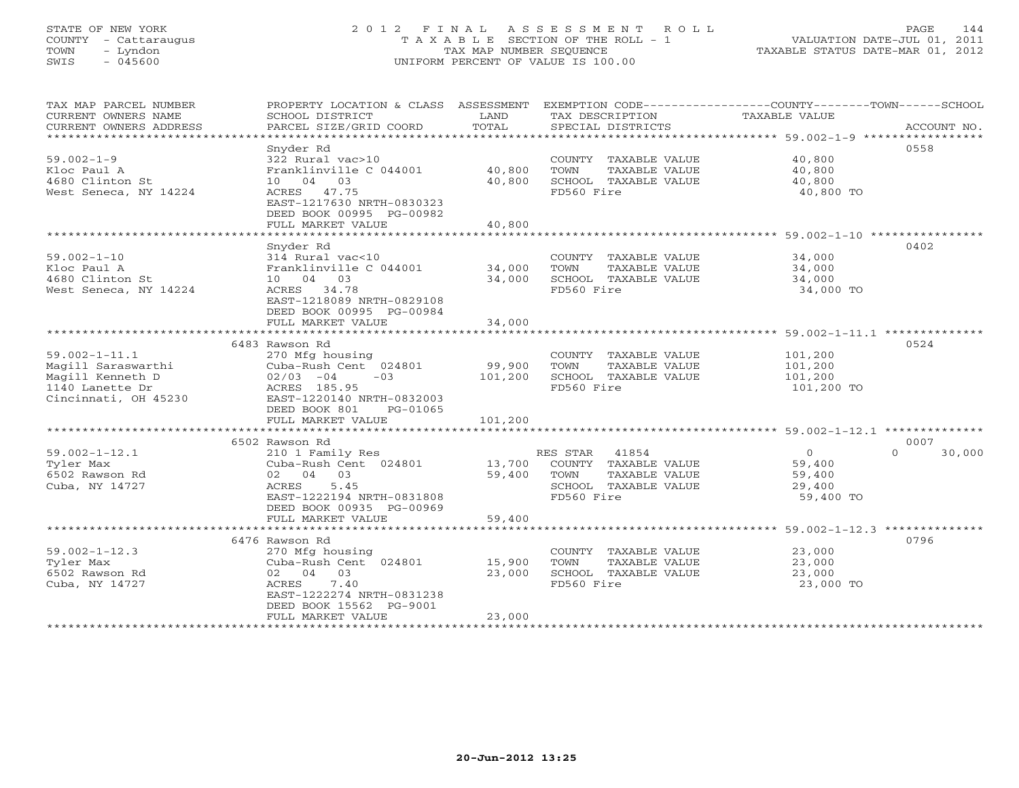# STATE OF NEW YORK 2 0 1 2 F I N A L A S S E S S M E N T R O L L PAGE 144 COUNTY - Cattaraugus T A X A B L E SECTION OF THE ROLL - 1 VALUATION DATE-JUL 01, 2011 TOWN - Lyndon TAX MAP NUMBER SEQUENCE TAXABLE STATUS DATE-MAR 01, 2012 SWIS - 045600 UNIFORM PERCENT OF VALUE IS 100.00UNIFORM PERCENT OF VALUE IS 100.00

| 0558<br>Snyder Rd<br>$59.002 - 1 - 9$<br>40,800<br>322 Rural vac>10<br>COUNTY TAXABLE VALUE<br>40,800<br>Kloc Paul A<br>Franklinville C 044001<br>TOWN<br>TAXABLE VALUE<br>40,800<br>4680 Clinton St<br>10 04 03<br>40,800<br>SCHOOL TAXABLE VALUE<br>40,800<br>ACRES 47.75<br>FD560 Fire<br>West Seneca, NY 14224<br>40,800 TO<br>EAST-1217630 NRTH-0830323<br>DEED BOOK 00995 PG-00982<br>FULL MARKET VALUE<br>40,800<br>0402<br>Snyder Rd<br>$59.002 - 1 - 10$<br>314 Rural vac<10<br>COUNTY TAXABLE VALUE<br>34,000<br>Franklinville C 044001<br>34,000<br>Kloc Paul A<br>TOWN<br>TAXABLE VALUE<br>34,000<br>34,000<br>4680 Clinton St<br>10 04 03<br>34,000<br>SCHOOL TAXABLE VALUE<br>West Seneca, NY 14224<br>FD560 Fire<br>ACRES 34.78<br>34,000 TO<br>EAST-1218089 NRTH-0829108<br>DEED BOOK 00995 PG-00984<br>34,000<br>FULL MARKET VALUE<br>0524<br>6483 Rawson Rd<br>$59.002 - 1 - 11.1$<br>270 Mfg housing<br>COUNTY TAXABLE VALUE<br>101,200<br>99,900<br>Magill Saraswarthi<br>Cuba-Rush Cent 024801<br>TOWN<br>TAXABLE VALUE<br>101,200<br>SCHOOL TAXABLE VALUE<br>Magill Kenneth D<br>$02/03 -04$<br>$-03$<br>101,200<br>101,200<br>1140 Lanette Dr<br>FD560 Fire<br>ACRES 185.95<br>101,200 TO<br>Cincinnati, OH 45230<br>EAST-1220140 NRTH-0832003<br>DEED BOOK 801<br>PG-01065<br>FULL MARKET VALUE<br>101,200<br>0007<br>6502 Rawson Rd<br>$\Omega$<br>$59.002 - 1 - 12.1$<br>$\overline{0}$<br>210 1 Family Res<br>RES STAR 41854<br>30,000<br>13,700<br>COUNTY TAXABLE VALUE<br>Tyler Max<br>Cuba-Rush Cent 024801<br>59,400<br>02 04 03<br>59,400<br>TAXABLE VALUE<br>6502 Rawson Rd<br>TOWN<br>59,400<br>Cuba, NY 14727<br>ACRES<br>5.45<br>SCHOOL TAXABLE VALUE<br>29,400<br>EAST-1222194 NRTH-0831808<br>FD560 Fire<br>59,400 TO<br>DEED BOOK 00935 PG-00969<br>59,400<br>FULL MARKET VALUE<br>0796<br>6476 Rawson Rd<br>$59.002 - 1 - 12.3$<br>270 Mfg housing<br>COUNTY TAXABLE VALUE<br>23,000<br>15,900<br>Tyler Max<br>Cuba-Rush Cent 024801<br>TOWN<br>TAXABLE VALUE<br>23,000<br>02 04 03<br>6502 Rawson Rd<br>23,000<br>SCHOOL TAXABLE VALUE<br>23,000<br>Cuba, NY 14727<br>ACRES<br>7.40<br>FD560 Fire<br>23,000 TO<br>EAST-1222274 NRTH-0831238<br>DEED BOOK 15562 PG-9001<br>23,000<br>FULL MARKET VALUE | TAX MAP PARCEL NUMBER<br>CURRENT OWNERS NAME | PROPERTY LOCATION & CLASS ASSESSMENT<br>SCHOOL DISTRICT<br>PARCEL SIZE/GRID COORD | LAND<br>TOTAL | TAX DESCRIPTION   | EXEMPTION CODE----------------COUNTY-------TOWN------SCHOOL<br>TAXABLE VALUE<br>ACCOUNT NO. |
|------------------------------------------------------------------------------------------------------------------------------------------------------------------------------------------------------------------------------------------------------------------------------------------------------------------------------------------------------------------------------------------------------------------------------------------------------------------------------------------------------------------------------------------------------------------------------------------------------------------------------------------------------------------------------------------------------------------------------------------------------------------------------------------------------------------------------------------------------------------------------------------------------------------------------------------------------------------------------------------------------------------------------------------------------------------------------------------------------------------------------------------------------------------------------------------------------------------------------------------------------------------------------------------------------------------------------------------------------------------------------------------------------------------------------------------------------------------------------------------------------------------------------------------------------------------------------------------------------------------------------------------------------------------------------------------------------------------------------------------------------------------------------------------------------------------------------------------------------------------------------------------------------------------------------------------------------------------------------------------------------------------------------------------------------------------------------------------------------------------------------------------------------------------------------------------------------------------------------------------------|----------------------------------------------|-----------------------------------------------------------------------------------|---------------|-------------------|---------------------------------------------------------------------------------------------|
|                                                                                                                                                                                                                                                                                                                                                                                                                                                                                                                                                                                                                                                                                                                                                                                                                                                                                                                                                                                                                                                                                                                                                                                                                                                                                                                                                                                                                                                                                                                                                                                                                                                                                                                                                                                                                                                                                                                                                                                                                                                                                                                                                                                                                                                | CURRENT OWNERS ADDRESS                       |                                                                                   |               | SPECIAL DISTRICTS |                                                                                             |
|                                                                                                                                                                                                                                                                                                                                                                                                                                                                                                                                                                                                                                                                                                                                                                                                                                                                                                                                                                                                                                                                                                                                                                                                                                                                                                                                                                                                                                                                                                                                                                                                                                                                                                                                                                                                                                                                                                                                                                                                                                                                                                                                                                                                                                                |                                              |                                                                                   |               |                   |                                                                                             |
|                                                                                                                                                                                                                                                                                                                                                                                                                                                                                                                                                                                                                                                                                                                                                                                                                                                                                                                                                                                                                                                                                                                                                                                                                                                                                                                                                                                                                                                                                                                                                                                                                                                                                                                                                                                                                                                                                                                                                                                                                                                                                                                                                                                                                                                |                                              |                                                                                   |               |                   |                                                                                             |
|                                                                                                                                                                                                                                                                                                                                                                                                                                                                                                                                                                                                                                                                                                                                                                                                                                                                                                                                                                                                                                                                                                                                                                                                                                                                                                                                                                                                                                                                                                                                                                                                                                                                                                                                                                                                                                                                                                                                                                                                                                                                                                                                                                                                                                                |                                              |                                                                                   |               |                   |                                                                                             |
|                                                                                                                                                                                                                                                                                                                                                                                                                                                                                                                                                                                                                                                                                                                                                                                                                                                                                                                                                                                                                                                                                                                                                                                                                                                                                                                                                                                                                                                                                                                                                                                                                                                                                                                                                                                                                                                                                                                                                                                                                                                                                                                                                                                                                                                |                                              |                                                                                   |               |                   |                                                                                             |
|                                                                                                                                                                                                                                                                                                                                                                                                                                                                                                                                                                                                                                                                                                                                                                                                                                                                                                                                                                                                                                                                                                                                                                                                                                                                                                                                                                                                                                                                                                                                                                                                                                                                                                                                                                                                                                                                                                                                                                                                                                                                                                                                                                                                                                                |                                              |                                                                                   |               |                   |                                                                                             |
|                                                                                                                                                                                                                                                                                                                                                                                                                                                                                                                                                                                                                                                                                                                                                                                                                                                                                                                                                                                                                                                                                                                                                                                                                                                                                                                                                                                                                                                                                                                                                                                                                                                                                                                                                                                                                                                                                                                                                                                                                                                                                                                                                                                                                                                |                                              |                                                                                   |               |                   |                                                                                             |
|                                                                                                                                                                                                                                                                                                                                                                                                                                                                                                                                                                                                                                                                                                                                                                                                                                                                                                                                                                                                                                                                                                                                                                                                                                                                                                                                                                                                                                                                                                                                                                                                                                                                                                                                                                                                                                                                                                                                                                                                                                                                                                                                                                                                                                                |                                              |                                                                                   |               |                   |                                                                                             |
|                                                                                                                                                                                                                                                                                                                                                                                                                                                                                                                                                                                                                                                                                                                                                                                                                                                                                                                                                                                                                                                                                                                                                                                                                                                                                                                                                                                                                                                                                                                                                                                                                                                                                                                                                                                                                                                                                                                                                                                                                                                                                                                                                                                                                                                |                                              |                                                                                   |               |                   |                                                                                             |
|                                                                                                                                                                                                                                                                                                                                                                                                                                                                                                                                                                                                                                                                                                                                                                                                                                                                                                                                                                                                                                                                                                                                                                                                                                                                                                                                                                                                                                                                                                                                                                                                                                                                                                                                                                                                                                                                                                                                                                                                                                                                                                                                                                                                                                                |                                              |                                                                                   |               |                   |                                                                                             |
|                                                                                                                                                                                                                                                                                                                                                                                                                                                                                                                                                                                                                                                                                                                                                                                                                                                                                                                                                                                                                                                                                                                                                                                                                                                                                                                                                                                                                                                                                                                                                                                                                                                                                                                                                                                                                                                                                                                                                                                                                                                                                                                                                                                                                                                |                                              |                                                                                   |               |                   |                                                                                             |
|                                                                                                                                                                                                                                                                                                                                                                                                                                                                                                                                                                                                                                                                                                                                                                                                                                                                                                                                                                                                                                                                                                                                                                                                                                                                                                                                                                                                                                                                                                                                                                                                                                                                                                                                                                                                                                                                                                                                                                                                                                                                                                                                                                                                                                                |                                              |                                                                                   |               |                   |                                                                                             |
|                                                                                                                                                                                                                                                                                                                                                                                                                                                                                                                                                                                                                                                                                                                                                                                                                                                                                                                                                                                                                                                                                                                                                                                                                                                                                                                                                                                                                                                                                                                                                                                                                                                                                                                                                                                                                                                                                                                                                                                                                                                                                                                                                                                                                                                |                                              |                                                                                   |               |                   |                                                                                             |
|                                                                                                                                                                                                                                                                                                                                                                                                                                                                                                                                                                                                                                                                                                                                                                                                                                                                                                                                                                                                                                                                                                                                                                                                                                                                                                                                                                                                                                                                                                                                                                                                                                                                                                                                                                                                                                                                                                                                                                                                                                                                                                                                                                                                                                                |                                              |                                                                                   |               |                   |                                                                                             |
|                                                                                                                                                                                                                                                                                                                                                                                                                                                                                                                                                                                                                                                                                                                                                                                                                                                                                                                                                                                                                                                                                                                                                                                                                                                                                                                                                                                                                                                                                                                                                                                                                                                                                                                                                                                                                                                                                                                                                                                                                                                                                                                                                                                                                                                |                                              |                                                                                   |               |                   |                                                                                             |
|                                                                                                                                                                                                                                                                                                                                                                                                                                                                                                                                                                                                                                                                                                                                                                                                                                                                                                                                                                                                                                                                                                                                                                                                                                                                                                                                                                                                                                                                                                                                                                                                                                                                                                                                                                                                                                                                                                                                                                                                                                                                                                                                                                                                                                                |                                              |                                                                                   |               |                   |                                                                                             |
|                                                                                                                                                                                                                                                                                                                                                                                                                                                                                                                                                                                                                                                                                                                                                                                                                                                                                                                                                                                                                                                                                                                                                                                                                                                                                                                                                                                                                                                                                                                                                                                                                                                                                                                                                                                                                                                                                                                                                                                                                                                                                                                                                                                                                                                |                                              |                                                                                   |               |                   |                                                                                             |
|                                                                                                                                                                                                                                                                                                                                                                                                                                                                                                                                                                                                                                                                                                                                                                                                                                                                                                                                                                                                                                                                                                                                                                                                                                                                                                                                                                                                                                                                                                                                                                                                                                                                                                                                                                                                                                                                                                                                                                                                                                                                                                                                                                                                                                                |                                              |                                                                                   |               |                   |                                                                                             |
|                                                                                                                                                                                                                                                                                                                                                                                                                                                                                                                                                                                                                                                                                                                                                                                                                                                                                                                                                                                                                                                                                                                                                                                                                                                                                                                                                                                                                                                                                                                                                                                                                                                                                                                                                                                                                                                                                                                                                                                                                                                                                                                                                                                                                                                |                                              |                                                                                   |               |                   |                                                                                             |
|                                                                                                                                                                                                                                                                                                                                                                                                                                                                                                                                                                                                                                                                                                                                                                                                                                                                                                                                                                                                                                                                                                                                                                                                                                                                                                                                                                                                                                                                                                                                                                                                                                                                                                                                                                                                                                                                                                                                                                                                                                                                                                                                                                                                                                                |                                              |                                                                                   |               |                   |                                                                                             |
|                                                                                                                                                                                                                                                                                                                                                                                                                                                                                                                                                                                                                                                                                                                                                                                                                                                                                                                                                                                                                                                                                                                                                                                                                                                                                                                                                                                                                                                                                                                                                                                                                                                                                                                                                                                                                                                                                                                                                                                                                                                                                                                                                                                                                                                |                                              |                                                                                   |               |                   |                                                                                             |
|                                                                                                                                                                                                                                                                                                                                                                                                                                                                                                                                                                                                                                                                                                                                                                                                                                                                                                                                                                                                                                                                                                                                                                                                                                                                                                                                                                                                                                                                                                                                                                                                                                                                                                                                                                                                                                                                                                                                                                                                                                                                                                                                                                                                                                                |                                              |                                                                                   |               |                   |                                                                                             |
|                                                                                                                                                                                                                                                                                                                                                                                                                                                                                                                                                                                                                                                                                                                                                                                                                                                                                                                                                                                                                                                                                                                                                                                                                                                                                                                                                                                                                                                                                                                                                                                                                                                                                                                                                                                                                                                                                                                                                                                                                                                                                                                                                                                                                                                |                                              |                                                                                   |               |                   |                                                                                             |
|                                                                                                                                                                                                                                                                                                                                                                                                                                                                                                                                                                                                                                                                                                                                                                                                                                                                                                                                                                                                                                                                                                                                                                                                                                                                                                                                                                                                                                                                                                                                                                                                                                                                                                                                                                                                                                                                                                                                                                                                                                                                                                                                                                                                                                                |                                              |                                                                                   |               |                   |                                                                                             |
|                                                                                                                                                                                                                                                                                                                                                                                                                                                                                                                                                                                                                                                                                                                                                                                                                                                                                                                                                                                                                                                                                                                                                                                                                                                                                                                                                                                                                                                                                                                                                                                                                                                                                                                                                                                                                                                                                                                                                                                                                                                                                                                                                                                                                                                |                                              |                                                                                   |               |                   |                                                                                             |
|                                                                                                                                                                                                                                                                                                                                                                                                                                                                                                                                                                                                                                                                                                                                                                                                                                                                                                                                                                                                                                                                                                                                                                                                                                                                                                                                                                                                                                                                                                                                                                                                                                                                                                                                                                                                                                                                                                                                                                                                                                                                                                                                                                                                                                                |                                              |                                                                                   |               |                   |                                                                                             |
|                                                                                                                                                                                                                                                                                                                                                                                                                                                                                                                                                                                                                                                                                                                                                                                                                                                                                                                                                                                                                                                                                                                                                                                                                                                                                                                                                                                                                                                                                                                                                                                                                                                                                                                                                                                                                                                                                                                                                                                                                                                                                                                                                                                                                                                |                                              |                                                                                   |               |                   |                                                                                             |
|                                                                                                                                                                                                                                                                                                                                                                                                                                                                                                                                                                                                                                                                                                                                                                                                                                                                                                                                                                                                                                                                                                                                                                                                                                                                                                                                                                                                                                                                                                                                                                                                                                                                                                                                                                                                                                                                                                                                                                                                                                                                                                                                                                                                                                                |                                              |                                                                                   |               |                   |                                                                                             |
|                                                                                                                                                                                                                                                                                                                                                                                                                                                                                                                                                                                                                                                                                                                                                                                                                                                                                                                                                                                                                                                                                                                                                                                                                                                                                                                                                                                                                                                                                                                                                                                                                                                                                                                                                                                                                                                                                                                                                                                                                                                                                                                                                                                                                                                |                                              |                                                                                   |               |                   |                                                                                             |
|                                                                                                                                                                                                                                                                                                                                                                                                                                                                                                                                                                                                                                                                                                                                                                                                                                                                                                                                                                                                                                                                                                                                                                                                                                                                                                                                                                                                                                                                                                                                                                                                                                                                                                                                                                                                                                                                                                                                                                                                                                                                                                                                                                                                                                                |                                              |                                                                                   |               |                   |                                                                                             |
|                                                                                                                                                                                                                                                                                                                                                                                                                                                                                                                                                                                                                                                                                                                                                                                                                                                                                                                                                                                                                                                                                                                                                                                                                                                                                                                                                                                                                                                                                                                                                                                                                                                                                                                                                                                                                                                                                                                                                                                                                                                                                                                                                                                                                                                |                                              |                                                                                   |               |                   |                                                                                             |
|                                                                                                                                                                                                                                                                                                                                                                                                                                                                                                                                                                                                                                                                                                                                                                                                                                                                                                                                                                                                                                                                                                                                                                                                                                                                                                                                                                                                                                                                                                                                                                                                                                                                                                                                                                                                                                                                                                                                                                                                                                                                                                                                                                                                                                                |                                              |                                                                                   |               |                   |                                                                                             |
|                                                                                                                                                                                                                                                                                                                                                                                                                                                                                                                                                                                                                                                                                                                                                                                                                                                                                                                                                                                                                                                                                                                                                                                                                                                                                                                                                                                                                                                                                                                                                                                                                                                                                                                                                                                                                                                                                                                                                                                                                                                                                                                                                                                                                                                |                                              |                                                                                   |               |                   |                                                                                             |
|                                                                                                                                                                                                                                                                                                                                                                                                                                                                                                                                                                                                                                                                                                                                                                                                                                                                                                                                                                                                                                                                                                                                                                                                                                                                                                                                                                                                                                                                                                                                                                                                                                                                                                                                                                                                                                                                                                                                                                                                                                                                                                                                                                                                                                                |                                              |                                                                                   |               |                   |                                                                                             |
|                                                                                                                                                                                                                                                                                                                                                                                                                                                                                                                                                                                                                                                                                                                                                                                                                                                                                                                                                                                                                                                                                                                                                                                                                                                                                                                                                                                                                                                                                                                                                                                                                                                                                                                                                                                                                                                                                                                                                                                                                                                                                                                                                                                                                                                |                                              |                                                                                   |               |                   |                                                                                             |
|                                                                                                                                                                                                                                                                                                                                                                                                                                                                                                                                                                                                                                                                                                                                                                                                                                                                                                                                                                                                                                                                                                                                                                                                                                                                                                                                                                                                                                                                                                                                                                                                                                                                                                                                                                                                                                                                                                                                                                                                                                                                                                                                                                                                                                                |                                              |                                                                                   |               |                   |                                                                                             |
|                                                                                                                                                                                                                                                                                                                                                                                                                                                                                                                                                                                                                                                                                                                                                                                                                                                                                                                                                                                                                                                                                                                                                                                                                                                                                                                                                                                                                                                                                                                                                                                                                                                                                                                                                                                                                                                                                                                                                                                                                                                                                                                                                                                                                                                |                                              |                                                                                   |               |                   |                                                                                             |
|                                                                                                                                                                                                                                                                                                                                                                                                                                                                                                                                                                                                                                                                                                                                                                                                                                                                                                                                                                                                                                                                                                                                                                                                                                                                                                                                                                                                                                                                                                                                                                                                                                                                                                                                                                                                                                                                                                                                                                                                                                                                                                                                                                                                                                                |                                              |                                                                                   |               |                   |                                                                                             |
|                                                                                                                                                                                                                                                                                                                                                                                                                                                                                                                                                                                                                                                                                                                                                                                                                                                                                                                                                                                                                                                                                                                                                                                                                                                                                                                                                                                                                                                                                                                                                                                                                                                                                                                                                                                                                                                                                                                                                                                                                                                                                                                                                                                                                                                |                                              |                                                                                   |               |                   |                                                                                             |
|                                                                                                                                                                                                                                                                                                                                                                                                                                                                                                                                                                                                                                                                                                                                                                                                                                                                                                                                                                                                                                                                                                                                                                                                                                                                                                                                                                                                                                                                                                                                                                                                                                                                                                                                                                                                                                                                                                                                                                                                                                                                                                                                                                                                                                                |                                              |                                                                                   |               |                   |                                                                                             |
|                                                                                                                                                                                                                                                                                                                                                                                                                                                                                                                                                                                                                                                                                                                                                                                                                                                                                                                                                                                                                                                                                                                                                                                                                                                                                                                                                                                                                                                                                                                                                                                                                                                                                                                                                                                                                                                                                                                                                                                                                                                                                                                                                                                                                                                |                                              |                                                                                   |               |                   |                                                                                             |
|                                                                                                                                                                                                                                                                                                                                                                                                                                                                                                                                                                                                                                                                                                                                                                                                                                                                                                                                                                                                                                                                                                                                                                                                                                                                                                                                                                                                                                                                                                                                                                                                                                                                                                                                                                                                                                                                                                                                                                                                                                                                                                                                                                                                                                                |                                              |                                                                                   |               |                   |                                                                                             |
|                                                                                                                                                                                                                                                                                                                                                                                                                                                                                                                                                                                                                                                                                                                                                                                                                                                                                                                                                                                                                                                                                                                                                                                                                                                                                                                                                                                                                                                                                                                                                                                                                                                                                                                                                                                                                                                                                                                                                                                                                                                                                                                                                                                                                                                |                                              |                                                                                   |               |                   |                                                                                             |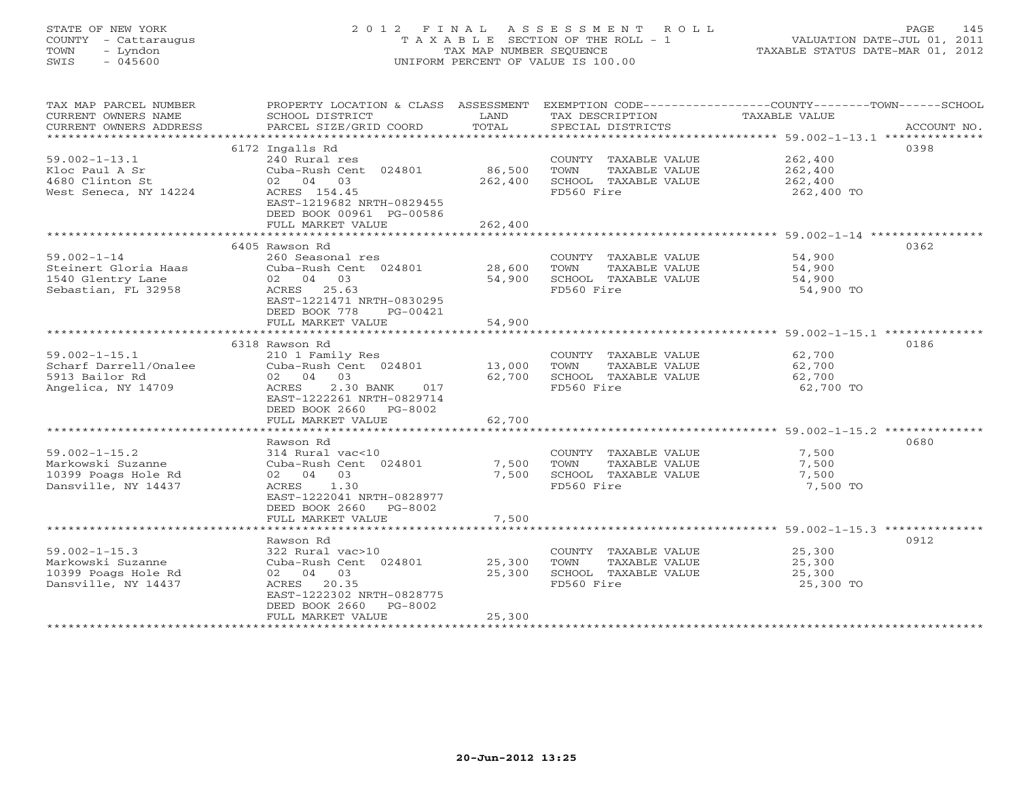# STATE OF NEW YORK 2 0 1 2 F I N A L A S S E S S M E N T R O L L PAGE 145 COUNTY - Cattaraugus T A X A B L E SECTION OF THE ROLL - 1 VALUATION DATE-JUL 01, 2011 TOWN - Lyndon TAX MAP NUMBER SEQUENCE TAXABLE STATUS DATE-MAR 01, 2012 SWIS - 045600 UNIFORM PERCENT OF VALUE IS 100.00UNIFORM PERCENT OF VALUE IS 100.00

| SCHOOL DISTRICT<br>PARCEL SIZE/GRID COORD                                                                                                           | LAND<br>TOTAL                                                                                                                                                         | TAX DESCRIPTION<br>SPECIAL DISTRICTS                                                | EXEMPTION CODE-----------------COUNTY-------TOWN------SCHOOL<br>TAXABLE VALUE<br>ACCOUNT NO. |
|-----------------------------------------------------------------------------------------------------------------------------------------------------|-----------------------------------------------------------------------------------------------------------------------------------------------------------------------|-------------------------------------------------------------------------------------|----------------------------------------------------------------------------------------------|
| 240 Rural res<br>Cuba-Rush Cent 024801<br>02 04 03<br>ACRES 154.45<br>EAST-1219682 NRTH-0829455<br>DEED BOOK 00961 PG-00586<br>FULL MARKET VALUE    | 86,500<br>262,400<br>262,400                                                                                                                                          | COUNTY TAXABLE VALUE<br>TAXABLE VALUE<br>TOWN<br>SCHOOL TAXABLE VALUE<br>FD560 Fire | 0398<br>262,400<br>262,400<br>262,400<br>262,400 TO                                          |
|                                                                                                                                                     |                                                                                                                                                                       |                                                                                     | 0362                                                                                         |
| 260 Seasonal res<br>Cuba-Rush Cent 024801<br>02 04 03<br>ACRES 25.63<br>EAST-1221471 NRTH-0830295<br>DEED BOOK 778<br>PG-00421                      | 28,600<br>54,900                                                                                                                                                      | COUNTY TAXABLE VALUE<br>TAXABLE VALUE<br>TOWN<br>SCHOOL TAXABLE VALUE<br>FD560 Fire | 54,900<br>54,900<br>54,900<br>54,900 TO                                                      |
| FULL MARKET VALUE                                                                                                                                   | 54,900                                                                                                                                                                |                                                                                     |                                                                                              |
|                                                                                                                                                     |                                                                                                                                                                       |                                                                                     | 0186                                                                                         |
| 210 1 Family Res<br>Cuba-Rush Cent 024801<br>02 04 03<br>2.30 BANK<br>ACRES<br>017<br>EAST-1222261 NRTH-0829714                                     | 13,000<br>62,700                                                                                                                                                      | COUNTY TAXABLE VALUE<br>TOWN<br>TAXABLE VALUE<br>SCHOOL TAXABLE VALUE<br>FD560 Fire | 62,700<br>62,700<br>62,700<br>62,700 TO                                                      |
|                                                                                                                                                     |                                                                                                                                                                       |                                                                                     |                                                                                              |
|                                                                                                                                                     |                                                                                                                                                                       |                                                                                     |                                                                                              |
| Rawson Rd<br>314 Rural vac<10<br>Cuba-Rush Cent 024801<br>02 04 03<br>ACRES 1.30<br>EAST-1222041 NRTH-0828977                                       | 7,500<br>7,500                                                                                                                                                        | COUNTY TAXABLE VALUE<br>TOWN<br>TAXABLE VALUE<br>SCHOOL TAXABLE VALUE<br>FD560 Fire | 0680<br>7,500<br>7,500<br>7,500<br>7,500 TO                                                  |
| FULL MARKET VALUE                                                                                                                                   | 7,500                                                                                                                                                                 |                                                                                     |                                                                                              |
|                                                                                                                                                     |                                                                                                                                                                       |                                                                                     |                                                                                              |
| 322 Rural vac>10<br>Cuba-Rush Cent 024801<br>02 04 03<br>ACRES 20.35<br>EAST-1222302 NRTH-0828775<br>DEED BOOK 2660<br>PG-8002<br>FULL MARKET VALUE | 25,300<br>25,300<br>25,300                                                                                                                                            | COUNTY TAXABLE VALUE<br>TOWN<br>TAXABLE VALUE<br>SCHOOL TAXABLE VALUE<br>FD560 Fire | 0912<br>25,300<br>25,300<br>25,300<br>25,300 TO                                              |
|                                                                                                                                                     | 6172 Ingalls Rd<br>6405 Rawson Rd<br>6318 Rawson Rd<br>DEED BOOK 2660 PG-8002<br>FULL MARKET VALUE<br>DEED BOOK 2660 PG-8002<br>Rawson Rd<br>************************ | PROPERTY LOCATION & CLASS ASSESSMENT<br>62,700                                      | ******************************                                                               |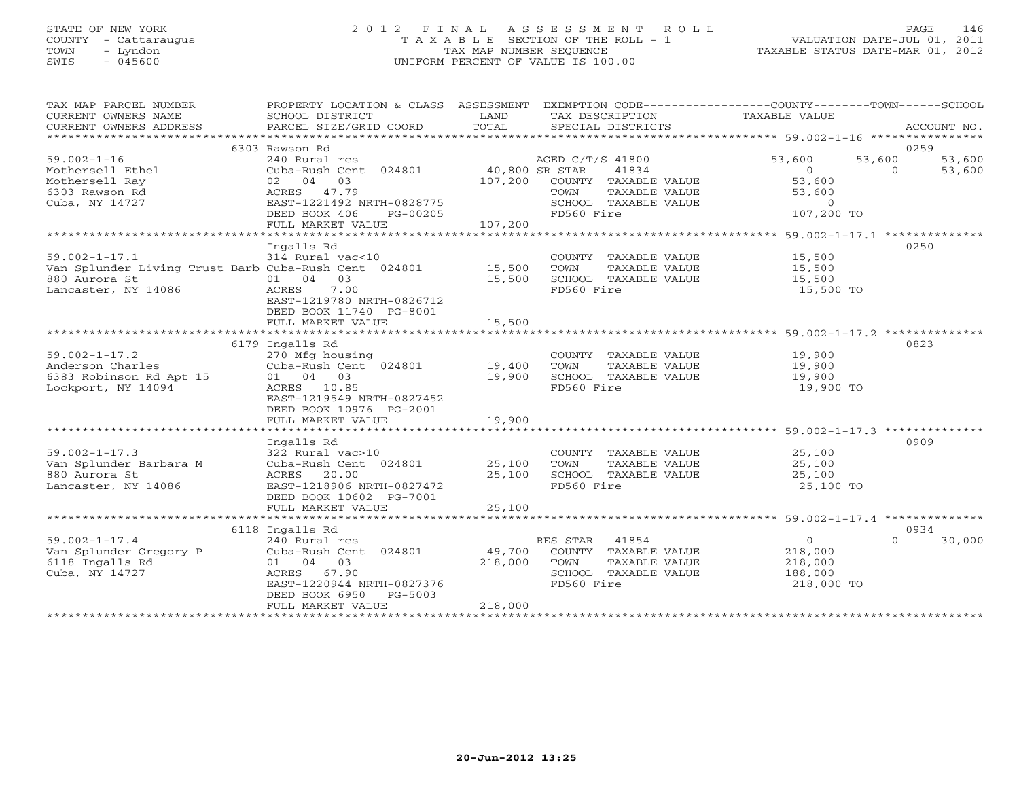# STATE OF NEW YORK 2 0 1 2 F I N A L A S S E S S M E N T R O L L PAGE 146 COUNTY - Cattaraugus T A X A B L E SECTION OF THE ROLL - 1 VALUATION DATE-JUL 01, 2011 TOWN - Lyndon TAX MAP NUMBER SEQUENCE TAXABLE STATUS DATE-MAR 01, 2012 SWIS - 045600 UNIFORM PERCENT OF VALUE IS 100.00UNIFORM PERCENT OF VALUE IS 100.00

| TAX MAP PARCEL NUMBER<br>CURRENT OWNERS NAME<br>CURRENT OWNERS ADDRESS | PROPERTY LOCATION & CLASS ASSESSMENT EXEMPTION CODE--------------COUNTY-------TOWN------SCHOOL<br>SCHOOL DISTRICT<br>PARCEL SIZE/GRID COORD | LAND<br>TOTAL | TAX DESCRIPTION<br>SPECIAL DISTRICTS | TAXABLE VALUE              | ACCOUNT NO. |
|------------------------------------------------------------------------|---------------------------------------------------------------------------------------------------------------------------------------------|---------------|--------------------------------------|----------------------------|-------------|
|                                                                        |                                                                                                                                             |               |                                      |                            |             |
|                                                                        | 6303 Rawson Rd                                                                                                                              |               |                                      |                            | 0259        |
| $59.002 - 1 - 16$                                                      | 240 Rural res                                                                                                                               |               | AGED C/T/S 41800                     | 53,600<br>53,600           | 53,600      |
| Mothersell Ethel                                                       | Cuba-Rush Cent 024801 40,800 SR STAR                                                                                                        |               | 41834                                | $\Omega$<br>$\Omega$       | 53,600      |
| Mothersell Ray                                                         | 02 04 03                                                                                                                                    | 107,200       | COUNTY TAXABLE VALUE                 | 53,600                     |             |
| 6303 Rawson Rd                                                         | ACRES 47.79                                                                                                                                 |               | TAXABLE VALUE<br>TOWN                | 53,600                     |             |
| Cuba, NY 14727                                                         | EAST-1221492 NRTH-0828775                                                                                                                   |               | SCHOOL TAXABLE VALUE                 | $\circ$                    |             |
|                                                                        | DEED BOOK 406<br>PG-00205                                                                                                                   |               | FD560 Fire                           | 107,200 TO                 |             |
|                                                                        | FULL MARKET VALUE                                                                                                                           | 107,200       |                                      |                            |             |
|                                                                        |                                                                                                                                             |               |                                      |                            |             |
|                                                                        | Ingalls Rd                                                                                                                                  |               |                                      |                            | 0250        |
| $59.002 - 1 - 17.1$                                                    | 314 Rural vac<10                                                                                                                            |               | COUNTY TAXABLE VALUE                 | 15,500                     |             |
| Van Splunder Living Trust Barb Cuba-Rush Cent 024801 15,500            |                                                                                                                                             |               | TAXABLE VALUE<br>TOWN                | 15,500                     |             |
| 880 Aurora St                                                          | 01 04 03                                                                                                                                    | 15,500        | SCHOOL TAXABLE VALUE                 | 15,500                     |             |
| Lancaster, NY 14086                                                    | 7.00<br>ACRES                                                                                                                               |               | FD560 Fire                           | 15,500 TO                  |             |
|                                                                        | EAST-1219780 NRTH-0826712                                                                                                                   |               |                                      |                            |             |
|                                                                        | DEED BOOK 11740 PG-8001                                                                                                                     |               |                                      |                            |             |
|                                                                        | FULL MARKET VALUE                                                                                                                           | 15,500        |                                      |                            |             |
|                                                                        |                                                                                                                                             |               |                                      |                            |             |
|                                                                        | 6179 Ingalls Rd                                                                                                                             |               |                                      |                            | 0823        |
| $59.002 - 1 - 17.2$                                                    | 270 Mfg housing                                                                                                                             |               | COUNTY TAXABLE VALUE                 | 19,900                     |             |
| Anderson Charles                                                       | Cuba-Rush Cent 024801                                                                                                                       | 19,400        | TOWN<br>TAXABLE VALUE                | 19,900                     |             |
| 6383 Robinson Rd Apt 15                                                | 01 04 03                                                                                                                                    | 19,900        | SCHOOL TAXABLE VALUE                 | 19,900                     |             |
| Lockport, NY 14094                                                     | ACRES 10.85                                                                                                                                 |               | FD560 Fire                           | 19,900 TO                  |             |
|                                                                        | EAST-1219549 NRTH-0827452                                                                                                                   |               |                                      |                            |             |
|                                                                        | DEED BOOK 10976 PG-2001                                                                                                                     |               |                                      |                            |             |
|                                                                        | FULL MARKET VALUE                                                                                                                           | 19,900        |                                      |                            |             |
|                                                                        |                                                                                                                                             |               |                                      |                            |             |
|                                                                        | Ingalls Rd                                                                                                                                  |               |                                      |                            | 0909        |
| $59.002 - 1 - 17.3$                                                    | 322 Rural vac>10                                                                                                                            |               | COUNTY TAXABLE VALUE                 | 25,100                     |             |
| Van Splunder Barbara M                                                 | Cuba-Rush Cent 024801                                                                                                                       | 25,100        | TAXABLE VALUE<br>TOWN                | 25,100                     |             |
| 880 Aurora St                                                          | 20.00<br>ACRES                                                                                                                              | 25,100        | SCHOOL TAXABLE VALUE                 | 25,100                     |             |
| Lancaster, NY 14086                                                    | EAST-1218906 NRTH-0827472                                                                                                                   |               | FD560 Fire                           | 25,100 TO                  |             |
|                                                                        | DEED BOOK 10602 PG-7001                                                                                                                     |               |                                      |                            |             |
|                                                                        | FULL MARKET VALUE                                                                                                                           | 25,100        |                                      |                            |             |
|                                                                        |                                                                                                                                             |               |                                      |                            |             |
|                                                                        | 6118 Ingalls Rd                                                                                                                             |               |                                      |                            | 0934        |
| $59.002 - 1 - 17.4$                                                    | 240 Rural res                                                                                                                               |               | RES STAR 41854                       | $\overline{0}$<br>$\Omega$ | 30,000      |
| Van Splunder Gregory P                                                 | Cuba-Rush Cent 024801                                                                                                                       | 49,700        | COUNTY TAXABLE VALUE                 | 218,000                    |             |
| 6118 Ingalls Rd                                                        | 01 04 03                                                                                                                                    | 218,000       | TOWN<br>TAXABLE VALUE                | 218,000                    |             |
| Cuba, NY 14727                                                         | ACRES 67.90                                                                                                                                 |               | SCHOOL TAXABLE VALUE                 | 188,000                    |             |
|                                                                        | EAST-1220944 NRTH-0827376                                                                                                                   |               | FD560 Fire                           | 218,000 TO                 |             |
|                                                                        | DEED BOOK 6950<br>PG-5003                                                                                                                   |               |                                      |                            |             |
|                                                                        | FULL MARKET VALUE                                                                                                                           | 218,000       |                                      |                            |             |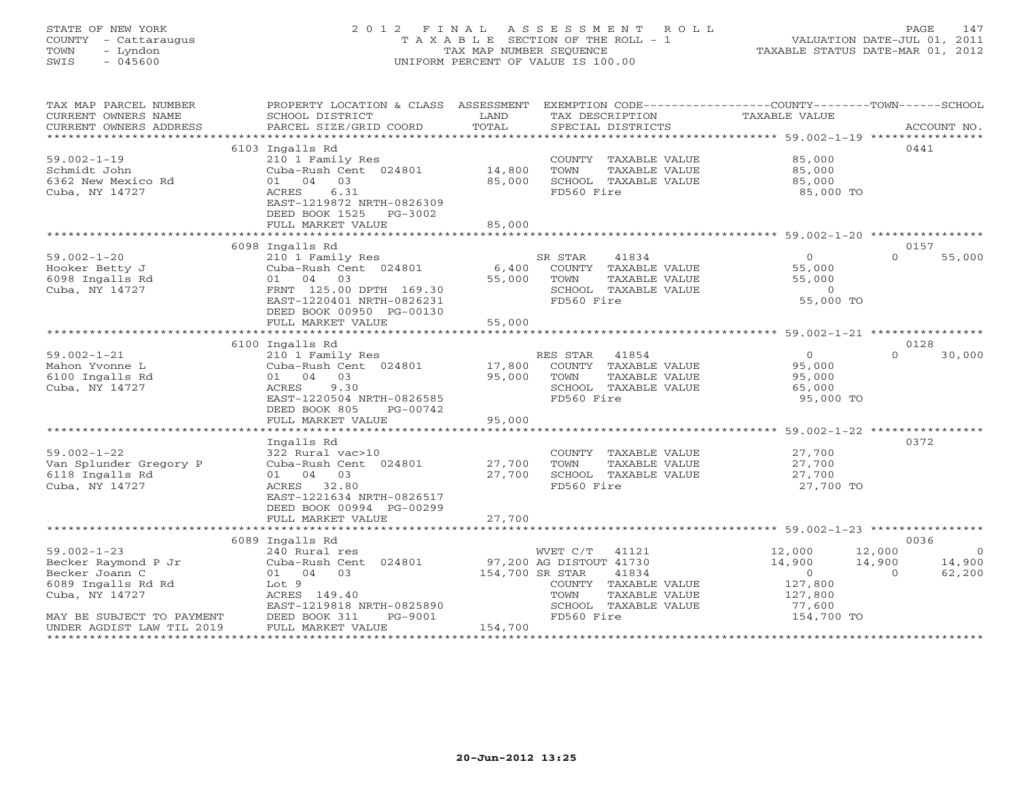# STATE OF NEW YORK 2 0 1 2 F I N A L A S S E S S M E N T R O L L PAGE 147 COUNTY - Cattaraugus T A X A B L E SECTION OF THE ROLL - 1 VALUATION DATE-JUL 01, 2011 TOWN - Lyndon TAX MAP NUMBER SEQUENCE TAXABLE STATUS DATE-MAR 01, 2012 SWIS - 045600 UNIFORM PERCENT OF VALUE IS 100.00UNIFORM PERCENT OF VALUE IS 100.00

| TAX MAP PARCEL NUMBER<br>CURRENT OWNERS NAME                                     | PROPERTY LOCATION & CLASS ASSESSMENT EXEMPTION CODE---------------COUNTY-------TOWN------SCHOOL<br>SCHOOL DISTRICT                           | LAND             | TAX DESCRIPTION                                                                                         | TAXABLE VALUE                                               |                                                                            |
|----------------------------------------------------------------------------------|----------------------------------------------------------------------------------------------------------------------------------------------|------------------|---------------------------------------------------------------------------------------------------------|-------------------------------------------------------------|----------------------------------------------------------------------------|
| CURRENT OWNERS ADDRESS                                                           | PARCEL SIZE/GRID COORD                                                                                                                       | TOTAL            | SPECIAL DISTRICTS                                                                                       |                                                             | ACCOUNT NO.                                                                |
|                                                                                  | 6103 Ingalls Rd                                                                                                                              |                  |                                                                                                         |                                                             | 0441                                                                       |
| $59.002 - 1 - 19$<br>Schmidt John<br>6362 New Mexico Rd<br>Cuba, NY 14727        | 210 1 Family Res<br>Cuba-Rush Cent 024801<br>01 04 03<br>ACRES<br>6.31<br>EAST-1219872 NRTH-0826309                                          | 14,800<br>85,000 | COUNTY TAXABLE VALUE<br>TOWN<br>TAXABLE VALUE<br>SCHOOL TAXABLE VALUE<br>FD560 Fire                     | 85,000<br>85,000<br>85,000<br>85,000 TO                     |                                                                            |
|                                                                                  | DEED BOOK 1525 PG-3002<br>FULL MARKET VALUE                                                                                                  | 85,000           |                                                                                                         |                                                             |                                                                            |
|                                                                                  |                                                                                                                                              |                  |                                                                                                         |                                                             |                                                                            |
|                                                                                  | 6098 Ingalls Rd                                                                                                                              |                  |                                                                                                         |                                                             | 0157                                                                       |
| $59.002 - 1 - 20$<br>Hooker Betty J<br>6098 Ingalls Rd<br>Cuba, NY 14727         | 210 1 Family Res<br>Cuba-Rush Cent 024801<br>01 04<br>03<br>FRNT 125.00 DPTH 169.30<br>EAST-1220401 NRTH-0826231<br>DEED BOOK 00950 PG-00130 | 6,400<br>55,000  | SR STAR<br>41834<br>COUNTY TAXABLE VALUE<br>TOWN<br>TAXABLE VALUE<br>SCHOOL TAXABLE VALUE<br>FD560 Fire | $\Omega$<br>55,000<br>55,000<br>$\overline{0}$<br>55,000 TO | $\Omega$<br>55,000                                                         |
|                                                                                  | FULL MARKET VALUE                                                                                                                            | 55,000           |                                                                                                         |                                                             |                                                                            |
|                                                                                  |                                                                                                                                              |                  |                                                                                                         |                                                             |                                                                            |
|                                                                                  | 6100 Ingalls Rd                                                                                                                              |                  |                                                                                                         |                                                             | 0128                                                                       |
| $59.002 - 1 - 21$<br>Mahon Yvonne L<br>6100 Ingalls Rd<br>Cuba, NY 14727         | 210 1 Family Res<br>Cuba-Rush Cent 024801<br>01 04 03<br>9.30<br>ACRES<br>EAST-1220504 NRTH-0826585<br>DEED BOOK 805<br>PG-00742             | 17,800<br>95,000 | RES STAR 41854<br>COUNTY TAXABLE VALUE<br>TOWN<br>TAXABLE VALUE<br>SCHOOL TAXABLE VALUE<br>FD560 Fire   | $\Omega$<br>95,000<br>95,000<br>65,000<br>95,000 TO         | $\Omega$<br>30,000                                                         |
|                                                                                  | FULL MARKET VALUE                                                                                                                            | 95,000           |                                                                                                         |                                                             |                                                                            |
| $59.002 - 1 - 22$<br>Van Splunder Gregory P<br>6118 Ingalls Rd<br>Cuba, NY 14727 | Ingalls Rd<br>322 Rural vac>10<br>Cuba-Rush Cent 024801<br>01 04 03<br>ACRES 32.80<br>EAST-1221634 NRTH-0826517<br>DEED BOOK 00994 PG-00299  | 27,700<br>27,700 | COUNTY TAXABLE VALUE<br>TAXABLE VALUE<br>TOWN<br>SCHOOL TAXABLE VALUE<br>FD560 Fire                     | 27,700<br>27,700<br>27,700<br>27,700 TO                     | 0372                                                                       |
|                                                                                  | FULL MARKET VALUE                                                                                                                            | 27,700           |                                                                                                         |                                                             |                                                                            |
|                                                                                  |                                                                                                                                              |                  |                                                                                                         |                                                             |                                                                            |
| $59.002 - 1 - 23$<br>Becker Raymond P Jr<br>Becker Joann C<br>6089 Ingalls Rd Rd | 6089 Ingalls Rd<br>240 Rural res<br>Cuba-Rush Cent 024801<br>01 04 03<br>Lot 9                                                               | 154,700 SR STAR  | WVET C/T 41121<br>97,200 AG DISTOUT 41730<br>41834<br>COUNTY TAXABLE VALUE                              | 12,000<br>14,900<br>$\sim$ 0<br>127,800                     | 0036<br>12,000<br>$\overline{0}$<br>14,900<br>14,900<br>62,200<br>$\Omega$ |
| Cuba, NY 14727                                                                   | ACRES 149.40<br>EAST-1219818 NRTH-0825890                                                                                                    |                  | TAXABLE VALUE<br>TOWN<br>SCHOOL TAXABLE VALUE                                                           | 127,800<br>77,600                                           |                                                                            |
| MAY BE SUBJECT TO PAYMENT<br>UNDER AGDIST LAW TIL 2019                           | DEED BOOK 311<br>PG-9001<br>FULL MARKET VALUE                                                                                                | 154,700          | FD560 Fire                                                                                              | 154,700 TO                                                  |                                                                            |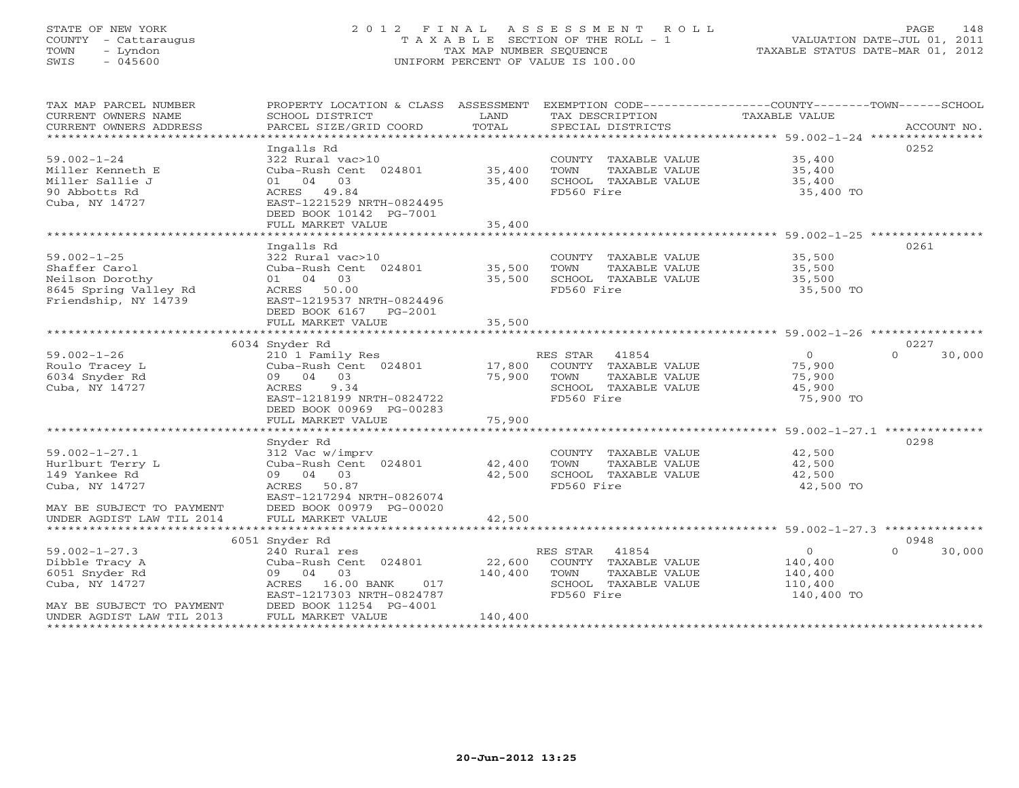# STATE OF NEW YORK 2 0 1 2 F I N A L A S S E S S M E N T R O L L PAGE 148 COUNTY - Cattaraugus T A X A B L E SECTION OF THE ROLL - 1 VALUATION DATE-JUL 01, 2011 TOWN - Lyndon TAX MAP NUMBER SEQUENCE TAXABLE STATUS DATE-MAR 01, 2012 SWIS - 045600 UNIFORM PERCENT OF VALUE IS 100.00UNIFORM PERCENT OF VALUE IS 100.00

| TAX MAP PARCEL NUMBER<br>CURRENT OWNERS NAME<br>CURRENT OWNERS ADDRESS | PROPERTY LOCATION & CLASS ASSESSMENT<br>SCHOOL DISTRICT<br>PARCEL SIZE/GRID COORD | LAND<br>TOTAL | EXEMPTION CODE-----------------COUNTY-------TOWN------SCHOOL<br>TAX DESCRIPTION TAXABLE VALUE<br>SPECIAL DISTRICTS |                                                       | ACCOUNT NO.        |
|------------------------------------------------------------------------|-----------------------------------------------------------------------------------|---------------|--------------------------------------------------------------------------------------------------------------------|-------------------------------------------------------|--------------------|
|                                                                        |                                                                                   |               |                                                                                                                    |                                                       |                    |
|                                                                        | Ingalls Rd                                                                        |               |                                                                                                                    |                                                       | 0252               |
| $59.002 - 1 - 24$                                                      | 322 Rural vac>10                                                                  |               | COUNTY TAXABLE VALUE                                                                                               | 35,400                                                |                    |
| Miller Kenneth E                                                       | Cuba-Rush Cent 024801                                                             | 35,400        | TOWN<br>TAXABLE VALUE                                                                                              | 35,400                                                |                    |
| Miller Sallie J                                                        | 01 04 03                                                                          | 35,400        | SCHOOL TAXABLE VALUE                                                                                               | 35,400                                                |                    |
| 90 Abbotts Rd                                                          | ACRES 49.84                                                                       |               | FD560 Fire                                                                                                         | 35,400 TO                                             |                    |
| Cuba, NY 14727                                                         | EAST-1221529 NRTH-0824495                                                         |               |                                                                                                                    |                                                       |                    |
|                                                                        |                                                                                   |               |                                                                                                                    |                                                       |                    |
|                                                                        | DEED BOOK 10142 PG-7001                                                           |               |                                                                                                                    |                                                       |                    |
|                                                                        | FULL MARKET VALUE                                                                 | 35,400        |                                                                                                                    |                                                       |                    |
|                                                                        |                                                                                   |               |                                                                                                                    |                                                       |                    |
|                                                                        | Ingalls Rd                                                                        |               |                                                                                                                    |                                                       | 0261               |
| $59.002 - 1 - 25$                                                      | 322 Rural vac>10                                                                  |               | COUNTY TAXABLE VALUE                                                                                               | 35,500                                                |                    |
| Shaffer Carol                                                          | Cuba-Rush Cent 024801                                                             | 35,500        | TAXABLE VALUE<br>TOWN                                                                                              | 35,500                                                |                    |
| Neilson Dorothy                                                        | 01 04 03                                                                          | 35,500        | SCHOOL TAXABLE VALUE                                                                                               | 35,500                                                |                    |
| 8645 Spring Valley Rd                                                  | ACRES 50.00                                                                       |               | FD560 Fire                                                                                                         | 35,500 TO                                             |                    |
| Friendship, NY 14739                                                   | EAST-1219537 NRTH-0824496                                                         |               |                                                                                                                    |                                                       |                    |
|                                                                        | DEED BOOK 6167 PG-2001                                                            |               |                                                                                                                    |                                                       |                    |
|                                                                        | FULL MARKET VALUE                                                                 | 35,500        |                                                                                                                    |                                                       |                    |
|                                                                        |                                                                                   |               |                                                                                                                    |                                                       |                    |
|                                                                        |                                                                                   |               |                                                                                                                    |                                                       |                    |
|                                                                        | 6034 Snyder Rd                                                                    |               |                                                                                                                    |                                                       | 0227               |
| $59.002 - 1 - 26$                                                      | 210 1 Family Res                                                                  |               | RES STAR<br>41854                                                                                                  | $\overline{0}$                                        | $\Omega$<br>30,000 |
| Roulo Tracey L                                                         | Cuba-Rush Cent 024801                                                             | 17,800        | COUNTY TAXABLE VALUE                                                                                               | 75,900                                                |                    |
| 6034 Snyder Rd                                                         | 09 04 03                                                                          | 75,900        | TOWN<br>TAXABLE VALUE                                                                                              | 75,900                                                |                    |
| Cuba, NY 14727                                                         | 9.34<br>ACRES                                                                     |               | SCHOOL TAXABLE VALUE                                                                                               | 45,900                                                |                    |
|                                                                        | EAST-1218199 NRTH-0824722                                                         |               | FD560 Fire                                                                                                         | 75,900 TO                                             |                    |
|                                                                        | DEED BOOK 00969 PG-00283                                                          |               |                                                                                                                    |                                                       |                    |
|                                                                        | FULL MARKET VALUE                                                                 | 75,900        |                                                                                                                    |                                                       |                    |
|                                                                        | ***********************                                                           | ************  |                                                                                                                    | ************************ 59.002-1-27.1 ************** |                    |
|                                                                        | Snyder Rd                                                                         |               |                                                                                                                    |                                                       | 0298               |
| $59.002 - 1 - 27.1$                                                    | 312 Vac w/imprv                                                                   |               | COUNTY TAXABLE VALUE                                                                                               | 42,500                                                |                    |
| Hurlburt Terry L                                                       | Cuba-Rush Cent 024801                                                             | 42,400        | TOWN<br>TAXABLE VALUE                                                                                              | 42,500                                                |                    |
| 149 Yankee Rd                                                          | 09 04 03                                                                          | 42,500        | SCHOOL TAXABLE VALUE                                                                                               | 42,500                                                |                    |
| Cuba, NY 14727                                                         | ACRES 50.87                                                                       |               | FD560 Fire                                                                                                         | 42,500 TO                                             |                    |
|                                                                        | EAST-1217294 NRTH-0826074                                                         |               |                                                                                                                    |                                                       |                    |
| MAY BE SUBJECT TO PAYMENT                                              | DEED BOOK 00979 PG-00020                                                          |               |                                                                                                                    |                                                       |                    |
| UNDER AGDIST LAW TIL 2014                                              | FULL MARKET VALUE                                                                 | 42,500        |                                                                                                                    |                                                       |                    |
|                                                                        |                                                                                   |               |                                                                                                                    |                                                       |                    |
|                                                                        |                                                                                   |               |                                                                                                                    |                                                       |                    |
|                                                                        | 6051 Snyder Rd                                                                    |               |                                                                                                                    |                                                       | 0948<br>$\Omega$   |
| $59.002 - 1 - 27.3$                                                    | 240 Rural res                                                                     |               | RES STAR<br>41854                                                                                                  | $\circ$                                               | 30,000             |
| Dibble Tracy A                                                         | Cuba-Rush Cent 024801                                                             | 22,600        | COUNTY TAXABLE VALUE                                                                                               | 140,400                                               |                    |
| 6051 Snyder Rd                                                         | 09 04 03                                                                          | 140,400       | TOWN<br>TAXABLE VALUE                                                                                              | 140,400                                               |                    |
| Cuba, NY 14727                                                         | ACRES<br>16.00 BANK<br>017                                                        |               | SCHOOL TAXABLE VALUE                                                                                               | 110,400                                               |                    |
|                                                                        | EAST-1217303 NRTH-0824787                                                         |               | FD560 Fire                                                                                                         | 140,400 TO                                            |                    |
| MAY BE SUBJECT TO PAYMENT                                              | DEED BOOK 11254 PG-4001                                                           |               |                                                                                                                    |                                                       |                    |
| UNDER AGDIST LAW TIL 2013                                              | FULL MARKET VALUE                                                                 | 140,400       |                                                                                                                    |                                                       |                    |
|                                                                        |                                                                                   |               |                                                                                                                    |                                                       |                    |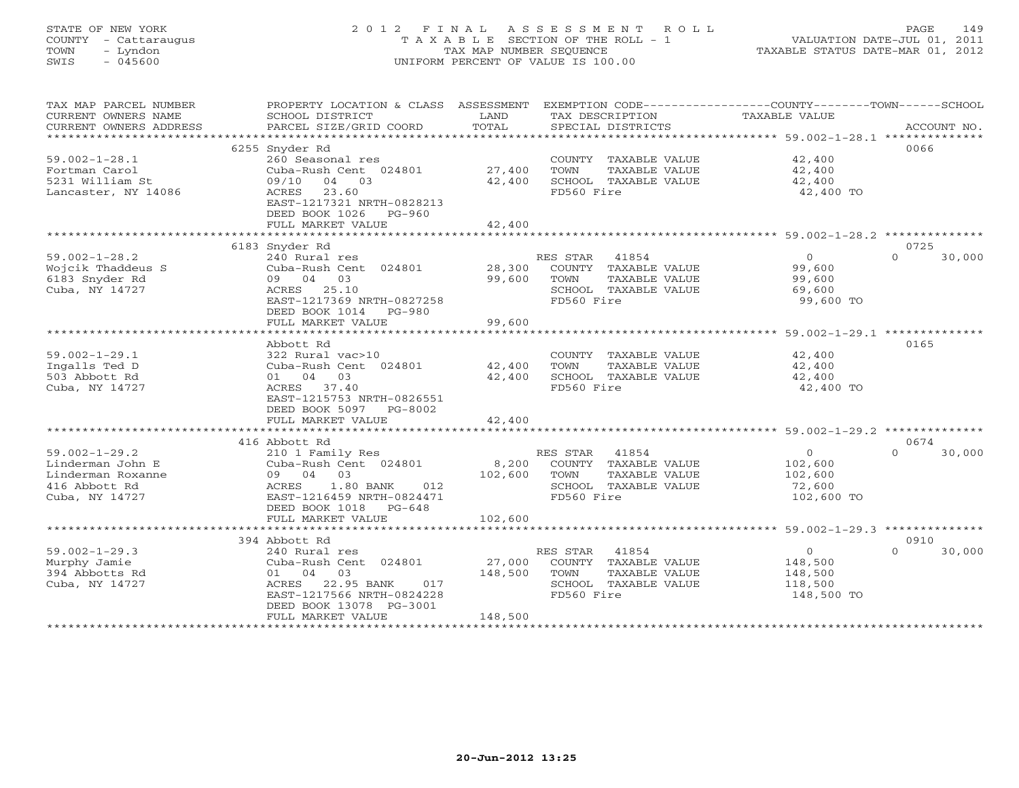# STATE OF NEW YORK 2 0 1 2 F I N A L A S S E S S M E N T R O L L PAGE 149 COUNTY - Cattaraugus T A X A B L E SECTION OF THE ROLL - 1 VALUATION DATE-JUL 01, 2011 TOWN - Lyndon TAX MAP NUMBER SEQUENCE TAXABLE STATUS DATE-MAR 01, 2012 SWIS - 045600 UNIFORM PERCENT OF VALUE IS 100.00UNIFORM PERCENT OF VALUE IS 100.00

| TAX MAP PARCEL NUMBER  | PROPERTY LOCATION & CLASS ASSESSMENT EXEMPTION CODE---------------COUNTY-------TOWN------SCHOOL |                     |                       |                |                    |
|------------------------|-------------------------------------------------------------------------------------------------|---------------------|-----------------------|----------------|--------------------|
| CURRENT OWNERS NAME    | SCHOOL DISTRICT                                                                                 | LAND                | TAX DESCRIPTION       | TAXABLE VALUE  |                    |
| CURRENT OWNERS ADDRESS | PARCEL SIZE/GRID COORD                                                                          | TOTAL               | SPECIAL DISTRICTS     |                | ACCOUNT NO.        |
|                        |                                                                                                 |                     |                       |                |                    |
|                        | 6255 Snyder Rd                                                                                  |                     |                       |                | 0066               |
| $59.002 - 1 - 28.1$    | 260 Seasonal res                                                                                |                     | COUNTY TAXABLE VALUE  | 42,400         |                    |
| Fortman Carol          | Cuba-Rush Cent 024801                                                                           | 27,400              | TOWN<br>TAXABLE VALUE | 42,400         |                    |
| 5231 William St        | 09/10 04 03                                                                                     | 42,400              | SCHOOL TAXABLE VALUE  | 42,400         |                    |
| Lancaster, NY 14086    | ACRES 23.60                                                                                     |                     | FD560 Fire            | 42,400 TO      |                    |
|                        | EAST-1217321 NRTH-0828213                                                                       |                     |                       |                |                    |
|                        | DEED BOOK 1026 PG-960                                                                           |                     |                       |                |                    |
|                        | FULL MARKET VALUE                                                                               | 42,400              |                       |                |                    |
|                        |                                                                                                 | ******************* |                       |                |                    |
|                        | 6183 Snyder Rd                                                                                  |                     |                       |                | 0725               |
| $59.002 - 1 - 28.2$    | 240 Rural res                                                                                   |                     | RES STAR<br>41854     | $\overline{0}$ | 30,000<br>$\Omega$ |
| Wojcik Thaddeus S      | Cuba-Rush Cent 024801                                                                           | 28,300              | COUNTY TAXABLE VALUE  | 99,600         |                    |
| 6183 Snyder Rd         | 09 04 03                                                                                        | 99,600              | TOWN<br>TAXABLE VALUE | 99,600         |                    |
| Cuba, NY 14727         | ACRES 25.10                                                                                     |                     | SCHOOL TAXABLE VALUE  | 69,600         |                    |
|                        |                                                                                                 |                     | FD560 Fire            | 99,600 TO      |                    |
|                        | EAST-1217369 NRTH-0827258                                                                       |                     |                       |                |                    |
|                        | DEED BOOK 1014 PG-980                                                                           |                     |                       |                |                    |
|                        | FULL MARKET VALUE                                                                               | 99,600              |                       |                |                    |
|                        |                                                                                                 |                     |                       |                |                    |
|                        | Abbott Rd                                                                                       |                     |                       |                | 0165               |
| $59.002 - 1 - 29.1$    | 322 Rural vac>10                                                                                |                     | COUNTY TAXABLE VALUE  | 42,400         |                    |
| Ingalls Ted D          | Cuba-Rush Cent 024801                                                                           | 42,400              | TOWN<br>TAXABLE VALUE | 42,400         |                    |
| 503 Abbott Rd          | 01 04 03                                                                                        | 42,400              | SCHOOL TAXABLE VALUE  | 42,400         |                    |
| Cuba, NY 14727         | ACRES 37.40                                                                                     |                     | FD560 Fire            | 42,400 TO      |                    |
|                        | EAST-1215753 NRTH-0826551                                                                       |                     |                       |                |                    |
|                        | DEED BOOK 5097 PG-8002                                                                          |                     |                       |                |                    |
|                        | FULL MARKET VALUE                                                                               | 42,400              |                       |                |                    |
|                        |                                                                                                 |                     |                       |                |                    |
|                        | 416 Abbott Rd                                                                                   |                     |                       |                | 0674               |
| $59.002 - 1 - 29.2$    | 210 1 Family Res                                                                                |                     | RES STAR 41854        | $\circ$        | $\cap$<br>30,000   |
| Linderman John E       | Cuba-Rush Cent 024801                                                                           | 8,200               | COUNTY TAXABLE VALUE  | 102,600        |                    |
| Linderman Roxanne      | 09 04 03                                                                                        | 102,600             | TOWN<br>TAXABLE VALUE | 102,600        |                    |
| 416 Abbott Rd          | ACRES 1.80 BANK<br>012                                                                          |                     | SCHOOL TAXABLE VALUE  | 72,600         |                    |
| Cuba, NY 14727         | EAST-1216459 NRTH-0824471                                                                       |                     | FD560 Fire            | 102,600 TO     |                    |
|                        | DEED BOOK 1018 PG-648                                                                           |                     |                       |                |                    |
|                        | FULL MARKET VALUE                                                                               | 102,600             |                       |                |                    |
|                        |                                                                                                 |                     |                       |                |                    |
|                        | 394 Abbott Rd                                                                                   |                     |                       |                | 0910               |
| $59.002 - 1 - 29.3$    | 240 Rural res                                                                                   |                     | RES STAR 41854        | $\overline{0}$ | $\cap$<br>30,000   |
| Murphy Jamie           | Cuba-Rush Cent 024801                                                                           | 27,000              | COUNTY TAXABLE VALUE  | 148,500        |                    |
| 394 Abbotts Rd         | 01 04 03                                                                                        | 148,500             | TOWN<br>TAXABLE VALUE | 148,500        |                    |
| Cuba, NY 14727         | 017<br>ACRES 22.95 BANK                                                                         |                     | SCHOOL TAXABLE VALUE  | 118,500        |                    |
|                        | EAST-1217566 NRTH-0824228                                                                       |                     | FD560 Fire            | 148,500 TO     |                    |
|                        | DEED BOOK 13078 PG-3001                                                                         |                     |                       |                |                    |
|                        | FULL MARKET VALUE                                                                               | 148,500             |                       |                |                    |
|                        |                                                                                                 |                     |                       |                |                    |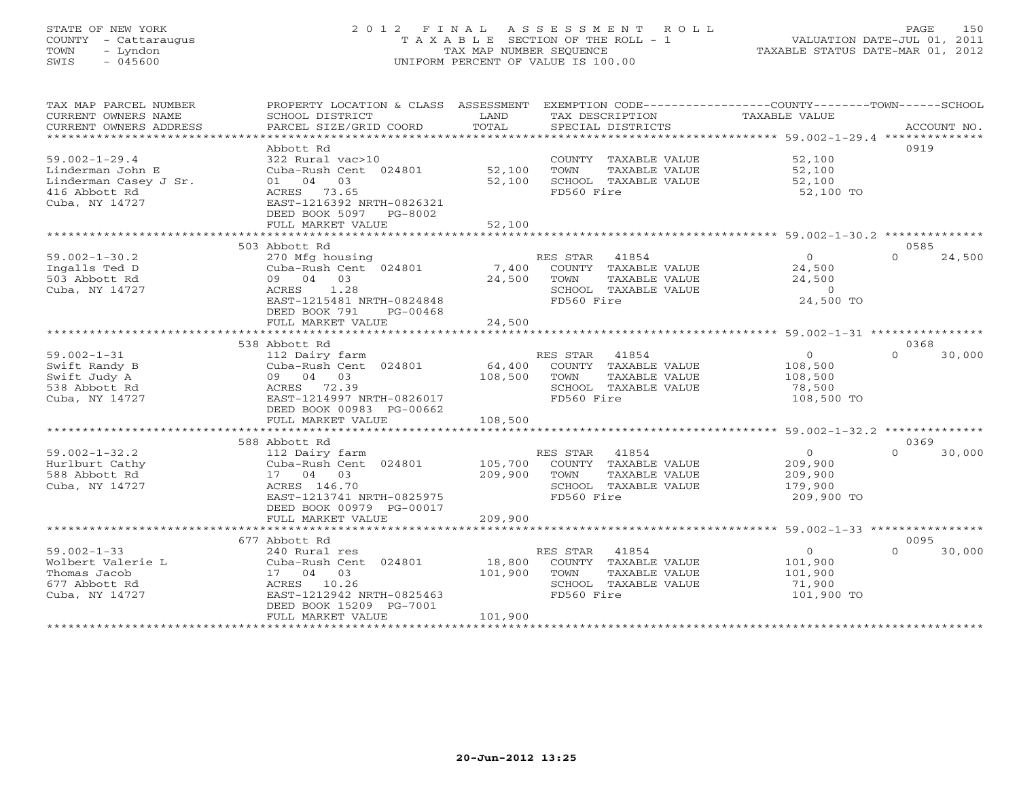# STATE OF NEW YORK 2 0 1 2 F I N A L A S S E S S M E N T R O L L PAGE 150 COUNTY - Cattaraugus T A X A B L E SECTION OF THE ROLL - 1 VALUATION DATE-JUL 01, 2011 TOWN - Lyndon TAX MAP NUMBER SEQUENCE TAXABLE STATUS DATE-MAR 01, 2012 SWIS - 045600 UNIFORM PERCENT OF VALUE IS 100.00UNIFORM PERCENT OF VALUE IS 100.00

| TAX MAP PARCEL NUMBER<br>CURRENT OWNERS NAME<br>CURRENT OWNERS ADDRESS                              | PROPERTY LOCATION & CLASS ASSESSMENT<br>SCHOOL DISTRICT<br>PARCEL SIZE/GRID COORD                                                                                     | LAND<br>TOTAL             | EXEMPTION CODE-----------------COUNTY-------TOWN------SCHOOL<br>TAX DESCRIPTION<br>SPECIAL DISTRICTS     | <b>TAXABLE VALUE</b>                                          | ACCOUNT NO.                |
|-----------------------------------------------------------------------------------------------------|-----------------------------------------------------------------------------------------------------------------------------------------------------------------------|---------------------------|----------------------------------------------------------------------------------------------------------|---------------------------------------------------------------|----------------------------|
| **************************                                                                          |                                                                                                                                                                       |                           |                                                                                                          |                                                               |                            |
| $59.002 - 1 - 29.4$<br>Linderman John E<br>Linderman Casey J Sr.<br>416 Abbott Rd<br>Cuba, NY 14727 | Abbott Rd<br>322 Rural vac>10<br>Cuba-Rush Cent 024801<br>01 04 03<br>ACRES 73.65<br>EAST-1216392 NRTH-0826321<br>DEED BOOK 5097 PG-8002                              | 52,100<br>52,100          | COUNTY TAXABLE VALUE<br>TOWN<br>TAXABLE VALUE<br>SCHOOL TAXABLE VALUE<br>FD560 Fire                      | 52,100<br>52,100<br>52,100<br>52,100 TO                       | 0919                       |
|                                                                                                     | FULL MARKET VALUE                                                                                                                                                     | 52,100                    |                                                                                                          |                                                               |                            |
|                                                                                                     |                                                                                                                                                                       | ***************           |                                                                                                          |                                                               |                            |
| $59.002 - 1 - 30.2$<br>Ingalls Ted D<br>503 Abbott Rd<br>Cuba, NY 14727                             | 503 Abbott Rd<br>270 Mfg housing<br>Cuba-Rush Cent 024801<br>09 04 03<br>ACRES<br>1.28<br>EAST-1215481 NRTH-0824848<br>DEED BOOK 791<br>PG-00468<br>FULL MARKET VALUE | 7,400<br>24,500<br>24,500 | 41854<br>RES STAR<br>COUNTY TAXABLE VALUE<br>TAXABLE VALUE<br>TOWN<br>SCHOOL TAXABLE VALUE<br>FD560 Fire | $\overline{0}$<br>24,500<br>24,500<br>$\Omega$<br>24,500 TO   | 0585<br>$\Omega$<br>24,500 |
|                                                                                                     |                                                                                                                                                                       |                           |                                                                                                          |                                                               |                            |
|                                                                                                     | 538 Abbott Rd                                                                                                                                                         |                           |                                                                                                          |                                                               | 0368                       |
| $59.002 - 1 - 31$<br>Swift Randy B<br>Swift Judy A<br>538 Abbott Rd<br>Cuba, NY 14727               | 112 Dairy farm<br>Cuba-Rush Cent 024801<br>09 04 03<br>ACRES 72.39<br>EAST-1214997 NRTH-0826017<br>DEED BOOK 00983 PG-00662                                           | 64,400<br>108,500         | RES STAR<br>41854<br>COUNTY TAXABLE VALUE<br>TOWN<br>TAXABLE VALUE<br>SCHOOL TAXABLE VALUE<br>FD560 Fire | $\circ$<br>108,500<br>108,500<br>78,500<br>108,500 TO         | $\Omega$<br>30,000         |
|                                                                                                     | FULL MARKET VALUE                                                                                                                                                     | 108,500                   |                                                                                                          |                                                               |                            |
|                                                                                                     |                                                                                                                                                                       |                           |                                                                                                          |                                                               |                            |
| $59.002 - 1 - 32.2$<br>Hurlburt Cathy<br>588 Abbott Rd<br>Cuba, NY 14727                            | 588 Abbott Rd<br>112 Dairy farm<br>Cuba-Rush Cent 024801<br>17 04 03<br>ACRES 146.70<br>EAST-1213741 NRTH-0825975<br>DEED BOOK 00979 PG-00017                         | 105,700<br>209,900        | RES STAR<br>41854<br>COUNTY TAXABLE VALUE<br>TOWN<br>TAXABLE VALUE<br>SCHOOL TAXABLE VALUE<br>FD560 Fire | $\overline{0}$<br>209,900<br>209,900<br>179,900<br>209,900 TO | 0369<br>$\cap$<br>30,000   |
|                                                                                                     | FULL MARKET VALUE                                                                                                                                                     | 209,900                   |                                                                                                          |                                                               |                            |
|                                                                                                     |                                                                                                                                                                       |                           |                                                                                                          |                                                               |                            |
| $59.002 - 1 - 33$<br>Wolbert Valerie L<br>Thomas Jacob<br>677 Abbott Rd<br>Cuba, NY 14727           | 677 Abbott Rd<br>240 Rural res<br>Cuba-Rush Cent 024801<br>17 04 03<br>ACRES 10.26<br>EAST-1212942 NRTH-0825463<br>DEED BOOK 15209 PG-7001                            | 18,800<br>101,900         | RES STAR 41854<br>COUNTY TAXABLE VALUE<br>TOWN<br>TAXABLE VALUE<br>SCHOOL TAXABLE VALUE<br>FD560 Fire    | $\overline{O}$<br>101,900<br>101,900<br>71,900<br>101,900 TO  | 0095<br>30,000<br>$\Omega$ |
|                                                                                                     | FULL MARKET VALUE                                                                                                                                                     | 101,900                   |                                                                                                          |                                                               |                            |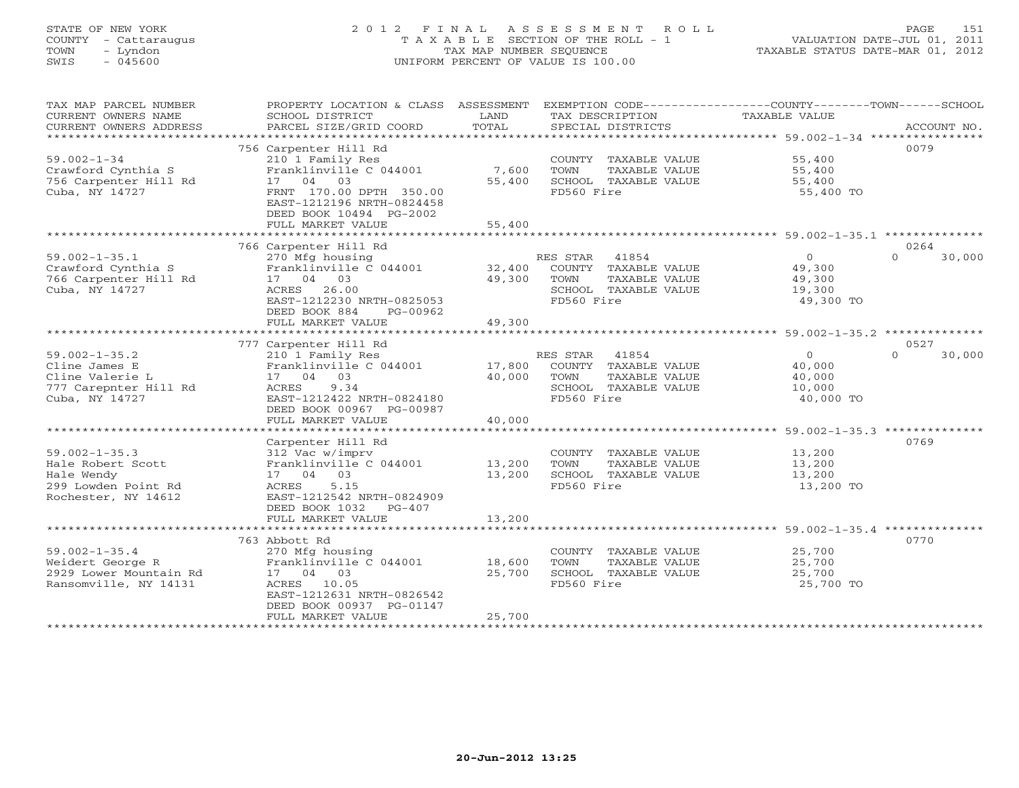# STATE OF NEW YORK 2 0 1 2 F I N A L A S S E S S M E N T R O L L PAGE 151 COUNTY - Cattaraugus T A X A B L E SECTION OF THE ROLL - 1 VALUATION DATE-JUL 01, 2011 TOWN - Lyndon TAX MAP NUMBER SEQUENCE TAXABLE STATUS DATE-MAR 01, 2012 SWIS - 045600 UNIFORM PERCENT OF VALUE IS 100.00UNIFORM PERCENT OF VALUE IS 100.00

| TAX MAP PARCEL NUMBER<br>CURRENT OWNERS NAME<br>CURRENT OWNERS ADDRESS<br>*************************  | PROPERTY LOCATION & CLASS ASSESSMENT<br>SCHOOL DISTRICT<br>PARCEL SIZE/GRID COORD                                                                                                       | LAND<br>TOTAL              | EXEMPTION CODE-----------------COUNTY-------TOWN-----SCHOOL<br>TAX DESCRIPTION<br>SPECIAL DISTRICTS      | <b>TAXABLE VALUE</b>                                | ACCOUNT NO.        |
|------------------------------------------------------------------------------------------------------|-----------------------------------------------------------------------------------------------------------------------------------------------------------------------------------------|----------------------------|----------------------------------------------------------------------------------------------------------|-----------------------------------------------------|--------------------|
| $59.002 - 1 - 34$<br>Crawford Cynthia S<br>756 Carpenter Hill Rd<br>Cuba, NY 14727                   | 756 Carpenter Hill Rd<br>210 1 Family Res<br>Franklinville C 044001<br>17 04 03<br>FRNT 170.00 DPTH 350.00<br>EAST-1212196 NRTH-0824458<br>DEED BOOK 10494 PG-2002<br>FULL MARKET VALUE | 7,600<br>55,400<br>55,400  | COUNTY TAXABLE VALUE<br>TOWN<br>TAXABLE VALUE<br>SCHOOL TAXABLE VALUE<br>FD560 Fire                      | 55,400<br>55,400<br>55,400<br>55,400 TO             | 0079               |
|                                                                                                      | 766 Carpenter Hill Rd                                                                                                                                                                   |                            |                                                                                                          |                                                     | 0264               |
| $59.002 - 1 - 35.1$<br>Crawford Cynthia S<br>766 Carpenter Hill Rd<br>Cuba, NY 14727                 | 270 Mfg housing<br>Franklinville C 044001<br>17 04 03<br>26.00<br>ACRES<br>EAST-1212230 NRTH-0825053<br>DEED BOOK 884<br>PG-00962<br>FULL MARKET VALUE                                  | 32,400<br>49,300<br>49,300 | RES STAR<br>41854<br>COUNTY TAXABLE VALUE<br>TOWN<br>TAXABLE VALUE<br>SCHOOL TAXABLE VALUE<br>FD560 Fire | $\Omega$<br>49,300<br>49,300<br>19,300<br>49,300 TO | $\Omega$<br>30,000 |
|                                                                                                      | 777 Carpenter Hill Rd                                                                                                                                                                   |                            |                                                                                                          |                                                     | 0527               |
| $59.002 - 1 - 35.2$<br>Cline James E<br>Cline Valerie L<br>777 Carepnter Hill Rd<br>Cuba, NY 14727   | 210 1 Family Res<br>Franklinville C 044001<br>17 04 03<br>ACRES<br>9.34<br>EAST-1212422 NRTH-0824180<br>DEED BOOK 00967 PG-00987<br>FULL MARKET VALUE                                   | 17,800<br>40,000<br>40,000 | 41854<br>RES STAR<br>COUNTY TAXABLE VALUE<br>TOWN<br>TAXABLE VALUE<br>SCHOOL TAXABLE VALUE<br>FD560 Fire | $\circ$<br>40,000<br>40,000<br>10,000<br>40,000 TO  | $\Omega$<br>30,000 |
|                                                                                                      |                                                                                                                                                                                         |                            |                                                                                                          |                                                     |                    |
| $59.002 - 1 - 35.3$<br>Hale Robert Scott<br>Hale Wendy<br>299 Lowden Point Rd<br>Rochester, NY 14612 | Carpenter Hill Rd<br>312 Vac w/imprv<br>Franklinville C 044001<br>17 04 03<br>ACRES<br>5.15<br>EAST-1212542 NRTH-0824909<br>DEED BOOK 1032<br>PG-407                                    | 13,200<br>13,200           | COUNTY TAXABLE VALUE<br>TAXABLE VALUE<br><b>TOWN</b><br>SCHOOL TAXABLE VALUE<br>FD560 Fire               | 13,200<br>13,200<br>13,200<br>13,200 TO             | 0769               |
|                                                                                                      | FULL MARKET VALUE                                                                                                                                                                       | 13,200                     |                                                                                                          |                                                     |                    |
| $59.002 - 1 - 35.4$<br>Weidert George R<br>2929 Lower Mountain Rd<br>Ransomville, NY 14131           | 763 Abbott Rd<br>270 Mfg housing<br>Franklinville C 044001<br>17 04 03<br>ACRES 10.05<br>EAST-1212631 NRTH-0826542<br>DEED BOOK 00937 PG-01147                                          | 18,600<br>25,700           | COUNTY TAXABLE VALUE<br>TOWN<br>TAXABLE VALUE<br>SCHOOL TAXABLE VALUE<br>FD560 Fire                      | 25,700<br>25,700<br>25,700<br>25,700 TO             | 0770               |
|                                                                                                      | FULL MARKET VALUE                                                                                                                                                                       | 25,700                     |                                                                                                          |                                                     |                    |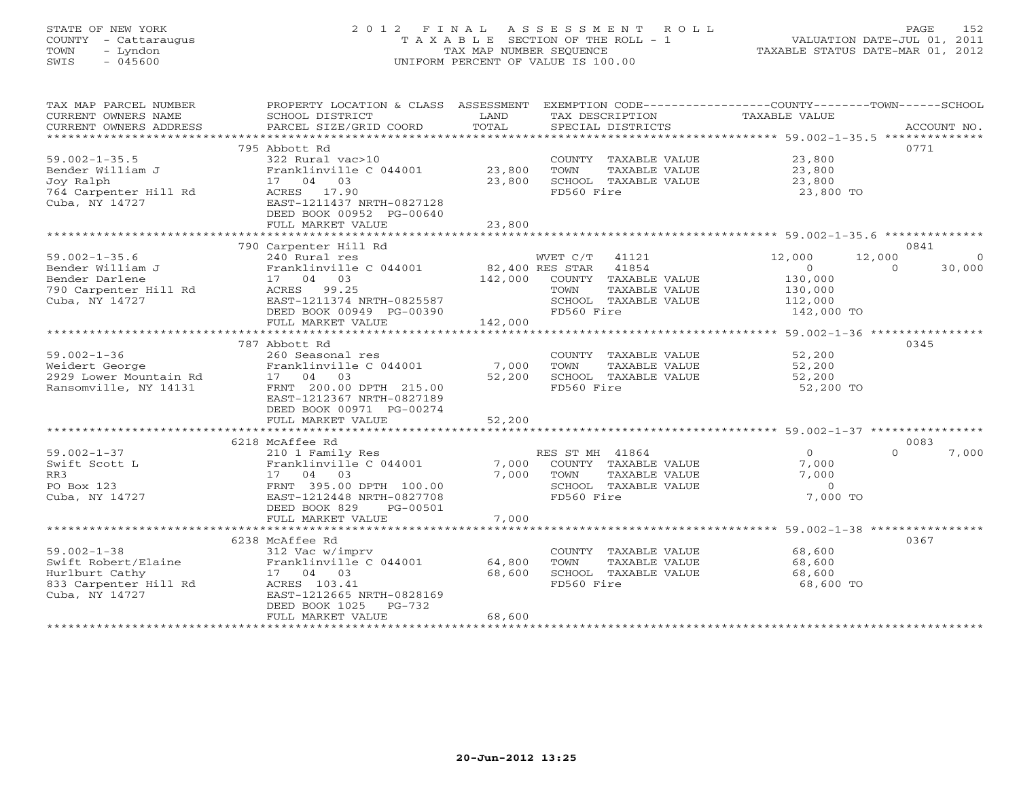# STATE OF NEW YORK 2 0 1 2 F I N A L A S S E S S M E N T R O L L PAGE 152 COUNTY - Cattaraugus T A X A B L E SECTION OF THE ROLL - 1 VALUATION DATE-JUL 01, 2011 TOWN - Lyndon TAX MAP NUMBER SEQUENCE TAXABLE STATUS DATE-MAR 01, 2012 SWIS - 045600 UNIFORM PERCENT OF VALUE IS 100.00UNIFORM PERCENT OF VALUE IS 100.00

| TAX MAP PARCEL NUMBER<br>CURRENT OWNERS NAME<br>CURRENT OWNERS ADDRESS | PROPERTY LOCATION & CLASS ASSESSMENT<br>SCHOOL DISTRICT<br>PARCEL SIZE/GRID COORD | LAND<br>TOTAL   | TAX DESCRIPTION<br>SPECIAL DISTRICTS | EXEMPTION CODE-----------------COUNTY-------TOWN------SCHOOL<br><b>TAXABLE VALUE</b> | ACCOUNT NO. |
|------------------------------------------------------------------------|-----------------------------------------------------------------------------------|-----------------|--------------------------------------|--------------------------------------------------------------------------------------|-------------|
| ***********************                                                |                                                                                   |                 |                                      |                                                                                      |             |
|                                                                        | 795 Abbott Rd                                                                     |                 |                                      | 0771                                                                                 |             |
| $59.002 - 1 - 35.5$                                                    | 322 Rural vac>10                                                                  |                 | COUNTY TAXABLE VALUE                 | 23,800                                                                               |             |
| Bender William J                                                       | Franklinville C 044001                                                            | 23,800          | TOWN<br>TAXABLE VALUE                | 23,800                                                                               |             |
| Joy Ralph                                                              | 17 04 03                                                                          | 23,800          | SCHOOL TAXABLE VALUE                 | 23,800                                                                               |             |
| 764 Carpenter Hill Rd<br>Cuba, NY 14727                                | ACRES 17.90<br>EAST-1211437 NRTH-0827128                                          |                 | FD560 Fire                           | 23,800 TO                                                                            |             |
|                                                                        | DEED BOOK 00952 PG-00640                                                          |                 |                                      |                                                                                      |             |
|                                                                        | FULL MARKET VALUE                                                                 | 23,800          |                                      |                                                                                      |             |
|                                                                        |                                                                                   |                 |                                      |                                                                                      |             |
|                                                                        | 790 Carpenter Hill Rd                                                             |                 |                                      | 0841                                                                                 |             |
| $59.002 - 1 - 35.6$                                                    | 240 Rural res                                                                     |                 | WVET C/T<br>41121                    | 12,000<br>12,000                                                                     | - 0         |
| Bender William J                                                       | Franklinville C 044001                                                            | 82,400 RES STAR | 41854                                | $\Omega$<br>$\Omega$                                                                 | 30,000      |
| Bender Darlene                                                         | 17 04<br>03                                                                       | 142,000         | COUNTY TAXABLE VALUE                 | 130,000                                                                              |             |
| 790 Carpenter Hill Rd                                                  | ACRES 99.25                                                                       |                 | TAXABLE VALUE<br>TOWN                | 130,000                                                                              |             |
| Cuba, NY 14727                                                         | EAST-1211374 NRTH-0825587                                                         |                 | SCHOOL TAXABLE VALUE                 | 112,000                                                                              |             |
|                                                                        | DEED BOOK 00949 PG-00390                                                          |                 | FD560 Fire                           | 142,000 TO                                                                           |             |
|                                                                        | FULL MARKET VALUE                                                                 | 142,000         |                                      |                                                                                      |             |
|                                                                        | ********************************                                                  | ***********     |                                      | ********************* 59.002-1-36 *****************                                  |             |
|                                                                        | 787 Abbott Rd                                                                     |                 |                                      | 0345                                                                                 |             |
| $59.002 - 1 - 36$                                                      | 260 Seasonal res                                                                  |                 | COUNTY TAXABLE VALUE                 | 52,200                                                                               |             |
| Weidert George                                                         | Franklinville C 044001                                                            | 7,000           | TOWN<br>TAXABLE VALUE                | 52,200                                                                               |             |
| 2929 Lower Mountain Rd                                                 | 17 04 03                                                                          | 52,200          | SCHOOL TAXABLE VALUE                 | 52,200                                                                               |             |
| Ransomville, NY 14131                                                  | FRNT 200.00 DPTH 215.00                                                           |                 | FD560 Fire                           | 52,200 TO                                                                            |             |
|                                                                        | EAST-1212367 NRTH-0827189                                                         |                 |                                      |                                                                                      |             |
|                                                                        | DEED BOOK 00971 PG-00274<br>FULL MARKET VALUE                                     | 52,200          |                                      |                                                                                      |             |
|                                                                        | *************************                                                         |                 |                                      |                                                                                      |             |
|                                                                        | 6218 McAffee Rd                                                                   |                 |                                      | 0083                                                                                 |             |
| $59.002 - 1 - 37$                                                      | 210 1 Family Res                                                                  |                 | RES ST MH 41864                      | $\Omega$<br>$\Omega$                                                                 | 7,000       |
| Swift Scott L                                                          | Franklinville C 044001                                                            | 7,000           | COUNTY TAXABLE VALUE                 | 7,000                                                                                |             |
| RR3                                                                    | 17 04<br>03                                                                       | 7,000           | TOWN<br>TAXABLE VALUE                | 7,000                                                                                |             |
| PO Box 123                                                             | FRNT 395.00 DPTH 100.00                                                           |                 | SCHOOL TAXABLE VALUE                 | $\Omega$                                                                             |             |
| Cuba, NY 14727                                                         | EAST-1212448 NRTH-0827708                                                         |                 | FD560 Fire                           | 7,000 TO                                                                             |             |
|                                                                        | DEED BOOK 829<br>PG-00501                                                         |                 |                                      |                                                                                      |             |
|                                                                        | FULL MARKET VALUE                                                                 | 7,000           |                                      |                                                                                      |             |
|                                                                        | ************************                                                          |                 |                                      |                                                                                      |             |
|                                                                        | 6238 McAffee Rd                                                                   |                 |                                      | 0367                                                                                 |             |
| $59.002 - 1 - 38$                                                      | 312 Vac w/imprv                                                                   |                 | COUNTY TAXABLE VALUE                 | 68,600                                                                               |             |
| Swift Robert/Elaine                                                    | Franklinville C 044001                                                            | 64,800          | TOWN<br>TAXABLE VALUE                | 68,600                                                                               |             |
| Hurlburt Cathy                                                         | 17 04 03                                                                          | 68,600          | SCHOOL TAXABLE VALUE                 | 68,600                                                                               |             |
| 833 Carpenter Hill Rd                                                  | ACRES 103.41                                                                      |                 | FD560 Fire                           | 68,600 TO                                                                            |             |
| Cuba, NY 14727                                                         | EAST-1212665 NRTH-0828169<br>DEED BOOK 1025<br>$PG-732$                           |                 |                                      |                                                                                      |             |
|                                                                        | FULL MARKET VALUE                                                                 | 68,600          |                                      |                                                                                      |             |
|                                                                        |                                                                                   |                 |                                      |                                                                                      |             |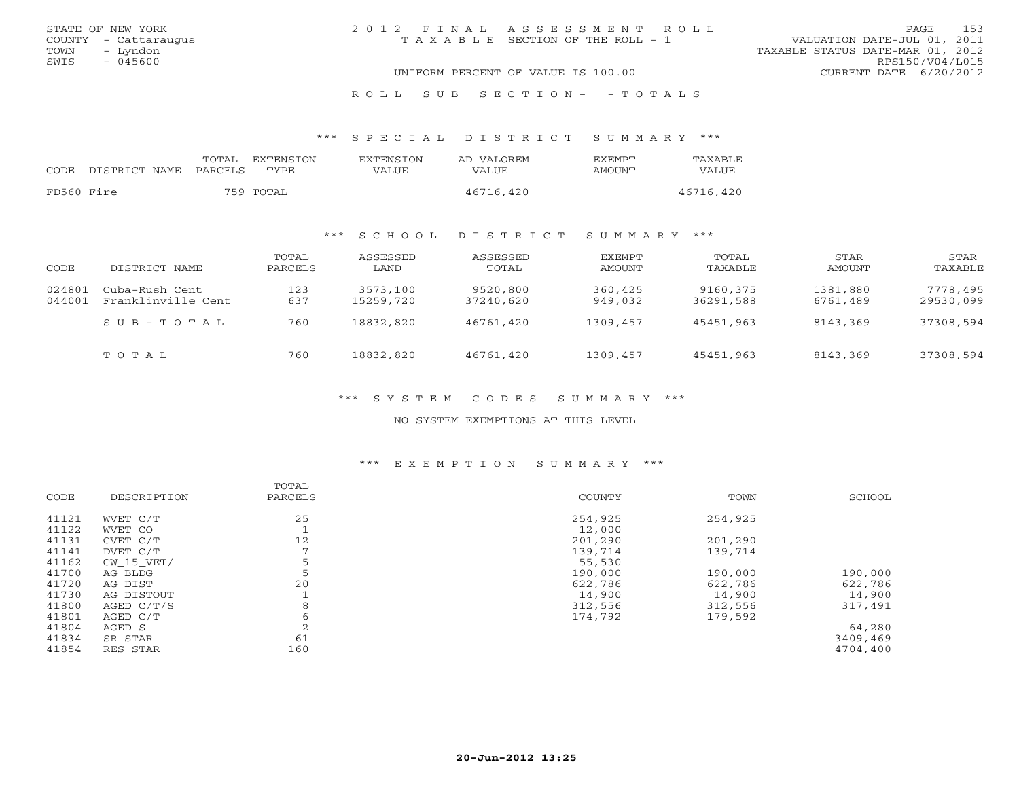|      | STATE OF NEW YORK    | 2012 FINAL ASSESSMENT ROLL |                                       |                                  | PAGE.           | 153 |
|------|----------------------|----------------------------|---------------------------------------|----------------------------------|-----------------|-----|
|      | COUNTY - Cattaraugus |                            | T A X A B L E SECTION OF THE ROLL - 1 | VALUATION DATE-JUL 01, 2011      |                 |     |
| TOWN | – Lyndon             |                            |                                       | TAXABLE STATUS DATE-MAR 01, 2012 |                 |     |
| SWIS | $-045600$            |                            |                                       |                                  | RPS150/V04/L015 |     |
|      |                      |                            | UNIFORM PERCENT OF VALUE IS 100.00    | CURRENT DATE 6/20/2012           |                 |     |
|      |                      |                            |                                       |                                  |                 |     |

## R O L L S U B S E C T I O N - - T O T A L S

\*\*\* S P E C I A L D I S T R I C T S U M M A R Y \*\*\*

|            |               | TOTAL          | EXTENSTON | <b>EXTENSION</b> | AD VALOREM   | <b>EXEMPT</b> | <b>TAXABLE</b> |
|------------|---------------|----------------|-----------|------------------|--------------|---------------|----------------|
| CODE       | DISTRICT NAME | <b>PARCELS</b> | TYPE.     | VALUE            | <b>VALUE</b> | AMOUNT        | VALUE          |
|            |               |                |           |                  |              |               |                |
| FD560 Fire |               |                | 759 TOTAL |                  | 46716,420    |               | 46716,420      |

## \*\*\* S C H O O L D I S T R I C T S U M M A R Y \*\*\*

| CODE             | DISTRICT NAME                        | TOTAL<br>PARCELS | ASSESSED<br>LAND      | ASSESSED<br>TOTAL     | <b>EXEMPT</b><br>AMOUNT | TOTAL<br>TAXABLE      | STAR<br>AMOUNT       | STAR<br>TAXABLE       |
|------------------|--------------------------------------|------------------|-----------------------|-----------------------|-------------------------|-----------------------|----------------------|-----------------------|
| 024801<br>044001 | Cuba-Rush Cent<br>Franklinville Cent | 123<br>637       | 3573,100<br>15259,720 | 9520,800<br>37240,620 | 360,425<br>949,032      | 9160,375<br>36291,588 | 1381,880<br>6761,489 | 7778,495<br>29530,099 |
|                  | $SUB - TO T AL$                      | 760              | 18832,820             | 46761,420             | 1309,457                | 45451,963             | 8143,369             | 37308,594             |
|                  | TOTAL                                | 760              | 18832,820             | 46761,420             | 1309,457                | 45451,963             | 8143,369             | 37308,594             |

\*\*\* S Y S T E M C O D E S S U M M A R Y \*\*\*

NO SYSTEM EXEMPTIONS AT THIS LEVEL

## \*\*\* E X E M P T I O N S U M M A R Y \*\*\*

|       |             | TOTAL          |         |         |          |
|-------|-------------|----------------|---------|---------|----------|
| CODE  | DESCRIPTION | PARCELS        | COUNTY  | TOWN    | SCHOOL   |
| 41121 | WVET C/T    | 25             | 254,925 | 254,925 |          |
| 41122 | WVET CO     |                | 12,000  |         |          |
| 41131 | CVET C/T    | 12             | 201,290 | 201,290 |          |
| 41141 | DVET C/T    | $\overline{ }$ | 139,714 | 139,714 |          |
| 41162 | CW 15 VET/  | 5              | 55,530  |         |          |
| 41700 | AG BLDG     | 5              | 190,000 | 190,000 | 190,000  |
| 41720 | AG DIST     | 20             | 622,786 | 622,786 | 622,786  |
| 41730 | AG DISTOUT  |                | 14,900  | 14,900  | 14,900   |
| 41800 | AGED C/T/S  | 8              | 312,556 | 312,556 | 317,491  |
| 41801 | AGED C/T    | 6              | 174,792 | 179,592 |          |
| 41804 | AGED S      | $\overline{2}$ |         |         | 64,280   |
| 41834 | SR STAR     | 61             |         |         | 3409,469 |
| 41854 | RES STAR    | 160            |         |         | 4704,400 |
|       |             |                |         |         |          |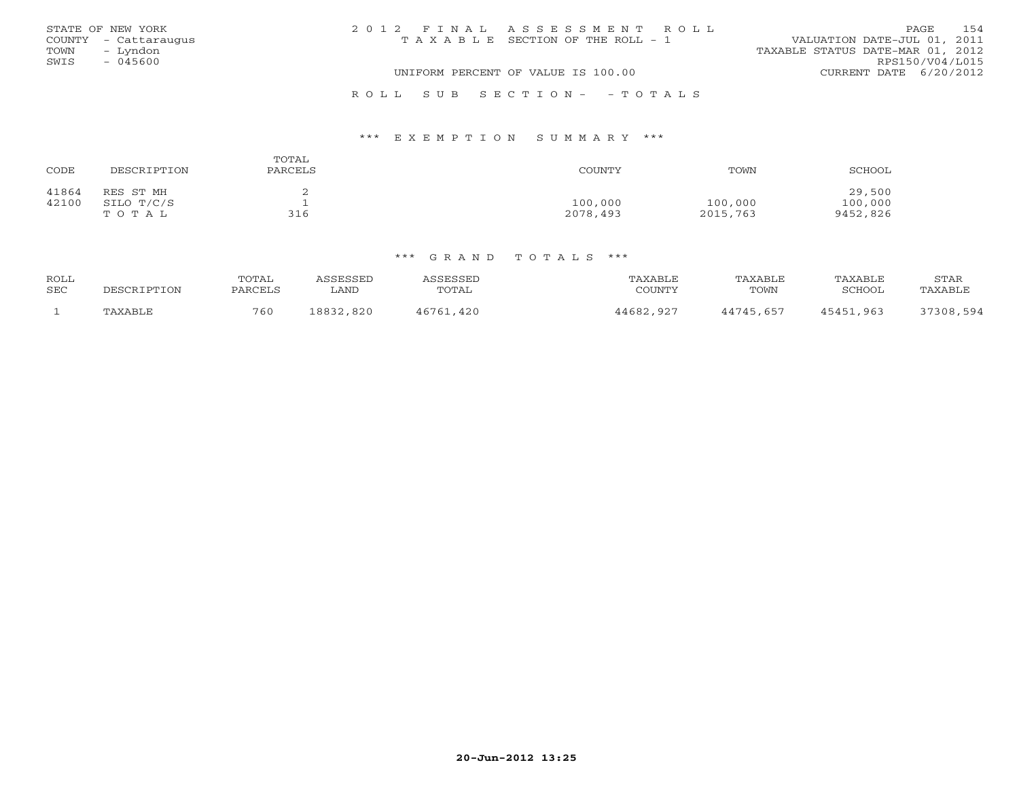|      | STATE OF NEW YORK    | 2012 FINAL ASSESSMENT ROLL |                                       |                                  | PAGE            | 154 |
|------|----------------------|----------------------------|---------------------------------------|----------------------------------|-----------------|-----|
|      | COUNTY - Cattaraugus |                            | T A X A B L E SECTION OF THE ROLL - 1 | VALUATION DATE-JUL 01, 2011      |                 |     |
| TOWN | – Lyndon             |                            |                                       | TAXABLE STATUS DATE-MAR 01, 2012 |                 |     |
| SWIS | - 045600             |                            |                                       |                                  | RPS150/V04/L015 |     |
|      |                      |                            | UNIFORM PERCENT OF VALUE IS 100.00    | CURRENT DATE 6/20/2012           |                 |     |
|      |                      |                            |                                       |                                  |                 |     |

## \*\*\* E X E M P T I O N S U M M A R Y \*\*\*

| CODE<br>DESCRIPTION                                | TOTAL<br>PARCELS | COUNTY              | TOWN                | SCHOOL                        |
|----------------------------------------------------|------------------|---------------------|---------------------|-------------------------------|
| 41864<br>RES ST MH<br>42100<br>SILO T/C/S<br>TOTAL | 316              | 100,000<br>2078,493 | 100,000<br>2015,763 | 29,500<br>100,000<br>9452,826 |

R O L L S U B S E C T I O N - - T O T A L S

| ROLL       |             | TOTAL   | <i><b>\SSESSED</b></i> | ASSESSED      | TAXABLE   | TAXABLE   | TAXABLE   | STAR      |
|------------|-------------|---------|------------------------|---------------|-----------|-----------|-----------|-----------|
| <b>SEC</b> | DESCRIPTION | PARCELS | ∟AND                   | TOTAL         | COUNTY    | TOWN      | SCHOOL    | TAXABLE   |
|            | TAXABLE     | 760     | 18832,820              | 46761<br>.420 | 44682,927 | 44745,657 | 45451,963 | 37308,594 |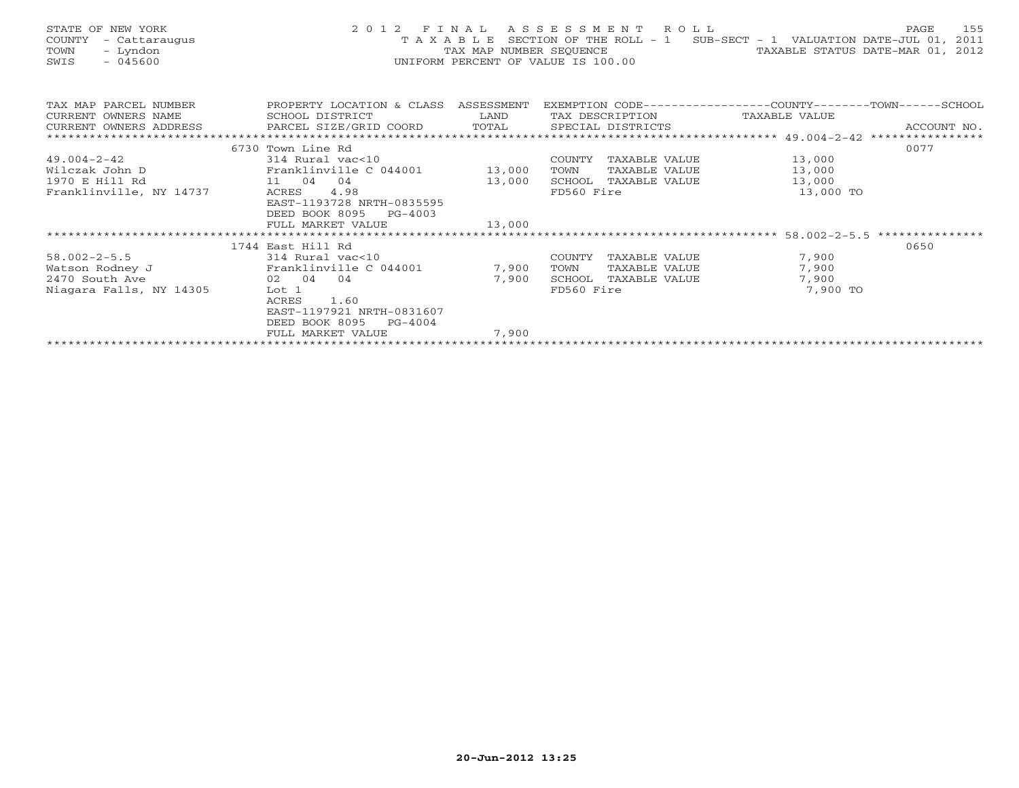| STATE OF NEW YORK<br>COUNTY<br>- Cattaraugus<br>TOWN<br>- Lyndon<br>$-045600$<br>SWIS | 2012 FINAL<br>TAXABLE                | TAX MAP NUMBER SEQUENCE | ASSESSMENT ROLL<br>SECTION OF THE ROLL - 1<br>UNIFORM PERCENT OF VALUE IS 100.00 | SUB-SECT - 1 VALUATION DATE-JUL 01,<br>TAXABLE STATUS DATE-MAR 01, 2012 | 155<br>PAGE<br>2011 |
|---------------------------------------------------------------------------------------|--------------------------------------|-------------------------|----------------------------------------------------------------------------------|-------------------------------------------------------------------------|---------------------|
| TAX MAP PARCEL NUMBER                                                                 | PROPERTY LOCATION & CLASS ASSESSMENT |                         | EXEMPTION CODE----------------COUNTY-------TOWN------SCHOOL                      |                                                                         |                     |
| CURRENT OWNERS NAME                                                                   | SCHOOL DISTRICT                      | LAND                    | TAX DESCRIPTION                                                                  | TAXABLE VALUE                                                           |                     |
| CURRENT OWNERS ADDRESS                                                                | PARCEL SIZE/GRID COORD               | TOTAL                   | SPECIAL DISTRICTS                                                                |                                                                         | ACCOUNT NO.         |
|                                                                                       |                                      |                         |                                                                                  |                                                                         |                     |
|                                                                                       | 6730 Town Line Rd                    |                         |                                                                                  |                                                                         | 0077                |
| 49.004-2-42                                                                           | 314 Rural vac<10                     |                         | COUNTY<br>TAXABLE VALUE                                                          | 13,000                                                                  |                     |
| Wilczak John D                                                                        | Franklinville C 044001               | 13,000                  | TAXABLE VALUE<br>TOWN                                                            | 13,000                                                                  |                     |
| 1970 E Hill Rd                                                                        | 11 04<br>04                          | 13,000                  | SCHOOL<br>TAXABLE VALUE                                                          | 13,000                                                                  |                     |
| Franklinville, NY 14737                                                               | 4.98<br>ACRES                        |                         | FD560 Fire                                                                       | 13,000 TO                                                               |                     |
|                                                                                       | EAST-1193728 NRTH-0835595            |                         |                                                                                  |                                                                         |                     |
|                                                                                       | DEED BOOK 8095<br>PG-4003            |                         |                                                                                  |                                                                         |                     |
|                                                                                       | FULL MARKET VALUE                    | 13,000                  |                                                                                  |                                                                         |                     |
|                                                                                       |                                      |                         |                                                                                  | ************************* 58.002-2-5.5 ***************                  |                     |
|                                                                                       | 1744 East Hill Rd                    |                         |                                                                                  |                                                                         | 0650                |
| $58.002 - 2 - 5.5$                                                                    | 314 Rural vac<10                     |                         | COUNTY<br>TAXABLE VALUE                                                          | 7,900                                                                   |                     |
| Watson Rodney J                                                                       | Franklinville C 044001               | 7,900                   | TOWN<br>TAXABLE VALUE                                                            | 7,900                                                                   |                     |
| 2470 South Ave                                                                        | 02 04<br>04                          | 7,900                   | SCHOOL<br>TAXABLE VALUE                                                          | 7,900                                                                   |                     |
| Niagara Falls, NY 14305                                                               | Lot 1                                |                         | FD560 Fire                                                                       | 7,900 TO                                                                |                     |
|                                                                                       | 1.60<br>ACRES                        |                         |                                                                                  |                                                                         |                     |

| PG-4004<br>DEED BOOK 8095 |     |
|---------------------------|-----|
| VALUE<br>FULL MARKET      | 900 |
|                           |     |

EAST-1197921 NRTH-0831607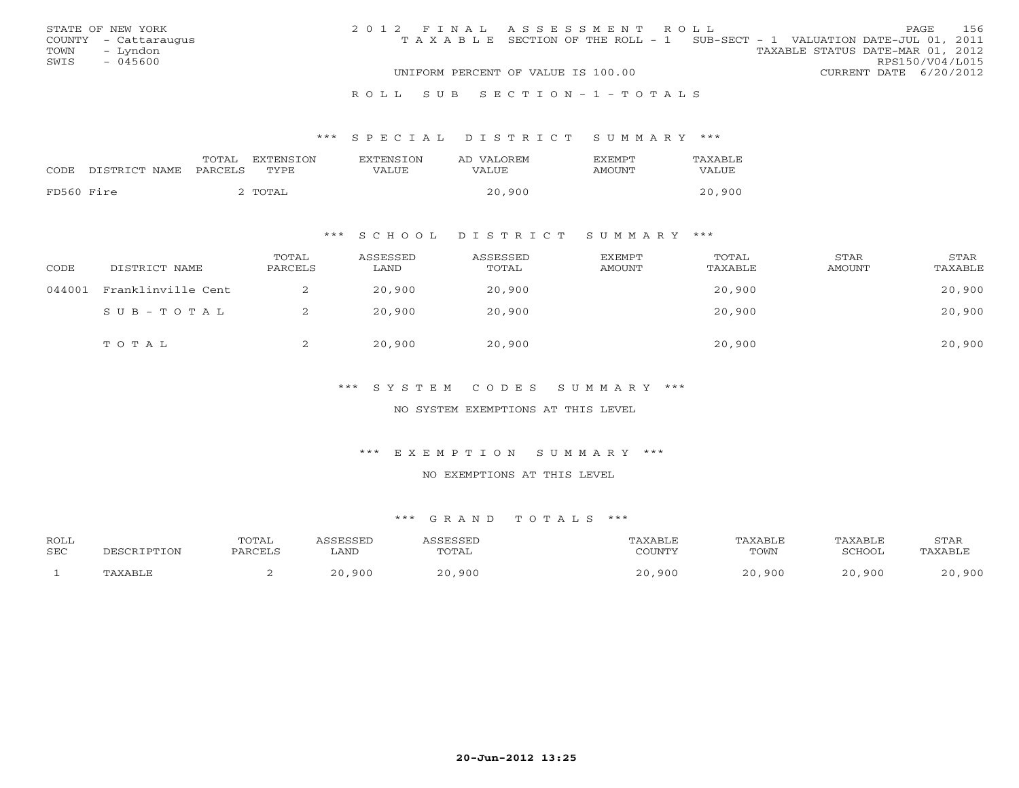|      | STATE OF NEW YORK    | 2012 FINAL ASSESSMENT ROLL |                                                                                |                                  |                        | PAGE | - 156 |
|------|----------------------|----------------------------|--------------------------------------------------------------------------------|----------------------------------|------------------------|------|-------|
|      | COUNTY - Cattaraugus |                            | T A X A B L E SECTION OF THE ROLL - 1 SUB-SECT - 1 VALUATION DATE-JUL 01, 2011 |                                  |                        |      |       |
| TOWN | – Lyndon             |                            |                                                                                | TAXABLE STATUS DATE-MAR 01, 2012 |                        |      |       |
| SWIS | - 045600             |                            |                                                                                |                                  | RPS150/V04/L015        |      |       |
|      |                      |                            | UNIFORM PERCENT OF VALUE IS 100.00                                             |                                  | CURRENT DATE 6/20/2012 |      |       |
|      |                      |                            |                                                                                |                                  |                        |      |       |

#### R O L L S U B S E C T I O N - 1 - T O T A L S

#### \*\*\* S P E C I A L D I S T R I C T S U M M A R Y \*\*\*

|            |               | TOTAL   | <b>EXTENSION</b> | <b>EXTENSION</b> | AD VALOREM | <b>EXEMPT</b> | TAXABLE |
|------------|---------------|---------|------------------|------------------|------------|---------------|---------|
| CODE       | DISTRICT NAME | PARCELS | TYPE             | VALUE            | VALUE      | AMOUNT        | VALUE   |
| FD560 Fire |               |         | TOTAL            |                  | 20,900     |               | 20,900  |

## \*\*\* S C H O O L D I S T R I C T S U M M A R Y \*\*\*

| CODE   | DISTRICT NAME      | TOTAL<br>PARCELS | ASSESSED<br>LAND | ASSESSED<br>TOTAL | EXEMPT<br>AMOUNT | TOTAL<br>TAXABLE | STAR<br>AMOUNT | STAR<br>TAXABLE |
|--------|--------------------|------------------|------------------|-------------------|------------------|------------------|----------------|-----------------|
| 044001 | Franklinville Cent |                  | 20,900           | 20,900            |                  | 20,900           |                | 20,900          |
|        | SUB-TOTAL          | ▵                | 20,900           | 20,900            |                  | 20,900           |                | 20,900          |
|        | TOTAL              | ∠                | 20,900           | 20,900            |                  | 20,900           |                | 20,900          |

## \*\*\* S Y S T E M C O D E S S U M M A R Y \*\*\*

#### NO SYSTEM EXEMPTIONS AT THIS LEVEL

#### \*\*\* E X E M P T I O N S U M M A R Y \*\*\*

#### NO EXEMPTIONS AT THIS LEVEL

| <b>ROLL</b> |          | TOTAL   | SSESSED               | <i><b>SSESSED</b></i> | TAXABLE | TAXABLE | TAXABLE | STAR    |
|-------------|----------|---------|-----------------------|-----------------------|---------|---------|---------|---------|
| SEC         | RIPTION  | PARCELS | LAND                  | TOTAL                 | COUNTY  | TOWN    | SCHOOL  | TAXABLE |
|             | TAXARI.F |         | ,900<br>$\cap$ $\cap$ | ,900<br>2.0           | ,900    | ,900    | ,900    | 900     |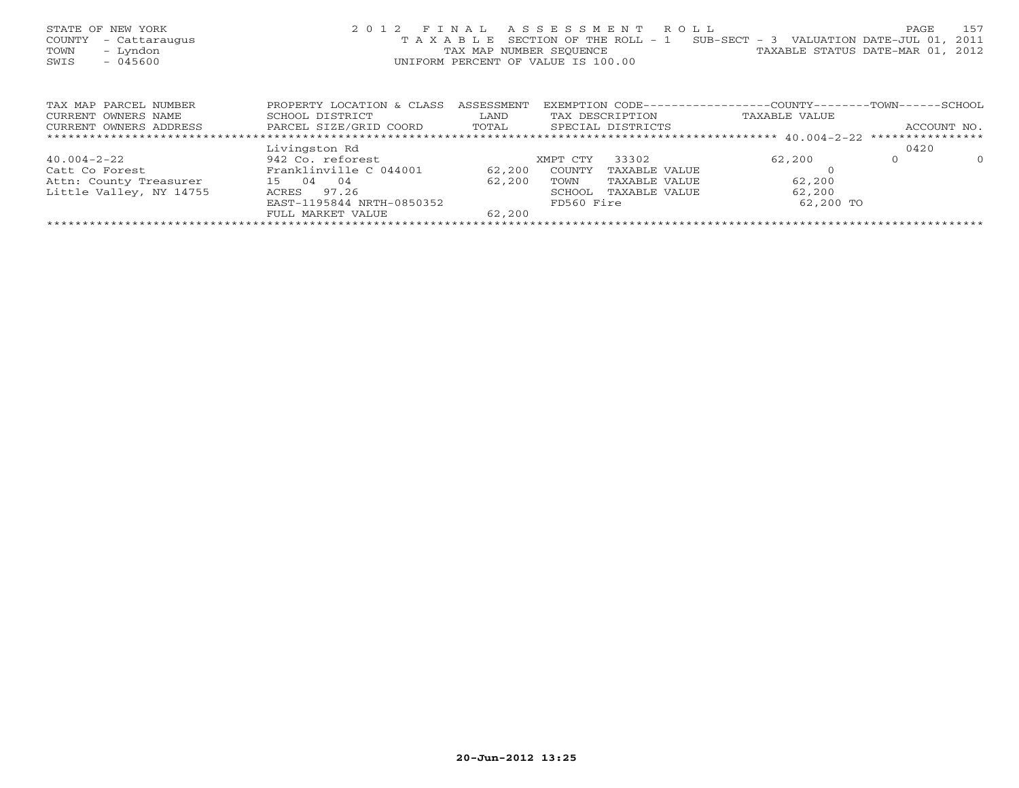| STATE OF NEW YORK<br>COUNTY<br>- Cattaraugus<br>- Lyndon<br>TOWN<br>$-045600$<br>SWIS | 2 0 1 2                   | TAXABLE<br>UNIFORM PERCENT OF VALUE IS 100.00 |          | FINAL ASSESSMENT ROLL<br>SECTION OF THE ROLL - 1<br>TAX MAP NUMBER SEOUENCE | SUB-SECT - 3 VALUATION DATE-JUL 01, 2011<br>TAXABLE STATUS DATE-MAR 01, 2012 | PAGE         | 157        |
|---------------------------------------------------------------------------------------|---------------------------|-----------------------------------------------|----------|-----------------------------------------------------------------------------|------------------------------------------------------------------------------|--------------|------------|
|                                                                                       |                           |                                               |          |                                                                             |                                                                              |              |            |
| TAX MAP PARCEL NUMBER                                                                 | PROPERTY LOCATION & CLASS | ASSESSMENT                                    |          | EXEMPTION CODE---                                                           | ---------------COUNTY-------TOWN-                                            |              | $-$ SCHOOL |
| CURRENT OWNERS NAME                                                                   | SCHOOL DISTRICT           | LAND                                          |          | TAX DESCRIPTION                                                             | TAXABLE VALUE                                                                |              |            |
| CURRENT OWNERS ADDRESS                                                                | PARCEL SIZE/GRID COORD    | TOTAL                                         |          | SPECIAL DISTRICTS                                                           |                                                                              | ACCOUNT NO.  |            |
|                                                                                       |                           |                                               |          |                                                                             |                                                                              |              |            |
|                                                                                       | Livingston Rd             |                                               |          |                                                                             |                                                                              | 0420         |            |
| $40.004 - 2 - 22$                                                                     | 942 Co. reforest          |                                               | XMPT CTY | 33302                                                                       | 62,200                                                                       | $\mathbf{0}$ | $\circ$    |
| Catt Co Forest                                                                        | Franklinville C 044001    | 62,200                                        | COUNTY   | TAXABLE VALUE                                                               |                                                                              |              |            |
| Attn: County Treasurer                                                                | 15 04<br>04               | 62,200                                        | TOWN     | TAXABLE VALUE                                                               | 62,200                                                                       |              |            |
| Little Valley, NY 14755                                                               | 97.26<br>ACRES            |                                               | SCHOOL   | TAXABLE VALUE                                                               | 62,200                                                                       |              |            |

FULL MARKET VALUE 62,200 \*\*\*\*\*\*\*\*\*\*\*\*\*\*\*\*\*\*\*\*\*\*\*\*\*\*\*\*\*\*\*\*\*\*\*\*\*\*\*\*\*\*\*\*\*\*\*\*\*\*\*\*\*\*\*\*\*\*\*\*\*\*\*\*\*\*\*\*\*\*\*\*\*\*\*\*\*\*\*\*\*\*\*\*\*\*\*\*\*\*\*\*\*\*\*\*\*\*\*\*\*\*\*\*\*\*\*\*\*\*\*\*\*\*\*\*\*\*\*\*\*\*\*\*\*\*\*\*\*\*\*\*

EAST-1195844 NRTH-0850352 FD560 Fire 62,200 TO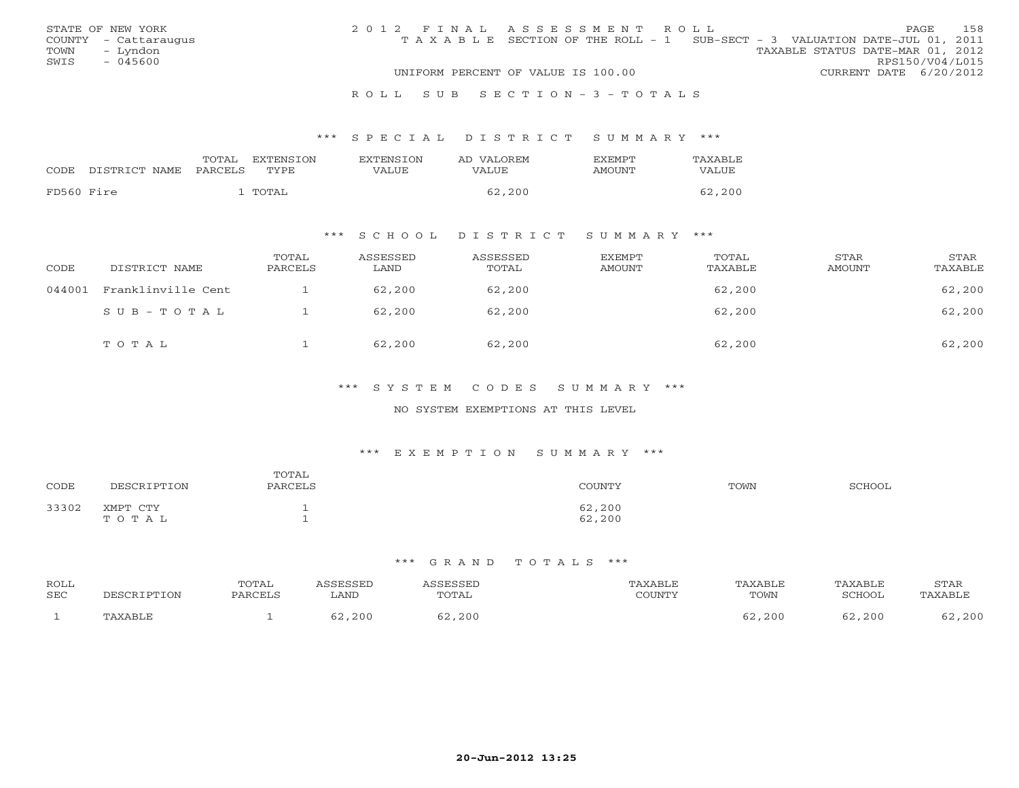|      | STATE OF NEW YORK    | 2012 FINAL ASSESSMENT ROLL |                                                                                |                                  |                        | PAGE. | 158 |
|------|----------------------|----------------------------|--------------------------------------------------------------------------------|----------------------------------|------------------------|-------|-----|
|      | COUNTY - Cattaraugus |                            | T A X A B L E SECTION OF THE ROLL - 1 SUB-SECT - 3 VALUATION DATE-JUL 01, 2011 |                                  |                        |       |     |
| TOWN | – Lyndon             |                            |                                                                                | TAXABLE STATUS DATE-MAR 01, 2012 |                        |       |     |
| SWIS | $-045600$            |                            |                                                                                |                                  | RPS150/V04/L015        |       |     |
|      |                      |                            | UNIFORM PERCENT OF VALUE IS 100.00                                             |                                  | CURRENT DATE 6/20/2012 |       |     |
|      |                      |                            |                                                                                |                                  |                        |       |     |

#### R O L L S U B S E C T I O N - 3 - T O T A L S

#### \*\*\* S P E C I A L D I S T R I C T S U M M A R Y \*\*\*

|            |               | TOTAL   | <b>EXTENSION</b> | <b>EXTENSION</b> | AD VALOREM | <b>EXEMPT</b> | TAXABLE |
|------------|---------------|---------|------------------|------------------|------------|---------------|---------|
| CODE       | DISTRICT NAME | PARCELS | TYPE             | VALUE            | VALUE      | AMOUNT        | VALUE   |
| FD560 Fire |               |         | TOTAL            |                  | 62,200     |               | 62,200  |

## \*\*\* S C H O O L D I S T R I C T S U M M A R Y \*\*\*

| CODE   | DISTRICT NAME      | TOTAL<br>PARCELS | ASSESSED<br>LAND | ASSESSED<br>TOTAL | EXEMPT<br>AMOUNT | TOTAL<br>TAXABLE | <b>STAR</b><br>AMOUNT | STAR<br>TAXABLE |
|--------|--------------------|------------------|------------------|-------------------|------------------|------------------|-----------------------|-----------------|
| 044001 | Franklinville Cent |                  | 62,200           | 62,200            |                  | 62,200           |                       | 62,200          |
|        | SUB-TOTAL          |                  | 62,200           | 62,200            |                  | 62,200           |                       | 62,200          |
|        | TOTAL              |                  | 62,200           | 62,200            |                  | 62,200           |                       | 62,200          |

## \*\*\* S Y S T E M C O D E S S U M M A R Y \*\*\*

#### NO SYSTEM EXEMPTIONS AT THIS LEVEL

#### \*\*\* E X E M P T I O N S U M M A R Y \*\*\*

| CODE  | DESCRIPTION       | TOTAL<br>PARCELS | COUNTY           | TOWN | SCHOOL |
|-------|-------------------|------------------|------------------|------|--------|
| 33302 | XMPT CTY<br>TOTAL |                  | 62,200<br>62,200 |      |        |

| ROLL<br>SEC | DESCRIPTION | <b>TOTAL</b><br><b>PARCELS</b> | ∟AND   | SSESSED<br>TOTAL | TAXABLE<br>CCTINTMIX<br>LOUNT - | TAXABLE<br>TOWN | TAXABLE<br>SCHOOL | <b>STAR</b><br>'AXABLE |
|-------------|-------------|--------------------------------|--------|------------------|---------------------------------|-----------------|-------------------|------------------------|
|             | TAXABLE     |                                | 62,200 | 52,200           |                                 | 62,200          | 52,200            | ,200                   |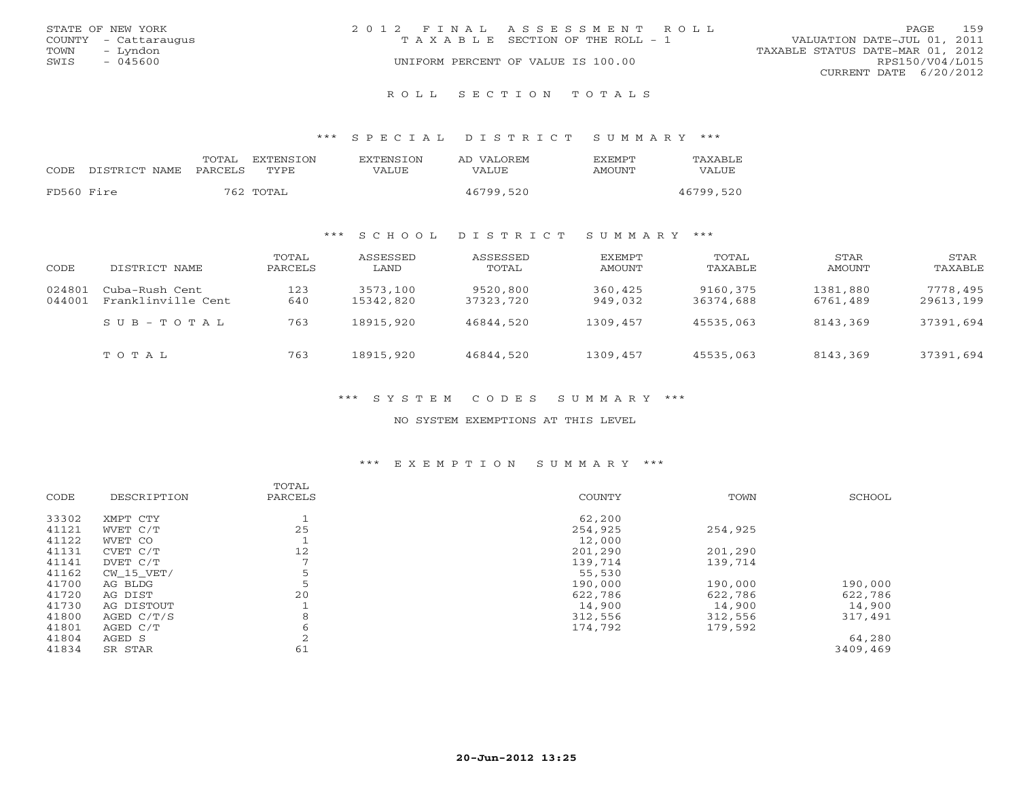|      | STATE OF NEW YORK    | 2012 FINAL ASSESSMENT ROLL |                                       |                                  | PAGE                   | 159 |  |
|------|----------------------|----------------------------|---------------------------------------|----------------------------------|------------------------|-----|--|
|      | COUNTY - Cattaraugus |                            | T A X A B L E SECTION OF THE ROLL - 1 | VALUATION DATE-JUL 01, 2011      |                        |     |  |
| TOWN | – Lyndon             |                            |                                       | TAXABLE STATUS DATE-MAR 01, 2012 |                        |     |  |
| SWIS | - 045600             |                            | UNIFORM PERCENT OF VALUE IS 100.00    |                                  | RPS150/V04/L015        |     |  |
|      |                      |                            |                                       |                                  | CURRENT DATE 6/20/2012 |     |  |
|      |                      |                            |                                       |                                  |                        |     |  |

R O L L S E C T I O N T O T A L S

\*\*\* S P E C I A L D I S T R I C T S U M M A R Y \*\*\*

| CODE       | DISTRICT NAME | TOTAL<br>PARCELS | EXTENSION<br>TYPE. | <b>EXTENSION</b><br>VALUE | AD VALOREM<br><b>VALUE</b> | <b>FXFMPT</b><br>AMOUNT | TAXABLE<br>VALUE |
|------------|---------------|------------------|--------------------|---------------------------|----------------------------|-------------------------|------------------|
| FD560 Fire |               |                  | 762 TOTAL          |                           | 46799,520                  |                         | 46799,520        |

## \*\*\* S C H O O L D I S T R I C T S U M M A R Y \*\*\*

| CODE             | DISTRICT NAME                        | TOTAL<br>PARCELS | ASSESSED<br>LAND      | ASSESSED<br>TOTAL     | EXEMPT<br>AMOUNT   | TOTAL<br>TAXABLE      | STAR<br>AMOUNT       | STAR<br>TAXABLE       |
|------------------|--------------------------------------|------------------|-----------------------|-----------------------|--------------------|-----------------------|----------------------|-----------------------|
| 024801<br>044001 | Cuba-Rush Cent<br>Franklinville Cent | 123<br>640       | 3573,100<br>15342,820 | 9520,800<br>37323,720 | 360,425<br>949,032 | 9160,375<br>36374,688 | 1381,880<br>6761,489 | 7778,495<br>29613,199 |
|                  | $S$ U B - T O T A L                  | 763              | 18915,920             | 46844,520             | 1309,457           | 45535,063             | 8143,369             | 37391,694             |
|                  | TOTAL                                | 763              | 18915,920             | 46844,520             | 1309,457           | 45535,063             | 8143,369             | 37391,694             |

\*\*\* S Y S T E M C O D E S S U M M A R Y \*\*\*

NO SYSTEM EXEMPTIONS AT THIS LEVEL

## \*\*\* E X E M P T I O N S U M M A R Y \*\*\*

|       |              | TOTAL          |         |         |          |
|-------|--------------|----------------|---------|---------|----------|
| CODE  | DESCRIPTION  | PARCELS        | COUNTY  | TOWN    | SCHOOL   |
| 33302 | XMPT CTY     |                | 62,200  |         |          |
| 41121 | WVET C/T     | 25             | 254,925 | 254,925 |          |
| 41122 | WVET CO      |                | 12,000  |         |          |
| 41131 | CVET C/T     | 12             | 201,290 | 201,290 |          |
| 41141 | DVET C/T     | $\overline{ }$ | 139,714 | 139,714 |          |
| 41162 | CW 15 VET/   | 5              | 55,530  |         |          |
| 41700 | AG BLDG      | 5              | 190,000 | 190,000 | 190,000  |
| 41720 | AG DIST      | 20             | 622,786 | 622,786 | 622,786  |
| 41730 | AG DISTOUT   |                | 14,900  | 14,900  | 14,900   |
| 41800 | AGED $C/T/S$ | 8              | 312,556 | 312,556 | 317,491  |
| 41801 | AGED C/T     | 6              | 174,792 | 179,592 |          |
| 41804 | AGED S       | 2              |         |         | 64,280   |
| 41834 | SR STAR      | 61             |         |         | 3409,469 |
|       |              |                |         |         |          |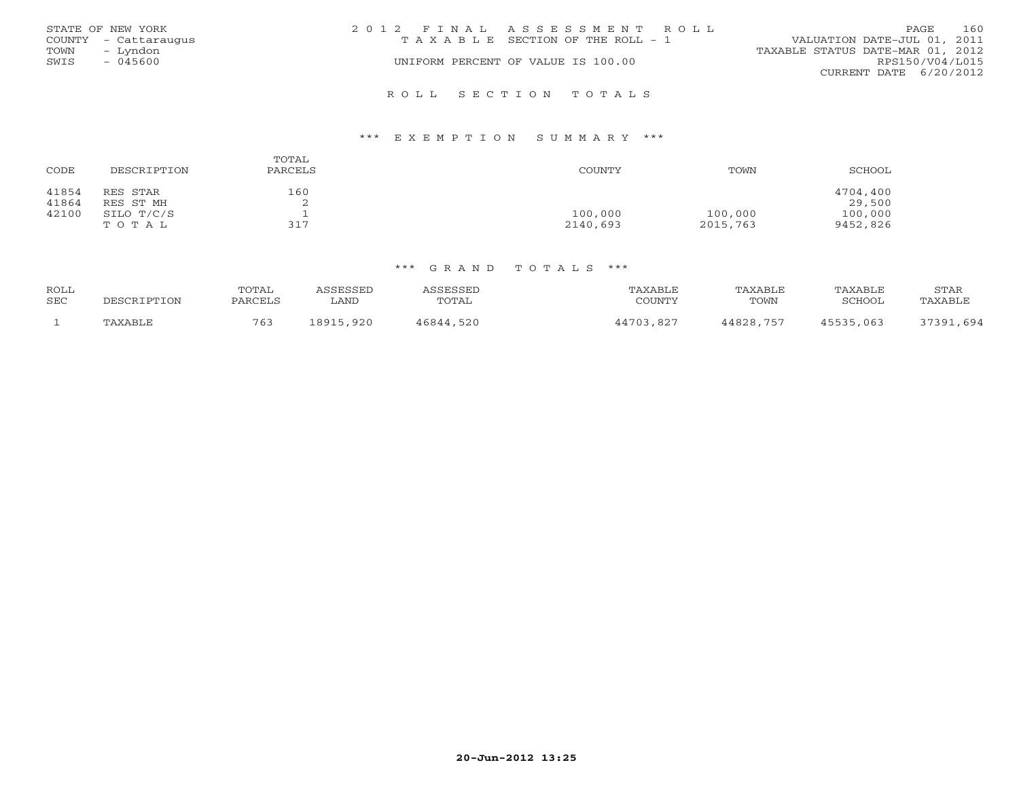|      | STATE OF NEW YORK    | 2012 FINAL ASSESSMENT ROLL |                                    |                                  | <b>PAGE</b>     | 160 |
|------|----------------------|----------------------------|------------------------------------|----------------------------------|-----------------|-----|
|      | COUNTY - Cattaraugus |                            | TAXABLE SECTION OF THE ROLL - 1    | VALUATION DATE-JUL 01, 2011      |                 |     |
| TOWN | – Lyndon             |                            |                                    | TAXABLE STATUS DATE-MAR 01, 2012 |                 |     |
| SWIS | $-045600$            |                            | UNIFORM PERCENT OF VALUE IS 100.00 |                                  | RPS150/V04/L015 |     |
|      |                      |                            |                                    | CURRENT DATE 6/20/2012           |                 |     |
|      |                      |                            |                                    |                                  |                 |     |

## \*\*\* E X E M P T I O N S U M M A R Y \*\*\*

| CODE           | DESCRIPTION           | TOTAL<br>PARCELS | COUNTY              | TOWN                | SCHOOL              |
|----------------|-----------------------|------------------|---------------------|---------------------|---------------------|
| 41854<br>41864 | RES STAR<br>RES ST MH | 160<br>▵         |                     |                     | 4704,400<br>29,500  |
| 42100          | SILO T/C/S<br>TOTAL   | 317              | 100,000<br>2140,693 | 100,000<br>2015,763 | 100,000<br>9452,826 |

R O L L S E C T I O N T O T A L S

| ROLL<br>SEC | DESCRIPTION | TOTAL<br>PARCELS | CCFCCFD<br>_AND | TOTAL     | TAXABLE<br>COUNTY | TAXABLE<br>TOWN | TAXABLE<br>SCHOOL | STAR<br>'AXABLE |
|-------------|-------------|------------------|-----------------|-----------|-------------------|-----------------|-------------------|-----------------|
|             | PAXABLE     | 763              | ,920<br>18915   | 16844,520 | 44703.827         | 44828,757       | 45535,063         | , 694<br>37391  |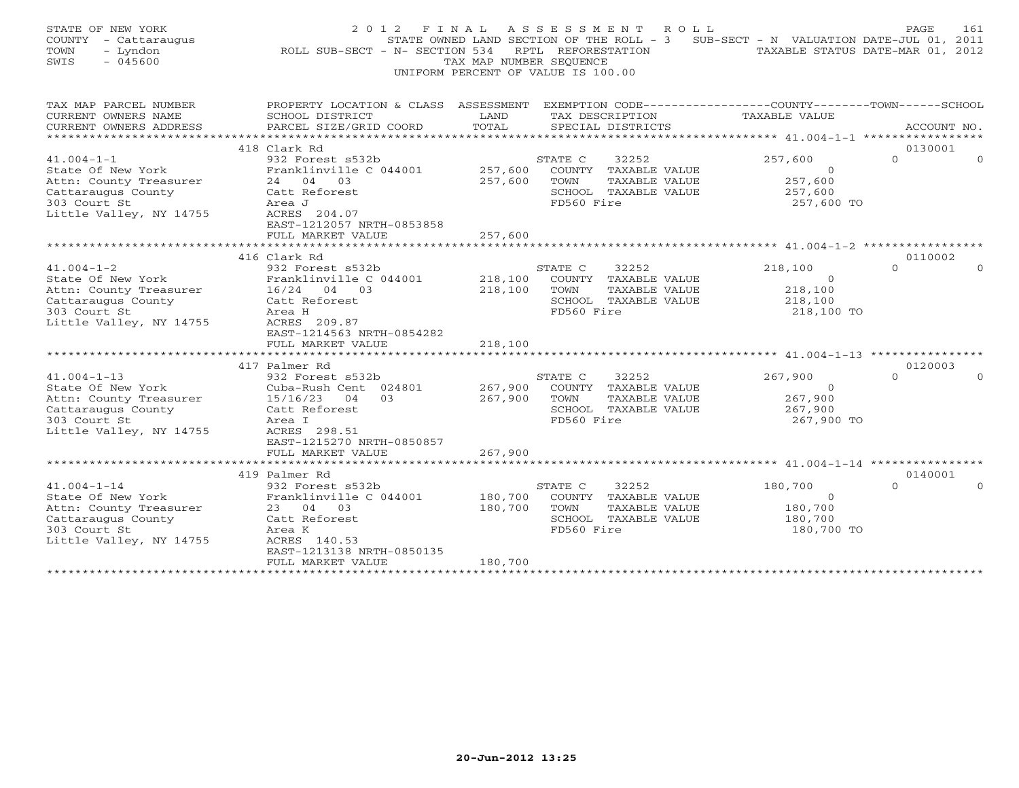| STATE OF NEW YORK<br>COUNTY - Cattaraugus<br>TOWN<br>- Lyndon<br>$-045600$<br>SWIS | 2 0 1 2<br>F I N A L<br>ROLL SUB-SECT - N- SECTION 534                                          | TAX MAP NUMBER SEOUENCE | A S S E S S M E N T<br>ROLL<br>STATE OWNED LAND SECTION OF THE ROLL - 3<br>RPTL REFORESTATION<br>UNIFORM PERCENT OF VALUE IS 100.00 | SUB-SECT - N VALUATION DATE-JUL 01, 2011<br>TAXABLE STATUS DATE-MAR 01, 2012 | PAGE.               | 161      |
|------------------------------------------------------------------------------------|-------------------------------------------------------------------------------------------------|-------------------------|-------------------------------------------------------------------------------------------------------------------------------------|------------------------------------------------------------------------------|---------------------|----------|
| TAX MAP PARCEL NUMBER                                                              | PROPERTY LOCATION & CLASS ASSESSMENT EXEMPTION CODE---------------COUNTY-------TOWN------SCHOOL |                         |                                                                                                                                     |                                                                              |                     |          |
| CURRENT OWNERS NAME                                                                | SCHOOL DISTRICT                                                                                 | LAND                    | TAX DESCRIPTION                                                                                                                     | TAXABLE VALUE                                                                |                     |          |
| CURRENT OWNERS ADDRESS                                                             | PARCEL SIZE/GRID COORD                                                                          | TOTAL                   | SPECIAL DISTRICTS                                                                                                                   |                                                                              | ACCOUNT NO.         |          |
|                                                                                    |                                                                                                 |                         |                                                                                                                                     |                                                                              |                     |          |
| $41.004 - 1 - 1$                                                                   | 418 Clark Rd<br>932 Forest s532b                                                                |                         | STATE C<br>32252                                                                                                                    | 257,600                                                                      | 0130001<br>$\Omega$ | $\Omega$ |
| State Of New York                                                                  | Franklinville C 044001                                                                          | 257,600                 | COUNTY TAXABLE VALUE                                                                                                                | $\overline{0}$                                                               |                     |          |
| Attn: County Treasurer                                                             | 24 04 03                                                                                        | 257,600                 | TAXABLE VALUE<br>TOWN                                                                                                               | 257,600                                                                      |                     |          |
| Cattaraugus County                                                                 | Catt Reforest                                                                                   |                         | SCHOOL TAXABLE VALUE                                                                                                                | 257,600                                                                      |                     |          |
| 303 Court St                                                                       | Area J                                                                                          |                         | FD560 Fire                                                                                                                          | 257,600 TO                                                                   |                     |          |
| Little Valley, NY 14755                                                            | ACRES 204.07                                                                                    |                         |                                                                                                                                     |                                                                              |                     |          |
|                                                                                    | EAST-1212057 NRTH-0853858                                                                       |                         |                                                                                                                                     |                                                                              |                     |          |
|                                                                                    | FULL MARKET VALUE                                                                               | 257,600                 |                                                                                                                                     |                                                                              |                     |          |
|                                                                                    |                                                                                                 |                         |                                                                                                                                     |                                                                              |                     |          |
|                                                                                    | 416 Clark Rd                                                                                    |                         |                                                                                                                                     |                                                                              | 0110002             | $\Omega$ |
| $41.004 - 1 - 2$<br>State Of New York                                              | 932 Forest s532b<br>Franklinville C 044001                                                      | 218,100                 | STATE C<br>32252<br>COUNTY TAXABLE VALUE                                                                                            | 218,100<br>$\Omega$                                                          | $\Omega$            |          |
| Attn: County Treasurer                                                             | 16/24 04 03                                                                                     | 218,100                 | TOWN<br>TAXABLE VALUE                                                                                                               | 218,100                                                                      |                     |          |
| Cattaraugus County                                                                 | Catt Reforest                                                                                   |                         | SCHOOL TAXABLE VALUE                                                                                                                | 218,100                                                                      |                     |          |
| 303 Court St                                                                       | Area H                                                                                          |                         | FD560 Fire                                                                                                                          | 218,100 TO                                                                   |                     |          |
| Little Valley, NY 14755                                                            | ACRES 209.87                                                                                    |                         |                                                                                                                                     |                                                                              |                     |          |
|                                                                                    | EAST-1214563 NRTH-0854282                                                                       |                         |                                                                                                                                     |                                                                              |                     |          |
|                                                                                    | FULL MARKET VALUE                                                                               | 218,100                 |                                                                                                                                     |                                                                              |                     |          |
|                                                                                    |                                                                                                 |                         |                                                                                                                                     |                                                                              |                     |          |
|                                                                                    | 417 Palmer Rd                                                                                   |                         |                                                                                                                                     |                                                                              | 0120003             |          |
| $41.004 - 1 - 13$                                                                  | 932 Forest s532b                                                                                |                         | STATE C<br>32252                                                                                                                    | 267,900                                                                      | $\Omega$            |          |
| State Of New York                                                                  | Cuba-Rush Cent 024801                                                                           | 267,900                 | COUNTY TAXABLE VALUE                                                                                                                | $\Omega$                                                                     |                     |          |
| Attn: County Treasurer                                                             | 15/16/23<br>03<br>04                                                                            | 267,900                 | TOWN<br>TAXABLE VALUE                                                                                                               | 267,900                                                                      |                     |          |
| Cattaraugus County<br>303 Court St                                                 | Catt Reforest<br>Area I                                                                         |                         | SCHOOL TAXABLE VALUE<br>FD560 Fire                                                                                                  | 267,900<br>267,900 TO                                                        |                     |          |
| Little Valley, NY 14755                                                            | ACRES 298.51                                                                                    |                         |                                                                                                                                     |                                                                              |                     |          |
|                                                                                    | EAST-1215270 NRTH-0850857                                                                       |                         |                                                                                                                                     |                                                                              |                     |          |
|                                                                                    | FULL MARKET VALUE                                                                               | 267,900                 |                                                                                                                                     |                                                                              |                     |          |
|                                                                                    |                                                                                                 |                         |                                                                                                                                     |                                                                              |                     |          |
|                                                                                    | 419 Palmer Rd                                                                                   |                         |                                                                                                                                     |                                                                              | 0140001             |          |
| $41.004 - 1 - 14$                                                                  | 932 Forest s532b                                                                                |                         | STATE C<br>32252                                                                                                                    | 180,700                                                                      | $\Omega$            |          |
| State Of New York                                                                  | Franklinville C 044001                                                                          | 180,700                 | COUNTY TAXABLE VALUE                                                                                                                | $\overline{0}$                                                               |                     |          |
| Attn: County Treasurer                                                             | 23 04 03                                                                                        | 180,700                 | TOWN<br>TAXABLE VALUE                                                                                                               | 180,700                                                                      |                     |          |
| Cattaraugus County                                                                 | Catt Reforest                                                                                   |                         | SCHOOL TAXABLE VALUE                                                                                                                | 180,700                                                                      |                     |          |
| 303 Court St                                                                       | Area K                                                                                          |                         | FD560 Fire                                                                                                                          | 180,700 TO                                                                   |                     |          |
| Little Valley, NY 14755                                                            | ACRES 140.53                                                                                    |                         |                                                                                                                                     |                                                                              |                     |          |
|                                                                                    | EAST-1213138 NRTH-0850135<br>FULL MARKET VALUE                                                  | 180,700                 |                                                                                                                                     |                                                                              |                     |          |
| *************************                                                          | ***************************                                                                     |                         |                                                                                                                                     |                                                                              |                     |          |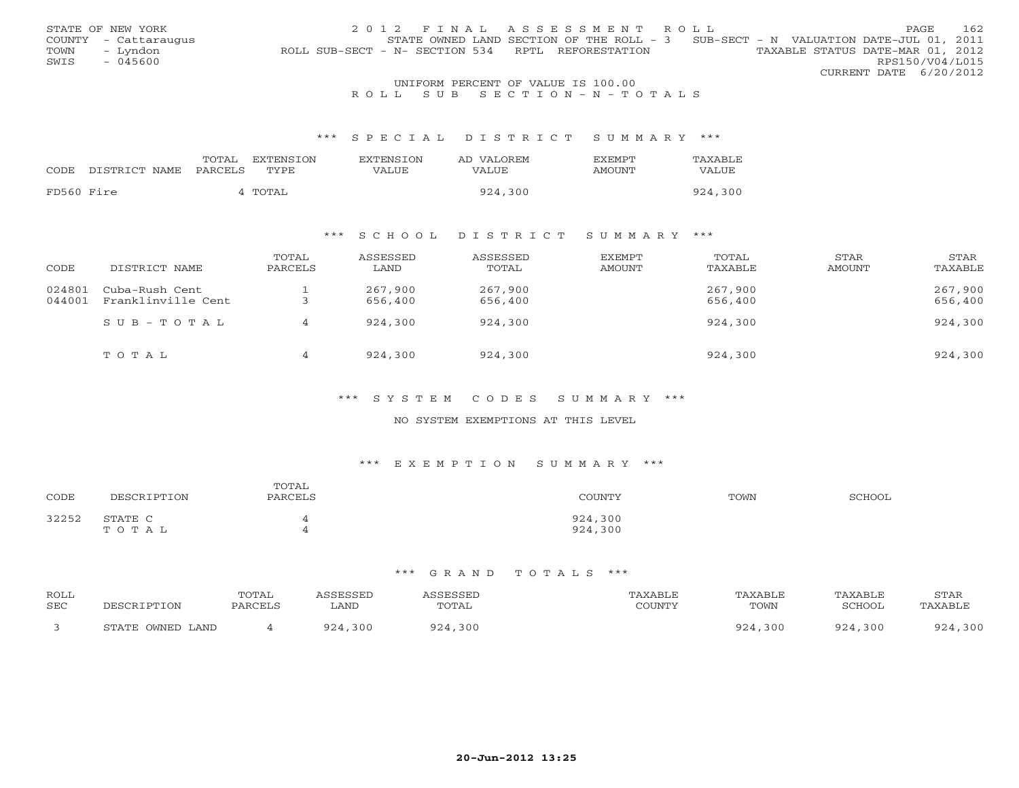|                                    | STATE OF NEW YORK    | 2012 FINAL ASSESSMENT ROLL                                                            | <b>PAGE</b>            |  | 162 |  |  |
|------------------------------------|----------------------|---------------------------------------------------------------------------------------|------------------------|--|-----|--|--|
|                                    | COUNTY - Cattaraugus | STATE OWNED LAND SECTION OF THE ROLL - $3$ SUB-SECT - N VALUATION DATE-JUL 01, 2011   |                        |  |     |  |  |
| TOWN                               | – Lyndon             | TAXABLE STATUS DATE-MAR 01, 2012<br>ROLL SUB-SECT - N- SECTION 534 RPTL REFORESTATION |                        |  |     |  |  |
| SWIS                               | - 045600             |                                                                                       | RPS150/V04/L015        |  |     |  |  |
|                                    |                      |                                                                                       | CURRENT DATE 6/20/2012 |  |     |  |  |
| UNIFORM PERCENT OF VALUE IS 100.00 |                      |                                                                                       |                        |  |     |  |  |

## R O L L S U B S E C T I O N - N - T O T A L S

#### \*\*\* S P E C I A L D I S T R I C T S U M M A R Y \*\*\*

|            |                                 | TOTAL | EXTENSION | <b>EXTENSION</b> | AD VALOREM | <b>FXFMPT</b> | TAXABLE |
|------------|---------------------------------|-------|-----------|------------------|------------|---------------|---------|
|            | CODE DISTRICT NAME PARCELS TYPE |       |           | VALUE            | VALUE      | AMOUNT        | VALUE   |
|            |                                 |       |           |                  |            |               |         |
| FD560 Fire |                                 |       | 4 TOTAL   |                  | 924,300    |               | 924,300 |

## \*\*\* S C H O O L D I S T R I C T S U M M A R Y \*\*\*

| CODE             | DISTRICT NAME                        | TOTAL<br>PARCELS | ASSESSED<br>LAND   | ASSESSED<br>TOTAL  | EXEMPT<br>AMOUNT | TOTAL<br>TAXABLE   | STAR<br>AMOUNT | STAR<br>TAXABLE    |
|------------------|--------------------------------------|------------------|--------------------|--------------------|------------------|--------------------|----------------|--------------------|
| 024801<br>044001 | Cuba-Rush Cent<br>Franklinville Cent |                  | 267,900<br>656,400 | 267,900<br>656,400 |                  | 267,900<br>656,400 |                | 267,900<br>656,400 |
|                  | $SUB - TO T AL$                      | 4                | 924,300            | 924,300            |                  | 924,300            |                | 924,300            |
|                  | TOTAL                                | 4                | 924,300            | 924,300            |                  | 924,300            |                | 924,300            |

### \*\*\* S Y S T E M C O D E S S U M M A R Y \*\*\*

## NO SYSTEM EXEMPTIONS AT THIS LEVEL

## \*\*\* E X E M P T I O N S U M M A R Y \*\*\*

| CODE  | <b>IPTION</b><br>DF SC | TOTAL<br>PARCELS | TOUNTY             | TOWN | <b>SCHOOL</b> |
|-------|------------------------|------------------|--------------------|------|---------------|
| 32252 | STATE C<br>тотац       |                  | 924,300<br>924,300 |      |               |

| ROLL       |                  | <b>TOTAL</b> | ASSESSED     | <i><b>\SSESSED</b></i> | TAXABLE | TAXABLE | TAXABLE | STAR    |
|------------|------------------|--------------|--------------|------------------------|---------|---------|---------|---------|
| <b>SEC</b> | DESCRIPTION      | PARCELS      | LAND         | TOTAL                  | COUNTY  | TOWN    | SCHOOL  | TAXABLE |
|            | STATE OWNED LAND |              | ,300<br>924. | 924,300                |         | 924,300 | 924,300 | 924,300 |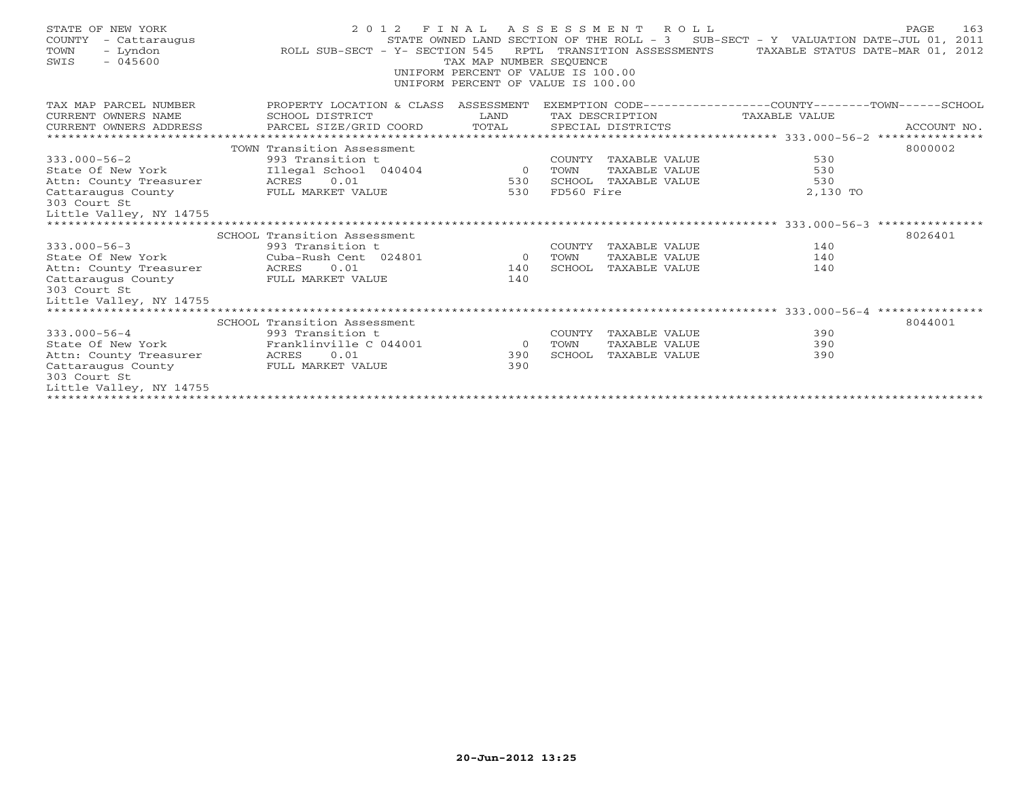| STATE OF NEW YORK<br>COUNTY<br>- Cattaraugus<br>TOWN<br>- Lyndon<br>$-045600$<br>SWIS | ROLL SUB-SECT - Y- SECTION 545                 | TAX MAP NUMBER SEOUENCE<br>UNIFORM PERCENT OF VALUE IS 100.00<br>UNIFORM PERCENT OF VALUE IS 100.00 |            | 2012 FINAL ASSESSMENT ROLL | STATE OWNED LAND SECTION OF THE ROLL - 3 SUB-SECT - Y VALUATION DATE-JUL 01, 2011<br>RPTL TRANSITION ASSESSMENTS TAXABLE STATUS DATE-MAR 01, 2012 | 163<br>PAGE |
|---------------------------------------------------------------------------------------|------------------------------------------------|-----------------------------------------------------------------------------------------------------|------------|----------------------------|---------------------------------------------------------------------------------------------------------------------------------------------------|-------------|
| TAX MAP PARCEL NUMBER                                                                 | PROPERTY LOCATION & CLASS ASSESSMENT           |                                                                                                     |            |                            | EXEMPTION CODE-----------------COUNTY-------TOWN-----SCHOOL                                                                                       |             |
| CURRENT OWNERS NAME                                                                   | SCHOOL DISTRICT                                | LAND                                                                                                |            | TAX DESCRIPTION            | TAXABLE VALUE                                                                                                                                     |             |
| CURRENT OWNERS ADDRESS                                                                | PARCEL SIZE/GRID COORD                         | TOTAL                                                                                               |            | SPECIAL DISTRICTS          |                                                                                                                                                   | ACCOUNT NO. |
|                                                                                       |                                                |                                                                                                     |            |                            |                                                                                                                                                   |             |
| $333.000 - 56 - 2$                                                                    | TOWN Transition Assessment<br>993 Transition t |                                                                                                     |            | COUNTY TAXABLE VALUE       | 530                                                                                                                                               | 8000002     |
| State Of New York                                                                     | Illegal School 040404 0                        |                                                                                                     | TOWN       | TAXABLE VALUE              | 530                                                                                                                                               |             |
| Attn: County Treasurer                                                                | ACRES 0.01                                     | 530                                                                                                 |            | SCHOOL TAXABLE VALUE       | 530                                                                                                                                               |             |
| Cattaraugus County                                                                    | FULL MARKET VALUE                              | 530                                                                                                 | FD560 Fire |                            | 2,130 TO                                                                                                                                          |             |
| 303 Court St                                                                          |                                                |                                                                                                     |            |                            |                                                                                                                                                   |             |
| Little Valley, NY 14755                                                               |                                                |                                                                                                     |            |                            |                                                                                                                                                   |             |
|                                                                                       |                                                |                                                                                                     |            |                            |                                                                                                                                                   |             |
|                                                                                       | SCHOOL Transition Assessment                   |                                                                                                     |            |                            |                                                                                                                                                   | 8026401     |
| $333.000 - 56 - 3$                                                                    | 993 Transition t                               |                                                                                                     | COUNTY     | TAXABLE VALUE              | 140                                                                                                                                               |             |
| State Of New York                                                                     | Cuba-Rush Cent 024801                          | $\overline{0}$                                                                                      | TOWN       | TAXABLE VALUE              | 140                                                                                                                                               |             |
| Attn: County Treasurer                                                                | 0.01<br>ACRES                                  | 140                                                                                                 | SCHOOL     | TAXABLE VALUE              | 140                                                                                                                                               |             |
| Cattaraugus County                                                                    | FULL MARKET VALUE                              | 140                                                                                                 |            |                            |                                                                                                                                                   |             |
| 303 Court St                                                                          |                                                |                                                                                                     |            |                            |                                                                                                                                                   |             |
| Little Valley, NY 14755                                                               |                                                |                                                                                                     |            |                            |                                                                                                                                                   |             |
|                                                                                       | SCHOOL Transition Assessment                   |                                                                                                     |            |                            |                                                                                                                                                   | 8044001     |
| $333.000 - 56 - 4$                                                                    | 993 Transition t                               |                                                                                                     | COUNTY     | TAXABLE VALUE              | 390                                                                                                                                               |             |
| State Of New York                                                                     | Franklinville C 044001                         | $\sim$ 0 $\sim$ 0 $\sim$ 0 $\sim$                                                                   | TOWN       | TAXABLE VALUE              | 390                                                                                                                                               |             |
| Attn: County Treasurer                                                                | ACRES 0.01                                     | 390                                                                                                 | SCHOOL     | TAXABLE VALUE              | 390                                                                                                                                               |             |
| Cattaraugus County                                                                    | FULL MARKET VALUE                              | 390                                                                                                 |            |                            |                                                                                                                                                   |             |
| 303 Court St                                                                          |                                                |                                                                                                     |            |                            |                                                                                                                                                   |             |
| Little Valley, NY 14755                                                               |                                                |                                                                                                     |            |                            |                                                                                                                                                   |             |
|                                                                                       |                                                |                                                                                                     |            |                            |                                                                                                                                                   |             |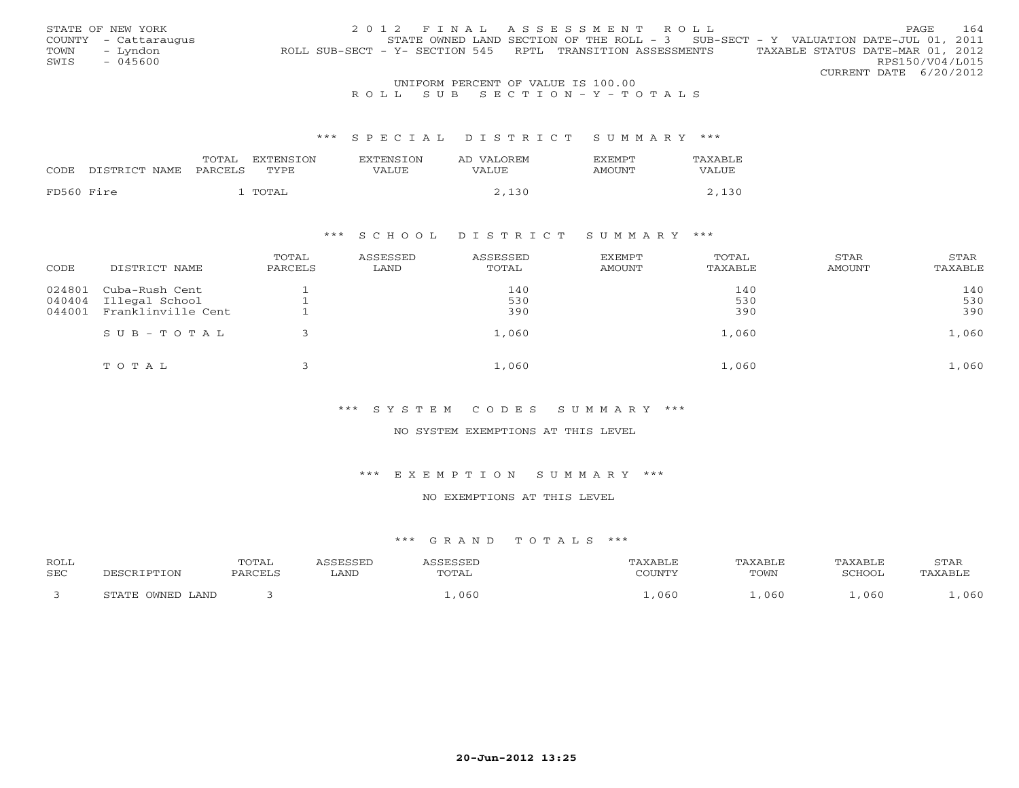|      | STATE OF NEW YORK    | 2012 FINAL ASSESSMENT ROLL                                                                     | <b>PAGE</b>     | 164 |
|------|----------------------|------------------------------------------------------------------------------------------------|-----------------|-----|
|      | COUNTY - Cattaraugus | STATE OWNED LAND SECTION OF THE ROLL - $3$ SUB-SECT - Y VALUATION DATE-JUL 01, 2011            |                 |     |
| TOWN | – Lyndon             | TAXABLE STATUS DATE-MAR 01, 2012<br>ROLL SUB-SECT - Y- SECTION 545 RPTL TRANSITION ASSESSMENTS |                 |     |
| SWIS | - 045600             |                                                                                                | RPS150/V04/L015 |     |
|      |                      | CURRENT DATE 6/20/2012                                                                         |                 |     |
|      |                      | UNIFORM PERCENT OF VALUE IS 100.00                                                             |                 |     |

## R O L L S U B S E C T I O N - Y - T O T A L S

#### \*\*\* S P E C I A L D I S T R I C T S U M M A R Y \*\*\*

|            |               | TOTAL   | EXTENSTON | <b>EXTENSION</b> | AD VALOREM | <b>EXEMPT</b> | TAXABLE |
|------------|---------------|---------|-----------|------------------|------------|---------------|---------|
| CODE       | DISTRICT NAME | PARCELS | TYPE      | VALUE            | VALUE      | AMOUNT        | VALUE   |
| FD560 Fire |               |         | TOTAL     |                  | 2,130      |               |         |

## \*\*\* S C H O O L D I S T R I C T S U M M A R Y \*\*\*

| CODE   | DISTRICT NAME      | TOTAL<br>PARCELS | ASSESSED<br>LAND | ASSESSED<br>TOTAL | EXEMPT<br><b>AMOUNT</b> | TOTAL<br>TAXABLE | STAR<br>AMOUNT | STAR<br>TAXABLE |
|--------|--------------------|------------------|------------------|-------------------|-------------------------|------------------|----------------|-----------------|
| 024801 | Cuba-Rush Cent     |                  |                  | 140               |                         | 140              |                | 140             |
| 040404 | Illegal School     |                  |                  | 530               |                         | 530              |                | 530             |
| 044001 | Franklinville Cent |                  |                  | 390               |                         | 390              |                | 390             |
|        | $SUB - TO TAL$     |                  |                  | 1,060             |                         | 1,060            |                | 1,060           |
|        | TOTAL              |                  |                  | 1,060             |                         | 1,060            |                | 1,060           |

#### \*\*\* S Y S T E M C O D E S S U M M A R Y \*\*\*

## NO SYSTEM EXEMPTIONS AT THIS LEVEL

#### \*\*\* E X E M P T I O N S U M M A R Y \*\*\*

## NO EXEMPTIONS AT THIS LEVEL

| <b>ROLL</b><br><b>SEC</b> |                              | TOTAL<br>PARCELS | SSESSED<br>∟AND | FCCFT<br>TOTAL | "AXABLE<br>COUNTY | TAXABLE<br>TOWN | TAXABLE<br>SCHOOL | STAR<br>TAXABLE |
|---------------------------|------------------------------|------------------|-----------------|----------------|-------------------|-----------------|-------------------|-----------------|
|                           | . OWNED LAND<br><b>CTATE</b> |                  |                 | , 060          | , 060             | 060             | 060               | ,060            |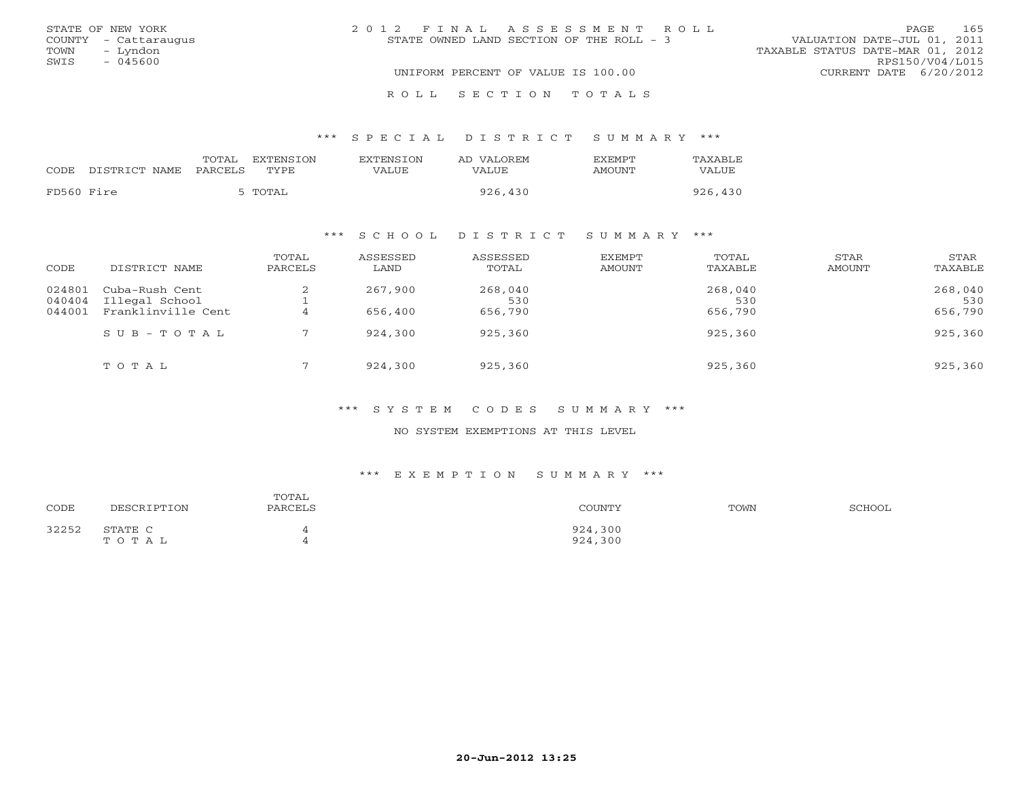| STATE OF NEW YORK                        | 2012 FINAL ASSESSMENT ROLL<br>STATE OWNED LAND SECTION OF THE ROLL - 3 | 165<br>PAGE.<br>VALUATION DATE-JUL 01, 2011 |
|------------------------------------------|------------------------------------------------------------------------|---------------------------------------------|
| COUNTY - Cattaraugus<br>TOWN<br>– Lyndon |                                                                        | TAXABLE STATUS DATE-MAR 01, 2012            |
| SWIS<br>- 045600                         |                                                                        | RPS150/V04/L015                             |
|                                          | UNIFORM PERCENT OF VALUE IS 100.00                                     | CURRENT DATE 6/20/2012                      |
|                                          | ROLL SECTION TOTALS                                                    |                                             |

## \*\*\* S P E C I A L D I S T R I C T S U M M A R Y \*\*\*

| CODE       | DISTRICT NAME PARCELS | TOTAL | EXTENSTON<br>TYPE | EXTENSION<br>VALUE | AD VALOREM<br>VALUE | <b>FXFMPT</b><br>AMOUNT | TAXABLE<br>VALUE |
|------------|-----------------------|-------|-------------------|--------------------|---------------------|-------------------------|------------------|
| FD560 Fire |                       |       | 5 TOTAL           |                    | 926,430             |                         | 926,430          |

## \*\*\* S C H O O L D I S T R I C T S U M M A R Y \*\*\*

| CODE                       | DISTRICT NAME                                          | TOTAL<br>PARCELS | ASSESSED<br>LAND   | ASSESSED<br>TOTAL  | EXEMPT<br>AMOUNT | TOTAL<br>TAXABLE   | <b>STAR</b><br>AMOUNT | STAR<br>TAXABLE    |
|----------------------------|--------------------------------------------------------|------------------|--------------------|--------------------|------------------|--------------------|-----------------------|--------------------|
| 024801<br>040404<br>044001 | Cuba-Rush Cent<br>Illegal School<br>Franklinville Cent | $\epsilon$       | 267,900<br>656,400 | 268,040<br>530     |                  | 268,040<br>530     |                       | 268,040<br>530     |
|                            | $S \cup B - T \cup T A L$                              |                  | 924,300            | 656,790<br>925,360 |                  | 656,790<br>925,360 |                       | 656,790<br>925,360 |
|                            | TOTAL                                                  |                  | 924,300            | 925,360            |                  | 925,360            |                       | 925,360            |

## \*\*\* S Y S T E M C O D E S S U M M A R Y \*\*\*

## NO SYSTEM EXEMPTIONS AT THIS LEVEL

#### \*\*\* E X E M P T I O N S U M M A R Y \*\*\*

| CODE  | DESCRIPTION      | TOTAL<br>PARCELS | COUNTY             | TOWN | SCHOOL |
|-------|------------------|------------------|--------------------|------|--------|
| 32252 | STATE C<br>TOTAL |                  | 924,300<br>924,300 |      |        |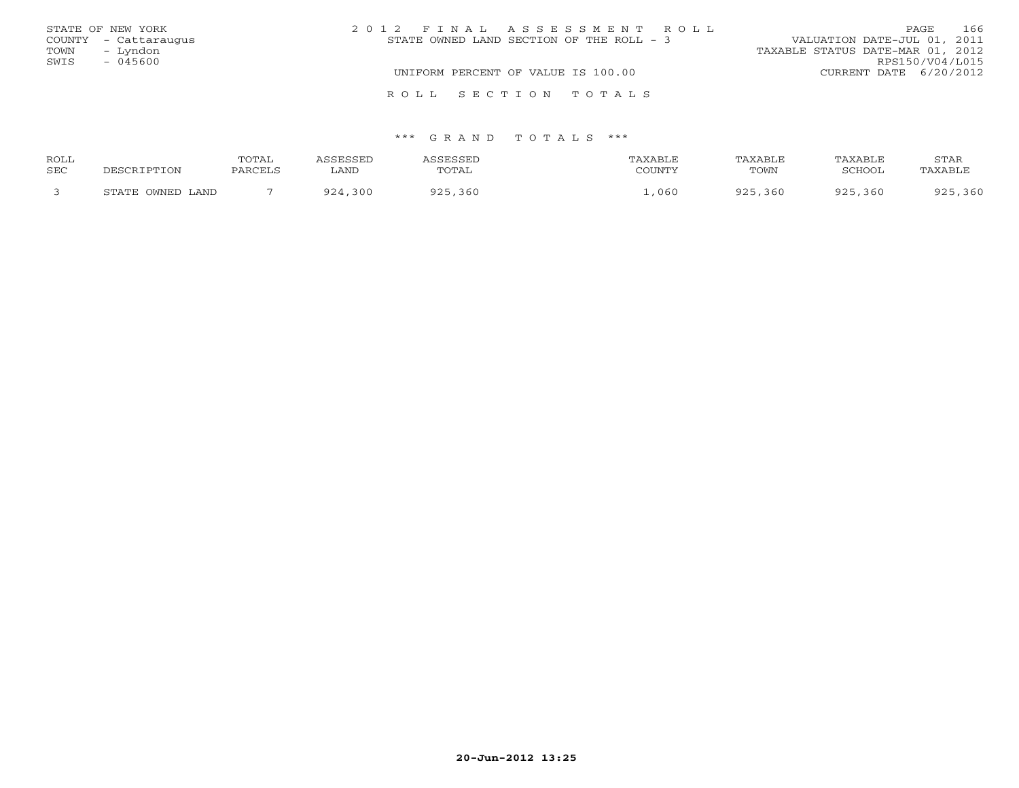| STATE OF NEW YORK    | 2012 FINAL ASSESSMENT ROLL               | 166<br><b>PAGE</b>               |
|----------------------|------------------------------------------|----------------------------------|
| COUNTY - Cattaraugus | STATE OWNED LAND SECTION OF THE ROLL - 3 | VALUATION DATE-JUL 01, 2011      |
| – Lyndon<br>TOWN     |                                          | TAXABLE STATUS DATE-MAR 01, 2012 |
| SWIS<br>$-045600$    |                                          | RPS150/V04/L015                  |
|                      | UNIFORM PERCENT OF VALUE IS 100.00       | CURRENT DATE 6/20/2012           |
|                      | ROLL SECTION TOTALS                      |                                  |

| ROLL |                  | TOTAL    |             | CCFCCFT    | TAXABLE | <b>TAXABLF</b> | TAXABLE     | STAR        |
|------|------------------|----------|-------------|------------|---------|----------------|-------------|-------------|
| SEC  |                  | DADOTT 1 | ∟AND        | TOTAL      | COUNTY  | TOWN           | SCHOOL      | 'AXABL'     |
|      | STATE OWNED LAND |          | 0.21<br>300 | 360<br>ロウド | 060     | 925,360        | 925<br>.360 | ,360<br>925 |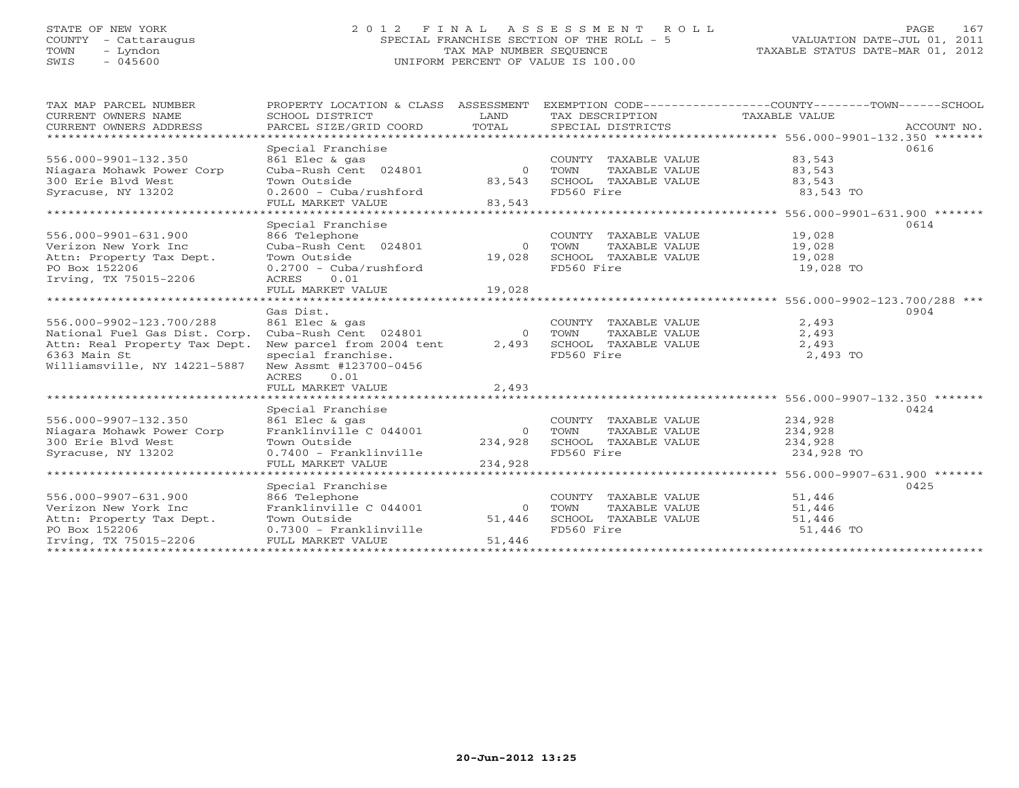# STATE OF NEW YORK 2 0 1 2 F I N A L A S S E S S M E N T R O L L PAGE 167 COUNTY - Cattaraugus SPECIAL FRANCHISE SECTION OF THE ROLL - 5 VALUATION DATE-JUL 01, 2011 TOWN - Lyndon TAX MAP NUMBER SEQUENCE TAXABLE STATUS DATE-MAR 01, 2012 SWIS - 045600 UNIFORM PERCENT OF VALUE IS 100.00UNIFORM PERCENT OF VALUE IS 100.00

| TAX MAP PARCEL NUMBER                                                                                                    | PROPERTY LOCATION & CLASS ASSESSMENT                                                        |            |                                                                 | EXEMPTION CODE-----------------COUNTY-------TOWN------SCHOOL |
|--------------------------------------------------------------------------------------------------------------------------|---------------------------------------------------------------------------------------------|------------|-----------------------------------------------------------------|--------------------------------------------------------------|
| CURRENT OWNERS NAME                                                                                                      | SCHOOL DISTRICT                                                                             | LAND       | TAX DESCRIPTION TAXABLE VALUE                                   |                                                              |
| CURRENT OWNERS ADDRESS                                                                                                   |                                                                                             |            |                                                                 |                                                              |
|                                                                                                                          |                                                                                             |            |                                                                 |                                                              |
|                                                                                                                          | Special Franchise                                                                           |            |                                                                 | 0616                                                         |
| 556.000-9901-132.350                                                                                                     | 861 Elec & gas                                                                              |            | COUNTY TAXABLE VALUE                                            | 83,543                                                       |
| Niagara Mohawk Power Corp                                                                                                |                                                                                             |            | TOWN     TAXABLE VALUE<br>SCHOOL   TAXABLE VALUE<br>FD560 Fire  | 83,543<br>83,543                                             |
| 300 Erie Blvd West                                                                                                       | Town Outside                                                                                | 83,543     |                                                                 |                                                              |
| Syracuse, NY 13202                                                                                                       | $0.2600 - Cuba/rushford$                                                                    |            | FD560 Fire                                                      | 83,543 TO                                                    |
|                                                                                                                          | FULL MARKET VALUE                                                                           | 83,543     |                                                                 |                                                              |
|                                                                                                                          |                                                                                             |            |                                                                 |                                                              |
|                                                                                                                          | Special Franchise                                                                           |            |                                                                 | 0614                                                         |
| 556.000-9901-631.900                                                                                                     | 866 Telephone<br>Cuba-Rush Cent 024801                                                      |            | COUNTY TAXABLE VALUE 19,028                                     |                                                              |
| Verizon New York Inc                                                                                                     |                                                                                             |            | 0 TOWN                                                          | TAXABLE VALUE 19,028                                         |
| Attn: Property Tax Dept.                                                                                                 | Town Outside                                                                                | 19,028     | SCHOOL TAXABLE VALUE 19,028                                     |                                                              |
| PO Box 152206                                                                                                            | $0.2700 - Cuba/rushford$                                                                    |            | FD560 Fire                                                      | 19,028 TO                                                    |
| Irving, TX 75015-2206                                                                                                    | ACRES 0.01                                                                                  |            |                                                                 |                                                              |
|                                                                                                                          | FULL MARKET VALUE                                                                           | 19,028     |                                                                 |                                                              |
|                                                                                                                          |                                                                                             |            |                                                                 |                                                              |
|                                                                                                                          | Gas Dist.                                                                                   |            |                                                                 | 0904                                                         |
| 556.000-9902-123.700/288                                                                                                 | ool Elec & gas<br>Cuba-Rush Cent 024801<br>Novinctivi                                       |            | COUNTY TAXABLE VALUE 2,493                                      |                                                              |
| National Fuel Gas Dist. Corp.                                                                                            |                                                                                             |            | 0 TOWN                                                          | 2,493                                                        |
| Attn: Real Property Tax Dept.                                                                                            | New parcel from 2004 tent                                                                   | 2,493      |                                                                 | 2,493                                                        |
| 6363 Main St                                                                                                             | special franchise.                                                                          |            | TOWN     TAXABLE VALUE<br>SCHOOL   TAXABLE VALUE<br>FD560  Fire | 2,493 TO                                                     |
| Williamsville, NY 14221-5887                                                                                             | New Assmt #123700-0456                                                                      |            |                                                                 |                                                              |
|                                                                                                                          | ACRES 0.01                                                                                  |            |                                                                 |                                                              |
|                                                                                                                          | FULL MARKET VALUE                                                                           | 2,493      |                                                                 |                                                              |
|                                                                                                                          |                                                                                             |            |                                                                 |                                                              |
|                                                                                                                          |                                                                                             |            |                                                                 | 0424                                                         |
| 556.000-9907-132.350                                                                                                     |                                                                                             |            | COUNTY TAXABLE VALUE 234,928                                    |                                                              |
| Niagara Mohawk Power Corp                                                                                                |                                                                                             |            | 0 TOWN<br>TAXABLE VALUE                                         | 234,928                                                      |
| 300 Erie Blyd West                                                                                                       | Special Franchise<br>861 Elec & gas<br>Franklinville C 044001 0 7<br>- Outside 3110 234,928 |            |                                                                 | 234,928                                                      |
| Syracuse, NY 13202                                                                                                       |                                                                                             |            | SCHOOL TAXABLE VALUE<br>FD560 Fire                              | 234,928 TO                                                   |
|                                                                                                                          |                                                                                             |            |                                                                 |                                                              |
|                                                                                                                          |                                                                                             |            |                                                                 |                                                              |
|                                                                                                                          | Special Franchise                                                                           |            |                                                                 | 0425                                                         |
| 556.000-9907-631.900                                                                                                     | 866 Telephone                                                                               |            | COUNTY TAXABLE VALUE                                            | 51,446                                                       |
| Verizon New York Inc                                                                                                     | 866 Telephone<br>Franklinville C 044001                                                     | $\bigcirc$ | TOWN                                                            | TAXABLE VALUE 51,446                                         |
|                                                                                                                          |                                                                                             | 51,446     | SCHOOL TAXABLE VALUE 51,446                                     |                                                              |
| Attn: Property Tax Dept.<br>PO Box 152206<br>Irving, TX 75015-2206<br>TOWN Outside<br>PO Box 152206<br>PULL MARKET VALUE |                                                                                             |            | FD560 Fire                                                      | $51,446$ TO                                                  |
|                                                                                                                          |                                                                                             | 51,446     |                                                                 |                                                              |
|                                                                                                                          |                                                                                             |            |                                                                 |                                                              |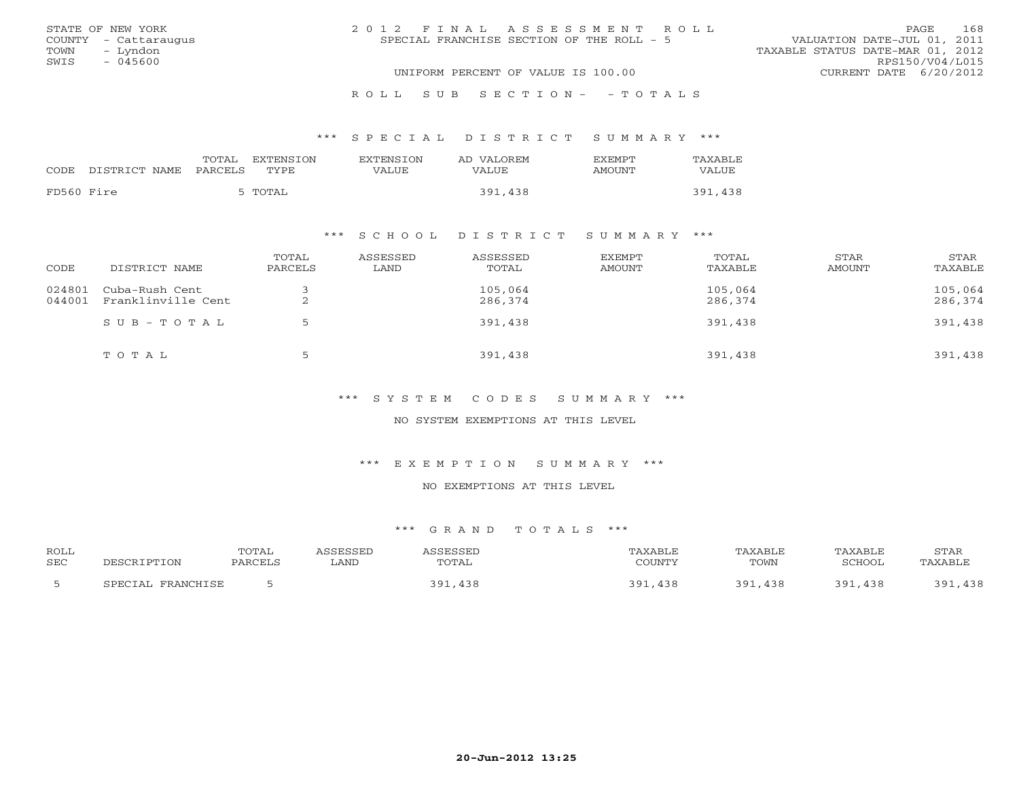|      | STATE OF NEW YORK    | 2012 FINAL ASSESSMENT ROLL                                               | PAGE.                  | 168 |
|------|----------------------|--------------------------------------------------------------------------|------------------------|-----|
|      | COUNTY - Cattaraugus | VALUATION DATE-JUL 01, 2011<br>SPECIAL FRANCHISE SECTION OF THE ROLL - 5 |                        |     |
| TOWN | – Lyndon             | TAXABLE STATUS DATE-MAR 01, 2012                                         |                        |     |
| SWIS | - 045600             |                                                                          | RPS150/V04/L015        |     |
|      |                      | UNIFORM PERCENT OF VALUE IS 100.00                                       | CURRENT DATE 6/20/2012 |     |
|      |                      |                                                                          |                        |     |

#### R O L L S U B S E C T I O N - - T O T A L S

#### \*\*\* S P E C I A L D I S T R I C T S U M M A R Y \*\*\*

|            | CODE DISTRICT NAME | TOTAL<br>PARCELS | EXTENSTON<br>TYPE. | <b>EXTENSION</b><br>VALUE | AD VALOREM<br>VALUE | <b>EXEMPT</b><br>AMOUNT | TAXABLE<br>VALUE |
|------------|--------------------|------------------|--------------------|---------------------------|---------------------|-------------------------|------------------|
| FD560 Fire |                    |                  | 5 TOTAL            |                           | 391,438             |                         | 391,438          |

## \*\*\* S C H O O L D I S T R I C T S U M M A R Y \*\*\*

| CODE             | DISTRICT NAME                        | TOTAL<br>PARCELS | ASSESSED<br>LAND | ASSESSED<br>TOTAL  | EXEMPT<br>AMOUNT | TOTAL<br>TAXABLE   | STAR<br>AMOUNT | STAR<br>TAXABLE    |
|------------------|--------------------------------------|------------------|------------------|--------------------|------------------|--------------------|----------------|--------------------|
| 024801<br>044001 | Cuba-Rush Cent<br>Franklinville Cent | ▵                |                  | 105,064<br>286,374 |                  | 105,064<br>286,374 |                | 105,064<br>286,374 |
|                  | $SUB - TO T AL$                      |                  |                  | 391,438            |                  | 391,438            |                | 391,438            |
|                  | TOTAL                                | ∽                |                  | 391,438            |                  | 391,438            |                | 391,438            |

\*\*\* S Y S T E M C O D E S S U M M A R Y \*\*\*

NO SYSTEM EXEMPTIONS AT THIS LEVEL

\*\*\* E X E M P T I O N S U M M A R Y \*\*\*

NO EXEMPTIONS AT THIS LEVEL

| <b>ROLL</b> |                                    | TOTAL          | CCFCCFD |       | AXABLE | <b>"AXABL</b> L | TAXABLE                 | STAR         |
|-------------|------------------------------------|----------------|---------|-------|--------|-----------------|-------------------------|--------------|
| <b>SEC</b>  | "PTION<br>ת ה                      | <b>PARCEL:</b> | ∟AND    | TOTAL | COUNTY | TOWN            | SCHOOI                  | AXABL'       |
|             | <b>PDAMCUTCL</b><br><b>CDECTAL</b> |                |         | ۵۰ :  | 201    | າ ດ 1<br>438    | 2Q <sup>7</sup><br>-438 | 120<br>2 Q 1 |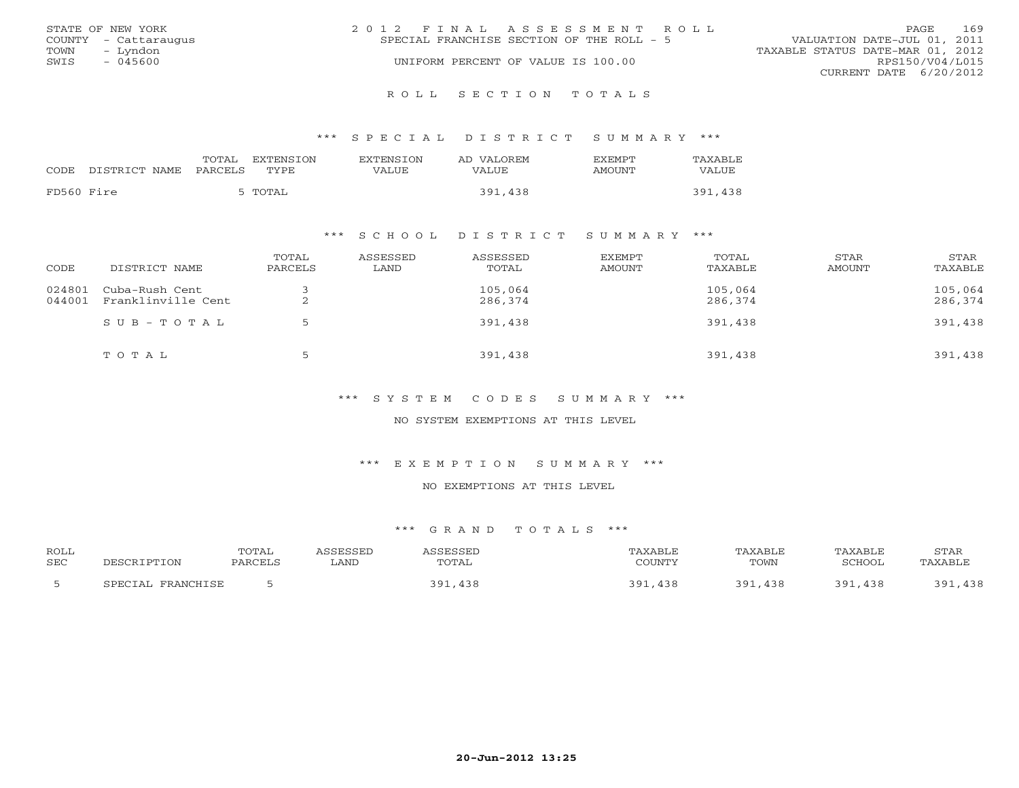|      | STATE OF NEW YORK    | 2012 FINAL ASSESSMENT ROLL |                                           |                                  |                        | PAGE. | 169 |
|------|----------------------|----------------------------|-------------------------------------------|----------------------------------|------------------------|-------|-----|
|      | COUNTY - Cattaraugus |                            | SPECIAL FRANCHISE SECTION OF THE ROLL - 5 | VALUATION DATE-JUL 01, 2011      |                        |       |     |
| TOWN | – Lyndon             |                            |                                           | TAXABLE STATUS DATE-MAR 01, 2012 |                        |       |     |
| SWIS | $-045600$            |                            | UNIFORM PERCENT OF VALUE IS 100.00        |                                  | RPS150/V04/L015        |       |     |
|      |                      |                            |                                           |                                  | CURRENT DATE 6/20/2012 |       |     |
|      |                      |                            |                                           |                                  |                        |       |     |

R O L L S E C T I O N T O T A L S

\*\*\* S P E C I A L D I S T R I C T S U M M A R Y \*\*\*

|            | CODE DISTRICT NAME | TOTAL<br>PARCELS | EXTENSTON<br>TYPE. | <b>EXTENSION</b><br>VALUE | AD VALOREM<br>VALUE | <b>FXFMPT</b><br>AMOUNT | TAXABLE<br>VALUE |
|------------|--------------------|------------------|--------------------|---------------------------|---------------------|-------------------------|------------------|
| FD560 Fire |                    |                  | 5 TOTAL            |                           | 391,438             |                         | 391,438          |

## \*\*\* S C H O O L D I S T R I C T S U M M A R Y \*\*\*

| CODE             | DISTRICT NAME                        | TOTAL<br>PARCELS | ASSESSED<br>LAND | ASSESSED<br>TOTAL  | EXEMPT<br>AMOUNT | TOTAL<br>TAXABLE   | STAR<br>AMOUNT | STAR<br>TAXABLE    |
|------------------|--------------------------------------|------------------|------------------|--------------------|------------------|--------------------|----------------|--------------------|
| 024801<br>044001 | Cuba-Rush Cent<br>Franklinville Cent | ▵                |                  | 105,064<br>286,374 |                  | 105,064<br>286,374 |                | 105,064<br>286,374 |
|                  | $SUB - TO T AL$                      |                  |                  | 391,438            |                  | 391,438            |                | 391,438            |
|                  | TOTAL                                | ∽                |                  | 391,438            |                  | 391,438            |                | 391,438            |

\*\*\* S Y S T E M C O D E S S U M M A R Y \*\*\*

NO SYSTEM EXEMPTIONS AT THIS LEVEL

\*\*\* E X E M P T I O N S U M M A R Y \*\*\*

NO EXEMPTIONS AT THIS LEVEL

| <b>ROLL</b> |                                    | TOTAL          | CCFCCFD |       | AXABLE | <b>"AXABL</b> L | TAXABLE                 | STAR         |
|-------------|------------------------------------|----------------|---------|-------|--------|-----------------|-------------------------|--------------|
| <b>SEC</b>  | "PTION<br>ת ה                      | <b>PARCEL:</b> | ∟AND    | TOTAL | COUNTY | TOWN            | SCHOOI                  | AXABL'       |
|             | <b>PDAMCUTCL</b><br><b>CDECTAL</b> |                |         | ۵۰ :  | 201    | າ ດ 1<br>438    | 2Q <sup>7</sup><br>-438 | 120<br>2 Q 1 |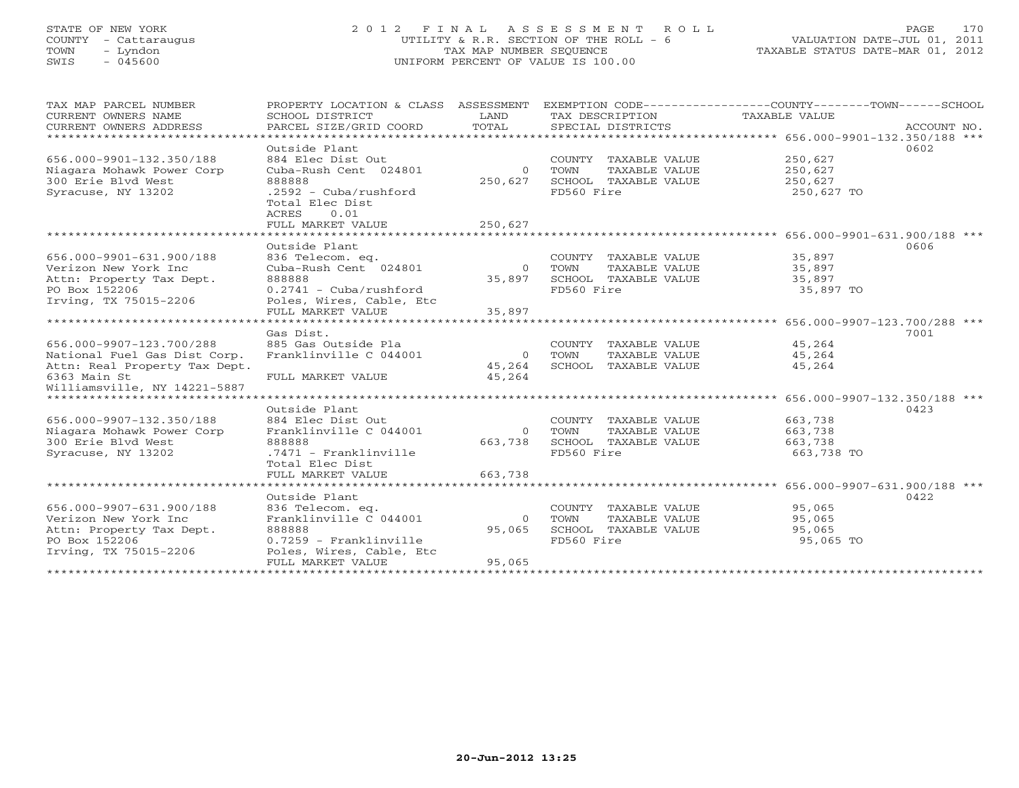# STATE OF NEW YORK 2 0 1 2 F I N A L A S S E S S M E N T R O L L PAGE 170 COUNTY - Cattaraugus UTILITY & R.R. SECTION OF THE ROLL - 6 VALUATION DATE-JUL 01, 2011 TOWN - Lyndon TAX MAP NUMBER SEQUENCE TAXABLE STATUS DATE-MAR 01, 2012 SWIS - 045600 UNIFORM PERCENT OF VALUE IS 100.00

| TAX MAP PARCEL NUMBER          | PROPERTY LOCATION & CLASS ASSESSMENT |                |                              | EXEMPTION CODE-----------------COUNTY-------TOWN------SCHOOL |             |
|--------------------------------|--------------------------------------|----------------|------------------------------|--------------------------------------------------------------|-------------|
| CURRENT OWNERS NAME            | SCHOOL DISTRICT                      | LAND           | TAX DESCRIPTION              | TAXABLE VALUE                                                |             |
| CURRENT OWNERS ADDRESS         | PARCEL SIZE/GRID COORD               | TOTAL          | SPECIAL DISTRICTS            |                                                              | ACCOUNT NO. |
|                                |                                      |                |                              |                                                              |             |
|                                | Outside Plant                        |                |                              |                                                              | 0602        |
| 656.000-9901-132.350/188       | 884 Elec Dist Out                    |                | COUNTY TAXABLE VALUE         | 250,627                                                      |             |
| Niagara Mohawk Power Corp      | Cuba-Rush Cent 024801                | $\overline{0}$ | TOWN<br>TAXABLE VALUE        | 250,627                                                      |             |
| 300 Erie Blvd West             | 888888                               | 250,627        | SCHOOL TAXABLE VALUE         | 250,627                                                      |             |
| Syracuse, NY 13202             | $.2592 - Cuba/rushford$              |                | FD560 Fire                   | 250,627 TO                                                   |             |
|                                | Total Elec Dist                      |                |                              |                                                              |             |
|                                | ACRES<br>0.01                        |                |                              |                                                              |             |
|                                | FULL MARKET VALUE                    | 250,627        |                              |                                                              |             |
|                                |                                      |                |                              |                                                              |             |
|                                | Outside Plant                        |                |                              |                                                              | 0606        |
| 656.000-9901-631.900/188       | 836 Telecom. eq.                     |                | COUNTY TAXABLE VALUE         | 35,897                                                       |             |
| Verizon New York Inc           | Cuba-Rush Cent 024801                |                | TAXABLE VALUE<br>0 TOWN      | 35,897                                                       |             |
| Attn: Property Tax Dept.       | 888888                               | 35,897         | SCHOOL TAXABLE VALUE         | 35,897                                                       |             |
| PO Box 152206                  | $0.2741 - Cuba/rushford$             |                | FD560 Fire                   | 35,897 TO                                                    |             |
| Irving, TX 75015-2206          | Poles, Wires, Cable, Etc             |                |                              |                                                              |             |
|                                | FULL MARKET VALUE                    | 35,897         |                              |                                                              |             |
|                                | Gas Dist.                            |                |                              |                                                              | 7001        |
| 656.000-9907-123.700/288       | 885 Gas Outside Pla                  |                | COUNTY TAXABLE VALUE         | 45,264                                                       |             |
| National Fuel Gas Dist Corp.   | Franklinville C 044001               | $\overline{0}$ | TOWN<br>TAXABLE VALUE        | 45,264                                                       |             |
| Attn: Real Property Tax Dept.  |                                      | 45,264         | SCHOOL TAXABLE VALUE         | 45,264                                                       |             |
| 6363 Main St                   | FULL MARKET VALUE                    | 45,264         |                              |                                                              |             |
| Williamsville, NY 14221-5887   |                                      |                |                              |                                                              |             |
| ****************************** |                                      |                |                              |                                                              |             |
|                                | Outside Plant                        |                |                              |                                                              | 0423        |
| 656.000-9907-132.350/188       | 884 Elec Dist Out                    |                | COUNTY TAXABLE VALUE         | 663,738                                                      |             |
| Niagara Mohawk Power Corp      | Franklinville C 044001               |                | 0 TOWN<br>TAXABLE VALUE      | 663,738                                                      |             |
| 300 Erie Blyd West             | 888888                               |                | 663,738 SCHOOL TAXABLE VALUE | 663,738                                                      |             |
| Syracuse, NY 13202             | .7471 - Franklinville                |                | FD560 Fire                   | 663,738 TO                                                   |             |
|                                | Total Elec Dist                      |                |                              |                                                              |             |
|                                | FULL MARKET VALUE                    | 663,738        |                              |                                                              |             |
|                                |                                      |                |                              |                                                              |             |
|                                | Outside Plant                        |                |                              |                                                              | 0422        |
| 656.000-9907-631.900/188       | 836 Telecom. eq.                     |                | COUNTY TAXABLE VALUE         | 95,065                                                       |             |
| Verizon New York Inc           | Franklinville C 044001               | $\overline{0}$ | TOWN<br>TAXABLE VALUE        | 95,065                                                       |             |
| Attn: Property Tax Dept.       | 888888                               | 95,065         | SCHOOL TAXABLE VALUE         | 95,065                                                       |             |
| PO Box 152206                  | $0.7259$ - Franklinville             |                | FD560 Fire                   | 95,065 TO                                                    |             |
| Irving, TX 75015-2206          | Poles, Wires, Cable, Etc             |                |                              |                                                              |             |
|                                | FULL MARKET VALUE                    | 95,065         |                              |                                                              |             |
|                                |                                      |                |                              |                                                              |             |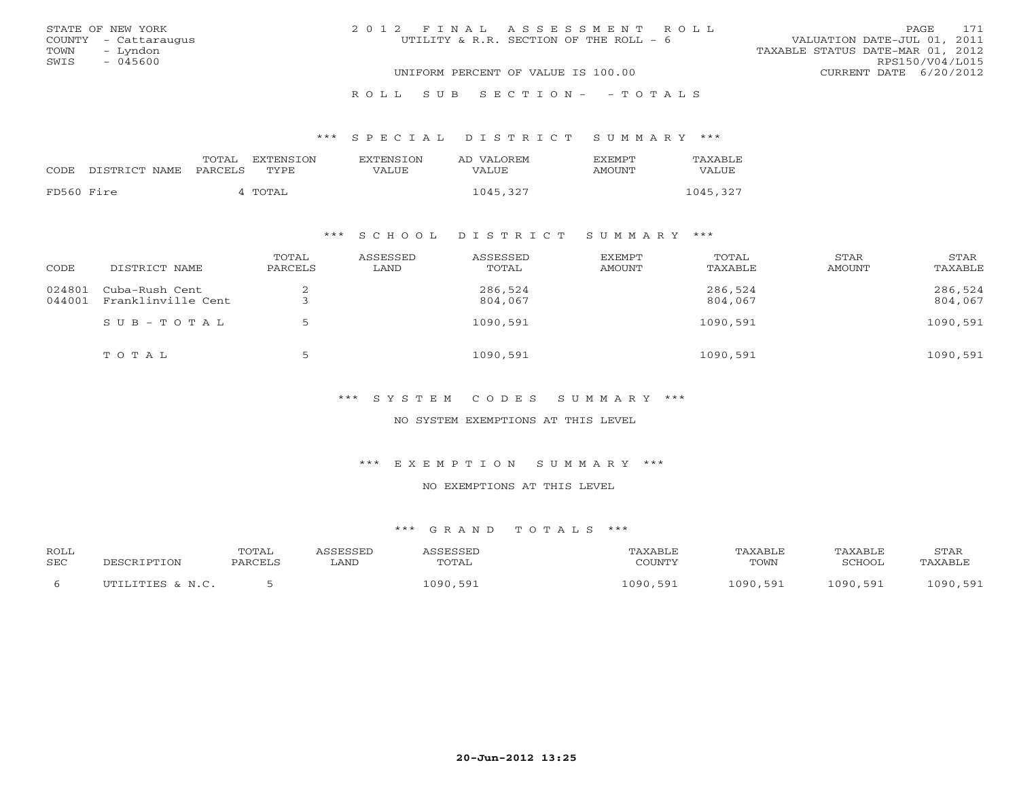| STATE OF NEW YORK    | 2012 FINAL ASSESSMENT ROLL             | 171<br>PAGE                      |
|----------------------|----------------------------------------|----------------------------------|
| COUNTY - Cattaraugus | UTILITY & R.R. SECTION OF THE ROLL - 6 | VALUATION DATE-JUL 01, 2011      |
| TOWN - Lyndon        |                                        | TAXABLE STATUS DATE-MAR 01, 2012 |
| SWIS<br>- 045600     |                                        | RPS150/V04/L015                  |
|                      | UNIFORM PERCENT OF VALUE IS 100.00     | CURRENT DATE 6/20/2012           |
|                      | ROLL SUB SECTION- - TOTALS             |                                  |

## \*\*\* S P E C I A L D I S T R I C T S U M M A R Y \*\*\*

|            |               | TOTAL   | EXTENSION | EXTENSTON | AD VALOREM | <b>F.X F.M PT</b> | TAXABLE  |
|------------|---------------|---------|-----------|-----------|------------|-------------------|----------|
| CODE       | DISTRICT NAME | PARCELS | TYPE.     | VALUE     | VALUE      | AMOUNT            | VALUE    |
| FD560 Fire |               |         | TOTAL     |           | 1045,327   |                   | 1045,327 |

## \*\*\* S C H O O L D I S T R I C T S U M M A R Y \*\*\*

| CODE             | DISTRICT NAME                        | TOTAL<br>PARCELS | ASSESSED<br>LAND | ASSESSED<br>TOTAL  | <b>EXEMPT</b><br>AMOUNT | TOTAL<br>TAXABLE   | STAR<br>AMOUNT | STAR<br>TAXABLE    |
|------------------|--------------------------------------|------------------|------------------|--------------------|-------------------------|--------------------|----------------|--------------------|
| 024801<br>044001 | Cuba-Rush Cent<br>Franklinville Cent | ∠                |                  | 286,524<br>804,067 |                         | 286,524<br>804,067 |                | 286,524<br>804,067 |
|                  | $SUB - TO T AL$                      | 5                |                  | 1090,591           |                         | 1090,591           |                | 1090,591           |
|                  | TOTAL                                | ∽<br>ے           |                  | 1090,591           |                         | 1090,591           |                | 1090,591           |

\*\*\* S Y S T E M C O D E S S U M M A R Y \*\*\*

NO SYSTEM EXEMPTIONS AT THIS LEVEL

\*\*\* E X E M P T I O N S U M M A R Y \*\*\*

NO EXEMPTIONS AT THIS LEVEL

| ROLL |                  | TOTAL   | ASSESSED | ASSESSED | TAXABLE  | TAXABLE  | TAXABLE  | STAR     |
|------|------------------|---------|----------|----------|----------|----------|----------|----------|
| SEC  | DESCRIPTION      | PARCELS | LAND     | TOTAL    | COUNTY   | TOWN     | SCHOOL   | TAXABLE  |
|      | UTILITIES & N.C. |         |          | 1090,591 | 1090,591 | 1090,591 | 1090,591 | 1090,591 |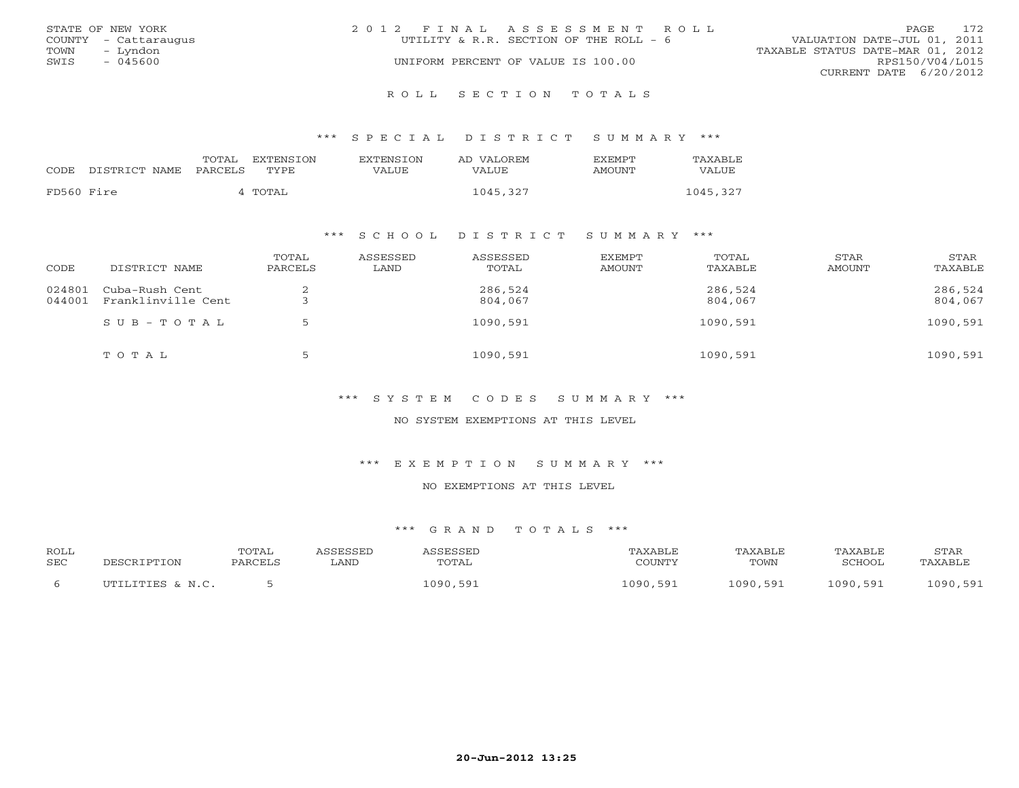|      | STATE OF NEW YORK    | 2012 FINAL ASSESSMENT ROLL             |                                  | <b>PAGE</b>            | 172 |
|------|----------------------|----------------------------------------|----------------------------------|------------------------|-----|
|      | COUNTY - Cattaraugus | UTILITY & R.R. SECTION OF THE ROLL - 6 | VALUATION DATE-JUL 01, 2011      |                        |     |
| TOWN | – Lyndon             |                                        | TAXABLE STATUS DATE-MAR 01, 2012 |                        |     |
| SWIS | $-045600$            | UNIFORM PERCENT OF VALUE IS 100.00     |                                  | RPS150/V04/L015        |     |
|      |                      |                                        |                                  | CURRENT DATE 6/20/2012 |     |
|      |                      |                                        |                                  |                        |     |

R O L L S E C T I O N T O T A L S

\*\*\* S P E C I A L D I S T R I C T S U M M A R Y \*\*\*

|            | CODE DISTRICT NAME | TOTAL<br>PARCELS | EXTENSTON<br>TYPE | <b>EXTENSION</b><br>VALUE | AD VALOREM<br>VALUE | <b>FXFMPT</b><br>AMOUNT | TAXABLE<br>VALUE |
|------------|--------------------|------------------|-------------------|---------------------------|---------------------|-------------------------|------------------|
| FD560 Fire |                    |                  | 4 TOTAL           |                           | 1045,327            |                         | 1045,327         |

## \*\*\* S C H O O L D I S T R I C T S U M M A R Y \*\*\*

| CODE             | DISTRICT NAME                        | TOTAL<br>PARCELS | ASSESSED<br>LAND | ASSESSED<br>TOTAL  | EXEMPT<br>AMOUNT | TOTAL<br>TAXABLE   | STAR<br>AMOUNT | STAR<br>TAXABLE    |
|------------------|--------------------------------------|------------------|------------------|--------------------|------------------|--------------------|----------------|--------------------|
| 024801<br>044001 | Cuba-Rush Cent<br>Franklinville Cent |                  |                  | 286,524<br>804,067 |                  | 286,524<br>804,067 |                | 286,524<br>804,067 |
|                  | $SUB - TO T AL$                      |                  |                  | 1090,591           |                  | 1090,591           |                | 1090,591           |
|                  | TOTAL                                | ∽                |                  | 1090,591           |                  | 1090,591           |                | 1090,591           |

\*\*\* S Y S T E M C O D E S S U M M A R Y \*\*\*

NO SYSTEM EXEMPTIONS AT THIS LEVEL

\*\*\* E X E M P T I O N S U M M A R Y \*\*\*

NO EXEMPTIONS AT THIS LEVEL

| <b>ROLL</b> |                         | TOTAL   | <b>NCCFCCFF</b> | J C C F C C F T |               | TAXABLE | "AXABLE      | STAR              |
|-------------|-------------------------|---------|-----------------|-----------------|---------------|---------|--------------|-------------------|
| <b>SEC</b>  | וסים הר                 | PARCELL | LAND            | TOTAL           | $\cap$ $\cap$ | TOWN    | 'CHOOL       | TAXABLE           |
|             |                         |         |                 |                 |               |         |              |                   |
|             | LITTES & N C<br>ד דוחד־ |         |                 | 090<br>591      | 1090,<br>591  | 090 591 | 501<br>INQN. | nan<br>591<br>--- |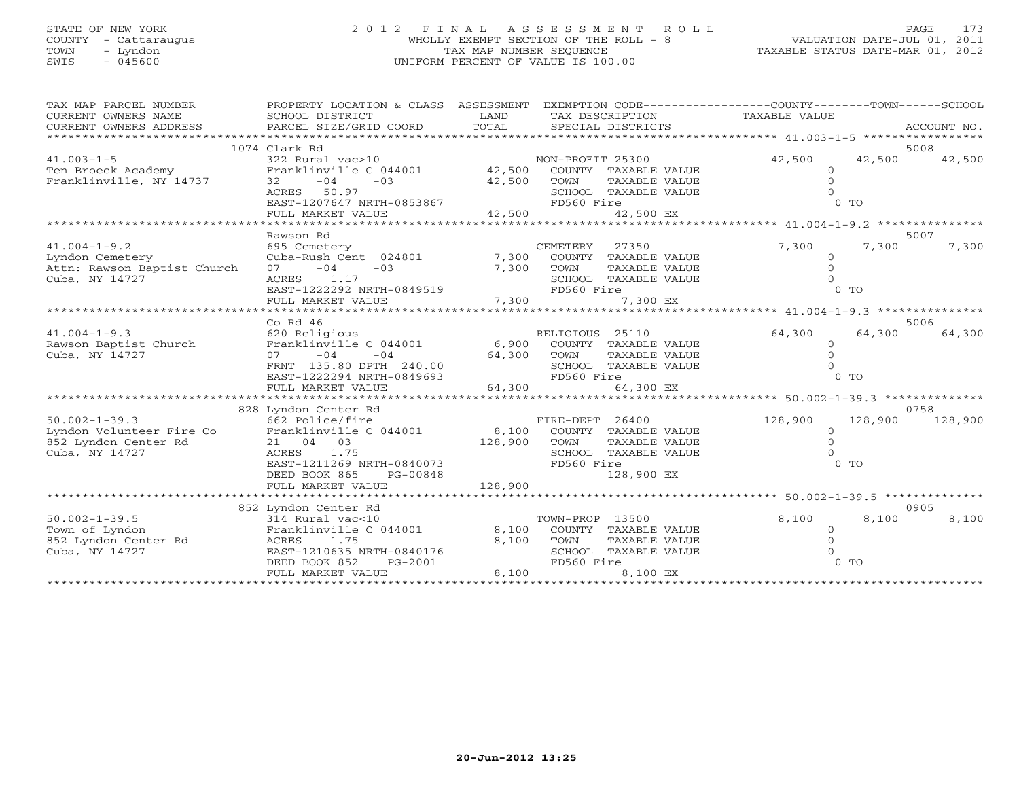# STATE OF NEW YORK 2 0 1 2 F I N A L A S S E S S M E N T R O L L PAGE 173 COUNTY - Cattaraugus WHOLLY EXEMPT SECTION OF THE ROLL - 8 VALUATION DATE-JUL 01, 2011 TOWN - Lyndon TAX MAP NUMBER SEQUENCE TAXABLE STATUS DATE-MAR 01, 2012 SWIS - 045600 UNIFORM PERCENT OF VALUE IS 100.00

| TAX MAP PARCEL NUMBER<br>CURRENT OWNERS NAME<br>CURRENT OWNERS ADDRESS | PROPERTY LOCATION & CLASS ASSESSMENT<br>SCHOOL DISTRICT<br>PARCEL SIZE/GRID COORD | LAND<br>TOTAL | TAX DESCRIPTION<br>SPECIAL DISTRICTS | EXEMPTION CODE-----------------COUNTY-------TOWN------SCHOOL<br>TAXABLE VALUE | ACCOUNT NO. |
|------------------------------------------------------------------------|-----------------------------------------------------------------------------------|---------------|--------------------------------------|-------------------------------------------------------------------------------|-------------|
|                                                                        | 1074 Clark Rd                                                                     |               |                                      |                                                                               | 5008        |
| $41.003 - 1 - 5$                                                       | 322 Rural vac>10                                                                  |               | NON-PROFIT 25300                     | 42,500<br>42,500                                                              | 42,500      |
| Ten Broeck Academy                                                     | Franklinville C 044001 42,500                                                     |               | COUNTY TAXABLE VALUE                 | $\mathbf{0}$                                                                  |             |
| Franklinville, NY 14737                                                | $32 - 04$<br>$-03$                                                                | 42,500        | TOWN<br>TAXABLE VALUE                | $\Omega$                                                                      |             |
|                                                                        | ACRES 50.97                                                                       |               | SCHOOL TAXABLE VALUE                 |                                                                               |             |
|                                                                        | EAST-1207647 NRTH-0853867                                                         |               | FD560 Fire                           | 0 <sub>0</sub>                                                                |             |
|                                                                        | FULL MARKET VALUE                                                                 | 42,500        | 42,500 EX                            |                                                                               |             |
|                                                                        |                                                                                   |               |                                      |                                                                               | 5007        |
| $41.004 - 1 - 9.2$                                                     | Rawson Rd<br>695 Cemetery                                                         |               | CEMETERY<br>27350                    | 7,300<br>7,300                                                                | 7,300       |
| Lyndon Cemetery                                                        | Cuba-Rush Cent 024801                                                             | 7,300         | COUNTY TAXABLE VALUE                 | $\Omega$                                                                      |             |
| Attn: Rawson Baptist Church                                            | $-03$<br>$-04$<br>07 — 10                                                         | 7,300         | TOWN<br>TAXABLE VALUE                |                                                                               |             |
| Cuba, NY 14727                                                         | 1.17<br>ACRES                                                                     |               | SCHOOL TAXABLE VALUE                 |                                                                               |             |
|                                                                        | EAST-1222292 NRTH-0849519                                                         |               | FD560 Fire                           | $0$ TO                                                                        |             |
|                                                                        | FULL MARKET VALUE                                                                 | 7,300         | 7,300 EX                             |                                                                               |             |
|                                                                        |                                                                                   |               |                                      |                                                                               |             |
|                                                                        | $Co$ Rd $46$                                                                      |               |                                      |                                                                               | 5006        |
| $41.004 - 1 - 9.3$                                                     | 620 Religious                                                                     |               | RELIGIOUS 25110                      | 64,300<br>64,300                                                              | 64,300      |
| Rawson Baptist Church                                                  | Franklinville C 044001                                                            |               | 6,900 COUNTY TAXABLE VALUE           | $\Omega$                                                                      |             |
| Cuba, NY 14727                                                         | $-04$<br>07<br>$-04$                                                              | 64,300        | TOWN<br>TAXABLE VALUE                | $\Omega$                                                                      |             |
|                                                                        | FRNT 135.80 DPTH 240.00                                                           |               | SCHOOL TAXABLE VALUE                 |                                                                               |             |
|                                                                        | EAST-1222294 NRTH-0849693                                                         |               | FD560 Fire                           | 0 <sub>0</sub>                                                                |             |
|                                                                        | FULL MARKET VALUE                                                                 | 64,300        | 64,300 EX                            |                                                                               |             |
|                                                                        | 828 Lyndon Center Rd                                                              |               |                                      |                                                                               | 0758        |
| $50.002 - 1 - 39.3$                                                    | 662 Police/fire                                                                   |               | FIRE-DEPT 26400                      | 128,900<br>128,900                                                            | 128,900     |
| Lyndon Volunteer Fire Co                                               | Franklinville C 044001                                                            | 8,100         | COUNTY TAXABLE VALUE                 | $\circ$                                                                       |             |
| 852 Lyndon Center Rd                                                   | 21 04 03                                                                          | 128,900       | TAXABLE VALUE<br>TOWN                |                                                                               |             |
| Cuba, NY 14727                                                         | 1.75<br>ACRES                                                                     |               | SCHOOL TAXABLE VALUE                 |                                                                               |             |
|                                                                        | EAST-1211269 NRTH-0840073                                                         |               | FD560 Fire                           | 0 <sub>0</sub>                                                                |             |
|                                                                        | DEED BOOK 865<br>PG-00848                                                         |               | 128,900 EX                           |                                                                               |             |
|                                                                        | FULL MARKET VALUE                                                                 | 128,900       |                                      |                                                                               |             |
|                                                                        |                                                                                   |               |                                      |                                                                               |             |
| $50.002 - 1 - 39.5$                                                    | 852 Lyndon Center Rd<br>314 Rural vac<10                                          |               | TOWN-PROP 13500                      | 8,100<br>8,100                                                                | 0905        |
| Town of Lyndon                                                         | Franklinville C 044001                                                            | 8,100         | COUNTY TAXABLE VALUE                 | $\circ$                                                                       | 8,100       |
| 852 Lyndon Center Rd                                                   | 1.75<br>ACRES                                                                     | 8,100         | TOWN<br>TAXABLE VALUE                |                                                                               |             |
| Cuba, NY 14727                                                         | EAST-1210635 NRTH-0840176                                                         |               | SCHOOL TAXABLE VALUE                 |                                                                               |             |
|                                                                        | DEED BOOK 852<br>PG-2001                                                          |               | FD560 Fire                           | $0$ TO                                                                        |             |
|                                                                        | FULL MARKET VALUE                                                                 | 8,100         | 8,100 EX                             |                                                                               |             |
|                                                                        |                                                                                   |               |                                      |                                                                               |             |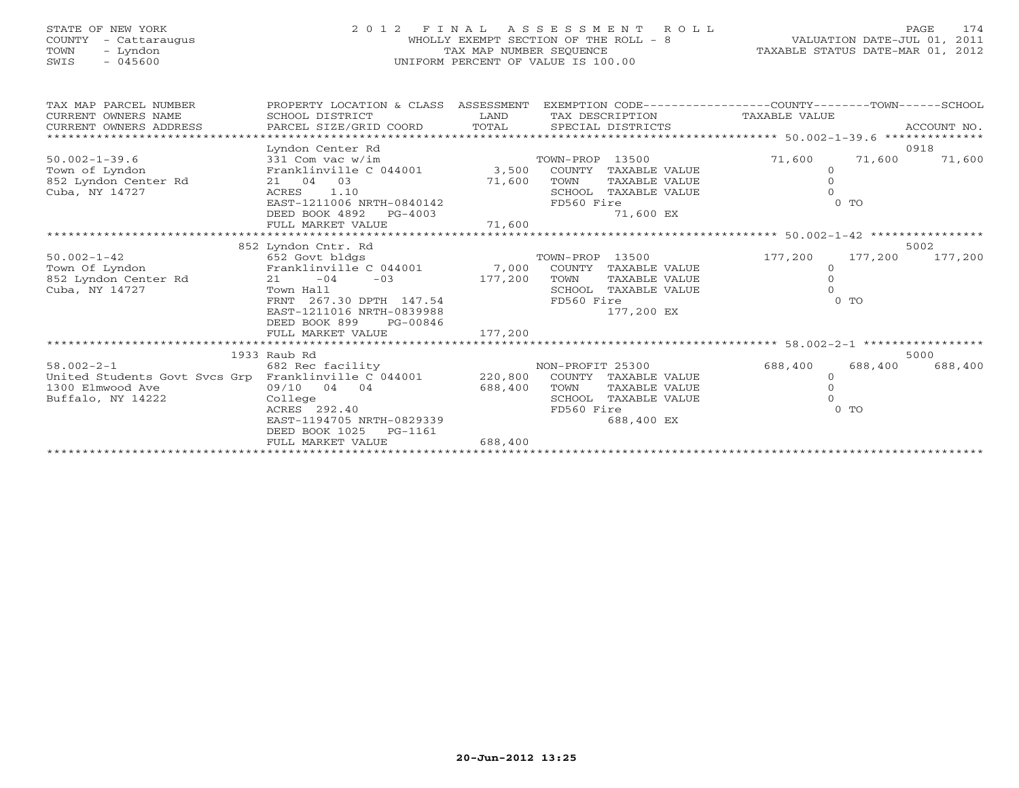# STATE OF NEW YORK 2 0 1 2 F I N A L A S S E S S M E N T R O L L PAGE 174 COUNTY - Cattaraugus WHOLLY EXEMPT SECTION OF THE ROLL - 8 VALUATION DATE-JUL 01, 2011 TOWN - Lyndon TAX MAP NUMBER SEQUENCE TAXABLE STATUS DATE-MAR 01, 2012 SWIS - 045600 UNIFORM PERCENT OF VALUE IS 100.00

| TAX MAP PARCEL NUMBER                                | PROPERTY LOCATION & CLASS   | ASSESSMENT |                  |                      | EXEMPTION CODE-----------------COUNTY-------TOWN------SCHOOL |         |             |
|------------------------------------------------------|-----------------------------|------------|------------------|----------------------|--------------------------------------------------------------|---------|-------------|
| CURRENT OWNERS NAME                                  | SCHOOL DISTRICT             | LAND       |                  | TAX DESCRIPTION      | TAXABLE VALUE                                                |         |             |
| CURRENT OWNERS ADDRESS                               | PARCEL SIZE/GRID COORD      | TOTAL      |                  | SPECIAL DISTRICTS    |                                                              |         | ACCOUNT NO. |
|                                                      |                             |            |                  |                      | ***************** 50.002-1-39.6 **************               |         |             |
|                                                      | Lyndon Center Rd            |            |                  |                      |                                                              |         | 0918        |
| $50.002 - 1 - 39.6$                                  | 331 Com vac w/im            |            | TOWN-PROP 13500  |                      | 71,600                                                       | 71,600  | 71,600      |
| Town of Lyndon                                       | Franklinville C 044001      | 3,500      |                  | COUNTY TAXABLE VALUE | $\circ$                                                      |         |             |
| 852 Lyndon Center Rd                                 | 21 04 03                    | 71,600     | TOWN             | TAXABLE VALUE        | $\circ$                                                      |         |             |
| Cuba, NY 14727                                       | 1.10<br>ACRES               |            | SCHOOL           | TAXABLE VALUE        |                                                              |         |             |
|                                                      | EAST-1211006 NRTH-0840142   |            | FD560 Fire       |                      |                                                              | $0$ TO  |             |
|                                                      | DEED BOOK 4892<br>$PG-4003$ |            |                  | 71,600 EX            |                                                              |         |             |
|                                                      | FULL MARKET VALUE           | 71,600     |                  |                      |                                                              |         |             |
|                                                      |                             |            |                  |                      |                                                              |         |             |
|                                                      | 852 Lyndon Cntr. Rd         |            |                  |                      |                                                              |         | 5002        |
| $50.002 - 1 - 42$                                    | 652 Govt bldgs              |            | TOWN-PROP        | 13500                | 177,200                                                      | 177,200 | 177,200     |
| Town Of Lyndon                                       | Franklinville C 044001      | 7,000      |                  | COUNTY TAXABLE VALUE | $\circ$                                                      |         |             |
| 852 Lyndon Center Rd                                 | $21 - 04$<br>$-03$          | 177,200    | TOWN             | TAXABLE VALUE        | $\Omega$                                                     |         |             |
| Cuba, NY 14727                                       | Town Hall                   |            | SCHOOL           | TAXABLE VALUE        |                                                              |         |             |
|                                                      | FRNT 267.30 DPTH 147.54     | FD560 Fire |                  |                      | $0$ TO                                                       |         |             |
|                                                      | EAST-1211016 NRTH-0839988   |            |                  | 177,200 EX           |                                                              |         |             |
|                                                      | DEED BOOK 899<br>PG-00846   |            |                  |                      |                                                              |         |             |
|                                                      | FULL MARKET VALUE           | 177,200    |                  |                      |                                                              |         |             |
|                                                      |                             |            |                  |                      |                                                              |         |             |
|                                                      | 1933 Raub Rd                |            |                  |                      |                                                              |         | 5000        |
| $58.002 - 2 - 1$                                     | 682 Rec facility            |            | NON-PROFIT 25300 |                      | 688,400                                                      | 688,400 | 688,400     |
| United Students Govt Svcs Grp Franklinville C 044001 |                             | 220,800    |                  | COUNTY TAXABLE VALUE | $\Omega$                                                     |         |             |
| 1300 Elmwood Ave                                     | 09/10 04 04                 | 688,400    | TOWN             | TAXABLE VALUE        |                                                              |         |             |
| Buffalo, NY 14222                                    | College                     |            | SCHOOL           | TAXABLE VALUE        |                                                              |         |             |
|                                                      | ACRES 292.40                |            | FD560 Fire       |                      |                                                              | $0$ TO  |             |
|                                                      | EAST-1194705 NRTH-0829339   |            |                  | 688,400 EX           |                                                              |         |             |
|                                                      | DEED BOOK 1025<br>PG-1161   |            |                  |                      |                                                              |         |             |
|                                                      | FULL MARKET VALUE           | 688,400    |                  |                      |                                                              |         |             |
|                                                      |                             |            |                  |                      |                                                              |         |             |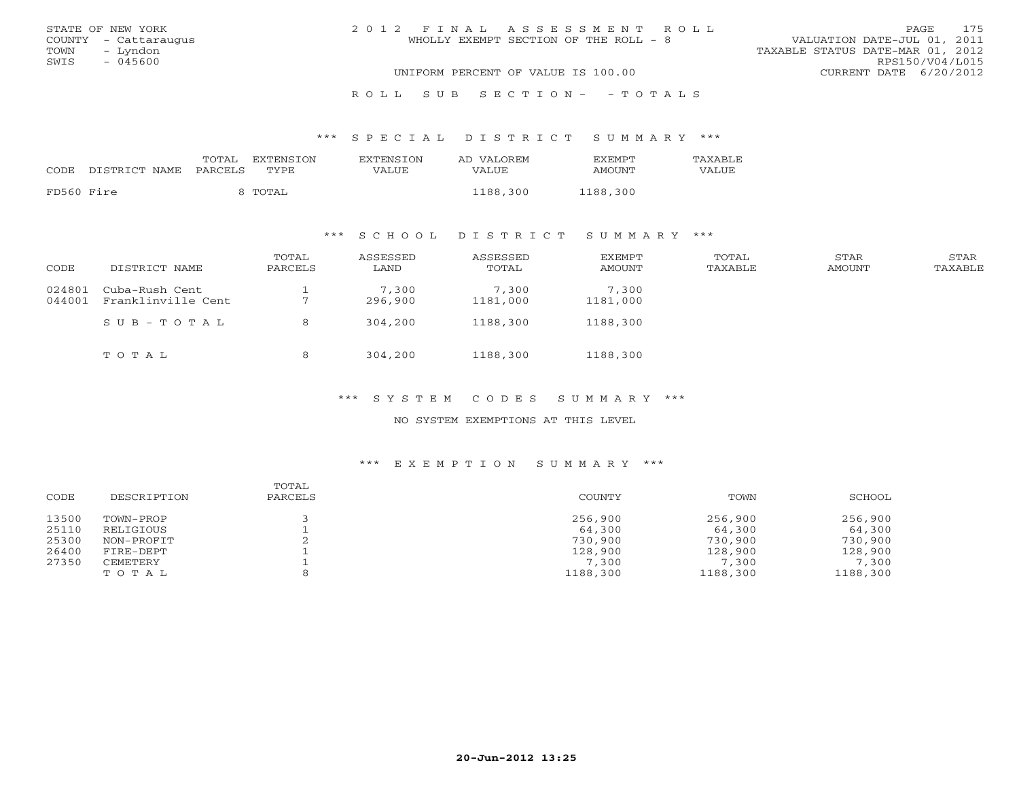|      | STATE OF NEW YORK    | 2012 FINAL ASSESSMENT ROLL            | 175<br>PAGE                      |
|------|----------------------|---------------------------------------|----------------------------------|
|      | COUNTY - Cattaraugus | WHOLLY EXEMPT SECTION OF THE ROLL - 8 | VALUATION DATE-JUL 01, 2011      |
|      | TOWN - Lyndon        |                                       | TAXABLE STATUS DATE-MAR 01, 2012 |
| SWIS | - 045600             |                                       | RPS150/V04/L015                  |
|      |                      | UNIFORM PERCENT OF VALUE IS 100.00    | CURRENT DATE 6/20/2012           |
|      |                      |                                       |                                  |

R O L L S U B S E C T I O N - - T O T A L S

\*\*\* S P E C I A L D I S T R I C T S U M M A R Y \*\*\*

| CODE       | DISTRICT NAME PARCELS | TOTAL | EXTENSTON<br>TYPE | <b>EXTENSION</b><br>VALUE | AD VALOREM<br>VALUE | <b>FXFMPT</b><br>AMOUNT | <b>TAXABLE</b><br>VALUE |
|------------|-----------------------|-------|-------------------|---------------------------|---------------------|-------------------------|-------------------------|
| FD560 Fire |                       |       | 8 TOTAL           |                           | 1188,300            | 1188,300                |                         |

## \*\*\* S C H O O L D I S T R I C T S U M M A R Y \*\*\*

| CODE             | DISTRICT NAME                        | TOTAL<br>PARCELS | ASSESSED<br>LAND | ASSESSED<br>TOTAL | EXEMPT<br><b>AMOUNT</b> | TOTAL<br>TAXABLE | STAR<br>AMOUNT | STAR<br>TAXABLE |
|------------------|--------------------------------------|------------------|------------------|-------------------|-------------------------|------------------|----------------|-----------------|
| 024801<br>044001 | Cuba-Rush Cent<br>Franklinville Cent |                  | 7,300<br>296,900 | 7,300<br>1181,000 | 7,300<br>1181,000       |                  |                |                 |
|                  | $SUB - TO T AL$                      | 8                | 304,200          | 1188,300          | 1188,300                |                  |                |                 |
|                  | TOTAL                                | 8                | 304,200          | 1188,300          | 1188,300                |                  |                |                 |

\*\*\* S Y S T E M C O D E S S U M M A R Y \*\*\*

NO SYSTEM EXEMPTIONS AT THIS LEVEL

## \*\*\* E X E M P T I O N S U M M A R Y \*\*\*

| CODE  | DESCRIPTION | TOTAL<br>PARCELS | COUNTY   | TOWN     | SCHOOL   |
|-------|-------------|------------------|----------|----------|----------|
| 13500 | TOWN-PROP   |                  | 256,900  | 256,900  | 256,900  |
| 25110 | RELIGIOUS   |                  | 64,300   | 64,300   | 64,300   |
| 25300 | NON-PROFIT  |                  | 730,900  | 730,900  | 730,900  |
| 26400 | FIRE-DEPT   |                  | 128,900  | 128,900  | 128,900  |
| 27350 | CEMETERY    |                  | 7,300    | 7,300    | 7,300    |
|       | TOTAL       |                  | 1188,300 | 1188,300 | 1188,300 |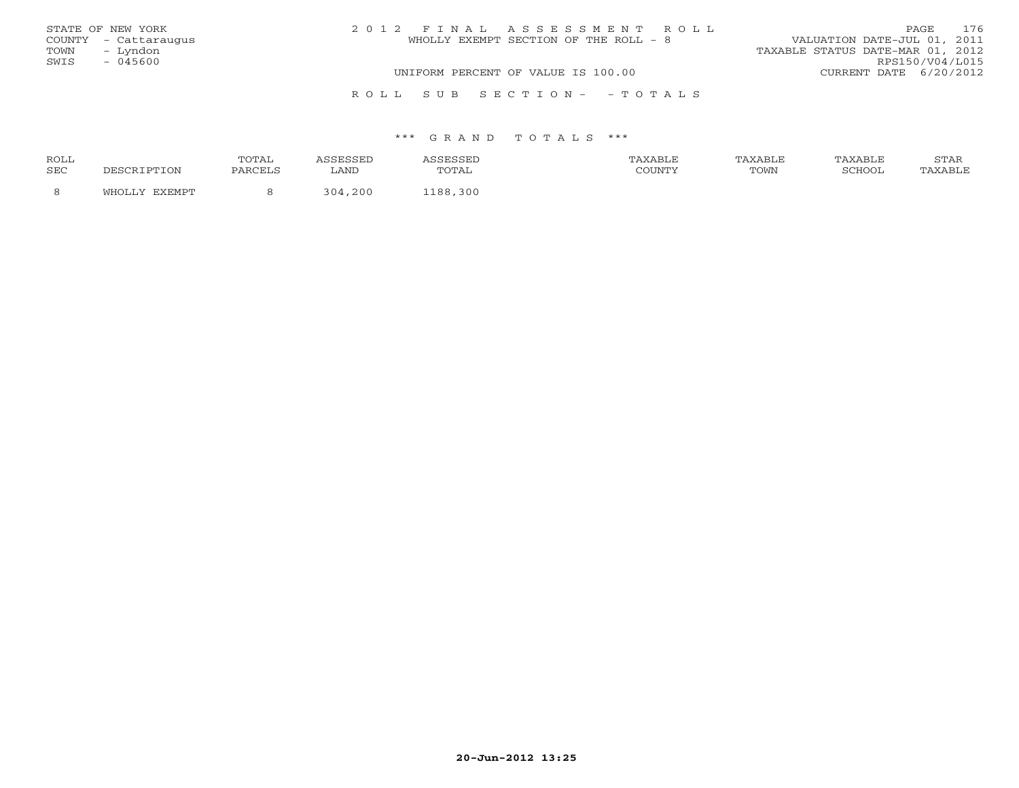| STATE OF NEW YORK    | 2012 FINAL ASSESSMENT ROLL            | 176<br>PAGE                      |
|----------------------|---------------------------------------|----------------------------------|
| COUNTY - Cattaraugus | WHOLLY EXEMPT SECTION OF THE ROLL - 8 | VALUATION DATE-JUL 01, 2011      |
| TOWN - Lyndon        |                                       | TAXABLE STATUS DATE-MAR 01, 2012 |
| SWIS<br>- 045600     |                                       | RPS150/V04/L015                  |
|                      | UNIFORM PERCENT OF VALUE IS 100.00    | CURRENT DATE 6/20/2012           |
|                      | ROLL SUB SECTION- - TOTALS            |                                  |

| ROLL       |                      | <b>TOTA</b> |            |            | <b>XABLF</b> | AXABLE | TAXABLE | <b>CHIAT</b><br>י בתיכו |
|------------|----------------------|-------------|------------|------------|--------------|--------|---------|-------------------------|
| <b>SEC</b> | TION T <sup>or</sup> | PARCELS     | LAND       | utal       | COUNTY       | TOWN   | COHOOT  |                         |
|            |                      |             | コハイ<br>200 | 300<br>100 |              |        |         |                         |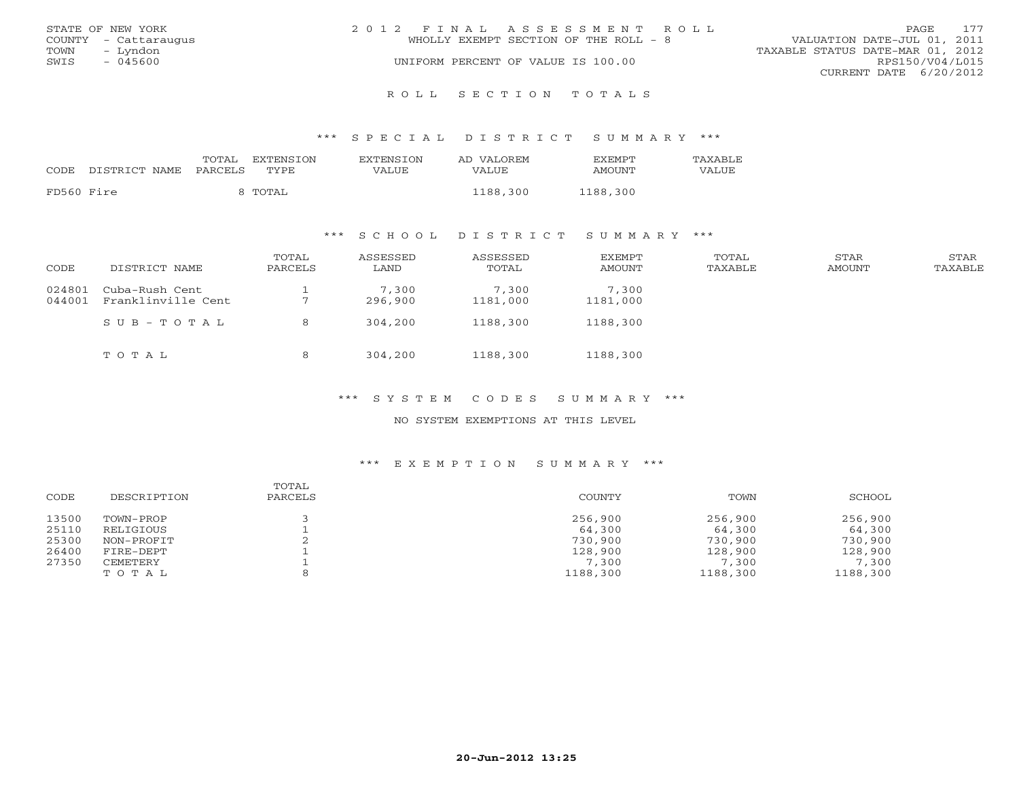|      | STATE OF NEW YORK    | 2012 FINAL ASSESSMENT ROLL            | 177<br>PAGE.                     |
|------|----------------------|---------------------------------------|----------------------------------|
|      | COUNTY - Cattaraugus | WHOLLY EXEMPT SECTION OF THE ROLL - 8 | VALUATION DATE-JUL 01, 2011      |
| TOWN | – Lyndon             |                                       | TAXABLE STATUS DATE-MAR 01, 2012 |
| SWIS | - 045600             | UNIFORM PERCENT OF VALUE IS 100.00    | RPS150/V04/L015                  |
|      |                      |                                       | CURRENT DATE 6/20/2012           |
|      |                      |                                       |                                  |

R O L L S E C T I O N T O T A L S

#### \*\*\* S P E C I A L D I S T R I C T S U M M A R Y \*\*\*

| CODE       | DISTRICT NAME PARCELS | TOTAL | EXTENSION<br>TYPE | EXTENSION<br>VALUE | AD VALOREM<br>VALUE | <b>EXEMPT</b><br><b>AMOUNT</b> | TAXABLE<br>VALUE |
|------------|-----------------------|-------|-------------------|--------------------|---------------------|--------------------------------|------------------|
| FD560 Fire |                       |       | TOTAL             |                    | 1188,300            | 1188,300                       |                  |

## \*\*\* S C H O O L D I S T R I C T S U M M A R Y \*\*\*

| CODE             | DISTRICT NAME                        | TOTAL<br>PARCELS | ASSESSED<br>LAND | ASSESSED<br>TOTAL | <b>EXEMPT</b><br><b>AMOUNT</b> | TOTAL<br>TAXABLE | STAR<br>AMOUNT | STAR<br>TAXABLE |
|------------------|--------------------------------------|------------------|------------------|-------------------|--------------------------------|------------------|----------------|-----------------|
| 024801<br>044001 | Cuba-Rush Cent<br>Franklinville Cent |                  | 7,300<br>296,900 | 7,300<br>1181,000 | 7,300<br>1181,000              |                  |                |                 |
|                  | SUB-TOTAL                            | 8                | 304,200          | 1188,300          | 1188,300                       |                  |                |                 |
|                  | TOTAL                                | 8                | 304,200          | 1188,300          | 1188,300                       |                  |                |                 |

#### \*\*\* S Y S T E M C O D E S S U M M A R Y \*\*\*

## NO SYSTEM EXEMPTIONS AT THIS LEVEL

## \*\*\* E X E M P T I O N S U M M A R Y \*\*\*

| CODE  | DESCRIPTION | TOTAL<br>PARCELS | <b>COUNTY</b> | TOWN     | SCHOOL   |
|-------|-------------|------------------|---------------|----------|----------|
| 13500 | TOWN-PROP   |                  | 256,900       | 256,900  | 256,900  |
| 25110 | RELIGIOUS   |                  | 64,300        | 64,300   | 64,300   |
| 25300 | NON-PROFIT  |                  | 730,900       | 730,900  | 730,900  |
| 26400 | FIRE-DEPT   |                  | 128,900       | 128,900  | 128,900  |
| 27350 | CEMETERY    |                  | 7,300         | 7,300    | 7,300    |
|       | TOTAL       |                  | 1188,300      | 1188,300 | 1188,300 |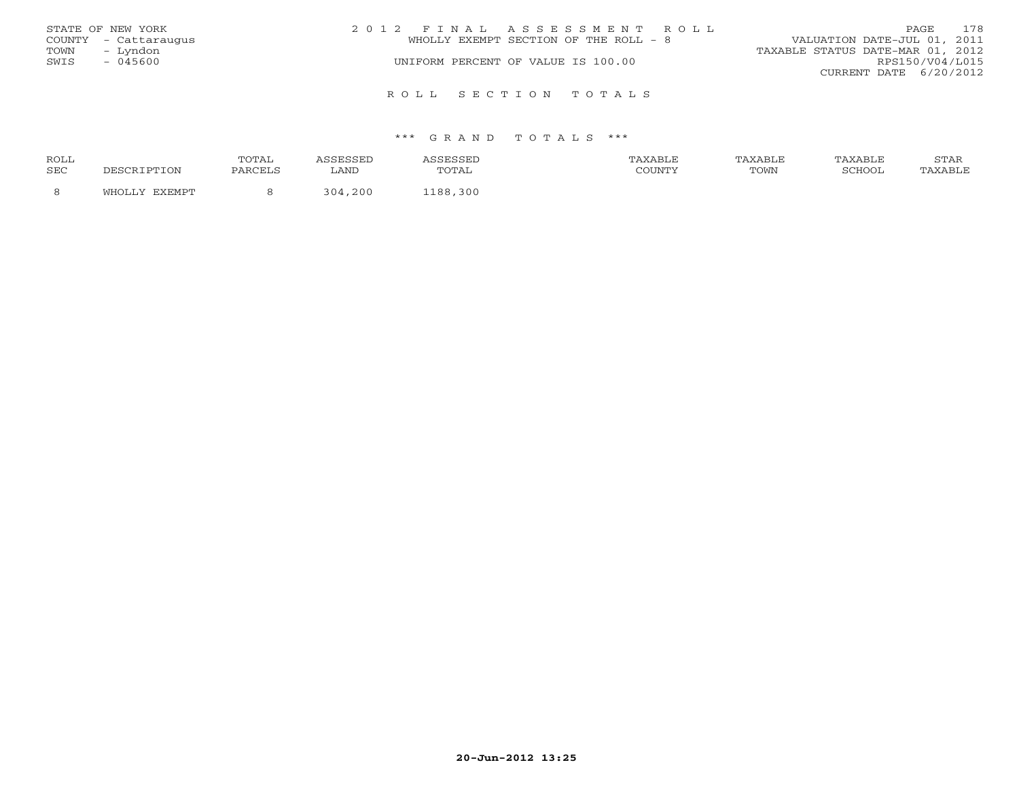|      | STATE OF NEW YORK    | 2012 FINAL ASSESSMENT ROLL            | 178<br>PAGE                      |
|------|----------------------|---------------------------------------|----------------------------------|
|      | COUNTY - Cattaraugus | WHOLLY EXEMPT SECTION OF THE ROLL - 8 | VALUATION DATE-JUL 01, 2011      |
| TOWN | – Lyndon             |                                       | TAXABLE STATUS DATE-MAR 01, 2012 |
| SWIS | - 045600             | UNIFORM PERCENT OF VALUE IS 100.00    | RPS150/V04/L015                  |
|      |                      |                                       | CURRENT DATE 6/20/2012           |
|      |                      |                                       |                                  |
|      |                      | ROLL SECTION TOTALS                   |                                  |

| ROLL |        | 'OTAL   |               |                                | TAXABLF |      | TAXABLE | $cm\pi$<br>י בתיכו |
|------|--------|---------|---------------|--------------------------------|---------|------|---------|--------------------|
| SEC  |        | PARCELS | LAND          | $\cdot$ $\cdot$<br><u>UIII</u> | CCTINTM | TOWN | COHOOT  |                    |
|      | $\sim$ |         | . 200<br>ユロオー | 300<br>1 ດ ດ                   |         |      |         |                    |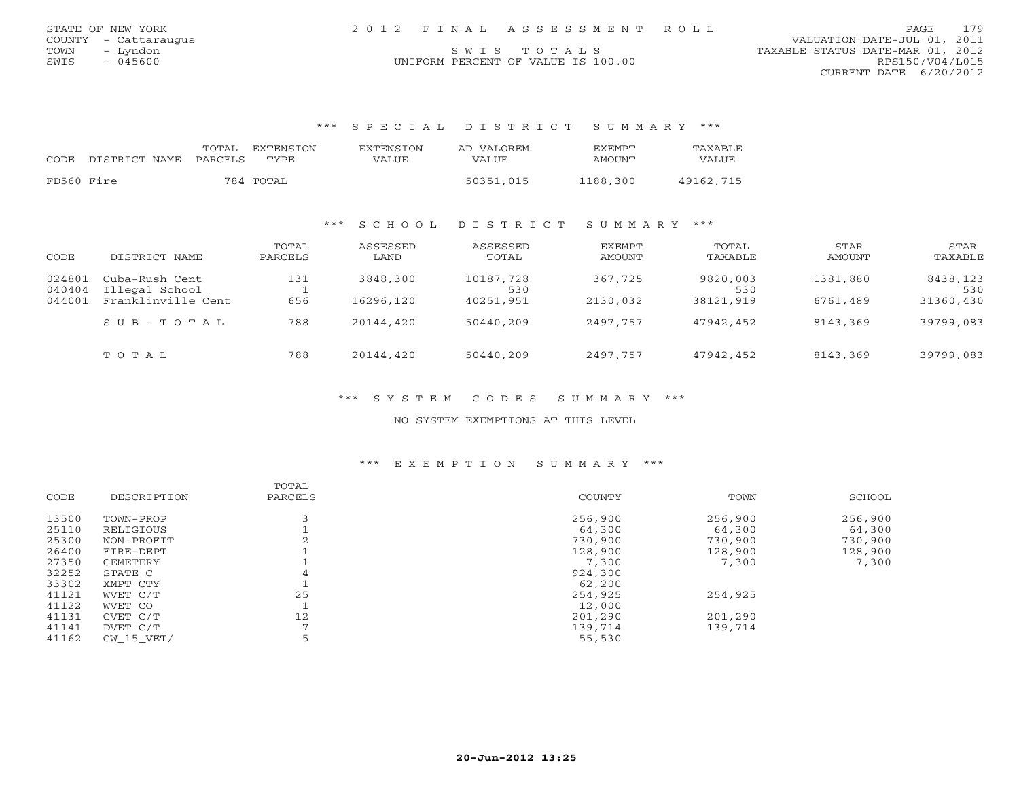| STATE OF NEW YORK    | 2012 FINAL ASSESSMENT ROLL         | 179<br>PAGE                      |
|----------------------|------------------------------------|----------------------------------|
| COUNTY - Cattaraugus |                                    | VALUATION DATE-JUL 01, 2011      |
| TOWN<br>– Lyndon     | SWIS TOTALS                        | TAXABLE STATUS DATE-MAR 01, 2012 |
| $-045600$<br>SWIS    | UNIFORM PERCENT OF VALUE IS 100.00 | RPS150/V04/L015                  |
|                      |                                    |                                  |

CURRENT DATE 6/20/2012

## \*\*\* S P E C I A L D I S T R I C T S U M M A R Y \*\*\*

| <b>CODE</b> | DISTRICT NAME | TOTAL<br>PARCELS | EXTENSION<br>TYPE. | EXTENSION<br>VALUE | AD VALOREM<br>VALUE | <b>FXFMPT</b><br>AMOUNT | TAXABLE<br>VALUE |
|-------------|---------------|------------------|--------------------|--------------------|---------------------|-------------------------|------------------|
| FD560 Fire  |               |                  | 784 TOTAL          |                    | 50351,015           | 1188,300                | 49162,715        |

## \*\*\* S C H O O L D I S T R I C T S U M M A R Y \*\*\*

| CODE                       | DISTRICT NAME                                          | TOTAL<br>PARCELS | ASSESSED<br>LAND      | ASSESSED<br>TOTAL             | EXEMPT<br>AMOUNT    | TOTAL<br>TAXABLE             | STAR<br>AMOUNT       | STAR<br>TAXABLE              |
|----------------------------|--------------------------------------------------------|------------------|-----------------------|-------------------------------|---------------------|------------------------------|----------------------|------------------------------|
| 024801<br>040404<br>044001 | Cuba-Rush Cent<br>Illegal School<br>Franklinville Cent | 131<br>656       | 3848,300<br>16296,120 | 10187,728<br>530<br>40251,951 | 367,725<br>2130,032 | 9820,003<br>530<br>38121,919 | 1381,880<br>6761,489 | 8438,123<br>530<br>31360,430 |
|                            | $S \cup B - T \cup T A L$                              | 788              | 20144,420             | 50440,209                     | 2497,757            | 47942,452                    | 8143,369             | 39799,083                    |
|                            | TOTAL                                                  | 788              | 20144,420             | 50440,209                     | 2497,757            | 47942,452                    | 8143,369             | 39799,083                    |

## \*\*\* S Y S T E M C O D E S S U M M A R Y \*\*\*

## NO SYSTEM EXEMPTIONS AT THIS LEVEL

## \*\*\* E X E M P T I O N S U M M A R Y \*\*\*

|       |             | TOTAL   |         |         |         |
|-------|-------------|---------|---------|---------|---------|
| CODE  | DESCRIPTION | PARCELS | COUNTY  | TOWN    | SCHOOL  |
| 13500 | TOWN-PROP   |         | 256,900 | 256,900 | 256,900 |
| 25110 | RELIGIOUS   |         | 64,300  | 64,300  | 64,300  |
| 25300 | NON-PROFIT  |         | 730,900 | 730,900 | 730,900 |
| 26400 | FIRE-DEPT   |         | 128,900 | 128,900 | 128,900 |
| 27350 | CEMETERY    |         | 7,300   | 7,300   | 7,300   |
| 32252 | STATE C     | 4       | 924,300 |         |         |
| 33302 | XMPT CTY    |         | 62,200  |         |         |
| 41121 | WVET C/T    | 25      | 254,925 | 254,925 |         |
| 41122 | WVET CO     |         | 12,000  |         |         |
| 41131 | CVET C/T    | 12      | 201,290 | 201,290 |         |
| 41141 | DVET C/T    |         | 139,714 | 139,714 |         |
| 41162 | CW 15 VET/  |         | 55,530  |         |         |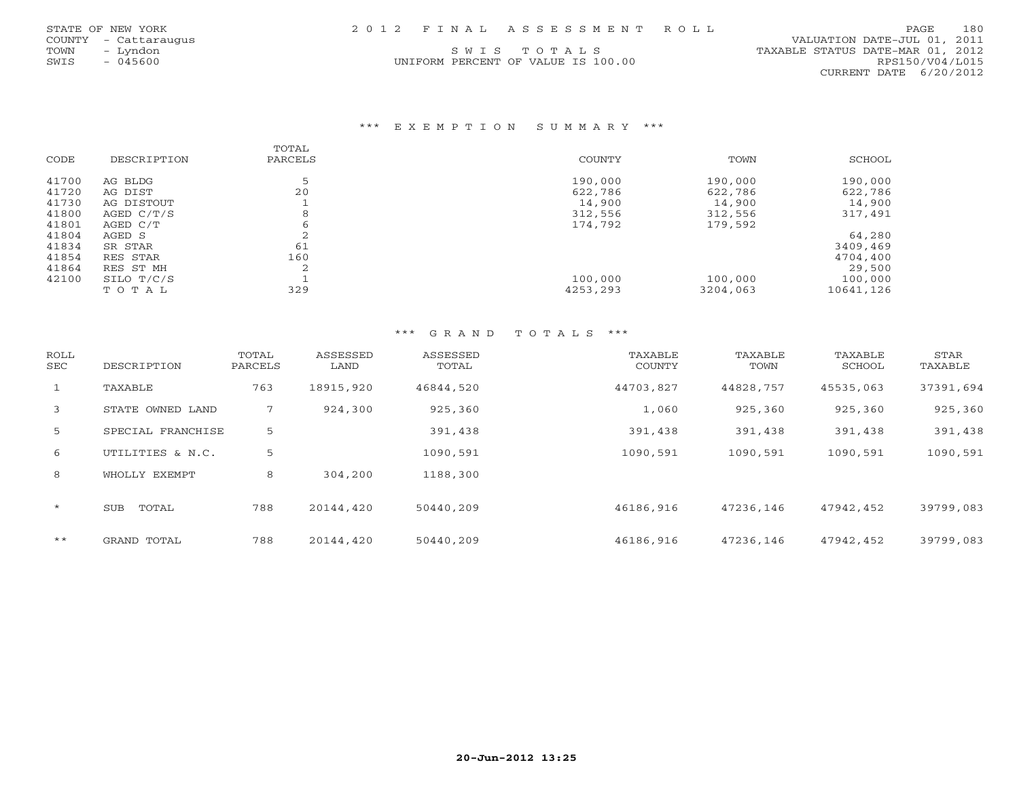UNIFORM PERCENT OF VALUE IS 100.00

 COUNTY - Cattaraugus VALUATION DATE-JUL 01, 2011 TOWN - Lyndon SWIS TOTALS TON TAXABLE STATUS DATE-MAR 01, 2012<br>SWIS - 045600 - UNIFORM PERCENT OF VALUE IS 100.00 RPS150/V04/L015 CURRENT DATE 6/20/2012

## \*\*\* E X E M P T I O N S U M M A R Y \*\*\*

|       |             | TOTAL     |          |          |           |
|-------|-------------|-----------|----------|----------|-----------|
| CODE  | DESCRIPTION | PARCELS   | COUNTY   | TOWN     | SCHOOL    |
| 41700 | AG BLDG     |           | 190,000  | 190,000  | 190,000   |
| 41720 | AG DIST     | 20        | 622,786  | 622,786  | 622,786   |
| 41730 | AG DISTOUT  |           | 14,900   | 14,900   | 14,900    |
| 41800 | AGED C/T/S  | 8         | 312,556  | 312,556  | 317,491   |
| 41801 | AGED C/T    |           | 174,792  | 179,592  |           |
| 41804 | AGED S      | $\sim$    |          |          | 64,280    |
| 41834 | SR STAR     | 61        |          |          | 3409,469  |
| 41854 | RES STAR    | 160       |          |          | 4704,400  |
| 41864 | RES ST MH   | $\bigcap$ |          |          | 29,500    |
| 42100 | SILO T/C/S  |           | 100,000  | 100,000  | 100,000   |
|       | TOTAL       | 329       | 4253,293 | 3204,063 | 10641,126 |

| ROLL<br>SEC  | DESCRIPTION         | TOTAL<br>PARCELS | ASSESSED<br>LAND | ASSESSED<br>TOTAL | TAXABLE<br>COUNTY | TAXABLE<br>TOWN | TAXABLE<br>SCHOOL | STAR<br>TAXABLE |
|--------------|---------------------|------------------|------------------|-------------------|-------------------|-----------------|-------------------|-----------------|
| $\mathbf{1}$ | TAXABLE             | 763              | 18915,920        | 46844,520         | 44703,827         | 44828,757       | 45535,063         | 37391,694       |
| 3            | STATE OWNED LAND    | 7                | 924,300          | 925,360           | 1,060             | 925,360         | 925,360           | 925,360         |
| 5            | SPECIAL FRANCHISE   | 5                |                  | 391,438           | 391,438           | 391,438         | 391,438           | 391,438         |
| 6            | UTILITIES & N.C.    | 5                |                  | 1090,591          | 1090,591          | 1090,591        | 1090,591          | 1090,591        |
| 8            | WHOLLY EXEMPT       | 8                | 304,200          | 1188,300          |                   |                 |                   |                 |
| $\star$      | TOTAL<br><b>SUB</b> | 788              | 20144,420        | 50440,209         | 46186,916         | 47236,146       | 47942,452         | 39799,083       |
| $***$        | GRAND TOTAL         | 788              | 20144,420        | 50440,209         | 46186,916         | 47236,146       | 47942,452         | 39799,083       |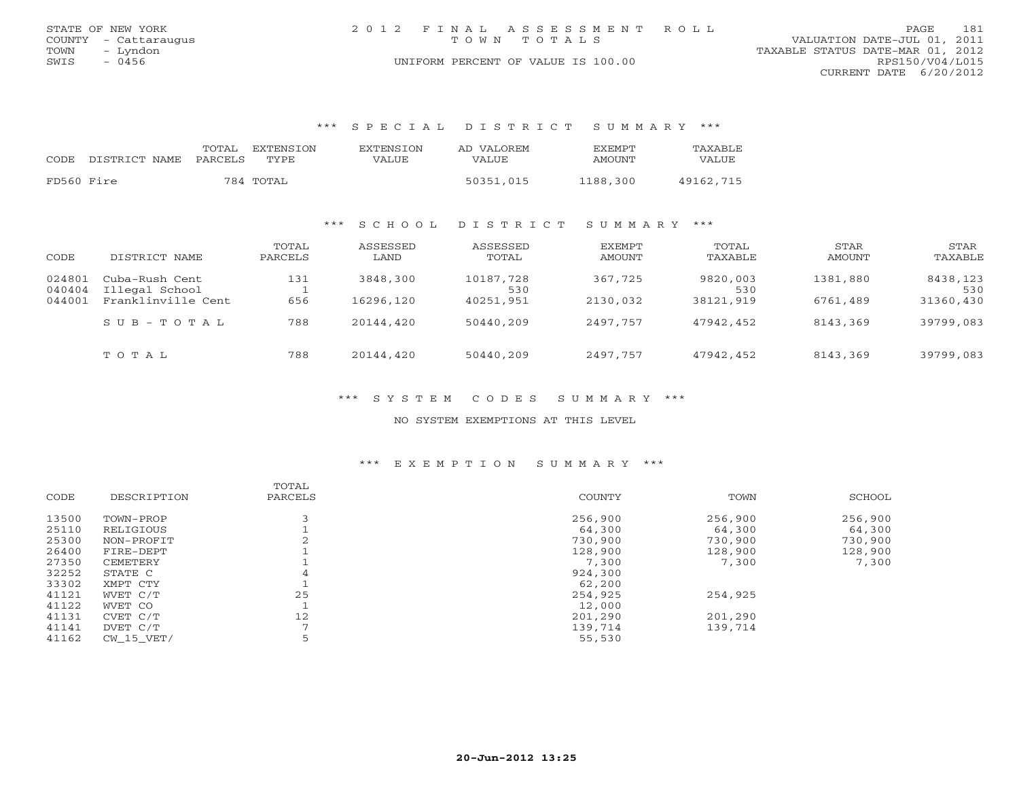|      | STATE OF NEW YORK    | 2012 FINAL ASSESSMENT ROLL         | 181<br>PAGE                      |
|------|----------------------|------------------------------------|----------------------------------|
|      | COUNTY - Cattaraugus | TOWN TOTALS                        | VALUATION DATE-JUL 01, 2011      |
| TOWN | – Lyndon             |                                    | TAXABLE STATUS DATE-MAR 01, 2012 |
| SWIS | $-0456$              | UNIFORM PERCENT OF VALUE IS 100.00 | RPS150/V04/L015                  |
|      |                      |                                    | CURRENT DATE 6/20/2012           |

### \*\*\* S P E C I A L D I S T R I C T S U M M A R Y \*\*\*

| CODE.      | DISTRICT NAME PARCELS | TOTAL | EXTENSTON<br>TYPE. | <b>EXTENSION</b><br>VALUE | AD VALOREM<br>VALUE | <b>FXFMPT</b><br>AMOUNT | TAXABLE<br>VALUE |
|------------|-----------------------|-------|--------------------|---------------------------|---------------------|-------------------------|------------------|
| FD560 Fire |                       |       | 784 TOTAL          |                           | 50351,015           | 1188,300                | 49162,715        |

### \*\*\* S C H O O L D I S T R I C T S U M M A R Y \*\*\*

| CODE                       | DISTRICT NAME                                          | TOTAL<br>PARCELS | ASSESSED<br>LAND      | ASSESSED<br>TOTAL             | EXEMPT<br>AMOUNT    | TOTAL<br>TAXABLE             | STAR<br>AMOUNT       | STAR<br>TAXABLE              |
|----------------------------|--------------------------------------------------------|------------------|-----------------------|-------------------------------|---------------------|------------------------------|----------------------|------------------------------|
| 024801<br>040404<br>044001 | Cuba-Rush Cent<br>Illegal School<br>Franklinville Cent | 131<br>656       | 3848,300<br>16296,120 | 10187,728<br>530<br>40251,951 | 367,725<br>2130,032 | 9820,003<br>530<br>38121,919 | 1381,880<br>6761,489 | 8438,123<br>530<br>31360,430 |
|                            | $S \cup B - T \cup T A L$                              | 788              | 20144,420             | 50440,209                     | 2497,757            | 47942,452                    | 8143,369             | 39799,083                    |
|                            | TOTAL                                                  | 788              | 20144,420             | 50440,209                     | 2497,757            | 47942,452                    | 8143,369             | 39799,083                    |

## \*\*\* S Y S T E M C O D E S S U M M A R Y \*\*\*

## NO SYSTEM EXEMPTIONS AT THIS LEVEL

## \*\*\* E X E M P T I O N S U M M A R Y \*\*\*

|       |             | TOTAL          |         |         |         |
|-------|-------------|----------------|---------|---------|---------|
| CODE  | DESCRIPTION | PARCELS        | COUNTY  | TOWN    | SCHOOL  |
| 13500 | TOWN-PROP   |                | 256,900 | 256,900 | 256,900 |
| 25110 | RELIGIOUS   |                | 64,300  | 64,300  | 64,300  |
| 25300 | NON-PROFIT  |                | 730,900 | 730,900 | 730,900 |
| 26400 | FIRE-DEPT   |                | 128,900 | 128,900 | 128,900 |
| 27350 | CEMETERY    |                | 7,300   | 7,300   | 7,300   |
| 32252 | STATE C     | 4              | 924,300 |         |         |
| 33302 | XMPT CTY    |                | 62,200  |         |         |
| 41121 | WVET C/T    | 25             | 254,925 | 254,925 |         |
| 41122 | WVET CO     |                | 12,000  |         |         |
| 41131 | CVET C/T    | 12             | 201,290 | 201,290 |         |
| 41141 | DVET C/T    | $\overline{ }$ | 139,714 | 139,714 |         |
| 41162 | CW 15 VET/  |                | 55,530  |         |         |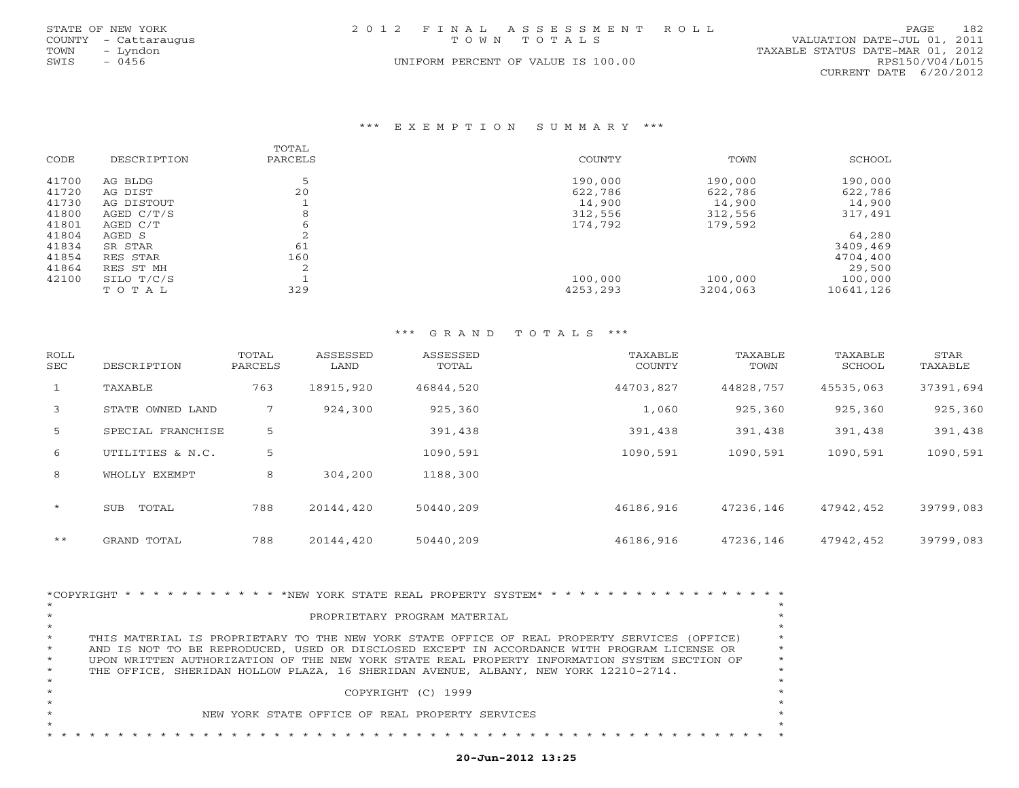|      | STATE OF NEW YORK    | 2012 FINAL ASSESSMENT ROLL         | 182<br><b>PAGE</b>               |
|------|----------------------|------------------------------------|----------------------------------|
|      | COUNTY - Cattaraugus | TOWN TOTALS                        | VALUATION DATE-JUL 01, 2011      |
| TOWN | – Lvndon             |                                    | TAXABLE STATUS DATE-MAR 01, 2012 |
| SWIS | $-0456$              | UNIFORM PERCENT OF VALUE IS 100.00 | RPS150/V04/L015                  |
|      |                      |                                    | CURRENT DATE 6/20/2012           |

#### \*\*\* E X E M P T I O N S U M M A R Y \*\*\*

|       |             | TOTAL       |          |          |           |
|-------|-------------|-------------|----------|----------|-----------|
| CODE  | DESCRIPTION | PARCELS     | COUNTY   | TOWN     | SCHOOL    |
| 41700 | AG BLDG     |             | 190,000  | 190,000  | 190,000   |
| 41720 | AG DIST     | 20          | 622,786  | 622,786  | 622,786   |
| 41730 | AG DISTOUT  |             | 14,900   | 14,900   | 14,900    |
| 41800 | AGED C/T/S  | 8           | 312,556  | 312,556  | 317,491   |
| 41801 | AGED C/T    | ь           | 174,792  | 179,592  |           |
| 41804 | AGED S      | ∠           |          |          | 64,280    |
| 41834 | SR STAR     | 61          |          |          | 3409,469  |
| 41854 | RES STAR    | 160         |          |          | 4704,400  |
| 41864 | RES ST MH   | $\sim$<br>∠ |          |          | 29,500    |
| 42100 | SILO T/C/S  |             | 100,000  | 100,000  | 100,000   |
|       | TOTAL       | 329         | 4253,293 | 3204,063 | 10641,126 |

### \*\*\* G R A N D T O T A L S \*\*\*

| ROLL<br>SEC  | DESCRIPTION         | TOTAL<br>PARCELS | ASSESSED<br>LAND | ASSESSED<br>TOTAL | TAXABLE<br>COUNTY | TAXABLE<br>TOWN | TAXABLE<br>SCHOOL | STAR<br>TAXABLE |
|--------------|---------------------|------------------|------------------|-------------------|-------------------|-----------------|-------------------|-----------------|
| $\mathbf{1}$ | TAXABLE             | 763              | 18915,920        | 46844,520         | 44703,827         | 44828,757       | 45535,063         | 37391,694       |
| 3            | STATE OWNED LAND    | 7                | 924,300          | 925,360           | 1,060             | 925,360         | 925,360           | 925,360         |
| 5            | SPECIAL FRANCHISE   | 5                |                  | 391,438           | 391,438           | 391,438         | 391,438           | 391,438         |
| 6            | UTILITIES & N.C.    | 5                |                  | 1090,591          | 1090,591          | 1090,591        | 1090,591          | 1090,591        |
| 8            | WHOLLY EXEMPT       | 8                | 304,200          | 1188,300          |                   |                 |                   |                 |
| $\star$      | TOTAL<br><b>SUB</b> | 788              | 20144,420        | 50440,209         | 46186,916         | 47236,146       | 47942,452         | 39799,083       |
| $* *$        | GRAND TOTAL         | 788              | 20144,420        | 50440,209         | 46186,916         | 47236,146       | 47942,452         | 39799,083       |

| *COPYRIGHT * * * * * * * * * * * * NEW YORK STATE REAL PROPERTY SYSTEM* * * * * * * *                   |         |
|---------------------------------------------------------------------------------------------------------|---------|
|                                                                                                         |         |
| PROPRIETARY PROGRAM MATERIAL                                                                            |         |
|                                                                                                         |         |
| $\star$<br>THIS MATERIAL IS PROPRIETARY TO THE NEW YORK STATE OFFICE OF REAL PROPERTY SERVICES (OFFICE) |         |
| $\star$<br>AND IS NOT TO BE REPRODUCED, USED OR DISCLOSED EXCEPT IN ACCORDANCE WITH PROGRAM LICENSE OR  |         |
| $\star$<br>UPON WRITTEN AUTHORIZATION OF THE NEW YORK STATE REAL PROPERTY INFORMATION SYSTEM SECTION OF | $\star$ |
| $\star$<br>THE OFFICE, SHERIDAN HOLLOW PLAZA, 16 SHERIDAN AVENUE, ALBANY, NEW YORK 12210-2714.          |         |
|                                                                                                         |         |
| COPYRIGHT (C) 1999                                                                                      |         |
|                                                                                                         |         |
| NEW YORK STATE OFFICE OF REAL PROPERTY SERVICES                                                         |         |
|                                                                                                         |         |
|                                                                                                         |         |

# **20-Jun-2012 13:25**